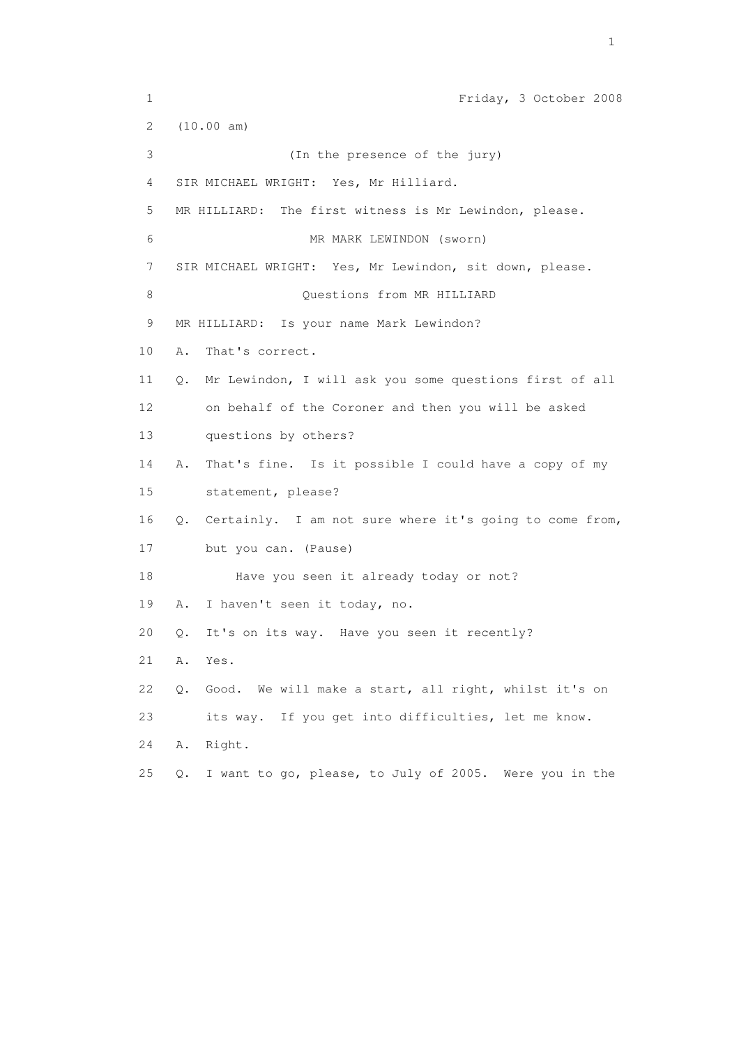1 Friday, 3 October 2008 2 (10.00 am) 3 (In the presence of the jury) 4 SIR MICHAEL WRIGHT: Yes, Mr Hilliard. 5 MR HILLIARD: The first witness is Mr Lewindon, please. 6 MR MARK LEWINDON (sworn) 7 SIR MICHAEL WRIGHT: Yes, Mr Lewindon, sit down, please. 8 Questions from MR HILLIARD 9 MR HILLIARD: Is your name Mark Lewindon? 10 A. That's correct. 11 Q. Mr Lewindon, I will ask you some questions first of all 12 on behalf of the Coroner and then you will be asked 13 questions by others? 14 A. That's fine. Is it possible I could have a copy of my 15 statement, please? 16 Q. Certainly. I am not sure where it's going to come from, 17 but you can. (Pause) 18 Have you seen it already today or not? 19 A. I haven't seen it today, no. 20 Q. It's on its way. Have you seen it recently? 21 A. Yes. 22 Q. Good. We will make a start, all right, whilst it's on 23 its way. If you get into difficulties, let me know. 24 A. Right. 25 Q. I want to go, please, to July of 2005. Were you in the

the contract of the contract of the contract of the contract of the contract of the contract of the contract of the contract of the contract of the contract of the contract of the contract of the contract of the contract o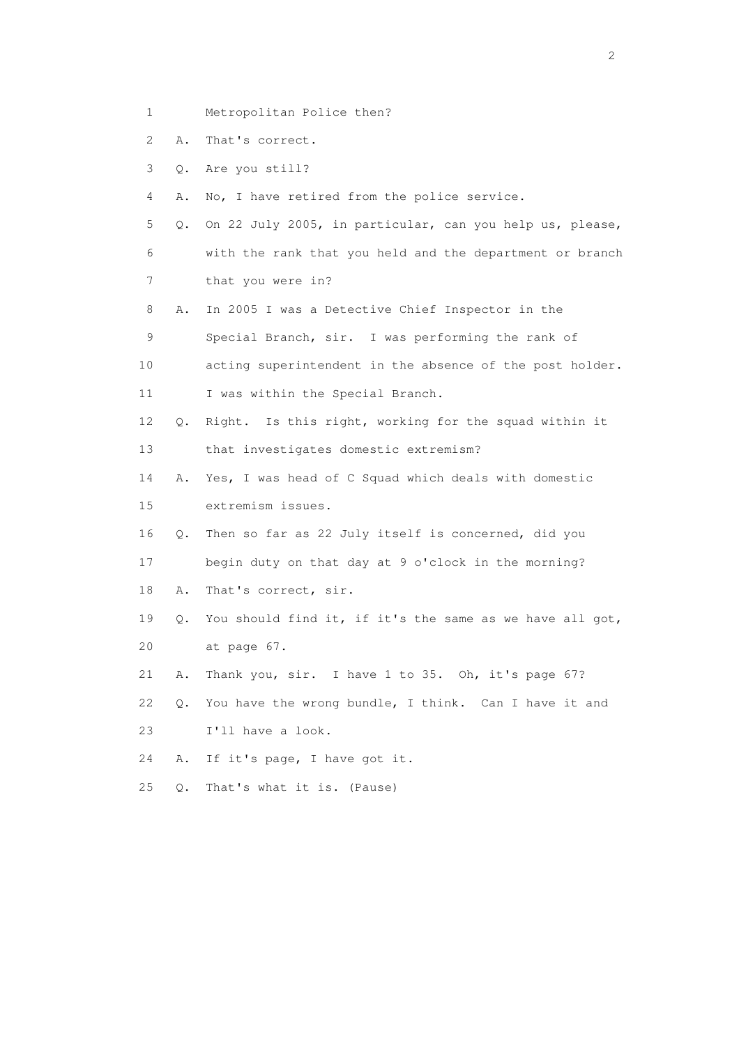- 1 Metropolitan Police then?
- 2 A. That's correct.
- 3 Q. Are you still?
- 4 A. No, I have retired from the police service.
- 5 Q. On 22 July 2005, in particular, can you help us, please, 6 with the rank that you held and the department or branch 7 that you were in?
- 8 A. In 2005 I was a Detective Chief Inspector in the
- 9 Special Branch, sir. I was performing the rank of
- 10 acting superintendent in the absence of the post holder.
- 11 I was within the Special Branch.
- 12 Q. Right. Is this right, working for the squad within it 13 that investigates domestic extremism?
- 14 A. Yes, I was head of C Squad which deals with domestic 15 extremism issues.
- 16 Q. Then so far as 22 July itself is concerned, did you
- 17 begin duty on that day at 9 o'clock in the morning?
- 18 A. That's correct, sir.
- 19 Q. You should find it, if it's the same as we have all got, 20 at page 67.
- 21 A. Thank you, sir. I have 1 to 35. Oh, it's page 67?
- 22 Q. You have the wrong bundle, I think. Can I have it and 23 I'll have a look.
- 24 A. If it's page, I have got it.
- 25 Q. That's what it is. (Pause)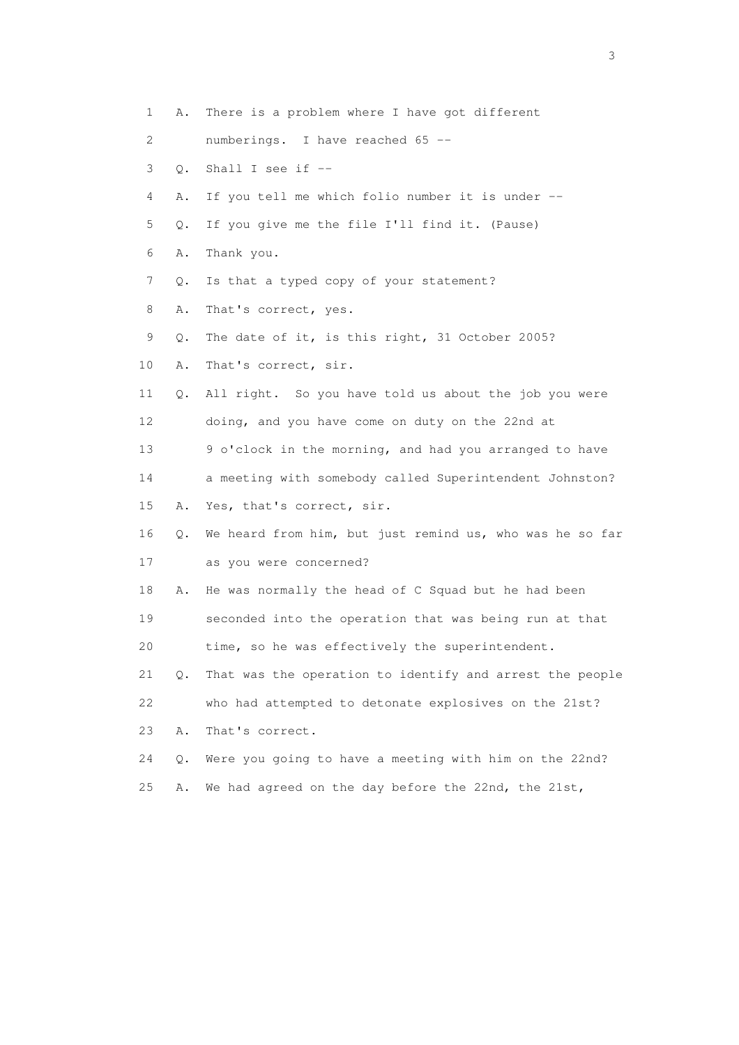1 A. There is a problem where I have got different 2 numberings. I have reached 65 -- 3 Q. Shall I see if -- 4 A. If you tell me which folio number it is under -- 5 Q. If you give me the file I'll find it. (Pause) 6 A. Thank you. 7 Q. Is that a typed copy of your statement? 8 A. That's correct, yes. 9 Q. The date of it, is this right, 31 October 2005? 10 A. That's correct, sir. 11 Q. All right. So you have told us about the job you were 12 doing, and you have come on duty on the 22nd at 13 9 o'clock in the morning, and had you arranged to have 14 a meeting with somebody called Superintendent Johnston? 15 A. Yes, that's correct, sir. 16 Q. We heard from him, but just remind us, who was he so far 17 as you were concerned? 18 A. He was normally the head of C Squad but he had been 19 seconded into the operation that was being run at that 20 time, so he was effectively the superintendent. 21 Q. That was the operation to identify and arrest the people 22 who had attempted to detonate explosives on the 21st? 23 A. That's correct. 24 Q. Were you going to have a meeting with him on the 22nd? 25 A. We had agreed on the day before the 22nd, the 21st,

 $\sim$  3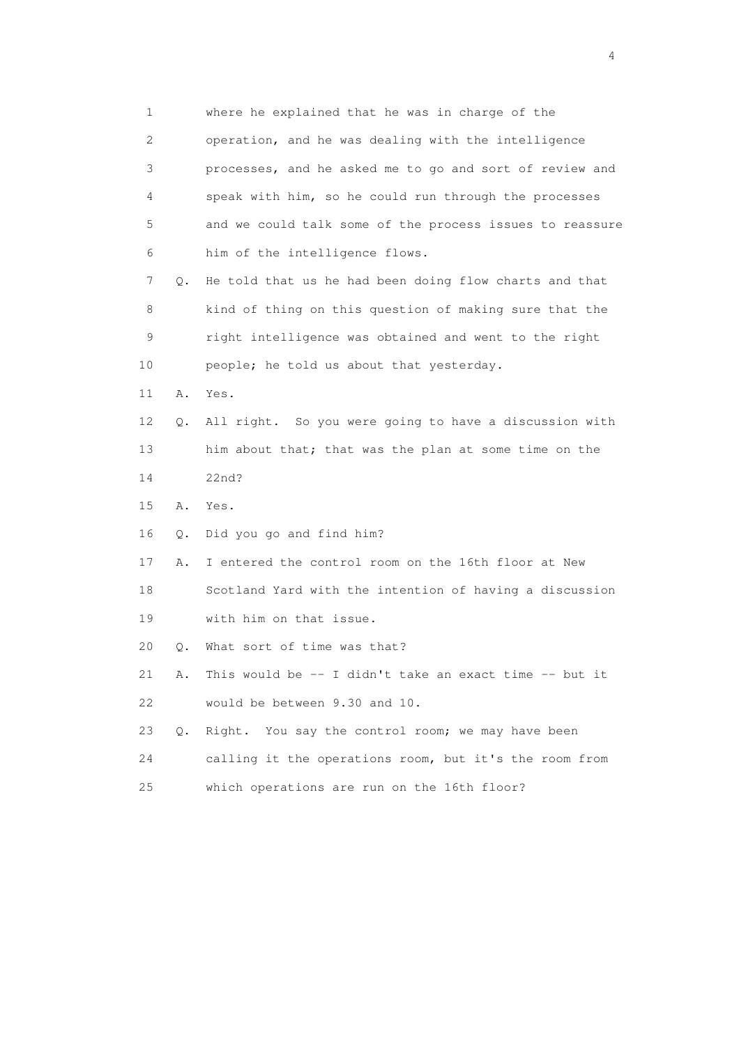1 where he explained that he was in charge of the 2 operation, and he was dealing with the intelligence 3 processes, and he asked me to go and sort of review and 4 speak with him, so he could run through the processes 5 and we could talk some of the process issues to reassure 6 him of the intelligence flows. 7 Q. He told that us he had been doing flow charts and that 8 kind of thing on this question of making sure that the 9 right intelligence was obtained and went to the right 10 people; he told us about that yesterday. 11 A. Yes. 12 Q. All right. So you were going to have a discussion with 13 him about that; that was the plan at some time on the 14 22nd? 15 A. Yes. 16 Q. Did you go and find him? 17 A. I entered the control room on the 16th floor at New 18 Scotland Yard with the intention of having a discussion 19 with him on that issue. 20 Q. What sort of time was that? 21 A. This would be -- I didn't take an exact time -- but it 22 would be between 9.30 and 10. 23 Q. Right. You say the control room; we may have been 24 calling it the operations room, but it's the room from 25 which operations are run on the 16th floor?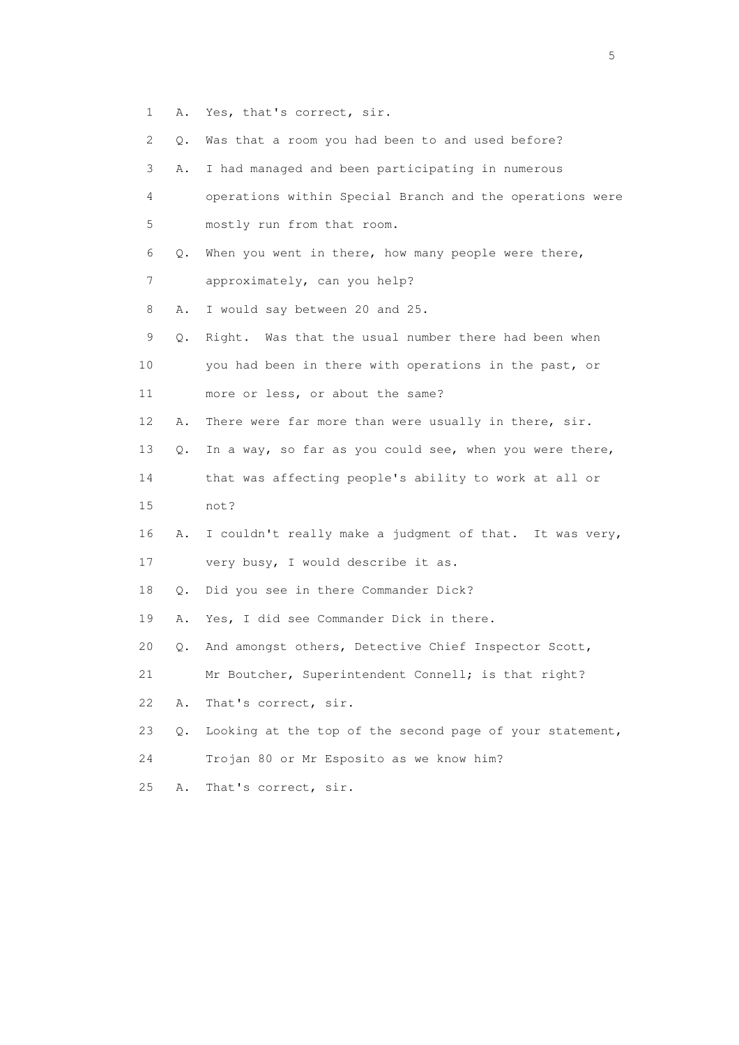- 1 A. Yes, that's correct, sir.
- 2 Q. Was that a room you had been to and used before?
- 3 A. I had managed and been participating in numerous 4 operations within Special Branch and the operations were 5 mostly run from that room. 6 Q. When you went in there, how many people were there, 7 approximately, can you help? 8 A. I would say between 20 and 25. 9 Q. Right. Was that the usual number there had been when 10 you had been in there with operations in the past, or 11 more or less, or about the same? 12 A. There were far more than were usually in there, sir. 13 Q. In a way, so far as you could see, when you were there, 14 that was affecting people's ability to work at all or 15 not? 16 A. I couldn't really make a judgment of that. It was very, 17 very busy, I would describe it as. 18 Q. Did you see in there Commander Dick? 19 A. Yes, I did see Commander Dick in there. 20 Q. And amongst others, Detective Chief Inspector Scott, 21 Mr Boutcher, Superintendent Connell; is that right? 22 A. That's correct, sir. 23 Q. Looking at the top of the second page of your statement, 24 Trojan 80 or Mr Esposito as we know him? 25 A. That's correct, sir.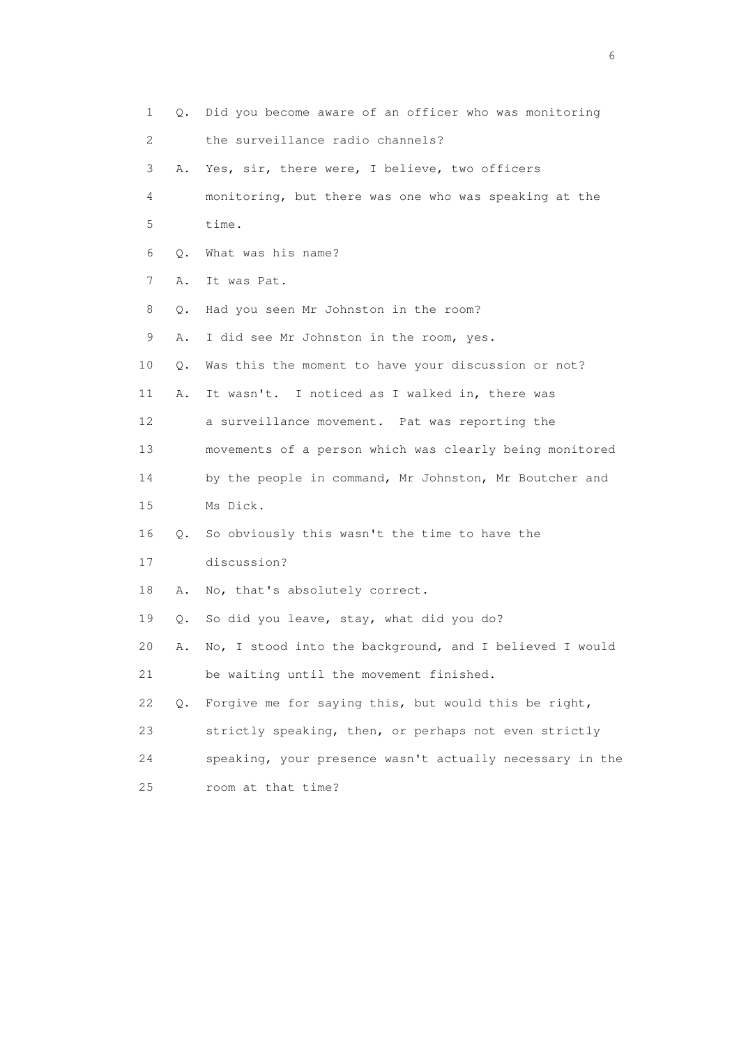1 Q. Did you become aware of an officer who was monitoring 2 the surveillance radio channels? 3 A. Yes, sir, there were, I believe, two officers 4 monitoring, but there was one who was speaking at the 5 time. 6 Q. What was his name? 7 A. It was Pat. 8 Q. Had you seen Mr Johnston in the room? 9 A. I did see Mr Johnston in the room, yes. 10 Q. Was this the moment to have your discussion or not? 11 A. It wasn't. I noticed as I walked in, there was 12 a surveillance movement. Pat was reporting the 13 movements of a person which was clearly being monitored 14 by the people in command, Mr Johnston, Mr Boutcher and 15 Ms Dick. 16 Q. So obviously this wasn't the time to have the 17 discussion? 18 A. No, that's absolutely correct. 19 Q. So did you leave, stay, what did you do? 20 A. No, I stood into the background, and I believed I would 21 be waiting until the movement finished. 22 Q. Forgive me for saying this, but would this be right, 23 strictly speaking, then, or perhaps not even strictly 24 speaking, your presence wasn't actually necessary in the 25 room at that time?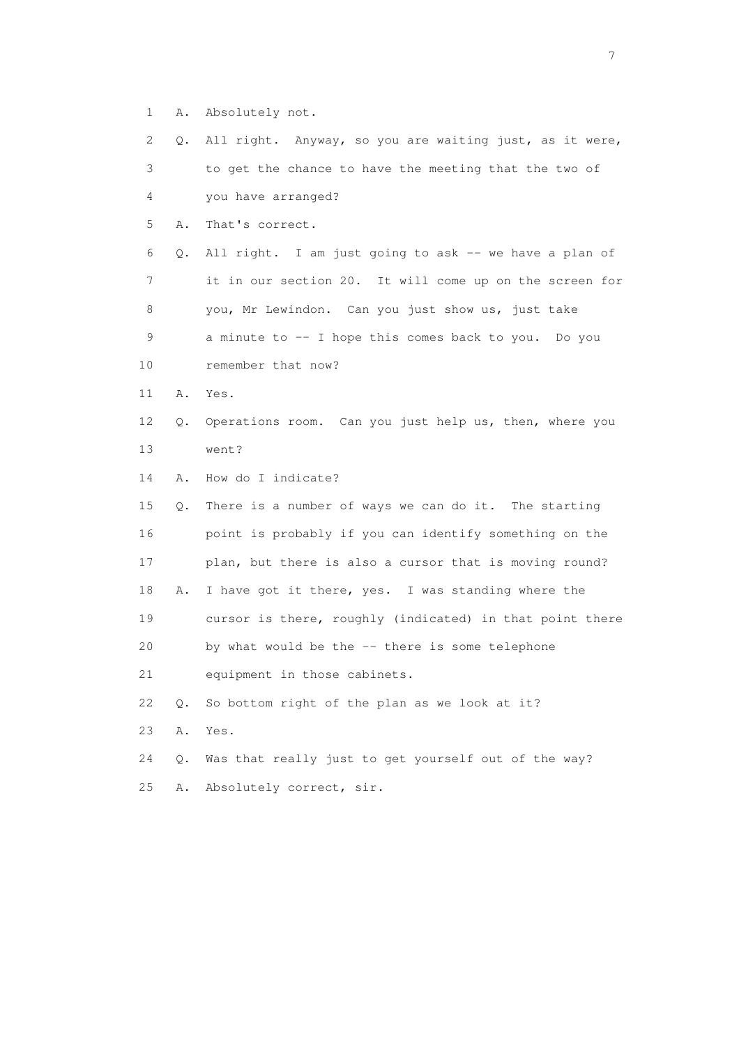1 A. Absolutely not.

 2 Q. All right. Anyway, so you are waiting just, as it were, 3 to get the chance to have the meeting that the two of 4 you have arranged? 5 A. That's correct. 6 Q. All right. I am just going to ask -- we have a plan of 7 it in our section 20. It will come up on the screen for 8 you, Mr Lewindon. Can you just show us, just take 9 a minute to -- I hope this comes back to you. Do you 10 remember that now? 11 A. Yes. 12 Q. Operations room. Can you just help us, then, where you 13 went? 14 A. How do I indicate? 15 Q. There is a number of ways we can do it. The starting 16 point is probably if you can identify something on the 17 plan, but there is also a cursor that is moving round? 18 A. I have got it there, yes. I was standing where the 19 cursor is there, roughly (indicated) in that point there 20 by what would be the -- there is some telephone 21 equipment in those cabinets. 22 Q. So bottom right of the plan as we look at it?

23 A. Yes.

 24 Q. Was that really just to get yourself out of the way? 25 A. Absolutely correct, sir.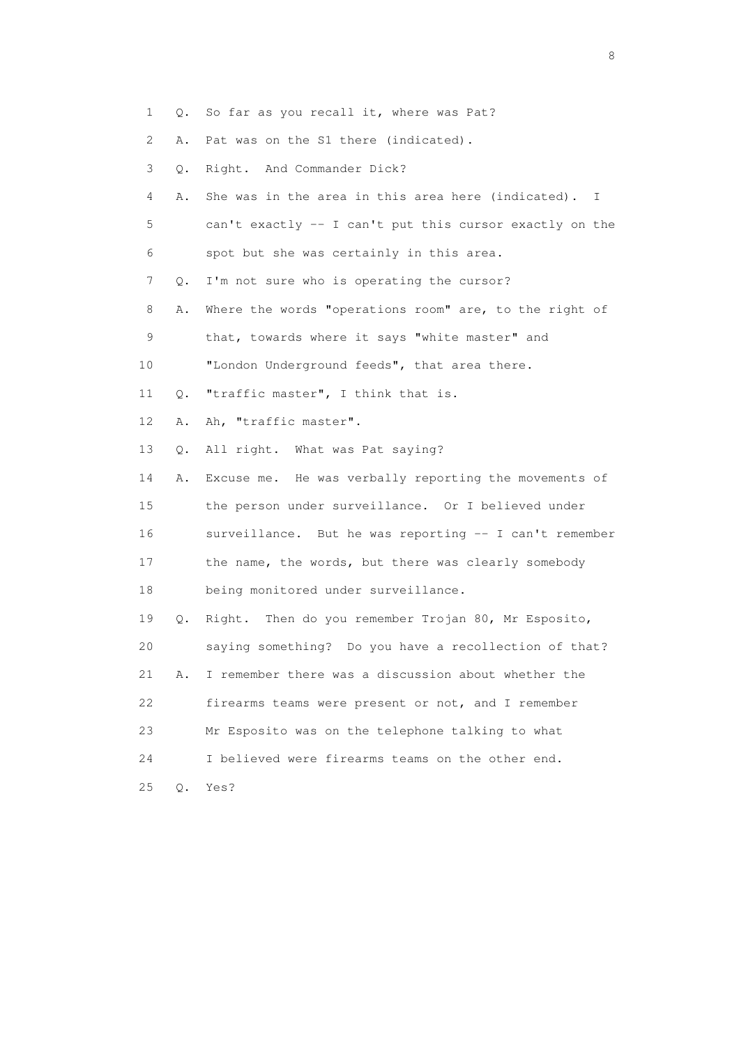- 1 Q. So far as you recall it, where was Pat?
- 2 A. Pat was on the S1 there (indicated).
- 3 Q. Right. And Commander Dick?
- 4 A. She was in the area in this area here (indicated). I 5 can't exactly -- I can't put this cursor exactly on the
- 6 spot but she was certainly in this area.
- 7 Q. I'm not sure who is operating the cursor?
- 8 A. Where the words "operations room" are, to the right of
- 9 that, towards where it says "white master" and
- 10 "London Underground feeds", that area there.
- 11 Q. "traffic master", I think that is.
- 12 A. Ah, "traffic master".
- 13 Q. All right. What was Pat saying?

 14 A. Excuse me. He was verbally reporting the movements of 15 the person under surveillance. Or I believed under 16 surveillance. But he was reporting -- I can't remember 17 the name, the words, but there was clearly somebody 18 being monitored under surveillance.

 19 Q. Right. Then do you remember Trojan 80, Mr Esposito, 20 saying something? Do you have a recollection of that? 21 A. I remember there was a discussion about whether the 22 firearms teams were present or not, and I remember 23 Mr Esposito was on the telephone talking to what 24 I believed were firearms teams on the other end. 25 Q. Yes?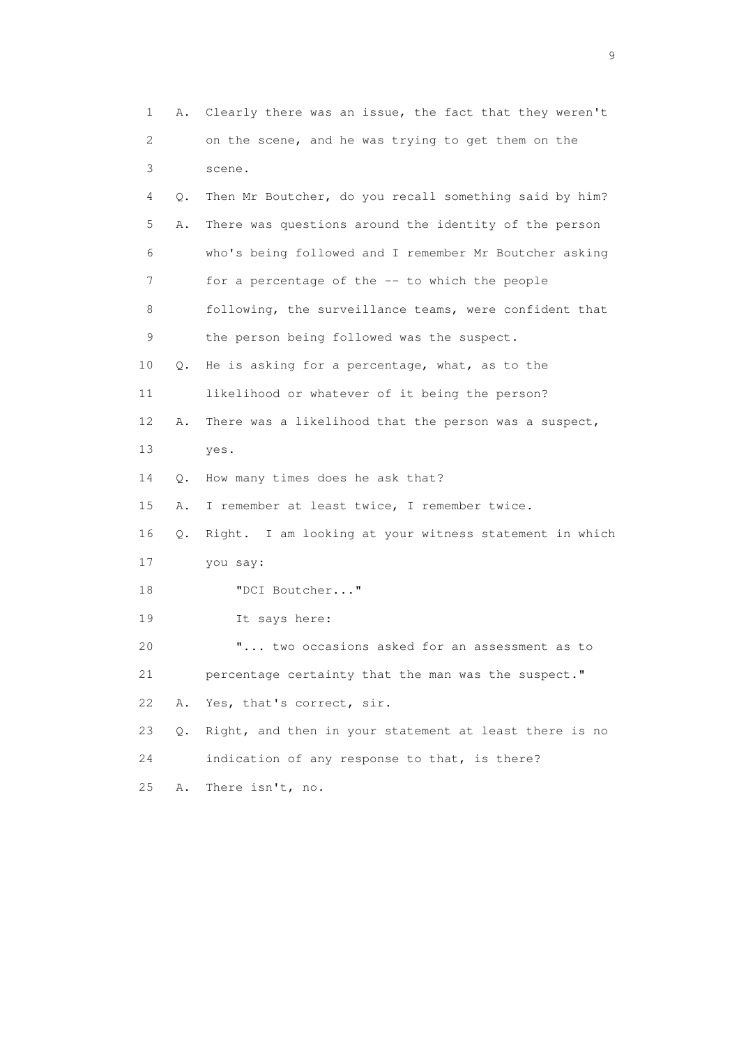1 A. Clearly there was an issue, the fact that they weren't 2 on the scene, and he was trying to get them on the 3 scene. 4 Q. Then Mr Boutcher, do you recall something said by him? 5 A. There was questions around the identity of the person 6 who's being followed and I remember Mr Boutcher asking 7 for a percentage of the -- to which the people 8 following, the surveillance teams, were confident that 9 the person being followed was the suspect. 10 Q. He is asking for a percentage, what, as to the 11 likelihood or whatever of it being the person? 12 A. There was a likelihood that the person was a suspect, 13 yes. 14 Q. How many times does he ask that? 15 A. I remember at least twice, I remember twice. 16 Q. Right. I am looking at your witness statement in which 17 you say: 18 "DCI Boutcher..." 19 It says here: 20 "... two occasions asked for an assessment as to 21 percentage certainty that the man was the suspect." 22 A. Yes, that's correct, sir. 23 Q. Right, and then in your statement at least there is no 24 indication of any response to that, is there? 25 A. There isn't, no.

en de la construction de la construction de la construction de la construction de la construction de la constr<br>1911 : la construction de la construction de la construction de la construction de la construction de la const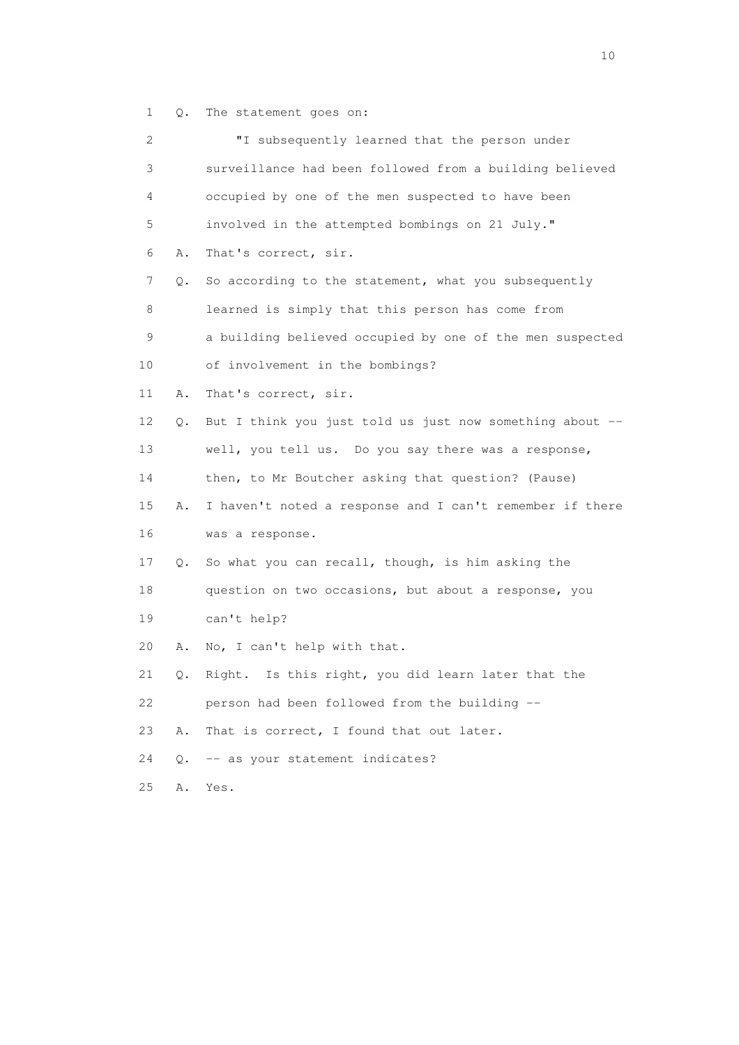1 Q. The statement goes on:

| 2  |    | "I subsequently learned that the person under            |
|----|----|----------------------------------------------------------|
| 3  |    | surveillance had been followed from a building believed  |
| 4  |    | occupied by one of the men suspected to have been        |
| 5  |    | involved in the attempted bombings on 21 July."          |
| 6  | Α. | That's correct, sir.                                     |
| 7  | Q. | So according to the statement, what you subsequently     |
| 8  |    | learned is simply that this person has come from         |
| 9  |    | a building believed occupied by one of the men suspected |
| 10 |    | of involvement in the bombings?                          |
| 11 | Α. | That's correct, sir.                                     |
| 12 | Q. | But I think you just told us just now something about -- |
| 13 |    | well, you tell us. Do you say there was a response,      |
| 14 |    | then, to Mr Boutcher asking that question? (Pause)       |
| 15 | Α. | I haven't noted a response and I can't remember if there |
| 16 |    | was a response.                                          |
| 17 | Q. | So what you can recall, though, is him asking the        |
| 18 |    | question on two occasions, but about a response, you     |
| 19 |    | can't help?                                              |
| 20 | Α. | No, I can't help with that.                              |
| 21 | Q. | Is this right, you did learn later that the<br>Right.    |
| 22 |    | person had been followed from the building --            |
| 23 | Α. | That is correct, I found that out later.                 |
| 24 | Q. | -- as your statement indicates?                          |
| 25 | Α. | Yes.                                                     |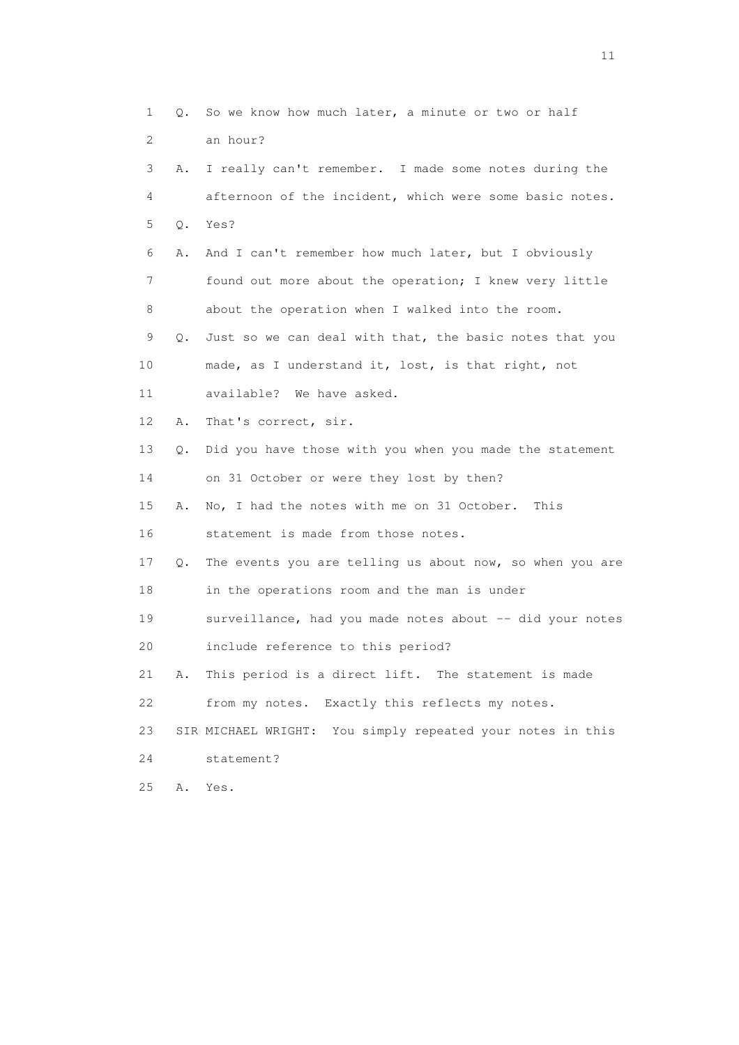1 Q. So we know how much later, a minute or two or half 2 an hour? 3 A. I really can't remember. I made some notes during the 4 afternoon of the incident, which were some basic notes. 5 Q. Yes? 6 A. And I can't remember how much later, but I obviously 7 found out more about the operation; I knew very little 8 about the operation when I walked into the room. 9 Q. Just so we can deal with that, the basic notes that you 10 made, as I understand it, lost, is that right, not 11 available? We have asked. 12 A. That's correct, sir. 13 Q. Did you have those with you when you made the statement 14 on 31 October or were they lost by then? 15 A. No, I had the notes with me on 31 October. This 16 statement is made from those notes. 17 Q. The events you are telling us about now, so when you are 18 in the operations room and the man is under 19 surveillance, had you made notes about -- did your notes 20 include reference to this period? 21 A. This period is a direct lift. The statement is made 22 from my notes. Exactly this reflects my notes. 23 SIR MICHAEL WRIGHT: You simply repeated your notes in this 24 statement? 25 A. Yes.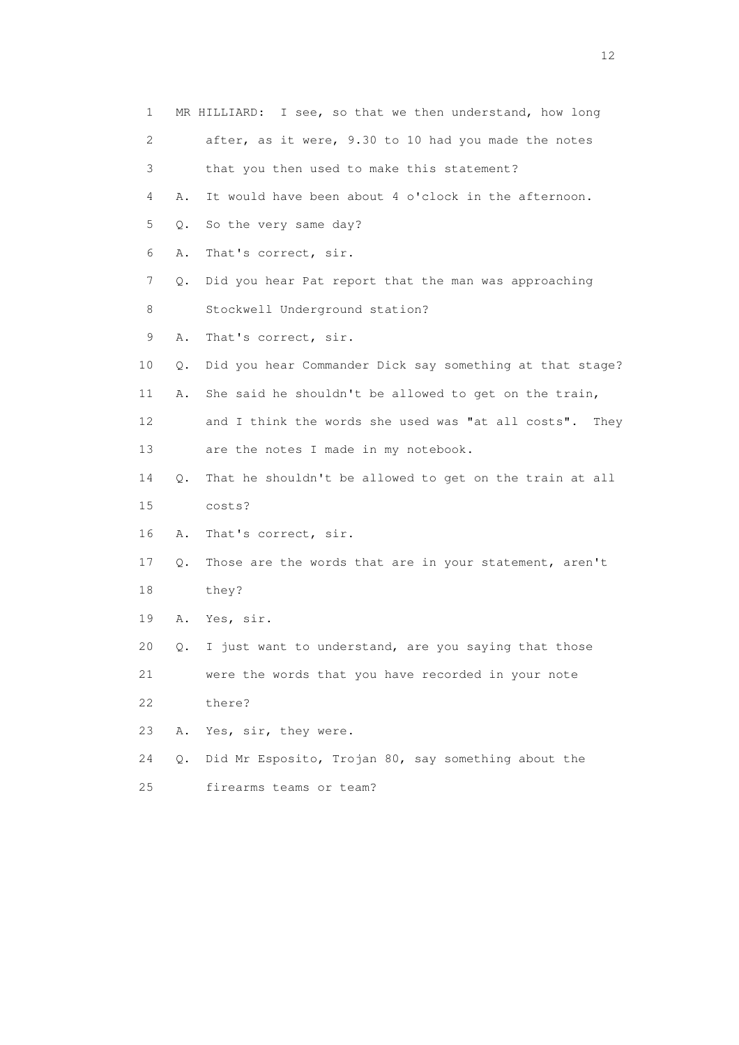| 1  |    | MR HILLIARD: I see, so that we then understand, how long |
|----|----|----------------------------------------------------------|
| 2  |    | after, as it were, 9.30 to 10 had you made the notes     |
| 3  |    | that you then used to make this statement?               |
| 4  | Α. | It would have been about 4 o'clock in the afternoon.     |
| 5  | Q. | So the very same day?                                    |
| 6  | Α. | That's correct, sir.                                     |
| 7  | Q. | Did you hear Pat report that the man was approaching     |
| 8  |    | Stockwell Underground station?                           |
| 9  | Α. | That's correct, sir.                                     |
| 10 | Q. | Did you hear Commander Dick say something at that stage? |
| 11 | Α. | She said he shouldn't be allowed to get on the train,    |
| 12 |    | and I think the words she used was "at all costs". They  |
| 13 |    | are the notes I made in my notebook.                     |
| 14 | Q. | That he shouldn't be allowed to get on the train at all  |
| 15 |    | costs?                                                   |
| 16 | Α. | That's correct, sir.                                     |
| 17 | Q. | Those are the words that are in your statement, aren't   |
| 18 |    | they?                                                    |
| 19 | Α. | Yes, sir.                                                |
| 20 | Q. | I just want to understand, are you saying that those     |
| 21 |    | were the words that you have recorded in your note       |
| 22 |    | there?                                                   |
| 23 | Α. | Yes, sir, they were.                                     |
| 24 | Q. | Did Mr Esposito, Trojan 80, say something about the      |
| 25 |    | firearms teams or team?                                  |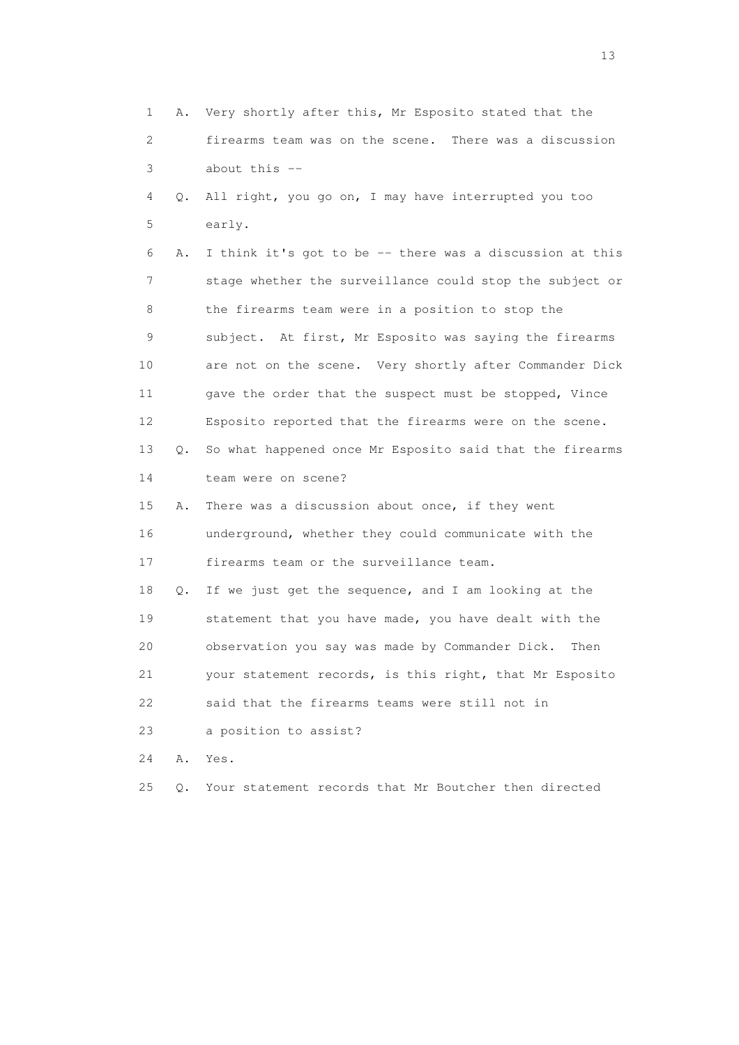1 A. Very shortly after this, Mr Esposito stated that the 2 firearms team was on the scene. There was a discussion 3 about this -- 4 Q. All right, you go on, I may have interrupted you too 5 early. 6 A. I think it's got to be -- there was a discussion at this 7 stage whether the surveillance could stop the subject or 8 the firearms team were in a position to stop the 9 subject. At first, Mr Esposito was saying the firearms 10 are not on the scene. Very shortly after Commander Dick 11 gave the order that the suspect must be stopped, Vince 12 Esposito reported that the firearms were on the scene. 13 Q. So what happened once Mr Esposito said that the firearms 14 team were on scene? 15 A. There was a discussion about once, if they went 16 underground, whether they could communicate with the 17 firearms team or the surveillance team. 18 Q. If we just get the sequence, and I am looking at the 19 statement that you have made, you have dealt with the 20 observation you say was made by Commander Dick. Then 21 your statement records, is this right, that Mr Esposito 22 said that the firearms teams were still not in 23 a position to assist? 24 A. Yes. 25 Q. Your statement records that Mr Boutcher then directed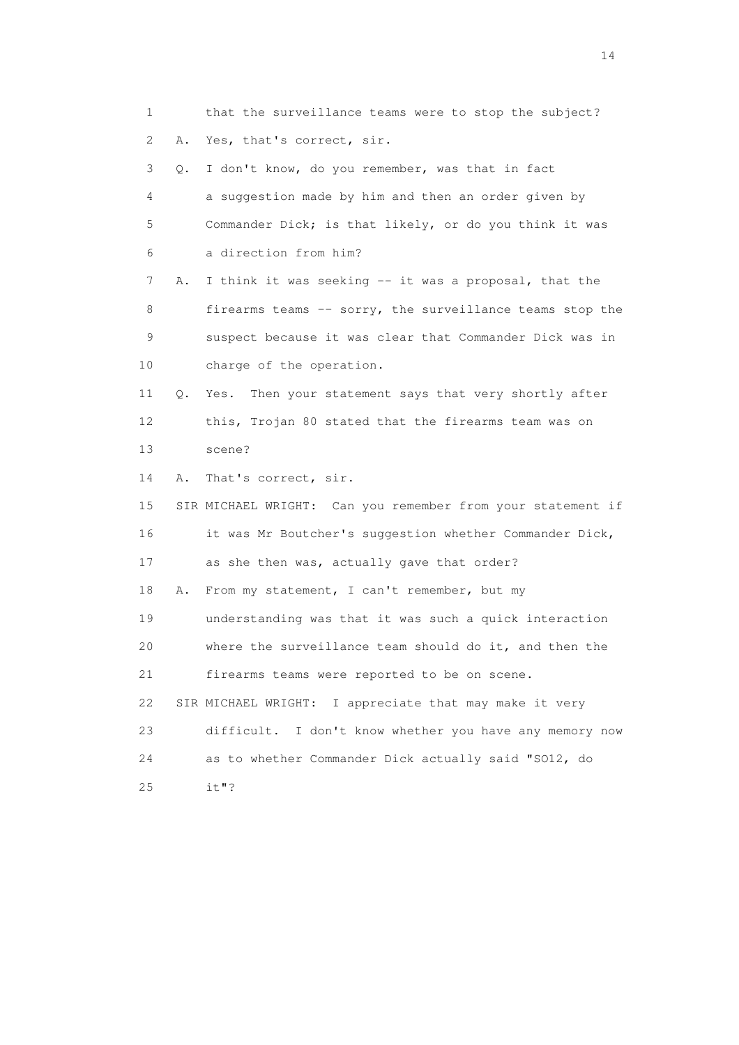1 that the surveillance teams were to stop the subject? 2 A. Yes, that's correct, sir. 3 Q. I don't know, do you remember, was that in fact 4 a suggestion made by him and then an order given by 5 Commander Dick; is that likely, or do you think it was 6 a direction from him? 7 A. I think it was seeking -- it was a proposal, that the 8 firearms teams -- sorry, the surveillance teams stop the 9 suspect because it was clear that Commander Dick was in 10 charge of the operation. 11 Q. Yes. Then your statement says that very shortly after 12 this, Trojan 80 stated that the firearms team was on 13 scene? 14 A. That's correct, sir. 15 SIR MICHAEL WRIGHT: Can you remember from your statement if 16 it was Mr Boutcher's suggestion whether Commander Dick, 17 as she then was, actually gave that order? 18 A. From my statement, I can't remember, but my 19 understanding was that it was such a quick interaction 20 where the surveillance team should do it, and then the 21 firearms teams were reported to be on scene. 22 SIR MICHAEL WRIGHT: I appreciate that may make it very 23 difficult. I don't know whether you have any memory now 24 as to whether Commander Dick actually said "SO12, do 25 it"?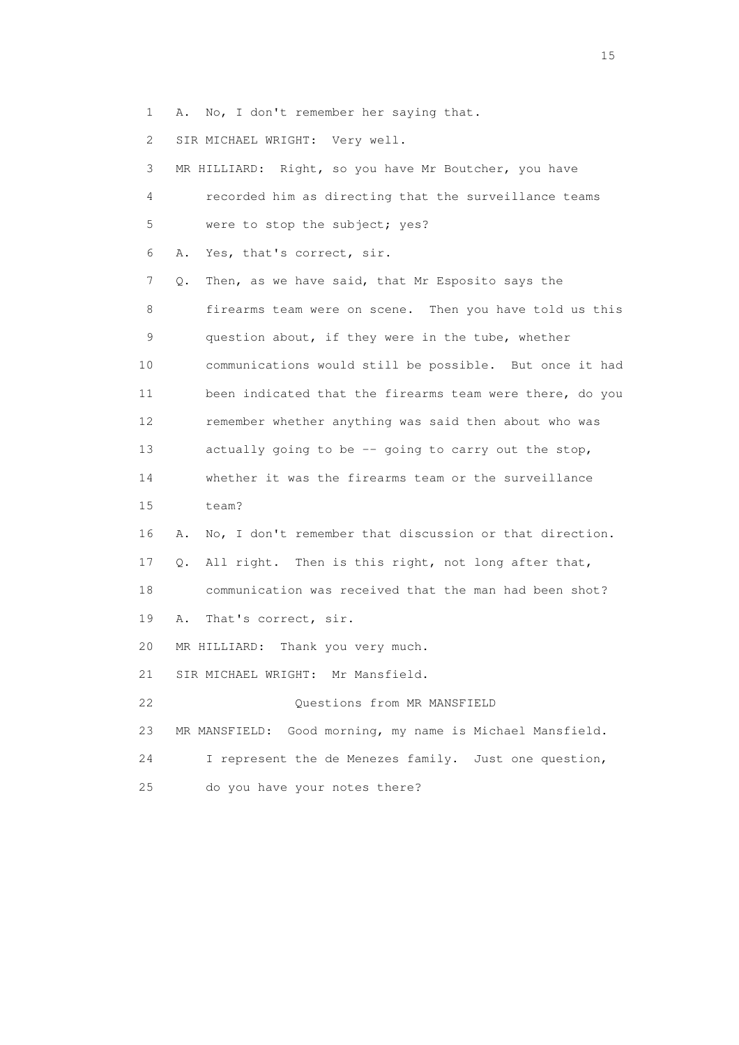1 A. No, I don't remember her saying that.

2 SIR MICHAEL WRIGHT: Very well.

| 3               | MR HILLIARD: Right, so you have Mr Boutcher, you have         |
|-----------------|---------------------------------------------------------------|
| 4               | recorded him as directing that the surveillance teams         |
| 5               | were to stop the subject; yes?                                |
| 6               | Yes, that's correct, sir.<br>Α.                               |
| 7               | Then, as we have said, that Mr Esposito says the<br>Q.        |
| 8               | firearms team were on scene. Then you have told us this       |
| 9               | question about, if they were in the tube, whether             |
| 10              | communications would still be possible. But once it had       |
| 11              | been indicated that the firearms team were there, do you      |
| 12 <sup>°</sup> | remember whether anything was said then about who was         |
| 13              | actually going to be -- going to carry out the stop,          |
| 14              | whether it was the firearms team or the surveillance          |
| 15              | team?                                                         |
| 16              | No, I don't remember that discussion or that direction.<br>Α. |
| 17              | All right. Then is this right, not long after that,<br>О.     |
| 18              | communication was received that the man had been shot?        |
| 19              | That's correct, sir.<br>Α.                                    |
| 20              | MR HILLIARD: Thank you very much.                             |
| 21              | SIR MICHAEL WRIGHT: Mr Mansfield.                             |
| 22              | Questions from MR MANSFIELD                                   |
| 23              | MR MANSFIELD: Good morning, my name is Michael Mansfield.     |
| 24              | I represent the de Menezes family. Just one question,         |
| 25              | do you have your notes there?                                 |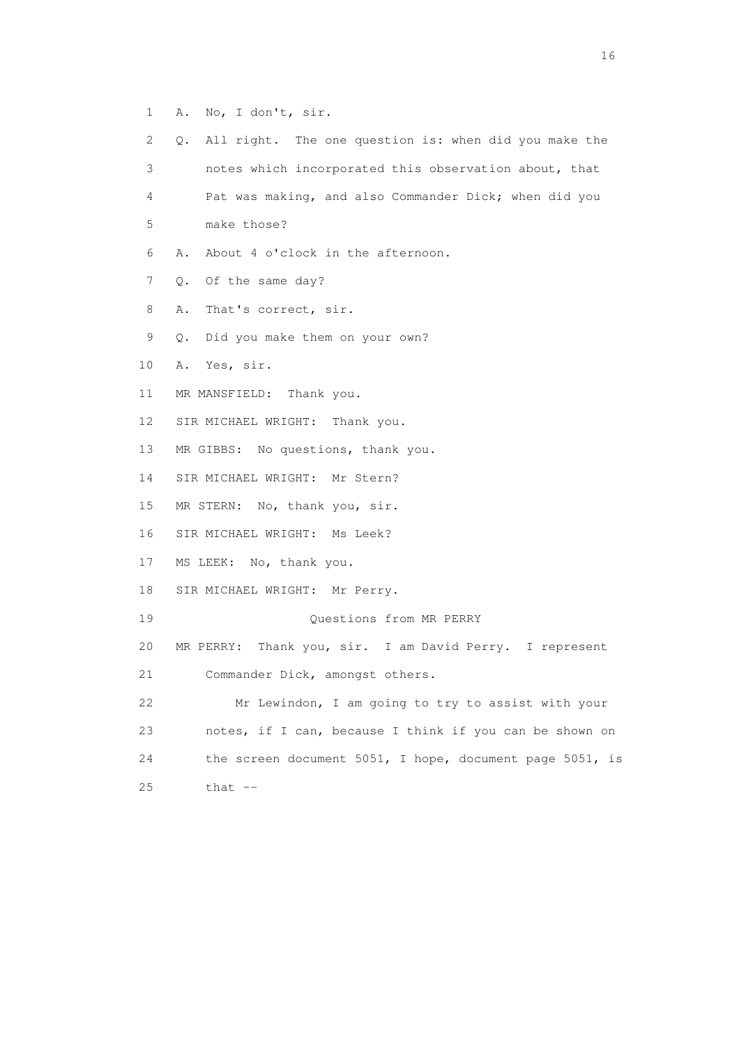- 1 A. No, I don't, sir.
- 2 Q. All right. The one question is: when did you make the 3 notes which incorporated this observation about, that 4 Pat was making, and also Commander Dick; when did you 5 make those? 6 A. About 4 o'clock in the afternoon. 7 Q. Of the same day? 8 A. That's correct, sir. 9 Q. Did you make them on your own? 10 A. Yes, sir. 11 MR MANSFIELD: Thank you. 12 SIR MICHAEL WRIGHT: Thank you. 13 MR GIBBS: No questions, thank you. 14 SIR MICHAEL WRIGHT: Mr Stern? 15 MR STERN: No, thank you, sir. 16 SIR MICHAEL WRIGHT: Ms Leek? 17 MS LEEK: No, thank you. 18 SIR MICHAEL WRIGHT: Mr Perry. 19 Questions from MR PERRY 20 MR PERRY: Thank you, sir. I am David Perry. I represent 21 Commander Dick, amongst others. 22 Mr Lewindon, I am going to try to assist with your 23 notes, if I can, because I think if you can be shown on 24 the screen document 5051, I hope, document page 5051, is 25 that --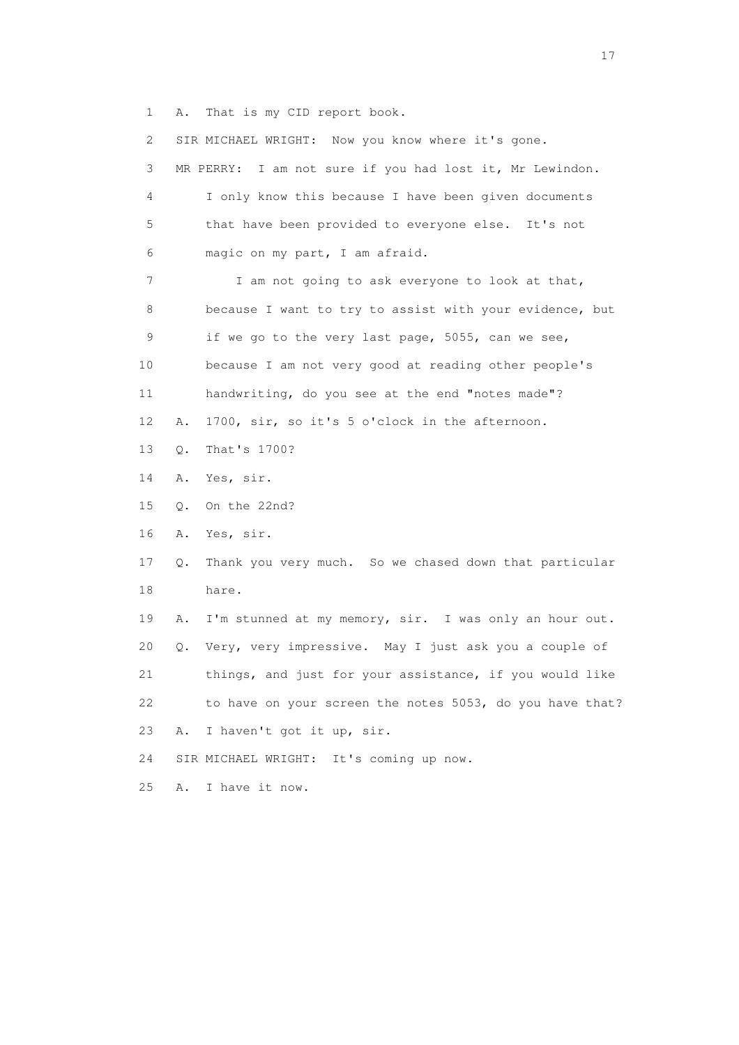1 A. That is my CID report book.

| $\mathbf{2}^{\mathsf{I}}$ |       | SIR MICHAEL WRIGHT: Now you know where it's gone.        |
|---------------------------|-------|----------------------------------------------------------|
| 3                         |       | MR PERRY: I am not sure if you had lost it, Mr Lewindon. |
| 4                         |       | I only know this because I have been given documents     |
| 5                         |       | that have been provided to everyone else. It's not       |
| 6                         |       | magic on my part, I am afraid.                           |
| 7                         |       | I am not going to ask everyone to look at that,          |
| 8                         |       | because I want to try to assist with your evidence, but  |
| 9                         |       | if we go to the very last page, 5055, can we see,        |
| 10                        |       | because I am not very good at reading other people's     |
| 11                        |       | handwriting, do you see at the end "notes made"?         |
| 12                        | Α.    | 1700, sir, so it's 5 o'clock in the afternoon.           |
| 13                        | $Q$ . | That's 1700?                                             |
| 14                        | Α.    | Yes, sir.                                                |
| 15                        | Q.    | On the 22nd?                                             |
| 16                        | Α.    | Yes, sir.                                                |
| 17                        | Q.    | Thank you very much. So we chased down that particular   |
| 18                        |       | hare.                                                    |
| 19                        | Α.    | I'm stunned at my memory, sir. I was only an hour out.   |
| 20                        | Q.    | Very, very impressive. May I just ask you a couple of    |
| 21                        |       | things, and just for your assistance, if you would like  |
| 22                        |       | to have on your screen the notes 5053, do you have that? |
| 23                        | Α.    | I haven't got it up, sir.                                |
| 24                        |       | SIR MICHAEL WRIGHT: It's coming up now.                  |
| 25                        | Α.    | I have it now.                                           |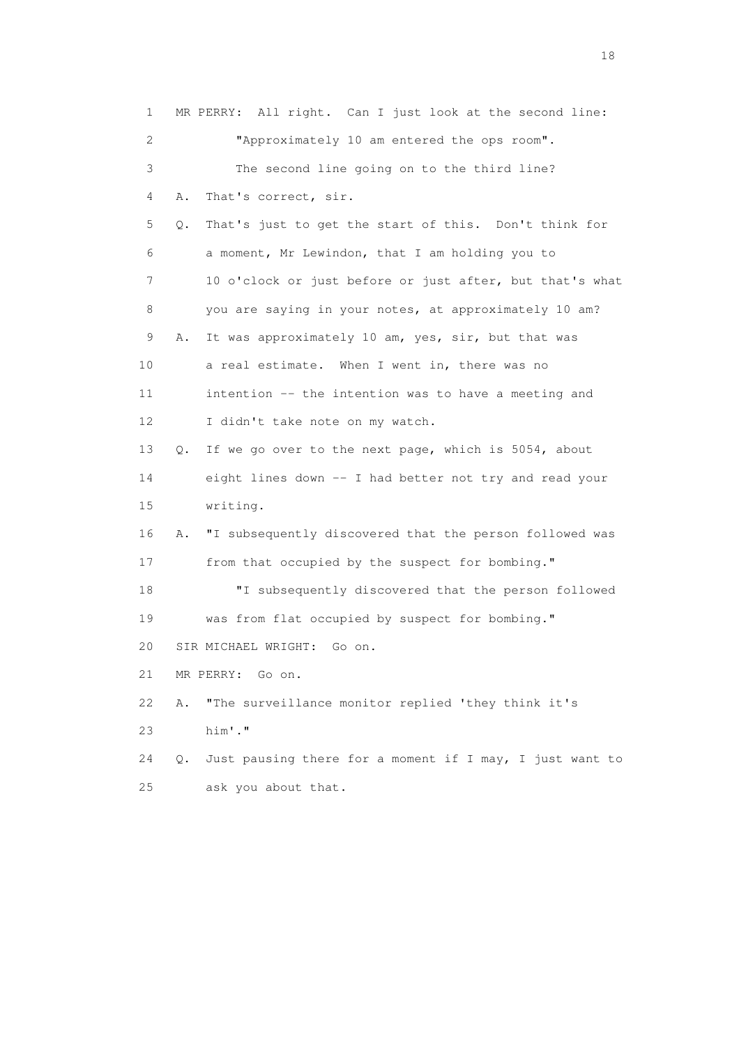1 MR PERRY: All right. Can I just look at the second line: 2 "Approximately 10 am entered the ops room". 3 The second line going on to the third line? 4 A. That's correct, sir. 5 Q. That's just to get the start of this. Don't think for 6 a moment, Mr Lewindon, that I am holding you to 7 10 o'clock or just before or just after, but that's what 8 you are saying in your notes, at approximately 10 am? 9 A. It was approximately 10 am, yes, sir, but that was 10 a real estimate. When I went in, there was no 11 intention -- the intention was to have a meeting and 12 I didn't take note on my watch. 13 Q. If we go over to the next page, which is 5054, about 14 eight lines down -- I had better not try and read your 15 writing. 16 A. "I subsequently discovered that the person followed was 17 from that occupied by the suspect for bombing." 18 "I subsequently discovered that the person followed 19 was from flat occupied by suspect for bombing." 20 SIR MICHAEL WRIGHT: Go on. 21 MR PERRY: Go on. 22 A. "The surveillance monitor replied 'they think it's 23 him'." 24 Q. Just pausing there for a moment if I may, I just want to 25 ask you about that.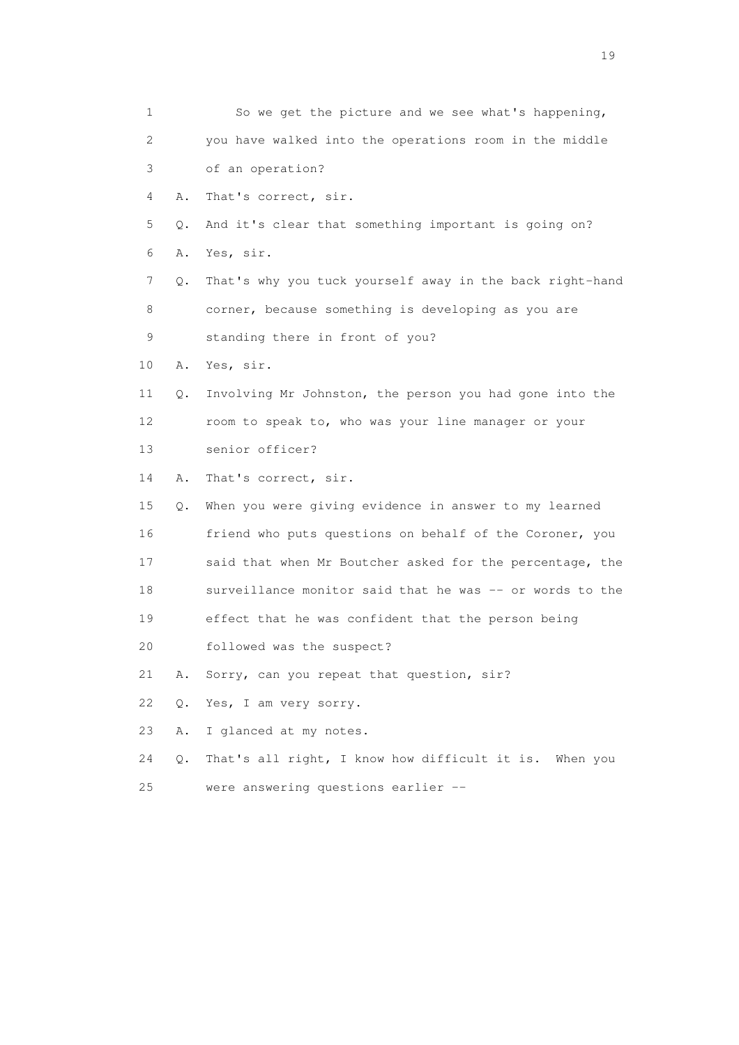1 So we get the picture and we see what's happening, 2 you have walked into the operations room in the middle 3 of an operation? 4 A. That's correct, sir. 5 Q. And it's clear that something important is going on? 6 A. Yes, sir. 7 Q. That's why you tuck yourself away in the back right-hand 8 corner, because something is developing as you are 9 standing there in front of you? 10 A. Yes, sir. 11 Q. Involving Mr Johnston, the person you had gone into the 12 room to speak to, who was your line manager or your 13 senior officer? 14 A. That's correct, sir. 15 Q. When you were giving evidence in answer to my learned 16 friend who puts questions on behalf of the Coroner, you 17 said that when Mr Boutcher asked for the percentage, the 18 surveillance monitor said that he was -- or words to the 19 effect that he was confident that the person being 20 followed was the suspect? 21 A. Sorry, can you repeat that question, sir? 22 Q. Yes, I am very sorry. 23 A. I glanced at my notes. 24 Q. That's all right, I know how difficult it is. When you 25 were answering questions earlier --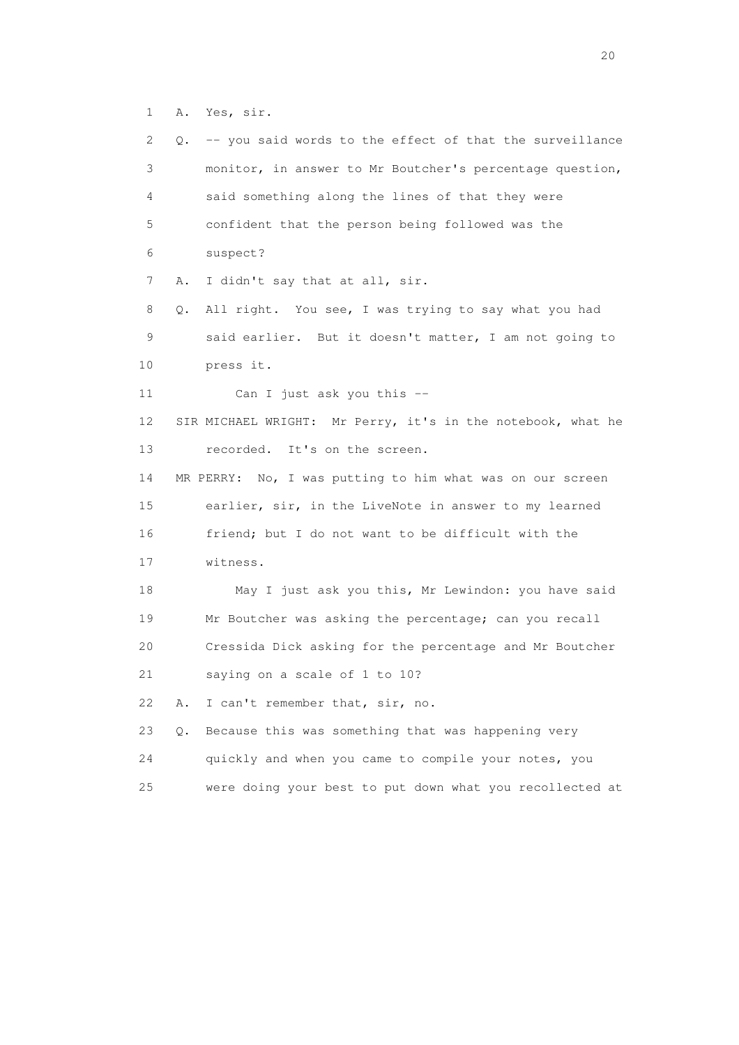1 A. Yes, sir.

| 2  | -- you said words to the effect of that the surveillance<br>Q. |
|----|----------------------------------------------------------------|
| 3  | monitor, in answer to Mr Boutcher's percentage question,       |
| 4  | said something along the lines of that they were               |
| 5  | confident that the person being followed was the               |
| 6  | suspect?                                                       |
| 7  | I didn't say that at all, sir.<br>Α.                           |
| 8  | All right. You see, I was trying to say what you had<br>Q.     |
| 9  | said earlier. But it doesn't matter, I am not going to         |
| 10 | press it.                                                      |
| 11 | Can I just ask you this --                                     |
| 12 | SIR MICHAEL WRIGHT: Mr Perry, it's in the notebook, what he    |
| 13 | It's on the screen.<br>recorded.                               |
| 14 | MR PERRY: No, I was putting to him what was on our screen      |
| 15 | earlier, sir, in the LiveNote in answer to my learned          |
|    |                                                                |
| 16 | friend; but I do not want to be difficult with the             |
| 17 | witness.                                                       |
| 18 | May I just ask you this, Mr Lewindon: you have said            |
| 19 | Mr Boutcher was asking the percentage; can you recall          |
| 20 | Cressida Dick asking for the percentage and Mr Boutcher        |
| 21 | saying on a scale of 1 to 10?                                  |
| 22 | I can't remember that, sir, no.<br>Α.                          |
| 23 | Because this was something that was happening very<br>Q.       |
| 24 | quickly and when you came to compile your notes, you           |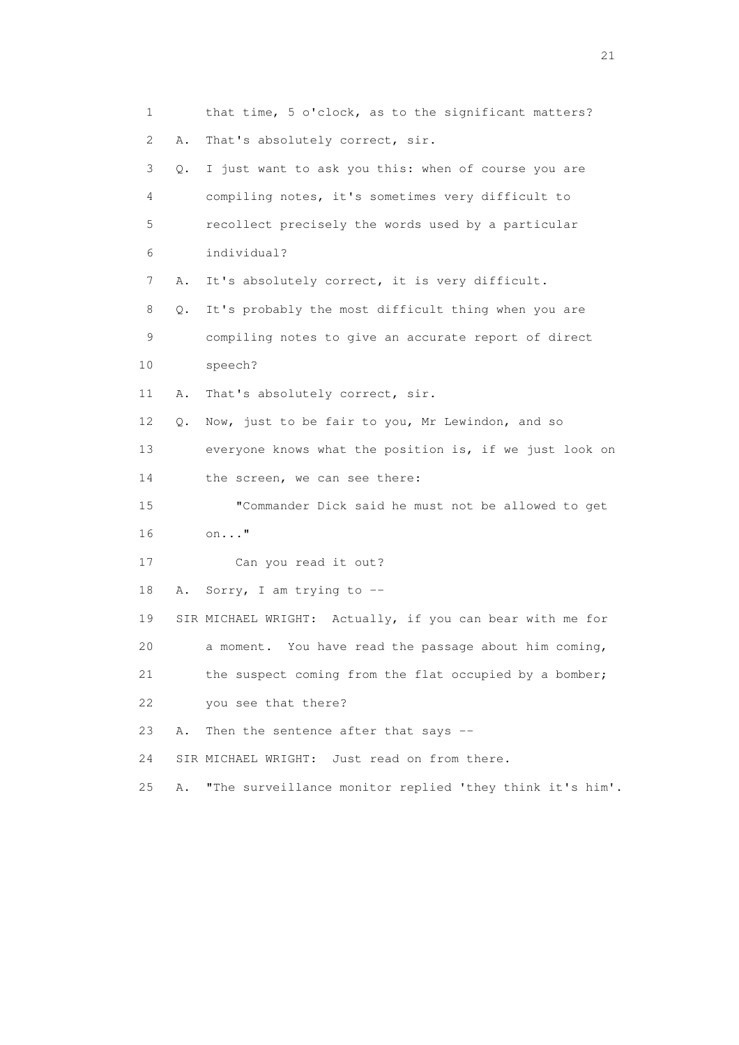1 that time, 5 o'clock, as to the significant matters? 2 A. That's absolutely correct, sir. 3 Q. I just want to ask you this: when of course you are 4 compiling notes, it's sometimes very difficult to 5 recollect precisely the words used by a particular 6 individual? 7 A. It's absolutely correct, it is very difficult. 8 Q. It's probably the most difficult thing when you are 9 compiling notes to give an accurate report of direct 10 speech? 11 A. That's absolutely correct, sir. 12 Q. Now, just to be fair to you, Mr Lewindon, and so 13 everyone knows what the position is, if we just look on 14 the screen, we can see there: 15 "Commander Dick said he must not be allowed to get 16 on..." 17 Can you read it out? 18 A. Sorry, I am trying to -- 19 SIR MICHAEL WRIGHT: Actually, if you can bear with me for 20 a moment. You have read the passage about him coming, 21 the suspect coming from the flat occupied by a bomber; 22 you see that there? 23 A. Then the sentence after that says -- 24 SIR MICHAEL WRIGHT: Just read on from there. 25 A. "The surveillance monitor replied 'they think it's him'.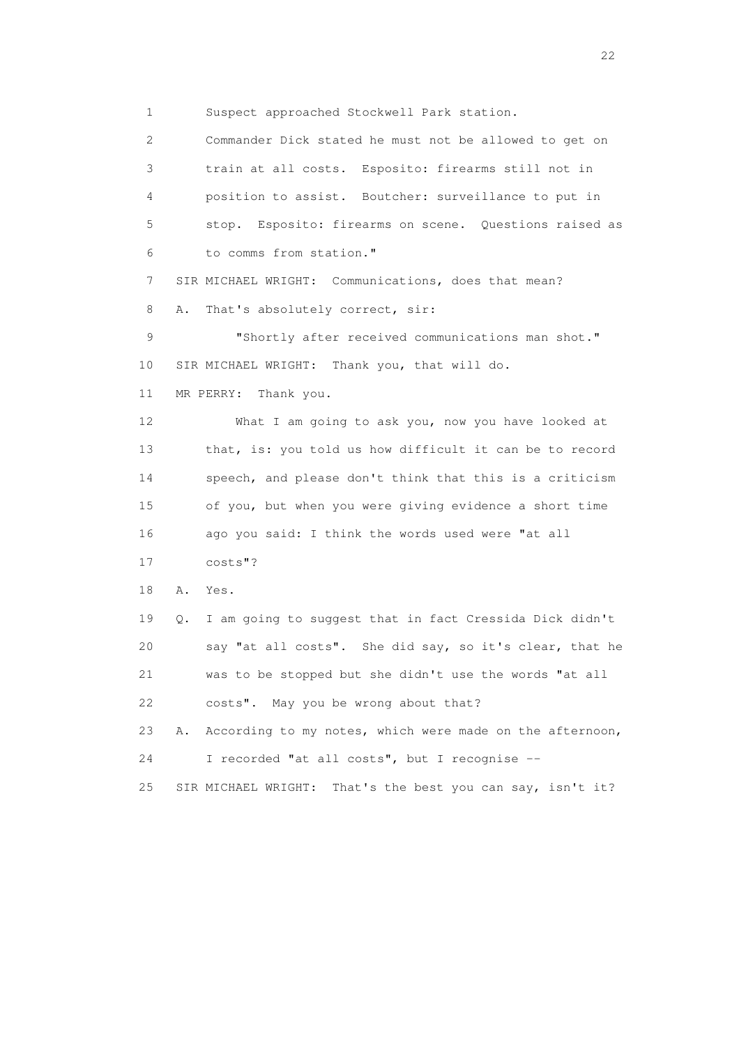1 Suspect approached Stockwell Park station.

 2 Commander Dick stated he must not be allowed to get on 3 train at all costs. Esposito: firearms still not in 4 position to assist. Boutcher: surveillance to put in 5 stop. Esposito: firearms on scene. Questions raised as 6 to comms from station." 7 SIR MICHAEL WRIGHT: Communications, does that mean? 8 A. That's absolutely correct, sir: 9 "Shortly after received communications man shot." 10 SIR MICHAEL WRIGHT: Thank you, that will do. 11 MR PERRY: Thank you. 12 What I am going to ask you, now you have looked at 13 that, is: you told us how difficult it can be to record 14 speech, and please don't think that this is a criticism 15 of you, but when you were giving evidence a short time 16 ago you said: I think the words used were "at all 17 costs"? 18 A. Yes. 19 Q. I am going to suggest that in fact Cressida Dick didn't 20 say "at all costs". She did say, so it's clear, that he 21 was to be stopped but she didn't use the words "at all 22 costs". May you be wrong about that? 23 A. According to my notes, which were made on the afternoon, 24 I recorded "at all costs", but I recognise -- 25 SIR MICHAEL WRIGHT: That's the best you can say, isn't it?

22 and 22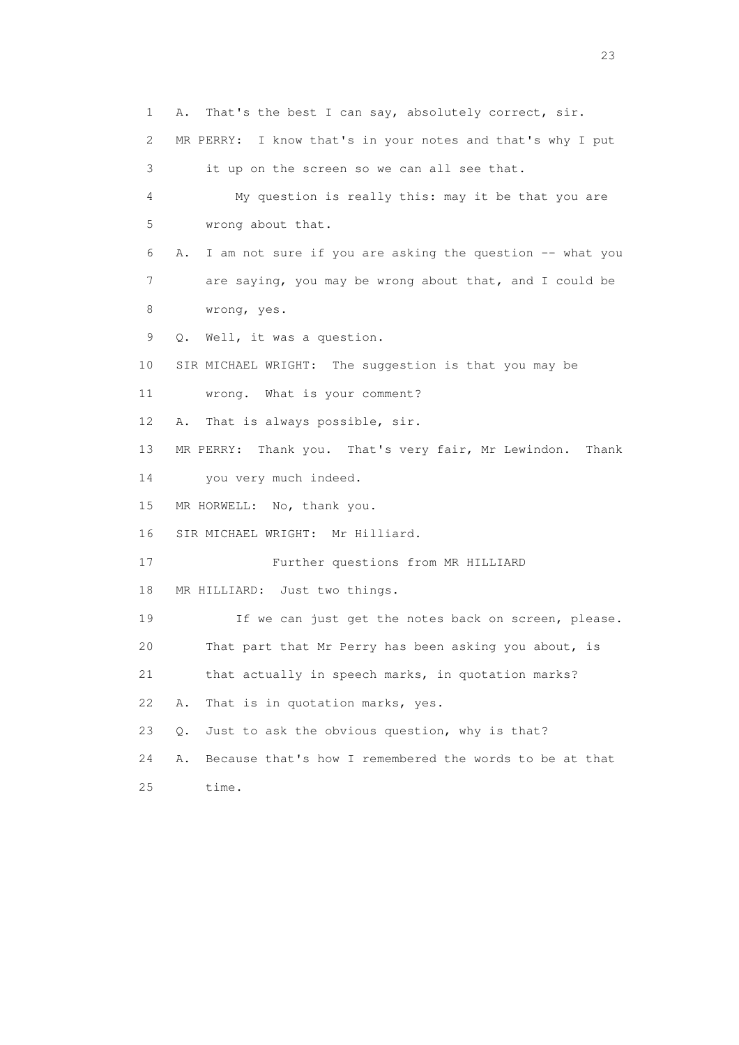1 A. That's the best I can say, absolutely correct, sir. 2 MR PERRY: I know that's in your notes and that's why I put 3 it up on the screen so we can all see that. 4 My question is really this: may it be that you are 5 wrong about that. 6 A. I am not sure if you are asking the question -- what you 7 are saying, you may be wrong about that, and I could be 8 wrong, yes. 9 Q. Well, it was a question. 10 SIR MICHAEL WRIGHT: The suggestion is that you may be 11 wrong. What is your comment? 12 A. That is always possible, sir. 13 MR PERRY: Thank you. That's very fair, Mr Lewindon. Thank 14 you very much indeed. 15 MR HORWELL: No, thank you. 16 SIR MICHAEL WRIGHT: Mr Hilliard. 17 Further questions from MR HILLIARD 18 MR HILLIARD: Just two things. 19 If we can just get the notes back on screen, please. 20 That part that Mr Perry has been asking you about, is 21 that actually in speech marks, in quotation marks? 22 A. That is in quotation marks, yes. 23 Q. Just to ask the obvious question, why is that? 24 A. Because that's how I remembered the words to be at that 25 time.

23 and 23 and 23 and 23 and 23 and 23 and 23 and 23 and 23 and 23 and 23 and 23 and 23 and 23 and 23 and 23 and 24 and 25 and 25 and 25 and 26 and 26 and 26 and 26 and 26 and 26 and 26 and 26 and 26 and 26 and 26 and 26 an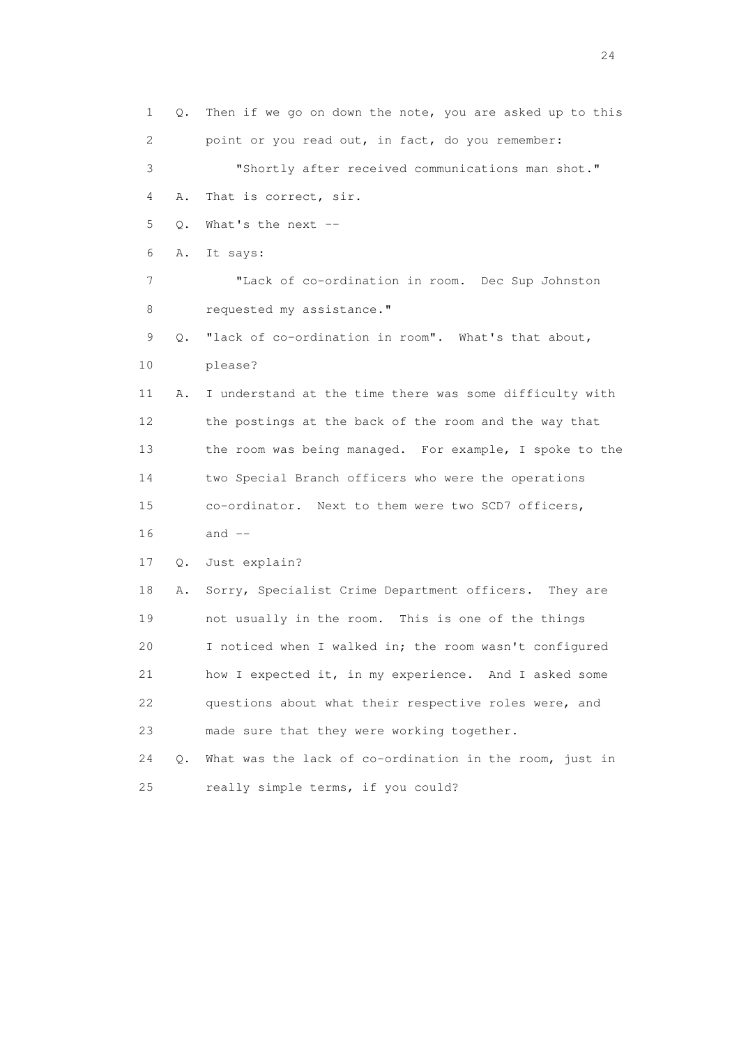1 Q. Then if we go on down the note, you are asked up to this 2 point or you read out, in fact, do you remember: 3 "Shortly after received communications man shot." 4 A. That is correct, sir. 5 Q. What's the next -- 6 A. It says: 7 "Lack of co-ordination in room. Dec Sup Johnston 8 requested my assistance." 9 Q. "lack of co-ordination in room". What's that about, 10 please? 11 A. I understand at the time there was some difficulty with 12 the postings at the back of the room and the way that 13 the room was being managed. For example, I spoke to the 14 two Special Branch officers who were the operations 15 co-ordinator. Next to them were two SCD7 officers,  $16$  and  $-$  17 Q. Just explain? 18 A. Sorry, Specialist Crime Department officers. They are 19 not usually in the room. This is one of the things 20 I noticed when I walked in; the room wasn't configured 21 how I expected it, in my experience. And I asked some 22 questions about what their respective roles were, and 23 made sure that they were working together. 24 Q. What was the lack of co-ordination in the room, just in 25 really simple terms, if you could?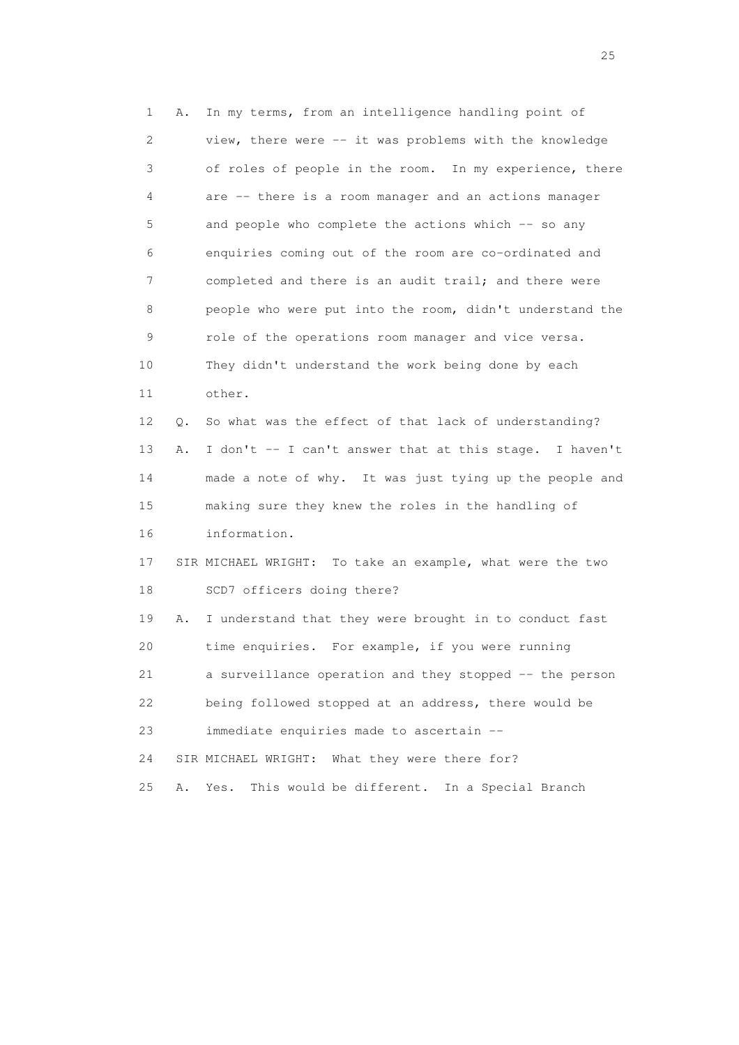1 A. In my terms, from an intelligence handling point of 2 view, there were -- it was problems with the knowledge 3 of roles of people in the room. In my experience, there 4 are -- there is a room manager and an actions manager 5 and people who complete the actions which -- so any 6 enquiries coming out of the room are co-ordinated and 7 completed and there is an audit trail; and there were 8 people who were put into the room, didn't understand the 9 role of the operations room manager and vice versa. 10 They didn't understand the work being done by each 11 other. 12 Q. So what was the effect of that lack of understanding? 13 A. I don't -- I can't answer that at this stage. I haven't 14 made a note of why. It was just tying up the people and 15 making sure they knew the roles in the handling of 16 information. 17 SIR MICHAEL WRIGHT: To take an example, what were the two 18 SCD7 officers doing there? 19 A. I understand that they were brought in to conduct fast 20 time enquiries. For example, if you were running 21 a surveillance operation and they stopped -- the person 22 being followed stopped at an address, there would be 23 immediate enquiries made to ascertain -- 24 SIR MICHAEL WRIGHT: What they were there for? 25 A. Yes. This would be different. In a Special Branch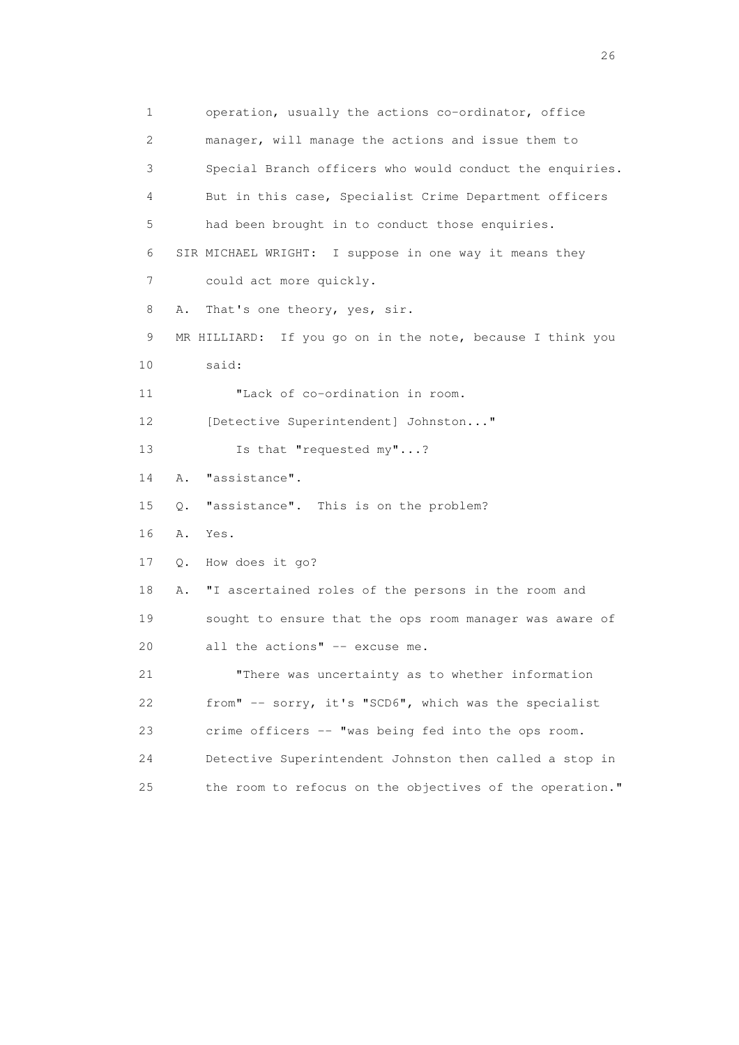1 operation, usually the actions co-ordinator, office 2 manager, will manage the actions and issue them to 3 Special Branch officers who would conduct the enquiries. 4 But in this case, Specialist Crime Department officers 5 had been brought in to conduct those enquiries. 6 SIR MICHAEL WRIGHT: I suppose in one way it means they 7 could act more quickly. 8 A. That's one theory, yes, sir. 9 MR HILLIARD: If you go on in the note, because I think you 10 said: 11 "Lack of co-ordination in room. 12 [Detective Superintendent] Johnston..." 13 Is that "requested my"...? 14 A. "assistance". 15 Q. "assistance". This is on the problem? 16 A. Yes. 17 Q. How does it go? 18 A. "I ascertained roles of the persons in the room and 19 sought to ensure that the ops room manager was aware of 20 all the actions" -- excuse me. 21 "There was uncertainty as to whether information 22 from" -- sorry, it's "SCD6", which was the specialist 23 crime officers -- "was being fed into the ops room. 24 Detective Superintendent Johnston then called a stop in 25 the room to refocus on the objectives of the operation."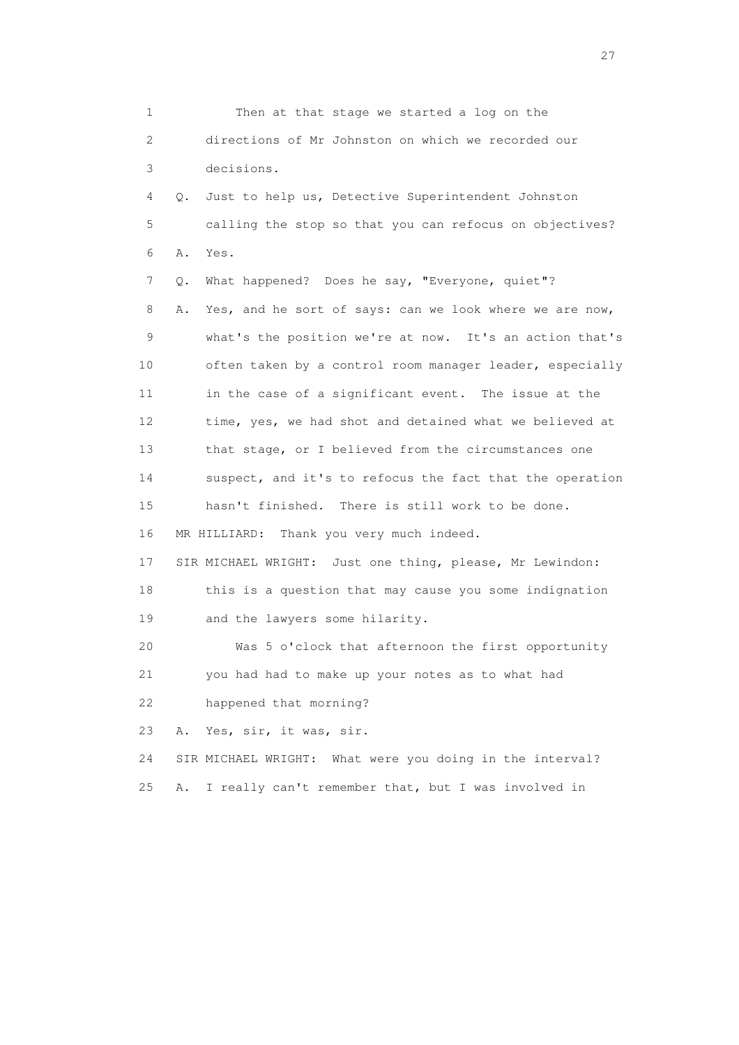1 Then at that stage we started a log on the 2 directions of Mr Johnston on which we recorded our 3 decisions. 4 Q. Just to help us, Detective Superintendent Johnston 5 calling the stop so that you can refocus on objectives? 6 A. Yes. 7 Q. What happened? Does he say, "Everyone, quiet"? 8 A. Yes, and he sort of says: can we look where we are now, 9 what's the position we're at now. It's an action that's 10 often taken by a control room manager leader, especially 11 in the case of a significant event. The issue at the 12 time, yes, we had shot and detained what we believed at 13 that stage, or I believed from the circumstances one 14 suspect, and it's to refocus the fact that the operation 15 hasn't finished. There is still work to be done. 16 MR HILLIARD: Thank you very much indeed. 17 SIR MICHAEL WRIGHT: Just one thing, please, Mr Lewindon: 18 this is a question that may cause you some indignation 19 and the lawyers some hilarity. 20 Was 5 o'clock that afternoon the first opportunity 21 you had had to make up your notes as to what had 22 happened that morning? 23 A. Yes, sir, it was, sir. 24 SIR MICHAEL WRIGHT: What were you doing in the interval? 25 A. I really can't remember that, but I was involved in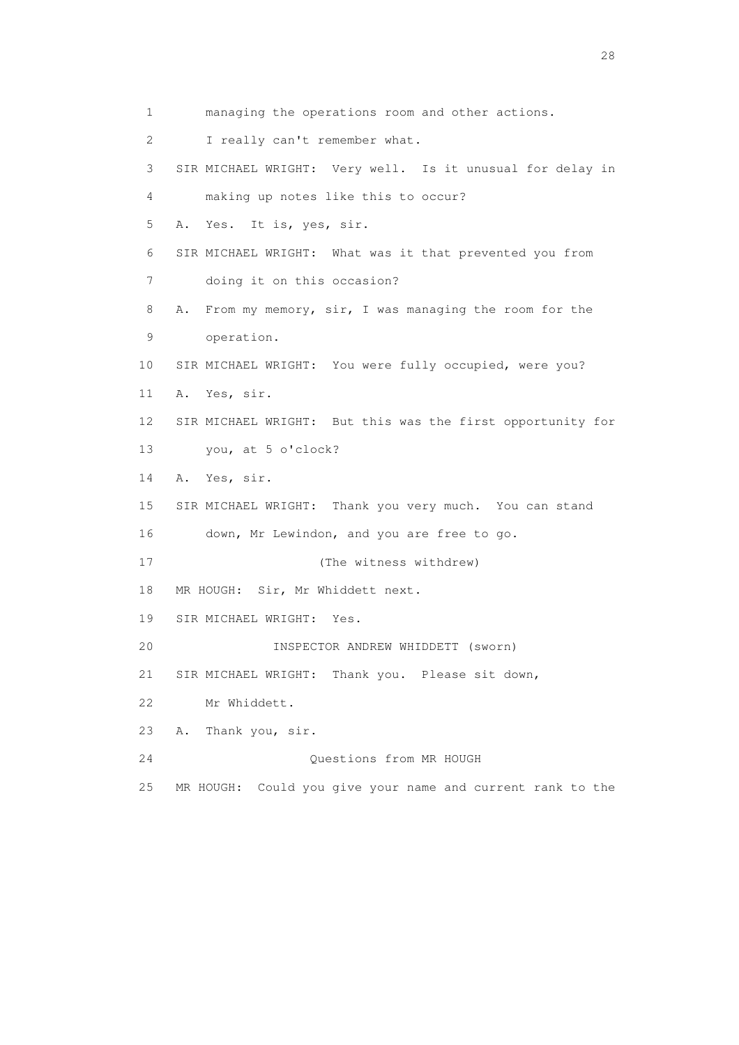1 managing the operations room and other actions. 2 I really can't remember what. 3 SIR MICHAEL WRIGHT: Very well. Is it unusual for delay in 4 making up notes like this to occur? 5 A. Yes. It is, yes, sir. 6 SIR MICHAEL WRIGHT: What was it that prevented you from 7 doing it on this occasion? 8 A. From my memory, sir, I was managing the room for the 9 operation. 10 SIR MICHAEL WRIGHT: You were fully occupied, were you? 11 A. Yes, sir. 12 SIR MICHAEL WRIGHT: But this was the first opportunity for 13 you, at 5 o'clock? 14 A. Yes, sir. 15 SIR MICHAEL WRIGHT: Thank you very much. You can stand 16 down, Mr Lewindon, and you are free to go. 17 (The witness withdrew) 18 MR HOUGH: Sir, Mr Whiddett next. 19 SIR MICHAEL WRIGHT: Yes. 20 INSPECTOR ANDREW WHIDDETT (sworn) 21 SIR MICHAEL WRIGHT: Thank you. Please sit down, 22 Mr Whiddett. 23 A. Thank you, sir. 24 Questions from MR HOUGH 25 MR HOUGH: Could you give your name and current rank to the

28 and 28 and 28 and 28 and 28 and 28 and 28 and 28 and 28 and 28 and 28 and 28 and 28 and 28 and 28 and 28 and 28 and 28 and 28 and 28 and 28 and 28 and 28 and 28 and 28 and 28 and 28 and 28 and 28 and 28 and 28 and 28 an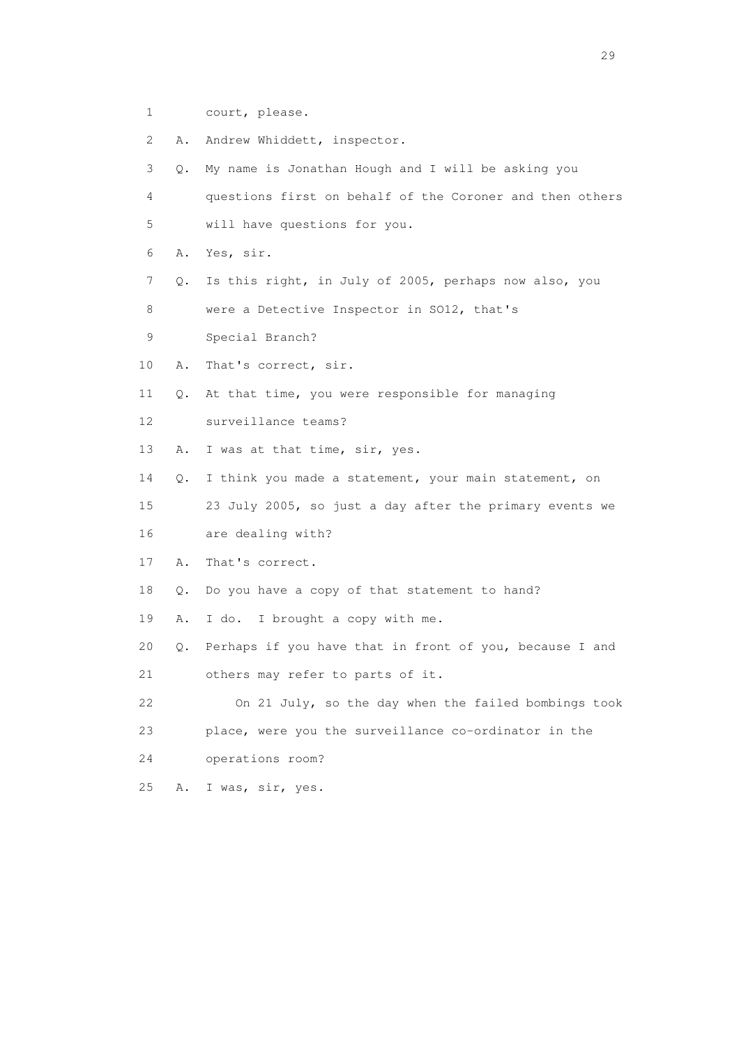- 1 court, please.
- 2 A. Andrew Whiddett, inspector.
- 3 Q. My name is Jonathan Hough and I will be asking you
- 4 questions first on behalf of the Coroner and then others 5 will have questions for you.
- 6 A. Yes, sir.
- 7 Q. Is this right, in July of 2005, perhaps now also, you
- 8 were a Detective Inspector in SO12, that's
- 9 Special Branch?
- 10 A. That's correct, sir.
- 11 Q. At that time, you were responsible for managing
- 12 surveillance teams?
- 13 A. I was at that time, sir, yes.
- 14 Q. I think you made a statement, your main statement, on
- 15 23 July 2005, so just a day after the primary events we 16 are dealing with?
- 17 A. That's correct.
- 18 Q. Do you have a copy of that statement to hand?
- 19 A. I do. I brought a copy with me.
- 20 Q. Perhaps if you have that in front of you, because I and
- 21 others may refer to parts of it.
- 22 On 21 July, so the day when the failed bombings took 23 place, were you the surveillance co-ordinator in the
- 24 operations room?
- 25 A. I was, sir, yes.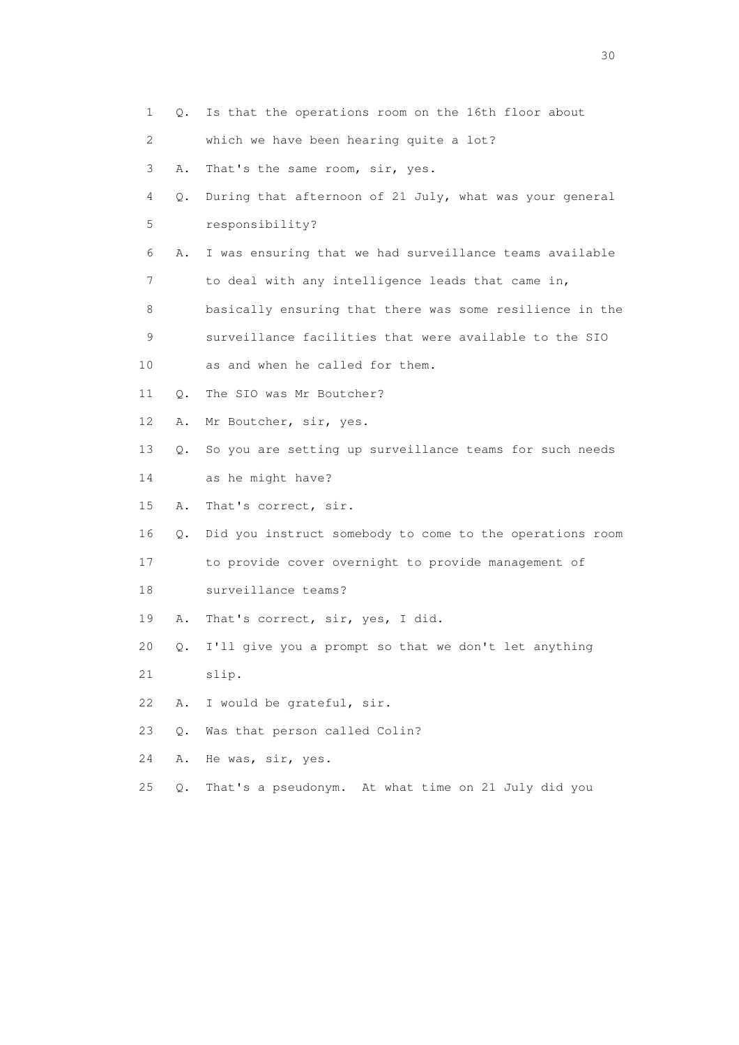1 Q. Is that the operations room on the 16th floor about 2 which we have been hearing quite a lot? 3 A. That's the same room, sir, yes. 4 Q. During that afternoon of 21 July, what was your general 5 responsibility? 6 A. I was ensuring that we had surveillance teams available 7 to deal with any intelligence leads that came in, 8 basically ensuring that there was some resilience in the 9 surveillance facilities that were available to the SIO 10 as and when he called for them. 11 O. The SIO was Mr Boutcher? 12 A. Mr Boutcher, sir, yes. 13 Q. So you are setting up surveillance teams for such needs 14 as he might have? 15 A. That's correct, sir. 16 Q. Did you instruct somebody to come to the operations room 17 to provide cover overnight to provide management of 18 surveillance teams? 19 A. That's correct, sir, yes, I did. 20 Q. I'll give you a prompt so that we don't let anything 21 slip. 22 A. I would be grateful, sir. 23 Q. Was that person called Colin? 24 A. He was, sir, yes. 25 Q. That's a pseudonym. At what time on 21 July did you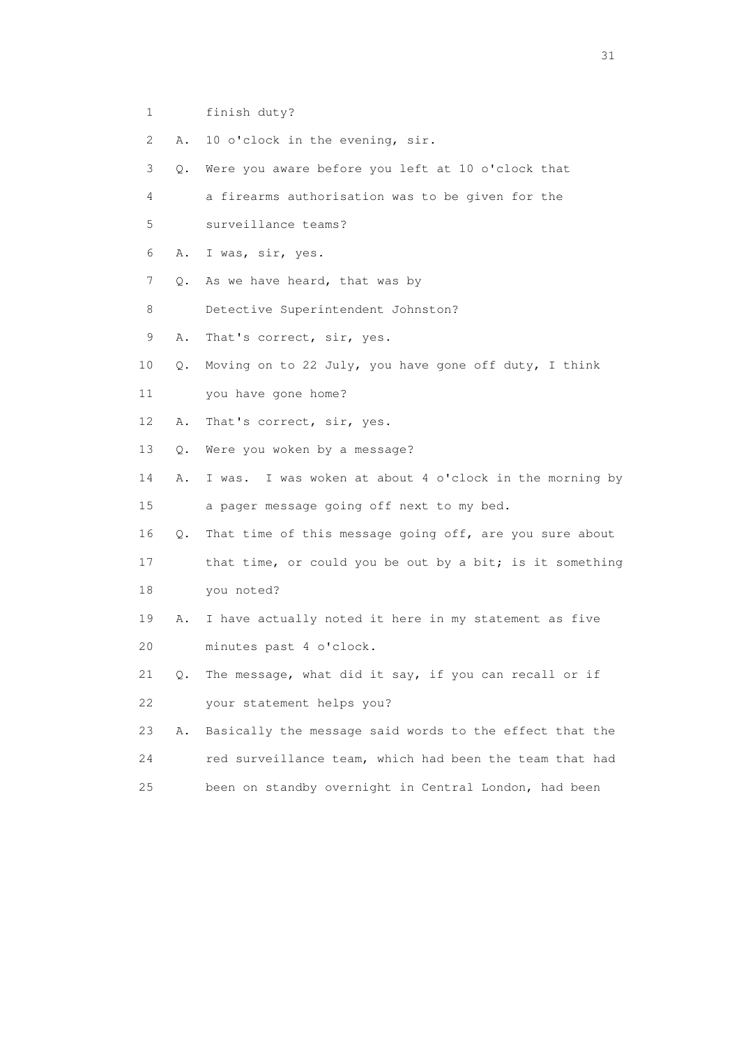- 1 finish duty?
- 2 A. 10 o'clock in the evening, sir.
- 3 Q. Were you aware before you left at 10 o'clock that
- 4 a firearms authorisation was to be given for the
- 5 surveillance teams?
- 6 A. I was, sir, yes.
- 7 Q. As we have heard, that was by
- 8 Detective Superintendent Johnston?
- 9 A. That's correct, sir, yes.
- 10 Q. Moving on to 22 July, you have gone off duty, I think
- 11 you have gone home?
- 12 A. That's correct, sir, yes.
- 13 Q. Were you woken by a message?
- 14 A. I was. I was woken at about 4 o'clock in the morning by 15 a pager message going off next to my bed.
- 16 Q. That time of this message going off, are you sure about
- 17 that time, or could you be out by a bit; is it something 18 you noted?
- 19 A. I have actually noted it here in my statement as five 20 minutes past 4 o'clock.
- 21 Q. The message, what did it say, if you can recall or if 22 your statement helps you?
- 23 A. Basically the message said words to the effect that the 24 red surveillance team, which had been the team that had 25 been on standby overnight in Central London, had been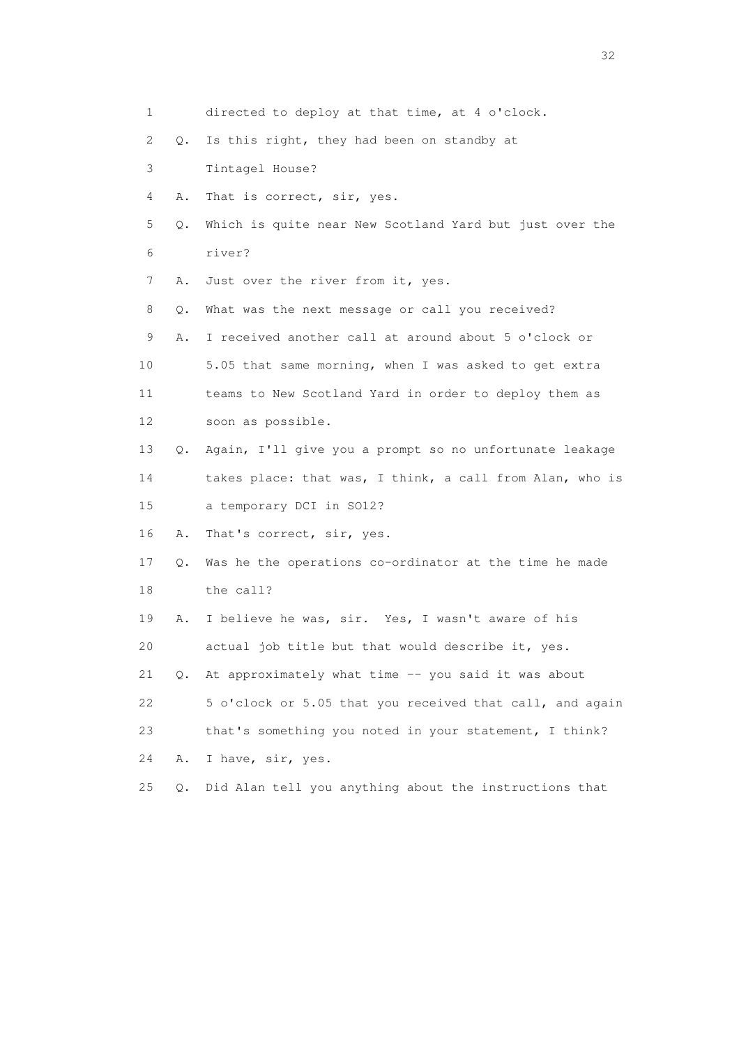| 1  |           | directed to deploy at that time, at 4 o'clock.            |
|----|-----------|-----------------------------------------------------------|
| 2  | Q.        | Is this right, they had been on standby at                |
| 3  |           | Tintagel House?                                           |
| 4  | Α.        | That is correct, sir, yes.                                |
| 5  | Q.        | Which is quite near New Scotland Yard but just over the   |
| 6  |           | river?                                                    |
| 7  | Α.        | Just over the river from it, yes.                         |
| 8  | Q.        | What was the next message or call you received?           |
| 9  | Α.        | I received another call at around about 5 o'clock or      |
| 10 |           | 5.05 that same morning, when I was asked to get extra     |
| 11 |           | teams to New Scotland Yard in order to deploy them as     |
| 12 |           | soon as possible.                                         |
| 13 | Q.        | Again, I'll give you a prompt so no unfortunate leakage   |
| 14 |           | takes place: that was, I think, a call from Alan, who is  |
| 15 |           | a temporary DCI in SO12?                                  |
| 16 | Α.        | That's correct, sir, yes.                                 |
| 17 |           | Q. Was he the operations co-ordinator at the time he made |
| 18 |           | the call?                                                 |
| 19 | Α.        | I believe he was, sir. Yes, I wasn't aware of his         |
| 20 |           | actual job title but that would describe it, yes.         |
| 21 | $\circ$ . | At approximately what time -- you said it was about       |
| 22 |           | 5 o'clock or 5.05 that you received that call, and again  |
| 23 |           | that's something you noted in your statement, I think?    |
| 24 | Α.        | I have, sir, yes.                                         |
| 25 | Q.        | Did Alan tell you anything about the instructions that    |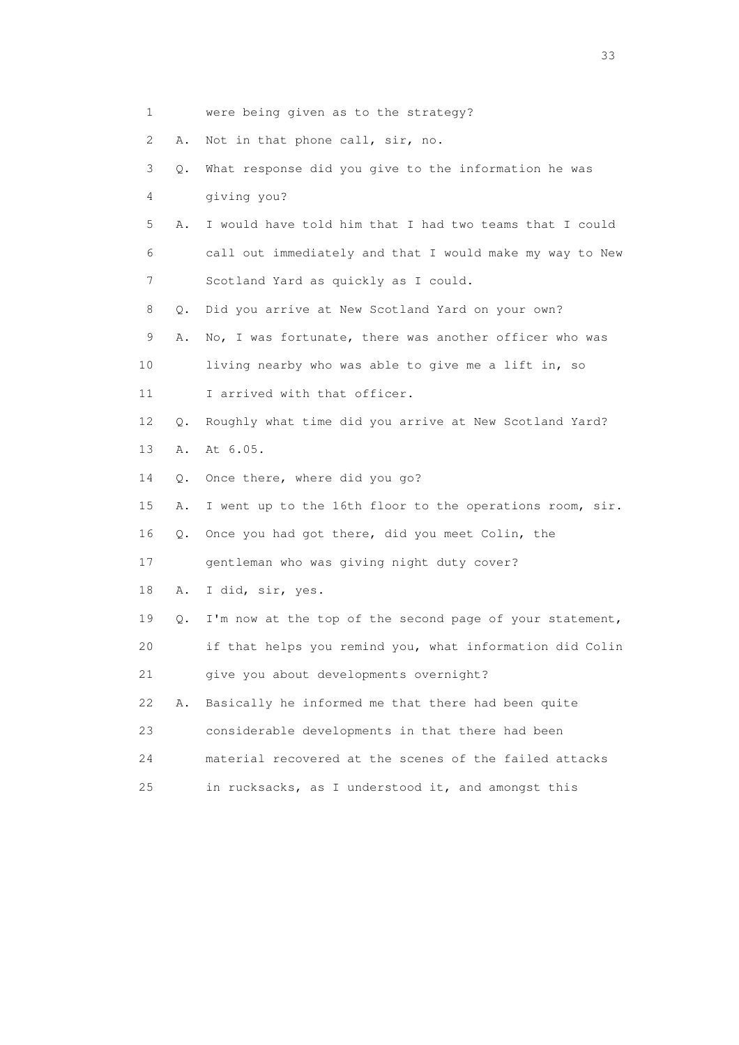| 1  |       | were being given as to the strategy?                     |
|----|-------|----------------------------------------------------------|
| 2  | Α.    | Not in that phone call, sir, no.                         |
| 3  | Q.    | What response did you give to the information he was     |
| 4  |       | giving you?                                              |
| 5  | Α.    | I would have told him that I had two teams that I could  |
| 6  |       | call out immediately and that I would make my way to New |
| 7  |       | Scotland Yard as quickly as I could.                     |
| 8  | Q.    | Did you arrive at New Scotland Yard on your own?         |
| 9  | Α.    | No, I was fortunate, there was another officer who was   |
| 10 |       | living nearby who was able to give me a lift in, so      |
| 11 |       | I arrived with that officer.                             |
| 12 | О.    | Roughly what time did you arrive at New Scotland Yard?   |
| 13 | Α.    | At 6.05.                                                 |
| 14 | $Q$ . | Once there, where did you go?                            |
| 15 | Α.    | I went up to the 16th floor to the operations room, sir. |
| 16 | Q.    | Once you had got there, did you meet Colin, the          |
| 17 |       | gentleman who was giving night duty cover?               |
| 18 | Α.    | I did, sir, yes.                                         |
| 19 | Q.    | I'm now at the top of the second page of your statement, |
| 20 |       | if that helps you remind you, what information did Colin |
| 21 |       | give you about developments overnight?                   |
| 22 | Α.    | Basically he informed me that there had been quite       |
| 23 |       | considerable developments in that there had been         |
| 24 |       | material recovered at the scenes of the failed attacks   |
| 25 |       | in rucksacks, as I understood it, and amongst this       |
|    |       |                                                          |

<u>33</u> and the state of the state of the state of the state of the state of the state of the state of the state of the state of the state of the state of the state of the state of the state of the state of the state of the s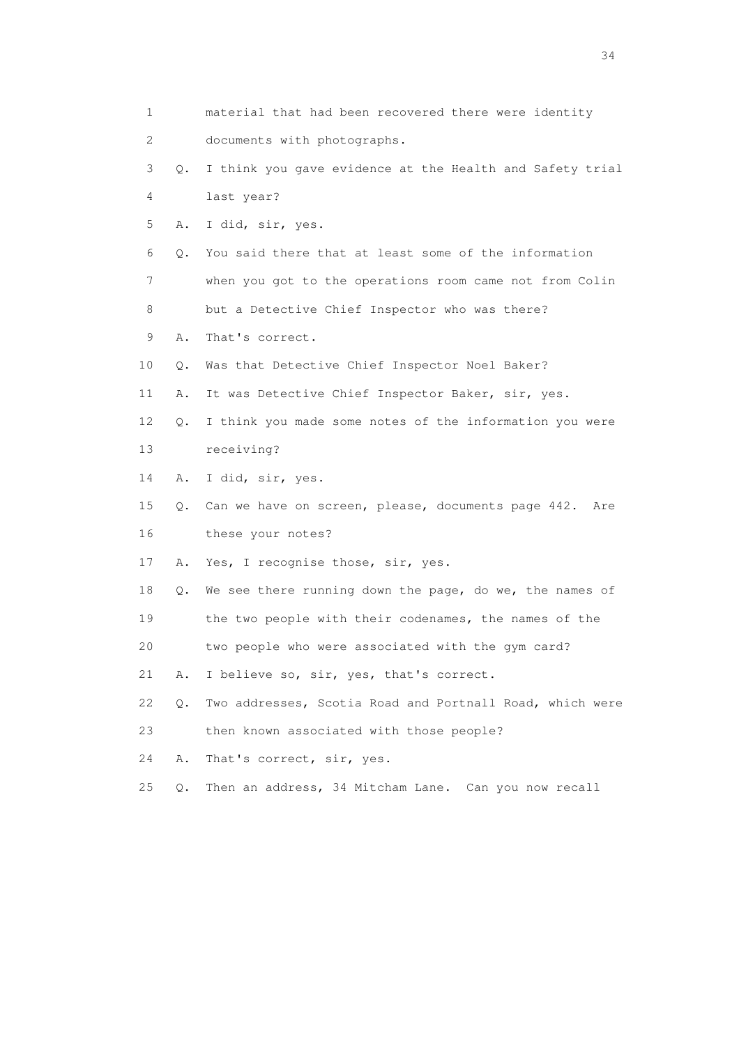| 1  |           | material that had been recovered there were identity      |
|----|-----------|-----------------------------------------------------------|
| 2  |           | documents with photographs.                               |
| 3  | Q.        | I think you gave evidence at the Health and Safety trial  |
| 4  |           | last year?                                                |
| 5  | Α.        | I did, sir, yes.                                          |
| 6  | $\circ$ . | You said there that at least some of the information      |
| 7  |           | when you got to the operations room came not from Colin   |
| 8  |           | but a Detective Chief Inspector who was there?            |
| 9  | Α.        | That's correct.                                           |
| 10 | Q.        | Was that Detective Chief Inspector Noel Baker?            |
| 11 | Α.        | It was Detective Chief Inspector Baker, sir, yes.         |
| 12 | Q.        | I think you made some notes of the information you were   |
| 13 |           | receiving?                                                |
| 14 | Α.        | I did, sir, yes.                                          |
| 15 | Q.        | Can we have on screen, please, documents page 442.<br>Are |
| 16 |           | these your notes?                                         |
| 17 | Α.        | Yes, I recognise those, sir, yes.                         |
| 18 | Q.        | We see there running down the page, do we, the names of   |
| 19 |           | the two people with their codenames, the names of the     |
| 20 |           | two people who were associated with the gym card?         |
| 21 | Α.        | I believe so, sir, yes, that's correct.                   |
| 22 | $Q$ .     | Two addresses, Scotia Road and Portnall Road, which were  |
| 23 |           | then known associated with those people?                  |
| 24 | Α.        | That's correct, sir, yes.                                 |
| 25 | Q.        | Then an address, 34 Mitcham Lane. Can you now recall      |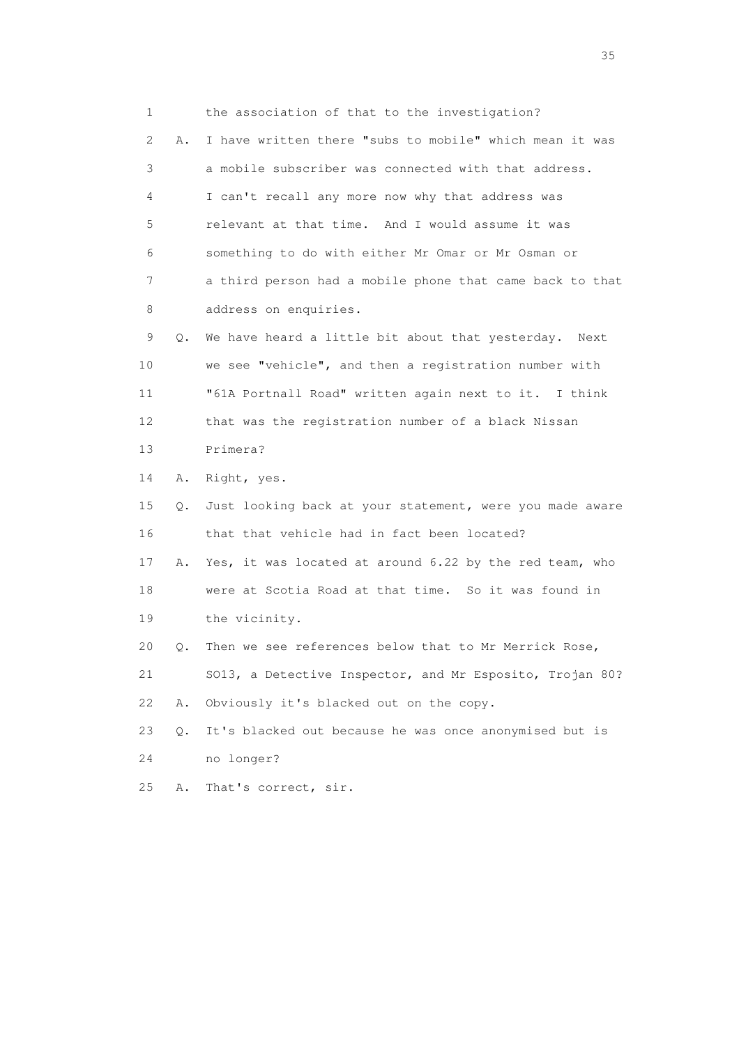1 the association of that to the investigation? 2 A. I have written there "subs to mobile" which mean it was 3 a mobile subscriber was connected with that address. 4 I can't recall any more now why that address was 5 relevant at that time. And I would assume it was 6 something to do with either Mr Omar or Mr Osman or 7 a third person had a mobile phone that came back to that 8 address on enquiries. 9 Q. We have heard a little bit about that yesterday. Next 10 we see "vehicle", and then a registration number with 11 "61A Portnall Road" written again next to it. I think 12 that was the registration number of a black Nissan 13 Primera? 14 A. Right, yes. 15 Q. Just looking back at your statement, were you made aware 16 that that vehicle had in fact been located? 17 A. Yes, it was located at around 6.22 by the red team, who 18 were at Scotia Road at that time. So it was found in 19 the vicinity. 20 Q. Then we see references below that to Mr Merrick Rose, 21 SO13, a Detective Inspector, and Mr Esposito, Trojan 80? 22 A. Obviously it's blacked out on the copy. 23 Q. It's blacked out because he was once anonymised but is 24 no longer? 25 A. That's correct, sir.

<u>35</u> and the state of the state of the state of the state of the state of the state of the state of the state of the state of the state of the state of the state of the state of the state of the state of the state of the s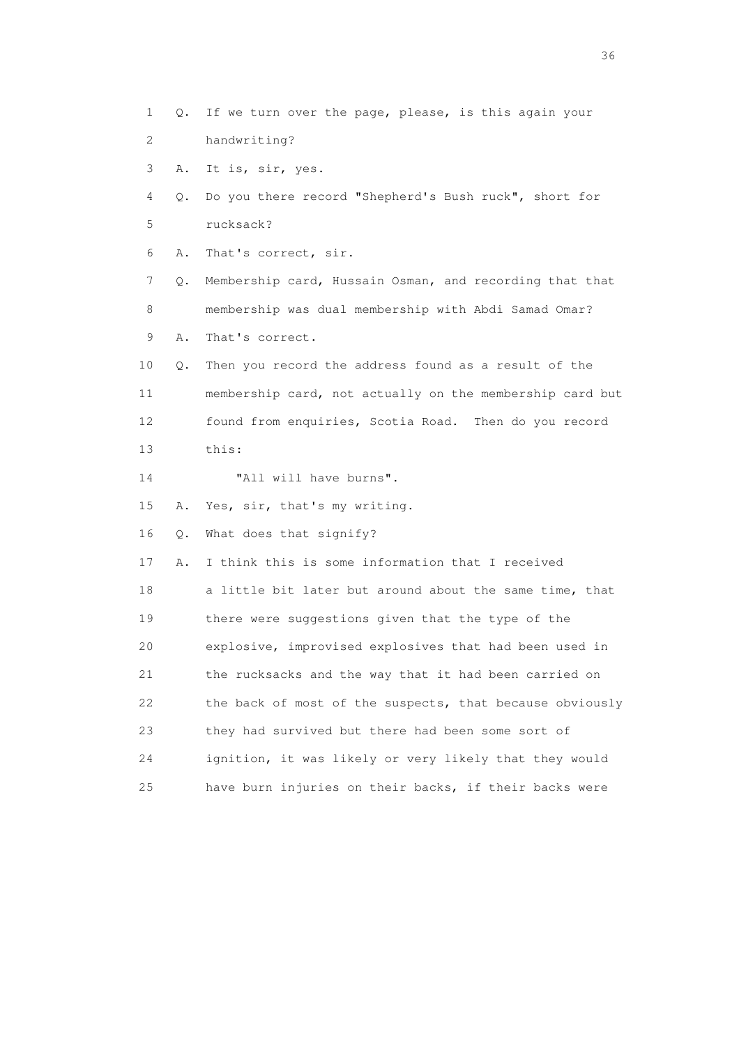1 Q. If we turn over the page, please, is this again your 2 handwriting? 3 A. It is, sir, yes. 4 Q. Do you there record "Shepherd's Bush ruck", short for 5 rucksack? 6 A. That's correct, sir. 7 Q. Membership card, Hussain Osman, and recording that that 8 membership was dual membership with Abdi Samad Omar? 9 A. That's correct. 10 Q. Then you record the address found as a result of the 11 membership card, not actually on the membership card but 12 found from enquiries, Scotia Road. Then do you record 13 this: 14 "All will have burns". 15 A. Yes, sir, that's my writing. 16 Q. What does that signify? 17 A. I think this is some information that I received 18 a little bit later but around about the same time, that 19 there were suggestions given that the type of the 20 explosive, improvised explosives that had been used in 21 the rucksacks and the way that it had been carried on 22 the back of most of the suspects, that because obviously 23 they had survived but there had been some sort of 24 ignition, it was likely or very likely that they would 25 have burn injuries on their backs, if their backs were

 $36<sup>2</sup>$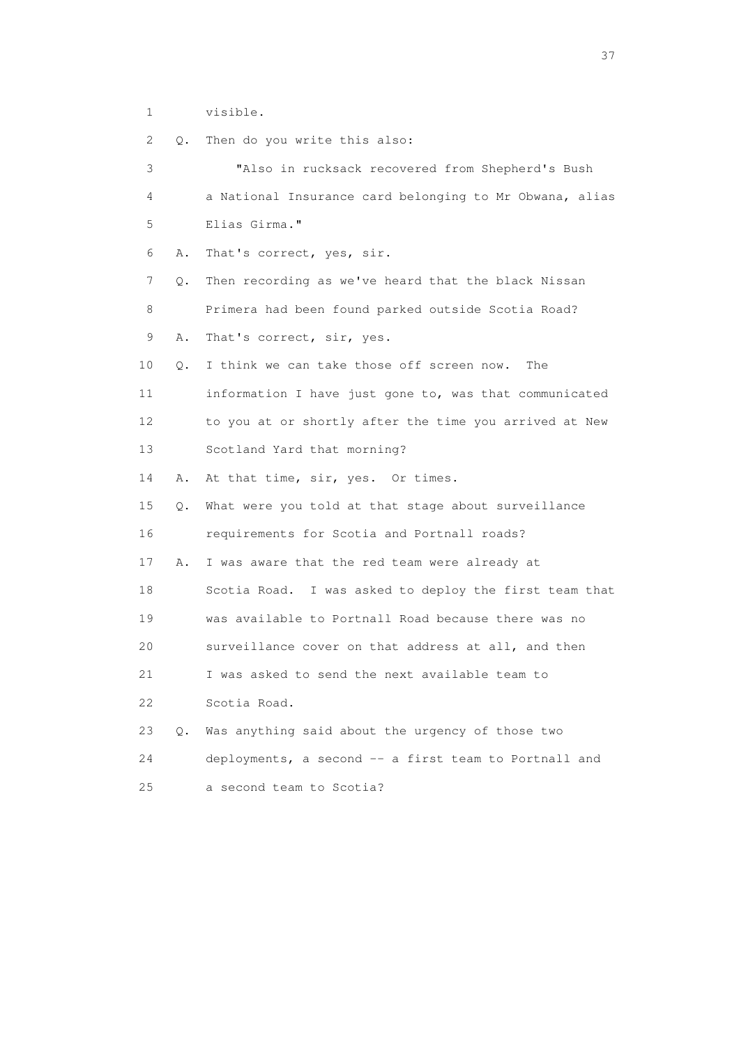1 visible.

| 2  | Q.        | Then do you write this also:                            |
|----|-----------|---------------------------------------------------------|
| 3  |           | "Also in rucksack recovered from Shepherd's Bush        |
| 4  |           | a National Insurance card belonging to Mr Obwana, alias |
| 5  |           | Elias Girma."                                           |
| 6  | Α.        | That's correct, yes, sir.                               |
| 7  | Q.        | Then recording as we've heard that the black Nissan     |
| 8  |           | Primera had been found parked outside Scotia Road?      |
| 9  | Α.        | That's correct, sir, yes.                               |
| 10 | О.        | I think we can take those off screen now.<br>The        |
| 11 |           | information I have just gone to, was that communicated  |
| 12 |           | to you at or shortly after the time you arrived at New  |
| 13 |           | Scotland Yard that morning?                             |
| 14 | Α.        | At that time, sir, yes. Or times.                       |
| 15 | Q.        | What were you told at that stage about surveillance     |
| 16 |           | requirements for Scotia and Portnall roads?             |
| 17 | Α.        | I was aware that the red team were already at           |
| 18 |           | Scotia Road. I was asked to deploy the first team that  |
| 19 |           | was available to Portnall Road because there was no     |
| 20 |           | surveillance cover on that address at all, and then     |
| 21 |           | I was asked to send the next available team to          |
| 22 |           | Scotia Road.                                            |
| 23 | $\circ$ . | Was anything said about the urgency of those two        |
| 24 |           | deployments, a second -- a first team to Portnall and   |
| 25 |           | a second team to Scotia?                                |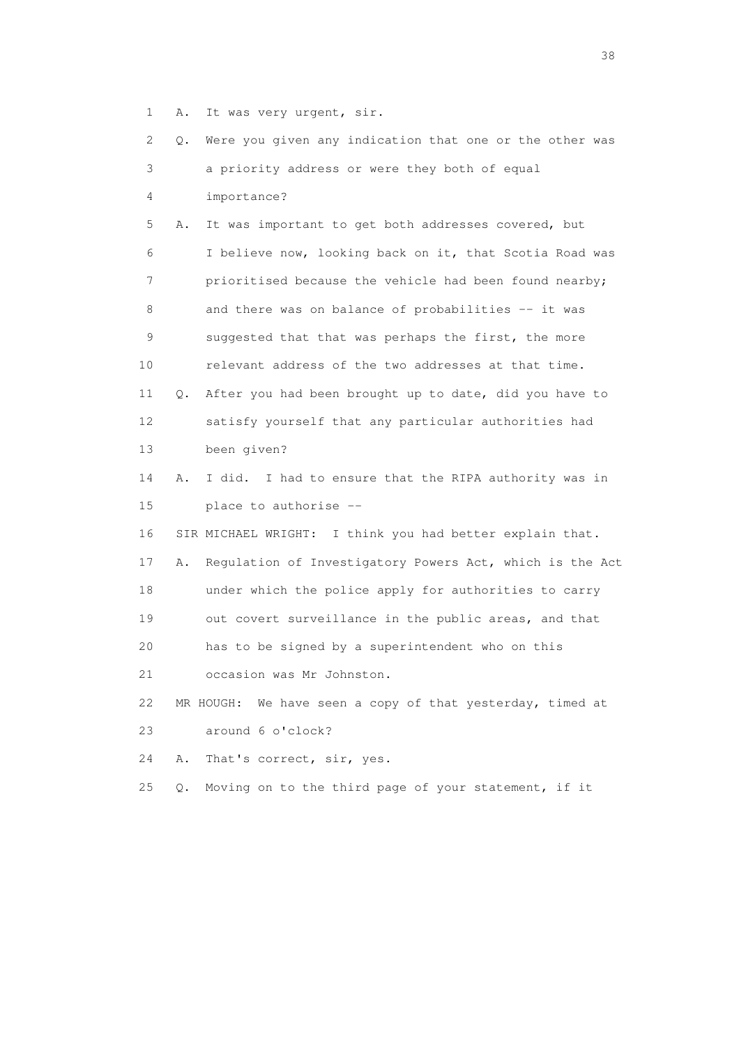1 A. It was very urgent, sir.

 2 Q. Were you given any indication that one or the other was 3 a priority address or were they both of equal 4 importance? 5 A. It was important to get both addresses covered, but 6 I believe now, looking back on it, that Scotia Road was 7 prioritised because the vehicle had been found nearby; 8 and there was on balance of probabilities -- it was 9 suggested that that was perhaps the first, the more 10 relevant address of the two addresses at that time. 11 Q. After you had been brought up to date, did you have to 12 satisfy yourself that any particular authorities had 13 been given? 14 A. I did. I had to ensure that the RIPA authority was in 15 place to authorise -- 16 SIR MICHAEL WRIGHT: I think you had better explain that. 17 A. Regulation of Investigatory Powers Act, which is the Act 18 under which the police apply for authorities to carry 19 out covert surveillance in the public areas, and that 20 has to be signed by a superintendent who on this 21 occasion was Mr Johnston. 22 MR HOUGH: We have seen a copy of that yesterday, timed at 23 around 6 o'clock? 24 A. That's correct, sir, yes. 25 Q. Moving on to the third page of your statement, if it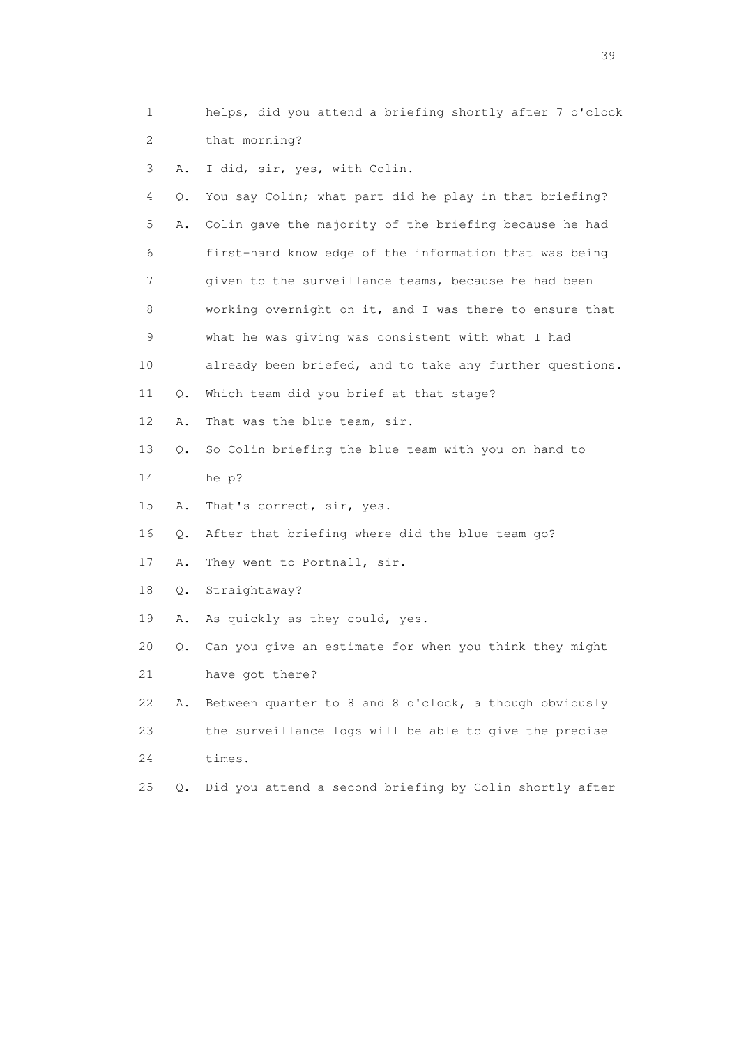| 1                         |       | helps, did you attend a briefing shortly after 7 o'clock |
|---------------------------|-------|----------------------------------------------------------|
| $\mathbf{2}^{\mathsf{I}}$ |       | that morning?                                            |
| 3                         | Α.    | I did, sir, yes, with Colin.                             |
| 4                         | Q.    | You say Colin; what part did he play in that briefing?   |
| 5                         | Α.    | Colin gave the majority of the briefing because he had   |
| 6                         |       | first-hand knowledge of the information that was being   |
| 7                         |       | given to the surveillance teams, because he had been     |
| 8                         |       | working overnight on it, and I was there to ensure that  |
| 9                         |       | what he was giving was consistent with what I had        |
| 10                        |       | already been briefed, and to take any further questions. |
| 11                        | Q.    | Which team did you brief at that stage?                  |
| 12                        | Α.    | That was the blue team, sir.                             |
| 13                        | Q.    | So Colin briefing the blue team with you on hand to      |
| 14                        |       | help?                                                    |
| 15                        | Α.    | That's correct, sir, yes.                                |
| 16                        | Q.    | After that briefing where did the blue team go?          |
| 17                        | Α.    | They went to Portnall, sir.                              |
| 18                        | $Q$ . | Straightaway?                                            |
| 19                        | Α.    | As quickly as they could, yes.                           |
| 20                        | Q.    | Can you give an estimate for when you think they might   |
| 21                        |       | have got there?                                          |
| 22                        | Α.    | Between quarter to 8 and 8 o'clock, although obviously   |
| 23                        |       | the surveillance logs will be able to give the precise   |
| 24                        |       | times.                                                   |
| 25                        | Q.    | Did you attend a second briefing by Colin shortly after  |

 $39<sup>2</sup>$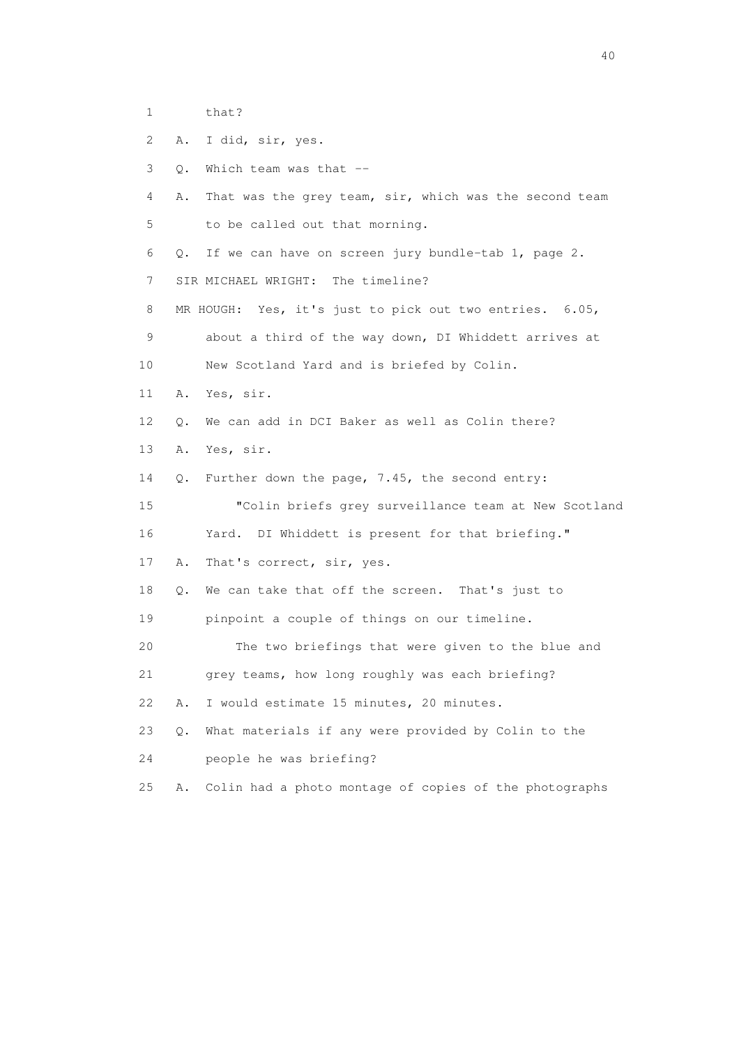- 1 that?
- 2 A. I did, sir, yes.
- 3 Q. Which team was that --
- 4 A. That was the grey team, sir, which was the second team 5 to be called out that morning.
- 6 Q. If we can have on screen jury bundle-tab 1, page 2.
- 7 SIR MICHAEL WRIGHT: The timeline?
- 8 MR HOUGH: Yes, it's just to pick out two entries. 6.05,
- 9 about a third of the way down, DI Whiddett arrives at 10 New Scotland Yard and is briefed by Colin.
- 11 A. Yes, sir.
- 12 Q. We can add in DCI Baker as well as Colin there?
- 13 A. Yes, sir.
- 14 Q. Further down the page, 7.45, the second entry:
- 15 "Colin briefs grey surveillance team at New Scotland 16 Yard. DI Whiddett is present for that briefing."
- 17 A. That's correct, sir, yes.
- 18 Q. We can take that off the screen. That's just to
- 19 pinpoint a couple of things on our timeline.
- 20 The two briefings that were given to the blue and
- 21 grey teams, how long roughly was each briefing?
- 22 A. I would estimate 15 minutes, 20 minutes.
- 23 Q. What materials if any were provided by Colin to the
- 24 people he was briefing?
- 25 A. Colin had a photo montage of copies of the photographs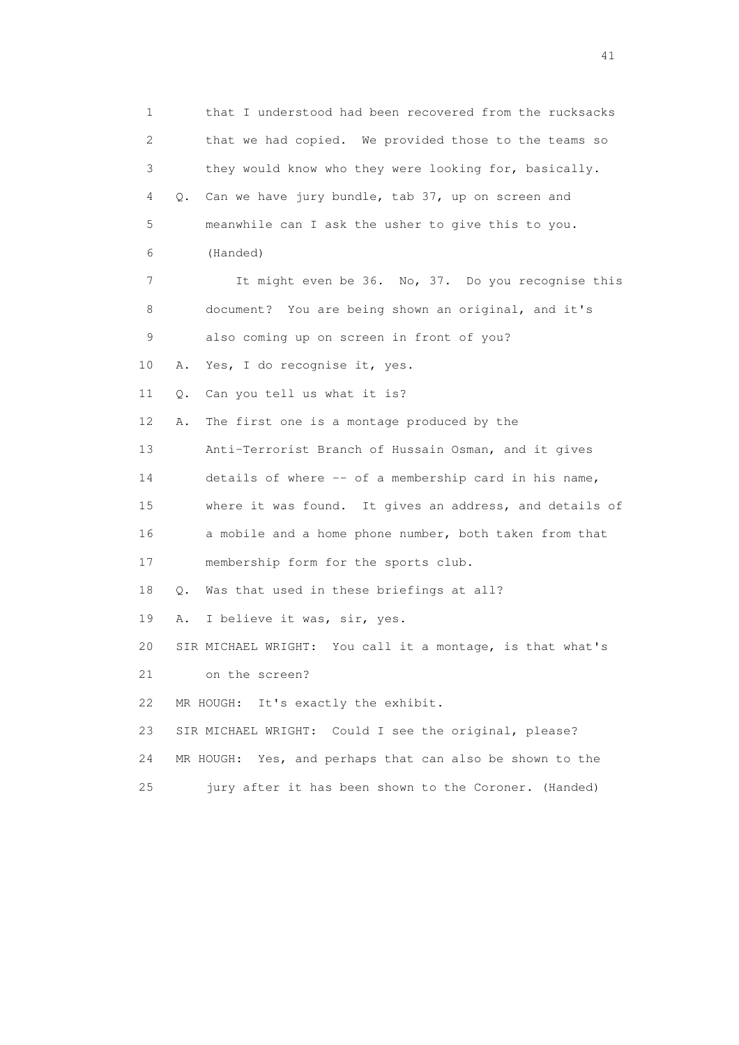1 that I understood had been recovered from the rucksacks 2 that we had copied. We provided those to the teams so 3 they would know who they were looking for, basically. 4 Q. Can we have jury bundle, tab 37, up on screen and 5 meanwhile can I ask the usher to give this to you. 6 (Handed) 7 It might even be 36. No, 37. Do you recognise this 8 document? You are being shown an original, and it's 9 also coming up on screen in front of you? 10 A. Yes, I do recognise it, yes. 11 Q. Can you tell us what it is? 12 A. The first one is a montage produced by the 13 Anti-Terrorist Branch of Hussain Osman, and it gives 14 details of where -- of a membership card in his name, 15 where it was found. It gives an address, and details of 16 a mobile and a home phone number, both taken from that 17 membership form for the sports club. 18 Q. Was that used in these briefings at all? 19 A. I believe it was, sir, yes. 20 SIR MICHAEL WRIGHT: You call it a montage, is that what's 21 on the screen? 22 MR HOUGH: It's exactly the exhibit. 23 SIR MICHAEL WRIGHT: Could I see the original, please? 24 MR HOUGH: Yes, and perhaps that can also be shown to the 25 jury after it has been shown to the Coroner. (Handed)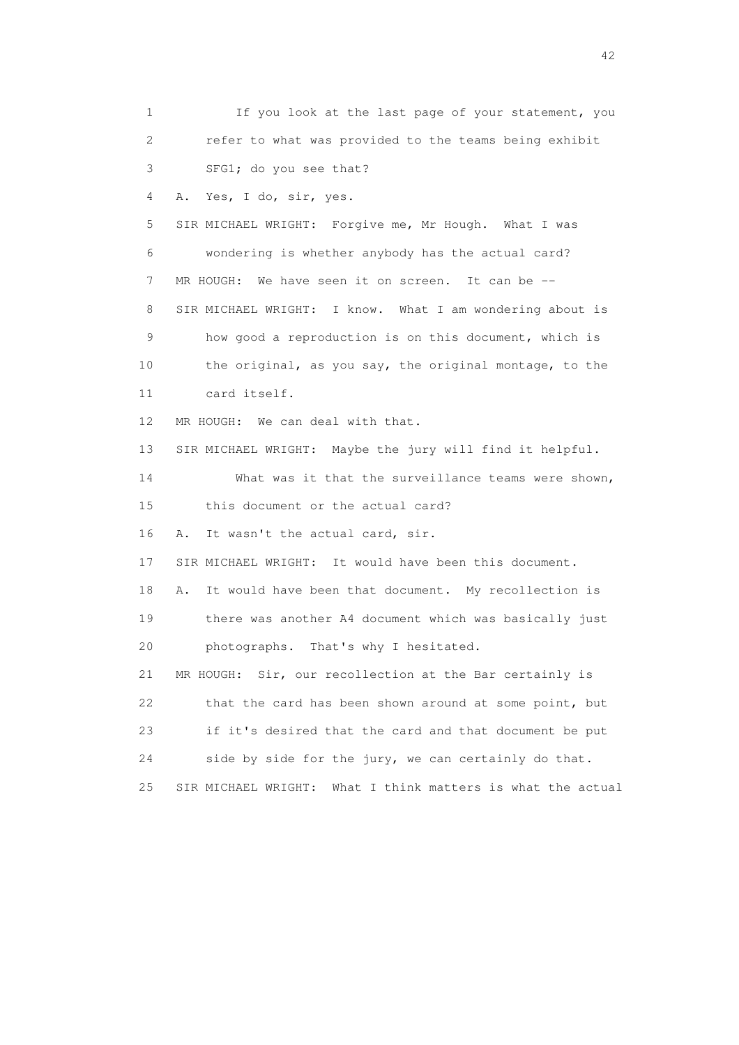1 If you look at the last page of your statement, you 2 refer to what was provided to the teams being exhibit 3 SFG1; do you see that? 4 A. Yes, I do, sir, yes. 5 SIR MICHAEL WRIGHT: Forgive me, Mr Hough. What I was 6 wondering is whether anybody has the actual card? 7 MR HOUGH: We have seen it on screen. It can be -- 8 SIR MICHAEL WRIGHT: I know. What I am wondering about is 9 how good a reproduction is on this document, which is 10 the original, as you say, the original montage, to the 11 card itself. 12 MR HOUGH: We can deal with that. 13 SIR MICHAEL WRIGHT: Maybe the jury will find it helpful. 14 What was it that the surveillance teams were shown, 15 this document or the actual card? 16 A. It wasn't the actual card, sir. 17 SIR MICHAEL WRIGHT: It would have been this document. 18 A. It would have been that document. My recollection is 19 there was another A4 document which was basically just 20 photographs. That's why I hesitated. 21 MR HOUGH: Sir, our recollection at the Bar certainly is 22 that the card has been shown around at some point, but 23 if it's desired that the card and that document be put 24 side by side for the jury, we can certainly do that. 25 SIR MICHAEL WRIGHT: What I think matters is what the actual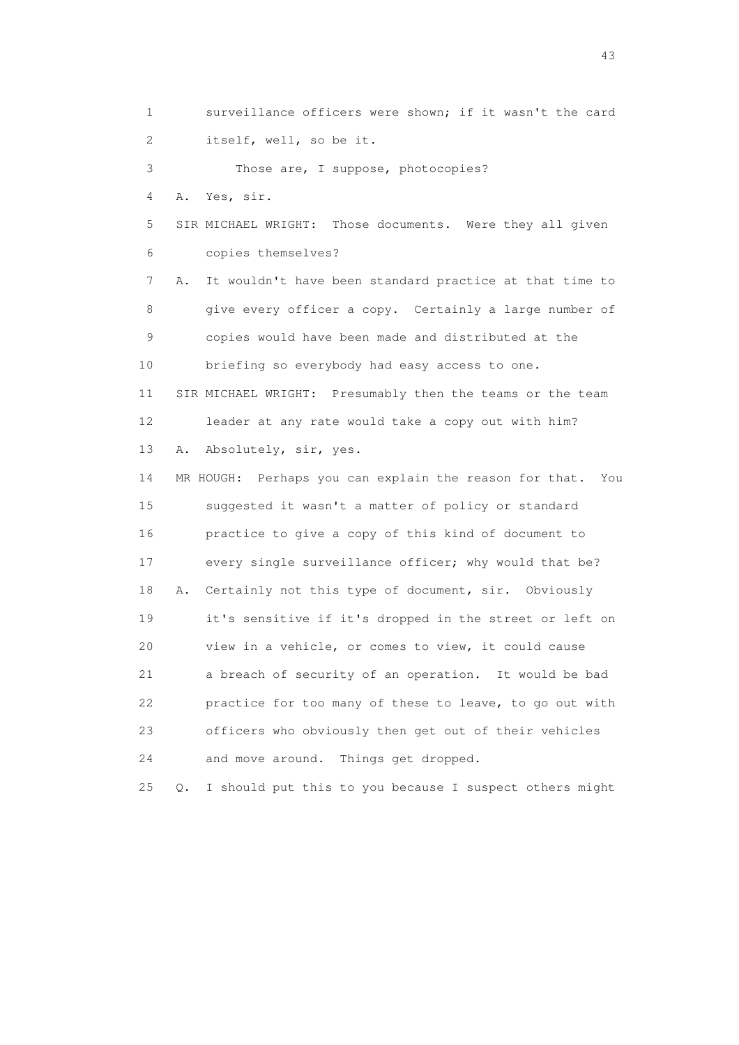1 surveillance officers were shown; if it wasn't the card 2 itself, well, so be it. 3 Those are, I suppose, photocopies? 4 A. Yes, sir. 5 SIR MICHAEL WRIGHT: Those documents. Were they all given 6 copies themselves? 7 A. It wouldn't have been standard practice at that time to 8 give every officer a copy. Certainly a large number of 9 copies would have been made and distributed at the

 10 briefing so everybody had easy access to one. 11 SIR MICHAEL WRIGHT: Presumably then the teams or the team 12 leader at any rate would take a copy out with him? 13 A. Absolutely, sir, yes.

 14 MR HOUGH: Perhaps you can explain the reason for that. You 15 suggested it wasn't a matter of policy or standard 16 practice to give a copy of this kind of document to 17 every single surveillance officer; why would that be? 18 A. Certainly not this type of document, sir. Obviously 19 it's sensitive if it's dropped in the street or left on 20 view in a vehicle, or comes to view, it could cause 21 a breach of security of an operation. It would be bad 22 practice for too many of these to leave, to go out with 23 officers who obviously then get out of their vehicles 24 and move around. Things get dropped.

25 Q. I should put this to you because I suspect others might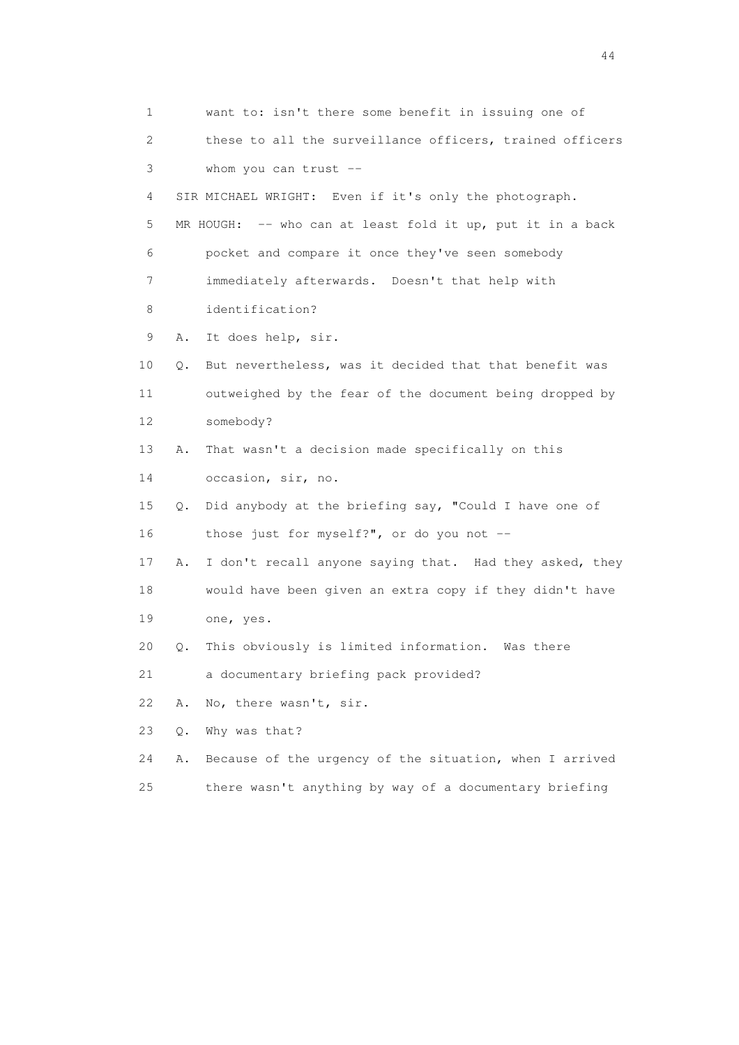1 want to: isn't there some benefit in issuing one of 2 these to all the surveillance officers, trained officers 3 whom you can trust -- 4 SIR MICHAEL WRIGHT: Even if it's only the photograph. 5 MR HOUGH: -- who can at least fold it up, put it in a back 6 pocket and compare it once they've seen somebody 7 immediately afterwards. Doesn't that help with 8 identification? 9 A. It does help, sir. 10 Q. But nevertheless, was it decided that that benefit was 11 outweighed by the fear of the document being dropped by 12 somebody? 13 A. That wasn't a decision made specifically on this 14 occasion, sir, no. 15 Q. Did anybody at the briefing say, "Could I have one of 16 those just for myself?", or do you not -- 17 A. I don't recall anyone saying that. Had they asked, they 18 would have been given an extra copy if they didn't have 19 one, yes. 20 Q. This obviously is limited information. Was there 21 a documentary briefing pack provided? 22 A. No, there wasn't, sir. 23 Q. Why was that? 24 A. Because of the urgency of the situation, when I arrived 25 there wasn't anything by way of a documentary briefing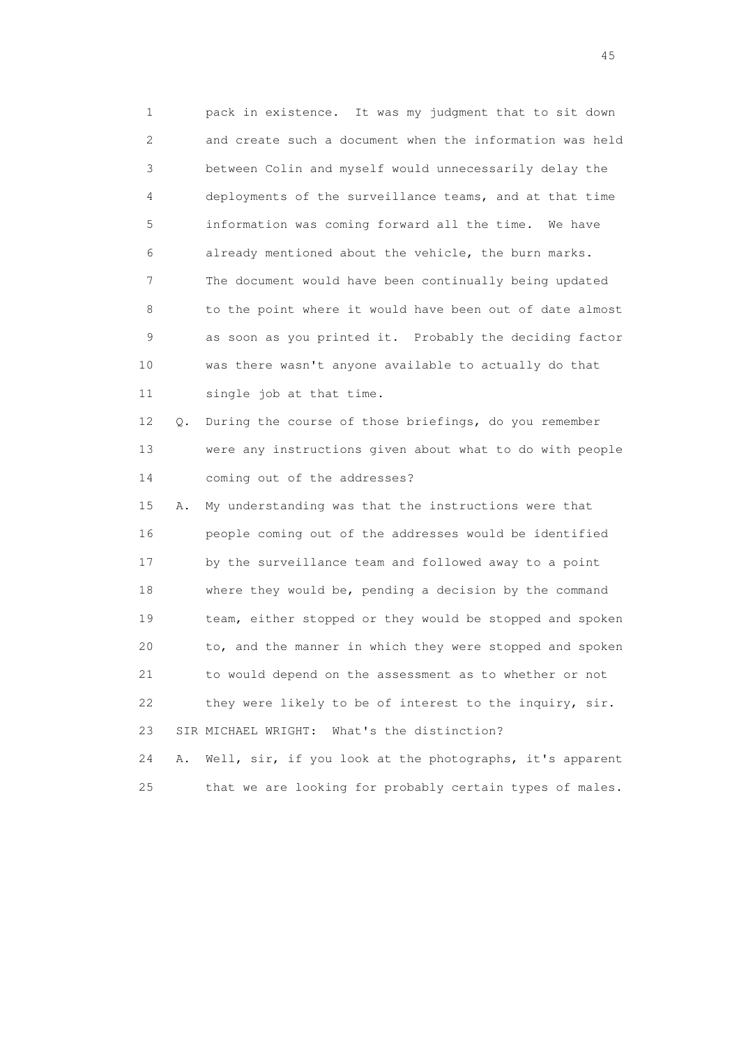1 pack in existence. It was my judgment that to sit down 2 and create such a document when the information was held 3 between Colin and myself would unnecessarily delay the 4 deployments of the surveillance teams, and at that time 5 information was coming forward all the time. We have 6 already mentioned about the vehicle, the burn marks. 7 The document would have been continually being updated 8 to the point where it would have been out of date almost 9 as soon as you printed it. Probably the deciding factor 10 was there wasn't anyone available to actually do that 11 single job at that time.

 12 Q. During the course of those briefings, do you remember 13 were any instructions given about what to do with people 14 coming out of the addresses?

 15 A. My understanding was that the instructions were that 16 people coming out of the addresses would be identified 17 by the surveillance team and followed away to a point 18 where they would be, pending a decision by the command 19 team, either stopped or they would be stopped and spoken 20 to, and the manner in which they were stopped and spoken 21 to would depend on the assessment as to whether or not 22 they were likely to be of interest to the inquiry, sir. 23 SIR MICHAEL WRIGHT: What's the distinction?

 24 A. Well, sir, if you look at the photographs, it's apparent 25 that we are looking for probably certain types of males.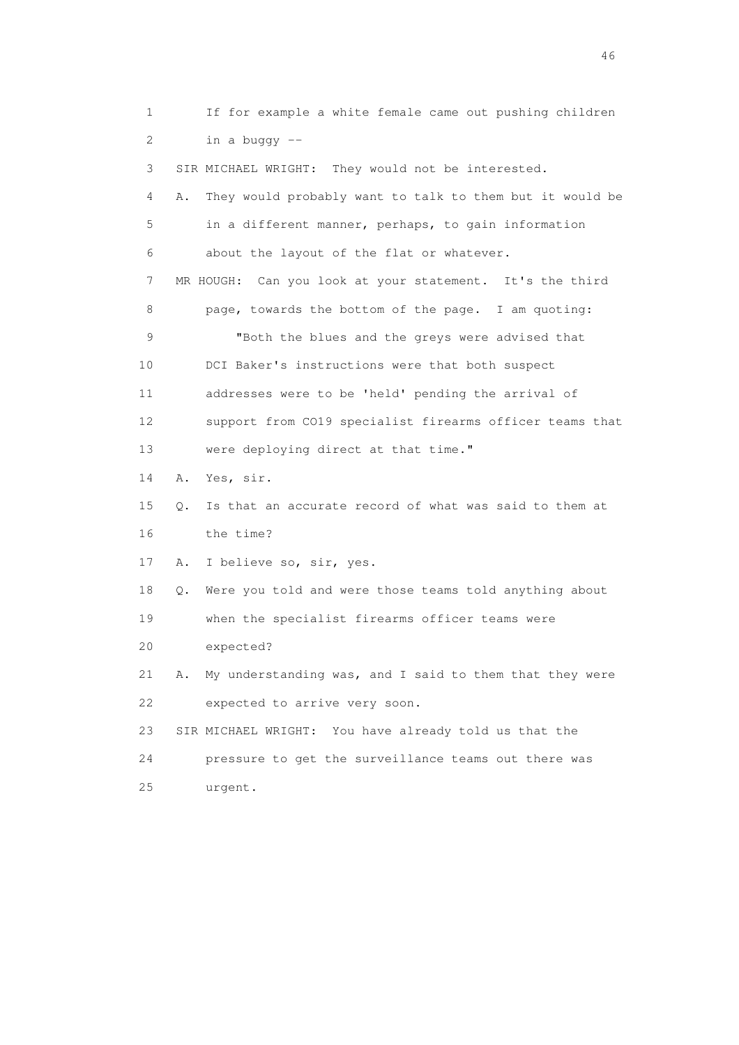1 If for example a white female came out pushing children 2 in a buggy -- 3 SIR MICHAEL WRIGHT: They would not be interested. 4 A. They would probably want to talk to them but it would be 5 in a different manner, perhaps, to gain information 6 about the layout of the flat or whatever. 7 MR HOUGH: Can you look at your statement. It's the third 8 page, towards the bottom of the page. I am quoting: 9 "Both the blues and the greys were advised that 10 DCI Baker's instructions were that both suspect 11 addresses were to be 'held' pending the arrival of 12 support from CO19 specialist firearms officer teams that 13 were deploying direct at that time." 14 A. Yes, sir. 15 Q. Is that an accurate record of what was said to them at 16 the time? 17 A. I believe so, sir, yes. 18 Q. Were you told and were those teams told anything about 19 when the specialist firearms officer teams were 20 expected? 21 A. My understanding was, and I said to them that they were 22 expected to arrive very soon. 23 SIR MICHAEL WRIGHT: You have already told us that the 24 pressure to get the surveillance teams out there was 25 urgent.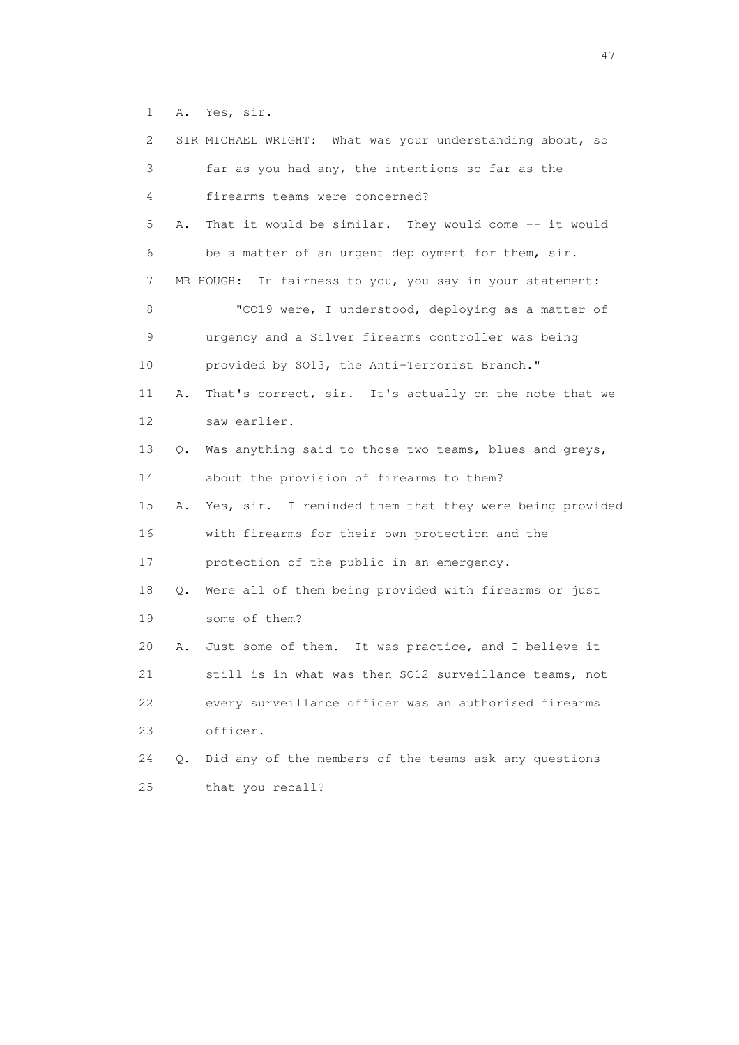1 A. Yes, sir.

| $\mathbf{2}^{\mathsf{I}}$ | SIR MICHAEL WRIGHT: What was your understanding about, so               |
|---------------------------|-------------------------------------------------------------------------|
| 3                         | far as you had any, the intentions so far as the                        |
| 4                         | firearms teams were concerned?                                          |
| 5                         | That it would be similar. They would come -- it would<br>Α.             |
| 6                         | be a matter of an urgent deployment for them, sir.                      |
| 7                         | MR HOUGH: In fairness to you, you say in your statement:                |
| 8                         | "CO19 were, I understood, deploying as a matter of                      |
| 9                         | urgency and a Silver firearms controller was being                      |
| 10                        | provided by S013, the Anti-Terrorist Branch."                           |
| 11                        | That's correct, sir. It's actually on the note that we<br>Α.            |
| 12                        | saw earlier.                                                            |
| 13                        | Was anything said to those two teams, blues and greys,<br>$Q_{\bullet}$ |
| 14                        | about the provision of firearms to them?                                |
| 15                        | Yes, sir. I reminded them that they were being provided<br>Α.           |
| 16                        | with firearms for their own protection and the                          |
| 17                        | protection of the public in an emergency.                               |
| 18                        | Were all of them being provided with firearms or just<br>Q.             |
| 19                        | some of them?                                                           |
| 20                        | Just some of them. It was practice, and I believe it<br>Α.              |
| 21                        | still is in what was then SO12 surveillance teams, not                  |
| 22                        | every surveillance officer was an authorised firearms                   |
| 23                        | officer.                                                                |
| 24                        | Did any of the members of the teams ask any questions<br>О.             |
| 25                        | that you recall?                                                        |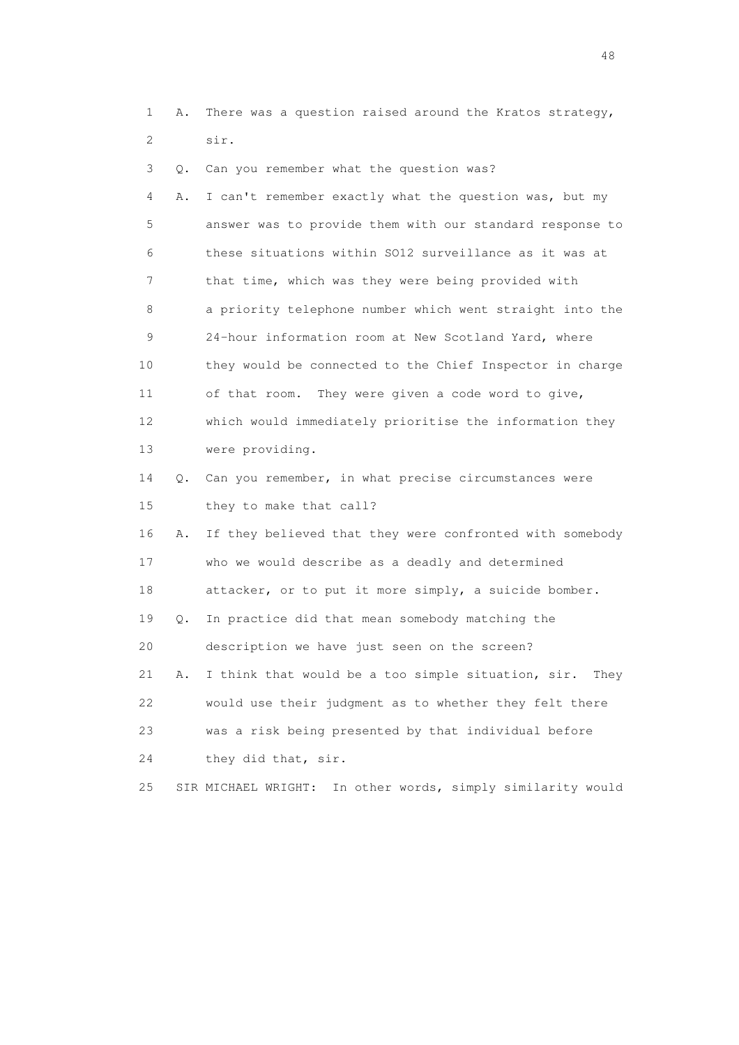1 A. There was a question raised around the Kratos strategy, 2 sir.

| 3               | Q. | Can you remember what the question was?                        |
|-----------------|----|----------------------------------------------------------------|
| 4               | Α. | I can't remember exactly what the question was, but my         |
| 5               |    | answer was to provide them with our standard response to       |
| 6               |    | these situations within SO12 surveillance as it was at         |
| 7               |    | that time, which was they were being provided with             |
| 8               |    | a priority telephone number which went straight into the       |
| 9               |    | 24-hour information room at New Scotland Yard, where           |
| 10              |    | they would be connected to the Chief Inspector in charge       |
| 11              |    | They were given a code word to give,<br>of that room.          |
| 12 <sup>°</sup> |    | which would immediately prioritise the information they        |
| 13              |    | were providing.                                                |
| 14              | Q. | Can you remember, in what precise circumstances were           |
| 15              |    | they to make that call?                                        |
| 16              | Α. | If they believed that they were confronted with somebody       |
| 17              |    | who we would describe as a deadly and determined               |
| 18              |    | attacker, or to put it more simply, a suicide bomber.          |
| 19              | Q. | In practice did that mean somebody matching the                |
| 20              |    | description we have just seen on the screen?                   |
| 21              | Α. | I think that would be a too simple situation, sir.<br>They     |
| 22              |    | would use their judgment as to whether they felt there         |
| 23              |    | was a risk being presented by that individual before           |
| 24              |    | they did that, sir.                                            |
| 25              |    | In other words, simply similarity would<br>SIR MICHAEL WRIGHT: |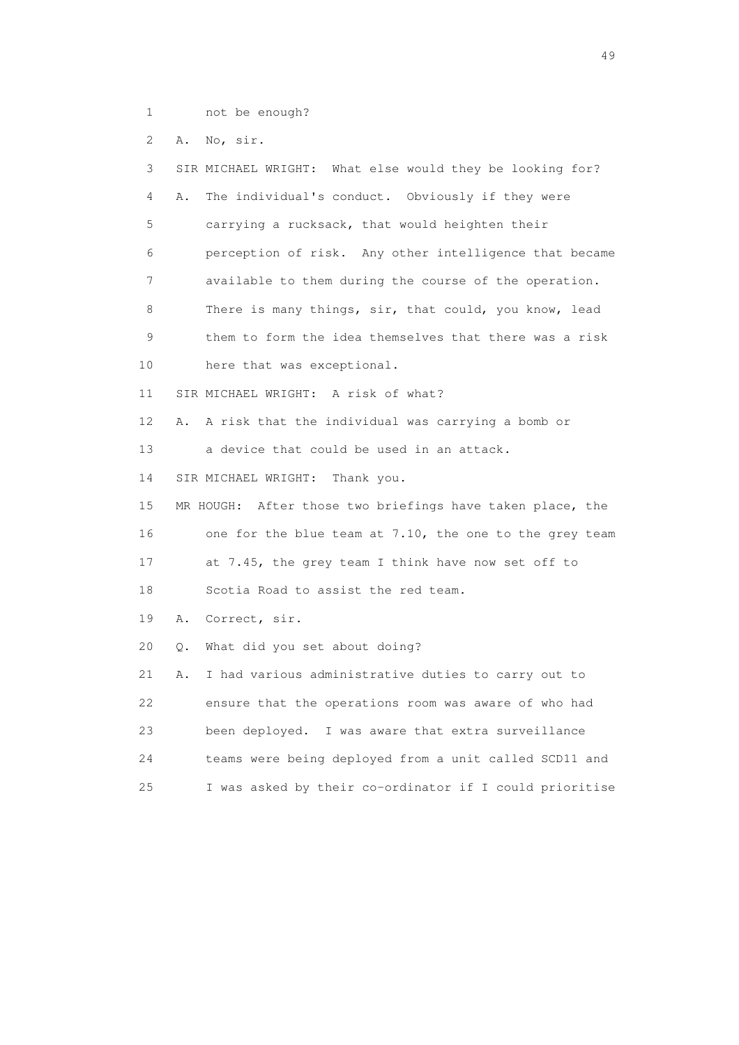1 not be enough?

2 A. No, sir.

 3 SIR MICHAEL WRIGHT: What else would they be looking for? 4 A. The individual's conduct. Obviously if they were 5 carrying a rucksack, that would heighten their 6 perception of risk. Any other intelligence that became 7 available to them during the course of the operation. 8 There is many things, sir, that could, you know, lead 9 them to form the idea themselves that there was a risk 10 here that was exceptional. 11 SIR MICHAEL WRIGHT: A risk of what? 12 A. A risk that the individual was carrying a bomb or 13 a device that could be used in an attack. 14 SIR MICHAEL WRIGHT: Thank you. 15 MR HOUGH: After those two briefings have taken place, the 16 one for the blue team at 7.10, the one to the grey team 17 at 7.45, the grey team I think have now set off to 18 Scotia Road to assist the red team. 19 A. Correct, sir. 20 Q. What did you set about doing? 21 A. I had various administrative duties to carry out to 22 ensure that the operations room was aware of who had 23 been deployed. I was aware that extra surveillance 24 teams were being deployed from a unit called SCD11 and 25 I was asked by their co-ordinator if I could prioritise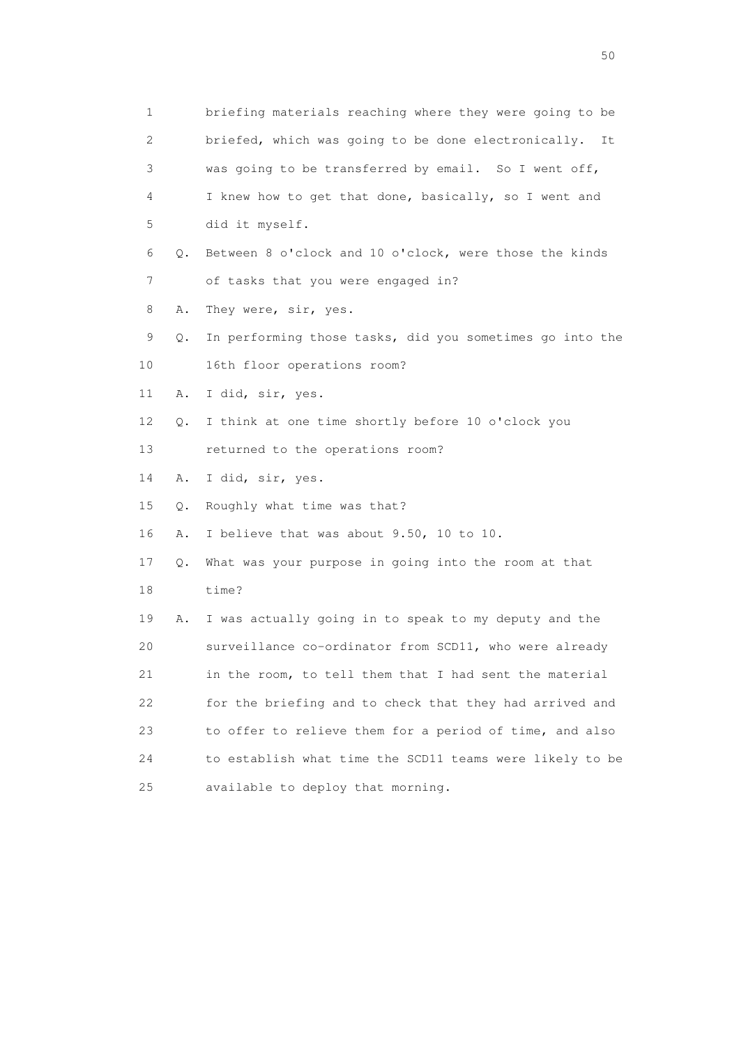1 briefing materials reaching where they were going to be 2 briefed, which was going to be done electronically. It 3 was going to be transferred by email. So I went off, 4 I knew how to get that done, basically, so I went and 5 did it myself. 6 Q. Between 8 o'clock and 10 o'clock, were those the kinds 7 of tasks that you were engaged in? 8 A. They were, sir, yes. 9 Q. In performing those tasks, did you sometimes go into the 10 16th floor operations room? 11 A. I did, sir, yes. 12 Q. I think at one time shortly before 10 o'clock you 13 returned to the operations room? 14 A. I did, sir, yes. 15 Q. Roughly what time was that? 16 A. I believe that was about 9.50, 10 to 10. 17 Q. What was your purpose in going into the room at that 18 time? 19 A. I was actually going in to speak to my deputy and the 20 surveillance co-ordinator from SCD11, who were already 21 in the room, to tell them that I had sent the material 22 for the briefing and to check that they had arrived and 23 to offer to relieve them for a period of time, and also 24 to establish what time the SCD11 teams were likely to be 25 available to deploy that morning.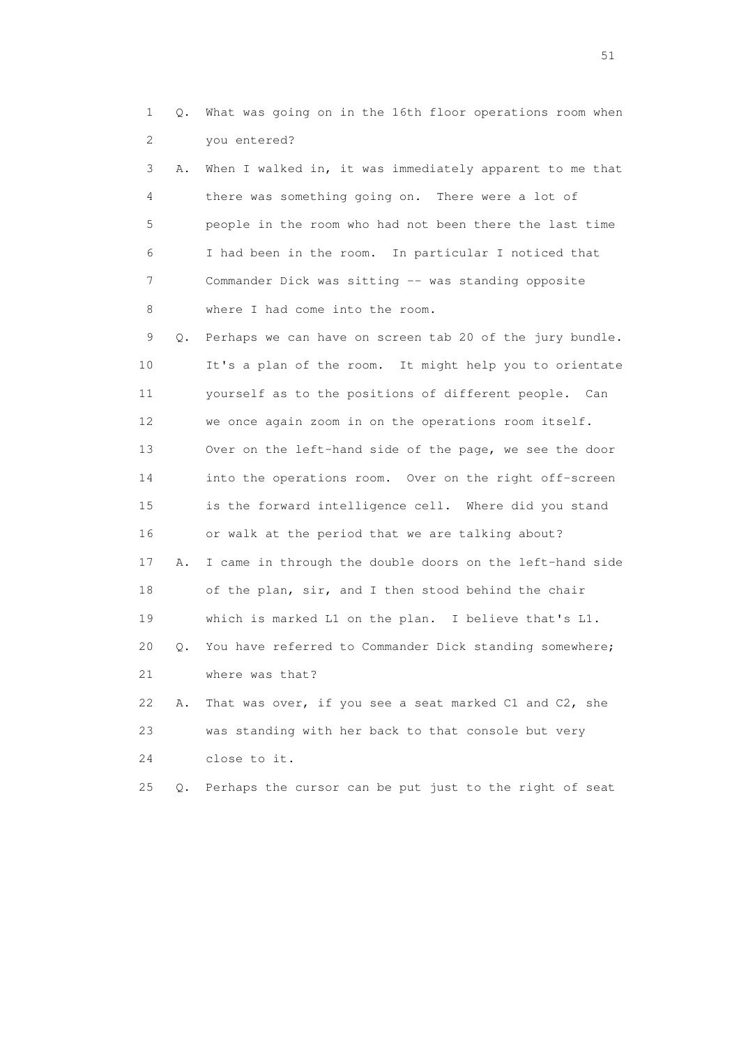1 Q. What was going on in the 16th floor operations room when 2 you entered?

 3 A. When I walked in, it was immediately apparent to me that 4 there was something going on. There were a lot of 5 people in the room who had not been there the last time 6 I had been in the room. In particular I noticed that 7 Commander Dick was sitting -- was standing opposite 8 where I had come into the room.

 9 Q. Perhaps we can have on screen tab 20 of the jury bundle. 10 It's a plan of the room. It might help you to orientate 11 yourself as to the positions of different people. Can 12 we once again zoom in on the operations room itself. 13 Over on the left-hand side of the page, we see the door 14 into the operations room. Over on the right off-screen 15 is the forward intelligence cell. Where did you stand 16 or walk at the period that we are talking about? 17 A. I came in through the double doors on the left-hand side 18 of the plan, sir, and I then stood behind the chair 19 which is marked L1 on the plan. I believe that's L1. 20 Q. You have referred to Commander Dick standing somewhere; 21 where was that? 22 A. That was over, if you see a seat marked C1 and C2, she 23 was standing with her back to that console but very

24 close to it.

25 Q. Perhaps the cursor can be put just to the right of seat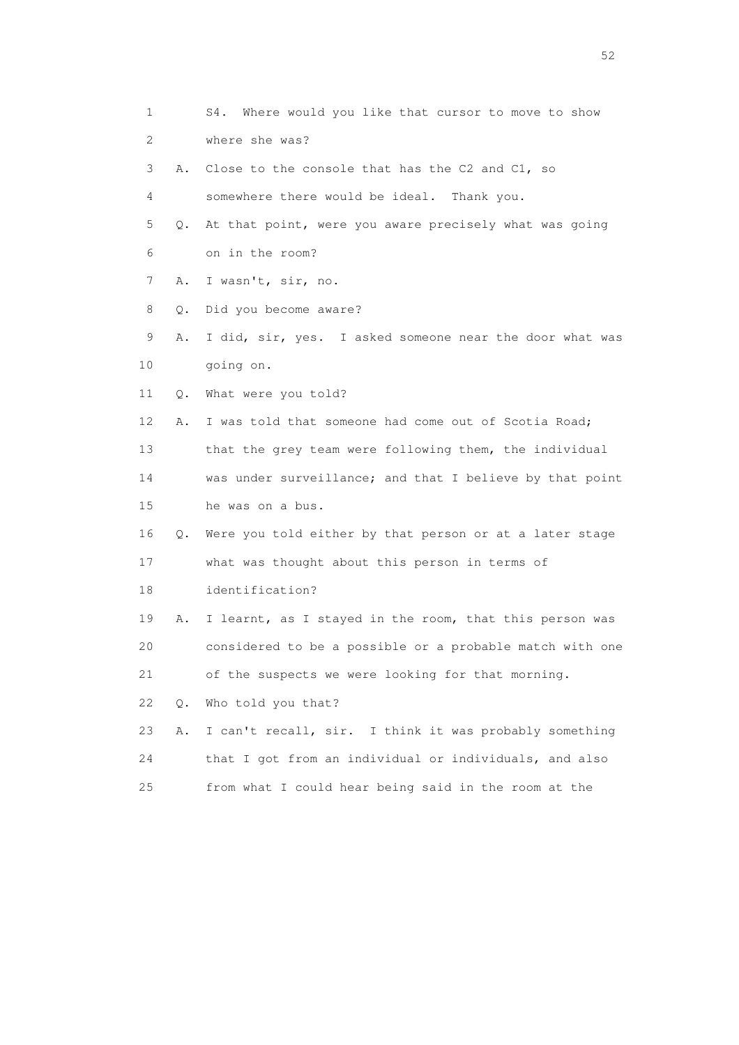1 S4. Where would you like that cursor to move to show 2 where she was? 3 A. Close to the console that has the C2 and C1, so 4 somewhere there would be ideal. Thank you. 5 Q. At that point, were you aware precisely what was going 6 on in the room? 7 A. I wasn't, sir, no. 8 Q. Did you become aware? 9 A. I did, sir, yes. I asked someone near the door what was 10 going on. 11 Q. What were you told? 12 A. I was told that someone had come out of Scotia Road; 13 that the grey team were following them, the individual 14 was under surveillance; and that I believe by that point 15 he was on a bus. 16 Q. Were you told either by that person or at a later stage 17 what was thought about this person in terms of 18 identification? 19 A. I learnt, as I stayed in the room, that this person was 20 considered to be a possible or a probable match with one 21 of the suspects we were looking for that morning. 22 Q. Who told you that? 23 A. I can't recall, sir. I think it was probably something 24 that I got from an individual or individuals, and also 25 from what I could hear being said in the room at the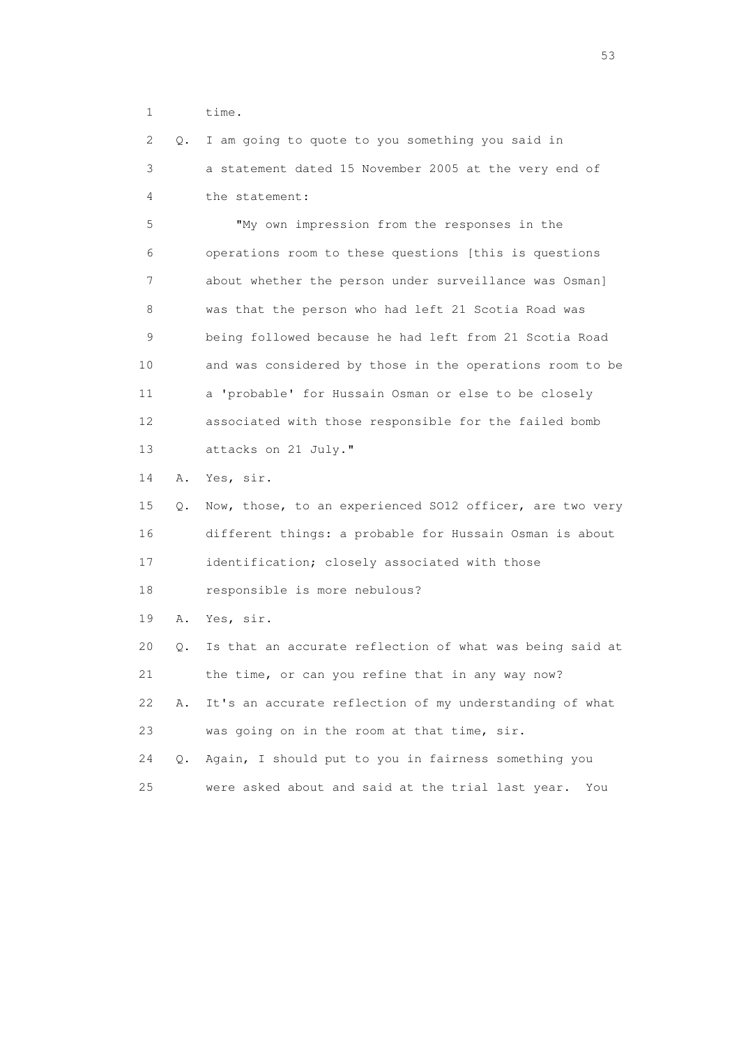1 time.

 2 Q. I am going to quote to you something you said in 3 a statement dated 15 November 2005 at the very end of 4 the statement:

 5 "My own impression from the responses in the 6 operations room to these questions [this is questions 7 about whether the person under surveillance was Osman] 8 was that the person who had left 21 Scotia Road was 9 being followed because he had left from 21 Scotia Road 10 and was considered by those in the operations room to be 11 a 'probable' for Hussain Osman or else to be closely 12 associated with those responsible for the failed bomb 13 attacks on 21 July."

14 A. Yes, sir.

 15 Q. Now, those, to an experienced SO12 officer, are two very 16 different things: a probable for Hussain Osman is about 17 identification; closely associated with those

18 responsible is more nebulous?

19 A. Yes, sir.

 20 Q. Is that an accurate reflection of what was being said at 21 the time, or can you refine that in any way now? 22 A. It's an accurate reflection of my understanding of what 23 was going on in the room at that time, sir. 24 Q. Again, I should put to you in fairness something you

25 were asked about and said at the trial last year. You

 $\sim$  53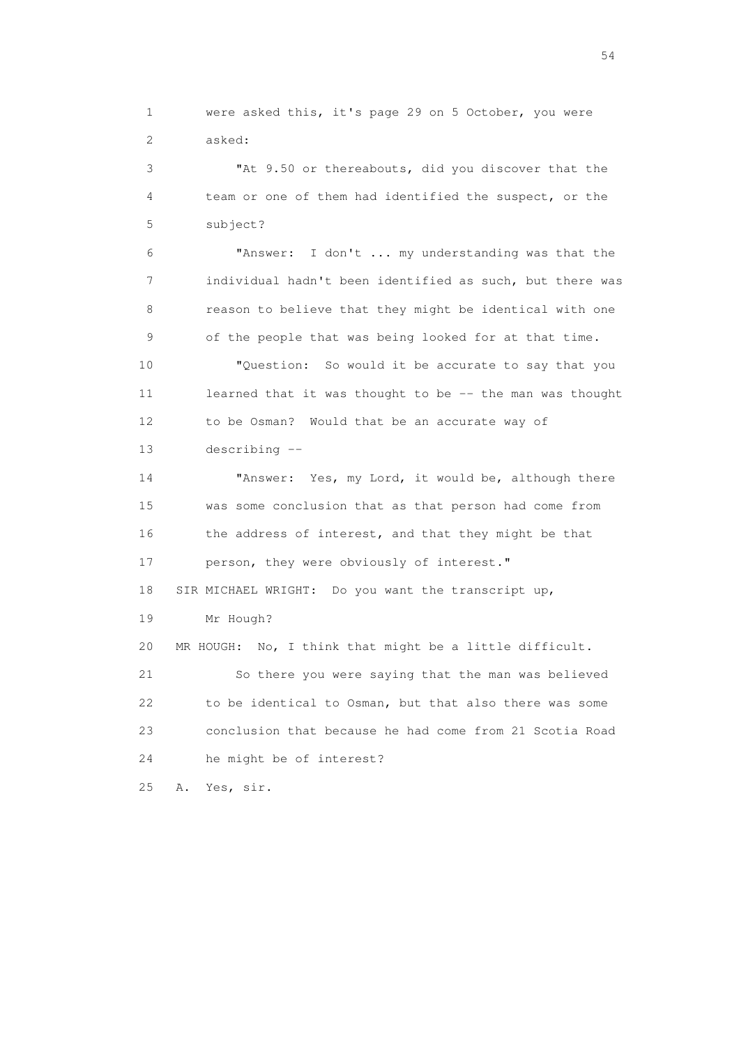1 were asked this, it's page 29 on 5 October, you were 2 asked:

 3 "At 9.50 or thereabouts, did you discover that the 4 team or one of them had identified the suspect, or the 5 subject?

 6 "Answer: I don't ... my understanding was that the 7 individual hadn't been identified as such, but there was 8 reason to believe that they might be identical with one 9 of the people that was being looked for at that time.

 10 "Question: So would it be accurate to say that you 11 learned that it was thought to be -- the man was thought 12 to be Osman? Would that be an accurate way of 13 describing --

 14 "Answer: Yes, my Lord, it would be, although there 15 was some conclusion that as that person had come from 16 the address of interest, and that they might be that 17 person, they were obviously of interest." 18 SIR MICHAEL WRIGHT: Do you want the transcript up, 19 Mr Hough? 20 MR HOUGH: No, I think that might be a little difficult. 21 So there you were saying that the man was believed

 22 to be identical to Osman, but that also there was some 23 conclusion that because he had come from 21 Scotia Road 24 he might be of interest?

25 A. Yes, sir.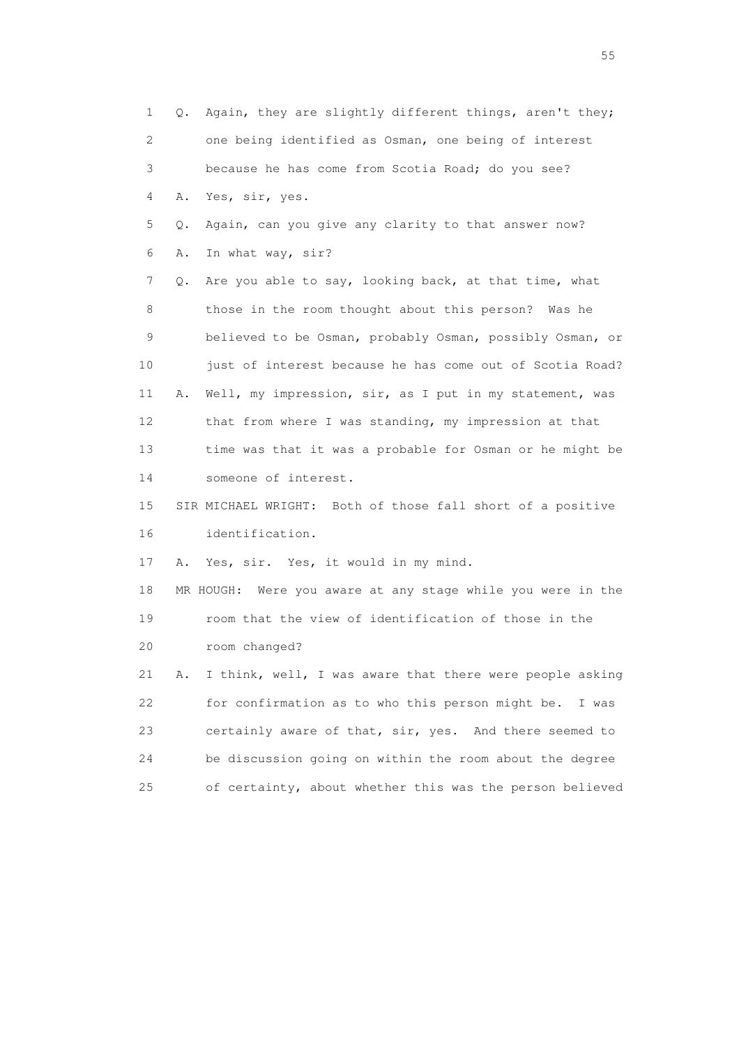1 Q. Again, they are slightly different things, aren't they; 2 one being identified as Osman, one being of interest 3 because he has come from Scotia Road; do you see? 4 A. Yes, sir, yes. 5 Q. Again, can you give any clarity to that answer now? 6 A. In what way, sir? 7 Q. Are you able to say, looking back, at that time, what 8 those in the room thought about this person? Was he 9 believed to be Osman, probably Osman, possibly Osman, or 10 just of interest because he has come out of Scotia Road? 11 A. Well, my impression, sir, as I put in my statement, was 12 that from where I was standing, my impression at that 13 time was that it was a probable for Osman or he might be 14 someone of interest. 15 SIR MICHAEL WRIGHT: Both of those fall short of a positive 16 identification. 17 A. Yes, sir. Yes, it would in my mind. 18 MR HOUGH: Were you aware at any stage while you were in the 19 room that the view of identification of those in the 20 room changed? 21 A. I think, well, I was aware that there were people asking 22 for confirmation as to who this person might be. I was 23 certainly aware of that, sir, yes. And there seemed to 24 be discussion going on within the room about the degree 25 of certainty, about whether this was the person believed

the state of the state of the state of the state of the state of the state of the state of the state of the state of the state of the state of the state of the state of the state of the state of the state of the state of t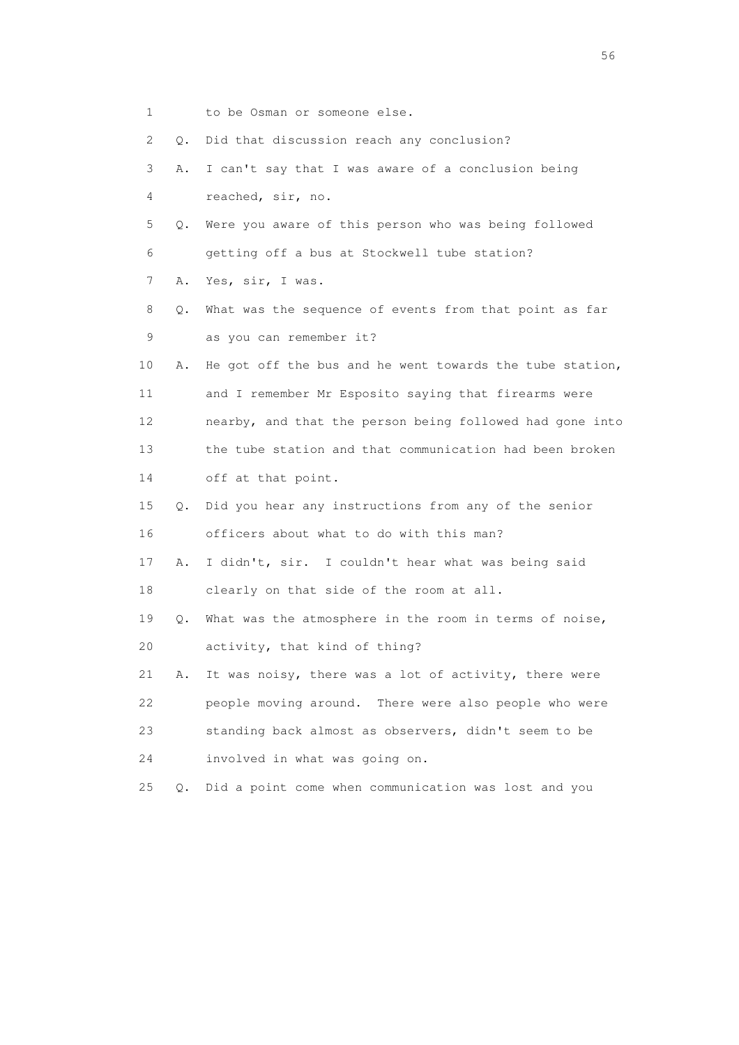1 to be Osman or someone else. 2 Q. Did that discussion reach any conclusion? 3 A. I can't say that I was aware of a conclusion being 4 reached, sir, no. 5 Q. Were you aware of this person who was being followed 6 getting off a bus at Stockwell tube station? 7 A. Yes, sir, I was. 8 Q. What was the sequence of events from that point as far 9 as you can remember it? 10 A. He got off the bus and he went towards the tube station, 11 and I remember Mr Esposito saying that firearms were 12 nearby, and that the person being followed had gone into 13 the tube station and that communication had been broken 14 off at that point. 15 Q. Did you hear any instructions from any of the senior 16 officers about what to do with this man? 17 A. I didn't, sir. I couldn't hear what was being said 18 clearly on that side of the room at all. 19 Q. What was the atmosphere in the room in terms of noise, 20 activity, that kind of thing? 21 A. It was noisy, there was a lot of activity, there were 22 people moving around. There were also people who were 23 standing back almost as observers, didn't seem to be 24 involved in what was going on. 25 Q. Did a point come when communication was lost and you

 $56<sup>o</sup>$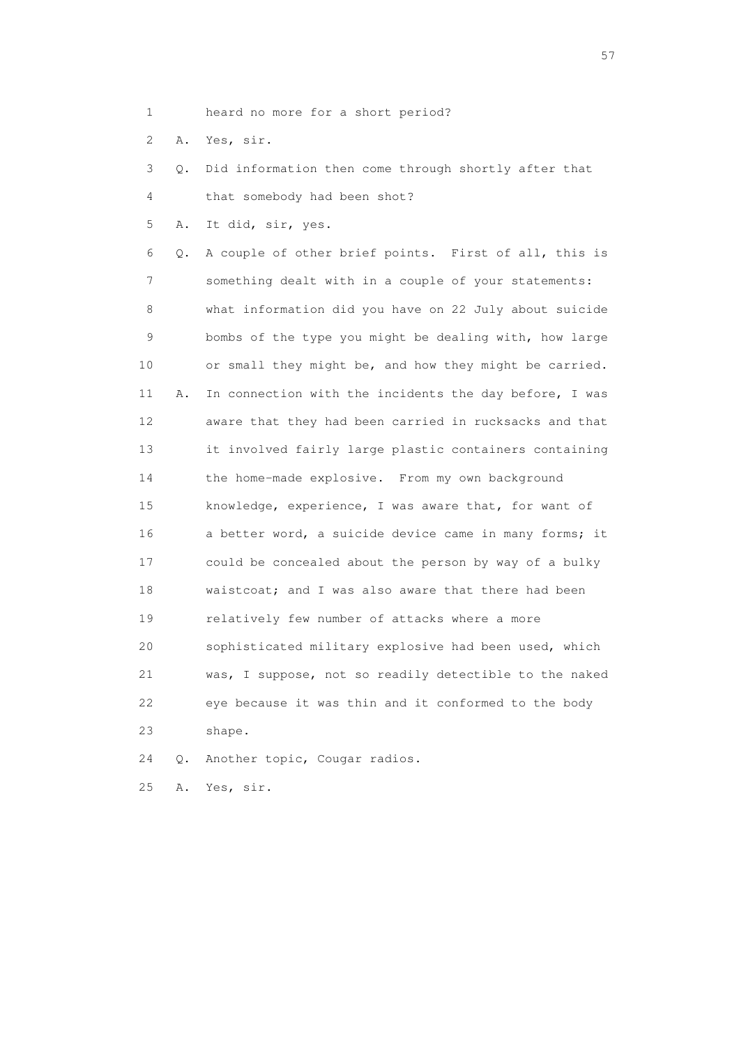- 1 heard no more for a short period?
- 2 A. Yes, sir.

 3 Q. Did information then come through shortly after that 4 that somebody had been shot?

5 A. It did, sir, yes.

 6 Q. A couple of other brief points. First of all, this is 7 something dealt with in a couple of your statements: 8 what information did you have on 22 July about suicide 9 bombs of the type you might be dealing with, how large 10 or small they might be, and how they might be carried. 11 A. In connection with the incidents the day before, I was 12 aware that they had been carried in rucksacks and that 13 it involved fairly large plastic containers containing 14 the home-made explosive. From my own background 15 knowledge, experience, I was aware that, for want of 16 a better word, a suicide device came in many forms; it 17 could be concealed about the person by way of a bulky 18 waistcoat; and I was also aware that there had been 19 relatively few number of attacks where a more 20 sophisticated military explosive had been used, which 21 was, I suppose, not so readily detectible to the naked 22 eye because it was thin and it conformed to the body 23 shape.

24 Q. Another topic, Cougar radios.

25 A. Yes, sir.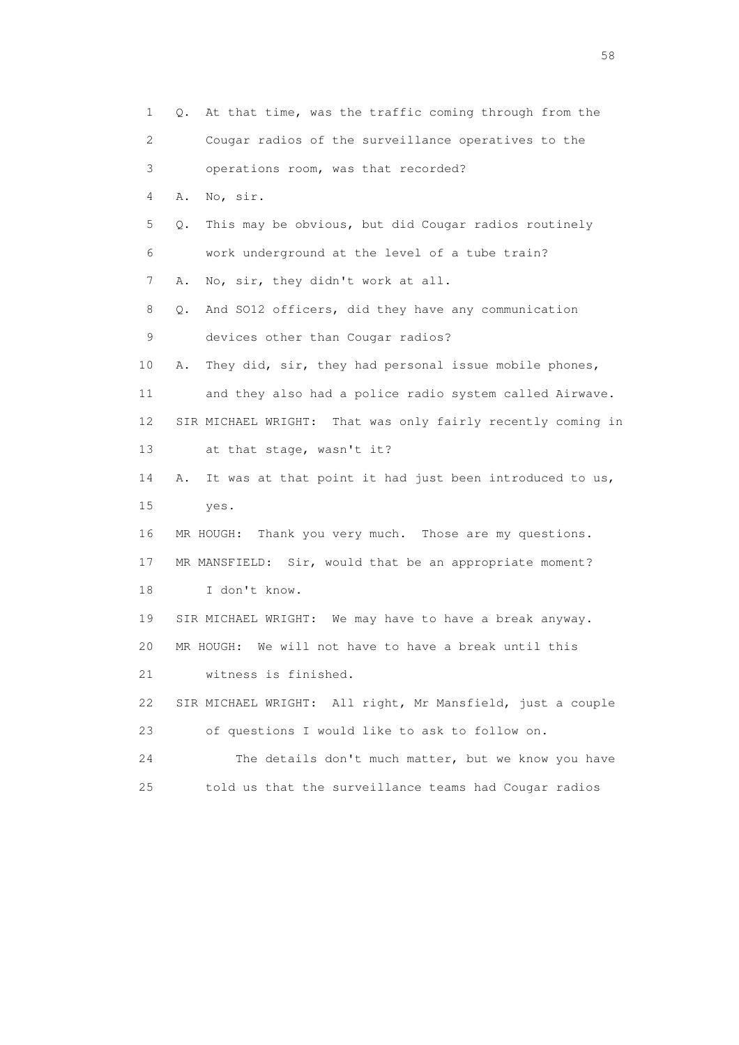| 1                         | At that time, was the traffic coming through from the<br>Q.   |
|---------------------------|---------------------------------------------------------------|
| $\mathbf{2}^{\mathsf{I}}$ | Cougar radios of the surveillance operatives to the           |
| 3                         | operations room, was that recorded?                           |
| 4                         | No, sir.<br>Α.                                                |
| 5                         | This may be obvious, but did Cougar radios routinely<br>Q.    |
| 6                         | work underground at the level of a tube train?                |
| 7                         | No, sir, they didn't work at all.<br>Α.                       |
| 8                         | And SO12 officers, did they have any communication<br>Q.      |
| 9                         | devices other than Cougar radios?                             |
| 10                        | They did, sir, they had personal issue mobile phones,<br>Α.   |
| 11                        | and they also had a police radio system called Airwave.       |
| 12                        | SIR MICHAEL WRIGHT: That was only fairly recently coming in   |
| 13                        | at that stage, wasn't it?                                     |
| 14                        | It was at that point it had just been introduced to us,<br>Α. |
| 15                        | yes.                                                          |
| 16                        | MR HOUGH: Thank you very much. Those are my questions.        |
| 17                        | MR MANSFIELD: Sir, would that be an appropriate moment?       |
| 18                        | I don't know.                                                 |
| 19                        | SIR MICHAEL WRIGHT: We may have to have a break anyway.       |
| 20                        | We will not have to have a break until this<br>MR HOUGH:      |
| 21                        | witness is finished.                                          |
| 22                        | SIR MICHAEL WRIGHT: All right, Mr Mansfield, just a couple    |
| 23                        | of questions I would like to ask to follow on.                |
| 24                        | The details don't much matter, but we know you have           |
| 25                        | told us that the surveillance teams had Cougar radios         |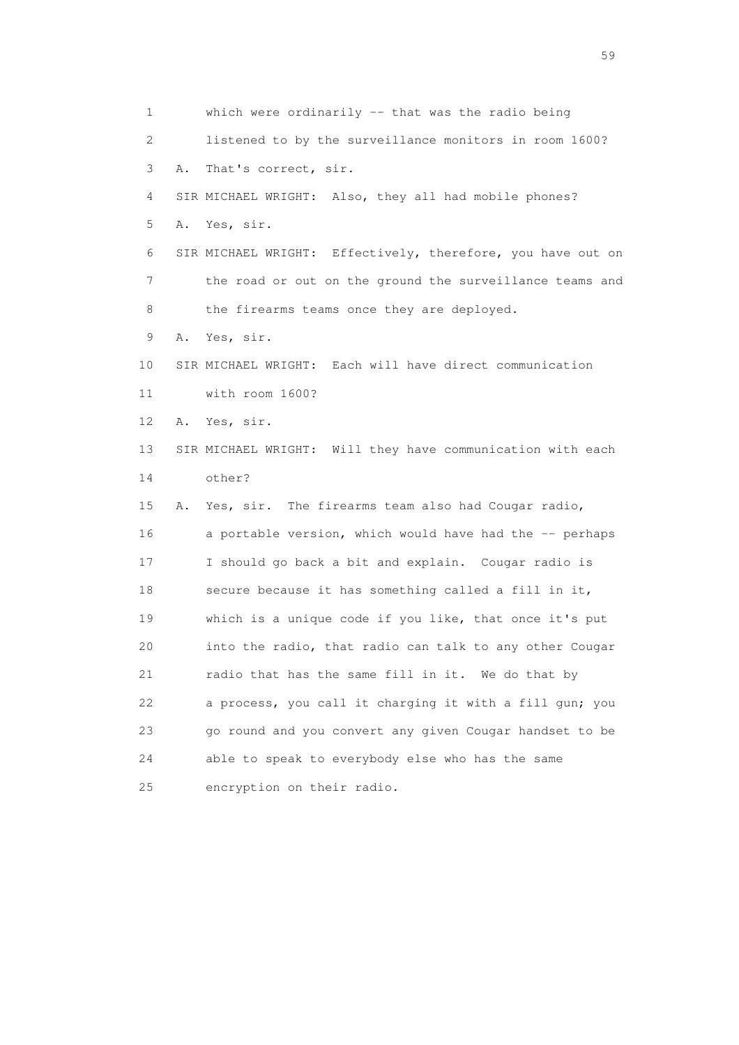1 which were ordinarily -- that was the radio being 2 listened to by the surveillance monitors in room 1600? 3 A. That's correct, sir. 4 SIR MICHAEL WRIGHT: Also, they all had mobile phones? 5 A. Yes, sir. 6 SIR MICHAEL WRIGHT: Effectively, therefore, you have out on 7 the road or out on the ground the surveillance teams and 8 the firearms teams once they are deployed. 9 A. Yes, sir. 10 SIR MICHAEL WRIGHT: Each will have direct communication 11 with room 1600? 12 A. Yes, sir. 13 SIR MICHAEL WRIGHT: Will they have communication with each 14 other? 15 A. Yes, sir. The firearms team also had Cougar radio, 16 a portable version, which would have had the -- perhaps 17 I should go back a bit and explain. Cougar radio is 18 secure because it has something called a fill in it, 19 which is a unique code if you like, that once it's put 20 into the radio, that radio can talk to any other Cougar 21 radio that has the same fill in it. We do that by 22 a process, you call it charging it with a fill gun; you 23 go round and you convert any given Cougar handset to be 24 able to speak to everybody else who has the same 25 encryption on their radio.

 $59<sub>2</sub>$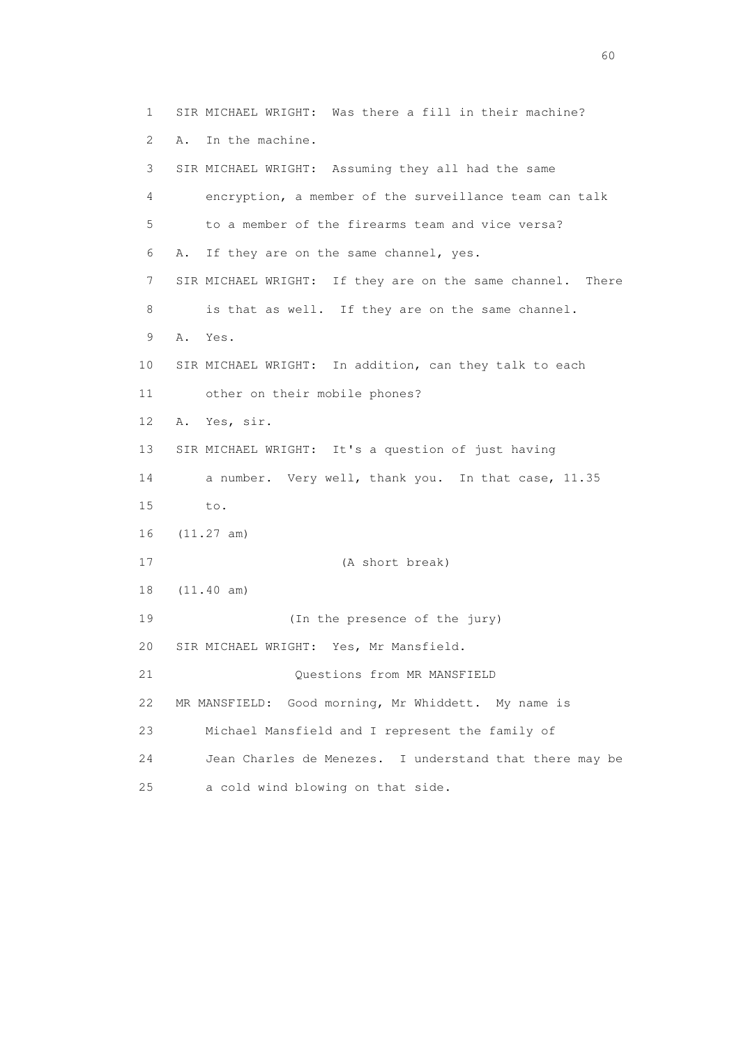1 SIR MICHAEL WRIGHT: Was there a fill in their machine? 2 A. In the machine. 3 SIR MICHAEL WRIGHT: Assuming they all had the same 4 encryption, a member of the surveillance team can talk 5 to a member of the firearms team and vice versa? 6 A. If they are on the same channel, yes. 7 SIR MICHAEL WRIGHT: If they are on the same channel. There 8 is that as well. If they are on the same channel. 9 A. Yes. 10 SIR MICHAEL WRIGHT: In addition, can they talk to each 11 other on their mobile phones? 12 A. Yes, sir. 13 SIR MICHAEL WRIGHT: It's a question of just having 14 a number. Very well, thank you. In that case, 11.35 15 to. 16 (11.27 am) 17 (A short break) 18 (11.40 am) 19 (In the presence of the jury) 20 SIR MICHAEL WRIGHT: Yes, Mr Mansfield. 21 Questions from MR MANSFIELD 22 MR MANSFIELD: Good morning, Mr Whiddett. My name is 23 Michael Mansfield and I represent the family of 24 Jean Charles de Menezes. I understand that there may be 25 a cold wind blowing on that side.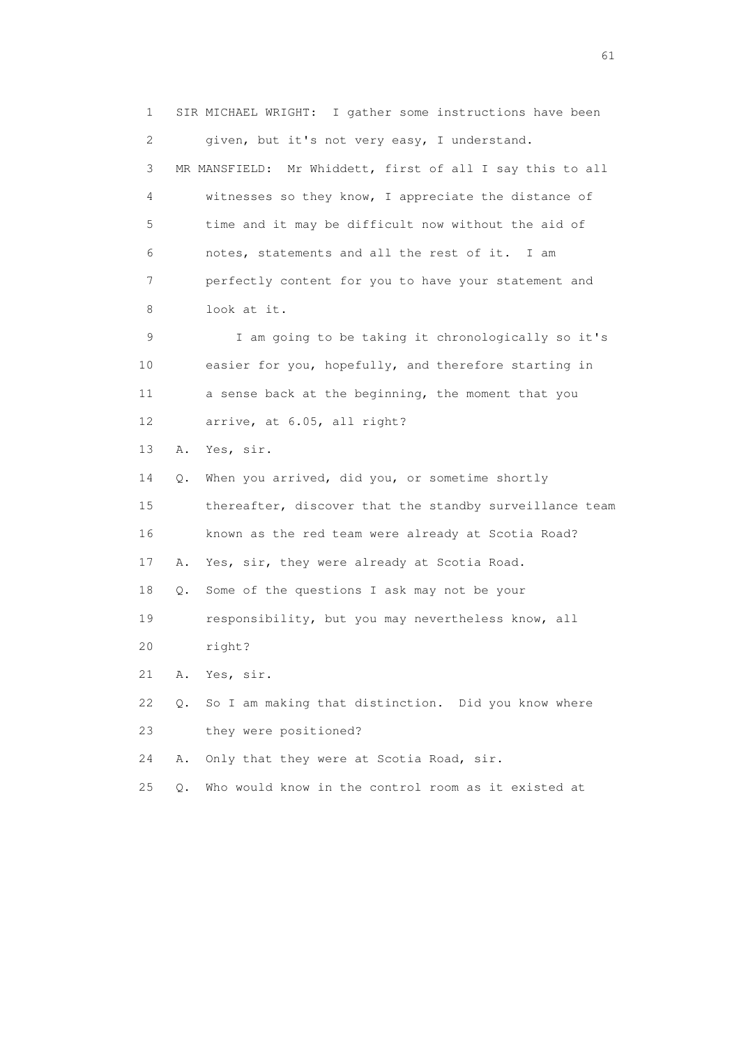1 SIR MICHAEL WRIGHT: I gather some instructions have been 2 given, but it's not very easy, I understand. 3 MR MANSFIELD: Mr Whiddett, first of all I say this to all 4 witnesses so they know, I appreciate the distance of 5 time and it may be difficult now without the aid of 6 notes, statements and all the rest of it. I am 7 perfectly content for you to have your statement and 8 look at it. 9 I am going to be taking it chronologically so it's 10 easier for you, hopefully, and therefore starting in 11 a sense back at the beginning, the moment that you 12 arrive, at 6.05, all right? 13 A. Yes, sir. 14 Q. When you arrived, did you, or sometime shortly 15 thereafter, discover that the standby surveillance team 16 known as the red team were already at Scotia Road? 17 A. Yes, sir, they were already at Scotia Road. 18 Q. Some of the questions I ask may not be your 19 responsibility, but you may nevertheless know, all 20 right? 21 A. Yes, sir. 22 Q. So I am making that distinction. Did you know where 23 they were positioned? 24 A. Only that they were at Scotia Road, sir. 25 Q. Who would know in the control room as it existed at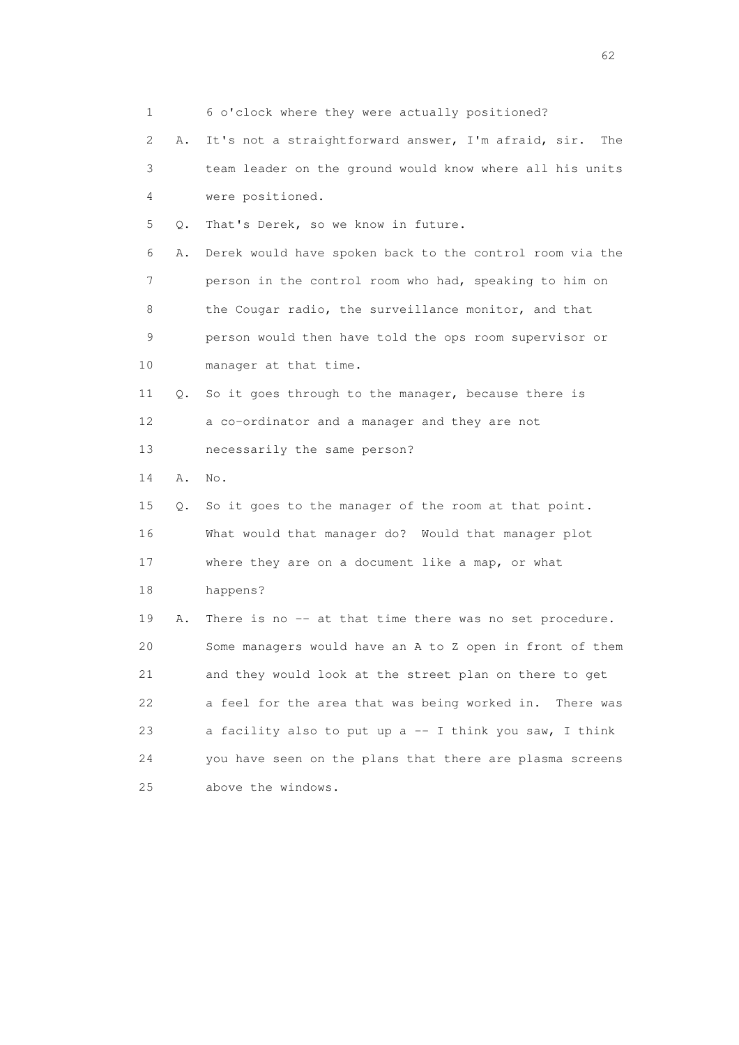|    | 1       | 6 o'clock where they were actually positioned?             |
|----|---------|------------------------------------------------------------|
|    | 2<br>Α. | It's not a straightforward answer, I'm afraid, sir.<br>The |
|    | 3       | team leader on the ground would know where all his units   |
|    | 4       | were positioned.                                           |
|    | 5<br>Q. | That's Derek, so we know in future.                        |
|    | 6<br>Α. | Derek would have spoken back to the control room via the   |
|    | 7       | person in the control room who had, speaking to him on     |
|    | 8       | the Cougar radio, the surveillance monitor, and that       |
|    | 9       | person would then have told the ops room supervisor or     |
| 10 |         | manager at that time.                                      |
| 11 | Q.      | So it goes through to the manager, because there is        |
| 12 |         | a co-ordinator and a manager and they are not              |
| 13 |         | necessarily the same person?                               |
| 14 | Α.      | No.                                                        |
| 15 | Q.      | So it goes to the manager of the room at that point.       |
| 16 |         | What would that manager do? Would that manager plot        |
| 17 |         | where they are on a document like a map, or what           |
| 18 |         | happens?                                                   |
| 19 | Α.      | There is no -- at that time there was no set procedure.    |
| 20 |         | Some managers would have an A to Z open in front of them   |
| 21 |         | and they would look at the street plan on there to get     |
| 22 |         | a feel for the area that was being worked in. There was    |
| 23 |         | a facility also to put up a -- I think you saw, I think    |
| 24 |         | you have seen on the plans that there are plasma screens   |
| 25 |         | above the windows.                                         |

 $\sim$  62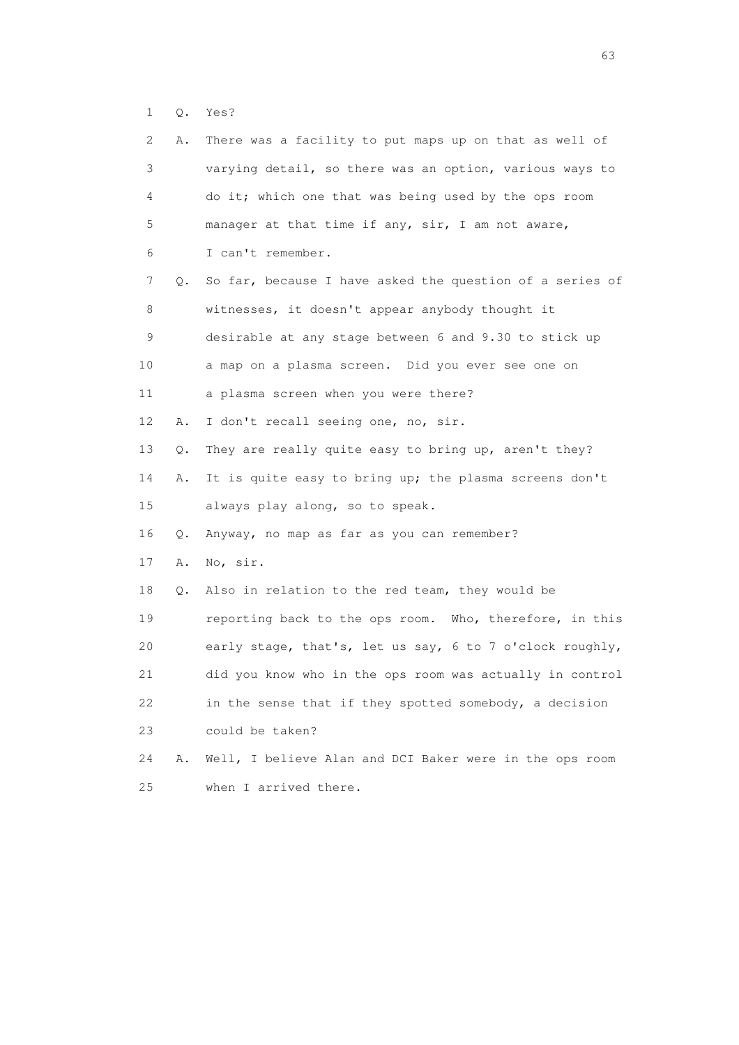1 Q. Yes?

| 2. | Α. | There was a facility to put maps up on that as well of   |
|----|----|----------------------------------------------------------|
| 3  |    | varying detail, so there was an option, various ways to  |
| 4  |    | do it; which one that was being used by the ops room     |
| 5  |    | manager at that time if any, sir, I am not aware,        |
| 6  |    | I can't remember.                                        |
| 7  | Q. | So far, because I have asked the question of a series of |
| 8  |    | witnesses, it doesn't appear anybody thought it          |
| 9  |    | desirable at any stage between 6 and 9.30 to stick up    |
| 10 |    | a map on a plasma screen. Did you ever see one on        |
| 11 |    | a plasma screen when you were there?                     |
| 12 | Α. | I don't recall seeing one, no, sir.                      |
| 13 | Q. | They are really quite easy to bring up, aren't they?     |
| 14 | Α. | It is quite easy to bring up; the plasma screens don't   |
| 15 |    | always play along, so to speak.                          |
| 16 | Q. | Anyway, no map as far as you can remember?               |
| 17 | Α. | No, sir.                                                 |
| 18 | Q. | Also in relation to the red team, they would be          |
| 19 |    | reporting back to the ops room. Who, therefore, in this  |
| 20 |    | early stage, that's, let us say, 6 to 7 o'clock roughly, |
| 21 |    | did you know who in the ops room was actually in control |
| 22 |    | in the sense that if they spotted somebody, a decision   |
| 23 |    | could be taken?                                          |
| 24 | Α. | Well, I believe Alan and DCI Baker were in the ops room  |
| 25 |    | when I arrived there.                                    |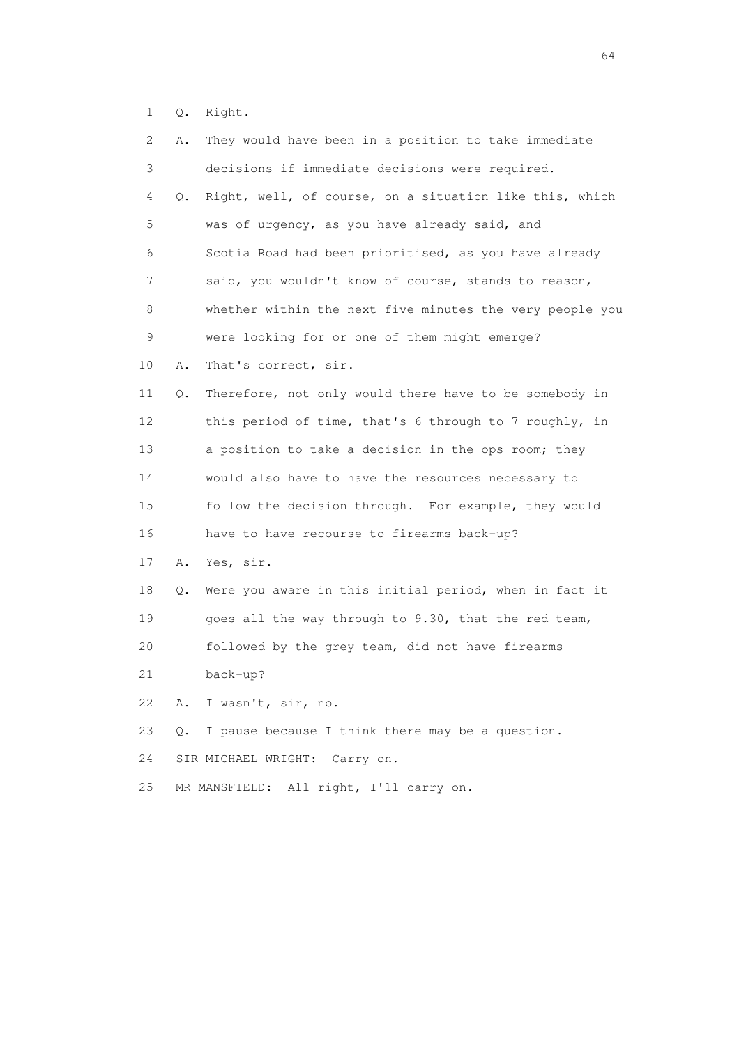1 Q. Right.

| $\mathbf{2}^{\mathsf{I}}$ | Α. | They would have been in a position to take immediate     |
|---------------------------|----|----------------------------------------------------------|
| 3                         |    | decisions if immediate decisions were required.          |
| 4                         | Q. | Right, well, of course, on a situation like this, which  |
| 5                         |    | was of urgency, as you have already said, and            |
| 6                         |    | Scotia Road had been prioritised, as you have already    |
| 7                         |    | said, you wouldn't know of course, stands to reason,     |
| 8                         |    | whether within the next five minutes the very people you |
| 9                         |    | were looking for or one of them might emerge?            |
| 10                        | Α. | That's correct, sir.                                     |
| 11                        | Q. | Therefore, not only would there have to be somebody in   |
| 12                        |    | this period of time, that's 6 through to 7 roughly, in   |
| 13                        |    | a position to take a decision in the ops room; they      |
| 14                        |    | would also have to have the resources necessary to       |
| 15                        |    | follow the decision through. For example, they would     |
| 16                        |    | have to have recourse to firearms back-up?               |
| 17                        | Α. | Yes, sir.                                                |
| 18                        | Q. | Were you aware in this initial period, when in fact it   |
| 19                        |    | goes all the way through to 9.30, that the red team,     |
| 20                        |    | followed by the grey team, did not have firearms         |
| 21                        |    | back-up?                                                 |
| 22                        | Α. | I wasn't, sir, no.                                       |
| 23                        | О. | I pause because I think there may be a question.         |
| 24                        |    | Carry on.<br>SIR MICHAEL WRIGHT:                         |
| 25                        |    | MR MANSFIELD: All right, I'll carry on.                  |
|                           |    |                                                          |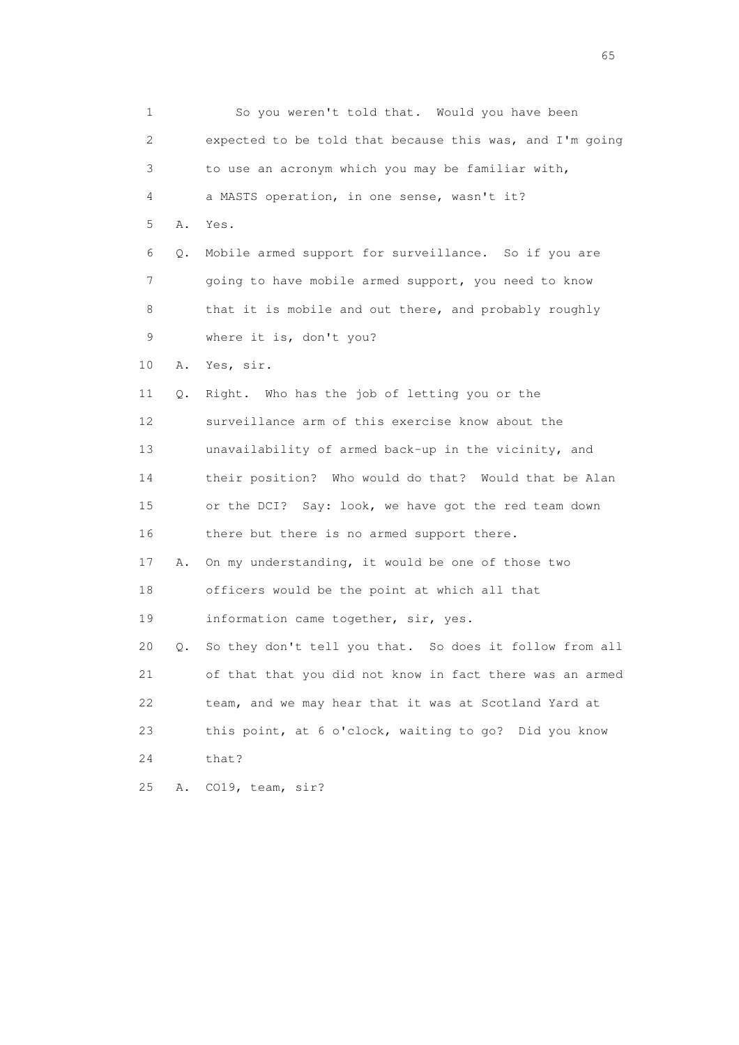1 So you weren't told that. Would you have been 2 expected to be told that because this was, and I'm going 3 to use an acronym which you may be familiar with, 4 a MASTS operation, in one sense, wasn't it? 5 A. Yes. 6 Q. Mobile armed support for surveillance. So if you are 7 going to have mobile armed support, you need to know 8 that it is mobile and out there, and probably roughly 9 where it is, don't you? 10 A. Yes, sir. 11 Q. Right. Who has the job of letting you or the 12 surveillance arm of this exercise know about the 13 unavailability of armed back-up in the vicinity, and 14 their position? Who would do that? Would that be Alan 15 or the DCI? Say: look, we have got the red team down 16 there but there is no armed support there. 17 A. On my understanding, it would be one of those two 18 officers would be the point at which all that 19 information came together, sir, yes. 20 Q. So they don't tell you that. So does it follow from all 21 of that that you did not know in fact there was an armed 22 team, and we may hear that it was at Scotland Yard at 23 this point, at 6 o'clock, waiting to go? Did you know 24 that? 25 A. CO19, team, sir?

 $\sim$  65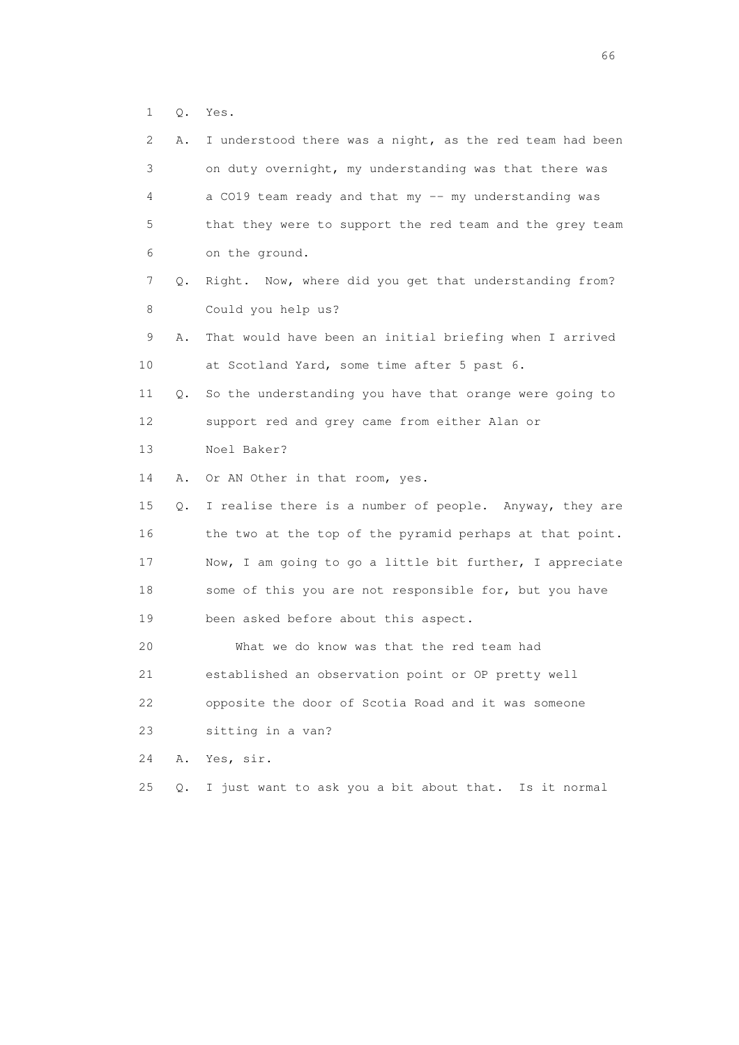1 Q. Yes.

| $\mathbf{2}^{\mathsf{I}}$ | Α. | I understood there was a night, as the red team had been |
|---------------------------|----|----------------------------------------------------------|
| 3                         |    | on duty overnight, my understanding was that there was   |
| 4                         |    | a CO19 team ready and that my -- my understanding was    |
| 5                         |    | that they were to support the red team and the grey team |
| 6                         |    | on the ground.                                           |
| 7                         | Q. | Right. Now, where did you get that understanding from?   |
| 8                         |    | Could you help us?                                       |
| 9                         | Α. | That would have been an initial briefing when I arrived  |
| 10                        |    | at Scotland Yard, some time after 5 past 6.              |
| 11                        | Q. | So the understanding you have that orange were going to  |
| 12                        |    | support red and grey came from either Alan or            |
| 13                        |    | Noel Baker?                                              |
|                           |    |                                                          |
| 14                        | Α. | Or AN Other in that room, yes.                           |
| 15                        | Q. | I realise there is a number of people. Anyway, they are  |
| 16                        |    | the two at the top of the pyramid perhaps at that point. |
| 17                        |    | Now, I am going to go a little bit further, I appreciate |
| 18                        |    | some of this you are not responsible for, but you have   |
| 19                        |    | been asked before about this aspect.                     |
| 20                        |    | What we do know was that the red team had                |
| 21                        |    | established an observation point or OP pretty well       |
| 22                        |    | opposite the door of Scotia Road and it was someone      |
| 23                        |    | sitting in a van?                                        |
| 24                        | Α. | Yes, sir.                                                |

 $\sim$  66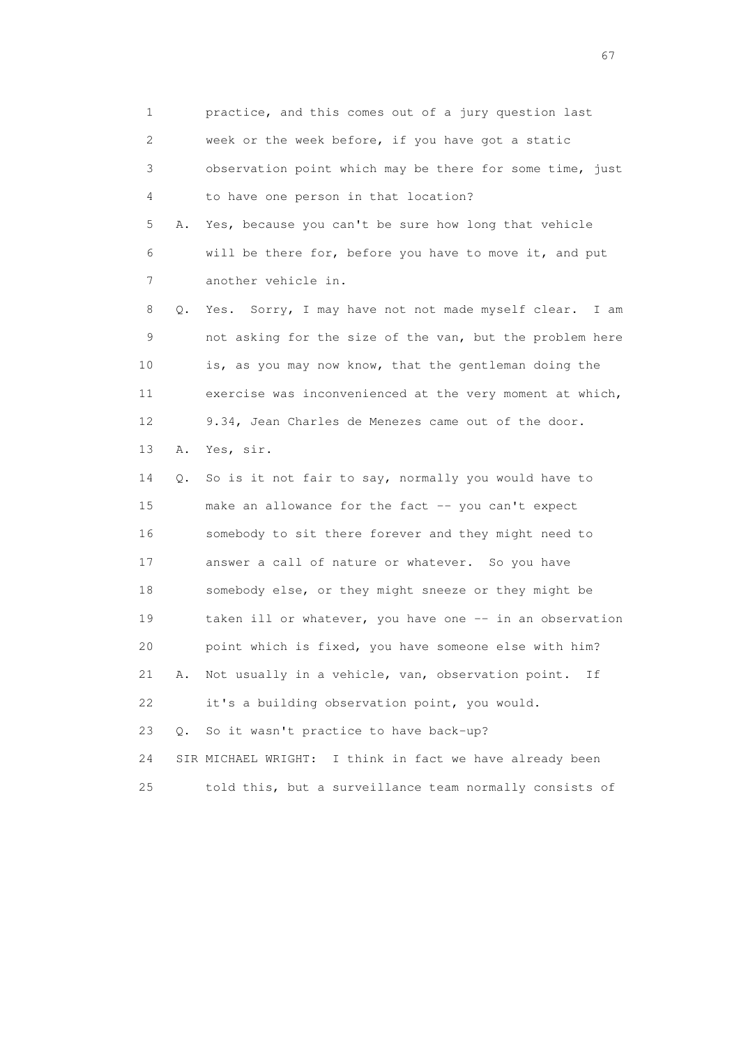1 practice, and this comes out of a jury question last 2 week or the week before, if you have got a static 3 observation point which may be there for some time, just 4 to have one person in that location? 5 A. Yes, because you can't be sure how long that vehicle 6 will be there for, before you have to move it, and put 7 another vehicle in. 8 Q. Yes. Sorry, I may have not not made myself clear. I am 9 not asking for the size of the van, but the problem here 10 is, as you may now know, that the gentleman doing the 11 exercise was inconvenienced at the very moment at which, 12 9.34, Jean Charles de Menezes came out of the door. 13 A. Yes, sir. 14 Q. So is it not fair to say, normally you would have to 15 make an allowance for the fact -- you can't expect 16 somebody to sit there forever and they might need to 17 answer a call of nature or whatever. So you have 18 somebody else, or they might sneeze or they might be 19 taken ill or whatever, you have one -- in an observation 20 point which is fixed, you have someone else with him? 21 A. Not usually in a vehicle, van, observation point. If 22 it's a building observation point, you would. 23 Q. So it wasn't practice to have back-up? 24 SIR MICHAEL WRIGHT: I think in fact we have already been 25 told this, but a surveillance team normally consists of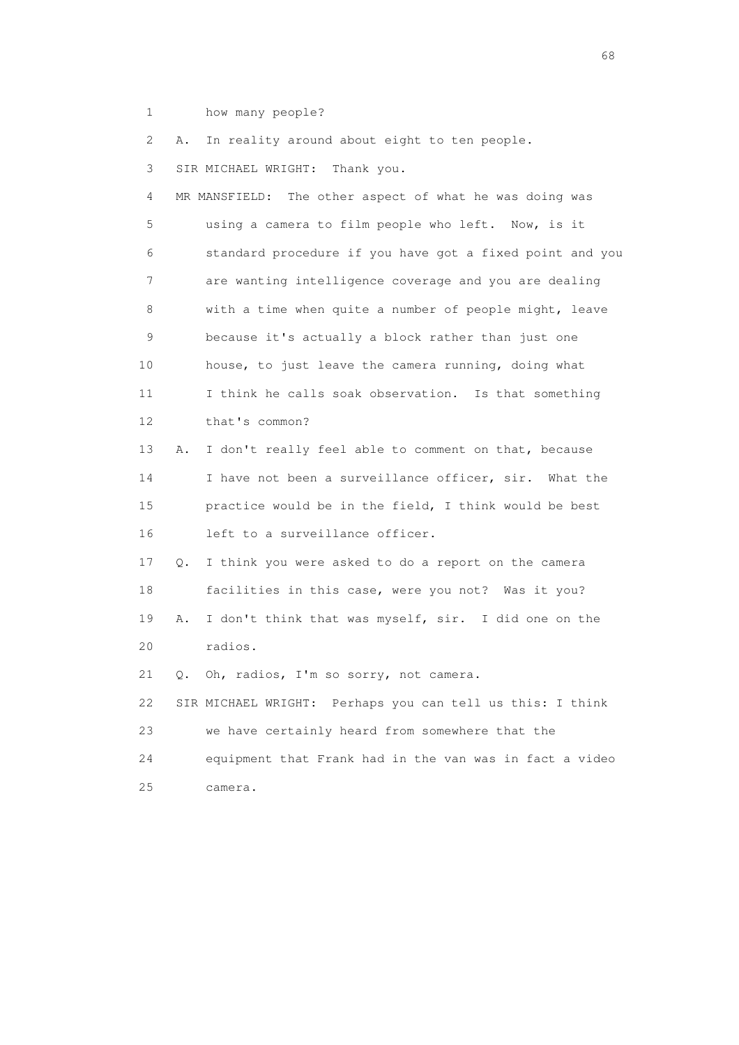1 how many people?

2 A. In reality around about eight to ten people.

3 SIR MICHAEL WRIGHT: Thank you.

 4 MR MANSFIELD: The other aspect of what he was doing was 5 using a camera to film people who left. Now, is it 6 standard procedure if you have got a fixed point and you 7 are wanting intelligence coverage and you are dealing 8 with a time when quite a number of people might, leave 9 because it's actually a block rather than just one 10 house, to just leave the camera running, doing what 11 I think he calls soak observation. Is that something 12 that's common? 13 A. I don't really feel able to comment on that, because 14 I have not been a surveillance officer, sir. What the 15 practice would be in the field, I think would be best 16 left to a surveillance officer. 17 Q. I think you were asked to do a report on the camera 18 facilities in this case, were you not? Was it you? 19 A. I don't think that was myself, sir. I did one on the 20 radios. 21 Q. Oh, radios, I'm so sorry, not camera. 22 SIR MICHAEL WRIGHT: Perhaps you can tell us this: I think

 23 we have certainly heard from somewhere that the 24 equipment that Frank had in the van was in fact a video 25 camera.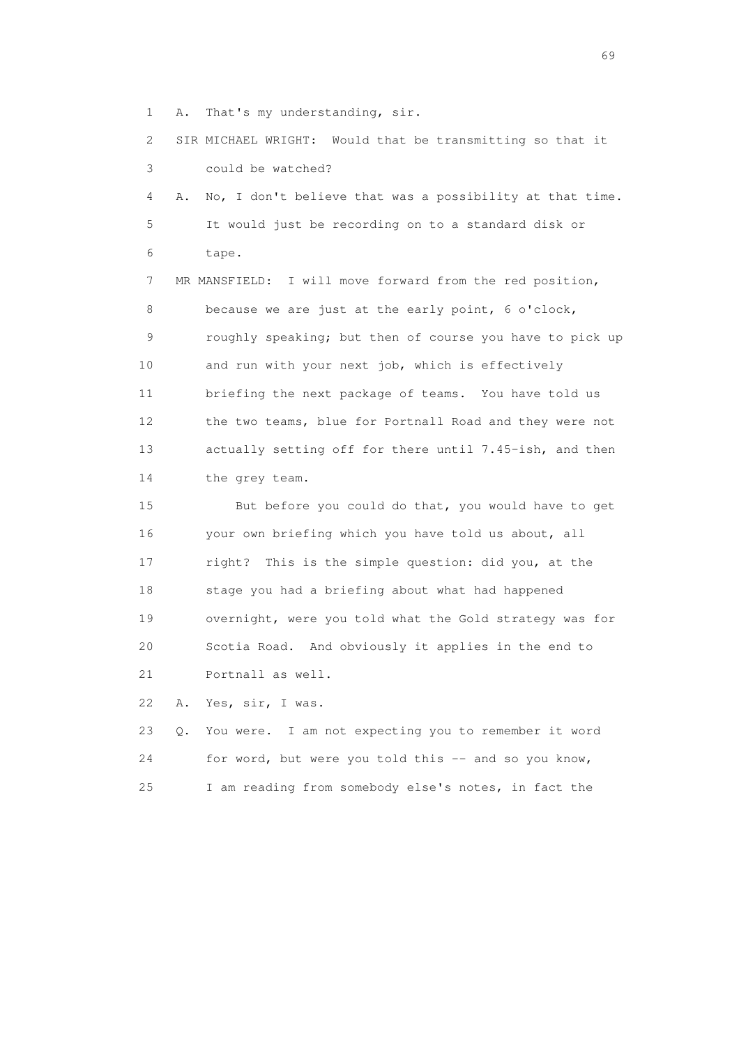1 A. That's my understanding, sir.

 2 SIR MICHAEL WRIGHT: Would that be transmitting so that it 3 could be watched?

 4 A. No, I don't believe that was a possibility at that time. 5 It would just be recording on to a standard disk or 6 tape.

 7 MR MANSFIELD: I will move forward from the red position, 8 because we are just at the early point, 6 o'clock, 9 roughly speaking; but then of course you have to pick up 10 and run with your next job, which is effectively 11 briefing the next package of teams. You have told us 12 the two teams, blue for Portnall Road and they were not 13 actually setting off for there until 7.45-ish, and then 14 the grey team.

 15 But before you could do that, you would have to get 16 your own briefing which you have told us about, all 17 right? This is the simple question: did you, at the 18 stage you had a briefing about what had happened 19 overnight, were you told what the Gold strategy was for 20 Scotia Road. And obviously it applies in the end to 21 Portnall as well.

22 A. Yes, sir, I was.

|     | 23 Q. You were. I am not expecting you to remember it word |
|-----|------------------------------------------------------------|
| 24  | for word, but were you told this -- and so you know,       |
| 25. | I am reading from somebody else's notes, in fact the       |

entral de la construction de la construction de la construction de la construction de la construction de la co<br>1990 : la construction de la construction de la construction de la construction de la construction de la const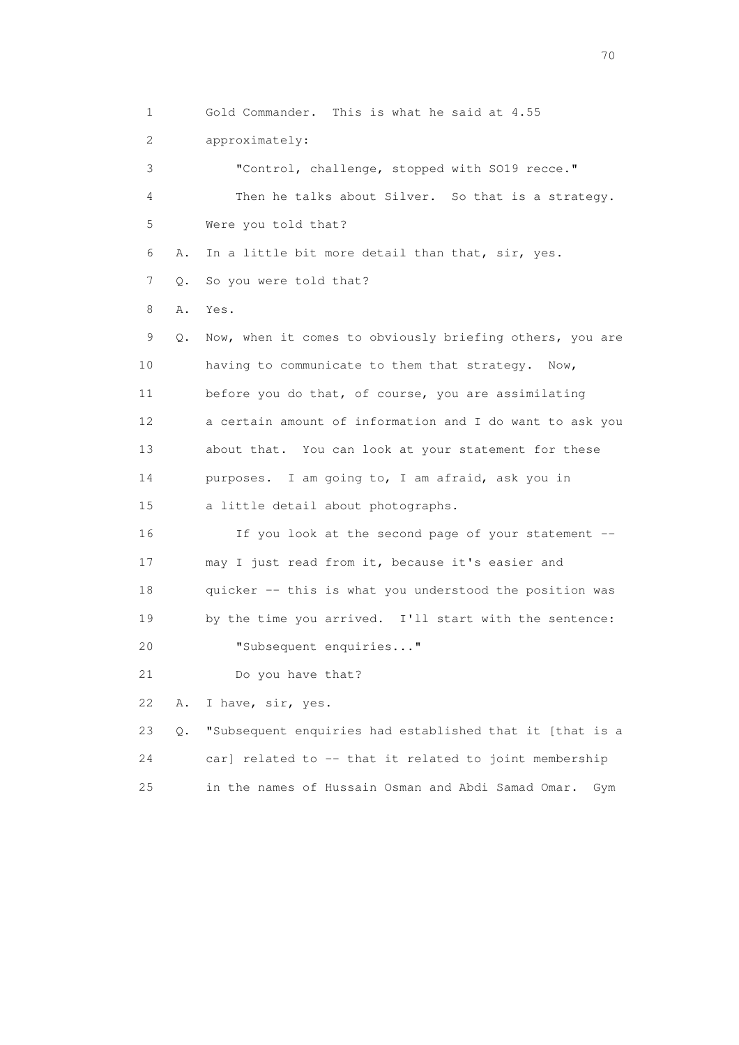1 Gold Commander. This is what he said at 4.55 2 approximately: 3 "Control, challenge, stopped with SO19 recce." 4 Then he talks about Silver. So that is a strategy. 5 Were you told that? 6 A. In a little bit more detail than that, sir, yes. 7 Q. So you were told that? 8 A. Yes. 9 Q. Now, when it comes to obviously briefing others, you are 10 having to communicate to them that strategy. Now, 11 before you do that, of course, you are assimilating 12 a certain amount of information and I do want to ask you 13 about that. You can look at your statement for these 14 purposes. I am going to, I am afraid, ask you in 15 a little detail about photographs. 16 If you look at the second page of your statement -- 17 may I just read from it, because it's easier and 18 quicker -- this is what you understood the position was 19 by the time you arrived. I'll start with the sentence: 20 "Subsequent enquiries..." 21 Do you have that? 22 A. I have, sir, yes. 23 Q. "Subsequent enquiries had established that it [that is a 24 car] related to -- that it related to joint membership 25 in the names of Hussain Osman and Abdi Samad Omar. Gym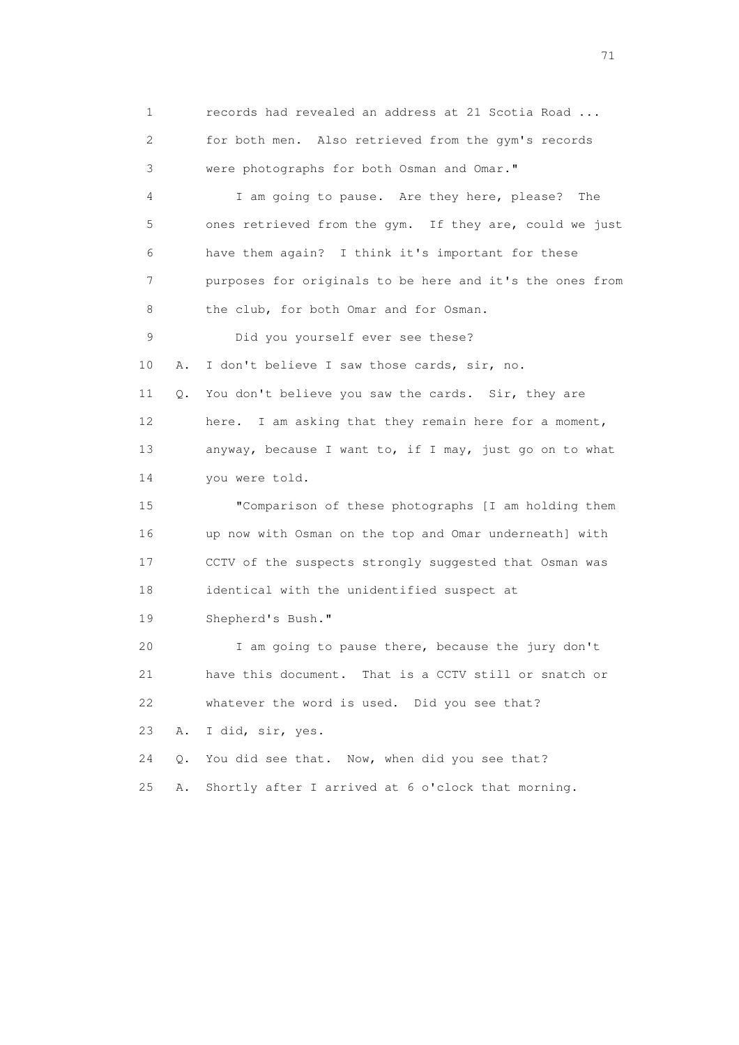1 records had revealed an address at 21 Scotia Road ... 2 for both men. Also retrieved from the gym's records 3 were photographs for both Osman and Omar." 4 I am going to pause. Are they here, please? The 5 ones retrieved from the gym. If they are, could we just 6 have them again? I think it's important for these 7 purposes for originals to be here and it's the ones from 8 the club, for both Omar and for Osman. 9 Did you yourself ever see these? 10 A. I don't believe I saw those cards, sir, no. 11 Q. You don't believe you saw the cards. Sir, they are 12 here. I am asking that they remain here for a moment, 13 anyway, because I want to, if I may, just go on to what 14 you were told. 15 "Comparison of these photographs [I am holding them 16 up now with Osman on the top and Omar underneath] with 17 CCTV of the suspects strongly suggested that Osman was 18 identical with the unidentified suspect at 19 Shepherd's Bush." 20 I am going to pause there, because the jury don't 21 have this document. That is a CCTV still or snatch or 22 whatever the word is used. Did you see that? 23 A. I did, sir, yes. 24 Q. You did see that. Now, when did you see that? 25 A. Shortly after I arrived at 6 o'clock that morning.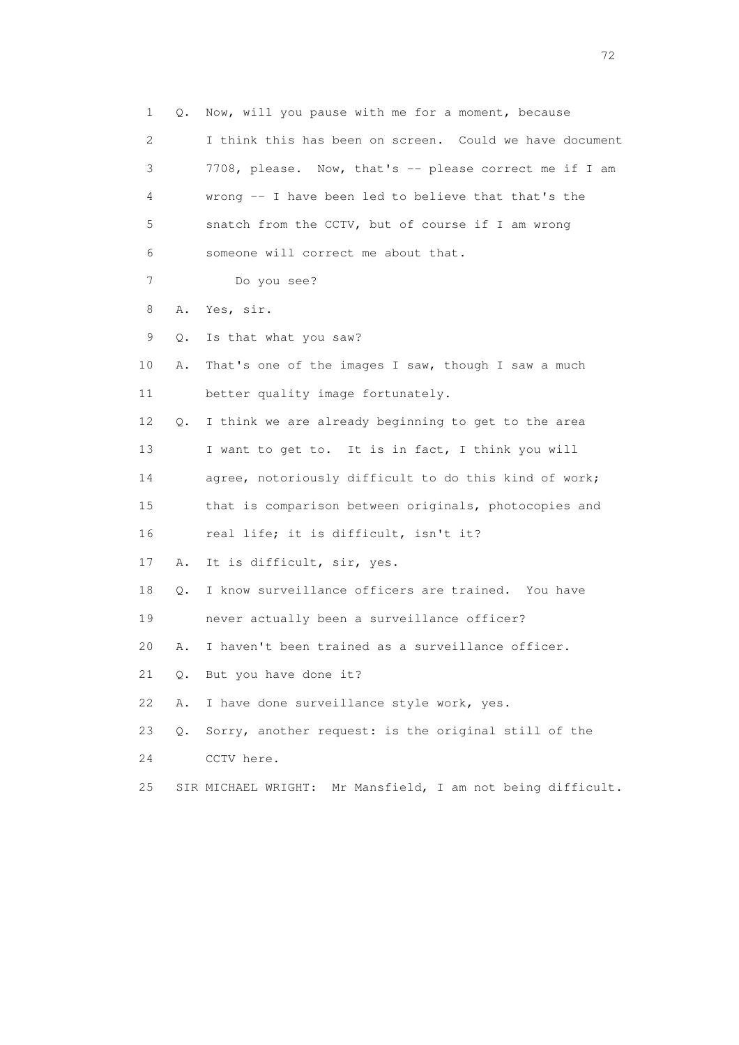1 Q. Now, will you pause with me for a moment, because 2 I think this has been on screen. Could we have document 3 7708, please. Now, that's -- please correct me if I am 4 wrong -- I have been led to believe that that's the 5 snatch from the CCTV, but of course if I am wrong 6 someone will correct me about that. 7 Do you see? 8 A. Yes, sir. 9 Q. Is that what you saw? 10 A. That's one of the images I saw, though I saw a much 11 better quality image fortunately. 12 Q. I think we are already beginning to get to the area 13 I want to get to. It is in fact, I think you will 14 agree, notoriously difficult to do this kind of work; 15 that is comparison between originals, photocopies and 16 real life; it is difficult, isn't it? 17 A. It is difficult, sir, yes. 18 Q. I know surveillance officers are trained. You have 19 never actually been a surveillance officer? 20 A. I haven't been trained as a surveillance officer. 21 Q. But you have done it? 22 A. I have done surveillance style work, yes. 23 Q. Sorry, another request: is the original still of the 24 CCTV here. 25 SIR MICHAEL WRIGHT: Mr Mansfield, I am not being difficult.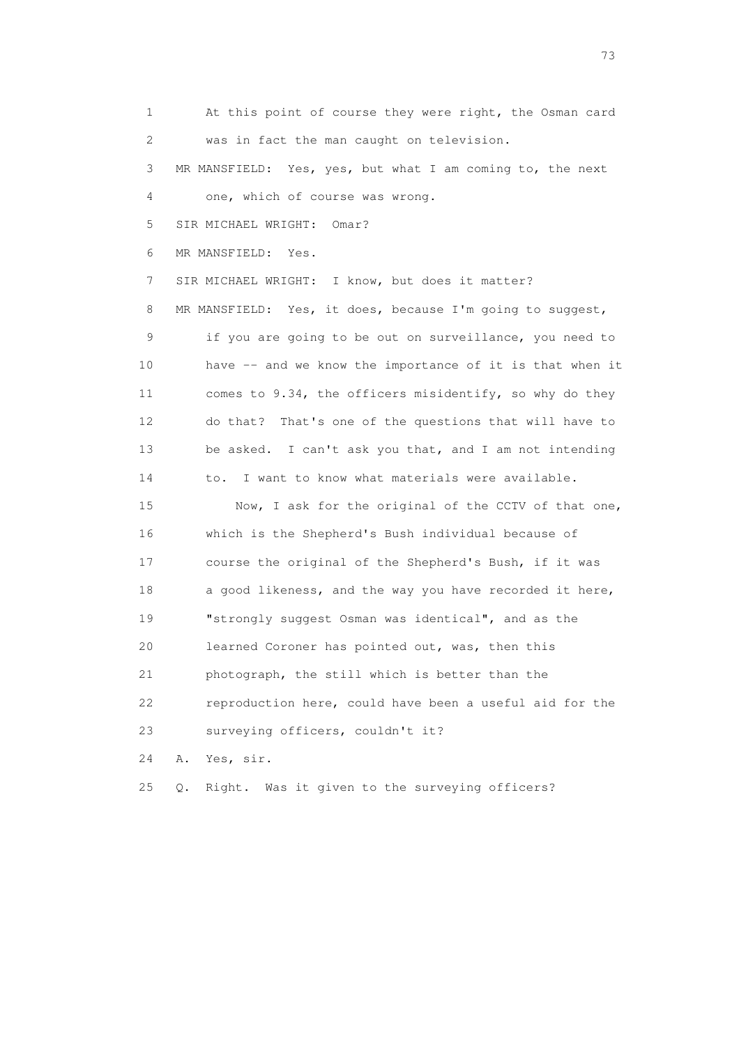1 At this point of course they were right, the Osman card 2 was in fact the man caught on television. 3 MR MANSFIELD: Yes, yes, but what I am coming to, the next 4 one, which of course was wrong. 5 SIR MICHAEL WRIGHT: Omar? 6 MR MANSFIELD: Yes. 7 SIR MICHAEL WRIGHT: I know, but does it matter? 8 MR MANSFIELD: Yes, it does, because I'm going to suggest, 9 if you are going to be out on surveillance, you need to 10 have -- and we know the importance of it is that when it 11 comes to 9.34, the officers misidentify, so why do they 12 do that? That's one of the questions that will have to 13 be asked. I can't ask you that, and I am not intending 14 to. I want to know what materials were available. 15 Now, I ask for the original of the CCTV of that one, 16 which is the Shepherd's Bush individual because of 17 course the original of the Shepherd's Bush, if it was 18 a good likeness, and the way you have recorded it here, 19 "strongly suggest Osman was identical", and as the 20 learned Coroner has pointed out, was, then this 21 photograph, the still which is better than the 22 reproduction here, could have been a useful aid for the 23 surveying officers, couldn't it? 24 A. Yes, sir.

25 Q. Right. Was it given to the surveying officers?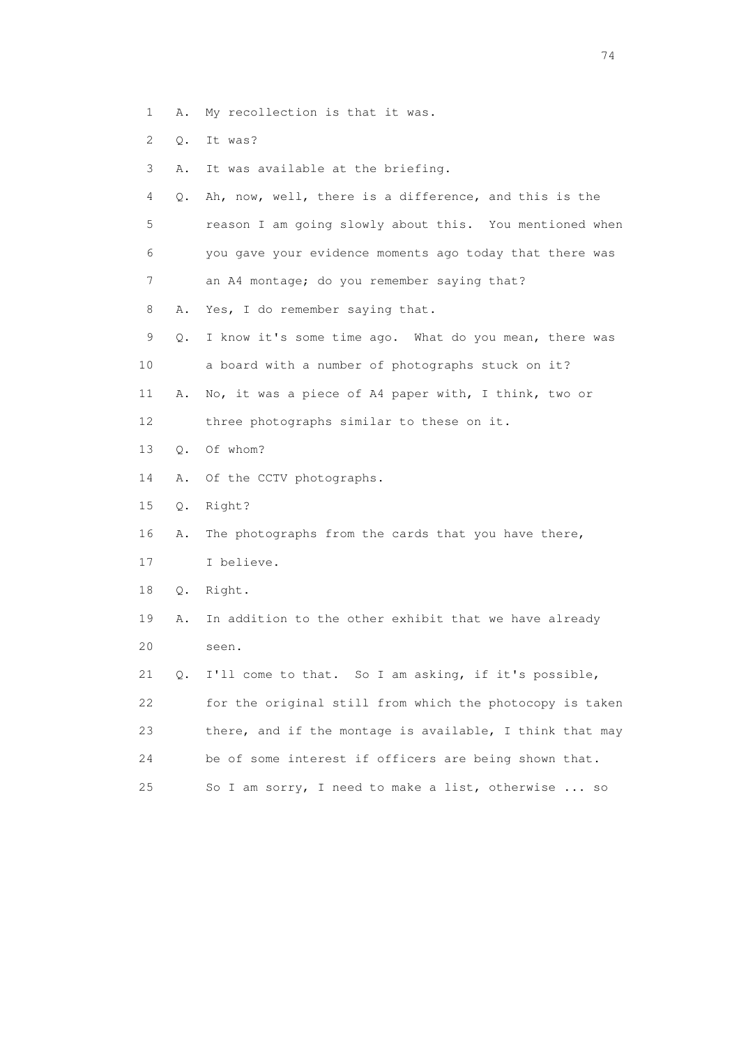- 1 A. My recollection is that it was.
- 2 Q. It was?
- 3 A. It was available at the briefing.
- 4 Q. Ah, now, well, there is a difference, and this is the 5 reason I am going slowly about this. You mentioned when 6 you gave your evidence moments ago today that there was 7 an A4 montage; do you remember saying that?
- 8 A. Yes, I do remember saying that.
- 9 Q. I know it's some time ago. What do you mean, there was 10 a board with a number of photographs stuck on it? 11 A. No, it was a piece of A4 paper with, I think, two or
- 12 three photographs similar to these on it.
- 13 Q. Of whom?
- 14 A. Of the CCTV photographs.
- 15 Q. Right?
- 16 A. The photographs from the cards that you have there,
- 17 I believe.
- 18 Q. Right.
- 19 A. In addition to the other exhibit that we have already 20 seen.
- 21 Q. I'll come to that. So I am asking, if it's possible, 22 for the original still from which the photocopy is taken 23 there, and if the montage is available, I think that may 24 be of some interest if officers are being shown that. 25 So I am sorry, I need to make a list, otherwise ... so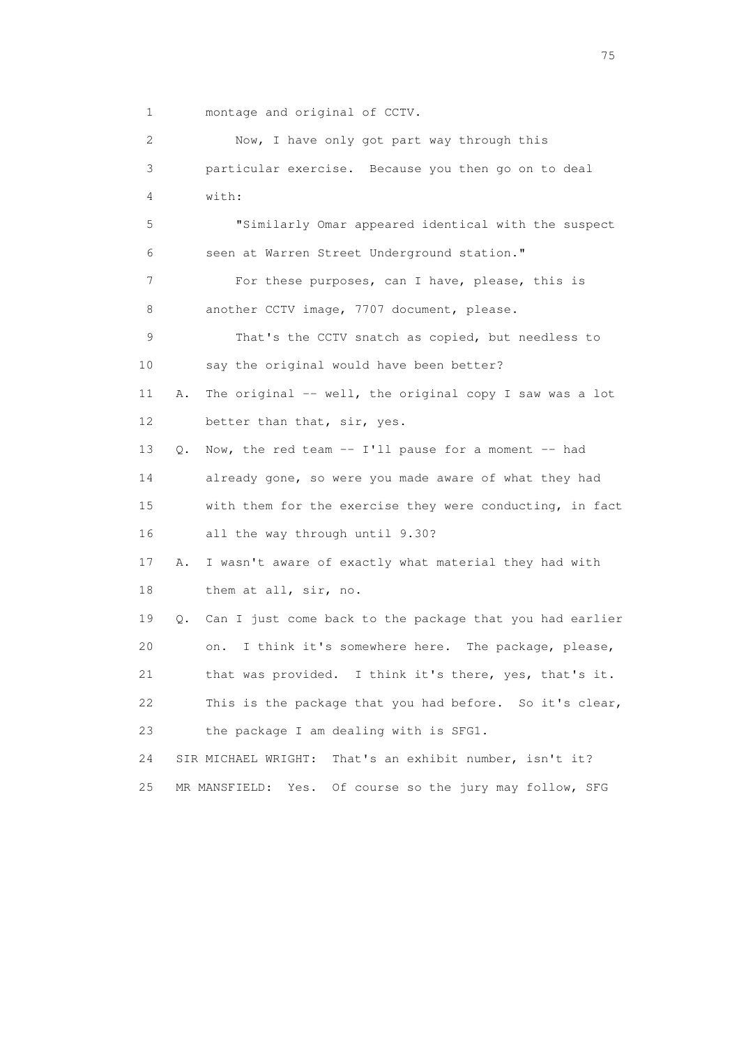1 montage and original of CCTV.

| $\mathbf{2}^{\mathsf{I}}$ | Now, I have only got part way through this                     |  |
|---------------------------|----------------------------------------------------------------|--|
| 3                         | particular exercise. Because you then go on to deal            |  |
| 4                         | with:                                                          |  |
| 5                         | "Similarly Omar appeared identical with the suspect            |  |
| 6                         | seen at Warren Street Underground station."                    |  |
| 7                         | For these purposes, can I have, please, this is                |  |
| 8                         | another CCTV image, 7707 document, please.                     |  |
| 9                         | That's the CCTV snatch as copied, but needless to              |  |
| 10                        | say the original would have been better?                       |  |
| 11                        | The original -- well, the original copy I saw was a lot<br>Α.  |  |
| 12                        | better than that, sir, yes.                                    |  |
| 13                        | Now, the red team $-$ I'll pause for a moment $-$ had<br>Q.    |  |
| 14                        | already gone, so were you made aware of what they had          |  |
| 15                        | with them for the exercise they were conducting, in fact       |  |
| 16                        | all the way through until 9.30?                                |  |
| 17                        | I wasn't aware of exactly what material they had with<br>Α.    |  |
| 18                        | them at all, sir, no.                                          |  |
| 19                        | Can I just come back to the package that you had earlier<br>Q. |  |
| 20                        | I think it's somewhere here. The package, please,<br>on.       |  |
| 21                        | I think it's there, yes, that's it.<br>that was provided.      |  |
| 22                        | This is the package that you had before. So it's clear,        |  |
| 23                        | the package I am dealing with is SFG1.                         |  |
| 24                        | SIR MICHAEL WRIGHT:<br>That's an exhibit number, isn't it?     |  |
| 25                        | Of course so the jury may follow, SFG<br>MR MANSFIELD:<br>Yes. |  |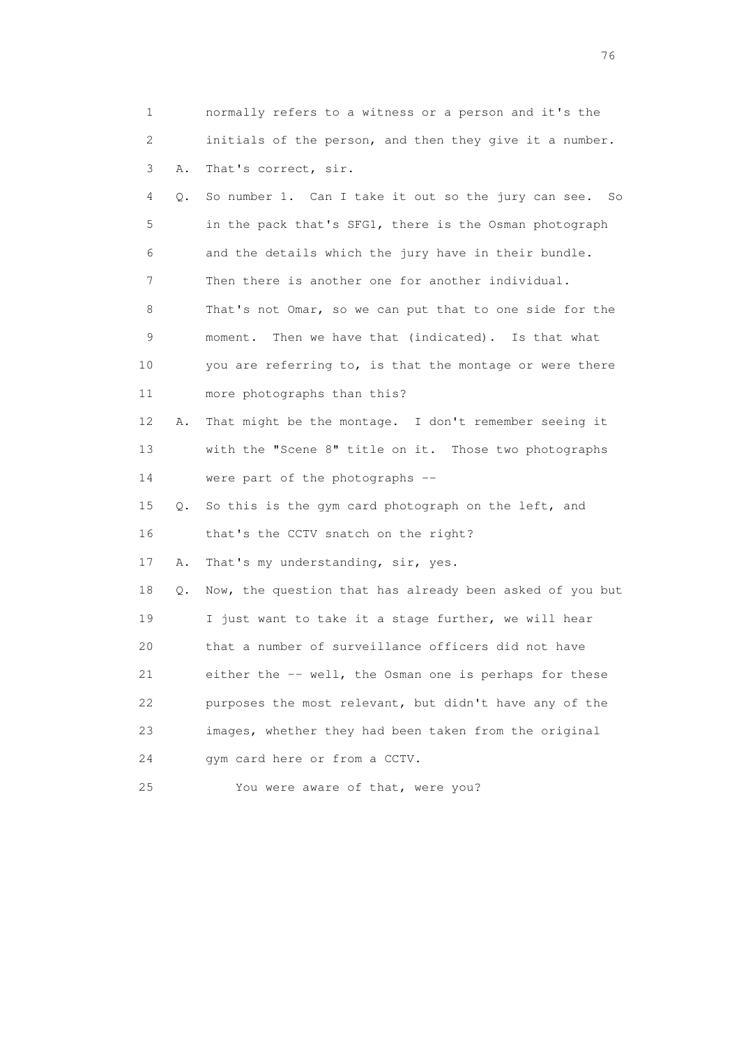| 1  |    | normally refers to a witness or a person and it's the    |
|----|----|----------------------------------------------------------|
| 2  |    | initials of the person, and then they give it a number.  |
| 3  | Α. | That's correct, sir.                                     |
| 4  | Q. | So number 1. Can I take it out so the jury can see. So   |
| 5  |    | in the pack that's SFG1, there is the Osman photograph   |
| 6  |    | and the details which the jury have in their bundle.     |
| 7  |    | Then there is another one for another individual.        |
| 8  |    | That's not Omar, so we can put that to one side for the  |
| 9  |    | moment. Then we have that (indicated). Is that what      |
| 10 |    | you are referring to, is that the montage or were there  |
| 11 |    | more photographs than this?                              |
| 12 | Α. | That might be the montage. I don't remember seeing it    |
| 13 |    | with the "Scene 8" title on it. Those two photographs    |
| 14 |    | were part of the photographs --                          |
| 15 | Q. | So this is the gym card photograph on the left, and      |
| 16 |    | that's the CCTV snatch on the right?                     |
| 17 | Α. | That's my understanding, sir, yes.                       |
| 18 | Q. | Now, the question that has already been asked of you but |
| 19 |    | I just want to take it a stage further, we will hear     |
| 20 |    | that a number of surveillance officers did not have      |
| 21 |    | either the -- well, the Osman one is perhaps for these   |
| 22 |    | purposes the most relevant, but didn't have any of the   |
| 23 |    | images, whether they had been taken from the original    |
| 24 |    | gym card here or from a CCTV.                            |
| 25 |    | You were aware of that, were you?                        |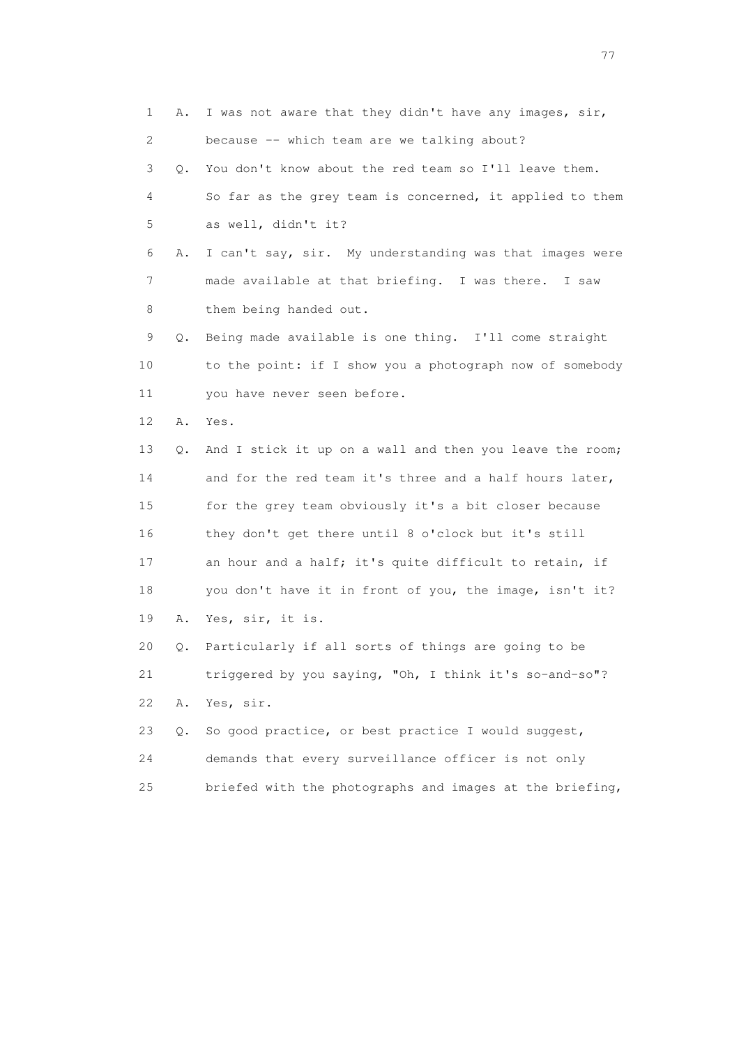1 A. I was not aware that they didn't have any images, sir, 2 because -- which team are we talking about? 3 Q. You don't know about the red team so I'll leave them. 4 So far as the grey team is concerned, it applied to them 5 as well, didn't it? 6 A. I can't say, sir. My understanding was that images were 7 made available at that briefing. I was there. I saw 8 them being handed out. 9 Q. Being made available is one thing. I'll come straight 10 to the point: if I show you a photograph now of somebody 11 you have never seen before. 12 A. Yes. 13 Q. And I stick it up on a wall and then you leave the room; 14 and for the red team it's three and a half hours later, 15 for the grey team obviously it's a bit closer because 16 they don't get there until 8 o'clock but it's still 17 an hour and a half; it's quite difficult to retain, if 18 you don't have it in front of you, the image, isn't it? 19 A. Yes, sir, it is. 20 Q. Particularly if all sorts of things are going to be 21 triggered by you saying, "Oh, I think it's so-and-so"? 22 A. Yes, sir. 23 Q. So good practice, or best practice I would suggest, 24 demands that every surveillance officer is not only 25 briefed with the photographs and images at the briefing,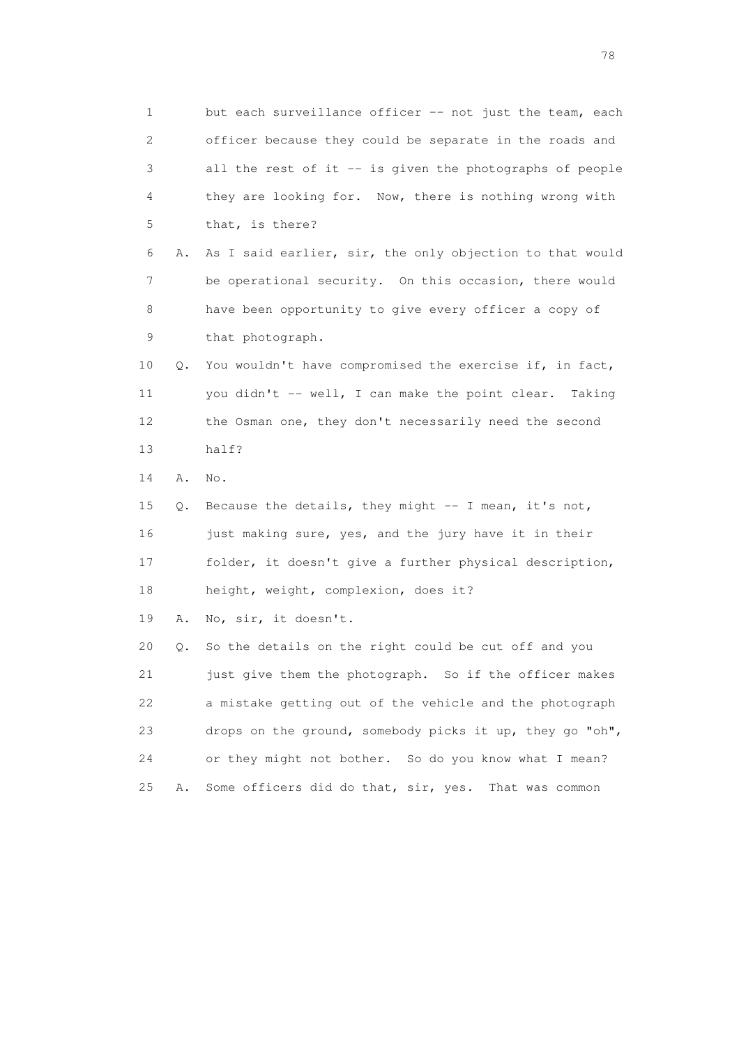1 but each surveillance officer -- not just the team, each 2 officer because they could be separate in the roads and 3 all the rest of it -- is given the photographs of people 4 they are looking for. Now, there is nothing wrong with 5 that, is there? 6 A. As I said earlier, sir, the only objection to that would 7 be operational security. On this occasion, there would 8 have been opportunity to give every officer a copy of 9 that photograph. 10 Q. You wouldn't have compromised the exercise if, in fact, 11 you didn't -- well, I can make the point clear. Taking 12 the Osman one, they don't necessarily need the second 13 half? 14 A. No. 15 Q. Because the details, they might -- I mean, it's not, 16 just making sure, yes, and the jury have it in their 17 folder, it doesn't give a further physical description, 18 height, weight, complexion, does it? 19 A. No, sir, it doesn't. 20 Q. So the details on the right could be cut off and you 21 just give them the photograph. So if the officer makes 22 a mistake getting out of the vehicle and the photograph 23 drops on the ground, somebody picks it up, they go "oh", 24 or they might not bother. So do you know what I mean? 25 A. Some officers did do that, sir, yes. That was common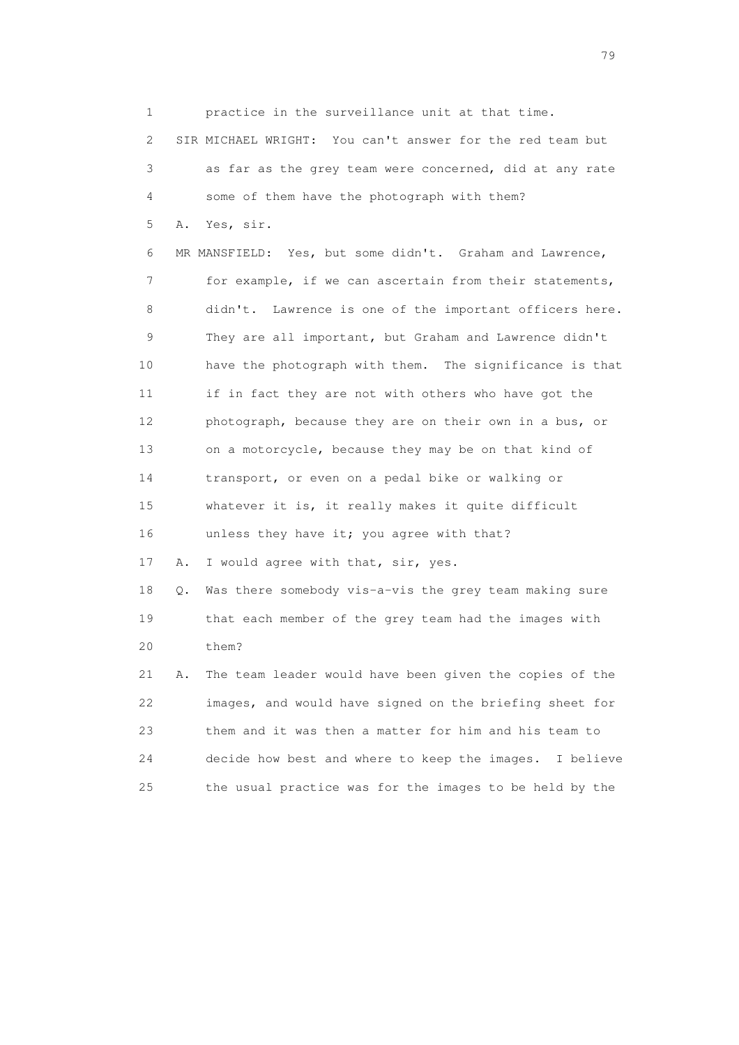1 practice in the surveillance unit at that time. 2 SIR MICHAEL WRIGHT: You can't answer for the red team but 3 as far as the grey team were concerned, did at any rate 4 some of them have the photograph with them? 5 A. Yes, sir. 6 MR MANSFIELD: Yes, but some didn't. Graham and Lawrence, 7 for example, if we can ascertain from their statements, 8 didn't. Lawrence is one of the important officers here. 9 They are all important, but Graham and Lawrence didn't 10 have the photograph with them. The significance is that 11 if in fact they are not with others who have got the 12 photograph, because they are on their own in a bus, or 13 on a motorcycle, because they may be on that kind of 14 transport, or even on a pedal bike or walking or 15 whatever it is, it really makes it quite difficult 16 unless they have it; you agree with that? 17 A. I would agree with that, sir, yes. 18 Q. Was there somebody vis-a-vis the grey team making sure 19 that each member of the grey team had the images with 20 them? 21 A. The team leader would have been given the copies of the 22 images, and would have signed on the briefing sheet for 23 them and it was then a matter for him and his team to 24 decide how best and where to keep the images. I believe 25 the usual practice was for the images to be held by the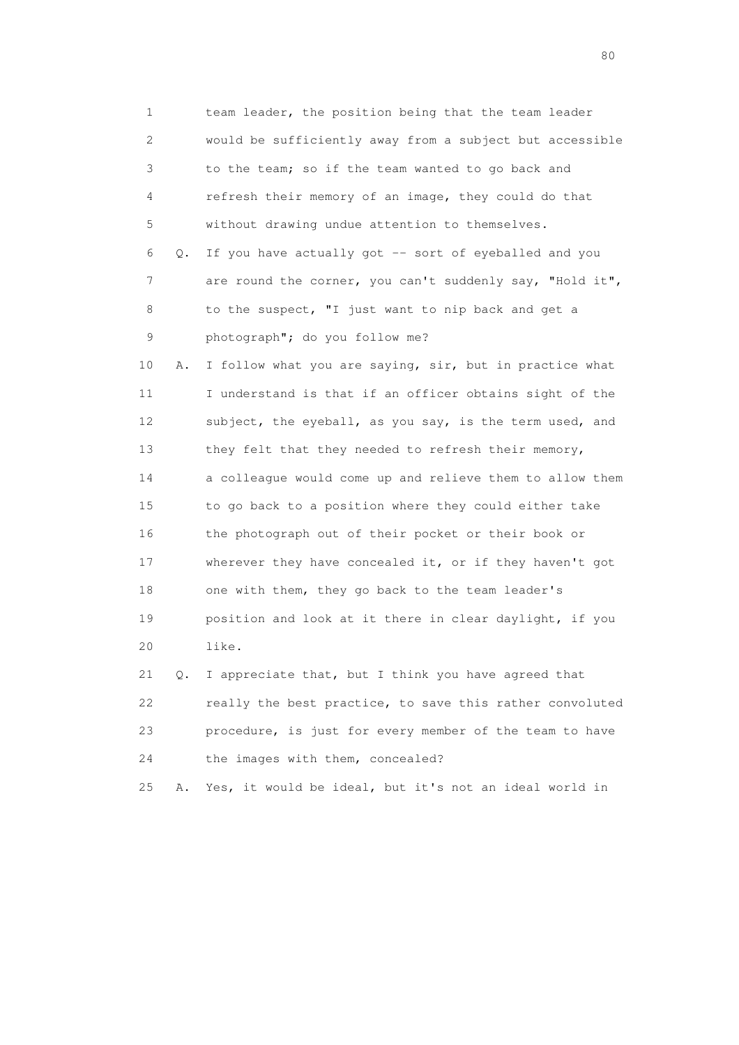1 team leader, the position being that the team leader 2 would be sufficiently away from a subject but accessible 3 to the team; so if the team wanted to go back and 4 refresh their memory of an image, they could do that 5 without drawing undue attention to themselves. 6 Q. If you have actually got -- sort of eyeballed and you 7 are round the corner, you can't suddenly say, "Hold it", 8 to the suspect, "I just want to nip back and get a 9 photograph"; do you follow me? 10 A. I follow what you are saying, sir, but in practice what 11 I understand is that if an officer obtains sight of the 12 subject, the eyeball, as you say, is the term used, and 13 they felt that they needed to refresh their memory, 14 a colleague would come up and relieve them to allow them 15 to go back to a position where they could either take 16 the photograph out of their pocket or their book or 17 wherever they have concealed it, or if they haven't got 18 one with them, they go back to the team leader's 19 position and look at it there in clear daylight, if you 20 like. 21 Q. I appreciate that, but I think you have agreed that 22 really the best practice, to save this rather convoluted 23 procedure, is just for every member of the team to have

25 A. Yes, it would be ideal, but it's not an ideal world in

24 the images with them, concealed?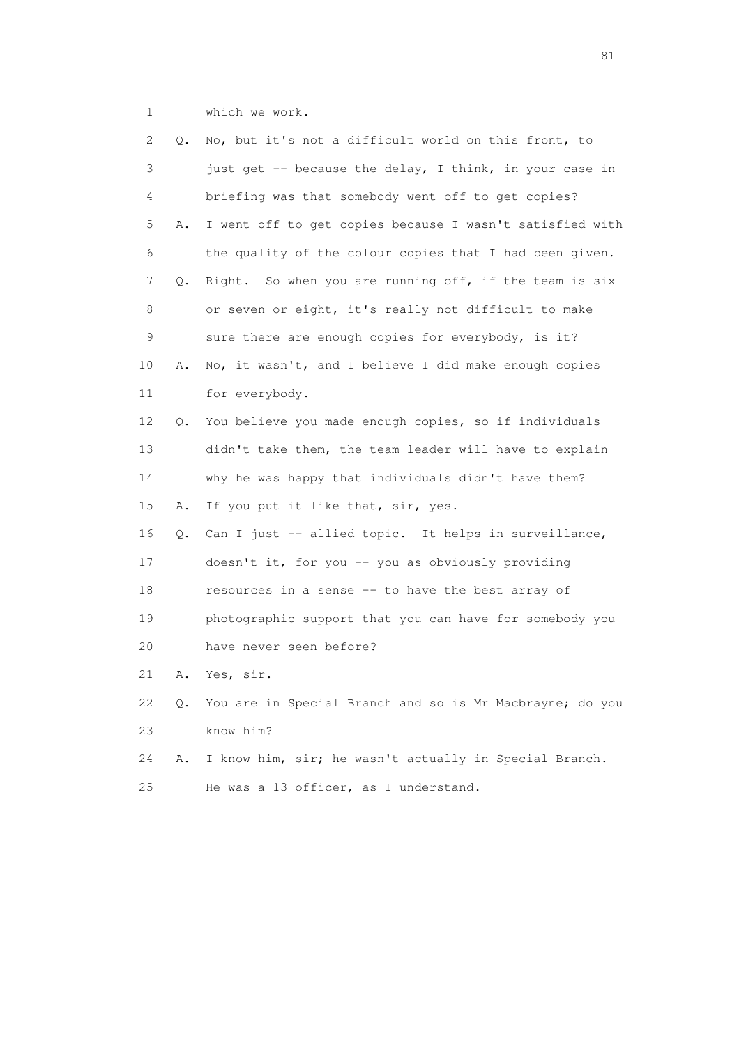1 which we work.

| 2  | Q. | No, but it's not a difficult world on this front, to        |
|----|----|-------------------------------------------------------------|
| 3  |    | just get -- because the delay, I think, in your case in     |
| 4  |    | briefing was that somebody went off to get copies?          |
| 5  | Α. | I went off to get copies because I wasn't satisfied with    |
| 6  |    | the quality of the colour copies that I had been given.     |
| 7  | Q. | Right. So when you are running off, if the team is six      |
| 8  |    | or seven or eight, it's really not difficult to make        |
| 9  |    | sure there are enough copies for everybody, is it?          |
| 10 | Α. | No, it wasn't, and I believe I did make enough copies       |
| 11 |    | for everybody.                                              |
| 12 | Q. | You believe you made enough copies, so if individuals       |
| 13 |    | didn't take them, the team leader will have to explain      |
| 14 |    | why he was happy that individuals didn't have them?         |
| 15 | Α. | If you put it like that, sir, yes.                          |
| 16 | Q. | Can I just -- allied topic. It helps in surveillance,       |
| 17 |    | doesn't it, for you -- you as obviously providing           |
| 18 |    | resources in a sense -- to have the best array of           |
| 19 |    | photographic support that you can have for somebody you     |
| 20 |    | have never seen before?                                     |
| 21 | Α. | Yes, sir.                                                   |
| 22 |    | Q. You are in Special Branch and so is Mr Macbrayne; do you |
| 23 |    | know him?                                                   |
| 24 | Α. | I know him, sir; he wasn't actually in Special Branch.      |
| 25 |    | He was a 13 officer, as I understand.                       |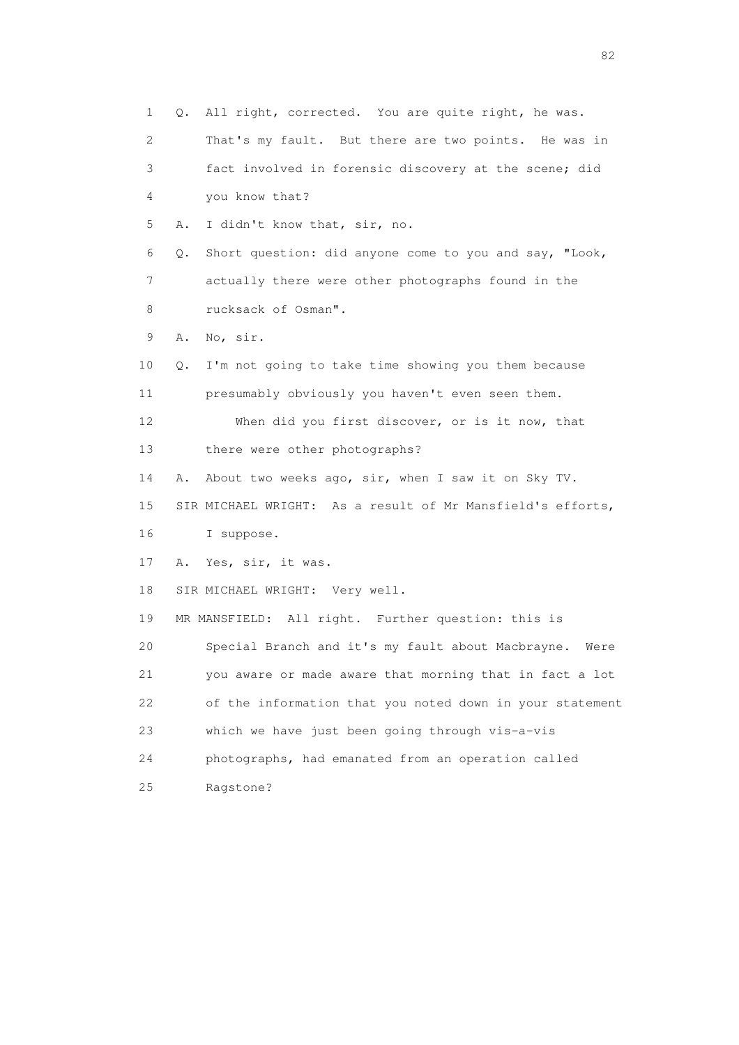1 Q. All right, corrected. You are quite right, he was. 2 That's my fault. But there are two points. He was in 3 fact involved in forensic discovery at the scene; did 4 you know that? 5 A. I didn't know that, sir, no. 6 Q. Short question: did anyone come to you and say, "Look, 7 actually there were other photographs found in the 8 rucksack of Osman". 9 A. No, sir. 10 Q. I'm not going to take time showing you them because 11 presumably obviously you haven't even seen them. 12 When did you first discover, or is it now, that 13 there were other photographs? 14 A. About two weeks ago, sir, when I saw it on Sky TV. 15 SIR MICHAEL WRIGHT: As a result of Mr Mansfield's efforts, 16 I suppose. 17 A. Yes, sir, it was. 18 SIR MICHAEL WRIGHT: Very well. 19 MR MANSFIELD: All right. Further question: this is 20 Special Branch and it's my fault about Macbrayne. Were 21 you aware or made aware that morning that in fact a lot 22 of the information that you noted down in your statement 23 which we have just been going through vis-a-vis 24 photographs, had emanated from an operation called 25 Ragstone?

experience of the state of the state of the state of the state of the state of the state of the state of the s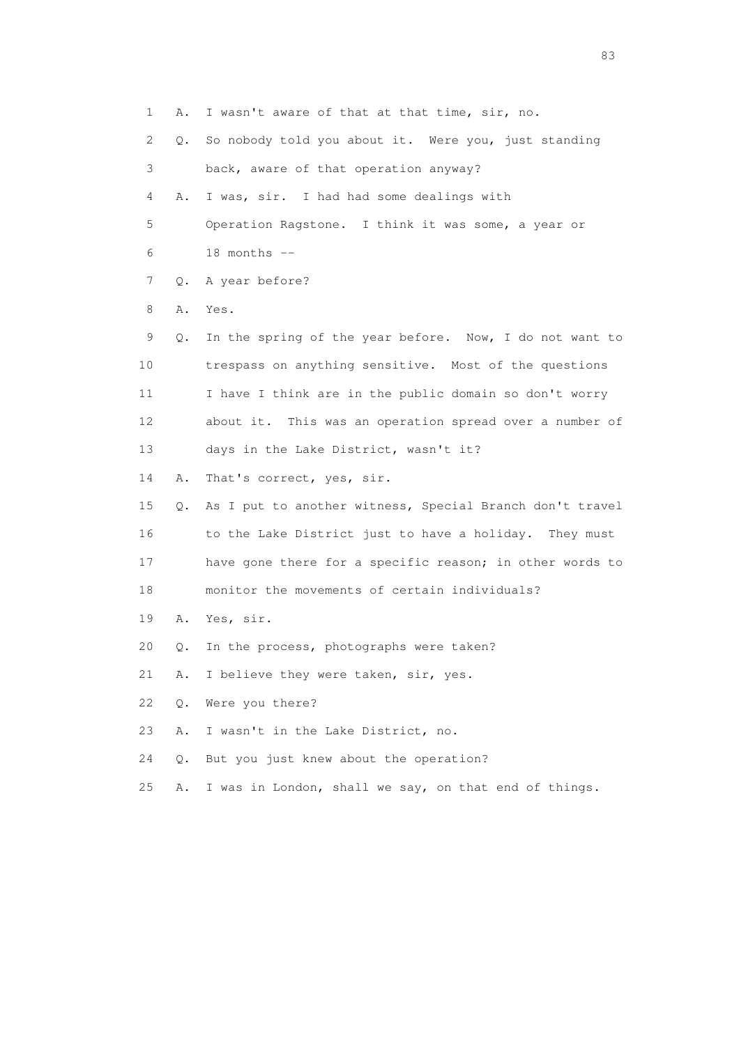1 A. I wasn't aware of that at that time, sir, no. 2 Q. So nobody told you about it. Were you, just standing 3 back, aware of that operation anyway? 4 A. I was, sir. I had had some dealings with 5 Operation Ragstone. I think it was some, a year or 6 18 months -- 7 Q. A year before? 8 A. Yes. 9 Q. In the spring of the year before. Now, I do not want to 10 trespass on anything sensitive. Most of the questions 11 I have I think are in the public domain so don't worry 12 about it. This was an operation spread over a number of 13 days in the Lake District, wasn't it? 14 A. That's correct, yes, sir. 15 Q. As I put to another witness, Special Branch don't travel 16 to the Lake District just to have a holiday. They must 17 have gone there for a specific reason; in other words to 18 monitor the movements of certain individuals? 19 A. Yes, sir. 20 Q. In the process, photographs were taken? 21 A. I believe they were taken, sir, yes. 22 Q. Were you there? 23 A. I wasn't in the Lake District, no. 24 Q. But you just knew about the operation?

25 A. I was in London, shall we say, on that end of things.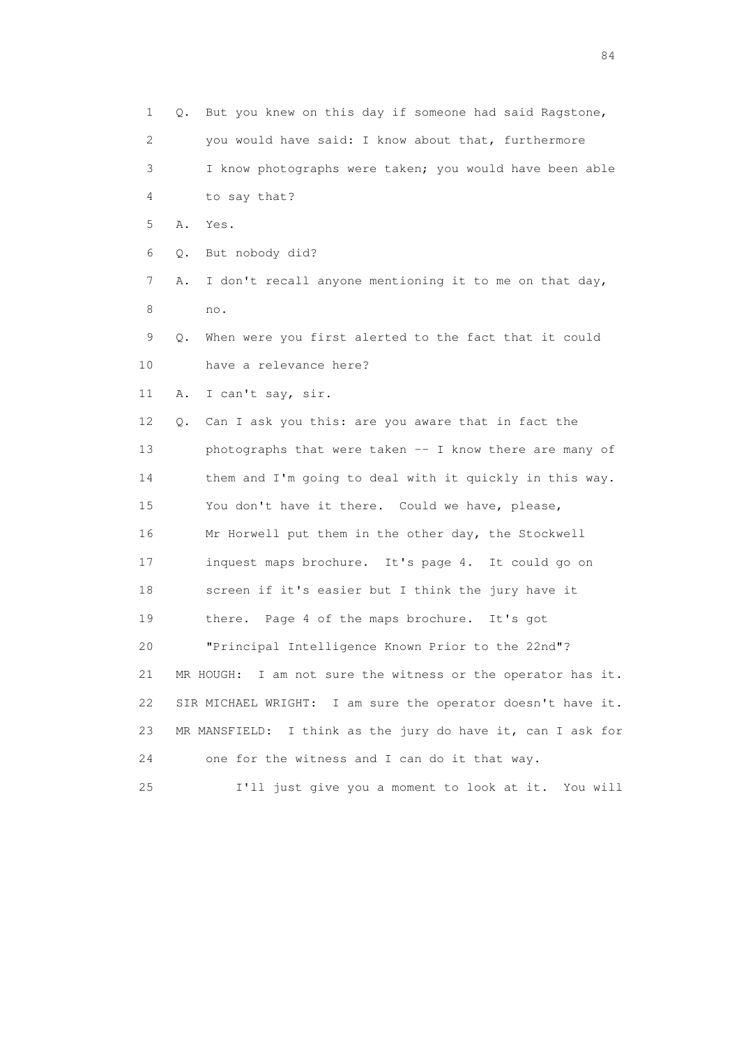1 Q. But you knew on this day if someone had said Ragstone, 2 you would have said: I know about that, furthermore 3 I know photographs were taken; you would have been able 4 to say that? 5 A. Yes. 6 Q. But nobody did? 7 A. I don't recall anyone mentioning it to me on that day, 8 no. 9 Q. When were you first alerted to the fact that it could 10 have a relevance here? 11 A. I can't say, sir. 12 Q. Can I ask you this: are you aware that in fact the 13 photographs that were taken -- I know there are many of 14 them and I'm going to deal with it quickly in this way. 15 You don't have it there. Could we have, please, 16 Mr Horwell put them in the other day, the Stockwell 17 inquest maps brochure. It's page 4. It could go on 18 screen if it's easier but I think the jury have it 19 there. Page 4 of the maps brochure. It's got 20 "Principal Intelligence Known Prior to the 22nd"? 21 MR HOUGH: I am not sure the witness or the operator has it. 22 SIR MICHAEL WRIGHT: I am sure the operator doesn't have it. 23 MR MANSFIELD: I think as the jury do have it, can I ask for 24 one for the witness and I can do it that way. 25 I'll just give you a moment to look at it. You will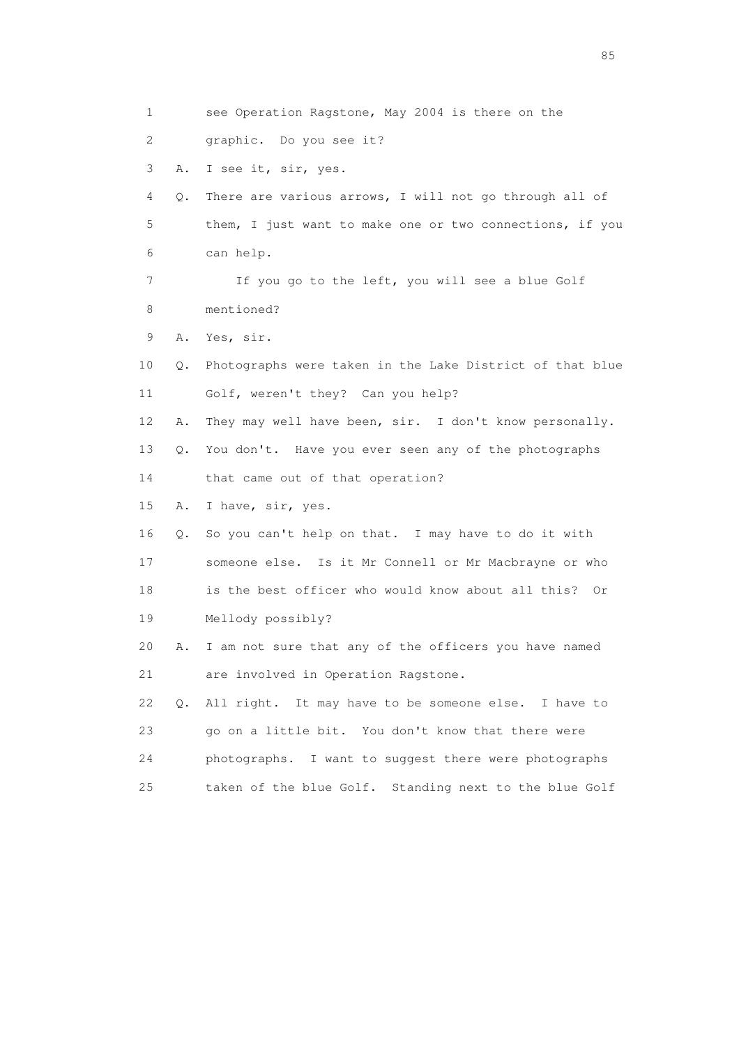1 see Operation Ragstone, May 2004 is there on the 2 graphic. Do you see it? 3 A. I see it, sir, yes. 4 Q. There are various arrows, I will not go through all of 5 them, I just want to make one or two connections, if you 6 can help. 7 If you go to the left, you will see a blue Golf 8 mentioned? 9 A. Yes, sir. 10 Q. Photographs were taken in the Lake District of that blue 11 Golf, weren't they? Can you help? 12 A. They may well have been, sir. I don't know personally. 13 Q. You don't. Have you ever seen any of the photographs 14 that came out of that operation? 15 A. I have, sir, yes. 16 Q. So you can't help on that. I may have to do it with 17 someone else. Is it Mr Connell or Mr Macbrayne or who 18 is the best officer who would know about all this? Or 19 Mellody possibly? 20 A. I am not sure that any of the officers you have named 21 are involved in Operation Ragstone. 22 Q. All right. It may have to be someone else. I have to 23 go on a little bit. You don't know that there were 24 photographs. I want to suggest there were photographs 25 taken of the blue Golf. Standing next to the blue Golf

experience of the contract of the contract of the contract of the contract of the contract of the contract of the contract of the contract of the contract of the contract of the contract of the contract of the contract of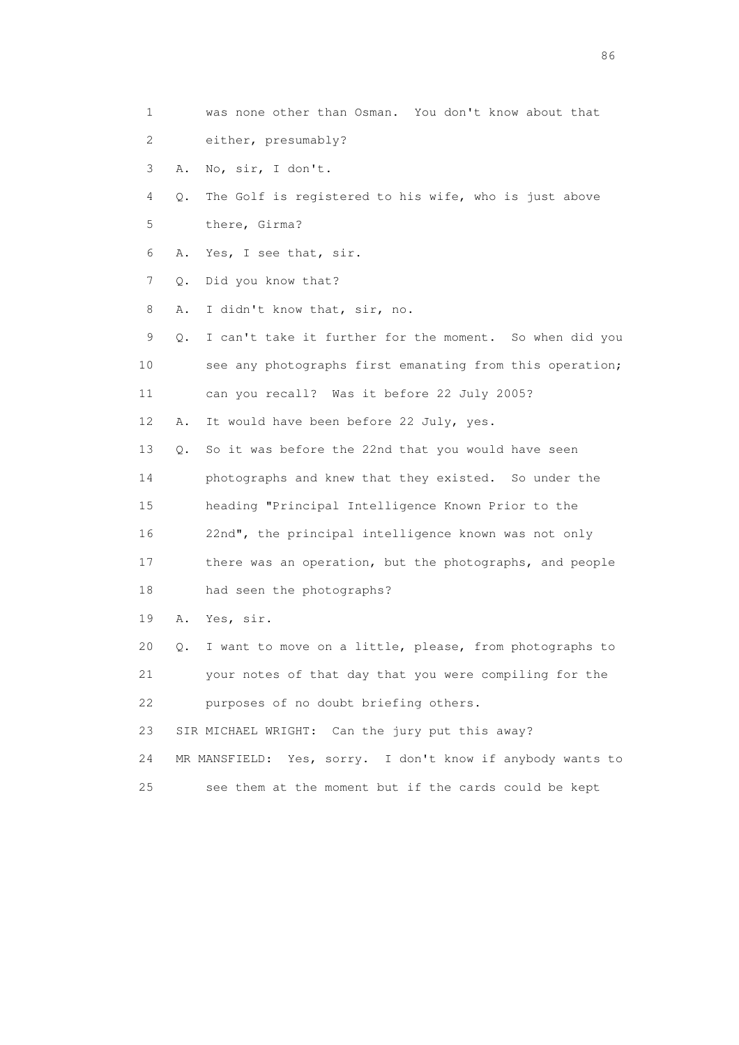- 1 was none other than Osman. You don't know about that 2 either, presumably?
- 3 A. No, sir, I don't.
- 4 Q. The Golf is registered to his wife, who is just above
- 5 there, Girma?
- 6 A. Yes, I see that, sir.
- 7 Q. Did you know that?
- 8 A. I didn't know that, sir, no.
- 9 Q. I can't take it further for the moment. So when did you 10 see any photographs first emanating from this operation; 11 can you recall? Was it before 22 July 2005?
- 12 A. It would have been before 22 July, yes.
- 13 Q. So it was before the 22nd that you would have seen
- 14 photographs and knew that they existed. So under the
- 15 heading "Principal Intelligence Known Prior to the
- 16 22nd", the principal intelligence known was not only
- 17 there was an operation, but the photographs, and people
- 18 had seen the photographs?
- 19 A. Yes, sir.
- 20 Q. I want to move on a little, please, from photographs to
- 21 your notes of that day that you were compiling for the 22 purposes of no doubt briefing others.
- 23 SIR MICHAEL WRIGHT: Can the jury put this away?
- 24 MR MANSFIELD: Yes, sorry. I don't know if anybody wants to
- 25 see them at the moment but if the cards could be kept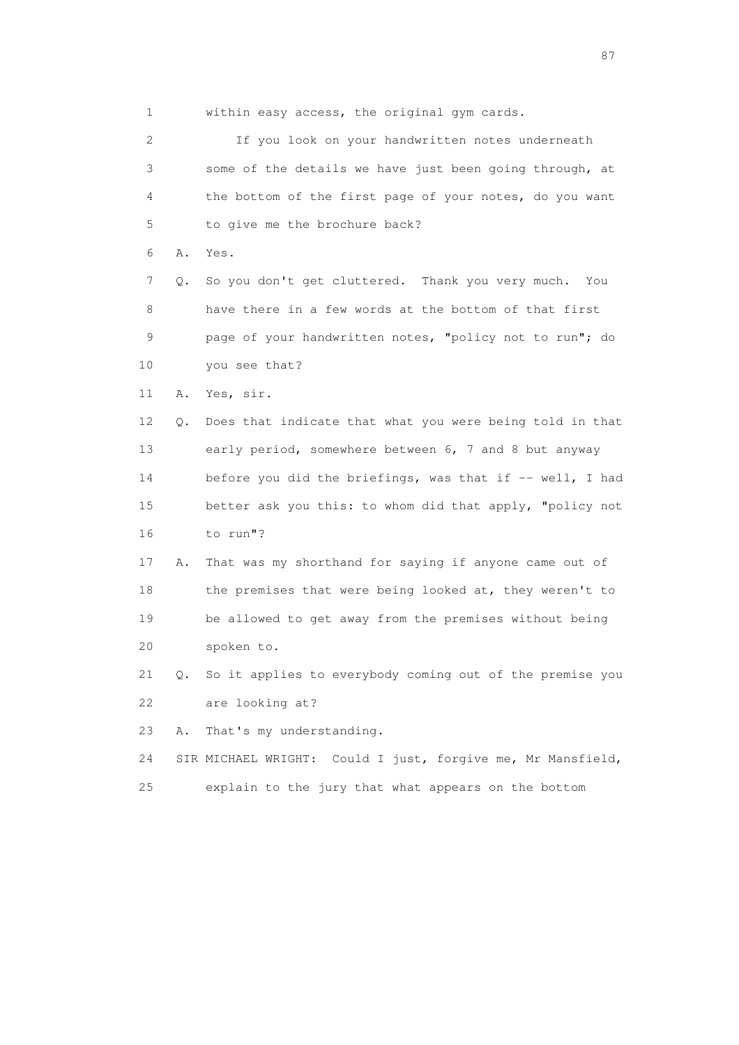1 within easy access, the original gym cards.

 2 If you look on your handwritten notes underneath 3 some of the details we have just been going through, at 4 the bottom of the first page of your notes, do you want 5 to give me the brochure back? 6 A. Yes. 7 Q. So you don't get cluttered. Thank you very much. You 8 have there in a few words at the bottom of that first 9 page of your handwritten notes, "policy not to run"; do 10 you see that? 11 A. Yes, sir. 12 Q. Does that indicate that what you were being told in that 13 early period, somewhere between 6, 7 and 8 but anyway 14 before you did the briefings, was that if -- well, I had 15 better ask you this: to whom did that apply, "policy not 16 to run"? 17 A. That was my shorthand for saying if anyone came out of 18 the premises that were being looked at, they weren't to 19 be allowed to get away from the premises without being 20 spoken to. 21 Q. So it applies to everybody coming out of the premise you 22 are looking at? 23 A. That's my understanding. 24 SIR MICHAEL WRIGHT: Could I just, forgive me, Mr Mansfield, 25 explain to the jury that what appears on the bottom

experience of the state of the state of the state of the state of the state of the state of the state of the state of the state of the state of the state of the state of the state of the state of the state of the state of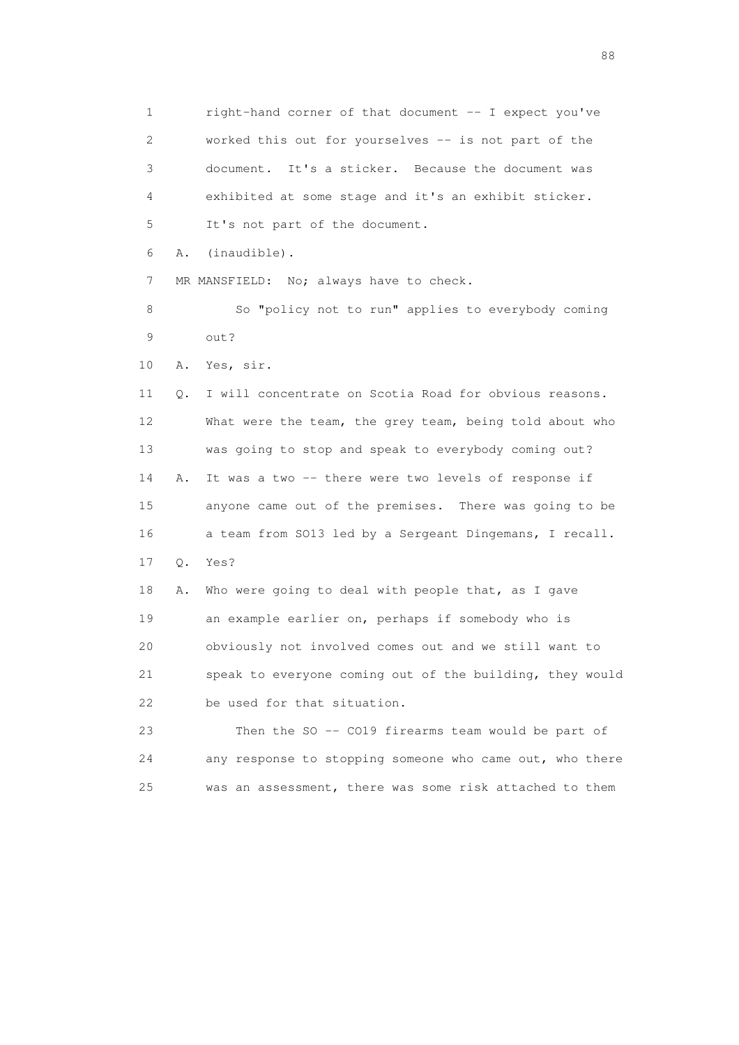1 right-hand corner of that document -- I expect you've 2 worked this out for yourselves -- is not part of the 3 document. It's a sticker. Because the document was 4 exhibited at some stage and it's an exhibit sticker. 5 It's not part of the document. 6 A. (inaudible).

7 MR MANSFIELD: No; always have to check.

8 So "policy not to run" applies to everybody coming 9 out?

10 A. Yes, sir.

 11 Q. I will concentrate on Scotia Road for obvious reasons. 12 What were the team, the grey team, being told about who 13 was going to stop and speak to everybody coming out? 14 A. It was a two -- there were two levels of response if 15 anyone came out of the premises. There was going to be 16 a team from SO13 led by a Sergeant Dingemans, I recall. 17 Q. Yes? 18 A. Who were going to deal with people that, as I gave 19 an example earlier on, perhaps if somebody who is 20 obviously not involved comes out and we still want to

 21 speak to everyone coming out of the building, they would 22 be used for that situation.

 23 Then the SO -- CO19 firearms team would be part of 24 any response to stopping someone who came out, who there 25 was an assessment, there was some risk attached to them

en de la construction de la construction de la construction de la construction de la construction de la constr<br>1880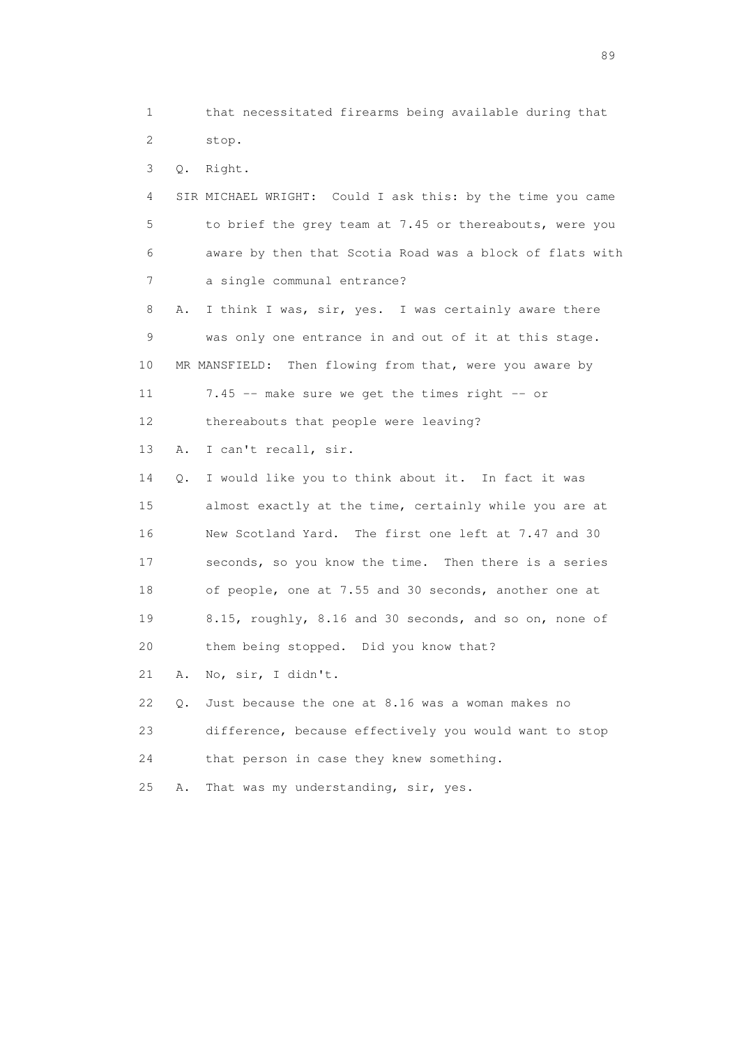1 that necessitated firearms being available during that 2 stop.

3 Q. Right.

 4 SIR MICHAEL WRIGHT: Could I ask this: by the time you came 5 to brief the grey team at 7.45 or thereabouts, were you 6 aware by then that Scotia Road was a block of flats with 7 a single communal entrance?

 8 A. I think I was, sir, yes. I was certainly aware there 9 was only one entrance in and out of it at this stage. 10 MR MANSFIELD: Then flowing from that, were you aware by 11 7.45 -- make sure we get the times right -- or

12 thereabouts that people were leaving?

13 A. I can't recall, sir.

 14 Q. I would like you to think about it. In fact it was 15 almost exactly at the time, certainly while you are at 16 New Scotland Yard. The first one left at 7.47 and 30 17 seconds, so you know the time. Then there is a series 18 of people, one at 7.55 and 30 seconds, another one at 19 8.15, roughly, 8.16 and 30 seconds, and so on, none of 20 them being stopped. Did you know that?

21 A. No, sir, I didn't.

 22 Q. Just because the one at 8.16 was a woman makes no 23 difference, because effectively you would want to stop 24 that person in case they knew something.

25 A. That was my understanding, sir, yes.

en andere en de la seule de la constantin de la constantin de la constantin de la constantin de la constantin<br>189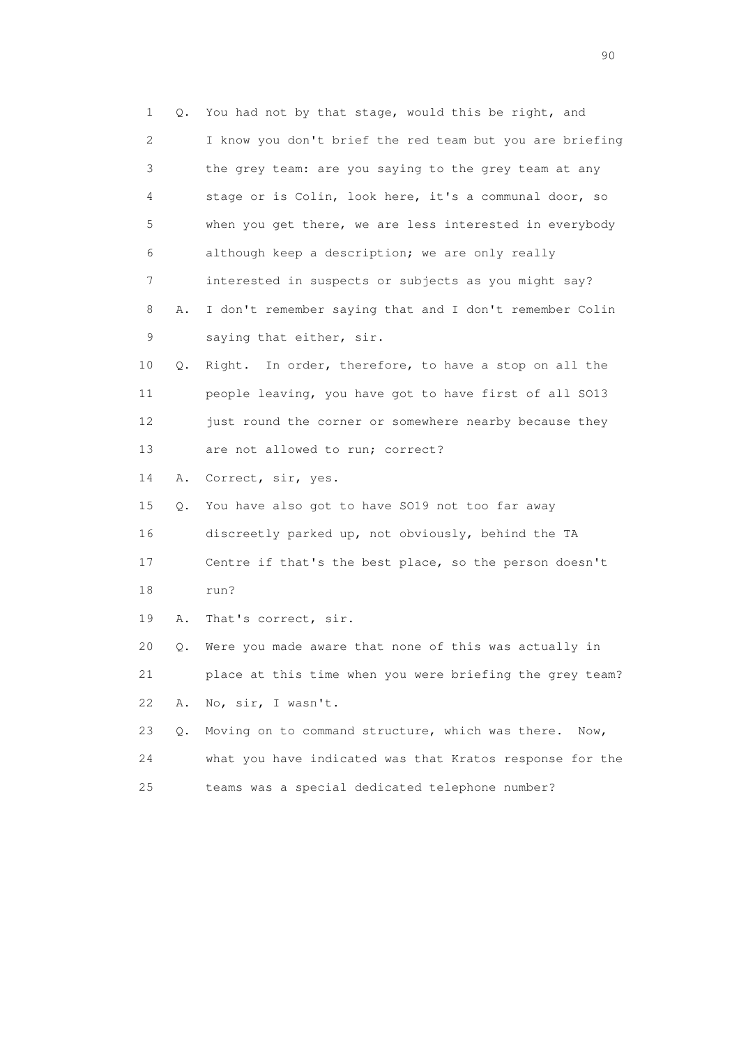1 Q. You had not by that stage, would this be right, and 2 I know you don't brief the red team but you are briefing 3 the grey team: are you saying to the grey team at any 4 stage or is Colin, look here, it's a communal door, so 5 when you get there, we are less interested in everybody 6 although keep a description; we are only really 7 interested in suspects or subjects as you might say? 8 A. I don't remember saying that and I don't remember Colin 9 saying that either, sir. 10 Q. Right. In order, therefore, to have a stop on all the 11 people leaving, you have got to have first of all SO13 12 just round the corner or somewhere nearby because they 13 are not allowed to run; correct? 14 A. Correct, sir, yes. 15 Q. You have also got to have SO19 not too far away 16 discreetly parked up, not obviously, behind the TA 17 Centre if that's the best place, so the person doesn't 18 run? 19 A. That's correct, sir. 20 Q. Were you made aware that none of this was actually in 21 place at this time when you were briefing the grey team? 22 A. No, sir, I wasn't. 23 Q. Moving on to command structure, which was there. Now, 24 what you have indicated was that Kratos response for the 25 teams was a special dedicated telephone number?

entration of the contract of the contract of the contract of the contract of the contract of the contract of the contract of the contract of the contract of the contract of the contract of the contract of the contract of t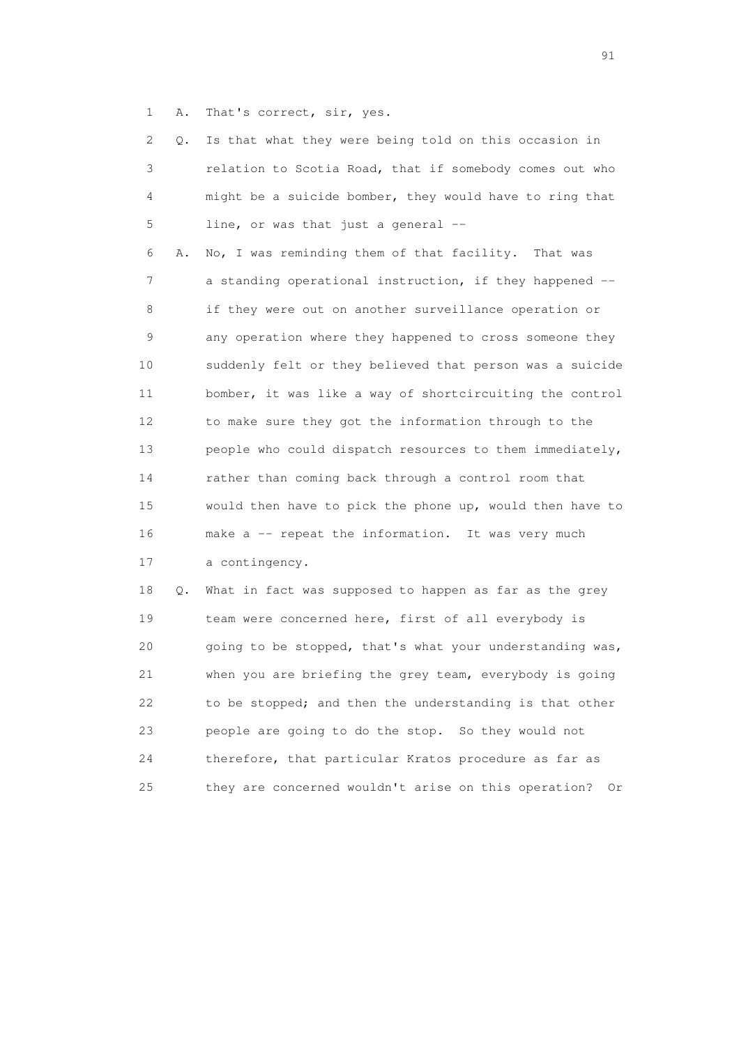1 A. That's correct, sir, yes.

| 2               | Q. | Is that what they were being told on this occasion in    |
|-----------------|----|----------------------------------------------------------|
| 3               |    | relation to Scotia Road, that if somebody comes out who  |
| 4               |    | might be a suicide bomber, they would have to ring that  |
| 5               |    | line, or was that just a general --                      |
| 6               | Α. | No, I was reminding them of that facility.<br>That was   |
| 7               |    | a standing operational instruction, if they happened --  |
| 8               |    | if they were out on another surveillance operation or    |
| 9               |    | any operation where they happened to cross someone they  |
| 10              |    | suddenly felt or they believed that person was a suicide |
| 11              |    | bomber, it was like a way of shortcircuiting the control |
| 12 <sup>°</sup> |    | to make sure they got the information through to the     |
| 13              |    | people who could dispatch resources to them immediately, |
| 14              |    | rather than coming back through a control room that      |
| 15              |    | would then have to pick the phone up, would then have to |
| 16              |    | make a -- repeat the information. It was very much       |
| 17              |    | a contingency.                                           |
| 18              | Q. | What in fact was supposed to happen as far as the grey   |
| 19              |    | team were concerned here, first of all everybody is      |
| 20              |    | going to be stopped, that's what your understanding was, |
| 21              |    | when you are briefing the grey team, everybody is going  |
| 22              |    | to be stopped; and then the understanding is that other  |
| 23              |    | people are going to do the stop. So they would not       |
| 24              |    | therefore, that particular Kratos procedure as far as    |

25 they are concerned wouldn't arise on this operation? Or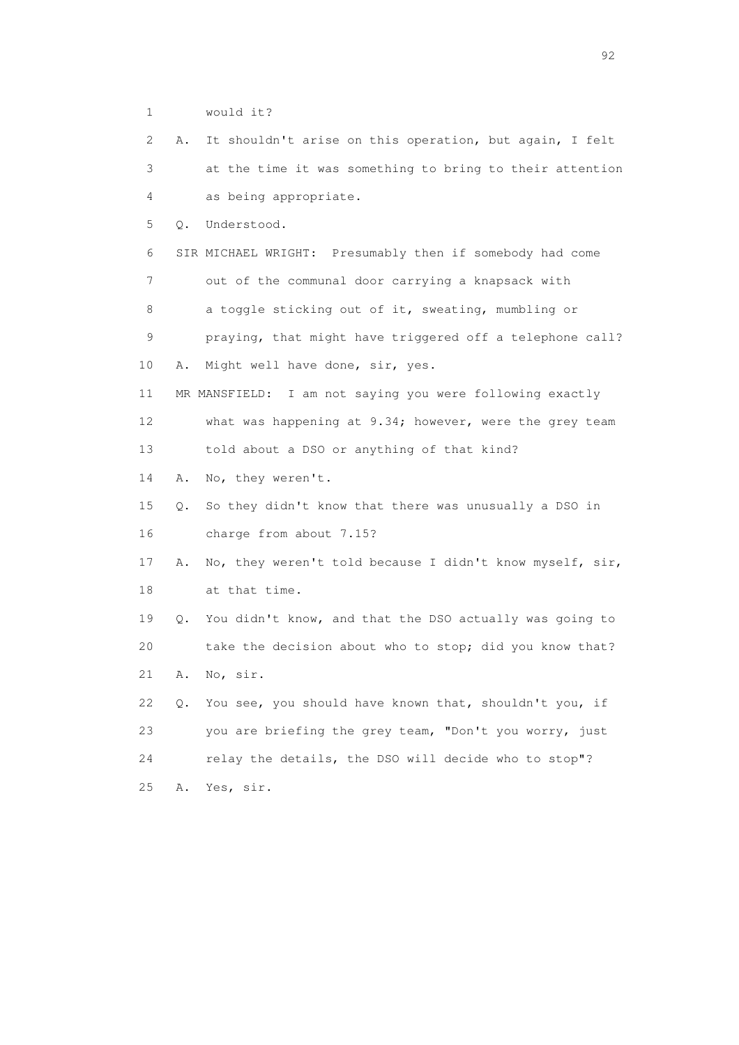1 would it? 2 A. It shouldn't arise on this operation, but again, I felt 3 at the time it was something to bring to their attention 4 as being appropriate. 5 Q. Understood. 6 SIR MICHAEL WRIGHT: Presumably then if somebody had come 7 out of the communal door carrying a knapsack with 8 a toggle sticking out of it, sweating, mumbling or 9 praying, that might have triggered off a telephone call? 10 A. Might well have done, sir, yes. 11 MR MANSFIELD: I am not saying you were following exactly 12 what was happening at 9.34; however, were the grey team 13 told about a DSO or anything of that kind? 14 A. No, they weren't. 15 Q. So they didn't know that there was unusually a DSO in 16 charge from about 7.15? 17 A. No, they weren't told because I didn't know myself, sir, 18 at that time. 19 Q. You didn't know, and that the DSO actually was going to 20 take the decision about who to stop; did you know that? 21 A. No, sir. 22 Q. You see, you should have known that, shouldn't you, if 23 you are briefing the grey team, "Don't you worry, just 24 relay the details, the DSO will decide who to stop"? 25 A. Yes, sir.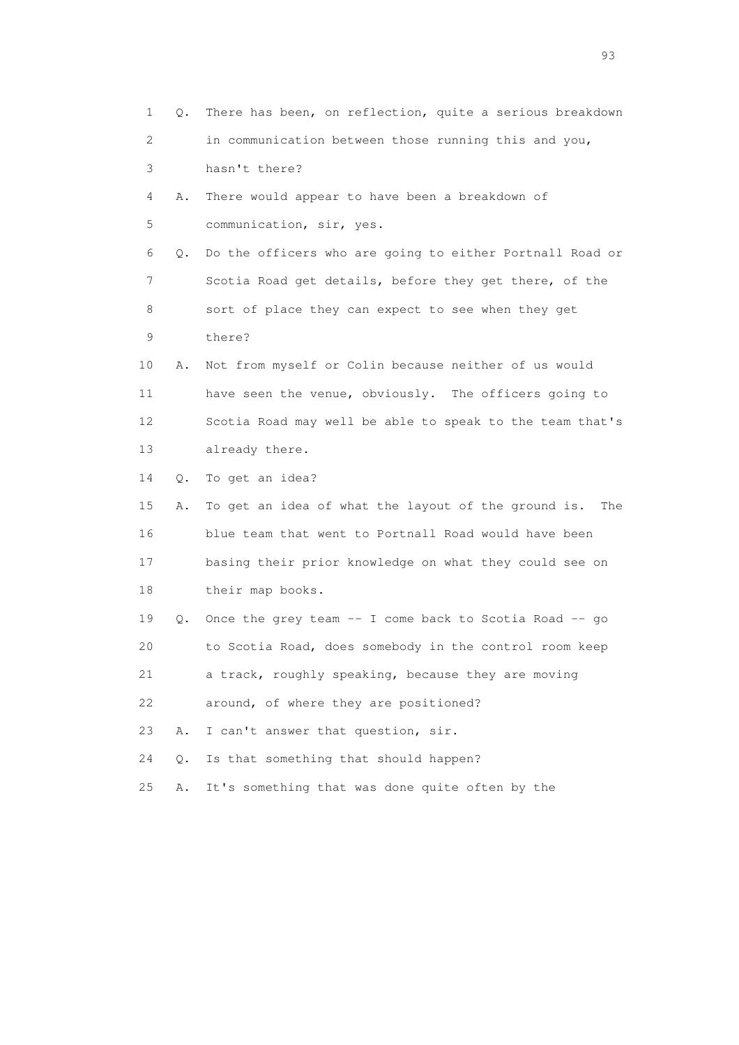1 Q. There has been, on reflection, quite a serious breakdown 2 in communication between those running this and you, 3 hasn't there? 4 A. There would appear to have been a breakdown of 5 communication, sir, yes. 6 Q. Do the officers who are going to either Portnall Road or 7 Scotia Road get details, before they get there, of the 8 sort of place they can expect to see when they get 9 there? 10 A. Not from myself or Colin because neither of us would 11 have seen the venue, obviously. The officers going to 12 Scotia Road may well be able to speak to the team that's 13 already there. 14 Q. To get an idea? 15 A. To get an idea of what the layout of the ground is. The 16 blue team that went to Portnall Road would have been 17 basing their prior knowledge on what they could see on 18 their map books. 19 Q. Once the grey team -- I come back to Scotia Road -- go 20 to Scotia Road, does somebody in the control room keep 21 a track, roughly speaking, because they are moving 22 around, of where they are positioned? 23 A. I can't answer that question, sir. 24 Q. Is that something that should happen? 25 A. It's something that was done quite often by the

experience of the contract of the contract of the contract of the contract of the contract of the contract of the contract of the contract of the contract of the contract of the contract of the contract of the contract of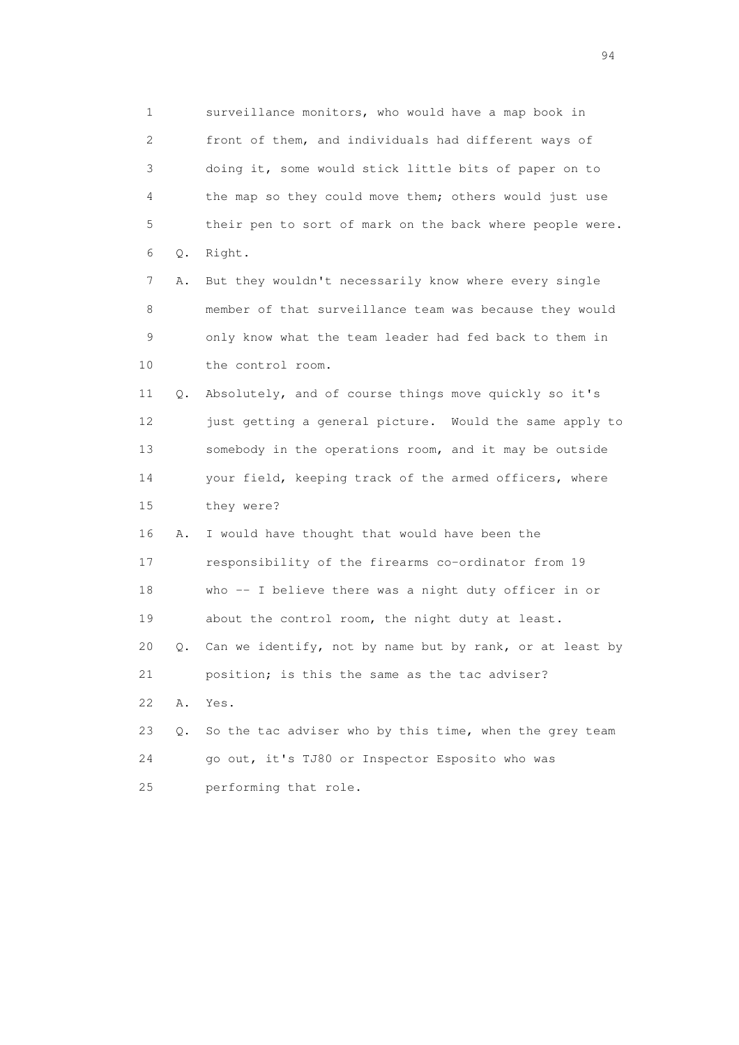1 surveillance monitors, who would have a map book in 2 front of them, and individuals had different ways of 3 doing it, some would stick little bits of paper on to 4 the map so they could move them; others would just use 5 their pen to sort of mark on the back where people were. 6 Q. Right. 7 A. But they wouldn't necessarily know where every single 8 member of that surveillance team was because they would 9 only know what the team leader had fed back to them in 10 the control room. 11 Q. Absolutely, and of course things move quickly so it's 12 just getting a general picture. Would the same apply to 13 somebody in the operations room, and it may be outside 14 your field, keeping track of the armed officers, where 15 they were? 16 A. I would have thought that would have been the 17 responsibility of the firearms co-ordinator from 19 18 who -- I believe there was a night duty officer in or 19 about the control room, the night duty at least. 20 Q. Can we identify, not by name but by rank, or at least by 21 position; is this the same as the tac adviser? 22 A. Yes. 23 Q. So the tac adviser who by this time, when the grey team 24 go out, it's TJ80 or Inspector Esposito who was 25 performing that role.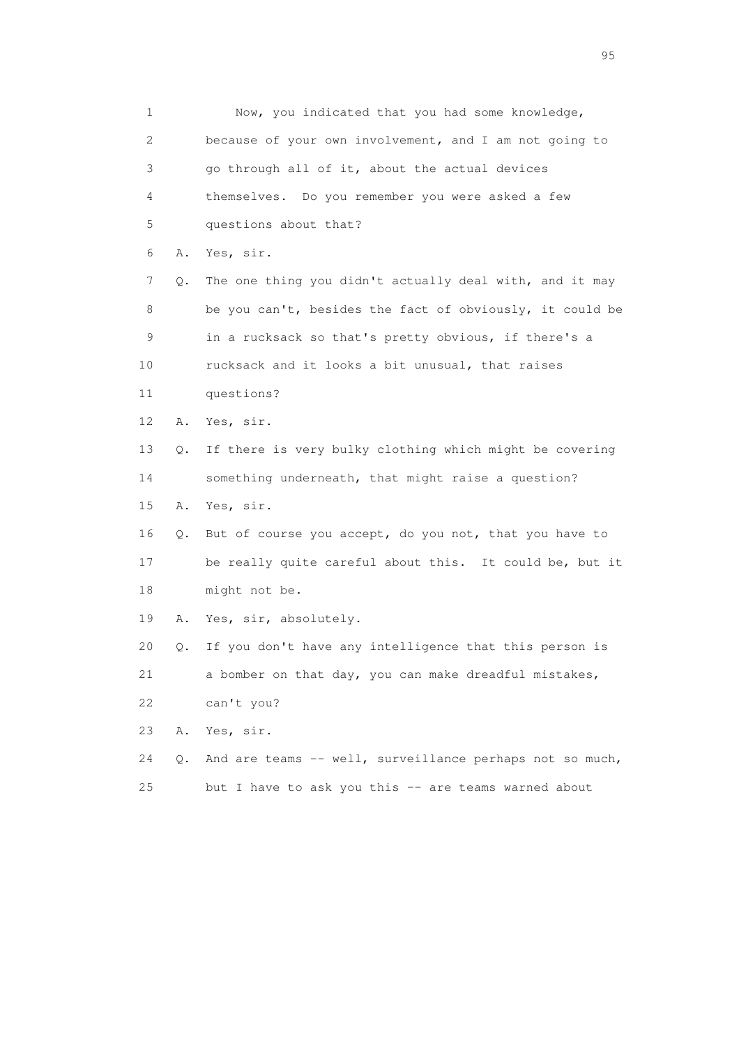1 Now, you indicated that you had some knowledge, 2 because of your own involvement, and I am not going to 3 go through all of it, about the actual devices 4 themselves. Do you remember you were asked a few 5 questions about that? 6 A. Yes, sir. 7 Q. The one thing you didn't actually deal with, and it may 8 be you can't, besides the fact of obviously, it could be 9 in a rucksack so that's pretty obvious, if there's a 10 rucksack and it looks a bit unusual, that raises 11 questions? 12 A. Yes, sir. 13 Q. If there is very bulky clothing which might be covering 14 something underneath, that might raise a question? 15 A. Yes, sir. 16 Q. But of course you accept, do you not, that you have to 17 be really quite careful about this. It could be, but it 18 might not be. 19 A. Yes, sir, absolutely. 20 Q. If you don't have any intelligence that this person is 21 a bomber on that day, you can make dreadful mistakes, 22 can't you? 23 A. Yes, sir. 24 Q. And are teams -- well, surveillance perhaps not so much, 25 but I have to ask you this -- are teams warned about

experience of the contract of the contract of the contract of the contract of the contract of the contract of the contract of the contract of the contract of the contract of the contract of the contract of the contract of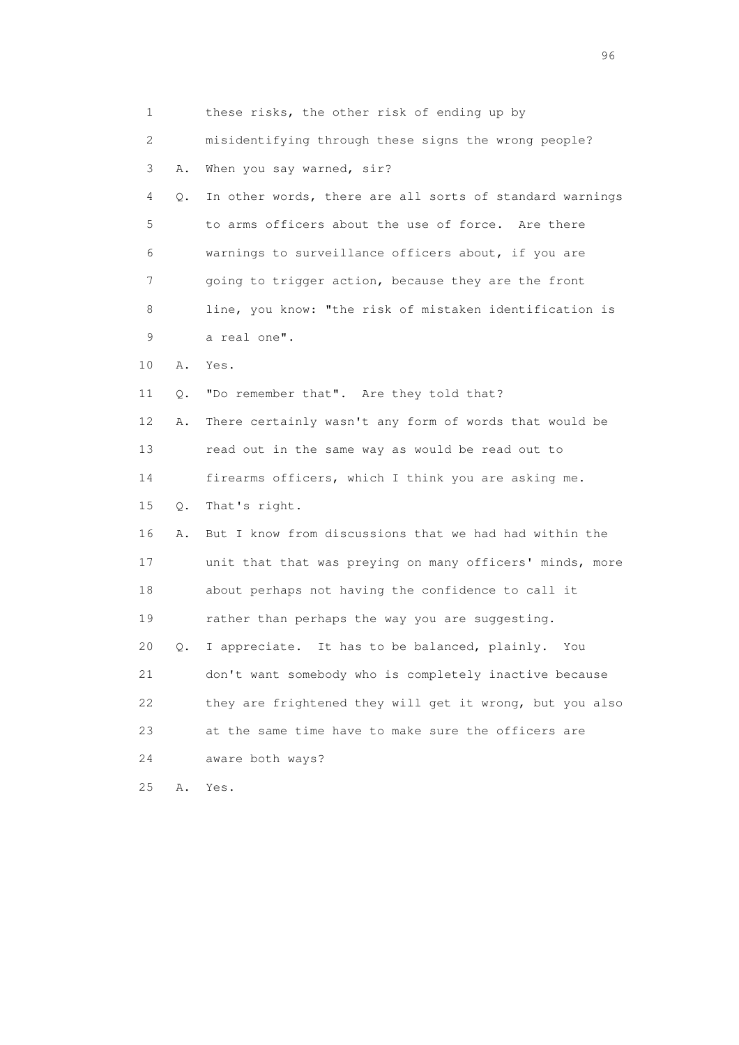| 1  |    | these risks, the other risk of ending up by              |
|----|----|----------------------------------------------------------|
| 2  |    | misidentifying through these signs the wrong people?     |
| 3  | Α. | When you say warned, sir?                                |
| 4  | Q. | In other words, there are all sorts of standard warnings |
| 5  |    | to arms officers about the use of force. Are there       |
| 6  |    | warnings to surveillance officers about, if you are      |
| 7  |    | going to trigger action, because they are the front      |
| 8  |    | line, you know: "the risk of mistaken identification is  |
| 9  |    | a real one".                                             |
| 10 | Α. | Yes.                                                     |
| 11 | Q. | "Do remember that". Are they told that?                  |
| 12 | Α. | There certainly wasn't any form of words that would be   |
| 13 |    | read out in the same way as would be read out to         |
| 14 |    | firearms officers, which I think you are asking me.      |
| 15 | Q. | That's right.                                            |
| 16 | Α. | But I know from discussions that we had had within the   |
| 17 |    | unit that that was preying on many officers' minds, more |
| 18 |    | about perhaps not having the confidence to call it       |
| 19 |    | rather than perhaps the way you are suggesting.          |
| 20 | Q. | I appreciate. It has to be balanced, plainly. You        |
| 21 |    | don't want somebody who is completely inactive because   |
| 22 |    | they are frightened they will get it wrong, but you also |
| 23 |    | at the same time have to make sure the officers are      |
| 24 |    | aware both ways?                                         |
| 25 | Α. | Yes.                                                     |

<u>96 and the state of the state of the state of the state of the state of the state of the state of the state of the state of the state of the state of the state of the state of the state of the state of the state of the st</u>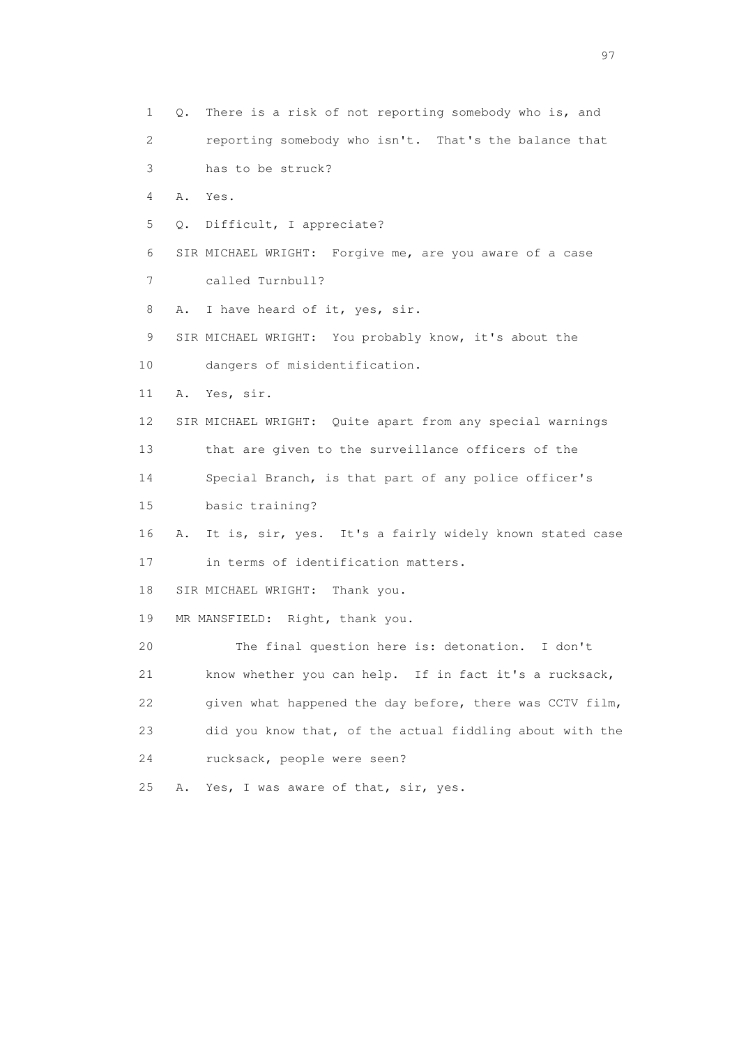1 Q. There is a risk of not reporting somebody who is, and 2 reporting somebody who isn't. That's the balance that 3 has to be struck? 4 A. Yes. 5 Q. Difficult, I appreciate? 6 SIR MICHAEL WRIGHT: Forgive me, are you aware of a case 7 called Turnbull? 8 A. I have heard of it, yes, sir. 9 SIR MICHAEL WRIGHT: You probably know, it's about the 10 dangers of misidentification. 11 A. Yes, sir. 12 SIR MICHAEL WRIGHT: Quite apart from any special warnings 13 that are given to the surveillance officers of the 14 Special Branch, is that part of any police officer's 15 basic training? 16 A. It is, sir, yes. It's a fairly widely known stated case 17 in terms of identification matters. 18 SIR MICHAEL WRIGHT: Thank you. 19 MR MANSFIELD: Right, thank you. 20 The final question here is: detonation. I don't 21 know whether you can help. If in fact it's a rucksack, 22 given what happened the day before, there was CCTV film, 23 did you know that, of the actual fiddling about with the 24 rucksack, people were seen? 25 A. Yes, I was aware of that, sir, yes.

experience of the contract of the contract of the contract of the contract of the contract of the contract of the contract of the contract of the contract of the contract of the contract of the contract of the contract of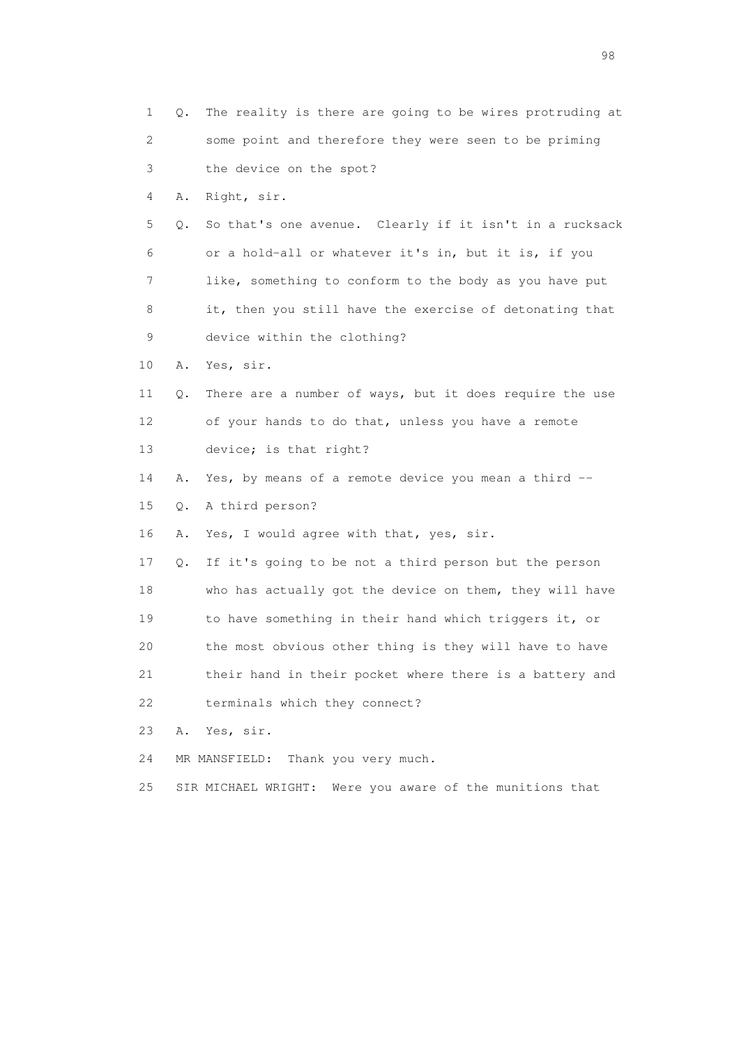| 1  | Q. | The reality is there are going to be wires protruding at    |
|----|----|-------------------------------------------------------------|
| 2  |    | some point and therefore they were seen to be priming       |
| 3  |    | the device on the spot?                                     |
| 4  | Α. | Right, sir.                                                 |
| 5  | Q. | So that's one avenue. Clearly if it isn't in a rucksack     |
| 6  |    | or a hold-all or whatever it's in, but it is, if you        |
| 7  |    | like, something to conform to the body as you have put      |
| 8  |    | it, then you still have the exercise of detonating that     |
| 9  |    | device within the clothing?                                 |
| 10 | Α. | Yes, sir.                                                   |
| 11 | Q. | There are a number of ways, but it does require the use     |
| 12 |    | of your hands to do that, unless you have a remote          |
| 13 |    | device; is that right?                                      |
| 14 | Α. | Yes, by means of a remote device you mean a third --        |
| 15 | Q. | A third person?                                             |
| 16 | Α. | Yes, I would agree with that, yes, sir.                     |
| 17 | Q. | If it's going to be not a third person but the person       |
| 18 |    | who has actually got the device on them, they will have     |
| 19 |    | to have something in their hand which triggers it, or       |
| 20 |    | the most obvious other thing is they will have to have      |
| 21 |    | their hand in their pocket where there is a battery and     |
| 22 |    | terminals which they connect?                               |
| 23 | Α. | Yes, sir.                                                   |
| 24 |    | Thank you very much.<br>MR MANSFIELD:                       |
| 25 |    | Were you aware of the munitions that<br>SIR MICHAEL WRIGHT: |

en 1988 en 1989 en 1989 en 1989 en 1989 en 1989 en 1989 en 1989 en 1989 en 1989 en 1989 en 1989 en 1989 en 19<br>De grote en 1989 en 1989 en 1989 en 1989 en 1989 en 1989 en 1989 en 1989 en 1989 en 1989 en 1989 en 1989 en 19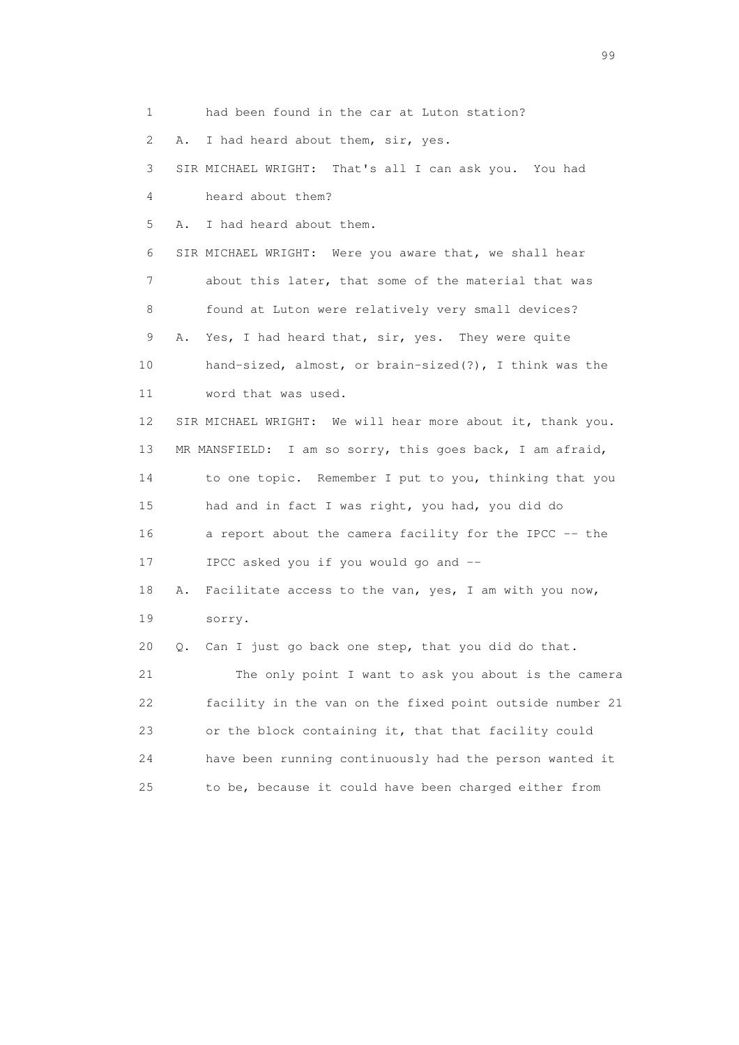1 had been found in the car at Luton station? 2 A. I had heard about them, sir, yes. 3 SIR MICHAEL WRIGHT: That's all I can ask you. You had 4 heard about them? 5 A. I had heard about them. 6 SIR MICHAEL WRIGHT: Were you aware that, we shall hear 7 about this later, that some of the material that was 8 found at Luton were relatively very small devices? 9 A. Yes, I had heard that, sir, yes. They were quite 10 hand-sized, almost, or brain-sized(?), I think was the 11 word that was used. 12 SIR MICHAEL WRIGHT: We will hear more about it, thank you. 13 MR MANSFIELD: I am so sorry, this goes back, I am afraid, 14 to one topic. Remember I put to you, thinking that you 15 had and in fact I was right, you had, you did do 16 a report about the camera facility for the IPCC -- the 17 IPCC asked you if you would go and -- 18 A. Facilitate access to the van, yes, I am with you now, 19 sorry. 20 Q. Can I just go back one step, that you did do that. 21 The only point I want to ask you about is the camera 22 facility in the van on the fixed point outside number 21 23 or the block containing it, that that facility could 24 have been running continuously had the person wanted it 25 to be, because it could have been charged either from

en de la construction de la construction de la construction de la construction de la construction de la constr<br>1990 : le construction de la construction de la construction de la construction de la construction de la const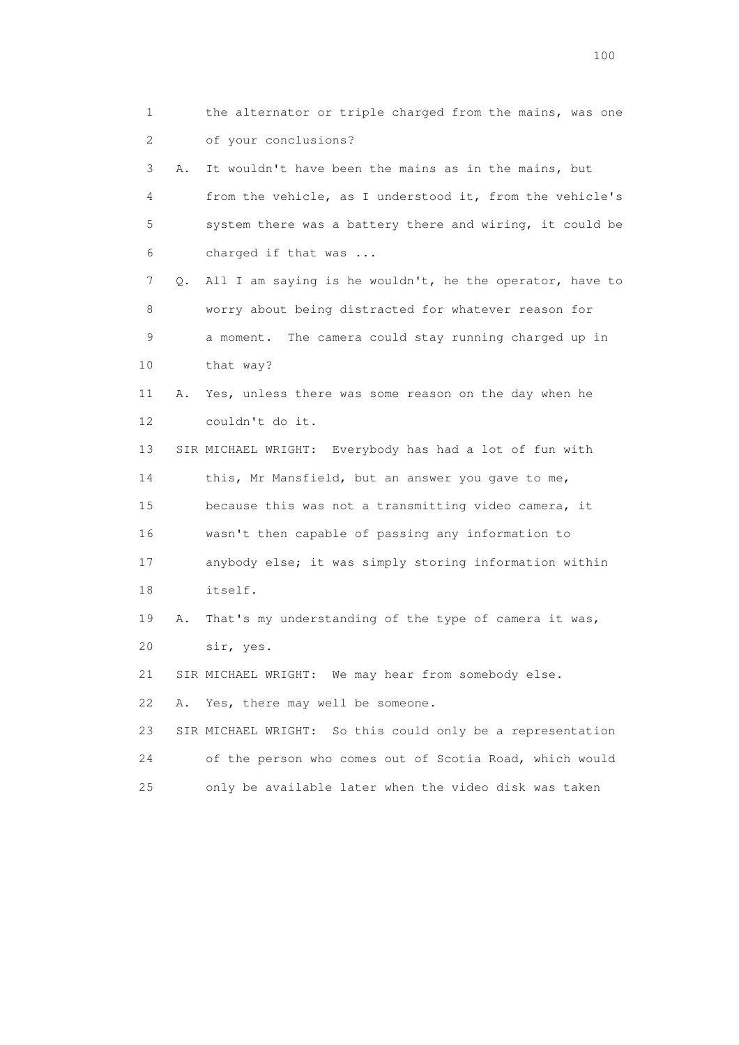1 the alternator or triple charged from the mains, was one 2 of your conclusions? 3 A. It wouldn't have been the mains as in the mains, but 4 from the vehicle, as I understood it, from the vehicle's 5 system there was a battery there and wiring, it could be 6 charged if that was ... 7 Q. All I am saying is he wouldn't, he the operator, have to 8 worry about being distracted for whatever reason for 9 a moment. The camera could stay running charged up in 10 that way? 11 A. Yes, unless there was some reason on the day when he 12 couldn't do it. 13 SIR MICHAEL WRIGHT: Everybody has had a lot of fun with 14 this, Mr Mansfield, but an answer you gave to me, 15 because this was not a transmitting video camera, it 16 wasn't then capable of passing any information to 17 anybody else; it was simply storing information within 18 itself. 19 A. That's my understanding of the type of camera it was, 20 sir, yes. 21 SIR MICHAEL WRIGHT: We may hear from somebody else. 22 A. Yes, there may well be someone. 23 SIR MICHAEL WRIGHT: So this could only be a representation 24 of the person who comes out of Scotia Road, which would 25 only be available later when the video disk was taken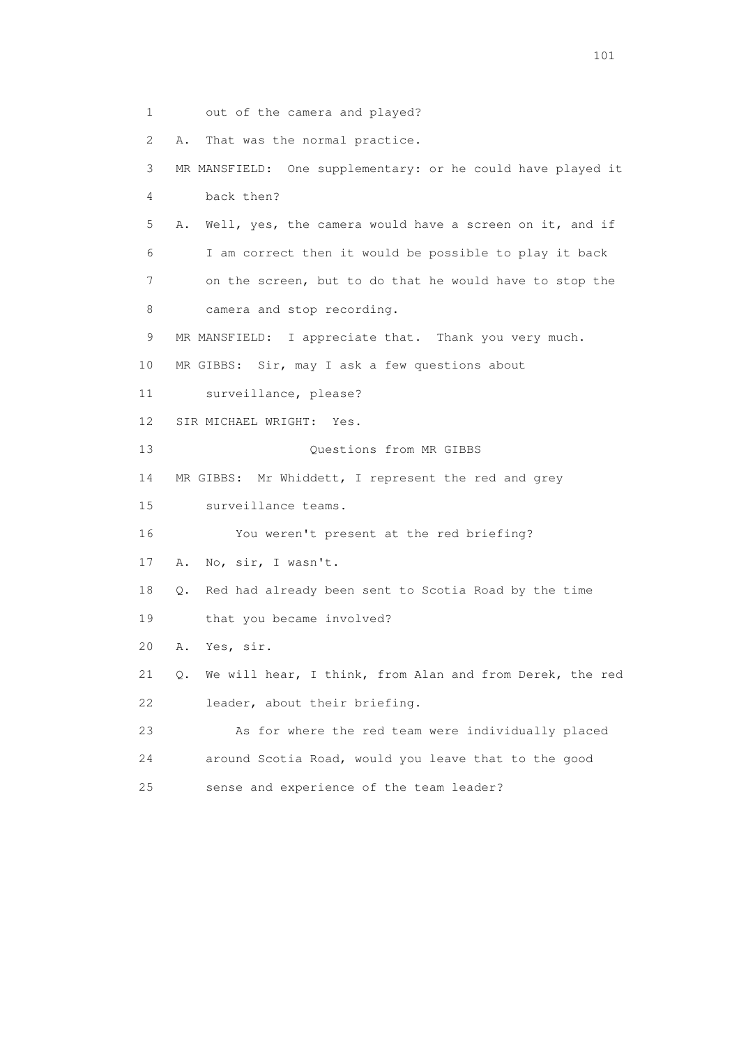1 out of the camera and played? 2 A. That was the normal practice. 3 MR MANSFIELD: One supplementary: or he could have played it 4 back then? 5 A. Well, yes, the camera would have a screen on it, and if 6 I am correct then it would be possible to play it back 7 on the screen, but to do that he would have to stop the 8 camera and stop recording. 9 MR MANSFIELD: I appreciate that. Thank you very much. 10 MR GIBBS: Sir, may I ask a few questions about 11 surveillance, please? 12 SIR MICHAEL WRIGHT: Yes. 13 Ouestions from MR GIBBS 14 MR GIBBS: Mr Whiddett, I represent the red and grey 15 surveillance teams. 16 You weren't present at the red briefing? 17 A. No, sir, I wasn't. 18 Q. Red had already been sent to Scotia Road by the time 19 that you became involved? 20 A. Yes, sir. 21 Q. We will hear, I think, from Alan and from Derek, the red 22 leader, about their briefing. 23 As for where the red team were individually placed 24 around Scotia Road, would you leave that to the good 25 sense and experience of the team leader?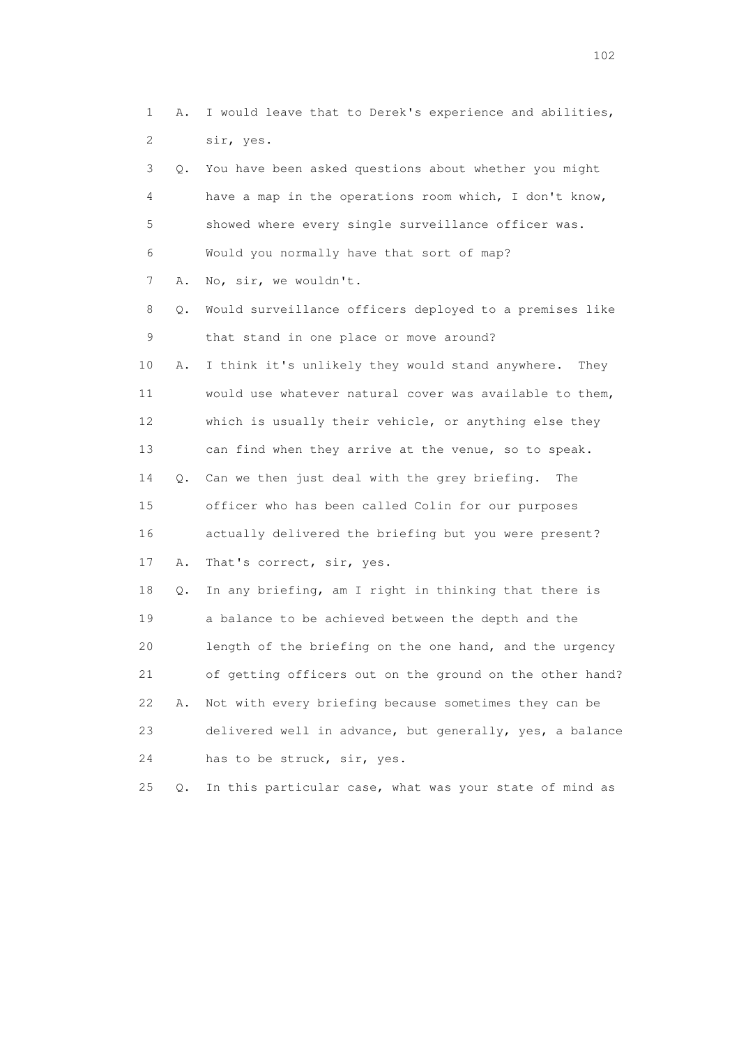1 A. I would leave that to Derek's experience and abilities, 2 sir, yes. 3 Q. You have been asked questions about whether you might 4 have a map in the operations room which, I don't know, 5 showed where every single surveillance officer was. 6 Would you normally have that sort of map? 7 A. No, sir, we wouldn't. 8 Q. Would surveillance officers deployed to a premises like 9 that stand in one place or move around? 10 A. I think it's unlikely they would stand anywhere. They 11 would use whatever natural cover was available to them, 12 which is usually their vehicle, or anything else they 13 can find when they arrive at the venue, so to speak. 14 Q. Can we then just deal with the grey briefing. The 15 officer who has been called Colin for our purposes 16 actually delivered the briefing but you were present? 17 A. That's correct, sir, yes. 18 Q. In any briefing, am I right in thinking that there is 19 a balance to be achieved between the depth and the 20 length of the briefing on the one hand, and the urgency 21 of getting officers out on the ground on the other hand? 22 A. Not with every briefing because sometimes they can be 23 delivered well in advance, but generally, yes, a balance 24 has to be struck, sir, yes.

25 Q. In this particular case, what was your state of mind as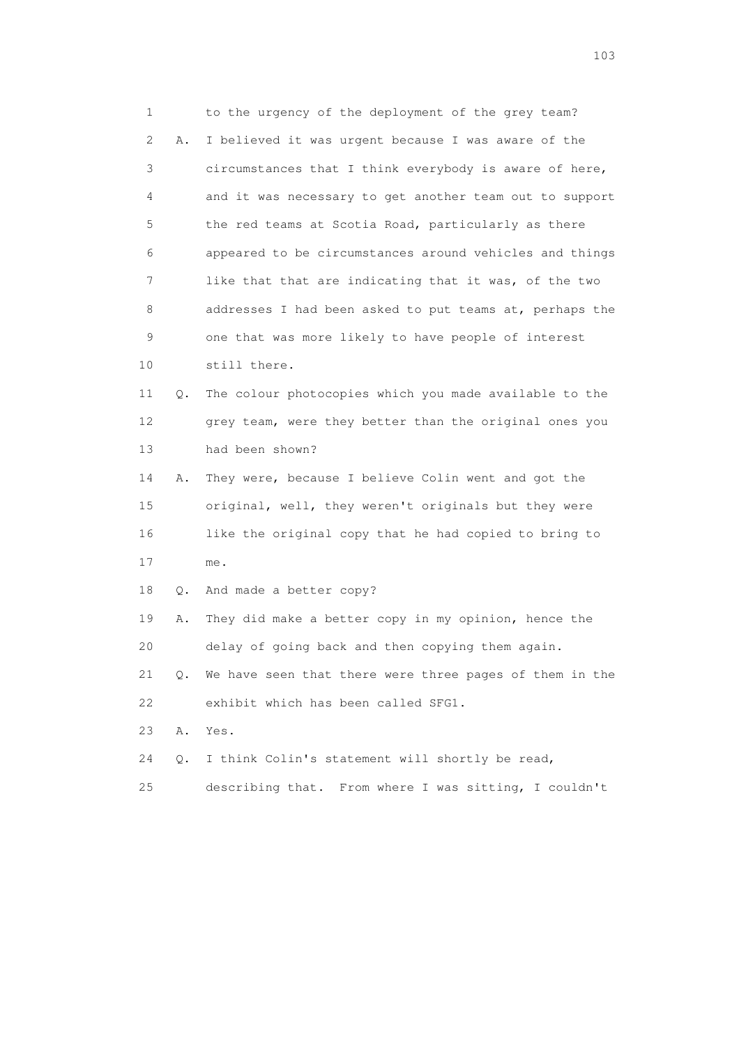1 to the urgency of the deployment of the grey team? 2 A. I believed it was urgent because I was aware of the 3 circumstances that I think everybody is aware of here, 4 and it was necessary to get another team out to support 5 the red teams at Scotia Road, particularly as there 6 appeared to be circumstances around vehicles and things 7 like that that are indicating that it was, of the two 8 addresses I had been asked to put teams at, perhaps the 9 one that was more likely to have people of interest 10 still there. 11 Q. The colour photocopies which you made available to the 12 grey team, were they better than the original ones you 13 had been shown? 14 A. They were, because I believe Colin went and got the 15 original, well, they weren't originals but they were 16 like the original copy that he had copied to bring to 17 me. 18 Q. And made a better copy? 19 A. They did make a better copy in my opinion, hence the 20 delay of going back and then copying them again. 21 Q. We have seen that there were three pages of them in the 22 exhibit which has been called SFG1. 23 A. Yes. 24 Q. I think Colin's statement will shortly be read, 25 describing that. From where I was sitting, I couldn't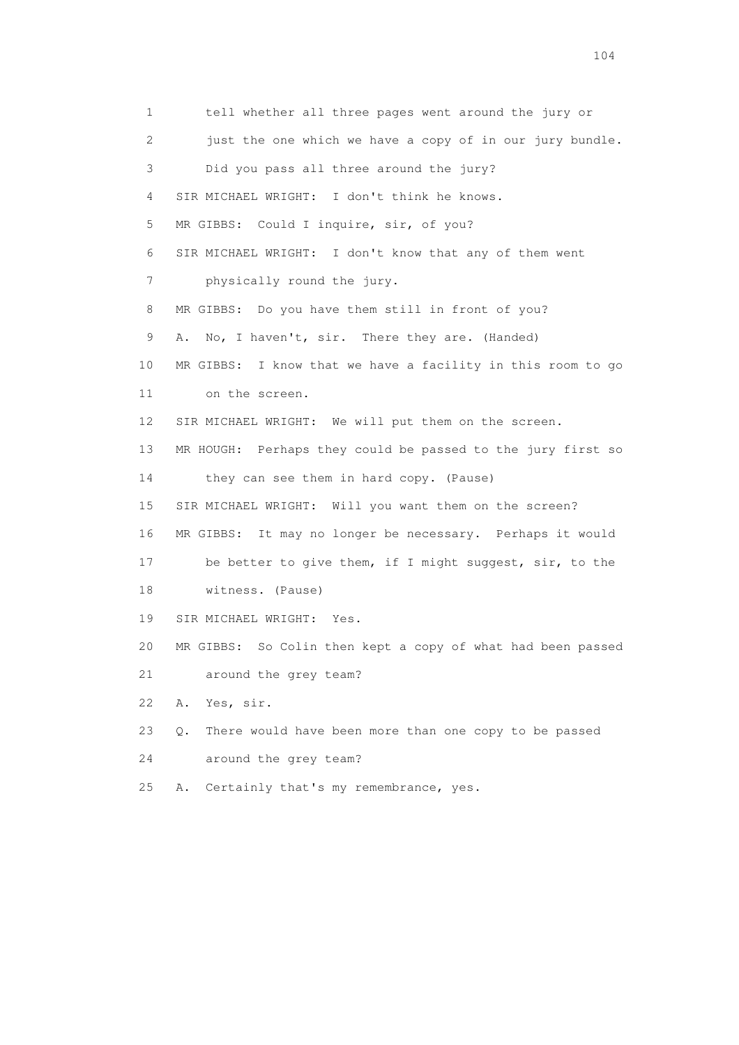1 tell whether all three pages went around the jury or 2 just the one which we have a copy of in our jury bundle. 3 Did you pass all three around the jury? 4 SIR MICHAEL WRIGHT: I don't think he knows. 5 MR GIBBS: Could I inquire, sir, of you? 6 SIR MICHAEL WRIGHT: I don't know that any of them went 7 physically round the jury. 8 MR GIBBS: Do you have them still in front of you? 9 A. No, I haven't, sir. There they are. (Handed) 10 MR GIBBS: I know that we have a facility in this room to go 11 on the screen. 12 SIR MICHAEL WRIGHT: We will put them on the screen. 13 MR HOUGH: Perhaps they could be passed to the jury first so 14 they can see them in hard copy. (Pause) 15 SIR MICHAEL WRIGHT: Will you want them on the screen? 16 MR GIBBS: It may no longer be necessary. Perhaps it would 17 be better to give them, if I might suggest, sir, to the 18 witness. (Pause) 19 SIR MICHAEL WRIGHT: Yes. 20 MR GIBBS: So Colin then kept a copy of what had been passed 21 around the grey team? 22 A. Yes, sir. 23 Q. There would have been more than one copy to be passed 24 around the grey team? 25 A. Certainly that's my remembrance, yes.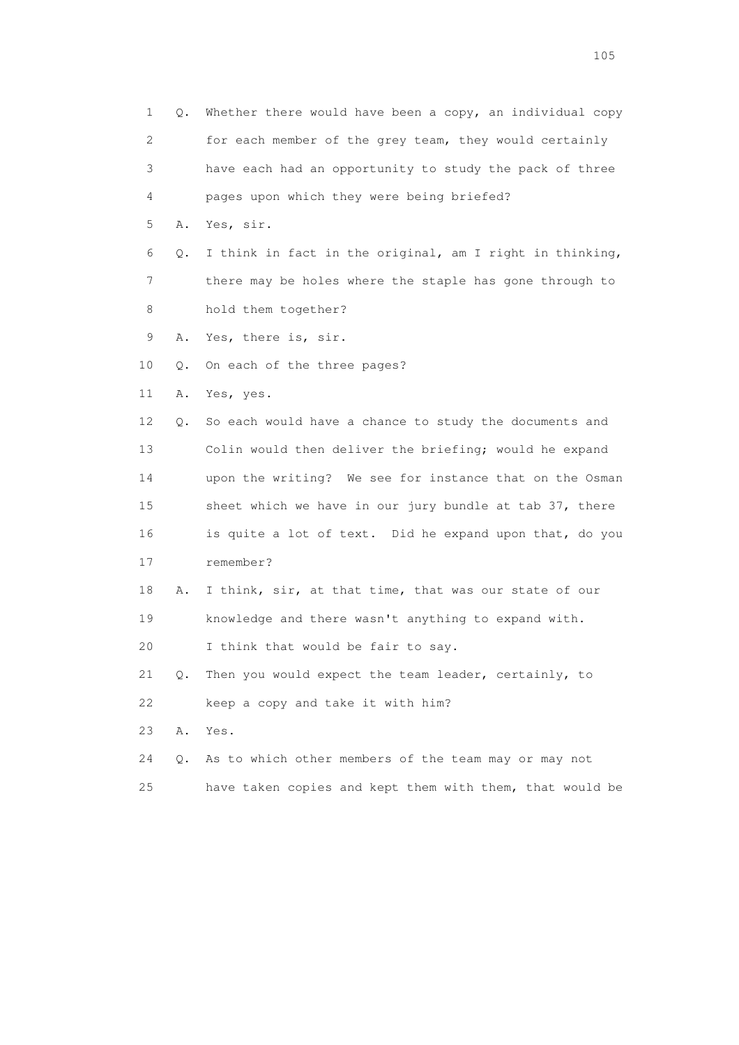1 Q. Whether there would have been a copy, an individual copy 2 for each member of the grey team, they would certainly 3 have each had an opportunity to study the pack of three 4 pages upon which they were being briefed? 5 A. Yes, sir. 6 Q. I think in fact in the original, am I right in thinking, 7 there may be holes where the staple has gone through to 8 hold them together? 9 A. Yes, there is, sir. 10 Q. On each of the three pages? 11 A. Yes, yes. 12 Q. So each would have a chance to study the documents and 13 Colin would then deliver the briefing; would he expand 14 upon the writing? We see for instance that on the Osman 15 sheet which we have in our jury bundle at tab 37, there 16 is quite a lot of text. Did he expand upon that, do you 17 remember? 18 A. I think, sir, at that time, that was our state of our 19 knowledge and there wasn't anything to expand with. 20 I think that would be fair to say. 21 Q. Then you would expect the team leader, certainly, to 22 keep a copy and take it with him? 23 A. Yes. 24 Q. As to which other members of the team may or may not 25 have taken copies and kept them with them, that would be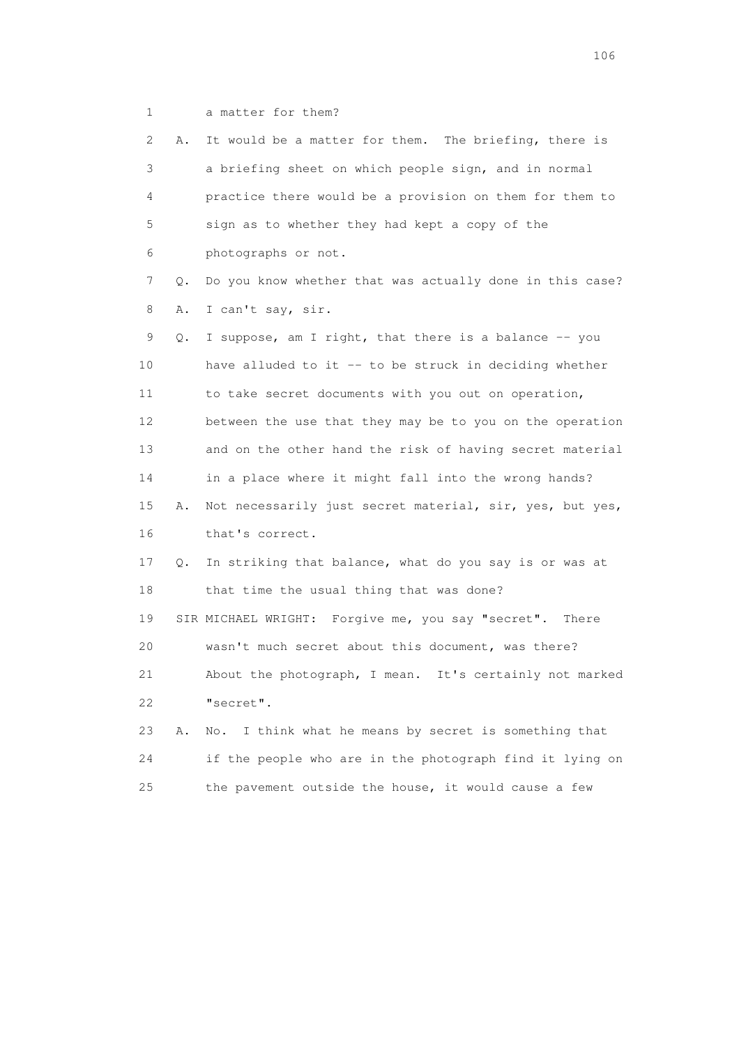1 a matter for them?

 2 A. It would be a matter for them. The briefing, there is 3 a briefing sheet on which people sign, and in normal 4 practice there would be a provision on them for them to 5 sign as to whether they had kept a copy of the 6 photographs or not. 7 Q. Do you know whether that was actually done in this case? 8 A. I can't say, sir. 9 Q. I suppose, am I right, that there is a balance -- you 10 have alluded to it -- to be struck in deciding whether 11 to take secret documents with you out on operation, 12 between the use that they may be to you on the operation 13 and on the other hand the risk of having secret material 14 in a place where it might fall into the wrong hands? 15 A. Not necessarily just secret material, sir, yes, but yes, 16 that's correct. 17 Q. In striking that balance, what do you say is or was at 18 that time the usual thing that was done? 19 SIR MICHAEL WRIGHT: Forgive me, you say "secret". There 20 wasn't much secret about this document, was there? 21 About the photograph, I mean. It's certainly not marked 22 "secret". 23 A. No. I think what he means by secret is something that 24 if the people who are in the photograph find it lying on

25 the pavement outside the house, it would cause a few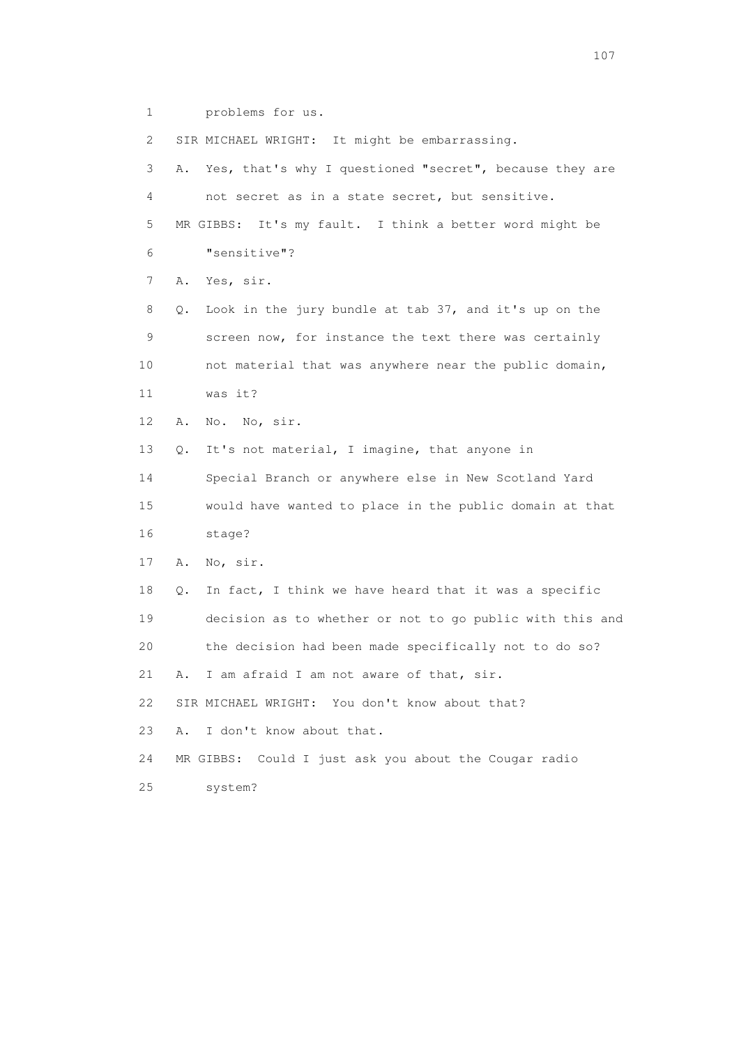1 problems for us.

2 SIR MICHAEL WRIGHT: It might be embarrassing.

 3 A. Yes, that's why I questioned "secret", because they are 4 not secret as in a state secret, but sensitive. 5 MR GIBBS: It's my fault. I think a better word might be 6 "sensitive"? 7 A. Yes, sir. 8 Q. Look in the jury bundle at tab 37, and it's up on the 9 screen now, for instance the text there was certainly 10 not material that was anywhere near the public domain, 11 was it? 12 A. No. No, sir. 13 Q. It's not material, I imagine, that anyone in 14 Special Branch or anywhere else in New Scotland Yard 15 would have wanted to place in the public domain at that 16 stage? 17 A. No, sir. 18 Q. In fact, I think we have heard that it was a specific 19 decision as to whether or not to go public with this and 20 the decision had been made specifically not to do so? 21 A. I am afraid I am not aware of that, sir. 22 SIR MICHAEL WRIGHT: You don't know about that? 23 A. I don't know about that. 24 MR GIBBS: Could I just ask you about the Cougar radio 25 system?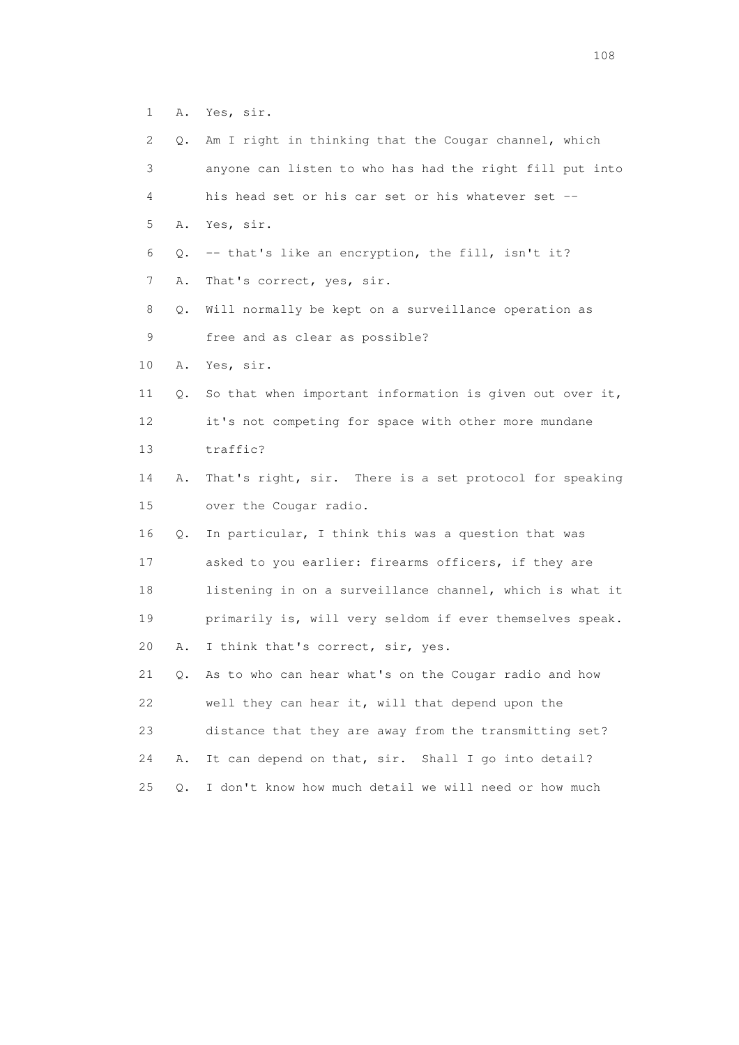1 A. Yes, sir.

| $\mathbf{2}^{\mathsf{I}}$ | Q. | Am I right in thinking that the Cougar channel, which    |
|---------------------------|----|----------------------------------------------------------|
| 3                         |    | anyone can listen to who has had the right fill put into |
| 4                         |    | his head set or his car set or his whatever set --       |
| 5                         |    | A. Yes, sir.                                             |
| 6                         | Q. | -- that's like an encryption, the fill, isn't it?        |
| 7                         | Α. | That's correct, yes, sir.                                |
| 8                         | Q. | Will normally be kept on a surveillance operation as     |
| 9                         |    | free and as clear as possible?                           |
| 10                        | Α. | Yes, sir.                                                |
| 11                        | Q. | So that when important information is given out over it, |
| 12                        |    | it's not competing for space with other more mundane     |
| 13                        |    | traffic?                                                 |
| 14                        | Α. | That's right, sir. There is a set protocol for speaking  |
| 15                        |    | over the Cougar radio.                                   |
| 16                        | Q. | In particular, I think this was a question that was      |
| 17                        |    | asked to you earlier: firearms officers, if they are     |
| 18                        |    | listening in on a surveillance channel, which is what it |
| 19                        |    | primarily is, will very seldom if ever themselves speak. |
| 20                        | Α. | I think that's correct, sir, yes.                        |
| 21                        | Q. | As to who can hear what's on the Cougar radio and how    |
| 22                        |    | well they can hear it, will that depend upon the         |
| 23                        |    | distance that they are away from the transmitting set?   |
| 24                        | Α. | It can depend on that, sir. Shall I go into detail?      |
| 25                        | О. | I don't know how much detail we will need or how much    |
|                           |    |                                                          |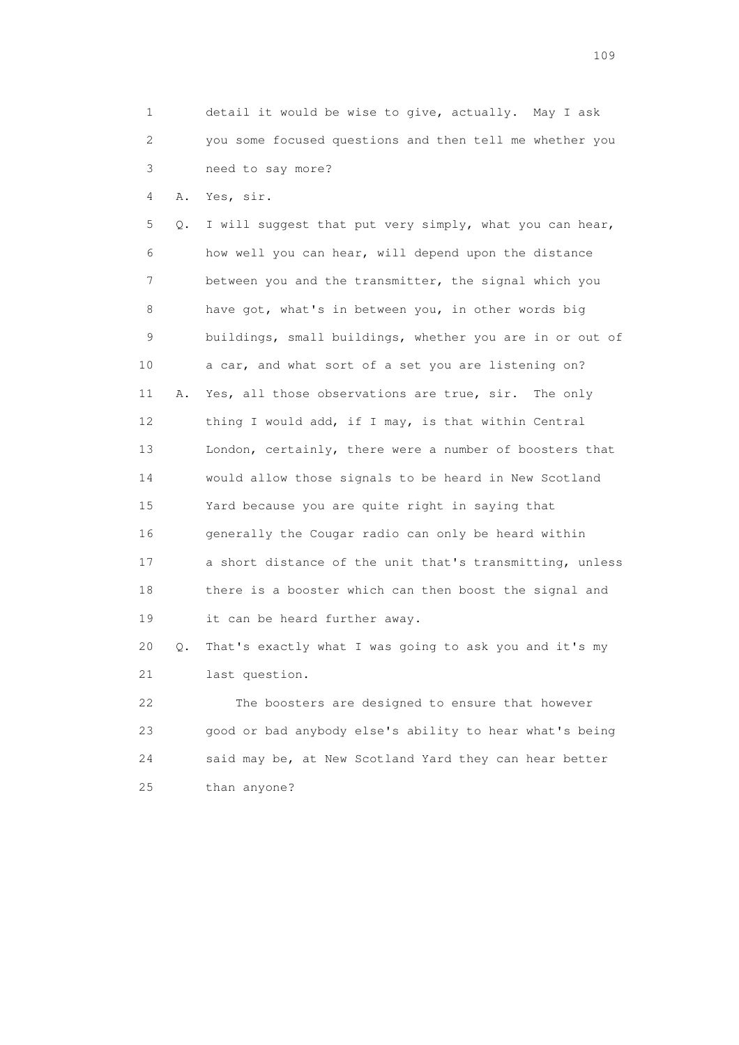1 detail it would be wise to give, actually. May I ask 2 you some focused questions and then tell me whether you 3 need to say more?

4 A. Yes, sir.

 5 Q. I will suggest that put very simply, what you can hear, 6 how well you can hear, will depend upon the distance 7 between you and the transmitter, the signal which you 8 have got, what's in between you, in other words big 9 buildings, small buildings, whether you are in or out of 10 a car, and what sort of a set you are listening on? 11 A. Yes, all those observations are true, sir. The only 12 thing I would add, if I may, is that within Central 13 London, certainly, there were a number of boosters that 14 would allow those signals to be heard in New Scotland 15 Yard because you are quite right in saying that 16 generally the Cougar radio can only be heard within 17 a short distance of the unit that's transmitting, unless 18 there is a booster which can then boost the signal and 19 it can be heard further away.

 20 Q. That's exactly what I was going to ask you and it's my 21 last question.

 22 The boosters are designed to ensure that however 23 good or bad anybody else's ability to hear what's being 24 said may be, at New Scotland Yard they can hear better 25 than anyone?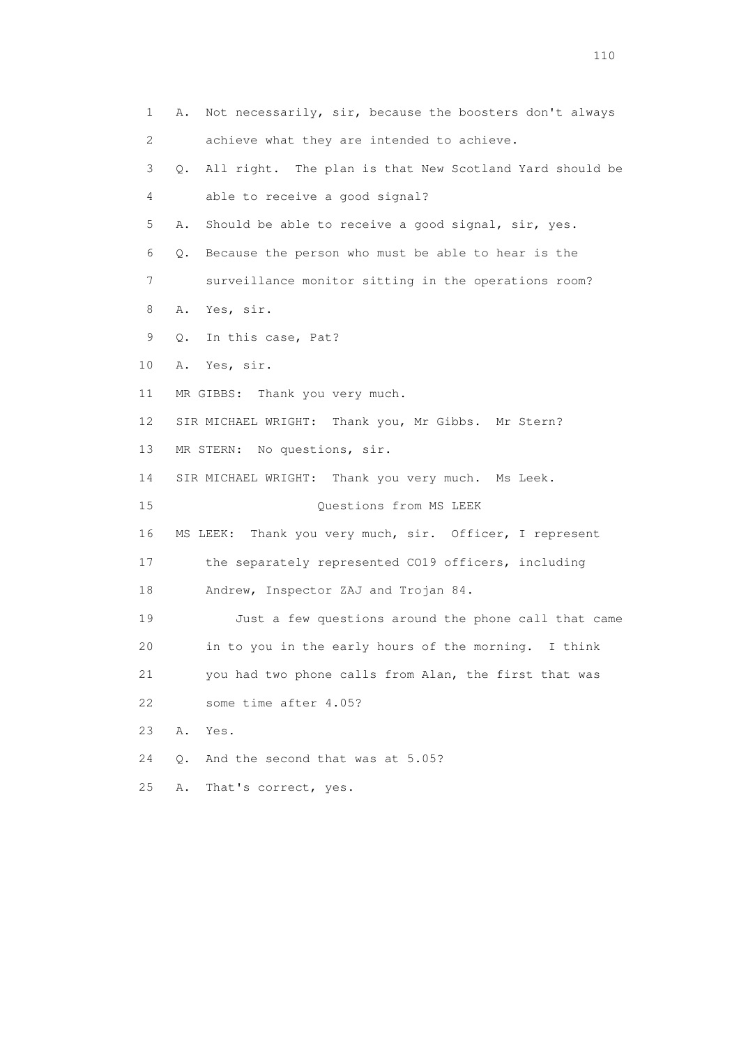| 1  | Not necessarily, sir, because the boosters don't always<br>Α. |
|----|---------------------------------------------------------------|
| 2  | achieve what they are intended to achieve.                    |
| 3  | Q. All right. The plan is that New Scotland Yard should be    |
| 4  | able to receive a good signal?                                |
| 5  | Should be able to receive a good signal, sir, yes.<br>Α.      |
| 6  | Because the person who must be able to hear is the<br>Q.      |
| 7  | surveillance monitor sitting in the operations room?          |
| 8  | Yes, sir.<br>Α.                                               |
| 9  | Q.<br>In this case, Pat?                                      |
| 10 | Yes, sir.<br>Α.                                               |
| 11 | MR GIBBS: Thank you very much.                                |
| 12 | SIR MICHAEL WRIGHT: Thank you, Mr Gibbs. Mr Stern?            |
| 13 | MR STERN: No questions, sir.                                  |
| 14 | SIR MICHAEL WRIGHT: Thank you very much. Ms Leek.             |
| 15 | Questions from MS LEEK                                        |
| 16 | MS LEEK: Thank you very much, sir. Officer, I represent       |
| 17 | the separately represented CO19 officers, including           |
| 18 | Andrew, Inspector ZAJ and Trojan 84.                          |
| 19 | Just a few questions around the phone call that came          |
| 20 | in to you in the early hours of the morning. I think          |
| 21 | you had two phone calls from Alan, the first that was         |
| 22 | some time after 4.05?                                         |
| 23 | Α.<br>Yes.                                                    |
| 24 | And the second that was at 5.05?<br>Q.                        |
| 25 | That's correct, yes.<br>Α.                                    |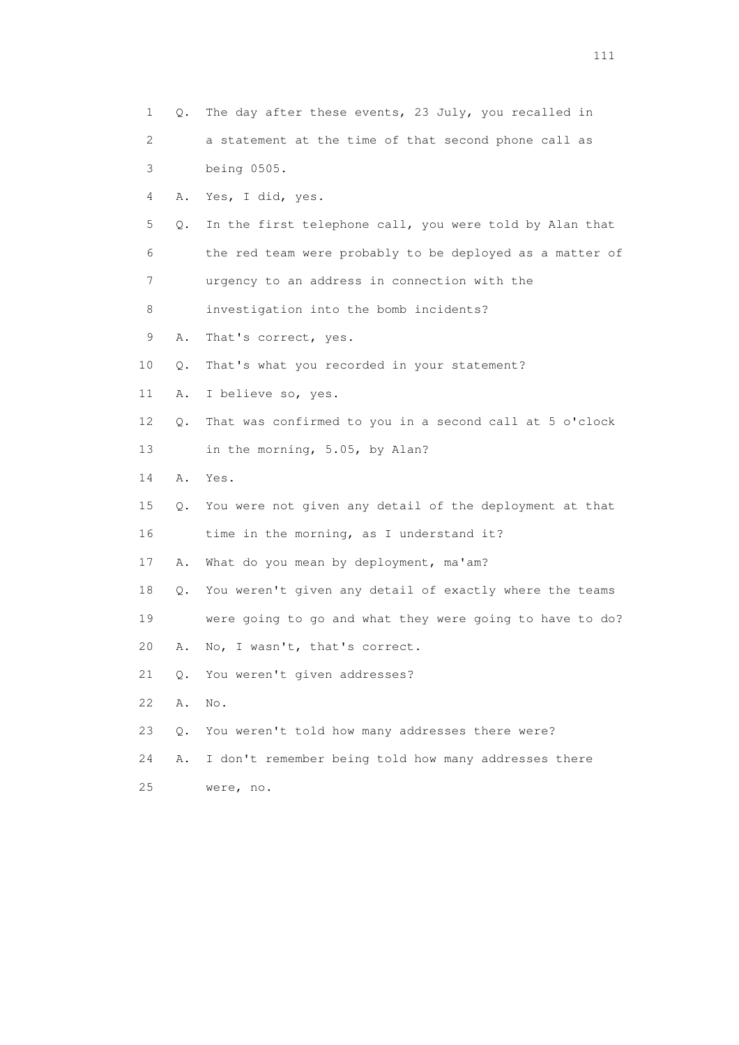| 1  | Q. | The day after these events, 23 July, you recalled in     |
|----|----|----------------------------------------------------------|
| 2  |    | a statement at the time of that second phone call as     |
| 3  |    | being 0505.                                              |
| 4  | Α. | Yes, I did, yes.                                         |
| 5  | Q. | In the first telephone call, you were told by Alan that  |
| 6  |    | the red team were probably to be deployed as a matter of |
| 7  |    | urgency to an address in connection with the             |
| 8  |    | investigation into the bomb incidents?                   |
| 9  | Α. | That's correct, yes.                                     |
| 10 | Q. | That's what you recorded in your statement?              |
| 11 | Α. | I believe so, yes.                                       |
| 12 | Q. | That was confirmed to you in a second call at 5 o'clock  |
| 13 |    | in the morning, 5.05, by Alan?                           |
| 14 | Α. | Yes.                                                     |
| 15 | Q. | You were not given any detail of the deployment at that  |
| 16 |    | time in the morning, as I understand it?                 |
| 17 | Α. | What do you mean by deployment, ma'am?                   |
| 18 | Q. | You weren't given any detail of exactly where the teams  |
| 19 |    | were going to go and what they were going to have to do? |
| 20 | Α. | No, I wasn't, that's correct.                            |
| 21 | Q. | You weren't given addresses?                             |
| 22 | Α. | No.                                                      |
| 23 | Q. | You weren't told how many addresses there were?          |
| 24 | Α. | I don't remember being told how many addresses there     |
| 25 |    | were, no.                                                |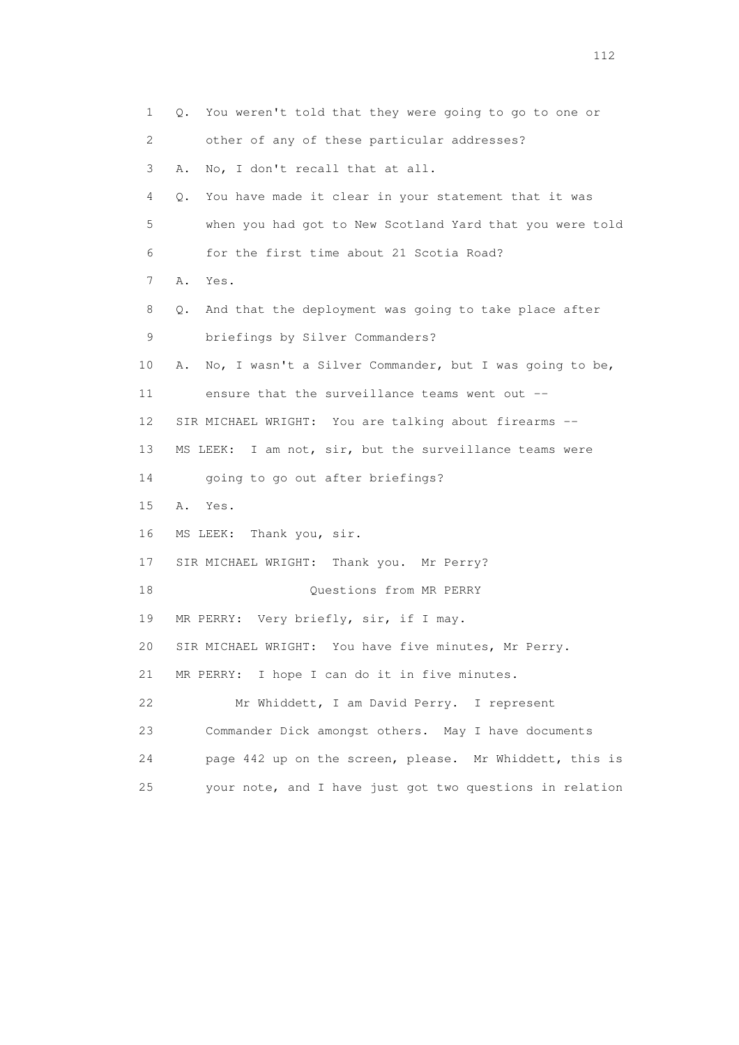1 Q. You weren't told that they were going to go to one or 2 other of any of these particular addresses? 3 A. No, I don't recall that at all. 4 Q. You have made it clear in your statement that it was 5 when you had got to New Scotland Yard that you were told 6 for the first time about 21 Scotia Road? 7 A. Yes. 8 Q. And that the deployment was going to take place after 9 briefings by Silver Commanders? 10 A. No, I wasn't a Silver Commander, but I was going to be, 11 ensure that the surveillance teams went out -- 12 SIR MICHAEL WRIGHT: You are talking about firearms -- 13 MS LEEK: I am not, sir, but the surveillance teams were 14 going to go out after briefings? 15 A. Yes. 16 MS LEEK: Thank you, sir. 17 SIR MICHAEL WRIGHT: Thank you. Mr Perry? 18 Ouestions from MR PERRY 19 MR PERRY: Very briefly, sir, if I may. 20 SIR MICHAEL WRIGHT: You have five minutes, Mr Perry. 21 MR PERRY: I hope I can do it in five minutes. 22 Mr Whiddett, I am David Perry. I represent 23 Commander Dick amongst others. May I have documents 24 page 442 up on the screen, please. Mr Whiddett, this is 25 your note, and I have just got two questions in relation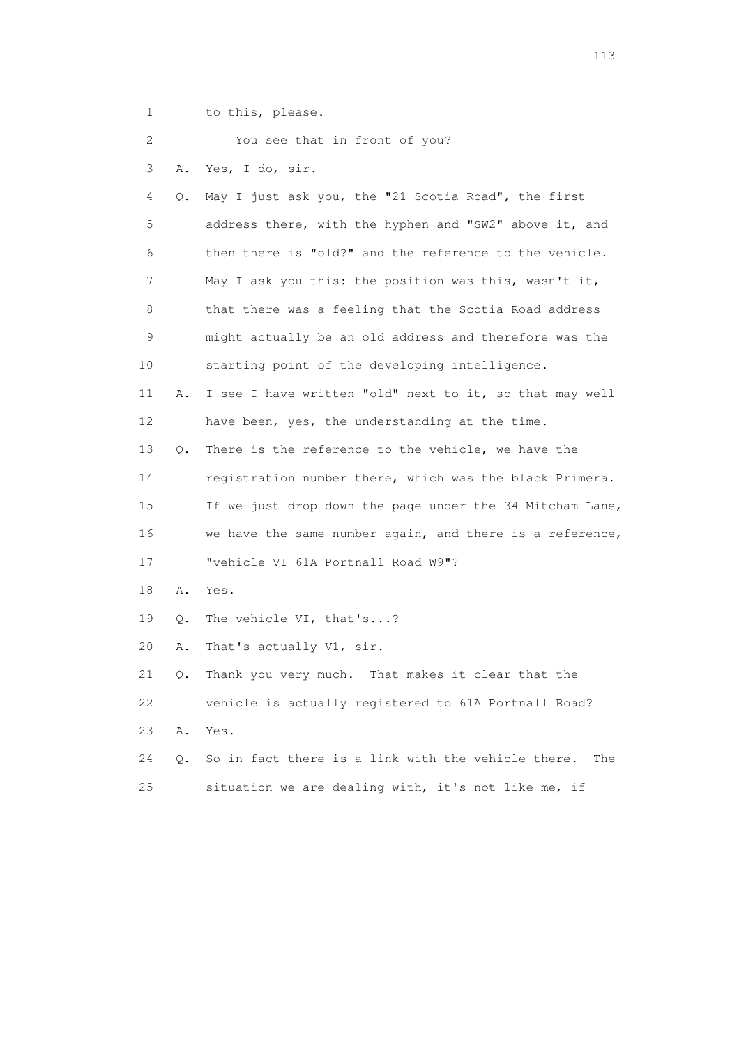1 to this, please.

2 You see that in front of you?

3 A. Yes, I do, sir.

 4 Q. May I just ask you, the "21 Scotia Road", the first 5 address there, with the hyphen and "SW2" above it, and 6 then there is "old?" and the reference to the vehicle. 7 May I ask you this: the position was this, wasn't it, 8 that there was a feeling that the Scotia Road address 9 might actually be an old address and therefore was the 10 starting point of the developing intelligence. 11 A. I see I have written "old" next to it, so that may well 12 have been, yes, the understanding at the time. 13 Q. There is the reference to the vehicle, we have the 14 registration number there, which was the black Primera. 15 If we just drop down the page under the 34 Mitcham Lane, 16 we have the same number again, and there is a reference, 17 "vehicle VI 61A Portnall Road W9"? 18 A. Yes. 19 Q. The vehicle VI, that's...? 20 A. That's actually V1, sir. 21 Q. Thank you very much. That makes it clear that the 22 vehicle is actually registered to 61A Portnall Road? 23 A. Yes. 24 Q. So in fact there is a link with the vehicle there. The

25 situation we are dealing with, it's not like me, if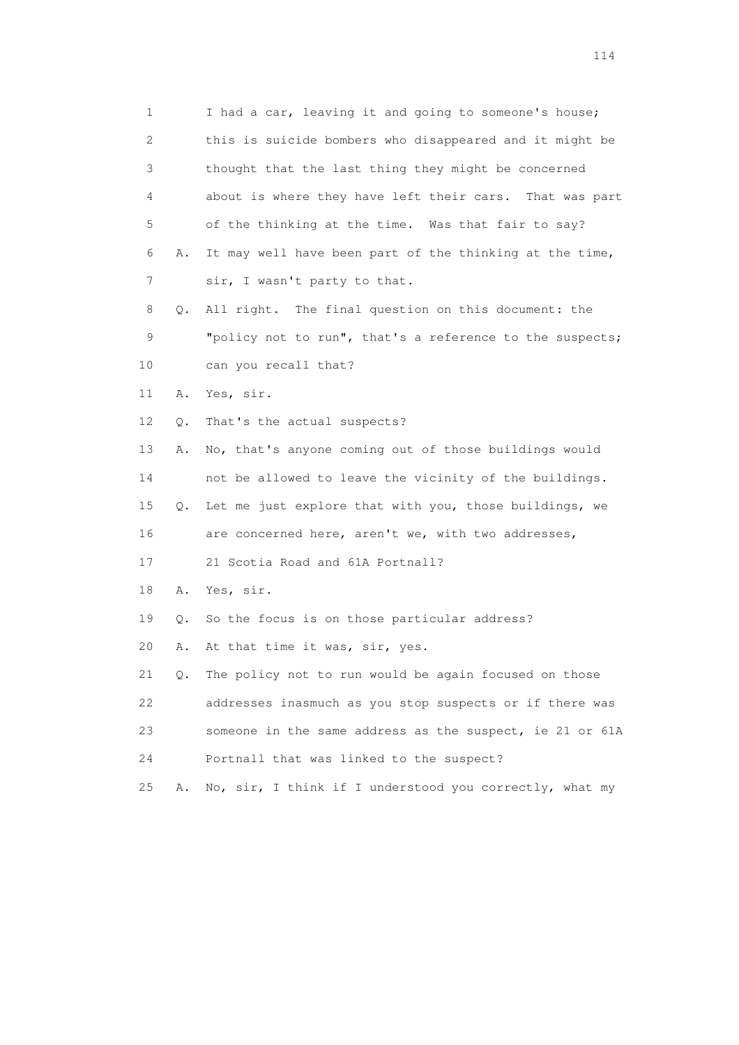| 1  |    | I had a car, leaving it and going to someone's house;    |
|----|----|----------------------------------------------------------|
| 2  |    | this is suicide bombers who disappeared and it might be  |
| 3  |    | thought that the last thing they might be concerned      |
| 4  |    | about is where they have left their cars. That was part  |
| 5  |    | of the thinking at the time. Was that fair to say?       |
| 6  | Α. | It may well have been part of the thinking at the time,  |
| 7  |    | sir, I wasn't party to that.                             |
| 8  | Q. | All right. The final question on this document: the      |
| 9  |    | "policy not to run", that's a reference to the suspects; |
| 10 |    | can you recall that?                                     |
| 11 | Α. | Yes, sir.                                                |
| 12 | Q. | That's the actual suspects?                              |
| 13 | Α. | No, that's anyone coming out of those buildings would    |
| 14 |    | not be allowed to leave the vicinity of the buildings.   |
| 15 | Q. | Let me just explore that with you, those buildings, we   |
| 16 |    | are concerned here, aren't we, with two addresses,       |
| 17 |    | 21 Scotia Road and 61A Portnall?                         |
| 18 | Α. | Yes, sir.                                                |
| 19 | Q. | So the focus is on those particular address?             |
| 20 | Α. | At that time it was, sir, yes.                           |
| 21 | Q. | The policy not to run would be again focused on those    |
| 22 |    | addresses inasmuch as you stop suspects or if there was  |
| 23 |    | someone in the same address as the suspect, ie 21 or 61A |
| 24 |    | Portnall that was linked to the suspect?                 |
| 25 | Α. | No, sir, I think if I understood you correctly, what my  |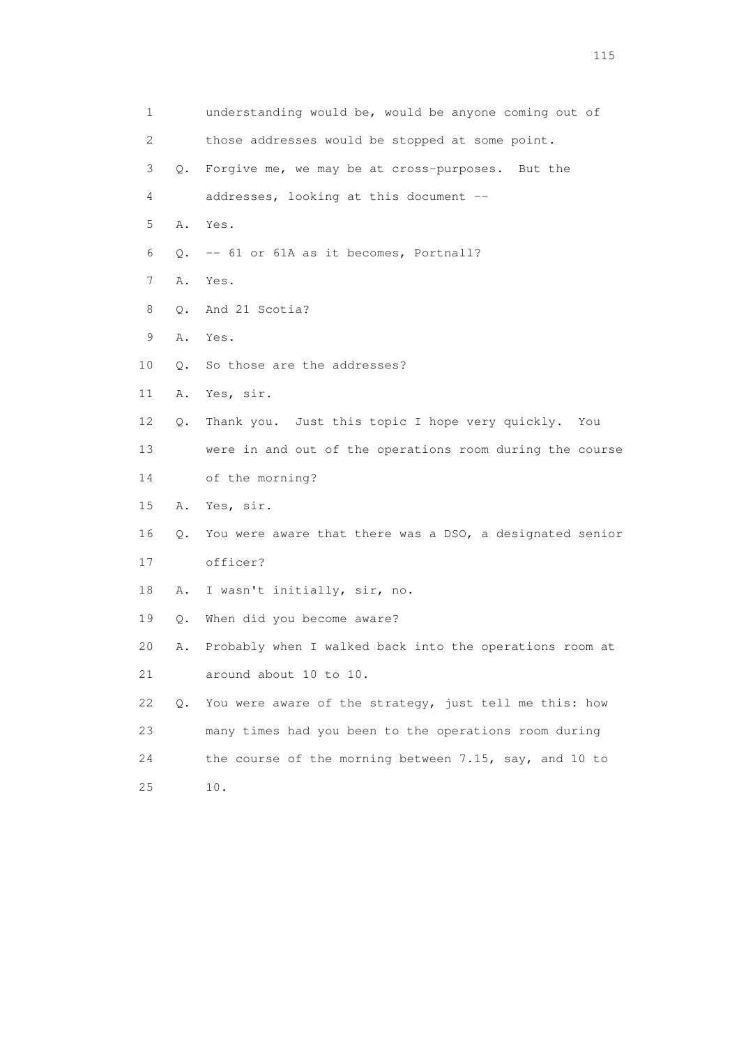| 1  |    | understanding would be, would be anyone coming out of    |
|----|----|----------------------------------------------------------|
| 2  |    | those addresses would be stopped at some point.          |
| 3  | Q. | Forgive me, we may be at cross-purposes. But the         |
| 4  |    | addresses, looking at this document --                   |
| 5  | Α. | Yes.                                                     |
| 6  | Q. | -- 61 or 61A as it becomes, Portnall?                    |
| 7  | Α. | Yes.                                                     |
| 8  | Q. | And 21 Scotia?                                           |
| 9  | Α. | Yes.                                                     |
| 10 | Q. | So those are the addresses?                              |
| 11 | Α. | Yes, sir.                                                |
| 12 | Q. | Thank you. Just this topic I hope very quickly. You      |
| 13 |    | were in and out of the operations room during the course |
| 14 |    | of the morning?                                          |
| 15 | A. | Yes, sir.                                                |
| 16 | Q. | You were aware that there was a DSO, a designated senior |
| 17 |    | officer?                                                 |
| 18 | Α. | I wasn't initially, sir, no.                             |
| 19 | Q. | When did you become aware?                               |
| 20 | Α. | Probably when I walked back into the operations room at  |
| 21 |    | around about 10 to 10.                                   |
| 22 | Q. | You were aware of the strategy, just tell me this: how   |
| 23 |    | many times had you been to the operations room during    |
| 24 |    | the course of the morning between 7.15, say, and 10 to   |
| 25 |    | 10.                                                      |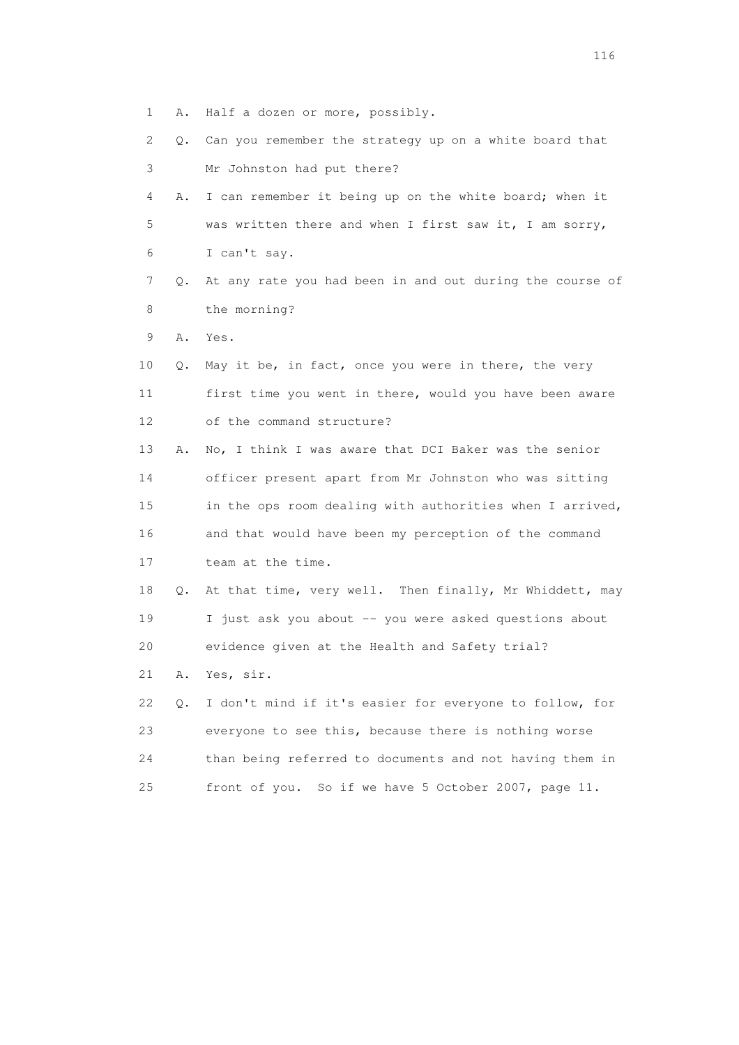- 1 A. Half a dozen or more, possibly.
- 2 Q. Can you remember the strategy up on a white board that 3 Mr Johnston had put there?
- 4 A. I can remember it being up on the white board; when it 5 was written there and when I first saw it, I am sorry, 6 I can't say.
- 7 Q. At any rate you had been in and out during the course of 8 the morning?
- 9 A. Yes.
- 10 Q. May it be, in fact, once you were in there, the very 11 first time you went in there, would you have been aware 12 of the command structure?
- 13 A. No, I think I was aware that DCI Baker was the senior 14 officer present apart from Mr Johnston who was sitting 15 in the ops room dealing with authorities when I arrived, 16 and that would have been my perception of the command 17 team at the time.
- 18 Q. At that time, very well. Then finally, Mr Whiddett, may 19 I just ask you about -- you were asked questions about 20 evidence given at the Health and Safety trial?
- 21 A. Yes, sir.
- 22 Q. I don't mind if it's easier for everyone to follow, for 23 everyone to see this, because there is nothing worse 24 than being referred to documents and not having them in 25 front of you. So if we have 5 October 2007, page 11.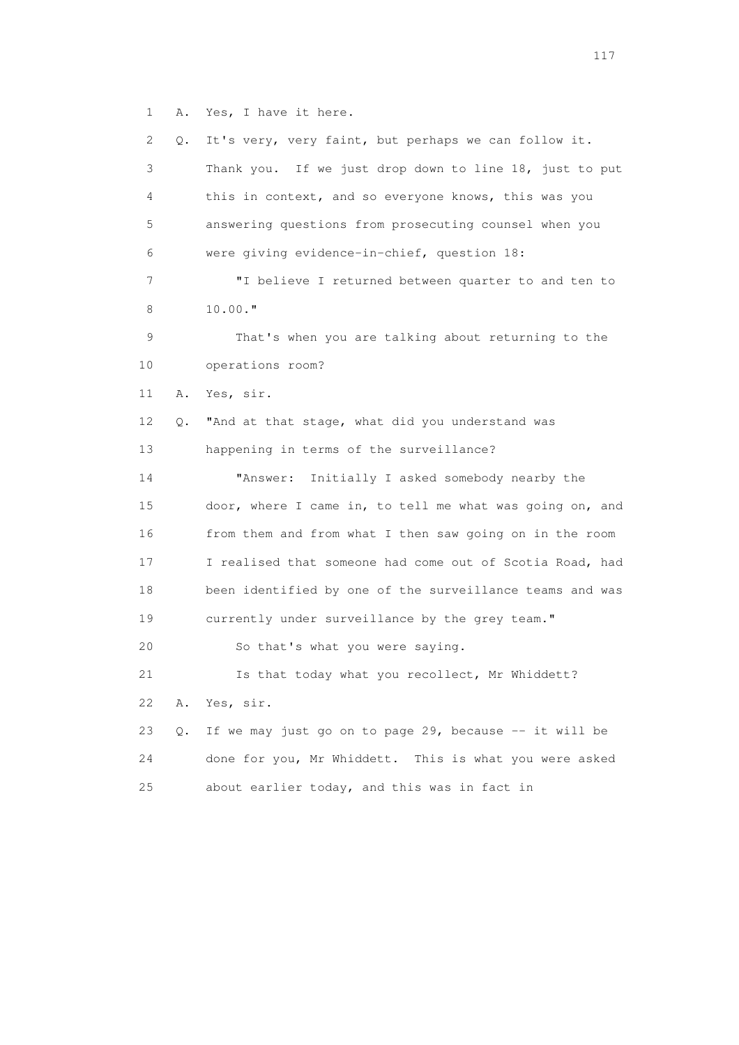1 A. Yes, I have it here.

| $\mathbf{2}^{\mathsf{I}}$ | О. | It's very, very faint, but perhaps we can follow it.     |
|---------------------------|----|----------------------------------------------------------|
| 3                         |    | Thank you. If we just drop down to line 18, just to put  |
| 4                         |    | this in context, and so everyone knows, this was you     |
| 5                         |    | answering questions from prosecuting counsel when you    |
| 6                         |    | were giving evidence-in-chief, question 18:              |
| 7                         |    | "I believe I returned between quarter to and ten to      |
| 8                         |    | $10.00.$ "                                               |
| 9                         |    | That's when you are talking about returning to the       |
| 10                        |    | operations room?                                         |
| 11                        | Α. | Yes, sir.                                                |
| 12                        | Q. | "And at that stage, what did you understand was          |
| 13                        |    | happening in terms of the surveillance?                  |
| 14                        |    | "Answer:<br>Initially I asked somebody nearby the        |
| 15                        |    | door, where I came in, to tell me what was going on, and |
| 16                        |    | from them and from what I then saw going on in the room  |
| 17                        |    | I realised that someone had come out of Scotia Road, had |
| 18                        |    | been identified by one of the surveillance teams and was |
| 19                        |    | currently under surveillance by the grey team."          |
| 20                        |    | So that's what you were saying.                          |
| 21                        |    | Is that today what you recollect, Mr Whiddett?           |
| 22                        | Α. | Yes, sir.                                                |
| 23                        | Q. | If we may just go on to page 29, because -- it will be   |
| 24                        |    | done for you, Mr Whiddett. This is what you were asked   |
| 25                        |    | about earlier today, and this was in fact in             |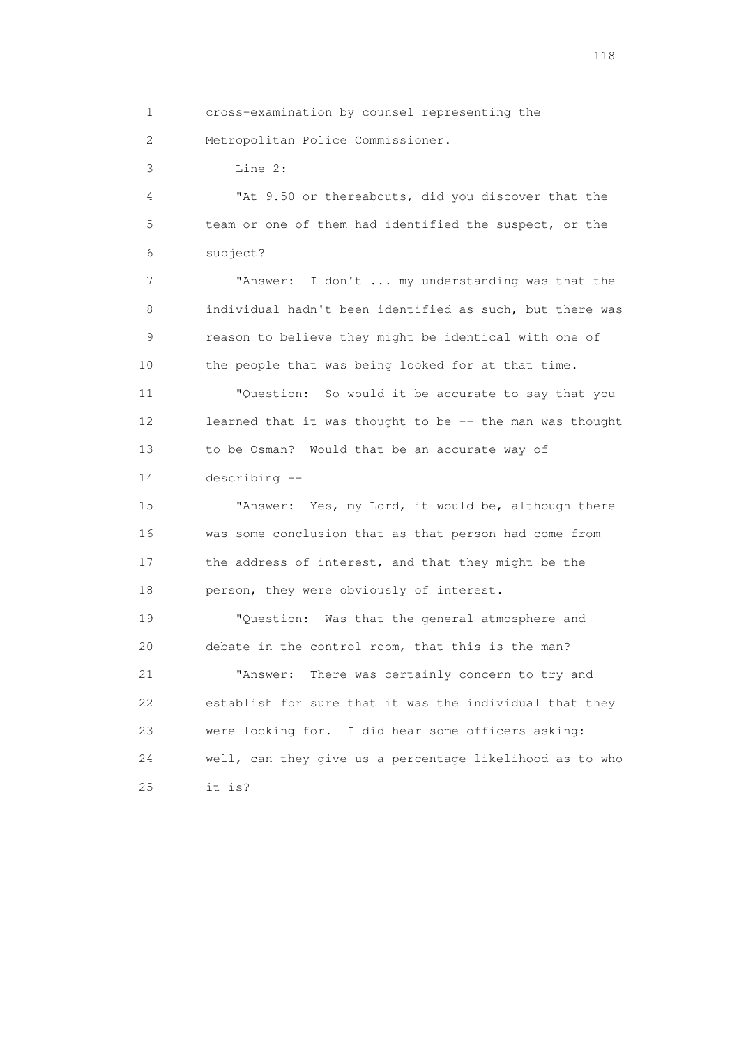1 cross-examination by counsel representing the 2 Metropolitan Police Commissioner.

3 Line 2:

 4 "At 9.50 or thereabouts, did you discover that the 5 team or one of them had identified the suspect, or the 6 subject?

 7 "Answer: I don't ... my understanding was that the 8 individual hadn't been identified as such, but there was 9 reason to believe they might be identical with one of 10 the people that was being looked for at that time.

 11 "Question: So would it be accurate to say that you 12 learned that it was thought to be -- the man was thought 13 to be Osman? Would that be an accurate way of 14 describing --

 15 "Answer: Yes, my Lord, it would be, although there 16 was some conclusion that as that person had come from 17 the address of interest, and that they might be the 18 person, they were obviously of interest.

 19 "Question: Was that the general atmosphere and 20 debate in the control room, that this is the man?

 21 "Answer: There was certainly concern to try and 22 establish for sure that it was the individual that they 23 were looking for. I did hear some officers asking: 24 well, can they give us a percentage likelihood as to who 25 it is?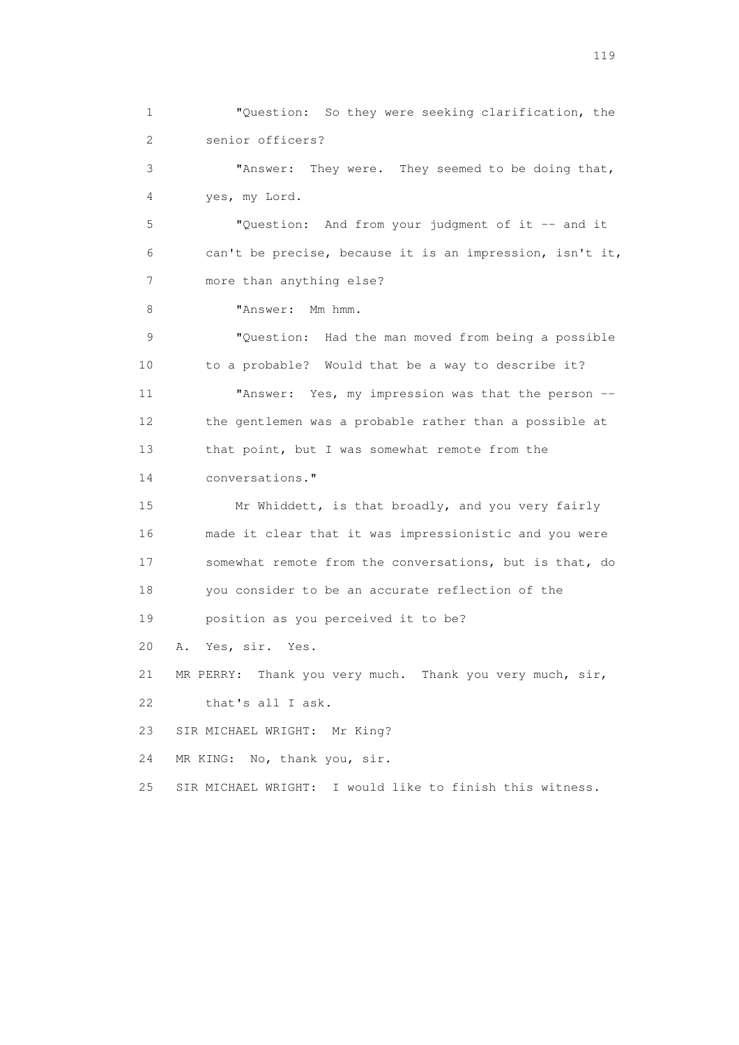1 "Question: So they were seeking clarification, the 2 senior officers? 3 "Answer: They were. They seemed to be doing that, 4 yes, my Lord. 5 "Question: And from your judgment of it -- and it 6 can't be precise, because it is an impression, isn't it, 7 more than anything else? 8 "Answer: Mm hmm. 9 "Question: Had the man moved from being a possible 10 to a probable? Would that be a way to describe it? 11 "Answer: Yes, my impression was that the person -- 12 the gentlemen was a probable rather than a possible at 13 that point, but I was somewhat remote from the 14 conversations." 15 Mr Whiddett, is that broadly, and you very fairly 16 made it clear that it was impressionistic and you were 17 somewhat remote from the conversations, but is that, do 18 you consider to be an accurate reflection of the 19 position as you perceived it to be? 20 A. Yes, sir. Yes. 21 MR PERRY: Thank you very much. Thank you very much, sir, 22 that's all I ask. 23 SIR MICHAEL WRIGHT: Mr King? 24 MR KING: No, thank you, sir. 25 SIR MICHAEL WRIGHT: I would like to finish this witness.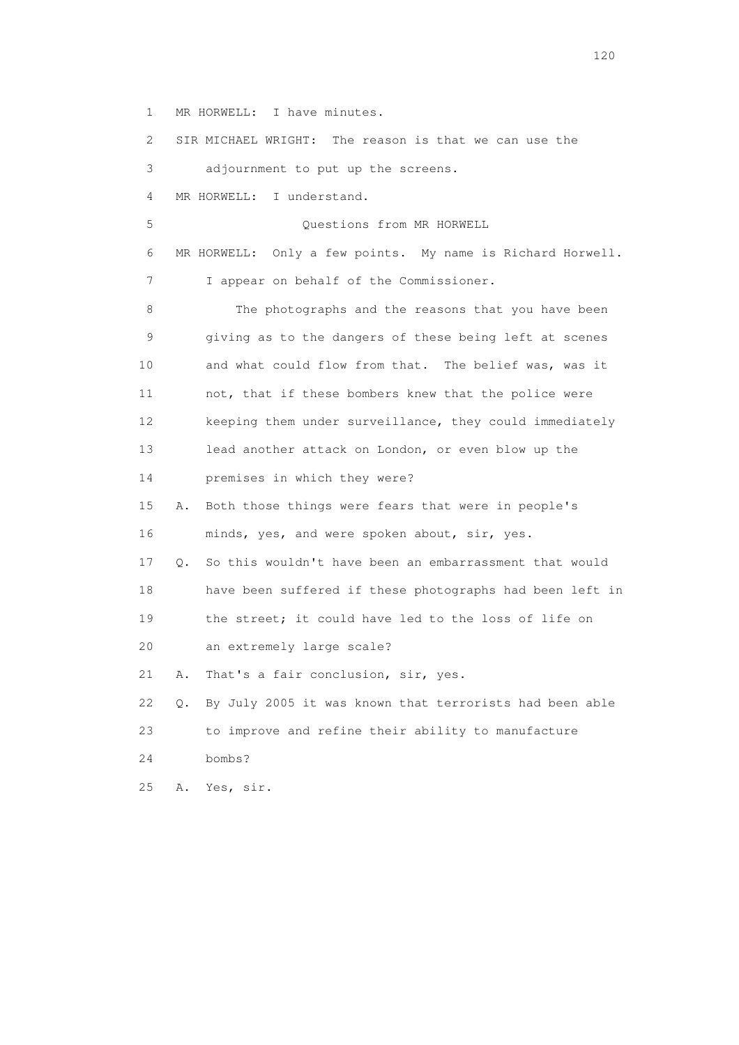1 MR HORWELL: I have minutes.

 2 SIR MICHAEL WRIGHT: The reason is that we can use the 3 adjournment to put up the screens. 4 MR HORWELL: I understand. 5 Questions from MR HORWELL 6 MR HORWELL: Only a few points. My name is Richard Horwell. 7 I appear on behalf of the Commissioner. 8 The photographs and the reasons that you have been 9 giving as to the dangers of these being left at scenes 10 and what could flow from that. The belief was, was it 11 not, that if these bombers knew that the police were 12 keeping them under surveillance, they could immediately 13 lead another attack on London, or even blow up the 14 premises in which they were? 15 A. Both those things were fears that were in people's 16 minds, yes, and were spoken about, sir, yes. 17 Q. So this wouldn't have been an embarrassment that would 18 have been suffered if these photographs had been left in 19 the street; it could have led to the loss of life on 20 an extremely large scale? 21 A. That's a fair conclusion, sir, yes. 22 Q. By July 2005 it was known that terrorists had been able 23 to improve and refine their ability to manufacture 24 bombs? 25 A. Yes, sir.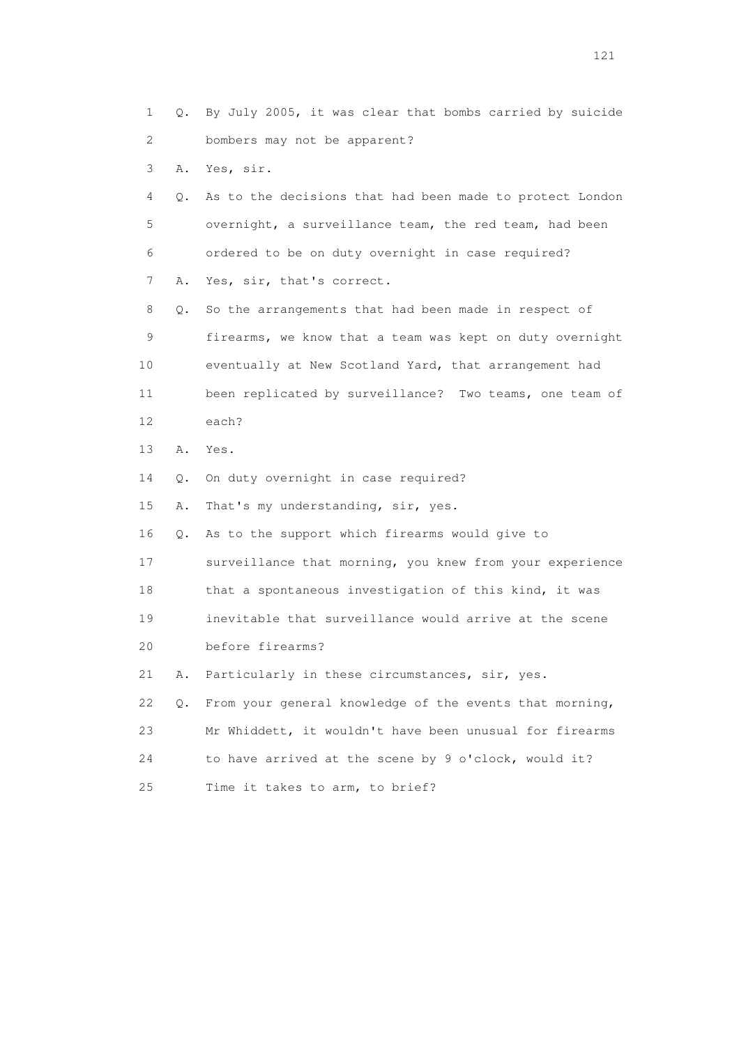1 Q. By July 2005, it was clear that bombs carried by suicide 2 bombers may not be apparent?

3 A. Yes, sir.

 4 Q. As to the decisions that had been made to protect London 5 overnight, a surveillance team, the red team, had been 6 ordered to be on duty overnight in case required? 7 A. Yes, sir, that's correct.

 8 Q. So the arrangements that had been made in respect of 9 firearms, we know that a team was kept on duty overnight 10 eventually at New Scotland Yard, that arrangement had 11 been replicated by surveillance? Two teams, one team of 12 each?

13 A. Yes.

14 Q. On duty overnight in case required?

15 A. That's my understanding, sir, yes.

16 Q. As to the support which firearms would give to

17 surveillance that morning, you knew from your experience

18 that a spontaneous investigation of this kind, it was

19 inevitable that surveillance would arrive at the scene

20 before firearms?

21 A. Particularly in these circumstances, sir, yes.

 22 Q. From your general knowledge of the events that morning, 23 Mr Whiddett, it wouldn't have been unusual for firearms 24 to have arrived at the scene by 9 o'clock, would it? 25 Time it takes to arm, to brief?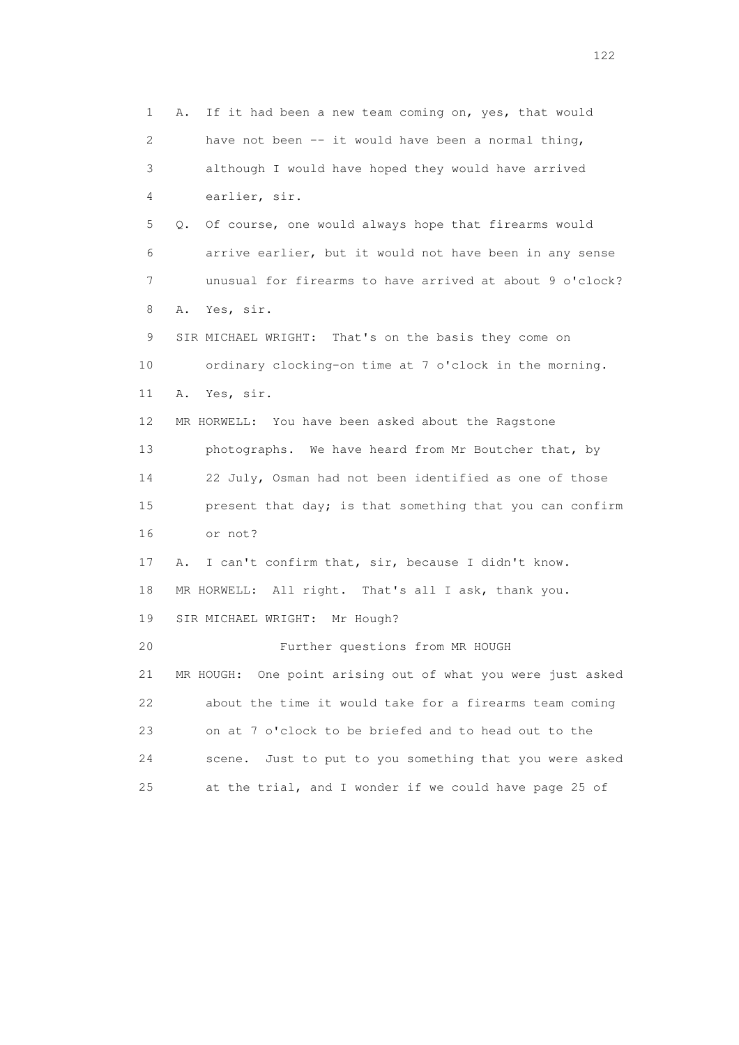1 A. If it had been a new team coming on, yes, that would 2 have not been -- it would have been a normal thing, 3 although I would have hoped they would have arrived 4 earlier, sir. 5 Q. Of course, one would always hope that firearms would 6 arrive earlier, but it would not have been in any sense 7 unusual for firearms to have arrived at about 9 o'clock? 8 A. Yes, sir. 9 SIR MICHAEL WRIGHT: That's on the basis they come on 10 ordinary clocking-on time at 7 o'clock in the morning. 11 A. Yes, sir. 12 MR HORWELL: You have been asked about the Ragstone 13 photographs. We have heard from Mr Boutcher that, by 14 22 July, Osman had not been identified as one of those 15 present that day; is that something that you can confirm 16 or not? 17 A. I can't confirm that, sir, because I didn't know. 18 MR HORWELL: All right. That's all I ask, thank you. 19 SIR MICHAEL WRIGHT: Mr Hough? 20 Further questions from MR HOUGH 21 MR HOUGH: One point arising out of what you were just asked 22 about the time it would take for a firearms team coming 23 on at 7 o'clock to be briefed and to head out to the 24 scene. Just to put to you something that you were asked 25 at the trial, and I wonder if we could have page 25 of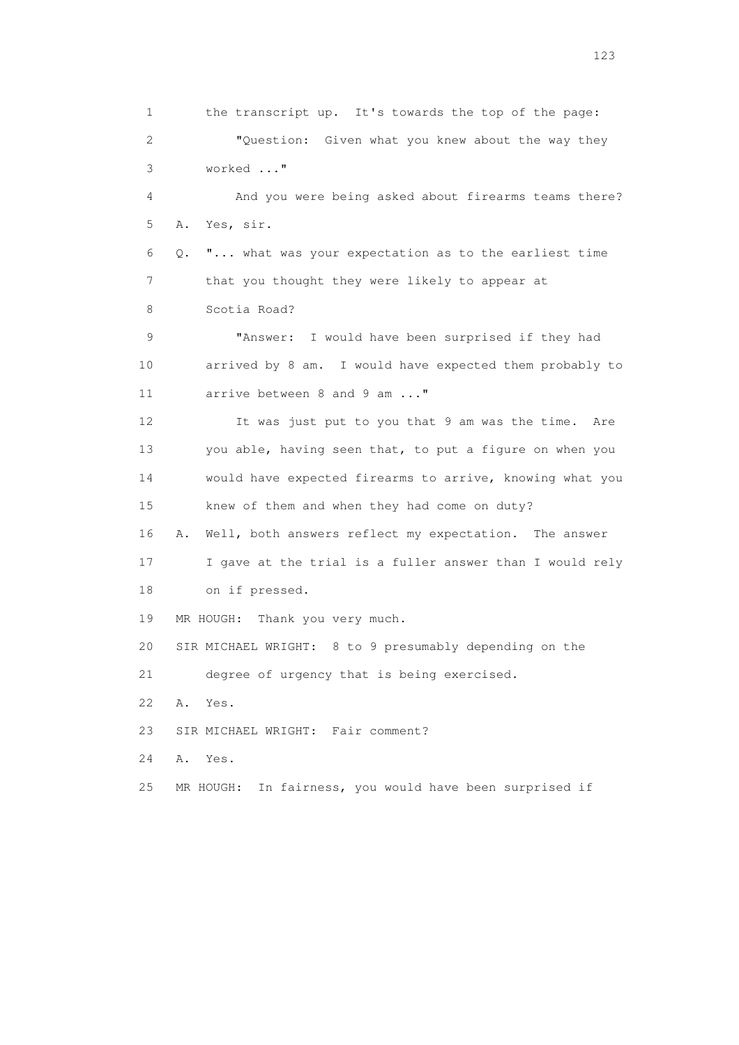1 the transcript up. It's towards the top of the page: 2 "Question: Given what you knew about the way they 3 worked ..." 4 And you were being asked about firearms teams there? 5 A. Yes, sir. 6 Q. "... what was your expectation as to the earliest time 7 that you thought they were likely to appear at 8 Scotia Road? 9 "Answer: I would have been surprised if they had 10 arrived by 8 am. I would have expected them probably to 11 arrive between 8 and 9 am ..." 12 It was just put to you that 9 am was the time. Are 13 you able, having seen that, to put a figure on when you 14 would have expected firearms to arrive, knowing what you 15 knew of them and when they had come on duty? 16 A. Well, both answers reflect my expectation. The answer 17 I gave at the trial is a fuller answer than I would rely 18 on if pressed. 19 MR HOUGH: Thank you very much. 20 SIR MICHAEL WRIGHT: 8 to 9 presumably depending on the 21 degree of urgency that is being exercised. 22 A. Yes. 23 SIR MICHAEL WRIGHT: Fair comment? 24 A. Yes. 25 MR HOUGH: In fairness, you would have been surprised if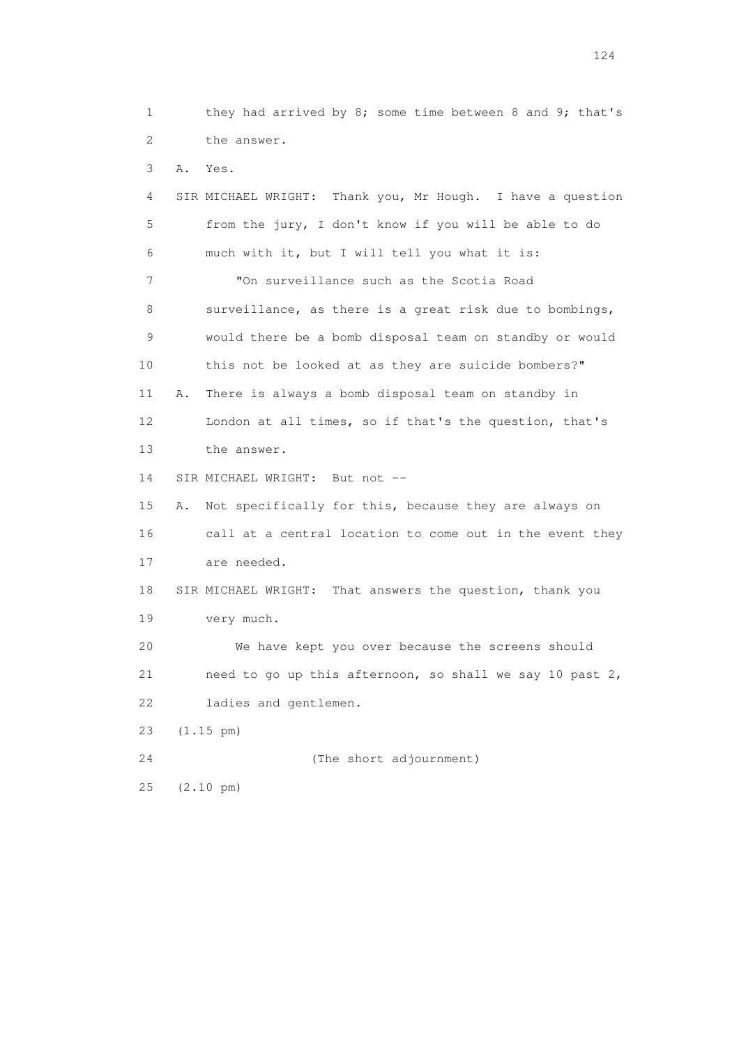1 they had arrived by 8; some time between 8 and 9; that's 2 the answer. 3 A. Yes. 4 SIR MICHAEL WRIGHT: Thank you, Mr Hough. I have a question 5 from the jury, I don't know if you will be able to do 6 much with it, but I will tell you what it is: 7 "On surveillance such as the Scotia Road 8 surveillance, as there is a great risk due to bombings, 9 would there be a bomb disposal team on standby or would 10 this not be looked at as they are suicide bombers?" 11 A. There is always a bomb disposal team on standby in 12 London at all times, so if that's the question, that's 13 the answer. 14 SIR MICHAEL WRIGHT: But not -- 15 A. Not specifically for this, because they are always on 16 call at a central location to come out in the event they 17 are needed. 18 SIR MICHAEL WRIGHT: That answers the question, thank you 19 very much. 20 We have kept you over because the screens should 21 need to go up this afternoon, so shall we say 10 past 2, 22 ladies and gentlemen. 23 (1.15 pm) 24 (The short adjournment) 25 (2.10 pm)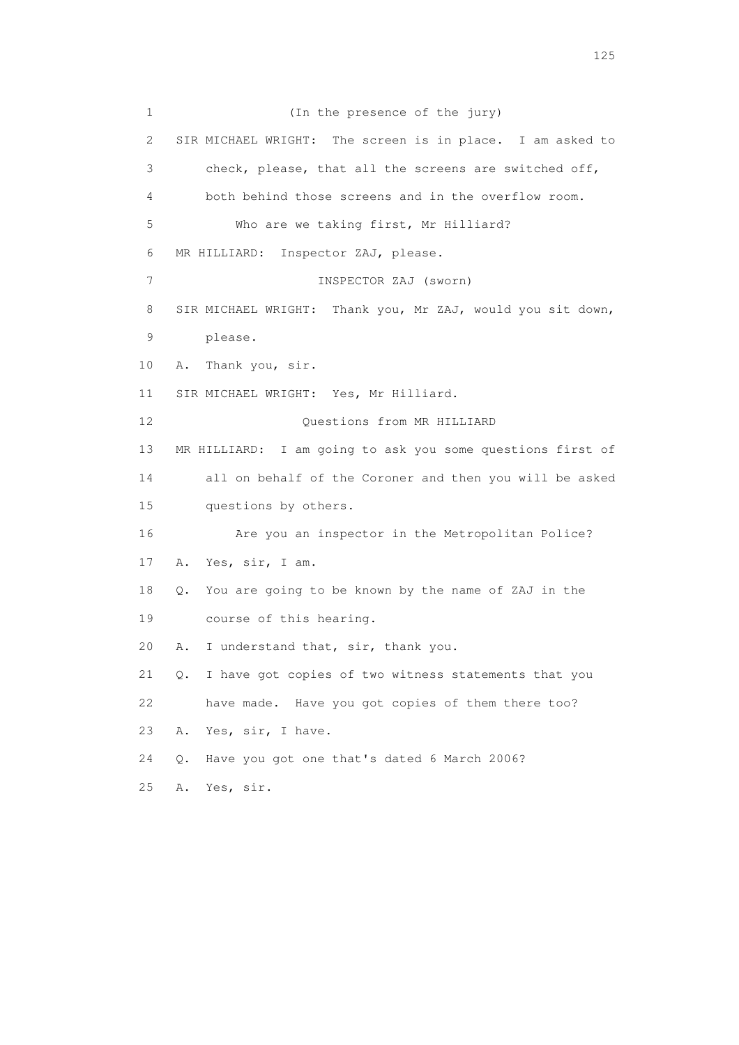1 (In the presence of the jury) 2 SIR MICHAEL WRIGHT: The screen is in place. I am asked to 3 check, please, that all the screens are switched off, 4 both behind those screens and in the overflow room. 5 Who are we taking first, Mr Hilliard? 6 MR HILLIARD: Inspector ZAJ, please. 7 INSPECTOR ZAJ (sworn) 8 SIR MICHAEL WRIGHT: Thank you, Mr ZAJ, would you sit down, 9 please. 10 A. Thank you, sir. 11 SIR MICHAEL WRIGHT: Yes, Mr Hilliard. 12 Ouestions from MR HILLIARD 13 MR HILLIARD: I am going to ask you some questions first of 14 all on behalf of the Coroner and then you will be asked 15 questions by others. 16 Are you an inspector in the Metropolitan Police? 17 A. Yes, sir, I am. 18 Q. You are going to be known by the name of ZAJ in the 19 course of this hearing. 20 A. I understand that, sir, thank you. 21 Q. I have got copies of two witness statements that you 22 have made. Have you got copies of them there too? 23 A. Yes, sir, I have. 24 Q. Have you got one that's dated 6 March 2006? 25 A. Yes, sir.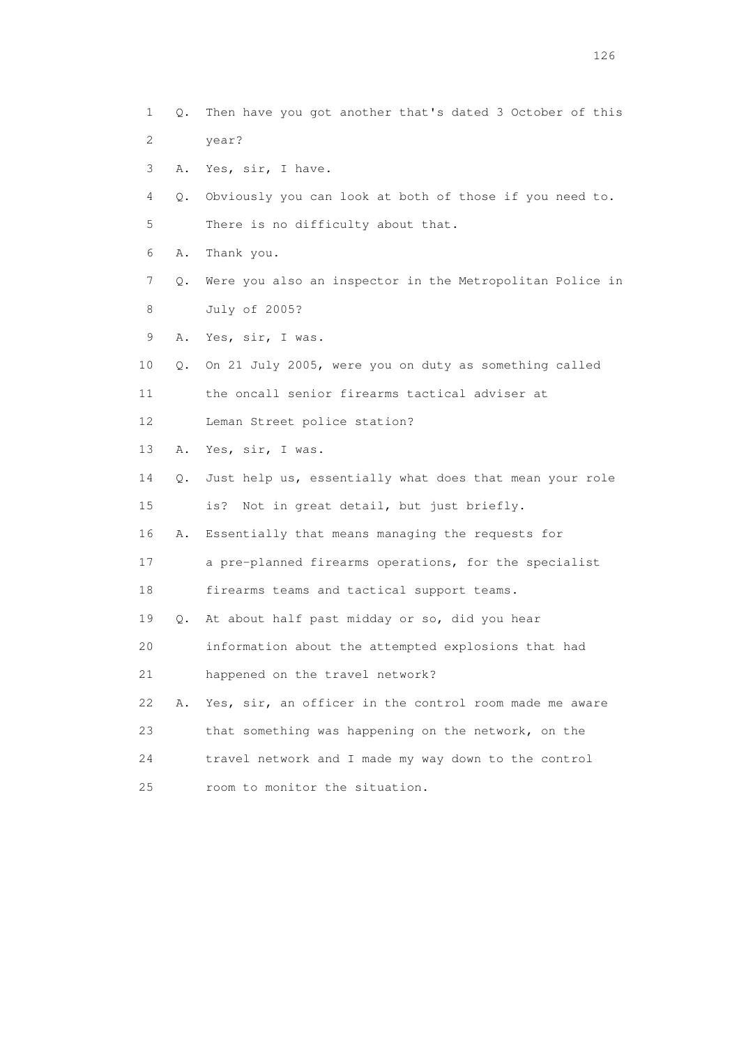1 Q. Then have you got another that's dated 3 October of this 2 year? 3 A. Yes, sir, I have. 4 Q. Obviously you can look at both of those if you need to. 5 There is no difficulty about that. 6 A. Thank you. 7 Q. Were you also an inspector in the Metropolitan Police in 8 July of 2005? 9 A. Yes, sir, I was. 10 Q. On 21 July 2005, were you on duty as something called 11 the oncall senior firearms tactical adviser at 12 Leman Street police station? 13 A. Yes, sir, I was. 14 Q. Just help us, essentially what does that mean your role 15 is? Not in great detail, but just briefly. 16 A. Essentially that means managing the requests for 17 a pre-planned firearms operations, for the specialist 18 firearms teams and tactical support teams. 19 Q. At about half past midday or so, did you hear 20 information about the attempted explosions that had 21 happened on the travel network? 22 A. Yes, sir, an officer in the control room made me aware 23 that something was happening on the network, on the 24 travel network and I made my way down to the control 25 room to monitor the situation.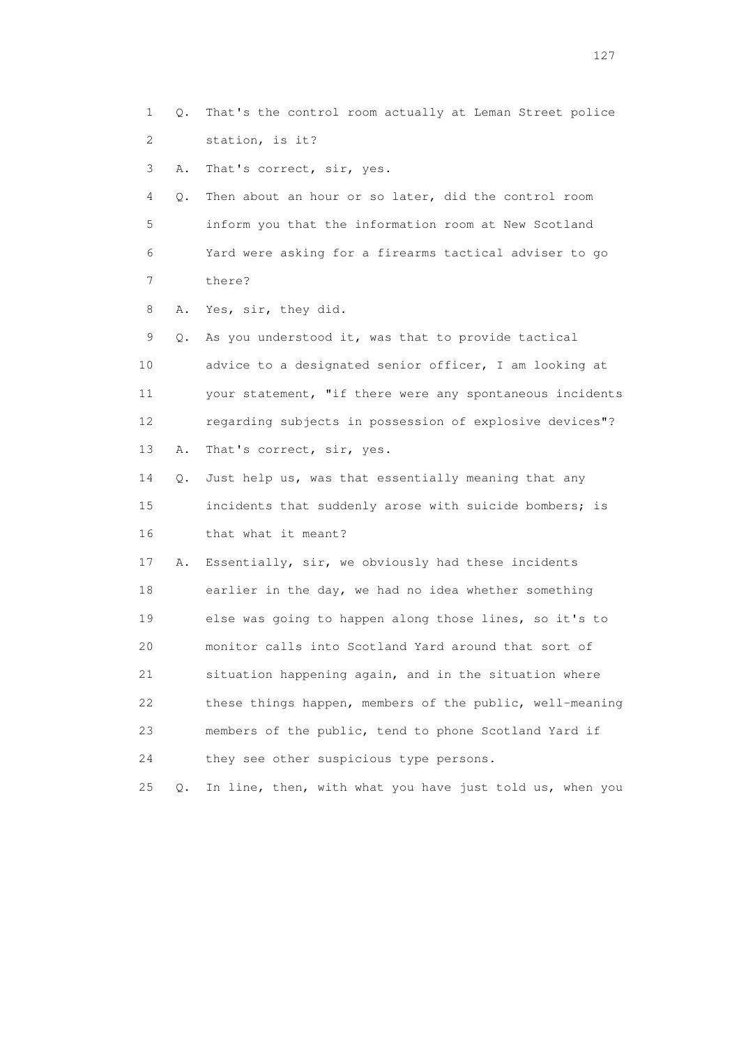1 Q. That's the control room actually at Leman Street police 2 station, is it?

3 A. That's correct, sir, yes.

 4 Q. Then about an hour or so later, did the control room 5 inform you that the information room at New Scotland 6 Yard were asking for a firearms tactical adviser to go 7 there?

8 A. Yes, sir, they did.

 9 Q. As you understood it, was that to provide tactical 10 advice to a designated senior officer, I am looking at 11 your statement, "if there were any spontaneous incidents 12 regarding subjects in possession of explosive devices"? 13 A. That's correct, sir, yes.

 14 Q. Just help us, was that essentially meaning that any 15 incidents that suddenly arose with suicide bombers; is 16 that what it meant?

 17 A. Essentially, sir, we obviously had these incidents 18 earlier in the day, we had no idea whether something 19 else was going to happen along those lines, so it's to 20 monitor calls into Scotland Yard around that sort of 21 situation happening again, and in the situation where 22 these things happen, members of the public, well-meaning 23 members of the public, tend to phone Scotland Yard if 24 they see other suspicious type persons.

25 Q. In line, then, with what you have just told us, when you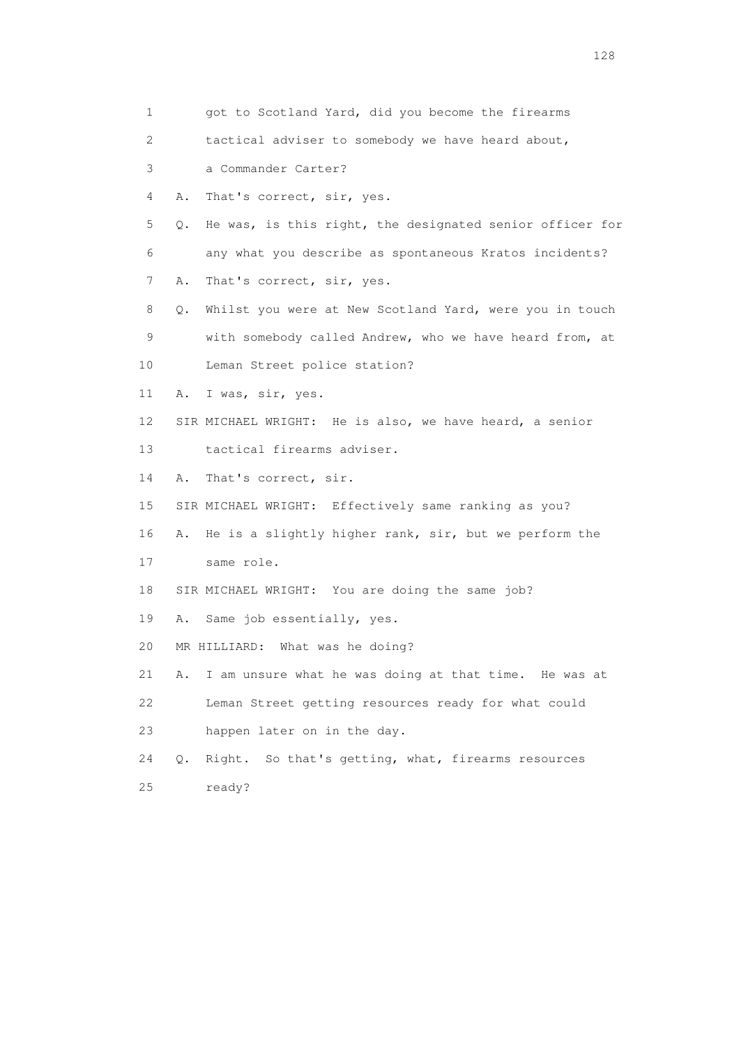| 1               |    | got to Scotland Yard, did you become the firearms        |
|-----------------|----|----------------------------------------------------------|
| 2               |    | tactical adviser to somebody we have heard about,        |
| 3               |    | a Commander Carter?                                      |
| 4               | Α. | That's correct, sir, yes.                                |
| 5               | Q. | He was, is this right, the designated senior officer for |
| 6               |    | any what you describe as spontaneous Kratos incidents?   |
| 7               | Α. | That's correct, sir, yes.                                |
| 8               | Q. | Whilst you were at New Scotland Yard, were you in touch  |
| 9               |    | with somebody called Andrew, who we have heard from, at  |
| 10 <sub>1</sub> |    | Leman Street police station?                             |
| 11              | Α. | I was, sir, yes.                                         |
| 12              |    | SIR MICHAEL WRIGHT: He is also, we have heard, a senior  |
| 13              |    | tactical firearms adviser.                               |
| 14              | Α. | That's correct, sir.                                     |
| 15              |    | SIR MICHAEL WRIGHT: Effectively same ranking as you?     |
| 16              | Α. | He is a slightly higher rank, sir, but we perform the    |
| 17              |    | same role.                                               |
| 18              |    | SIR MICHAEL WRIGHT: You are doing the same job?          |
| 19              | Α. | Same job essentially, yes.                               |
| 20              |    | MR HILLIARD:<br>What was he doing?                       |
| 21              | Α. | I am unsure what he was doing at that time. He was at    |
| 22              |    | Leman Street getting resources ready for what could      |
| 23              |    | happen later on in the day.                              |
| 24              | О. | So that's getting, what, firearms resources<br>Right.    |
| 25              |    | ready?                                                   |
|                 |    |                                                          |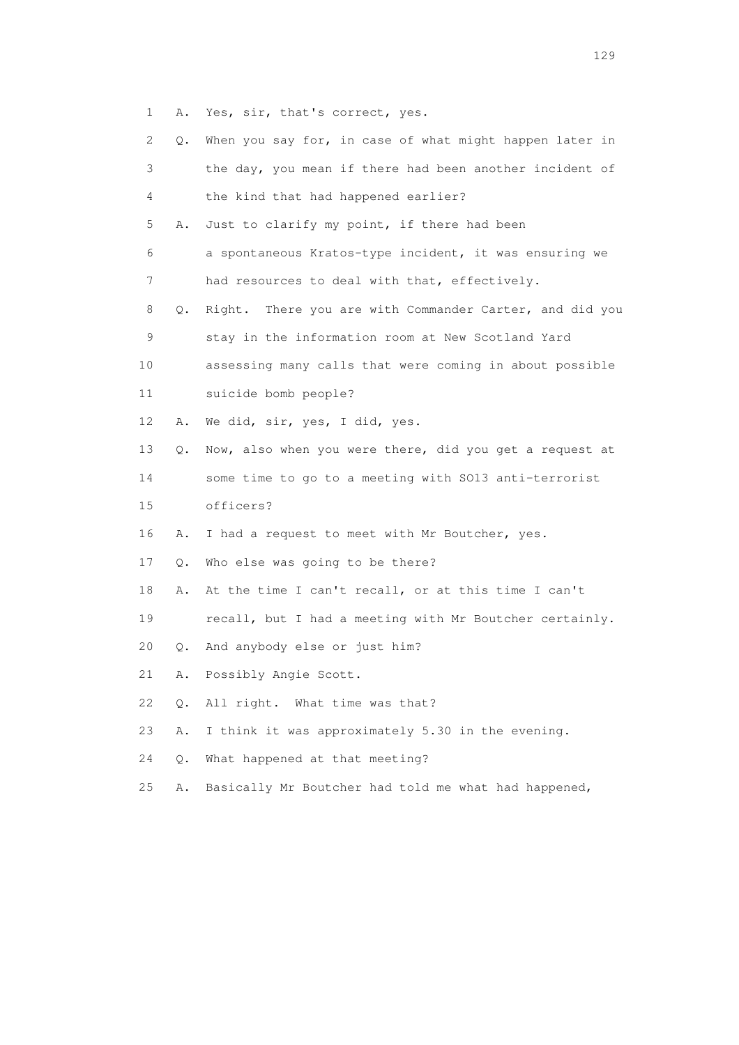1 A. Yes, sir, that's correct, yes.

| 2  | О.    | When you say for, in case of what might happen later in |
|----|-------|---------------------------------------------------------|
| 3  |       | the day, you mean if there had been another incident of |
| 4  |       | the kind that had happened earlier?                     |
| 5  | Α.    | Just to clarify my point, if there had been             |
| 6  |       | a spontaneous Kratos-type incident, it was ensuring we  |
| 7  |       | had resources to deal with that, effectively.           |
| 8  | Q.    | Right. There you are with Commander Carter, and did you |
| 9  |       | stay in the information room at New Scotland Yard       |
| 10 |       | assessing many calls that were coming in about possible |
| 11 |       | suicide bomb people?                                    |
| 12 | Α.    | We did, sir, yes, I did, yes.                           |
| 13 | Q.    | Now, also when you were there, did you get a request at |
| 14 |       | some time to go to a meeting with SO13 anti-terrorist   |
| 15 |       | officers?                                               |
| 16 | Α.    | I had a request to meet with Mr Boutcher, yes.          |
| 17 | Q.    | Who else was going to be there?                         |
| 18 | Α.    | At the time I can't recall, or at this time I can't     |
| 19 |       | recall, but I had a meeting with Mr Boutcher certainly. |
| 20 | Q.    | And anybody else or just him?                           |
| 21 | Α.    | Possibly Angie Scott.                                   |
| 22 | Q.    | All right. What time was that?                          |
| 23 | Α.    | I think it was approximately 5.30 in the evening.       |
| 24 | $Q$ . | What happened at that meeting?                          |
| 25 | Α.    | Basically Mr Boutcher had told me what had happened,    |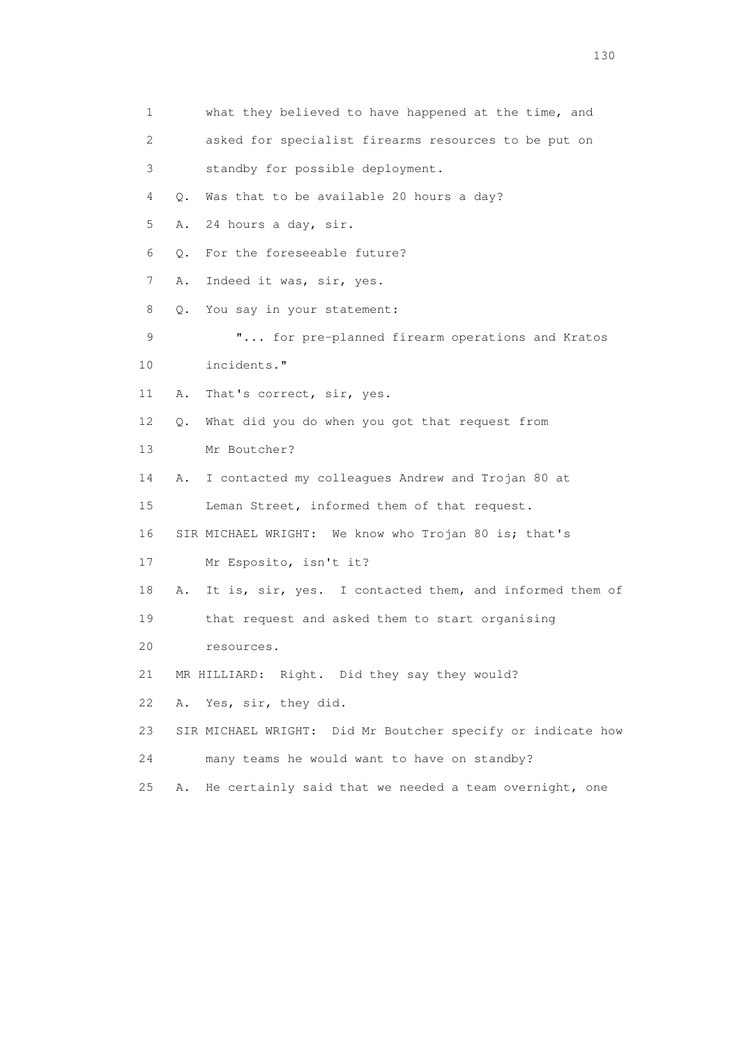| 1  |                                             | what they believed to have happened at the time, and    |
|----|---------------------------------------------|---------------------------------------------------------|
| 2  |                                             | asked for specialist firearms resources to be put on    |
| 3  |                                             | standby for possible deployment.                        |
| 4  | О.                                          | Was that to be available 20 hours a day?                |
| 5  | 24 hours a day, sir.<br>Α.                  |                                                         |
| 6  | Q.                                          | For the foreseeable future?                             |
| 7  | Α.<br>Indeed it was, sir, yes.              |                                                         |
| 8  | $Q_{\bullet}$<br>You say in your statement: |                                                         |
| 9  |                                             | " for pre-planned firearm operations and Kratos         |
| 10 | incidents."                                 |                                                         |
| 11 | That's correct, sir, yes.<br>Α.             |                                                         |
| 12 | Q.                                          | What did you do when you got that request from          |
| 13 | Mr Boutcher?                                |                                                         |
| 14 | Α.                                          | I contacted my colleagues Andrew and Trojan 80 at       |
| 15 |                                             | Leman Street, informed them of that request.            |
| 16 |                                             | SIR MICHAEL WRIGHT: We know who Trojan 80 is; that's    |
| 17 | Mr Esposito, isn't it?                      |                                                         |
| 18 | Α.                                          | It is, sir, yes. I contacted them, and informed them of |
| 19 |                                             | that request and asked them to start organising         |
| 20 | resources.                                  |                                                         |
| 21 |                                             | MR HILLIARD: Right. Did they say they would?            |
| 22 | Yes, sir, they did.<br>Α.                   |                                                         |
| 23 | SIR MICHAEL WRIGHT:                         | Did Mr Boutcher specify or indicate how                 |
| 24 |                                             | many teams he would want to have on standby?            |
| 25 | Α.                                          | He certainly said that we needed a team overnight, one  |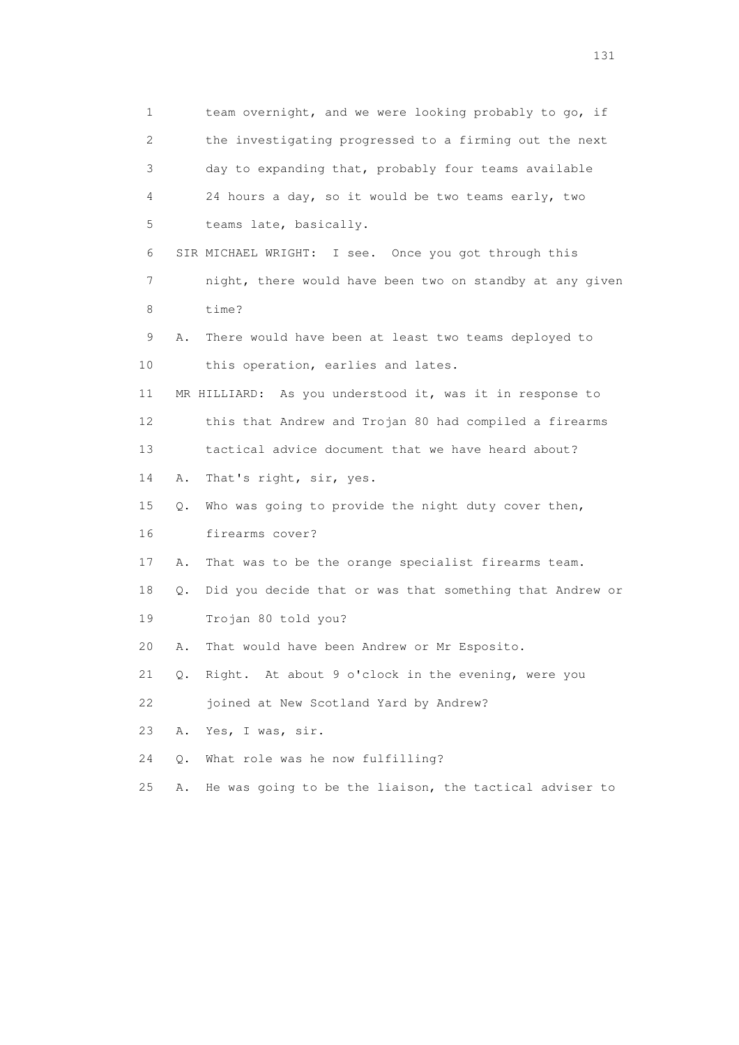1 team overnight, and we were looking probably to go, if 2 the investigating progressed to a firming out the next 3 day to expanding that, probably four teams available 4 24 hours a day, so it would be two teams early, two 5 teams late, basically. 6 SIR MICHAEL WRIGHT: I see. Once you got through this 7 night, there would have been two on standby at any given 8 time? 9 A. There would have been at least two teams deployed to 10 this operation, earlies and lates. 11 MR HILLIARD: As you understood it, was it in response to 12 this that Andrew and Trojan 80 had compiled a firearms 13 tactical advice document that we have heard about? 14 A. That's right, sir, yes. 15 Q. Who was going to provide the night duty cover then, 16 firearms cover? 17 A. That was to be the orange specialist firearms team. 18 Q. Did you decide that or was that something that Andrew or 19 Trojan 80 told you? 20 A. That would have been Andrew or Mr Esposito. 21 Q. Right. At about 9 o'clock in the evening, were you 22 joined at New Scotland Yard by Andrew? 23 A. Yes, I was, sir. 24 Q. What role was he now fulfilling? 25 A. He was going to be the liaison, the tactical adviser to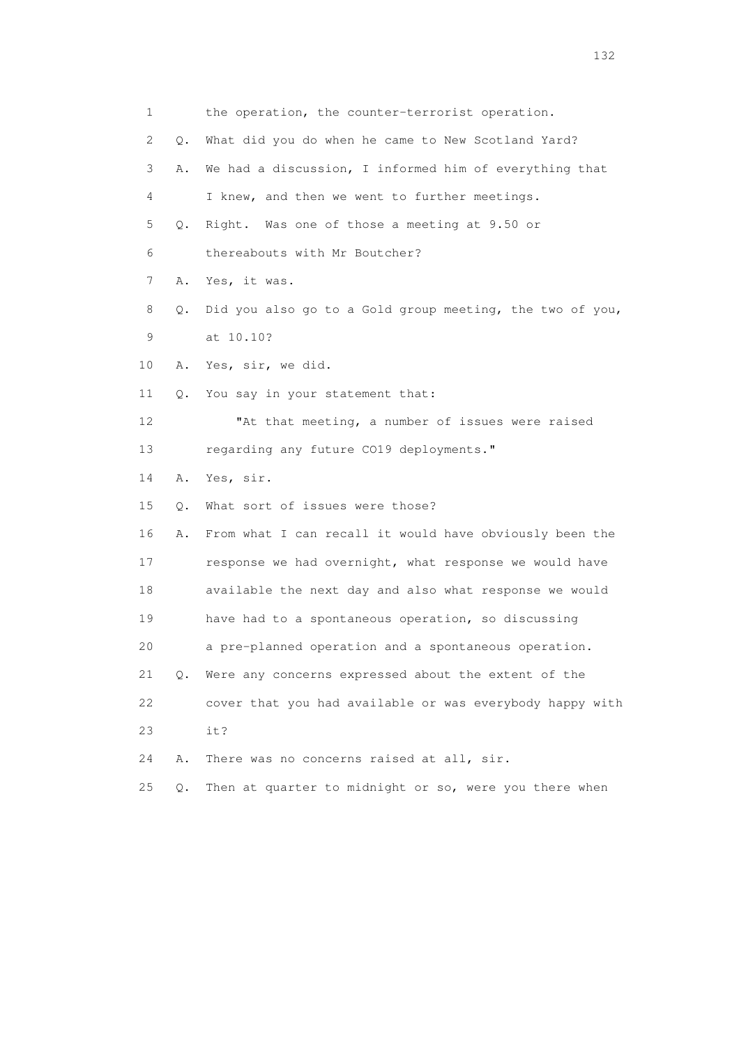| 1               |           | the operation, the counter-terrorist operation.          |
|-----------------|-----------|----------------------------------------------------------|
| 2               | О.        | What did you do when he came to New Scotland Yard?       |
| 3               | Α.        | We had a discussion, I informed him of everything that   |
| 4               |           | I knew, and then we went to further meetings.            |
| 5               | Q.        | Right. Was one of those a meeting at 9.50 or             |
| 6               |           | thereabouts with Mr Boutcher?                            |
| 7               | Α.        | Yes, it was.                                             |
| 8               | Q.        | Did you also go to a Gold group meeting, the two of you, |
| 9               |           | at 10.10?                                                |
| 10              | Α.        | Yes, sir, we did.                                        |
| 11              | $\circ$ . | You say in your statement that:                          |
| 12 <sup>°</sup> |           | "At that meeting, a number of issues were raised         |
| 13              |           | regarding any future CO19 deployments."                  |
| 14              | Α.        | Yes, sir.                                                |
| 15              | Q.        | What sort of issues were those?                          |
| 16              | Α.        | From what I can recall it would have obviously been the  |
| 17              |           | response we had overnight, what response we would have   |
| 18              |           | available the next day and also what response we would   |
| 19              |           | have had to a spontaneous operation, so discussing       |
| 20              |           | a pre-planned operation and a spontaneous operation.     |
| 21              | Q.        | Were any concerns expressed about the extent of the      |
| 22              |           | cover that you had available or was everybody happy with |
| 23              |           | it?                                                      |
| 24              | Α.        | There was no concerns raised at all, sir.                |
| 25              | Q.        | Then at quarter to midnight or so, were you there when   |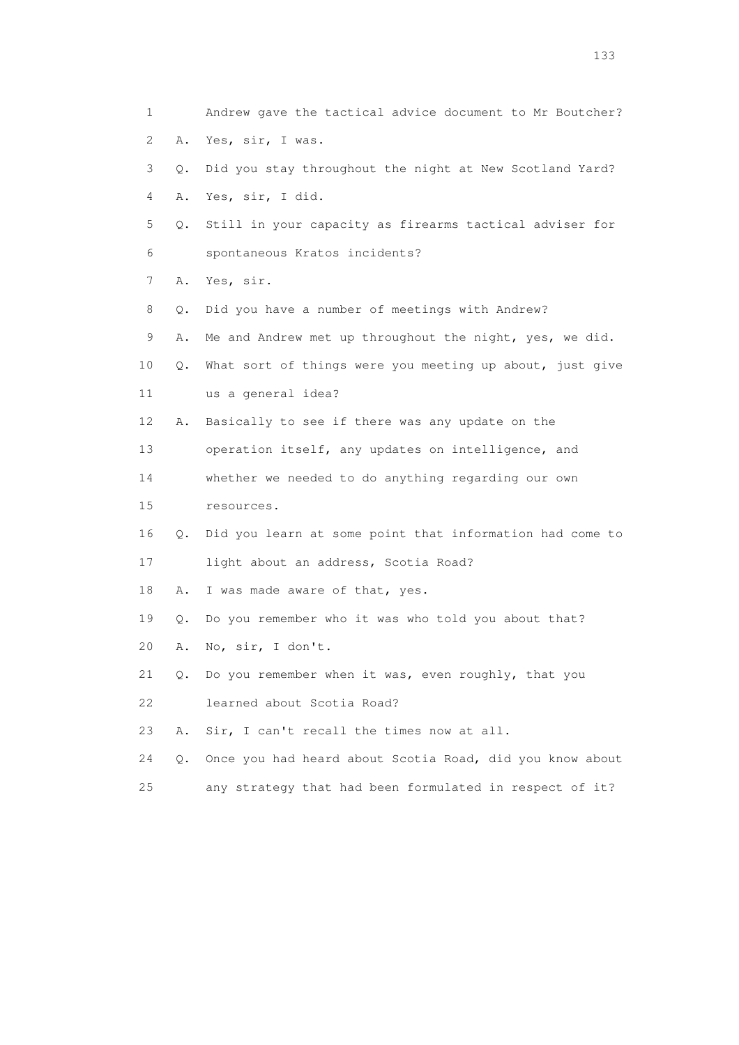| 1                         |    | Andrew gave the tactical advice document to Mr Boutcher? |
|---------------------------|----|----------------------------------------------------------|
| $\mathbf{2}^{\mathsf{I}}$ | Α. | Yes, sir, I was.                                         |
| 3                         | Q. | Did you stay throughout the night at New Scotland Yard?  |
| 4                         | Α. | Yes, sir, I did.                                         |
| 5                         | Q. | Still in your capacity as firearms tactical adviser for  |
| 6                         |    | spontaneous Kratos incidents?                            |
| 7                         | Α. | Yes, sir.                                                |
| 8                         | Q. | Did you have a number of meetings with Andrew?           |
| 9                         | Α. | Me and Andrew met up throughout the night, yes, we did.  |
| 10                        | Q. | What sort of things were you meeting up about, just give |
| 11                        |    | us a general idea?                                       |
| 12                        | Α. | Basically to see if there was any update on the          |
| 13                        |    | operation itself, any updates on intelligence, and       |
| 14                        |    | whether we needed to do anything regarding our own       |
| 15                        |    | resources.                                               |
| 16                        | О. | Did you learn at some point that information had come to |
| 17                        |    | light about an address, Scotia Road?                     |
| 18                        | Α. | I was made aware of that, yes.                           |
| 19                        | Q. | Do you remember who it was who told you about that?      |
| 20                        | Α. | No, sir, I don't.                                        |
| 21                        | Q. | Do you remember when it was, even roughly, that you      |
| 22                        |    | learned about Scotia Road?                               |
| 23                        | Α. | Sir, I can't recall the times now at all.                |
| 24                        | Q. | Once you had heard about Scotia Road, did you know about |
| 25                        |    | any strategy that had been formulated in respect of it?  |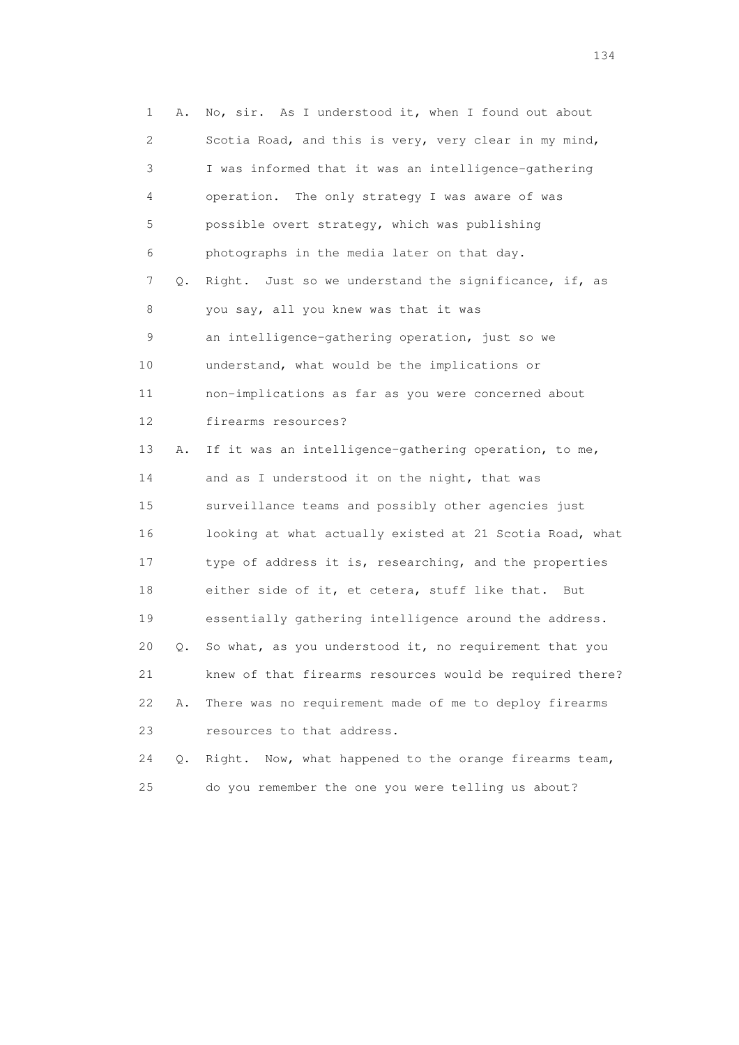1 A. No, sir. As I understood it, when I found out about 2 Scotia Road, and this is very, very clear in my mind, 3 I was informed that it was an intelligence-gathering 4 operation. The only strategy I was aware of was 5 possible overt strategy, which was publishing 6 photographs in the media later on that day. 7 Q. Right. Just so we understand the significance, if, as 8 you say, all you knew was that it was 9 an intelligence-gathering operation, just so we 10 understand, what would be the implications or 11 non-implications as far as you were concerned about 12 firearms resources? 13 A. If it was an intelligence-gathering operation, to me, 14 and as I understood it on the night, that was 15 surveillance teams and possibly other agencies just 16 looking at what actually existed at 21 Scotia Road, what 17 type of address it is, researching, and the properties 18 either side of it, et cetera, stuff like that. But 19 essentially gathering intelligence around the address. 20 Q. So what, as you understood it, no requirement that you 21 knew of that firearms resources would be required there? 22 A. There was no requirement made of me to deploy firearms 23 resources to that address. 24 Q. Right. Now, what happened to the orange firearms team,

25 do you remember the one you were telling us about?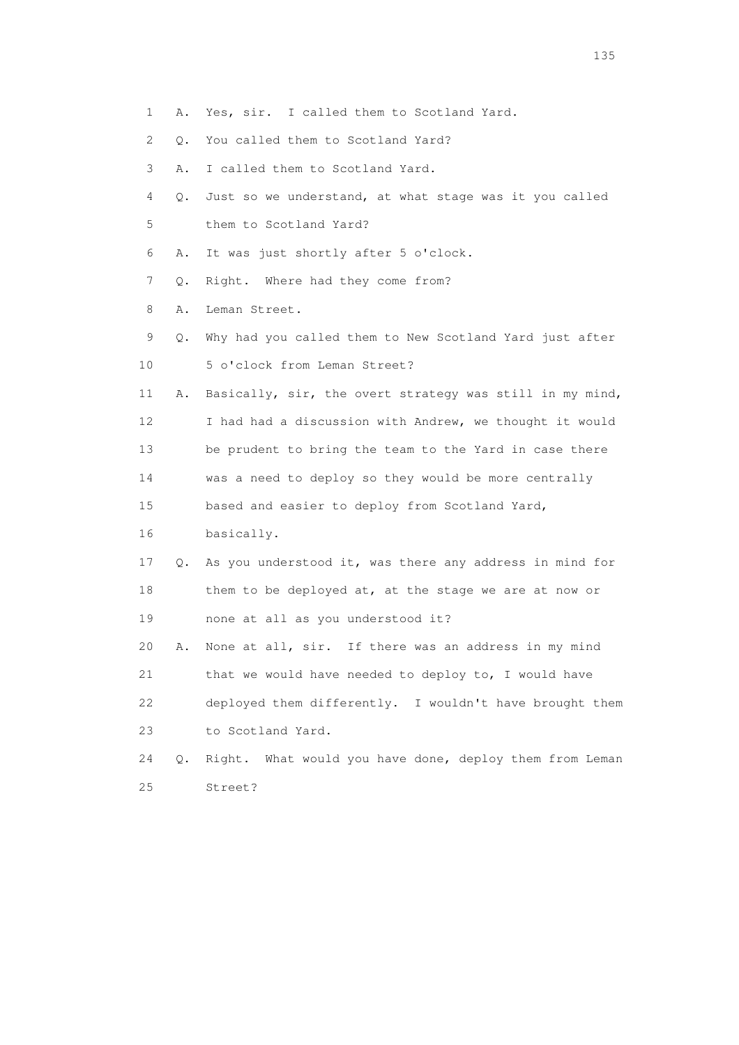- 1 A. Yes, sir. I called them to Scotland Yard.
- 2 Q. You called them to Scotland Yard?
- 3 A. I called them to Scotland Yard.
- 4 Q. Just so we understand, at what stage was it you called 5 them to Scotland Yard?
- 6 A. It was just shortly after 5 o'clock.
- 7 Q. Right. Where had they come from?
- 8 A. Leman Street.
- 9 Q. Why had you called them to New Scotland Yard just after 10 5 o'clock from Leman Street?
- 11 A. Basically, sir, the overt strategy was still in my mind, 12 I had had a discussion with Andrew, we thought it would 13 be prudent to bring the team to the Yard in case there
- 14 was a need to deploy so they would be more centrally
- 15 based and easier to deploy from Scotland Yard,
- 16 basically.
- 17 Q. As you understood it, was there any address in mind for 18 them to be deployed at, at the stage we are at now or 19 none at all as you understood it?
- 20 A. None at all, sir. If there was an address in my mind 21 that we would have needed to deploy to, I would have 22 deployed them differently. I wouldn't have brought them 23 to Scotland Yard.
- 24 Q. Right. What would you have done, deploy them from Leman 25 Street?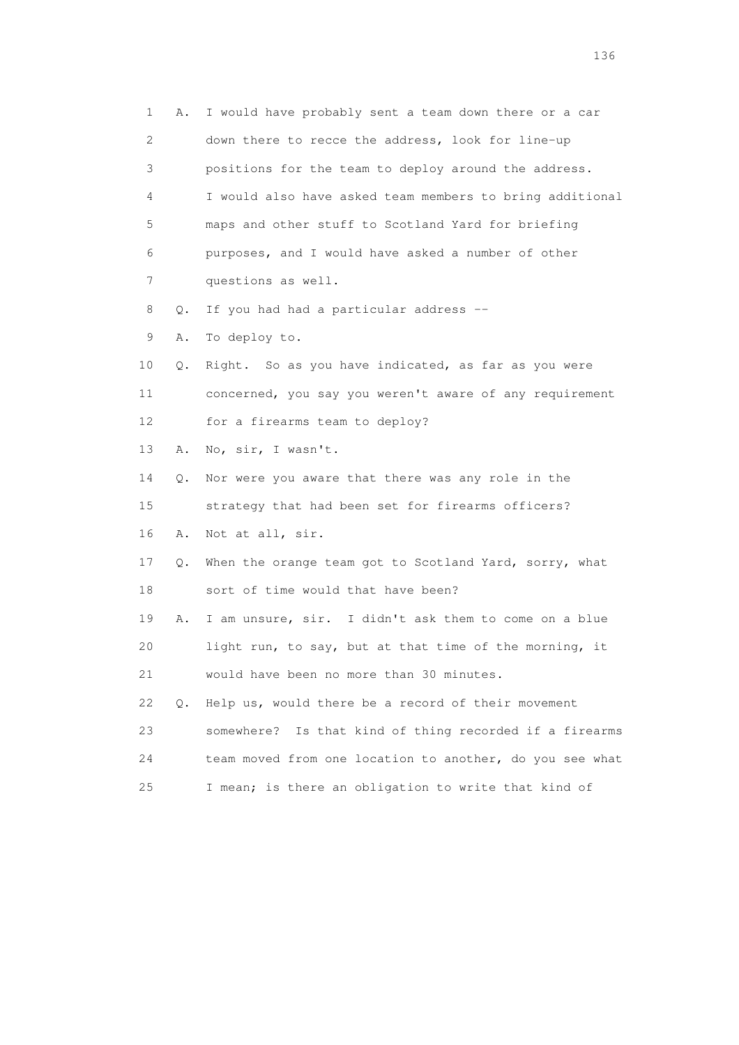1 A. I would have probably sent a team down there or a car 2 down there to recce the address, look for line-up 3 positions for the team to deploy around the address. 4 I would also have asked team members to bring additional 5 maps and other stuff to Scotland Yard for briefing 6 purposes, and I would have asked a number of other 7 questions as well. 8 Q. If you had had a particular address -- 9 A. To deploy to. 10 Q. Right. So as you have indicated, as far as you were 11 concerned, you say you weren't aware of any requirement 12 for a firearms team to deploy? 13 A. No, sir, I wasn't. 14 Q. Nor were you aware that there was any role in the 15 strategy that had been set for firearms officers? 16 A. Not at all, sir. 17 Q. When the orange team got to Scotland Yard, sorry, what 18 sort of time would that have been? 19 A. I am unsure, sir. I didn't ask them to come on a blue 20 light run, to say, but at that time of the morning, it 21 would have been no more than 30 minutes. 22 Q. Help us, would there be a record of their movement 23 somewhere? Is that kind of thing recorded if a firearms 24 team moved from one location to another, do you see what 25 I mean; is there an obligation to write that kind of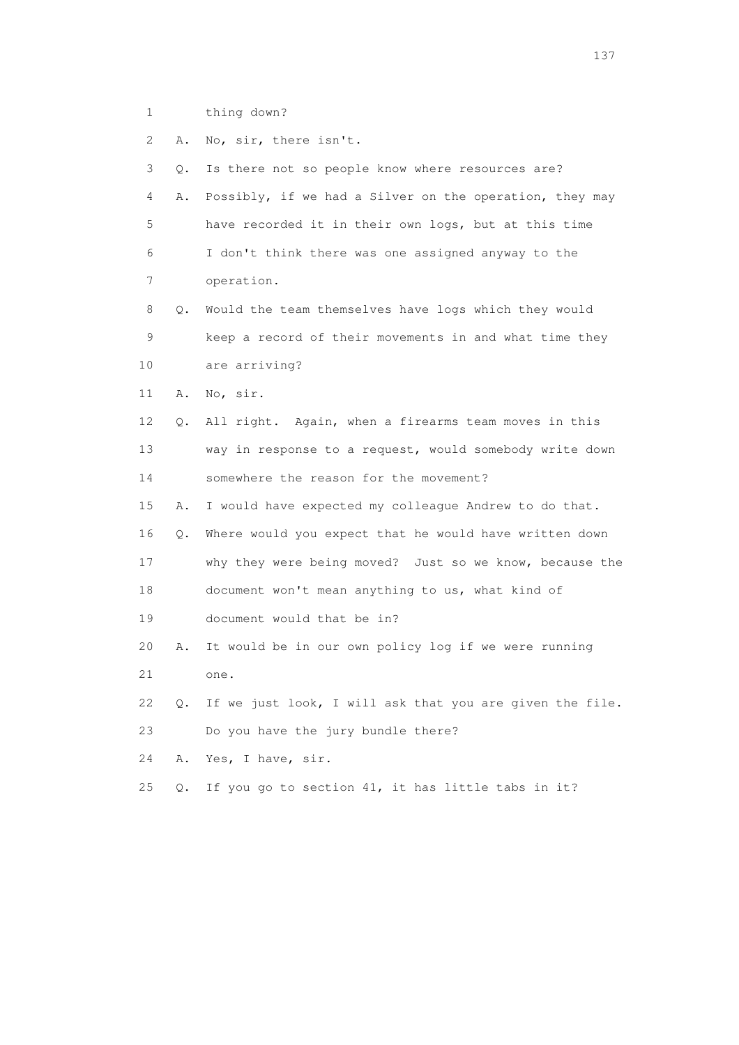- 1 thing down?
- 2 A. No, sir, there isn't.

| 3  | О. | Is there not so people know where resources are?         |
|----|----|----------------------------------------------------------|
| 4  | Α. | Possibly, if we had a Silver on the operation, they may  |
| 5  |    | have recorded it in their own logs, but at this time     |
| 6  |    | I don't think there was one assigned anyway to the       |
| 7  |    | operation.                                               |
| 8  | О. | Would the team themselves have logs which they would     |
| 9  |    | keep a record of their movements in and what time they   |
| 10 |    | are arriving?                                            |
| 11 | Α. | No, sir.                                                 |
| 12 | Q. | All right. Again, when a firearms team moves in this     |
| 13 |    | way in response to a request, would somebody write down  |
| 14 |    | somewhere the reason for the movement?                   |
| 15 | Α. | I would have expected my colleague Andrew to do that.    |
| 16 | Q. | Where would you expect that he would have written down   |
| 17 |    | why they were being moved? Just so we know, because the  |
| 18 |    | document won't mean anything to us, what kind of         |
| 19 |    | document would that be in?                               |
| 20 | Α. | It would be in our own policy log if we were running     |
| 21 |    | one.                                                     |
| 22 | Q. | If we just look, I will ask that you are given the file. |
| 23 |    | Do you have the jury bundle there?                       |
| 24 | Α. | Yes, I have, sir.                                        |
| 25 | О. | If you go to section 41, it has little tabs in it?       |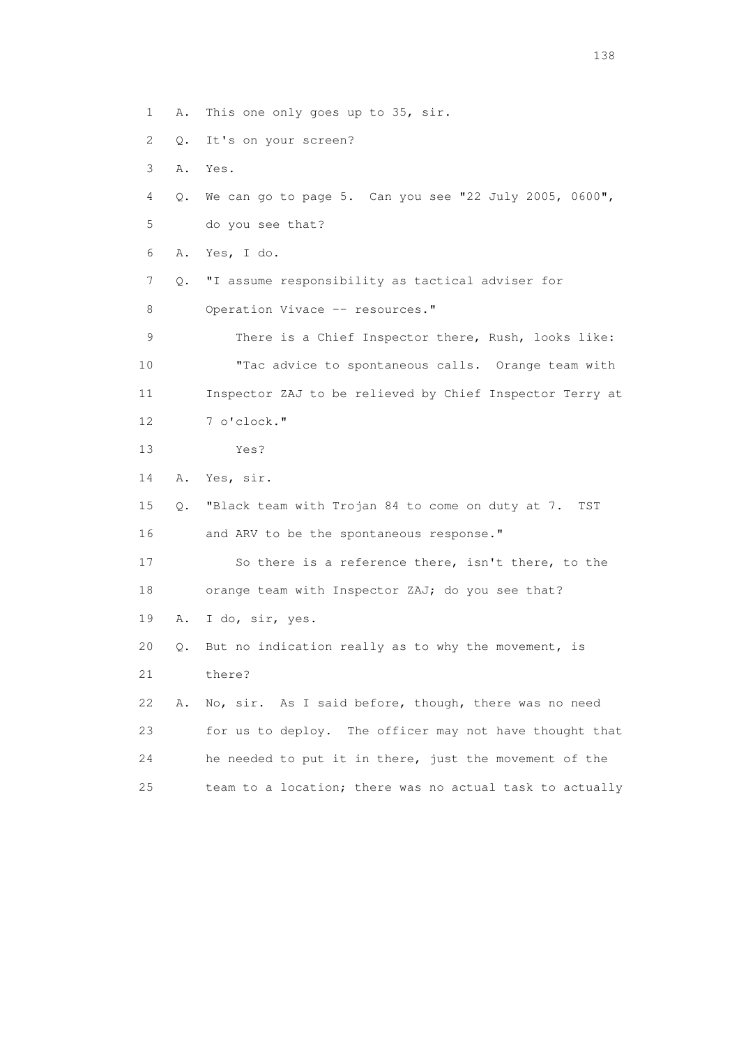1 A. This one only goes up to 35, sir.

- 2 Q. It's on your screen?
- 3 A. Yes.
- 4 Q. We can go to page 5. Can you see "22 July 2005, 0600", 5 do you see that?
- 6 A. Yes, I do.
- 7 Q. "I assume responsibility as tactical adviser for
- 8 Operation Vivace -- resources."

 9 There is a Chief Inspector there, Rush, looks like: 10 "Tac advice to spontaneous calls. Orange team with 11 Inspector ZAJ to be relieved by Chief Inspector Terry at 12 7 o'clock."

13 Yes?

14 A. Yes, sir.

 15 Q. "Black team with Trojan 84 to come on duty at 7. TST 16 and ARV to be the spontaneous response."

 17 So there is a reference there, isn't there, to the 18 orange team with Inspector ZAJ; do you see that?

19 A. I do, sir, yes.

20 Q. But no indication really as to why the movement, is

21 there?

 22 A. No, sir. As I said before, though, there was no need 23 for us to deploy. The officer may not have thought that 24 he needed to put it in there, just the movement of the 25 team to a location; there was no actual task to actually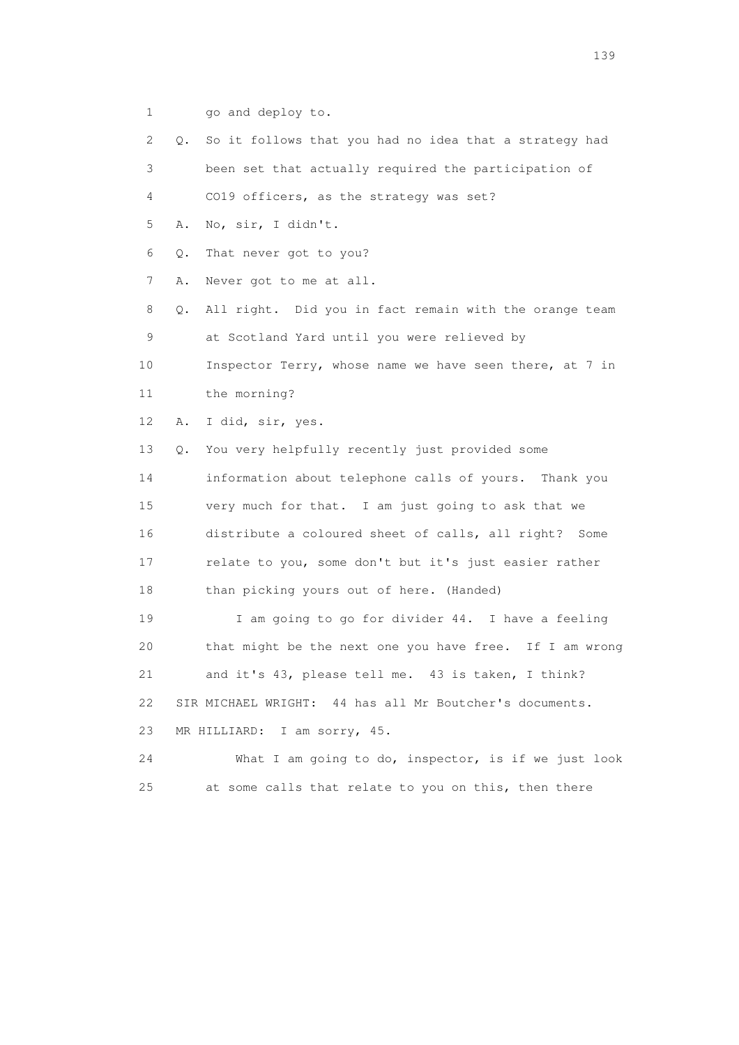- 1 go and deploy to.
- 2 Q. So it follows that you had no idea that a strategy had
- 3 been set that actually required the participation of
- 4 CO19 officers, as the strategy was set?
- 5 A. No, sir, I didn't.
- 6 Q. That never got to you?
- 7 A. Never got to me at all.
- 8 Q. All right. Did you in fact remain with the orange team 9 at Scotland Yard until you were relieved by
- 10 Inspector Terry, whose name we have seen there, at 7 in 11 the morning?
- 12 A. I did, sir, yes.
- 13 Q. You very helpfully recently just provided some 14 information about telephone calls of yours. Thank you 15 very much for that. I am just going to ask that we 16 distribute a coloured sheet of calls, all right? Some 17 relate to you, some don't but it's just easier rather 18 than picking yours out of here. (Handed)
- 19 I am going to go for divider 44. I have a feeling 20 that might be the next one you have free. If I am wrong 21 and it's 43, please tell me. 43 is taken, I think? 22 SIR MICHAEL WRIGHT: 44 has all Mr Boutcher's documents. 23 MR HILLIARD: I am sorry, 45.
- 24 What I am going to do, inspector, is if we just look 25 at some calls that relate to you on this, then there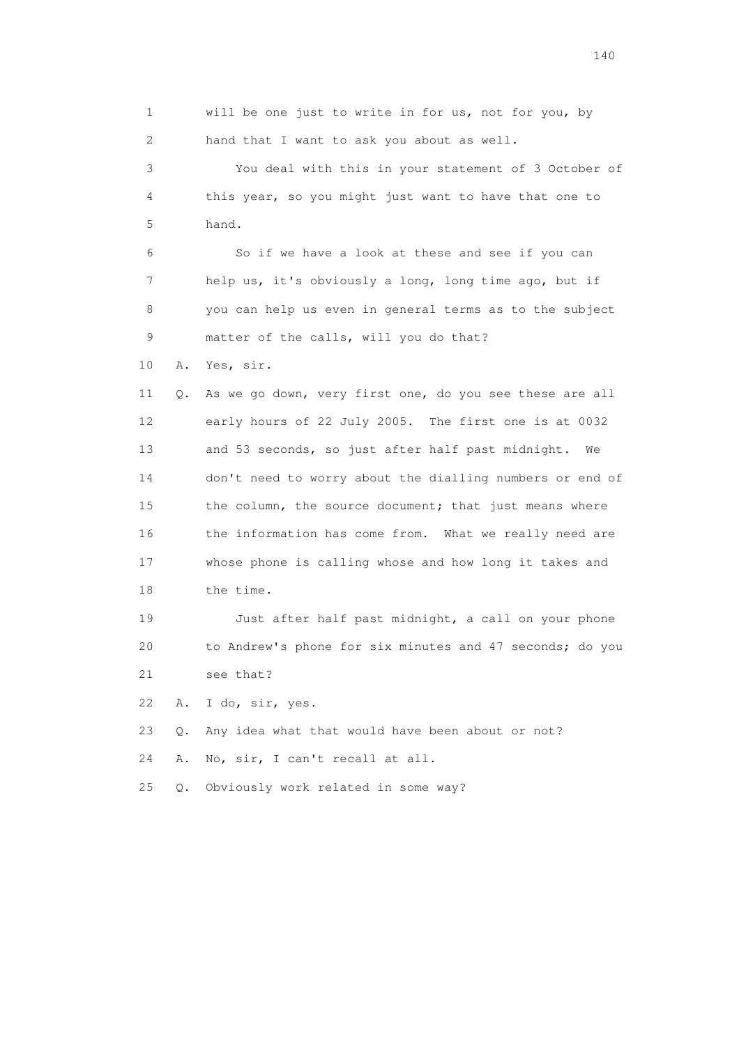1 will be one just to write in for us, not for you, by 2 hand that I want to ask you about as well. 3 You deal with this in your statement of 3 October of 4 this year, so you might just want to have that one to 5 hand. 6 So if we have a look at these and see if you can 7 help us, it's obviously a long, long time ago, but if 8 you can help us even in general terms as to the subject 9 matter of the calls, will you do that? 10 A. Yes, sir. 11 Q. As we go down, very first one, do you see these are all 12 early hours of 22 July 2005. The first one is at 0032 13 and 53 seconds, so just after half past midnight. We 14 don't need to worry about the dialling numbers or end of 15 the column, the source document; that just means where 16 the information has come from. What we really need are 17 whose phone is calling whose and how long it takes and 18 the time. 19 Just after half past midnight, a call on your phone 20 to Andrew's phone for six minutes and 47 seconds; do you 21 see that? 22 A. I do, sir, yes. 23 Q. Any idea what that would have been about or not? 24 A. No, sir, I can't recall at all. 25 Q. Obviously work related in some way?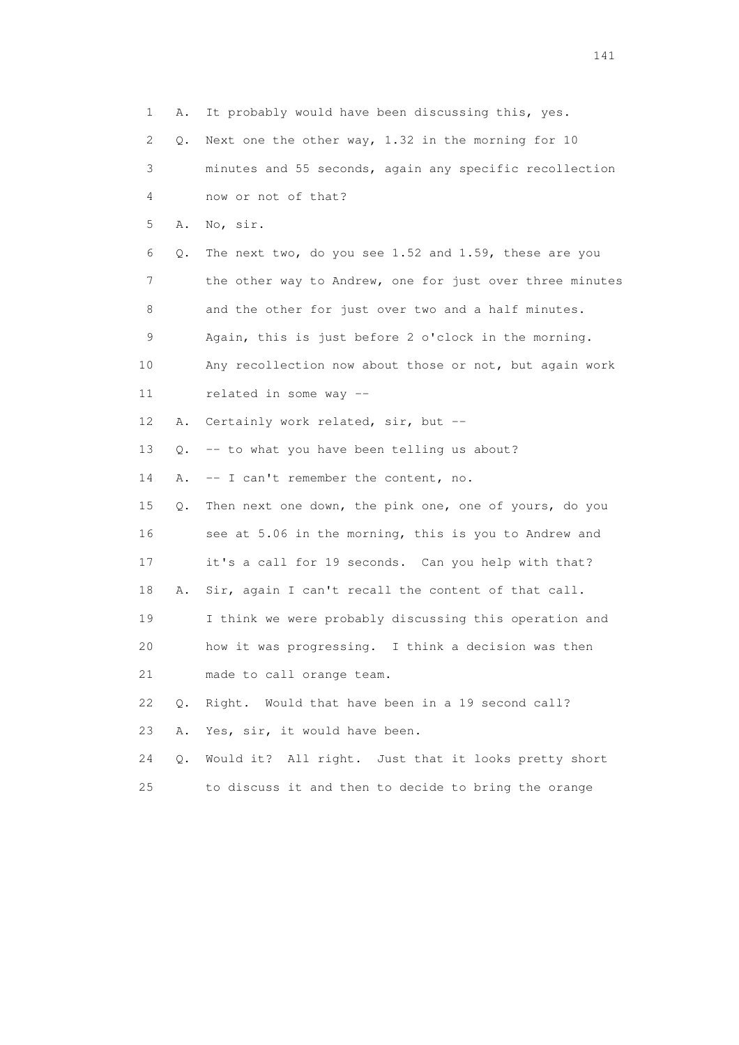| 1  | Α.    | It probably would have been discussing this, yes.        |
|----|-------|----------------------------------------------------------|
| 2  | Q.    | Next one the other way, 1.32 in the morning for 10       |
| 3  |       | minutes and 55 seconds, again any specific recollection  |
| 4  |       | now or not of that?                                      |
| 5  | Α.    | No, sir.                                                 |
| 6  | Q.    | The next two, do you see 1.52 and 1.59, these are you    |
| 7  |       | the other way to Andrew, one for just over three minutes |
| 8  |       | and the other for just over two and a half minutes.      |
| 9  |       | Again, this is just before 2 o'clock in the morning.     |
| 10 |       | Any recollection now about those or not, but again work  |
| 11 |       | related in some way --                                   |
| 12 | Α.    | Certainly work related, sir, but --                      |
| 13 | Q.    | -- to what you have been telling us about?               |
| 14 | Α.    | -- I can't remember the content, no.                     |
| 15 | Q.    | Then next one down, the pink one, one of yours, do you   |
| 16 |       | see at 5.06 in the morning, this is you to Andrew and    |
| 17 |       | it's a call for 19 seconds. Can you help with that?      |
| 18 | Α.    | Sir, again I can't recall the content of that call.      |
| 19 |       | I think we were probably discussing this operation and   |
| 20 |       | how it was progressing. I think a decision was then      |
| 21 |       | made to call orange team.                                |
| 22 | $Q$ . | Right. Would that have been in a 19 second call?         |
| 23 | Α.    | Yes, sir, it would have been.                            |
| 24 | Q.    | Would it? All right. Just that it looks pretty short     |
| 25 |       | to discuss it and then to decide to bring the orange     |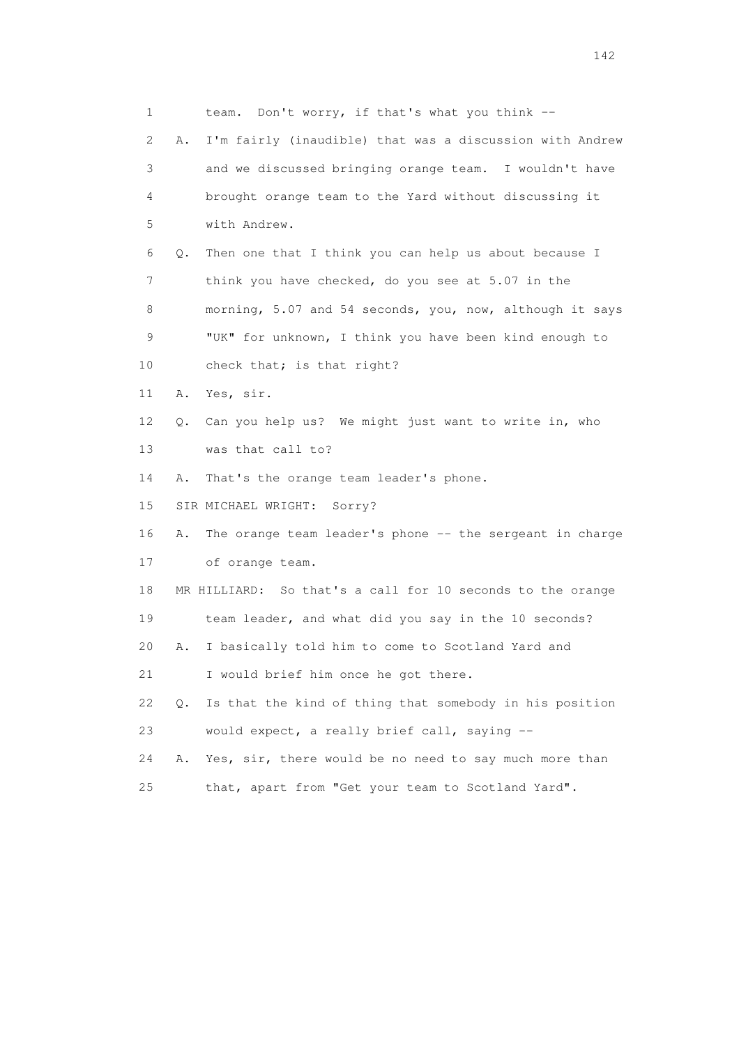1 team. Don't worry, if that's what you think -- 2 A. I'm fairly (inaudible) that was a discussion with Andrew 3 and we discussed bringing orange team. I wouldn't have 4 brought orange team to the Yard without discussing it 5 with Andrew. 6 Q. Then one that I think you can help us about because I 7 think you have checked, do you see at 5.07 in the 8 morning, 5.07 and 54 seconds, you, now, although it says 9 "UK" for unknown, I think you have been kind enough to 10 check that; is that right? 11 A. Yes, sir. 12 Q. Can you help us? We might just want to write in, who 13 was that call to? 14 A. That's the orange team leader's phone. 15 SIR MICHAEL WRIGHT: Sorry? 16 A. The orange team leader's phone -- the sergeant in charge 17 of orange team. 18 MR HILLIARD: So that's a call for 10 seconds to the orange 19 team leader, and what did you say in the 10 seconds? 20 A. I basically told him to come to Scotland Yard and 21 I would brief him once he got there. 22 Q. Is that the kind of thing that somebody in his position 23 would expect, a really brief call, saying -- 24 A. Yes, sir, there would be no need to say much more than 25 that, apart from "Get your team to Scotland Yard".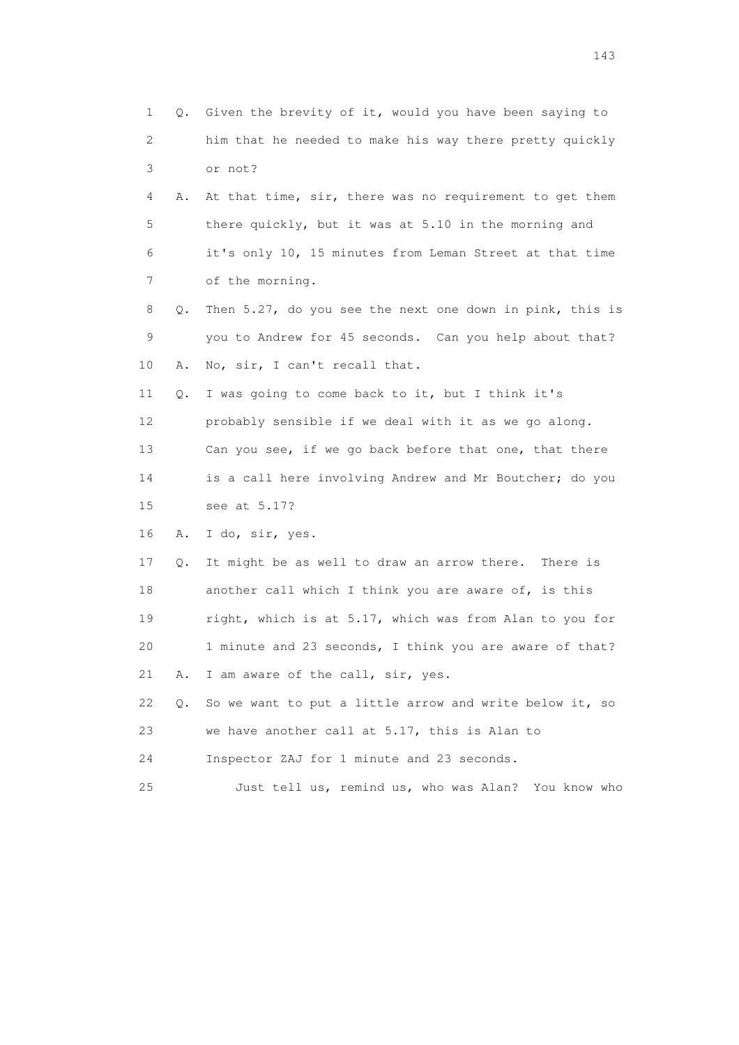| $\mathbf 1$ | Q. | Given the brevity of it, would you have been saying to   |
|-------------|----|----------------------------------------------------------|
| 2           |    | him that he needed to make his way there pretty quickly  |
| 3           |    | or not?                                                  |
| 4           | Α. | At that time, sir, there was no requirement to get them  |
| 5           |    | there quickly, but it was at 5.10 in the morning and     |
| 6           |    | it's only 10, 15 minutes from Leman Street at that time  |
| 7           |    | of the morning.                                          |
| 8           | Q. | Then 5.27, do you see the next one down in pink, this is |
| 9           |    | you to Andrew for 45 seconds. Can you help about that?   |
| 10          | Α. | No, sir, I can't recall that.                            |
| 11          | Q. | I was going to come back to it, but I think it's         |
| 12          |    | probably sensible if we deal with it as we go along.     |
| 13          |    | Can you see, if we go back before that one, that there   |
| 14          |    | is a call here involving Andrew and Mr Boutcher; do you  |
| 15          |    | see at 5.17?                                             |
| 16          | Α. | I do, sir, yes.                                          |
| 17          | Q. | It might be as well to draw an arrow there. There is     |
| 18          |    | another call which I think you are aware of, is this     |
| 19          |    | right, which is at 5.17, which was from Alan to you for  |
| 20          |    | 1 minute and 23 seconds, I think you are aware of that?  |
| 21          | Α. | I am aware of the call, sir, yes.                        |
| 22          | Q. | So we want to put a little arrow and write below it, so  |
| 23          |    | we have another call at 5.17, this is Alan to            |
| 24          |    | Inspector ZAJ for 1 minute and 23 seconds.               |
| 25          |    | Just tell us, remind us, who was Alan? You know who      |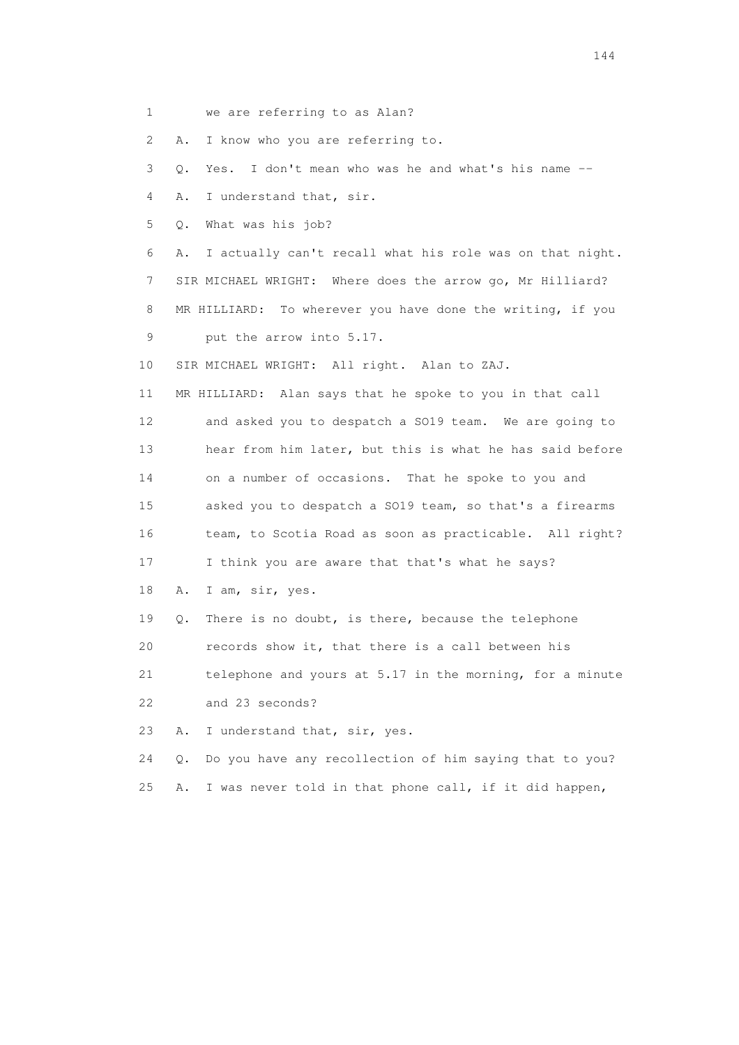1 we are referring to as Alan?

2 A. I know who you are referring to.

3 Q. Yes. I don't mean who was he and what's his name --

4 A. I understand that, sir.

5 Q. What was his job?

 6 A. I actually can't recall what his role was on that night. 7 SIR MICHAEL WRIGHT: Where does the arrow go, Mr Hilliard? 8 MR HILLIARD: To wherever you have done the writing, if you 9 put the arrow into 5.17.

10 SIR MICHAEL WRIGHT: All right. Alan to ZAJ.

 11 MR HILLIARD: Alan says that he spoke to you in that call 12 and asked you to despatch a SO19 team. We are going to 13 hear from him later, but this is what he has said before 14 on a number of occasions. That he spoke to you and 15 asked you to despatch a SO19 team, so that's a firearms 16 team, to Scotia Road as soon as practicable. All right? 17 I think you are aware that that's what he says?

18 A. I am, sir, yes.

 19 Q. There is no doubt, is there, because the telephone 20 records show it, that there is a call between his 21 telephone and yours at 5.17 in the morning, for a minute

22 and 23 seconds?

23 A. I understand that, sir, yes.

 24 Q. Do you have any recollection of him saying that to you? 25 A. I was never told in that phone call, if it did happen,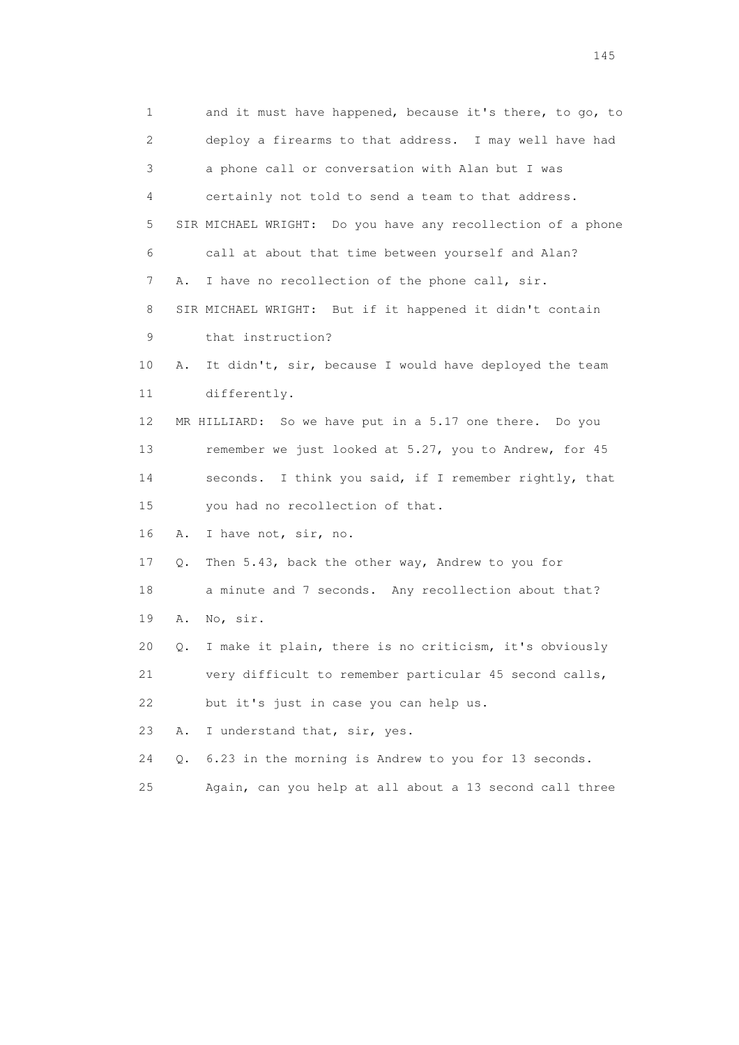1 and it must have happened, because it's there, to go, to 2 deploy a firearms to that address. I may well have had 3 a phone call or conversation with Alan but I was 4 certainly not told to send a team to that address. 5 SIR MICHAEL WRIGHT: Do you have any recollection of a phone 6 call at about that time between yourself and Alan? 7 A. I have no recollection of the phone call, sir. 8 SIR MICHAEL WRIGHT: But if it happened it didn't contain 9 that instruction? 10 A. It didn't, sir, because I would have deployed the team 11 differently. 12 MR HILLIARD: So we have put in a 5.17 one there. Do you 13 remember we just looked at 5.27, you to Andrew, for 45 14 seconds. I think you said, if I remember rightly, that 15 you had no recollection of that. 16 A. I have not, sir, no. 17 Q. Then 5.43, back the other way, Andrew to you for 18 a minute and 7 seconds. Any recollection about that? 19 A. No, sir. 20 Q. I make it plain, there is no criticism, it's obviously 21 very difficult to remember particular 45 second calls, 22 but it's just in case you can help us. 23 A. I understand that, sir, yes. 24 Q. 6.23 in the morning is Andrew to you for 13 seconds. 25 Again, can you help at all about a 13 second call three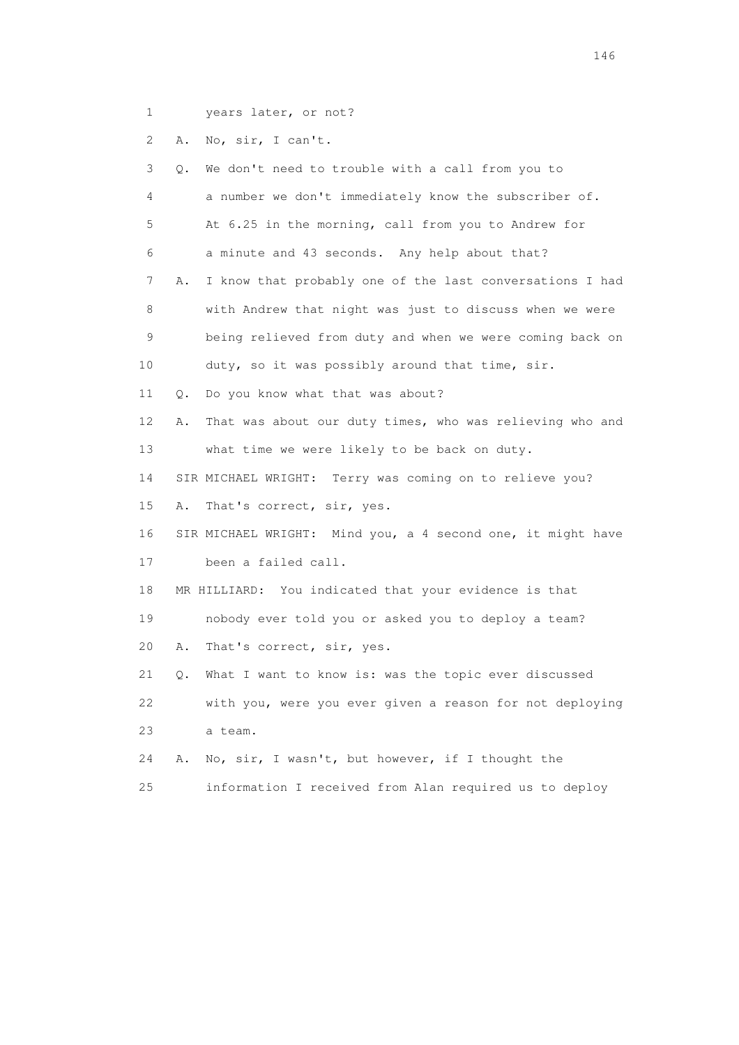1 years later, or not?

2 A. No, sir, I can't.

| 3               | Q.        | We don't need to trouble with a call from you to            |
|-----------------|-----------|-------------------------------------------------------------|
| 4               |           | a number we don't immediately know the subscriber of.       |
| 5               |           | At 6.25 in the morning, call from you to Andrew for         |
| 6               |           | a minute and 43 seconds. Any help about that?               |
| 7               | Α.        | I know that probably one of the last conversations I had    |
| 8               |           | with Andrew that night was just to discuss when we were     |
| 9               |           | being relieved from duty and when we were coming back on    |
| 10              |           | duty, so it was possibly around that time, sir.             |
| 11              | $\circ$ . | Do you know what that was about?                            |
| 12 <sup>°</sup> | Α.        | That was about our duty times, who was relieving who and    |
| 13              |           | what time we were likely to be back on duty.                |
| 14              |           | SIR MICHAEL WRIGHT: Terry was coming on to relieve you?     |
| 15              | Α.        | That's correct, sir, yes.                                   |
| 16              |           | SIR MICHAEL WRIGHT: Mind you, a 4 second one, it might have |
| 17              |           | been a failed call.                                         |
| 18              |           | MR HILLIARD: You indicated that your evidence is that       |
| 19              |           | nobody ever told you or asked you to deploy a team?         |
| 20              | Α.        | That's correct, sir, yes.                                   |
| 21              | Q.        | What I want to know is: was the topic ever discussed        |
| 22              |           | with you, were you ever given a reason for not deploying    |
| 23              |           | a team.                                                     |
| 24              | Α.        | No, sir, I wasn't, but however, if I thought the            |
| 25              |           | information I received from Alan required us to deploy      |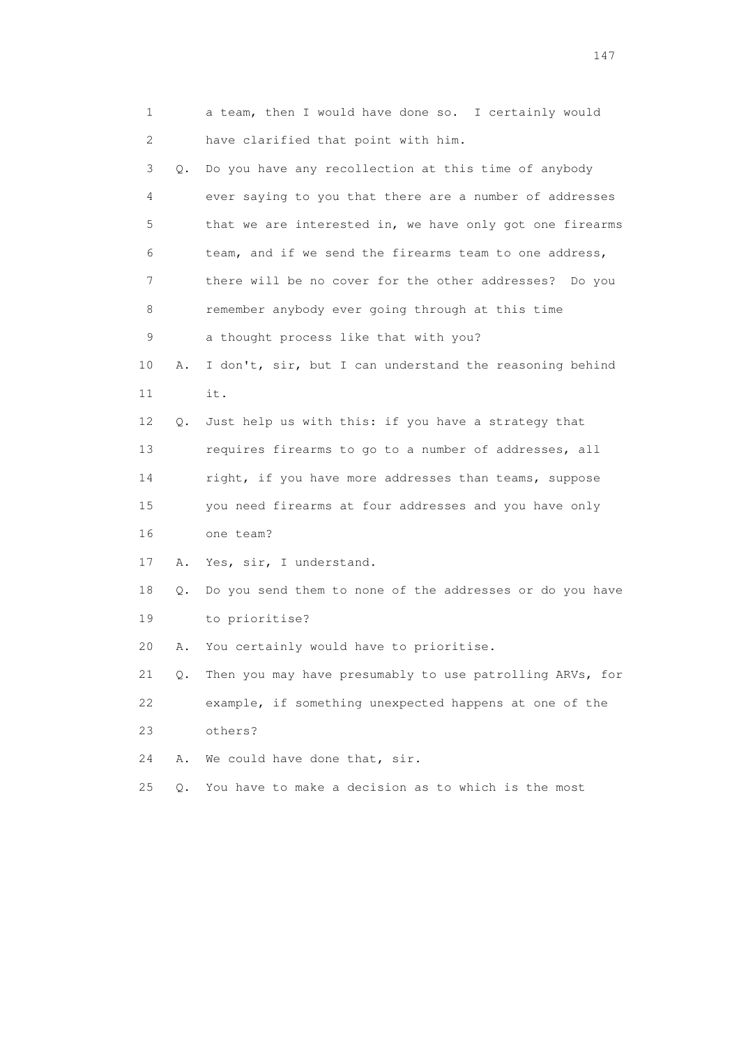|    | 1       | a team, then I would have done so. I certainly would     |
|----|---------|----------------------------------------------------------|
|    | 2       | have clarified that point with him.                      |
|    | 3<br>Q. | Do you have any recollection at this time of anybody     |
|    | 4       | ever saying to you that there are a number of addresses  |
|    | 5       | that we are interested in, we have only got one firearms |
|    | 6       | team, and if we send the firearms team to one address,   |
|    | 7       | there will be no cover for the other addresses? Do you   |
|    | 8       | remember anybody ever going through at this time         |
|    | 9       | a thought process like that with you?                    |
| 10 | Α.      | I don't, sir, but I can understand the reasoning behind  |
| 11 |         | it.                                                      |
| 12 | Q.      | Just help us with this: if you have a strategy that      |
| 13 |         | requires firearms to go to a number of addresses, all    |
| 14 |         | right, if you have more addresses than teams, suppose    |
| 15 |         | you need firearms at four addresses and you have only    |
| 16 |         | one team?                                                |
| 17 | Α.      | Yes, sir, I understand.                                  |
| 18 | Q.      | Do you send them to none of the addresses or do you have |
|    | 19      | to prioritise?                                           |
| 20 | Α.      | You certainly would have to prioritise.                  |
| 21 | Q.      | Then you may have presumably to use patrolling ARVs, for |
| 22 |         | example, if something unexpected happens at one of the   |
| 23 |         | others?                                                  |
| 24 | Α.      | We could have done that, sir.                            |
| 25 | Q.      | You have to make a decision as to which is the most      |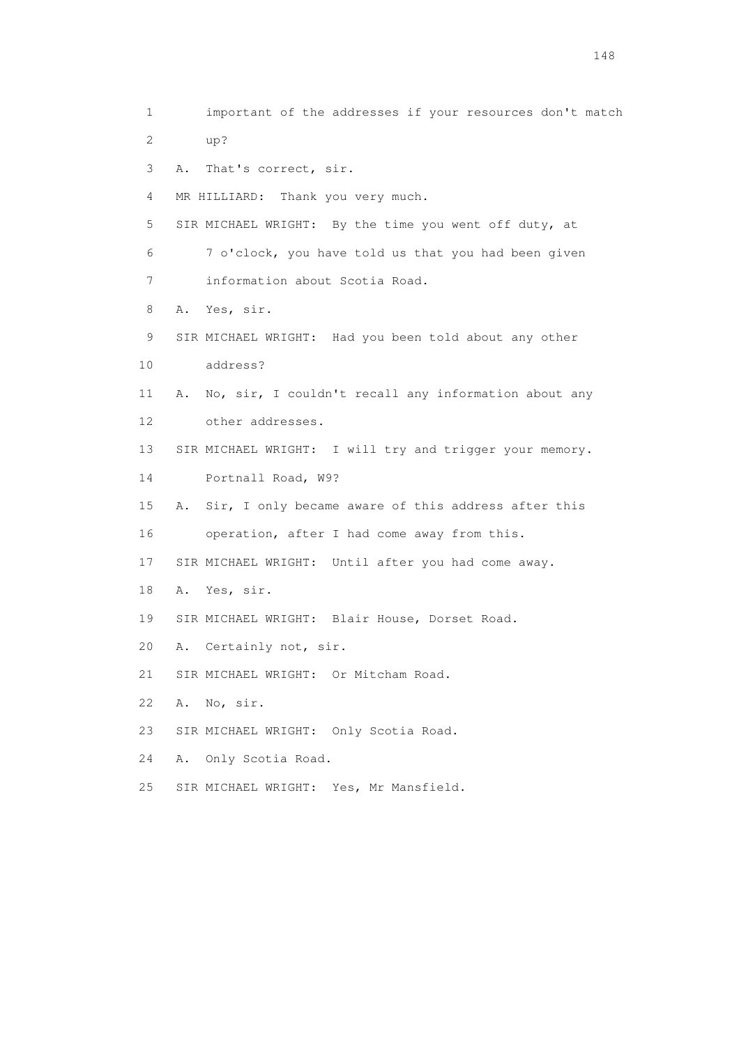1 important of the addresses if your resources don't match 2 up? 3 A. That's correct, sir. 4 MR HILLIARD: Thank you very much. 5 SIR MICHAEL WRIGHT: By the time you went off duty, at 6 7 o'clock, you have told us that you had been given 7 information about Scotia Road. 8 A. Yes, sir. 9 SIR MICHAEL WRIGHT: Had you been told about any other 10 address? 11 A. No, sir, I couldn't recall any information about any 12 other addresses. 13 SIR MICHAEL WRIGHT: I will try and trigger your memory. 14 Portnall Road, W9? 15 A. Sir, I only became aware of this address after this 16 operation, after I had come away from this. 17 SIR MICHAEL WRIGHT: Until after you had come away. 18 A. Yes, sir. 19 SIR MICHAEL WRIGHT: Blair House, Dorset Road. 20 A. Certainly not, sir. 21 SIR MICHAEL WRIGHT: Or Mitcham Road. 22 A. No, sir. 23 SIR MICHAEL WRIGHT: Only Scotia Road. 24 A. Only Scotia Road. 25 SIR MICHAEL WRIGHT: Yes, Mr Mansfield.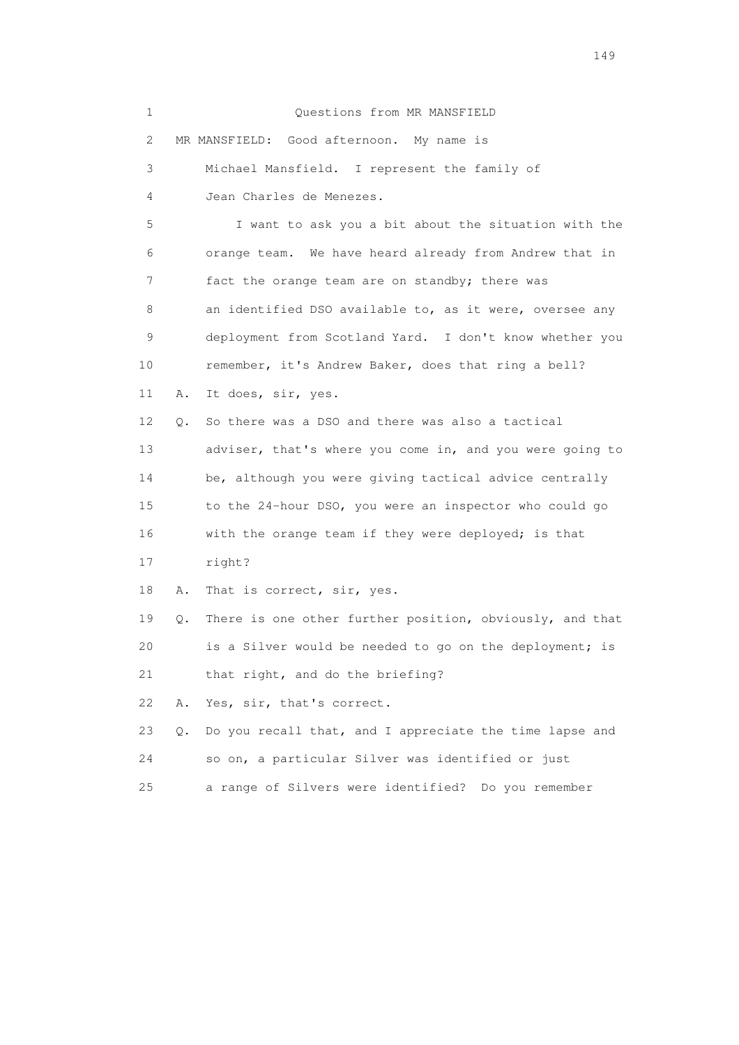| 1                         |    | Questions from MR MANSFIELD                              |
|---------------------------|----|----------------------------------------------------------|
| $\mathbf{2}^{\mathsf{I}}$ |    | MR MANSFIELD: Good afternoon. My name is                 |
| 3                         |    | Michael Mansfield. I represent the family of             |
| 4                         |    | Jean Charles de Menezes.                                 |
| 5                         |    | I want to ask you a bit about the situation with the     |
| 6                         |    | orange team. We have heard already from Andrew that in   |
| 7                         |    | fact the orange team are on standby; there was           |
| 8                         |    | an identified DSO available to, as it were, oversee any  |
| 9                         |    | deployment from Scotland Yard. I don't know whether you  |
| 10                        |    | remember, it's Andrew Baker, does that ring a bell?      |
| 11                        | Α. | It does, sir, yes.                                       |
| 12                        | О. | So there was a DSO and there was also a tactical         |
| 13                        |    | adviser, that's where you come in, and you were going to |
| 14                        |    | be, although you were giving tactical advice centrally   |
| 15                        |    | to the 24-hour DSO, you were an inspector who could go   |
| 16                        |    | with the orange team if they were deployed; is that      |
| 17                        |    | right?                                                   |
| 18                        | Α. | That is correct, sir, yes.                               |
| 19                        | Q. | There is one other further position, obviously, and that |
| 20                        |    | is a Silver would be needed to go on the deployment; is  |
| 21                        |    | that right, and do the briefing?                         |
| 22                        | Α. | Yes, sir, that's correct.                                |
| 23                        | Q. | Do you recall that, and I appreciate the time lapse and  |
| 24                        |    | so on, a particular Silver was identified or just        |
| 25                        |    | a range of Silvers were identified? Do you remember      |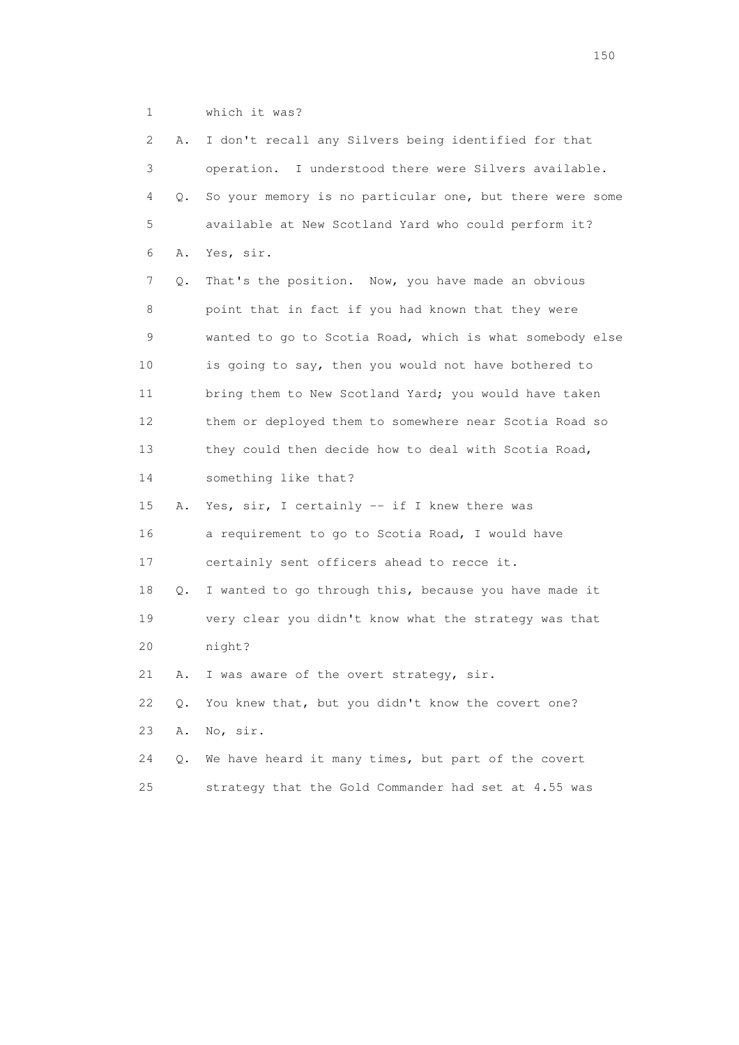1 which it was?

| 2               | Α.        | I don't recall any Silvers being identified for that     |
|-----------------|-----------|----------------------------------------------------------|
| 3               |           | operation. I understood there were Silvers available.    |
| 4               | $\circ$ . | So your memory is no particular one, but there were some |
| 5               |           | available at New Scotland Yard who could perform it?     |
| 6               | Α.        | Yes, sir.                                                |
| 7               | Q.        | That's the position. Now, you have made an obvious       |
| 8               |           | point that in fact if you had known that they were       |
| 9               |           | wanted to go to Scotia Road, which is what somebody else |
| 10              |           | is going to say, then you would not have bothered to     |
| 11              |           | bring them to New Scotland Yard; you would have taken    |
| 12 <sup>°</sup> |           | them or deployed them to somewhere near Scotia Road so   |
| 13              |           | they could then decide how to deal with Scotia Road,     |
| 14              |           | something like that?                                     |
| 15              | Α.        | Yes, sir, I certainly -- if I knew there was             |
| 16              |           | a requirement to go to Scotia Road, I would have         |
| 17              |           | certainly sent officers ahead to recce it.               |
| 18              | Q.        | I wanted to go through this, because you have made it    |
| 19              |           | very clear you didn't know what the strategy was that    |
| 20              |           | night?                                                   |
| 21              | Α.        | I was aware of the overt strategy, sir.                  |
| 22              | Q.        | You knew that, but you didn't know the covert one?       |
| 23              | Α.        | No, sir.                                                 |
| 24              | Q.        | We have heard it many times, but part of the covert      |
| 25              |           | strategy that the Gold Commander had set at 4.55 was     |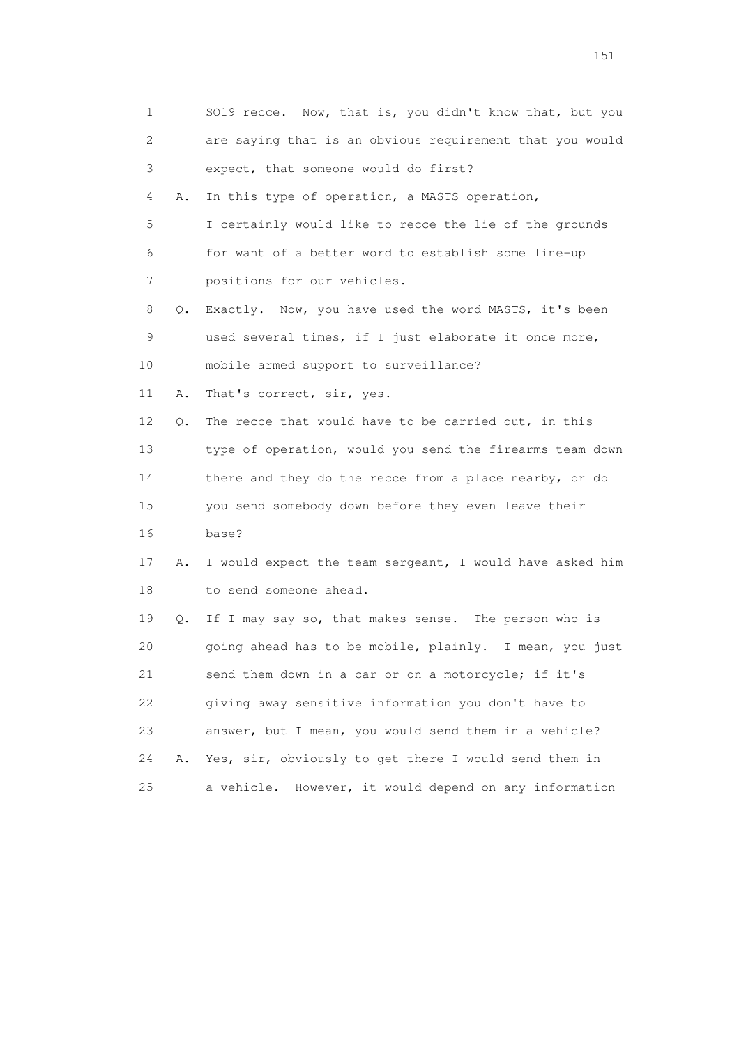| 1                         |    | SO19 recce. Now, that is, you didn't know that, but you  |
|---------------------------|----|----------------------------------------------------------|
| $\mathbf{2}^{\mathsf{I}}$ |    | are saying that is an obvious requirement that you would |
| 3                         |    | expect, that someone would do first?                     |
| 4                         | Α. | In this type of operation, a MASTS operation,            |
| 5                         |    | I certainly would like to recce the lie of the grounds   |
| 6                         |    | for want of a better word to establish some line-up      |
| 7                         |    | positions for our vehicles.                              |
| 8                         | Q. | Exactly. Now, you have used the word MASTS, it's been    |
| 9                         |    | used several times, if I just elaborate it once more,    |
| 10                        |    | mobile armed support to surveillance?                    |
| 11                        | Α. | That's correct, sir, yes.                                |
| 12                        | Q. | The recce that would have to be carried out, in this     |
| 13                        |    | type of operation, would you send the firearms team down |
| 14                        |    | there and they do the recce from a place nearby, or do   |
| 15                        |    | you send somebody down before they even leave their      |
| 16                        |    | base?                                                    |
| 17                        | Α. | I would expect the team sergeant, I would have asked him |
| 18                        |    | to send someone ahead.                                   |
| 19                        | Q. | If I may say so, that makes sense. The person who is     |
| 20                        |    | going ahead has to be mobile, plainly. I mean, you just  |
| 21                        |    | send them down in a car or on a motorcycle; if it's      |
| 22                        |    | giving away sensitive information you don't have to      |
| 23                        |    | answer, but I mean, you would send them in a vehicle?    |
| 24                        | Α. | Yes, sir, obviously to get there I would send them in    |
| 25                        |    | a vehicle. However, it would depend on any information   |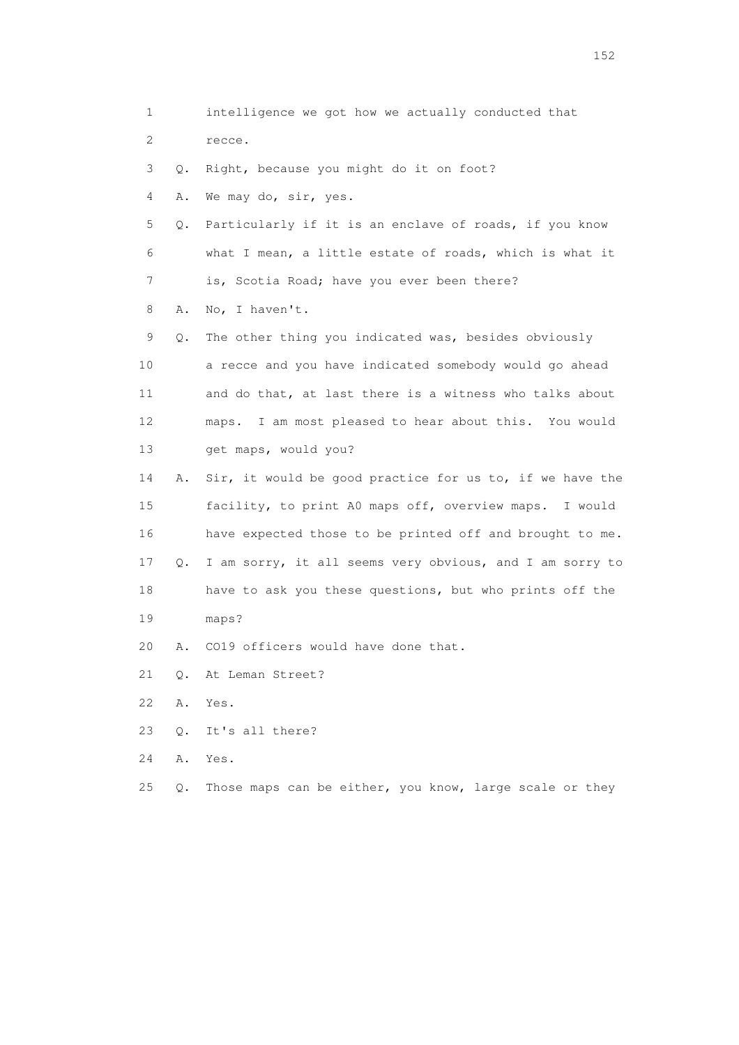1 intelligence we got how we actually conducted that 2 recce. 3 Q. Right, because you might do it on foot? 4 A. We may do, sir, yes. 5 Q. Particularly if it is an enclave of roads, if you know 6 what I mean, a little estate of roads, which is what it 7 is, Scotia Road; have you ever been there? 8 A. No, I haven't. 9 Q. The other thing you indicated was, besides obviously 10 a recce and you have indicated somebody would go ahead 11 and do that, at last there is a witness who talks about 12 maps. I am most pleased to hear about this. You would 13 get maps, would you? 14 A. Sir, it would be good practice for us to, if we have the 15 facility, to print A0 maps off, overview maps. I would 16 have expected those to be printed off and brought to me. 17 Q. I am sorry, it all seems very obvious, and I am sorry to 18 have to ask you these questions, but who prints off the 19 maps? 20 A. CO19 officers would have done that. 21 Q. At Leman Street? 22 A. Yes. 23 Q. It's all there? 24 A. Yes. 25 Q. Those maps can be either, you know, large scale or they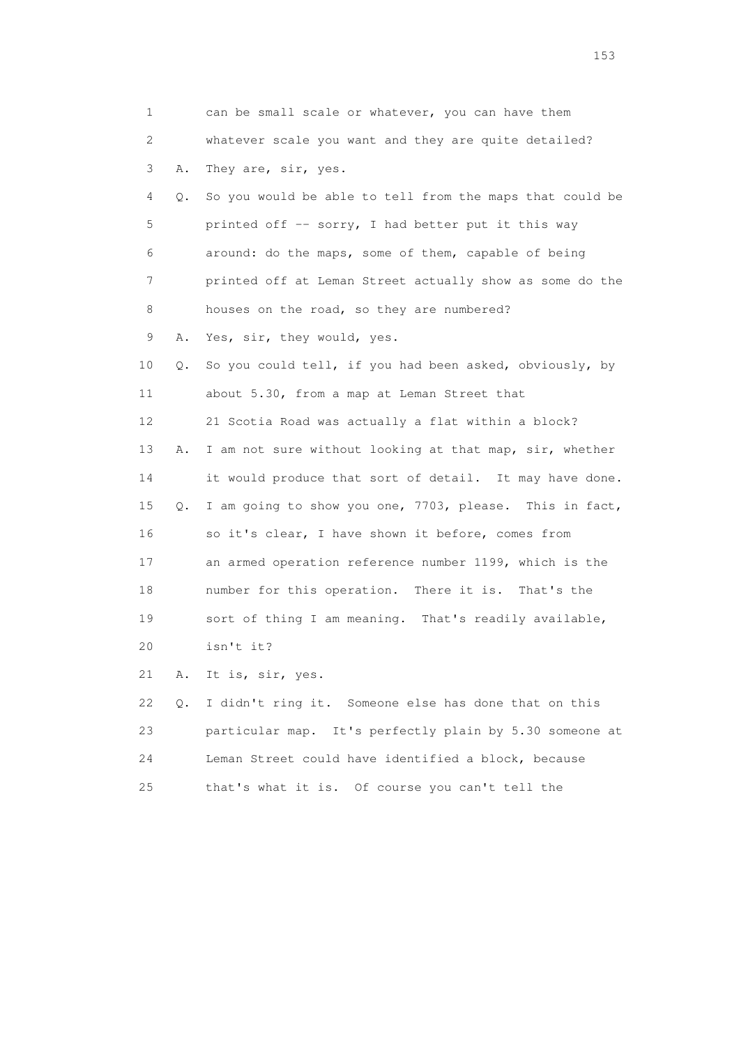1 can be small scale or whatever, you can have them 2 whatever scale you want and they are quite detailed? 3 A. They are, sir, yes. 4 Q. So you would be able to tell from the maps that could be 5 printed off -- sorry, I had better put it this way 6 around: do the maps, some of them, capable of being 7 printed off at Leman Street actually show as some do the 8 houses on the road, so they are numbered? 9 A. Yes, sir, they would, yes. 10 Q. So you could tell, if you had been asked, obviously, by 11 about 5.30, from a map at Leman Street that 12 21 Scotia Road was actually a flat within a block? 13 A. I am not sure without looking at that map, sir, whether 14 it would produce that sort of detail. It may have done. 15 Q. I am going to show you one, 7703, please. This in fact, 16 so it's clear, I have shown it before, comes from 17 an armed operation reference number 1199, which is the 18 number for this operation. There it is. That's the 19 sort of thing I am meaning. That's readily available, 20 isn't it? 21 A. It is, sir, yes. 22 Q. I didn't ring it. Someone else has done that on this 23 particular map. It's perfectly plain by 5.30 someone at 24 Leman Street could have identified a block, because

25 that's what it is. Of course you can't tell the

<u>153</u>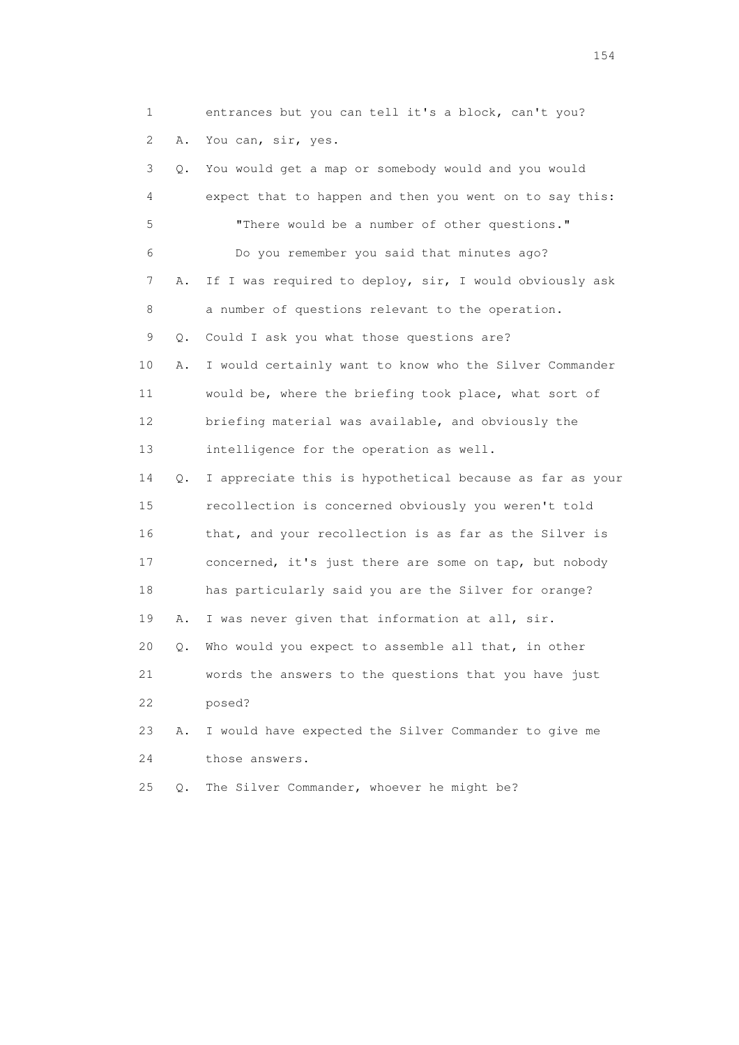1 entrances but you can tell it's a block, can't you? 2 A. You can, sir, yes.

 3 Q. You would get a map or somebody would and you would 4 expect that to happen and then you went on to say this: 5 "There would be a number of other questions." 6 Do you remember you said that minutes ago? 7 A. If I was required to deploy, sir, I would obviously ask 8 a number of questions relevant to the operation. 9 Q. Could I ask you what those questions are? 10 A. I would certainly want to know who the Silver Commander 11 would be, where the briefing took place, what sort of 12 briefing material was available, and obviously the 13 intelligence for the operation as well. 14 Q. I appreciate this is hypothetical because as far as your 15 recollection is concerned obviously you weren't told 16 that, and your recollection is as far as the Silver is 17 concerned, it's just there are some on tap, but nobody 18 has particularly said you are the Silver for orange? 19 A. I was never given that information at all, sir. 20 Q. Who would you expect to assemble all that, in other 21 words the answers to the questions that you have just 22 posed? 23 A. I would have expected the Silver Commander to give me 24 those answers.

25 Q. The Silver Commander, whoever he might be?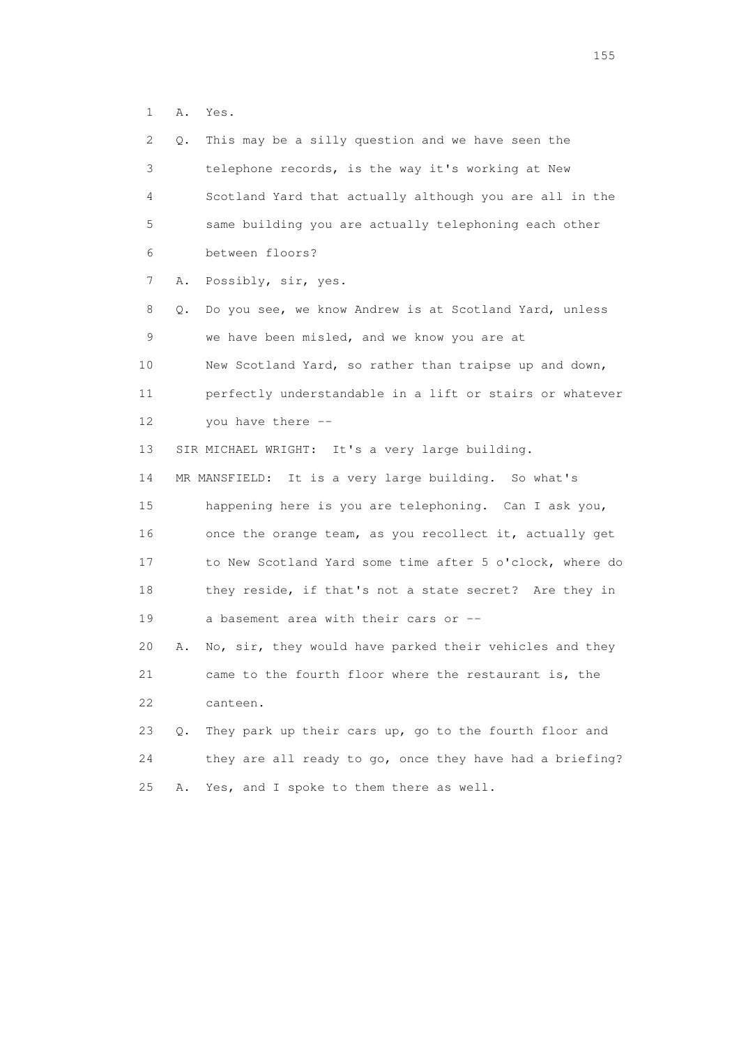1 A. Yes.

| 2  | Q.        | This may be a silly question and we have seen the        |
|----|-----------|----------------------------------------------------------|
| 3  |           | telephone records, is the way it's working at New        |
| 4  |           | Scotland Yard that actually although you are all in the  |
| 5  |           | same building you are actually telephoning each other    |
| 6  |           | between floors?                                          |
| 7  | Α.        | Possibly, sir, yes.                                      |
| 8  | Q.        | Do you see, we know Andrew is at Scotland Yard, unless   |
| 9  |           | we have been misled, and we know you are at              |
| 10 |           | New Scotland Yard, so rather than traipse up and down,   |
| 11 |           | perfectly understandable in a lift or stairs or whatever |
| 12 |           | you have there --                                        |
| 13 |           | SIR MICHAEL WRIGHT: It's a very large building.          |
| 14 |           | MR MANSFIELD: It is a very large building. So what's     |
| 15 |           | happening here is you are telephoning. Can I ask you,    |
| 16 |           | once the orange team, as you recollect it, actually get  |
| 17 |           | to New Scotland Yard some time after 5 o'clock, where do |
| 18 |           | they reside, if that's not a state secret? Are they in   |
| 19 |           | a basement area with their cars or --                    |
| 20 | Α.        | No, sir, they would have parked their vehicles and they  |
| 21 |           | came to the fourth floor where the restaurant is, the    |
| 22 |           | canteen.                                                 |
| 23 | $\circ$ . | They park up their cars up, go to the fourth floor and   |
| 24 |           | they are all ready to go, once they have had a briefing? |
| 25 | Α.        | Yes, and I spoke to them there as well.                  |
|    |           |                                                          |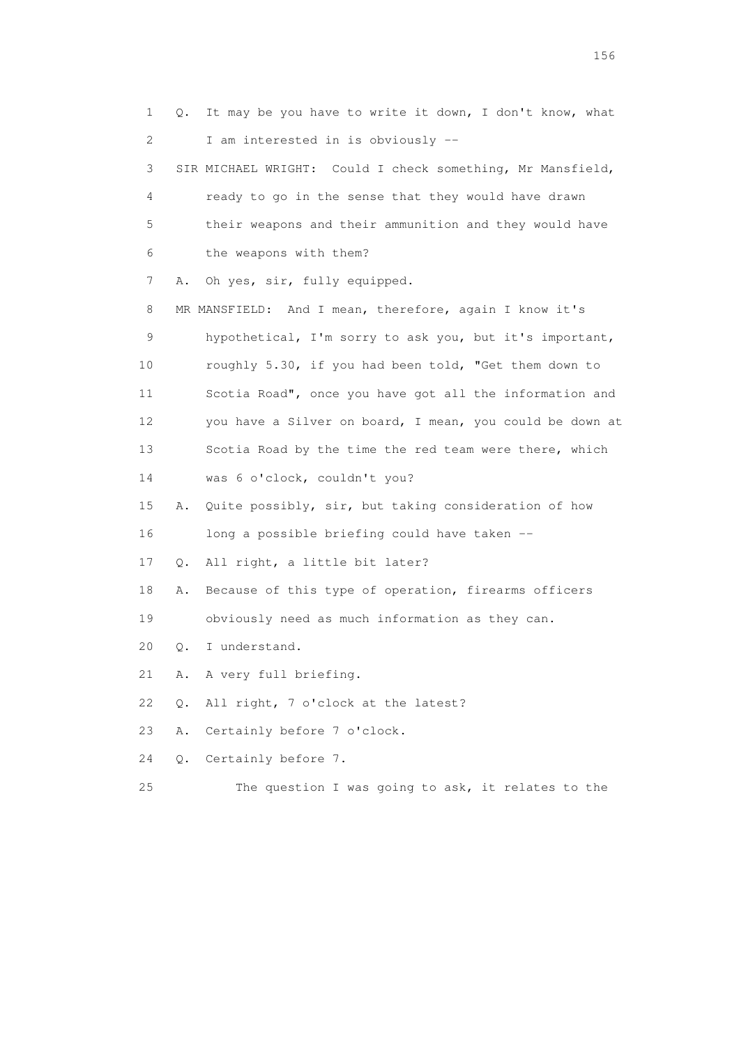1 Q. It may be you have to write it down, I don't know, what 2 I am interested in is obviously -- 3 SIR MICHAEL WRIGHT: Could I check something, Mr Mansfield, 4 ready to go in the sense that they would have drawn 5 their weapons and their ammunition and they would have 6 the weapons with them? 7 A. Oh yes, sir, fully equipped. 8 MR MANSFIELD: And I mean, therefore, again I know it's 9 hypothetical, I'm sorry to ask you, but it's important, 10 roughly 5.30, if you had been told, "Get them down to 11 Scotia Road", once you have got all the information and 12 you have a Silver on board, I mean, you could be down at 13 Scotia Road by the time the red team were there, which 14 was 6 o'clock, couldn't you? 15 A. Quite possibly, sir, but taking consideration of how 16 long a possible briefing could have taken -- 17 Q. All right, a little bit later? 18 A. Because of this type of operation, firearms officers 19 obviously need as much information as they can. 20 Q. I understand. 21 A. A very full briefing. 22 Q. All right, 7 o'clock at the latest? 23 A. Certainly before 7 o'clock. 24 Q. Certainly before 7. 25 The question I was going to ask, it relates to the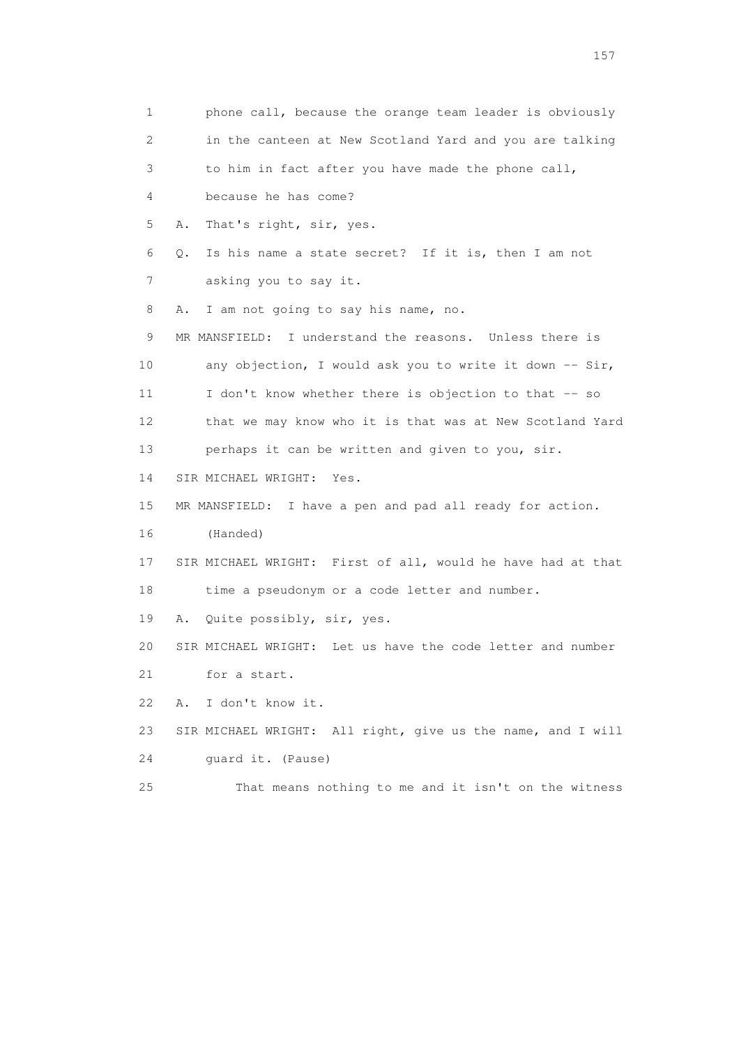1 phone call, because the orange team leader is obviously 2 in the canteen at New Scotland Yard and you are talking 3 to him in fact after you have made the phone call, 4 because he has come? 5 A. That's right, sir, yes. 6 Q. Is his name a state secret? If it is, then I am not 7 asking you to say it. 8 A. I am not going to say his name, no. 9 MR MANSFIELD: I understand the reasons. Unless there is 10 any objection, I would ask you to write it down -- Sir, 11 I don't know whether there is objection to that -- so 12 that we may know who it is that was at New Scotland Yard 13 perhaps it can be written and given to you, sir. 14 SIR MICHAEL WRIGHT: Yes. 15 MR MANSFIELD: I have a pen and pad all ready for action. 16 (Handed) 17 SIR MICHAEL WRIGHT: First of all, would he have had at that 18 time a pseudonym or a code letter and number. 19 A. Quite possibly, sir, yes. 20 SIR MICHAEL WRIGHT: Let us have the code letter and number 21 for a start. 22 A. I don't know it. 23 SIR MICHAEL WRIGHT: All right, give us the name, and I will 24 guard it. (Pause) 25 That means nothing to me and it isn't on the witness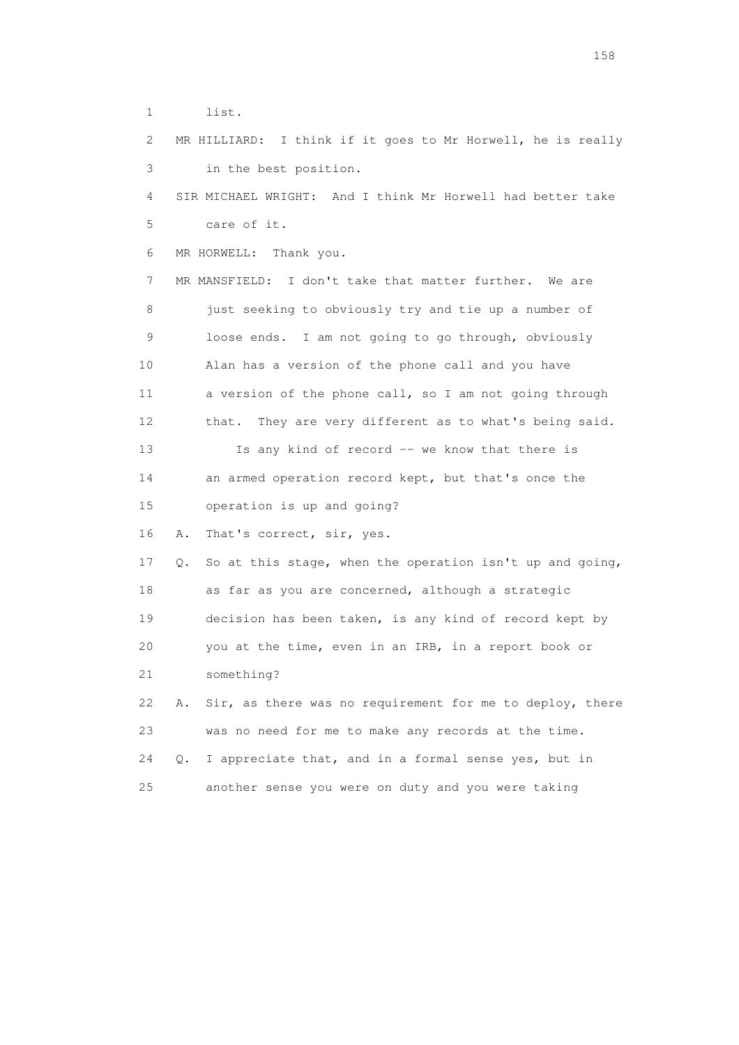1 list.

 2 MR HILLIARD: I think if it goes to Mr Horwell, he is really 3 in the best position.

 4 SIR MICHAEL WRIGHT: And I think Mr Horwell had better take 5 care of it.

6 MR HORWELL: Thank you.

 7 MR MANSFIELD: I don't take that matter further. We are 8 just seeking to obviously try and tie up a number of 9 loose ends. I am not going to go through, obviously 10 Alan has a version of the phone call and you have 11 a version of the phone call, so I am not going through 12 that. They are very different as to what's being said. 13 Is any kind of record -- we know that there is 14 an armed operation record kept, but that's once the 15 operation is up and going?

16 A. That's correct, sir, yes.

 17 Q. So at this stage, when the operation isn't up and going, 18 as far as you are concerned, although a strategic 19 decision has been taken, is any kind of record kept by 20 you at the time, even in an IRB, in a report book or 21 something?

22 A. Sir, as there was no requirement for me to deploy, there 23 was no need for me to make any records at the time. 24 Q. I appreciate that, and in a formal sense yes, but in 25 another sense you were on duty and you were taking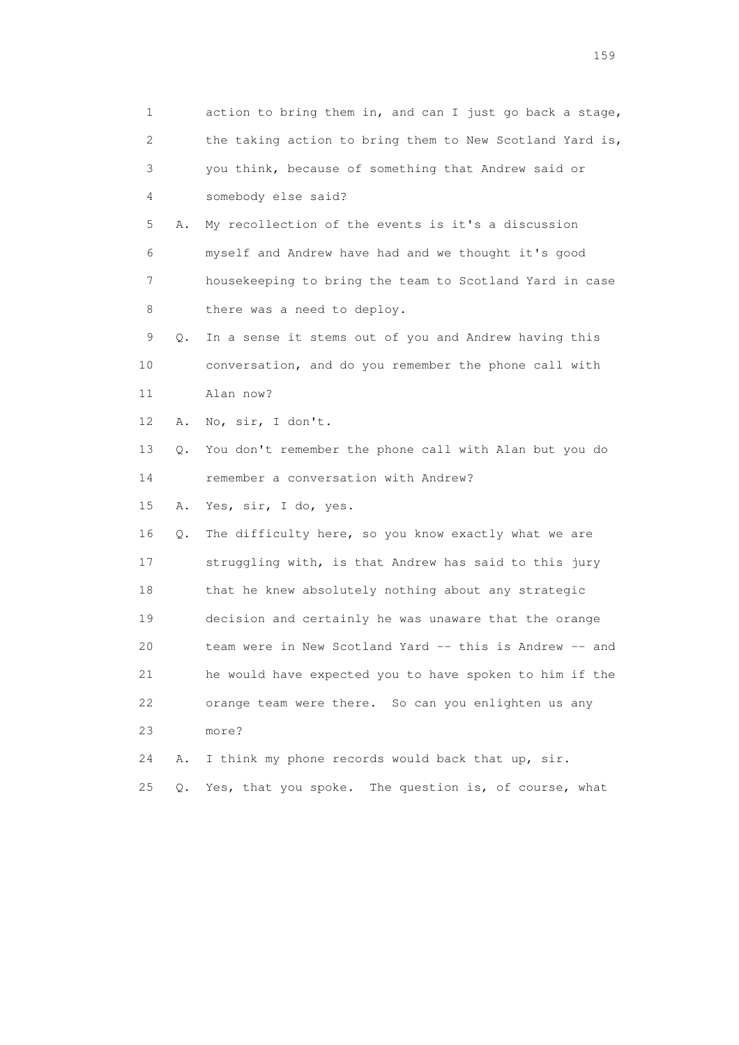| 1  |    | action to bring them in, and can I just go back a stage, |
|----|----|----------------------------------------------------------|
| 2  |    | the taking action to bring them to New Scotland Yard is, |
| 3  |    | you think, because of something that Andrew said or      |
| 4  |    | somebody else said?                                      |
| 5  | Α. | My recollection of the events is it's a discussion       |
| 6  |    | myself and Andrew have had and we thought it's good      |
| 7  |    | housekeeping to bring the team to Scotland Yard in case  |
| 8  |    | there was a need to deploy.                              |
| 9  | Q. | In a sense it stems out of you and Andrew having this    |
| 10 |    | conversation, and do you remember the phone call with    |
| 11 |    | Alan now?                                                |
| 12 | Α. | No, sir, I don't.                                        |
| 13 | Q. | You don't remember the phone call with Alan but you do   |
| 14 |    | remember a conversation with Andrew?                     |
| 15 | Α. | Yes, sir, I do, yes.                                     |
| 16 | Q. | The difficulty here, so you know exactly what we are     |
| 17 |    | struggling with, is that Andrew has said to this jury    |
| 18 |    | that he knew absolutely nothing about any strategic      |
| 19 |    | decision and certainly he was unaware that the orange    |
| 20 |    | team were in New Scotland Yard -- this is Andrew -- and  |
| 21 |    | he would have expected you to have spoken to him if the  |
| 22 |    | orange team were there. So can you enlighten us any      |
| 23 |    | more?                                                    |
| 24 | Α. | I think my phone records would back that up, sir.        |
| 25 | Q. | The question is, of course, what<br>Yes, that you spoke. |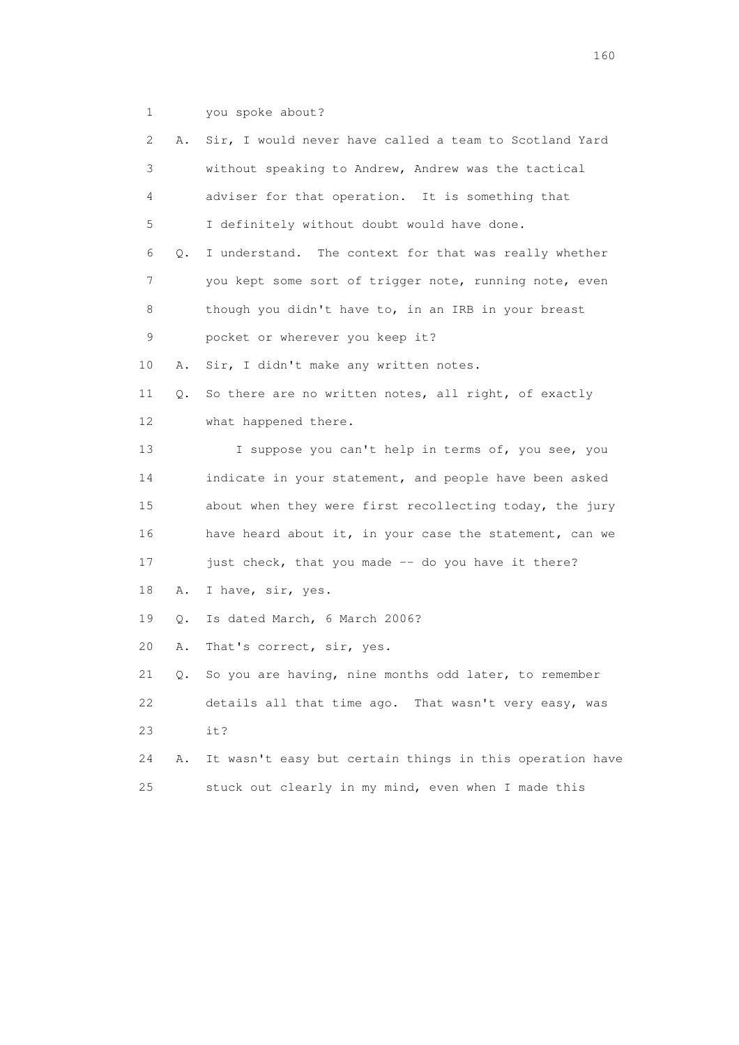1 you spoke about?

| 2  | Α. | Sir, I would never have called a team to Scotland Yard   |
|----|----|----------------------------------------------------------|
| 3  |    | without speaking to Andrew, Andrew was the tactical      |
| 4  |    | adviser for that operation. It is something that         |
| 5  |    | I definitely without doubt would have done.              |
| 6  | Q. | I understand. The context for that was really whether    |
| 7  |    | you kept some sort of trigger note, running note, even   |
| 8  |    | though you didn't have to, in an IRB in your breast      |
| 9  |    | pocket or wherever you keep it?                          |
| 10 | Α. | Sir, I didn't make any written notes.                    |
| 11 | Q. | So there are no written notes, all right, of exactly     |
| 12 |    | what happened there.                                     |
| 13 |    | I suppose you can't help in terms of, you see, you       |
| 14 |    | indicate in your statement, and people have been asked   |
| 15 |    | about when they were first recollecting today, the jury  |
| 16 |    | have heard about it, in your case the statement, can we  |
| 17 |    | just check, that you made -- do you have it there?       |
| 18 | Α. | I have, sir, yes.                                        |
| 19 | Q. | Is dated March, 6 March 2006?                            |
| 20 | Α. | That's correct, sir, yes.                                |
| 21 | Q. | So you are having, nine months odd later, to remember    |
| 22 |    | details all that time ago. That wasn't very easy, was    |
| 23 |    | it?                                                      |
| 24 | Α. | It wasn't easy but certain things in this operation have |
| 25 |    | stuck out clearly in my mind, even when I made this      |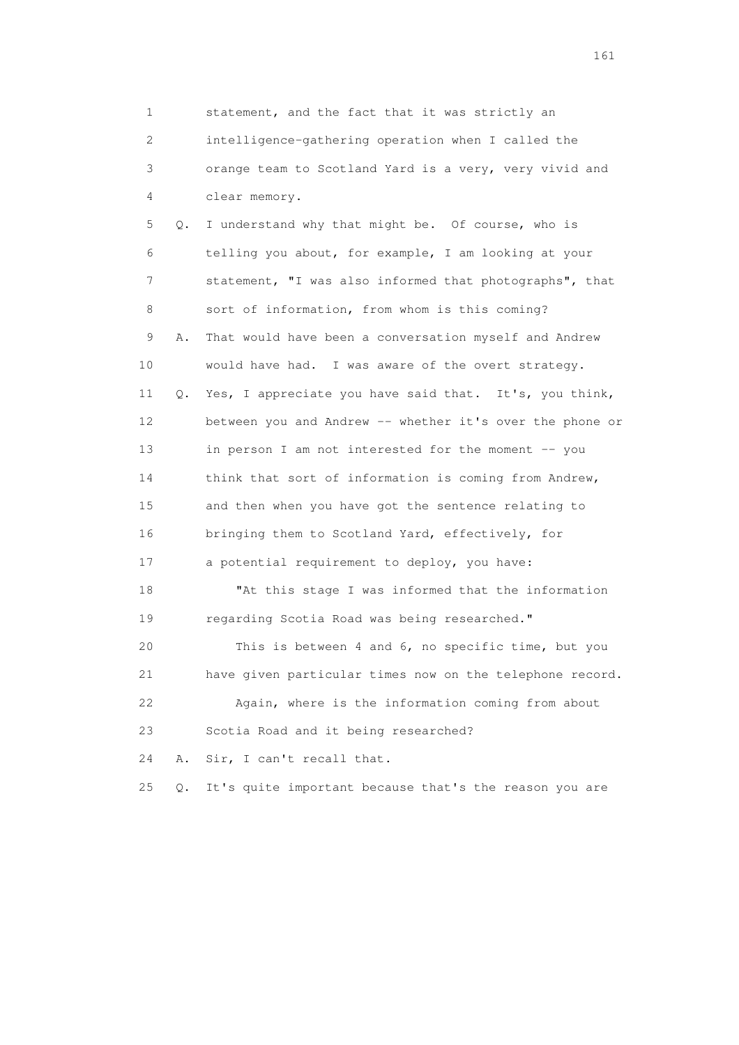1 statement, and the fact that it was strictly an 2 intelligence-gathering operation when I called the 3 orange team to Scotland Yard is a very, very vivid and 4 clear memory. 5 Q. I understand why that might be. Of course, who is 6 telling you about, for example, I am looking at your 7 statement, "I was also informed that photographs", that 8 sort of information, from whom is this coming? 9 A. That would have been a conversation myself and Andrew 10 would have had. I was aware of the overt strategy. 11 Q. Yes, I appreciate you have said that. It's, you think, 12 between you and Andrew -- whether it's over the phone or 13 in person I am not interested for the moment -- you 14 think that sort of information is coming from Andrew, 15 and then when you have got the sentence relating to 16 bringing them to Scotland Yard, effectively, for 17 a potential requirement to deploy, you have: 18 "At this stage I was informed that the information 19 regarding Scotia Road was being researched." 20 This is between 4 and 6, no specific time, but you 21 have given particular times now on the telephone record. 22 Again, where is the information coming from about 23 Scotia Road and it being researched? 24 A. Sir, I can't recall that. 25 Q. It's quite important because that's the reason you are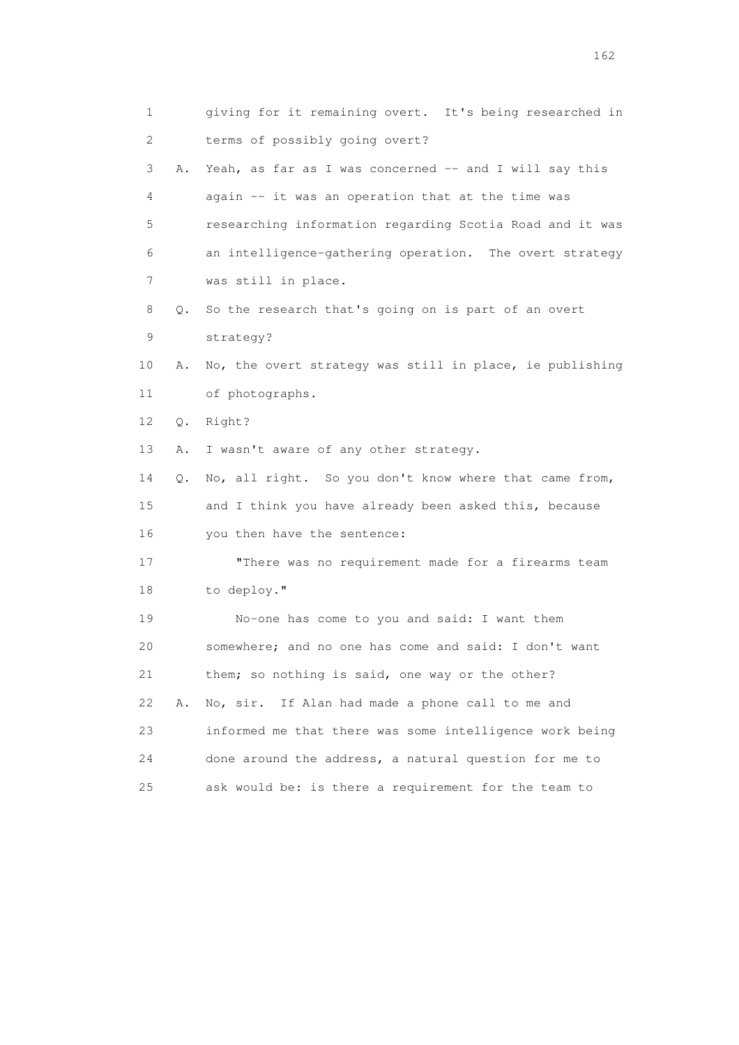| $\mathbf{1}$ |    | giving for it remaining overt. It's being researched in  |
|--------------|----|----------------------------------------------------------|
| 2            |    | terms of possibly going overt?                           |
| 3            | Α. | Yeah, as far as I was concerned -- and I will say this   |
| 4            |    | again -- it was an operation that at the time was        |
| 5            |    | researching information regarding Scotia Road and it was |
| 6            |    | an intelligence-gathering operation. The overt strategy  |
| 7            |    | was still in place.                                      |
| 8            | Q. | So the research that's going on is part of an overt      |
| 9            |    | strategy?                                                |
| 10           | Α. | No, the overt strategy was still in place, ie publishing |
| 11           |    | of photographs.                                          |
| 12           | Q. | Right?                                                   |
| 13           | Α. | I wasn't aware of any other strategy.                    |
| 14           | Q. | No, all right. So you don't know where that came from,   |
| 15           |    | and I think you have already been asked this, because    |
| 16           |    | you then have the sentence:                              |
| 17           |    | "There was no requirement made for a firearms team       |
| 18           |    | to deploy."                                              |
| 19           |    | No-one has come to you and said: I want them             |
| 20           |    | somewhere; and no one has come and said: I don't want    |
| 21           |    | them; so nothing is said, one way or the other?          |
| 22           | Α. | If Alan had made a phone call to me and<br>No, sir.      |
| 23           |    | informed me that there was some intelligence work being  |
| 24           |    | done around the address, a natural question for me to    |
| 25           |    | ask would be: is there a requirement for the team to     |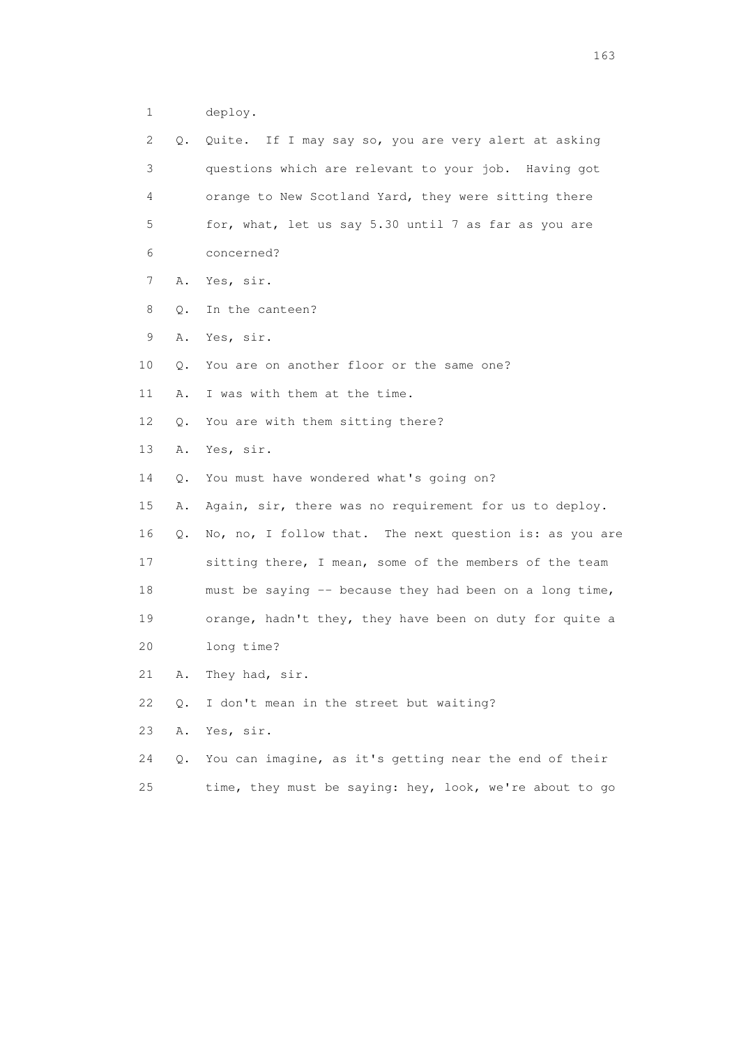1 deploy.

| 2               | Q.        | Quite. If I may say so, you are very alert at asking    |
|-----------------|-----------|---------------------------------------------------------|
| 3               |           | questions which are relevant to your job. Having got    |
| 4               |           | orange to New Scotland Yard, they were sitting there    |
| 5               |           | for, what, let us say 5.30 until 7 as far as you are    |
| 6               |           | concerned?                                              |
| 7               | Α.        | Yes, sir.                                               |
| 8               | Q.        | In the canteen?                                         |
| 9               | Α.        | Yes, sir.                                               |
| 10              | О.        | You are on another floor or the same one?               |
| 11              | Α.        | I was with them at the time.                            |
| 12 <sup>°</sup> | $\circ$ . | You are with them sitting there?                        |
| 13              | Α.        | Yes, sir.                                               |
| 14              | Q.        | You must have wondered what's going on?                 |
| 15              | Α.        | Again, sir, there was no requirement for us to deploy.  |
| 16              | Q.        | No, no, I follow that. The next question is: as you are |
| 17              |           | sitting there, I mean, some of the members of the team  |
| 18              |           | must be saying -- because they had been on a long time, |
| 19              |           | orange, hadn't they, they have been on duty for quite a |
| 20              |           | long time?                                              |
| 21              | Α.        | They had, sir.                                          |
| 22              | Q.        | I don't mean in the street but waiting?                 |
| 23              | Α.        | Yes, sir.                                               |
| 24              | О.        | You can imagine, as it's getting near the end of their  |

25 time, they must be saying: hey, look, we're about to go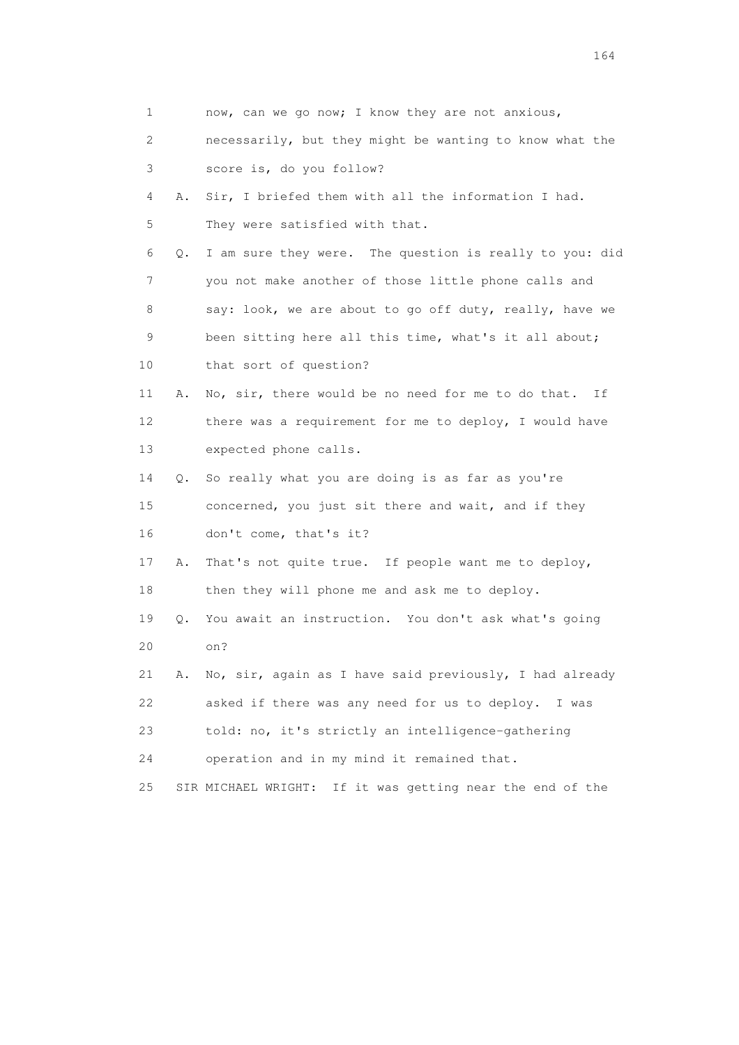| 1                         |           | now, can we go now; I know they are not anxious,             |
|---------------------------|-----------|--------------------------------------------------------------|
| $\mathbf{2}^{\mathsf{I}}$ |           | necessarily, but they might be wanting to know what the      |
| 3                         |           | score is, do you follow?                                     |
| 4                         | Α.        | Sir, I briefed them with all the information I had.          |
| 5                         |           | They were satisfied with that.                               |
| 6                         | $\circ$ . | I am sure they were. The question is really to you: did      |
| 7                         |           | you not make another of those little phone calls and         |
| 8                         |           | say: look, we are about to go off duty, really, have we      |
| 9                         |           | been sitting here all this time, what's it all about;        |
| 10                        |           | that sort of question?                                       |
| 11                        | Α.        | No, sir, there would be no need for me to do that. If        |
| 12                        |           | there was a requirement for me to deploy, I would have       |
| 13                        |           | expected phone calls.                                        |
| 14                        | Q.        | So really what you are doing is as far as you're             |
| 15                        |           | concerned, you just sit there and wait, and if they          |
| 16                        |           | don't come, that's it?                                       |
| 17                        | Α.        | That's not quite true. If people want me to deploy,          |
| 18                        |           | then they will phone me and ask me to deploy.                |
| 19                        | Q.        | You await an instruction. You don't ask what's going         |
| 20                        |           | on?                                                          |
| 21                        | Α.        | No, sir, again as I have said previously, I had already      |
| 22                        |           | asked if there was any need for us to deploy. I was          |
| 23                        |           | told: no, it's strictly an intelligence-gathering            |
| 24                        |           | operation and in my mind it remained that.                   |
| 25                        |           | If it was getting near the end of the<br>SIR MICHAEL WRIGHT: |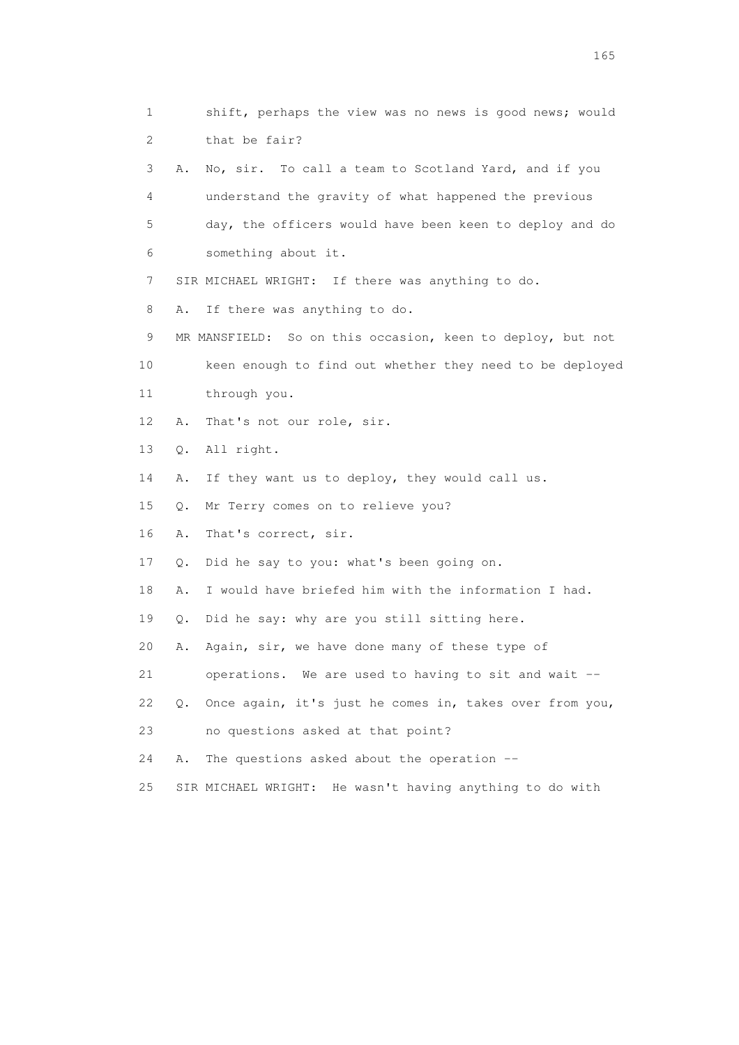1 shift, perhaps the view was no news is good news; would 2 that be fair? 3 A. No, sir. To call a team to Scotland Yard, and if you 4 understand the gravity of what happened the previous 5 day, the officers would have been keen to deploy and do 6 something about it. 7 SIR MICHAEL WRIGHT: If there was anything to do. 8 A. If there was anything to do. 9 MR MANSFIELD: So on this occasion, keen to deploy, but not 10 keen enough to find out whether they need to be deployed 11 through you. 12 A. That's not our role, sir. 13 Q. All right. 14 A. If they want us to deploy, they would call us. 15 Q. Mr Terry comes on to relieve you? 16 A. That's correct, sir. 17 Q. Did he say to you: what's been going on. 18 A. I would have briefed him with the information I had. 19 Q. Did he say: why are you still sitting here. 20 A. Again, sir, we have done many of these type of 21 operations. We are used to having to sit and wait -- 22 Q. Once again, it's just he comes in, takes over from you, 23 no questions asked at that point? 24 A. The questions asked about the operation -- 25 SIR MICHAEL WRIGHT: He wasn't having anything to do with

<u>165</u>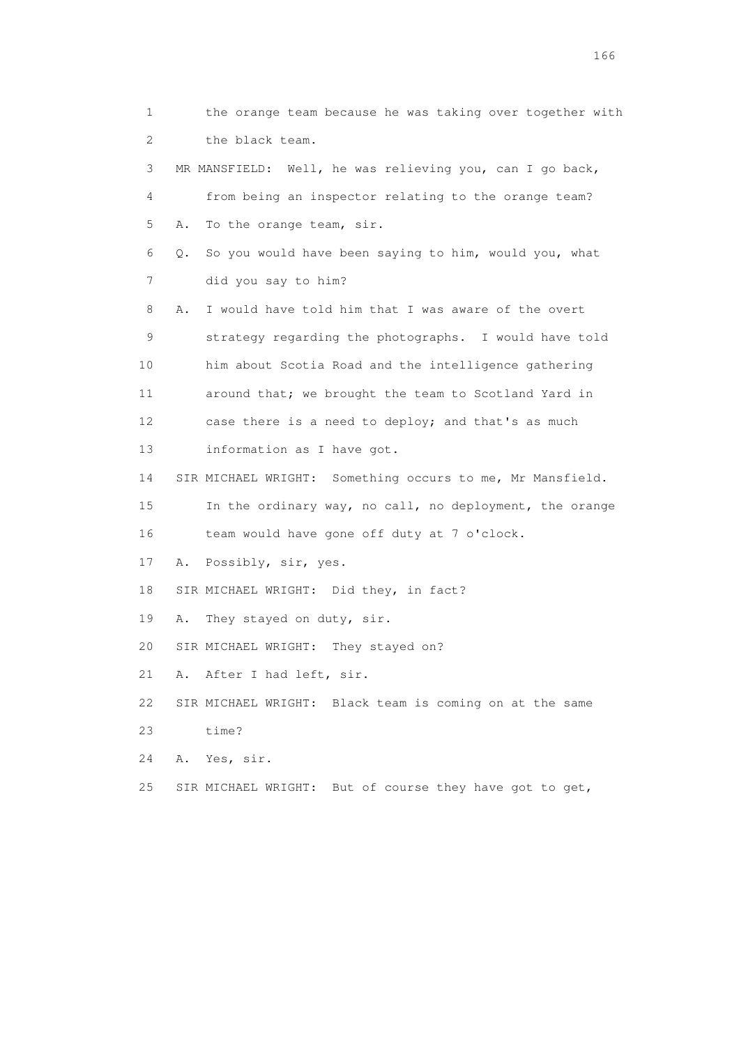1 the orange team because he was taking over together with 2 the black team. 3 MR MANSFIELD: Well, he was relieving you, can I go back, 4 from being an inspector relating to the orange team? 5 A. To the orange team, sir. 6 Q. So you would have been saying to him, would you, what 7 did you say to him? 8 A. I would have told him that I was aware of the overt 9 strategy regarding the photographs. I would have told 10 him about Scotia Road and the intelligence gathering 11 around that; we brought the team to Scotland Yard in 12 case there is a need to deploy; and that's as much 13 information as I have got. 14 SIR MICHAEL WRIGHT: Something occurs to me, Mr Mansfield. 15 In the ordinary way, no call, no deployment, the orange 16 team would have gone off duty at 7 o'clock. 17 A. Possibly, sir, yes. 18 SIR MICHAEL WRIGHT: Did they, in fact? 19 A. They stayed on duty, sir. 20 SIR MICHAEL WRIGHT: They stayed on? 21 A. After I had left, sir. 22 SIR MICHAEL WRIGHT: Black team is coming on at the same 23 time? 24 A. Yes, sir. 25 SIR MICHAEL WRIGHT: But of course they have got to get,

<u>166</u> **166**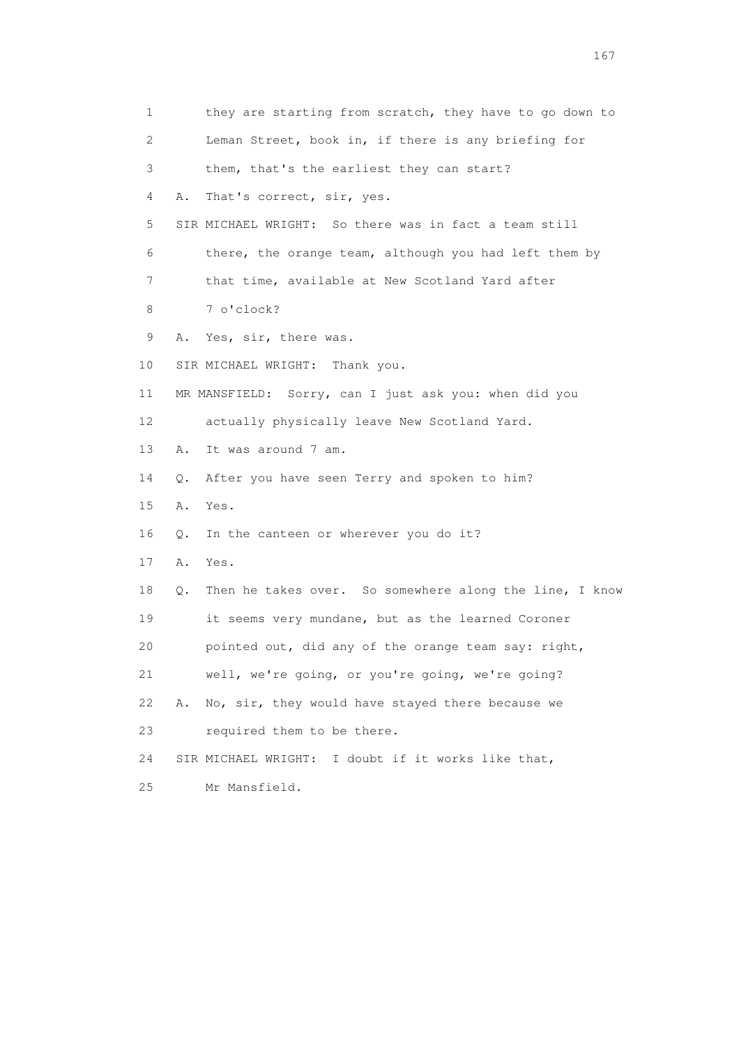| 1  | they are starting from scratch, they have to go down to       |
|----|---------------------------------------------------------------|
| 2  | Leman Street, book in, if there is any briefing for           |
| 3  | them, that's the earliest they can start?                     |
| 4  | That's correct, sir, yes.<br>Α.                               |
| 5  | SIR MICHAEL WRIGHT: So there was in fact a team still         |
| 6  | there, the orange team, although you had left them by         |
| 7  | that time, available at New Scotland Yard after               |
| 8  | 7 o'clock?                                                    |
| 9  | Yes, sir, there was.<br>Α.                                    |
| 10 | SIR MICHAEL WRIGHT: Thank you.                                |
| 11 | MR MANSFIELD: Sorry, can I just ask you: when did you         |
| 12 | actually physically leave New Scotland Yard.                  |
| 13 | It was around 7 am.<br>Α.                                     |
| 14 | After you have seen Terry and spoken to him?<br>Q.            |
| 15 | Α.<br>Yes.                                                    |
| 16 | In the canteen or wherever you do it?<br>Q.                   |
| 17 | Α.<br>Yes.                                                    |
| 18 | Then he takes over. So somewhere along the line, I know<br>Q. |
| 19 | it seems very mundane, but as the learned Coroner             |
| 20 | pointed out, did any of the orange team say: right,           |
| 21 | well, we're going, or you're going, we're going?              |
| 22 | No, sir, they would have stayed there because we<br>Α.        |
| 23 | required them to be there.                                    |
| 24 | SIR MICHAEL WRIGHT:<br>I doubt if it works like that,         |
| 25 | Mr Mansfield.                                                 |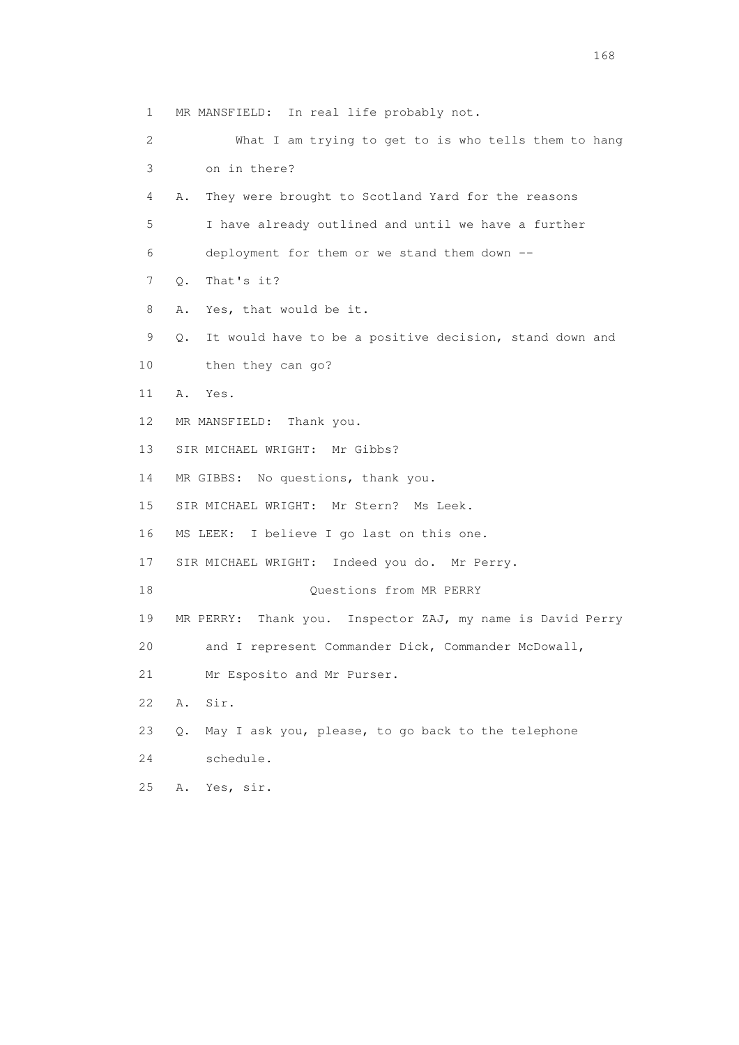1 MR MANSFIELD: In real life probably not. 2 What I am trying to get to is who tells them to hang 3 on in there? 4 A. They were brought to Scotland Yard for the reasons 5 I have already outlined and until we have a further 6 deployment for them or we stand them down -- 7 Q. That's it? 8 A. Yes, that would be it. 9 Q. It would have to be a positive decision, stand down and 10 then they can go? 11 A. Yes. 12 MR MANSFIELD: Thank you. 13 SIR MICHAEL WRIGHT: Mr Gibbs? 14 MR GIBBS: No questions, thank you. 15 SIR MICHAEL WRIGHT: Mr Stern? Ms Leek. 16 MS LEEK: I believe I go last on this one. 17 SIR MICHAEL WRIGHT: Indeed you do. Mr Perry. 18 Ouestions from MR PERRY 19 MR PERRY: Thank you. Inspector ZAJ, my name is David Perry 20 and I represent Commander Dick, Commander McDowall, 21 Mr Esposito and Mr Purser. 22 A. Sir. 23 Q. May I ask you, please, to go back to the telephone 24 schedule. 25 A. Yes, sir.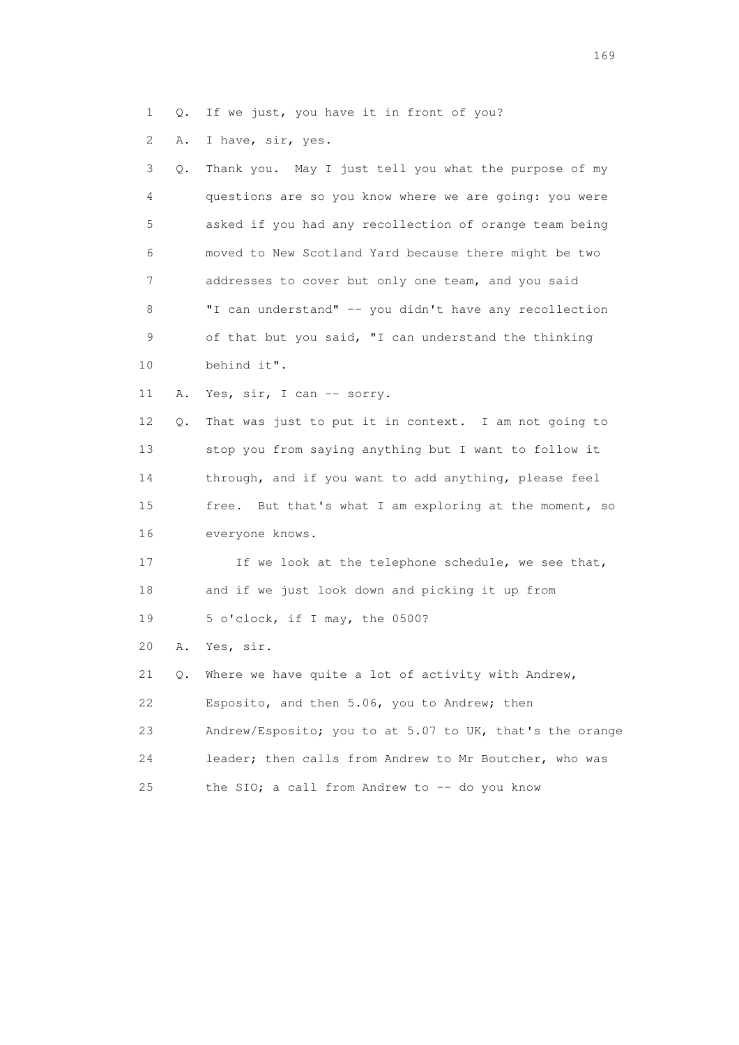- 1 Q. If we just, you have it in front of you?
- 2 A. I have, sir, yes.

| 3  | Q. | Thank you. May I just tell you what the purpose of my     |
|----|----|-----------------------------------------------------------|
| 4  |    | questions are so you know where we are going: you were    |
| 5  |    | asked if you had any recollection of orange team being    |
| 6  |    | moved to New Scotland Yard because there might be two     |
| 7  |    | addresses to cover but only one team, and you said        |
| 8  |    | "I can understand" -- you didn't have any recollection    |
| 9  |    | of that but you said, "I can understand the thinking      |
| 10 |    | behind it".                                               |
| 11 | Α. | Yes, sir, I can -- sorry.                                 |
| 12 | Q. | That was just to put it in context. I am not going to     |
| 13 |    | stop you from saying anything but I want to follow it     |
| 14 |    | through, and if you want to add anything, please feel     |
| 15 |    | But that's what I am exploring at the moment, so<br>free. |
| 16 |    | everyone knows.                                           |
| 17 |    | If we look at the telephone schedule, we see that,        |
| 18 |    | and if we just look down and picking it up from           |
| 19 |    | 5 o'clock, if I may, the 0500?                            |
| 20 | Α. | Yes, sir.                                                 |
| 21 | Q. | Where we have quite a lot of activity with Andrew,        |
| 22 |    | Esposito, and then 5.06, you to Andrew; then              |
| 23 |    | Andrew/Esposito; you to at 5.07 to UK, that's the orange  |
| 24 |    | leader; then calls from Andrew to Mr Boutcher, who was    |
| 25 |    | the SIO; a call from Andrew to -- do you know             |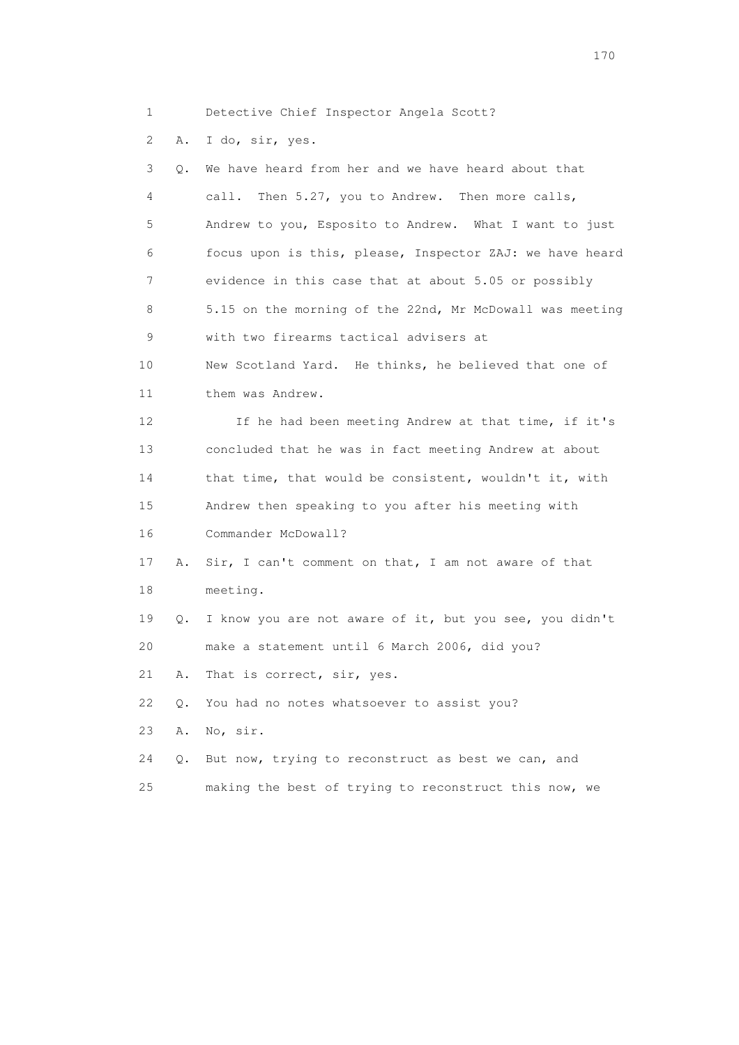1 Detective Chief Inspector Angela Scott?

2 A. I do, sir, yes.

| 3               | Q.        | We have heard from her and we have heard about that      |
|-----------------|-----------|----------------------------------------------------------|
| 4               |           | call.<br>Then 5.27, you to Andrew. Then more calls,      |
| 5               |           | Andrew to you, Esposito to Andrew. What I want to just   |
| 6               |           | focus upon is this, please, Inspector ZAJ: we have heard |
| 7               |           | evidence in this case that at about 5.05 or possibly     |
| 8               |           | 5.15 on the morning of the 22nd, Mr McDowall was meeting |
| 9               |           | with two firearms tactical advisers at                   |
| 10              |           | New Scotland Yard. He thinks, he believed that one of    |
| 11              |           | them was Andrew.                                         |
| 12 <sup>°</sup> |           | If he had been meeting Andrew at that time, if it's      |
| 13              |           | concluded that he was in fact meeting Andrew at about    |
| 14              |           | that time, that would be consistent, wouldn't it, with   |
| 15              |           | Andrew then speaking to you after his meeting with       |
| 16              |           | Commander McDowall?                                      |
| 17              | Α.        | Sir, I can't comment on that, I am not aware of that     |
| 18              |           | meeting.                                                 |
| 19              | Q.        | I know you are not aware of it, but you see, you didn't  |
| 20              |           | make a statement until 6 March 2006, did you?            |
| 21              | Α.        | That is correct, sir, yes.                               |
| 22              | О.        | You had no notes whatsoever to assist you?               |
| 23              | Α.        | No, sir.                                                 |
| 24              | $\circ$ . | But now, trying to reconstruct as best we can, and       |
| 25              |           | making the best of trying to reconstruct this now, we    |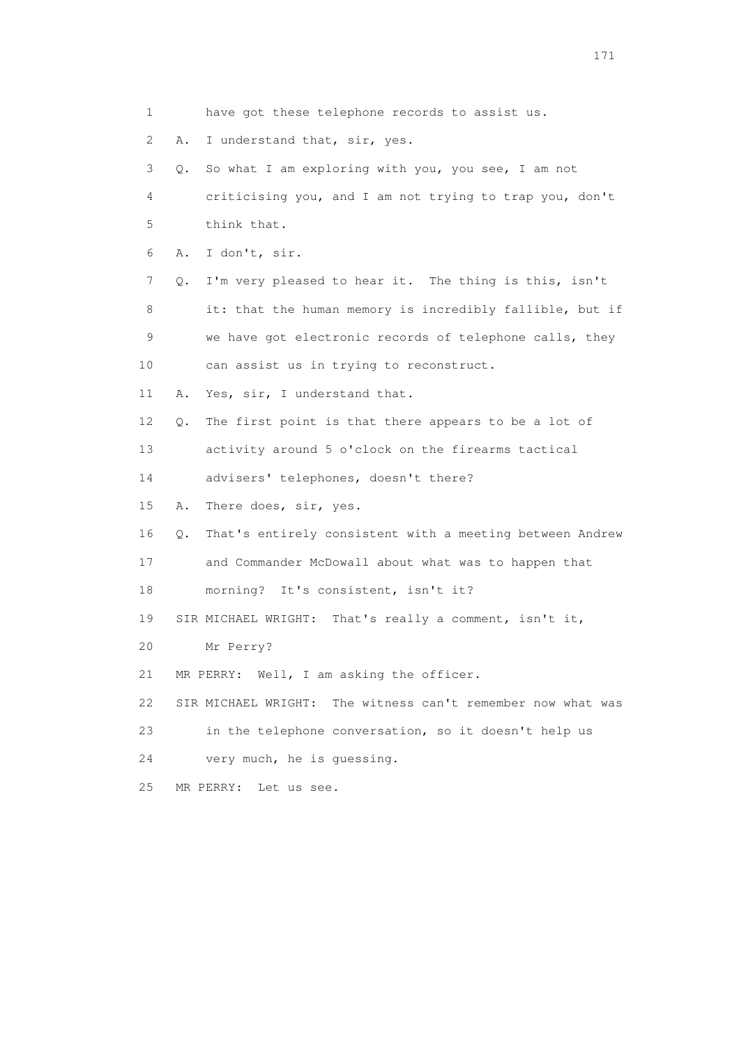1 have got these telephone records to assist us. 2 A. I understand that, sir, yes. 3 Q. So what I am exploring with you, you see, I am not 4 criticising you, and I am not trying to trap you, don't 5 think that. 6 A. I don't, sir. 7 Q. I'm very pleased to hear it. The thing is this, isn't 8 it: that the human memory is incredibly fallible, but if 9 we have got electronic records of telephone calls, they 10 can assist us in trying to reconstruct. 11 A. Yes, sir, I understand that. 12 Q. The first point is that there appears to be a lot of 13 activity around 5 o'clock on the firearms tactical 14 advisers' telephones, doesn't there? 15 A. There does, sir, yes. 16 Q. That's entirely consistent with a meeting between Andrew 17 and Commander McDowall about what was to happen that 18 morning? It's consistent, isn't it? 19 SIR MICHAEL WRIGHT: That's really a comment, isn't it, 20 Mr Perry? 21 MR PERRY: Well, I am asking the officer. 22 SIR MICHAEL WRIGHT: The witness can't remember now what was 23 in the telephone conversation, so it doesn't help us 24 very much, he is guessing. 25 MR PERRY: Let us see.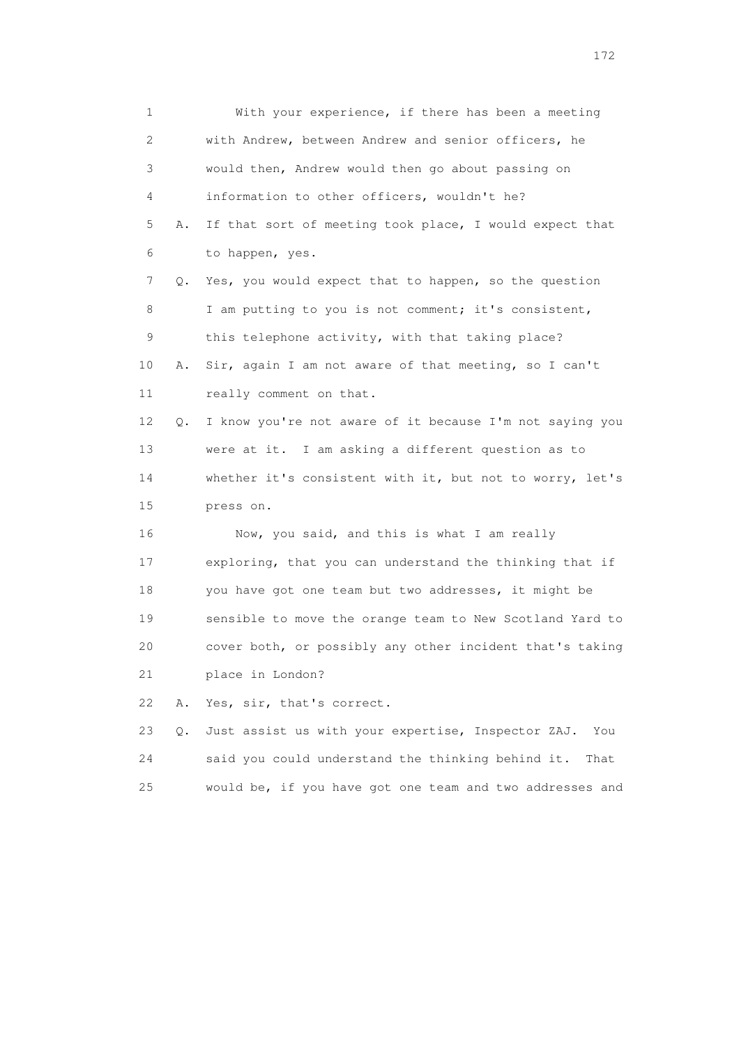1 With your experience, if there has been a meeting 2 with Andrew, between Andrew and senior officers, he 3 would then, Andrew would then go about passing on 4 information to other officers, wouldn't he? 5 A. If that sort of meeting took place, I would expect that 6 to happen, yes. 7 Q. Yes, you would expect that to happen, so the question 8 I am putting to you is not comment; it's consistent, 9 this telephone activity, with that taking place? 10 A. Sir, again I am not aware of that meeting, so I can't 11 really comment on that. 12 Q. I know you're not aware of it because I'm not saying you 13 were at it. I am asking a different question as to 14 whether it's consistent with it, but not to worry, let's 15 press on. 16 Now, you said, and this is what I am really 17 exploring, that you can understand the thinking that if 18 you have got one team but two addresses, it might be 19 sensible to move the orange team to New Scotland Yard to 20 cover both, or possibly any other incident that's taking 21 place in London? 22 A. Yes, sir, that's correct. 23 Q. Just assist us with your expertise, Inspector ZAJ. You 24 said you could understand the thinking behind it. That

25 would be, if you have got one team and two addresses and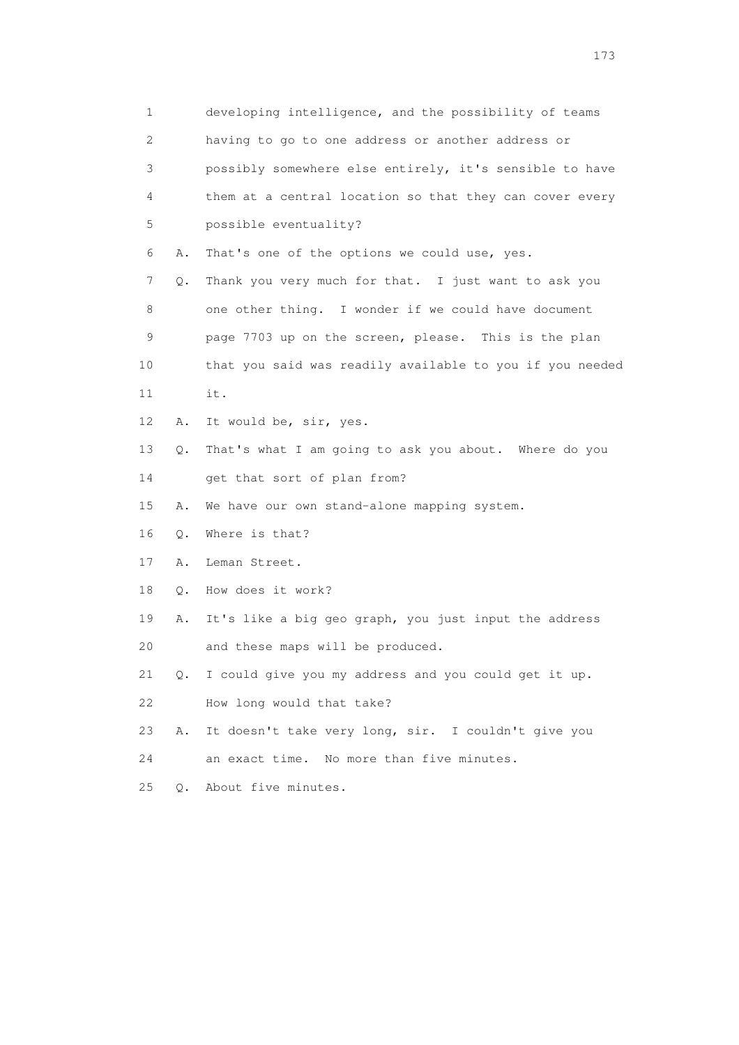1 developing intelligence, and the possibility of teams 2 having to go to one address or another address or 3 possibly somewhere else entirely, it's sensible to have 4 them at a central location so that they can cover every 5 possible eventuality? 6 A. That's one of the options we could use, yes. 7 Q. Thank you very much for that. I just want to ask you 8 one other thing. I wonder if we could have document 9 page 7703 up on the screen, please. This is the plan 10 that you said was readily available to you if you needed 11 it. 12 A. It would be, sir, yes. 13 Q. That's what I am going to ask you about. Where do you 14 get that sort of plan from? 15 A. We have our own stand-alone mapping system. 16 Q. Where is that? 17 A. Leman Street. 18 Q. How does it work? 19 A. It's like a big geo graph, you just input the address 20 and these maps will be produced. 21 Q. I could give you my address and you could get it up. 22 How long would that take? 23 A. It doesn't take very long, sir. I couldn't give you 24 an exact time. No more than five minutes. 25 Q. About five minutes.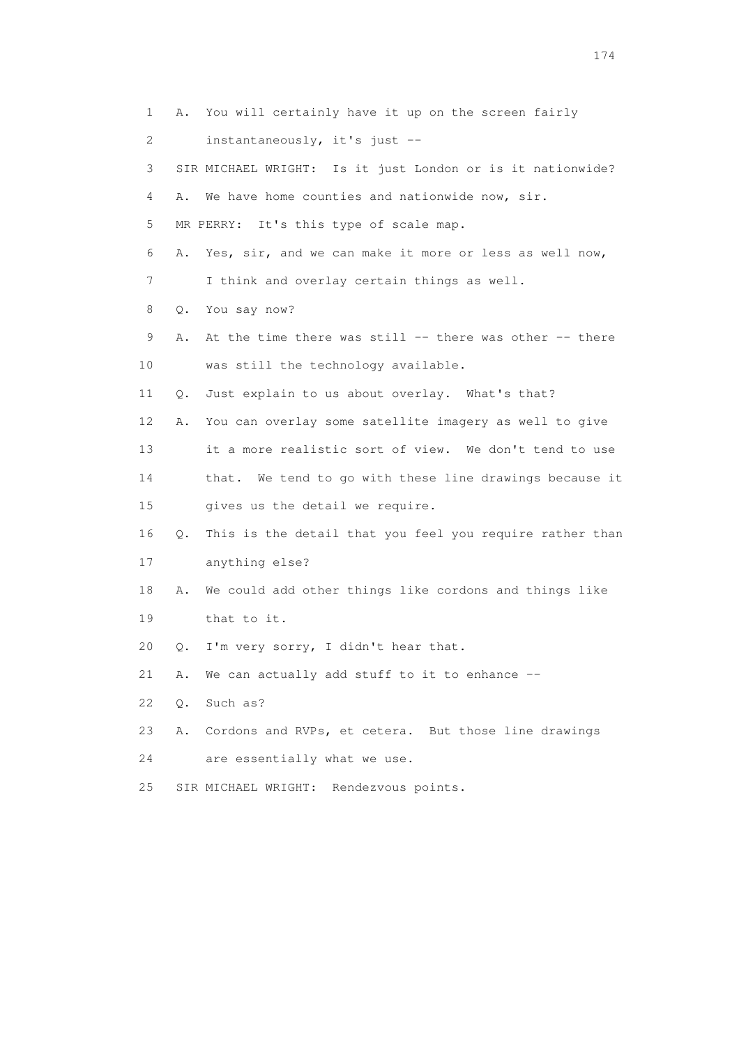1 A. You will certainly have it up on the screen fairly 2 instantaneously, it's just -- 3 SIR MICHAEL WRIGHT: Is it just London or is it nationwide? 4 A. We have home counties and nationwide now, sir. 5 MR PERRY: It's this type of scale map. 6 A. Yes, sir, and we can make it more or less as well now, 7 I think and overlay certain things as well. 8 Q. You say now? 9 A. At the time there was still -- there was other -- there 10 was still the technology available. 11 Q. Just explain to us about overlay. What's that? 12 A. You can overlay some satellite imagery as well to give 13 it a more realistic sort of view. We don't tend to use 14 that. We tend to go with these line drawings because it 15 gives us the detail we require. 16 Q. This is the detail that you feel you require rather than 17 anything else? 18 A. We could add other things like cordons and things like 19 that to it. 20 Q. I'm very sorry, I didn't hear that. 21 A. We can actually add stuff to it to enhance -- 22 Q. Such as? 23 A. Cordons and RVPs, et cetera. But those line drawings 24 are essentially what we use. 25 SIR MICHAEL WRIGHT: Rendezvous points.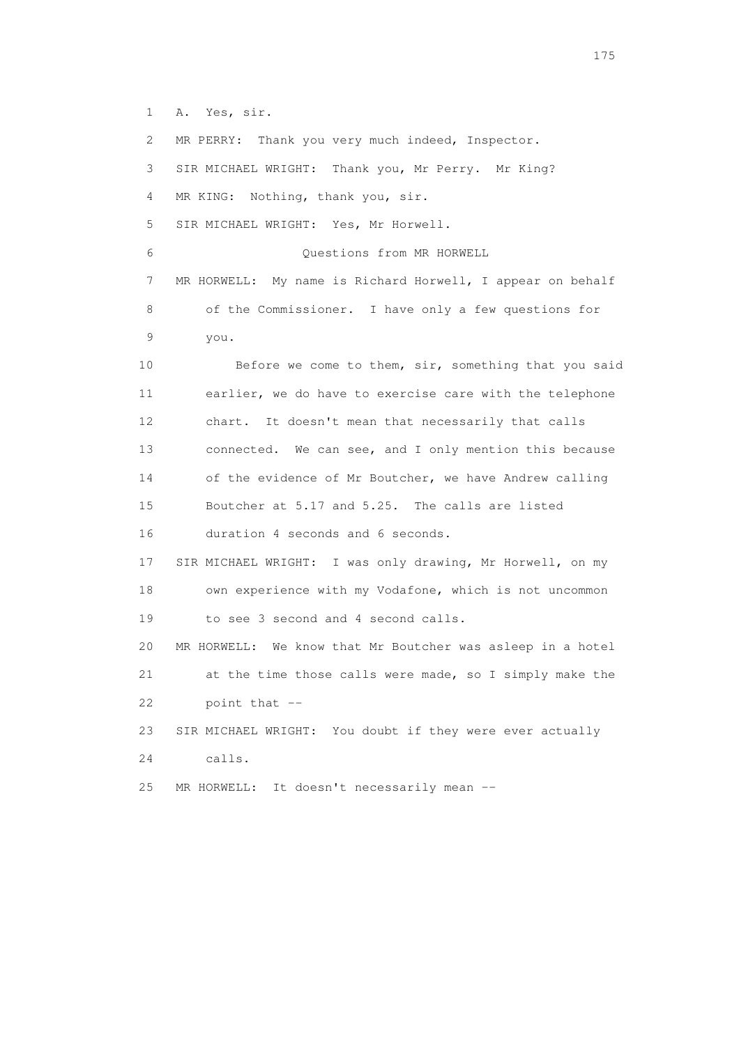1 A. Yes, sir.

 2 MR PERRY: Thank you very much indeed, Inspector. 3 SIR MICHAEL WRIGHT: Thank you, Mr Perry. Mr King? 4 MR KING: Nothing, thank you, sir. 5 SIR MICHAEL WRIGHT: Yes, Mr Horwell. 6 Questions from MR HORWELL 7 MR HORWELL: My name is Richard Horwell, I appear on behalf 8 of the Commissioner. I have only a few questions for 9 you. 10 Before we come to them, sir, something that you said 11 earlier, we do have to exercise care with the telephone 12 chart. It doesn't mean that necessarily that calls 13 connected. We can see, and I only mention this because 14 of the evidence of Mr Boutcher, we have Andrew calling 15 Boutcher at 5.17 and 5.25. The calls are listed 16 duration 4 seconds and 6 seconds. 17 SIR MICHAEL WRIGHT: I was only drawing, Mr Horwell, on my 18 own experience with my Vodafone, which is not uncommon 19 to see 3 second and 4 second calls. 20 MR HORWELL: We know that Mr Boutcher was asleep in a hotel 21 at the time those calls were made, so I simply make the 22 point that -- 23 SIR MICHAEL WRIGHT: You doubt if they were ever actually 24 calls. 25 MR HORWELL: It doesn't necessarily mean --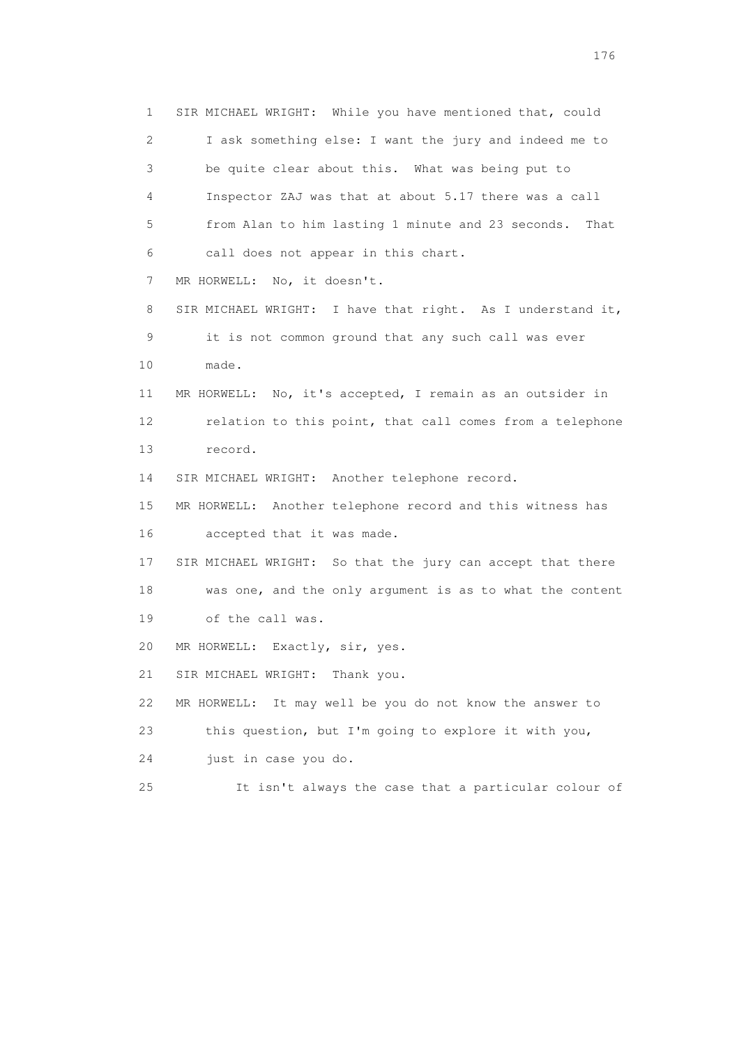1 SIR MICHAEL WRIGHT: While you have mentioned that, could 2 I ask something else: I want the jury and indeed me to 3 be quite clear about this. What was being put to 4 Inspector ZAJ was that at about 5.17 there was a call 5 from Alan to him lasting 1 minute and 23 seconds. That 6 call does not appear in this chart. 7 MR HORWELL: No, it doesn't. 8 SIR MICHAEL WRIGHT: I have that right. As I understand it, 9 it is not common ground that any such call was ever 10 made. 11 MR HORWELL: No, it's accepted, I remain as an outsider in 12 relation to this point, that call comes from a telephone 13 record. 14 SIR MICHAEL WRIGHT: Another telephone record. 15 MR HORWELL: Another telephone record and this witness has 16 accepted that it was made. 17 SIR MICHAEL WRIGHT: So that the jury can accept that there 18 was one, and the only argument is as to what the content 19 of the call was. 20 MR HORWELL: Exactly, sir, yes. 21 SIR MICHAEL WRIGHT: Thank you. 22 MR HORWELL: It may well be you do not know the answer to 23 this question, but I'm going to explore it with you, 24 just in case you do. 25 It isn't always the case that a particular colour of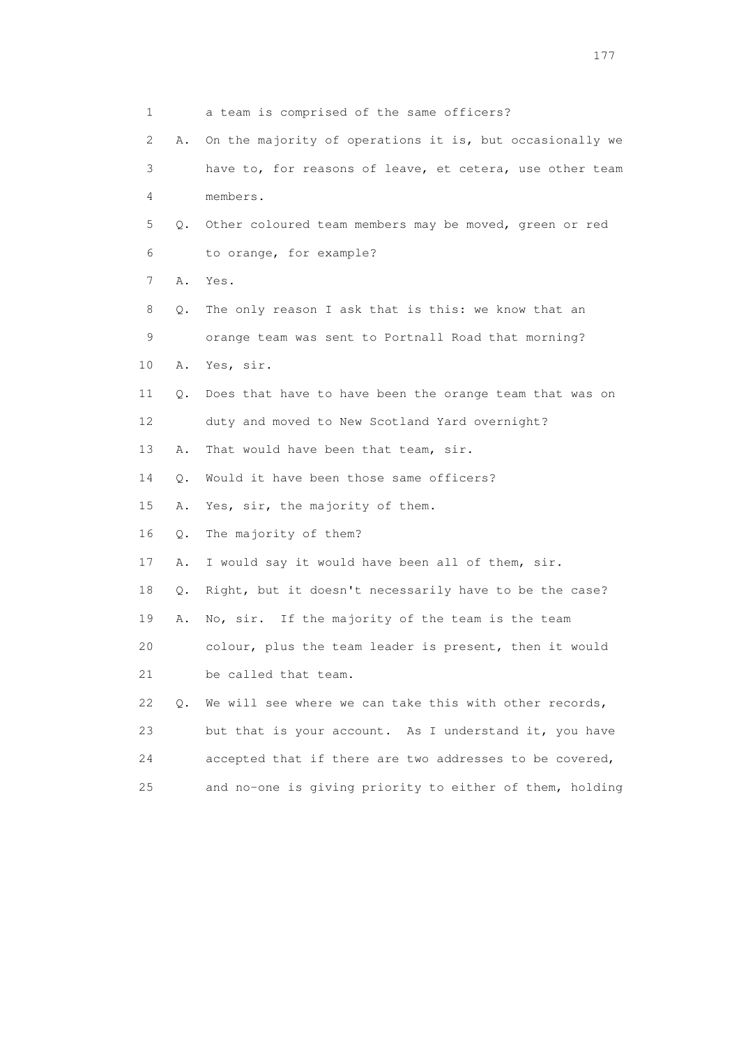| 1                         |       | a team is comprised of the same officers?                |
|---------------------------|-------|----------------------------------------------------------|
| $\mathbf{2}^{\mathsf{I}}$ | Α.    | On the majority of operations it is, but occasionally we |
| 3                         |       | have to, for reasons of leave, et cetera, use other team |
| 4                         |       | members.                                                 |
| 5                         | О.    | Other coloured team members may be moved, green or red   |
| 6                         |       | to orange, for example?                                  |
| 7                         | Α.    | Yes.                                                     |
| 8                         | Q.    | The only reason I ask that is this: we know that an      |
| 9                         |       | orange team was sent to Portnall Road that morning?      |
| 10                        | Α.    | Yes, sir.                                                |
| 11                        | Q.    | Does that have to have been the orange team that was on  |
| 12                        |       | duty and moved to New Scotland Yard overnight?           |
| 13                        | Α.    | That would have been that team, sir.                     |
| 14                        | О.    | Would it have been those same officers?                  |
| 15                        | Α.    | Yes, sir, the majority of them.                          |
| 16                        | $Q$ . | The majority of them?                                    |
| 17                        | Α.    | I would say it would have been all of them, sir.         |
| 18                        | Q.    | Right, but it doesn't necessarily have to be the case?   |
| 19                        | Α.    | No, sir. If the majority of the team is the team         |
| 20                        |       | colour, plus the team leader is present, then it would   |
| 21                        |       | be called that team.                                     |
| 22                        | Q.    | We will see where we can take this with other records,   |
| 23                        |       | but that is your account. As I understand it, you have   |
| 24                        |       | accepted that if there are two addresses to be covered,  |
| 25                        |       | and no-one is giving priority to either of them, holding |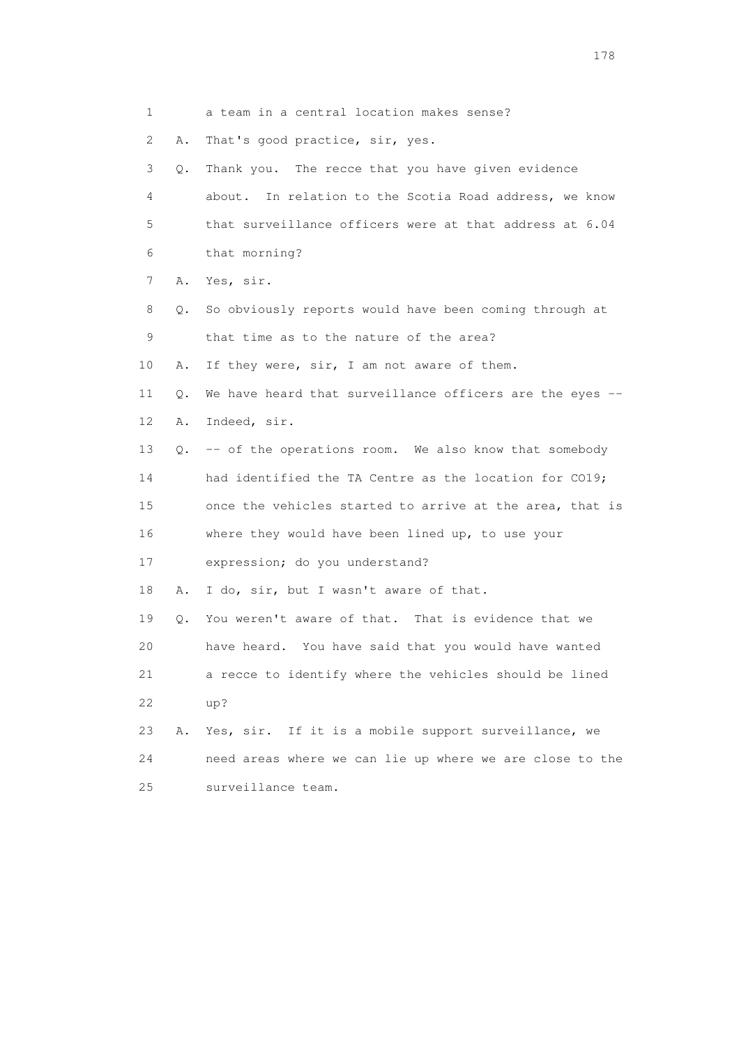|    | 1         | a team in a central location makes sense?                 |
|----|-----------|-----------------------------------------------------------|
|    | 2<br>Α.   | That's good practice, sir, yes.                           |
|    | 3<br>Q.   | Thank you. The recce that you have given evidence         |
|    | 4         | In relation to the Scotia Road address, we know<br>about. |
|    | 5         | that surveillance officers were at that address at 6.04   |
|    | 6         | that morning?                                             |
|    | 7<br>Α.   | Yes, sir.                                                 |
|    | 8<br>Q.   | So obviously reports would have been coming through at    |
|    | 9         | that time as to the nature of the area?                   |
| 10 | Α.        | If they were, sir, I am not aware of them.                |
| 11 | Q.        | We have heard that surveillance officers are the eyes -   |
| 12 | Α.        | Indeed, sir.                                              |
| 13 |           | Q. -- of the operations room. We also know that somebody  |
| 14 |           | had identified the TA Centre as the location for CO19;    |
| 15 |           | once the vehicles started to arrive at the area, that is  |
| 16 |           | where they would have been lined up, to use your          |
| 17 |           | expression; do you understand?                            |
| 18 | Α.        | I do, sir, but I wasn't aware of that.                    |
| 19 | $\circ$ . | You weren't aware of that. That is evidence that we       |
| 20 |           | have heard. You have said that you would have wanted      |
| 21 |           | a recce to identify where the vehicles should be lined    |
| 22 |           | up?                                                       |
| 23 | Α.        | Yes, sir. If it is a mobile support surveillance, we      |
| 24 |           | need areas where we can lie up where we are close to the  |
| 25 |           | surveillance team.                                        |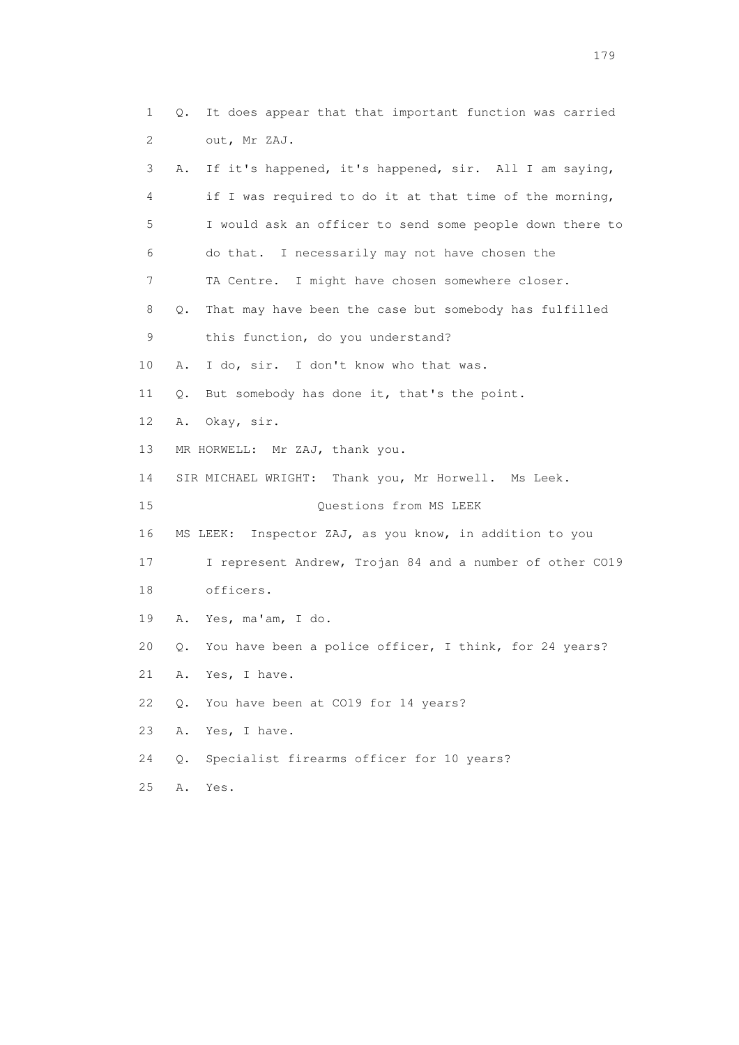1 Q. It does appear that that important function was carried 2 out, Mr ZAJ. 3 A. If it's happened, it's happened, sir. All I am saying, 4 if I was required to do it at that time of the morning, 5 I would ask an officer to send some people down there to 6 do that. I necessarily may not have chosen the 7 TA Centre. I might have chosen somewhere closer. 8 Q. That may have been the case but somebody has fulfilled 9 this function, do you understand? 10 A. I do, sir. I don't know who that was. 11 Q. But somebody has done it, that's the point. 12 A. Okay, sir. 13 MR HORWELL: Mr ZAJ, thank you. 14 SIR MICHAEL WRIGHT: Thank you, Mr Horwell. Ms Leek. 15 Questions from MS LEEK 16 MS LEEK: Inspector ZAJ, as you know, in addition to you 17 I represent Andrew, Trojan 84 and a number of other CO19 18 officers. 19 A. Yes, ma'am, I do. 20 Q. You have been a police officer, I think, for 24 years? 21 A. Yes, I have. 22 Q. You have been at CO19 for 14 years? 23 A. Yes, I have. 24 Q. Specialist firearms officer for 10 years?

25 A. Yes.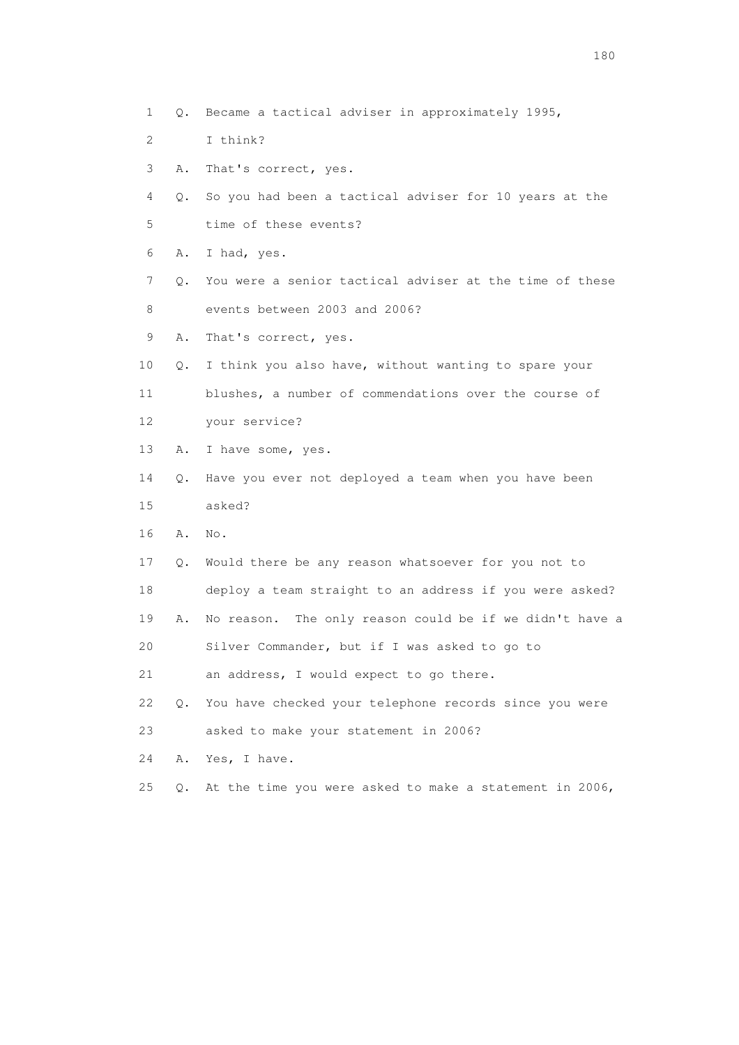- 1 Q. Became a tactical adviser in approximately 1995,
- 2 I think?
- 3 A. That's correct, yes.
- 4 Q. So you had been a tactical adviser for 10 years at the 5 time of these events?
- 6 A. I had, yes.
- 7 Q. You were a senior tactical adviser at the time of these 8 events between 2003 and 2006?
- 9 A. That's correct, yes.
- 10 Q. I think you also have, without wanting to spare your
- 11 blushes, a number of commendations over the course of 12 your service?
- 13 A. I have some, yes.
- 14 Q. Have you ever not deployed a team when you have been 15 asked?
- 16 A. No.
- 17 Q. Would there be any reason whatsoever for you not to
- 18 deploy a team straight to an address if you were asked?
- 19 A. No reason. The only reason could be if we didn't have a
- 20 Silver Commander, but if I was asked to go to
- 21 an address, I would expect to go there.
- 22 Q. You have checked your telephone records since you were
- 23 asked to make your statement in 2006?
- 24 A. Yes, I have.
- 25 Q. At the time you were asked to make a statement in 2006,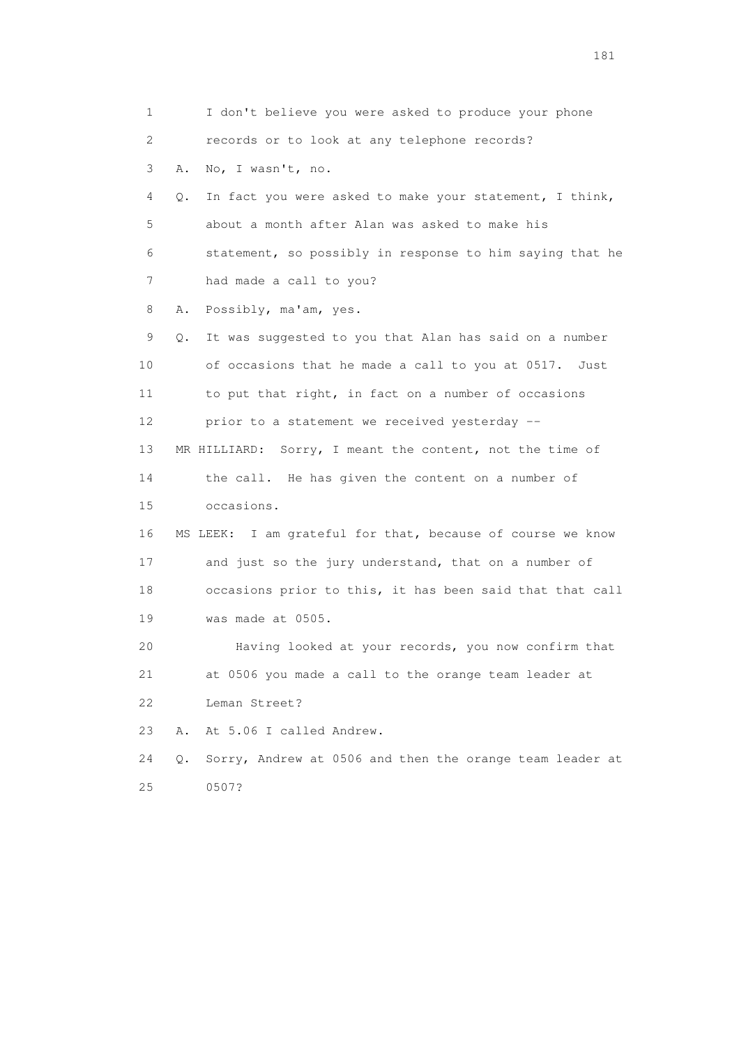1 I don't believe you were asked to produce your phone 2 records or to look at any telephone records? 3 A. No, I wasn't, no. 4 Q. In fact you were asked to make your statement, I think, 5 about a month after Alan was asked to make his 6 statement, so possibly in response to him saying that he 7 had made a call to you? 8 A. Possibly, ma'am, yes. 9 Q. It was suggested to you that Alan has said on a number 10 of occasions that he made a call to you at 0517. Just 11 to put that right, in fact on a number of occasions 12 prior to a statement we received yesterday -- 13 MR HILLIARD: Sorry, I meant the content, not the time of 14 the call. He has given the content on a number of 15 occasions. 16 MS LEEK: I am grateful for that, because of course we know 17 and just so the jury understand, that on a number of 18 occasions prior to this, it has been said that that call 19 was made at 0505. 20 Having looked at your records, you now confirm that 21 at 0506 you made a call to the orange team leader at 22 Leman Street? 23 A. At 5.06 I called Andrew. 24 Q. Sorry, Andrew at 0506 and then the orange team leader at 25 0507?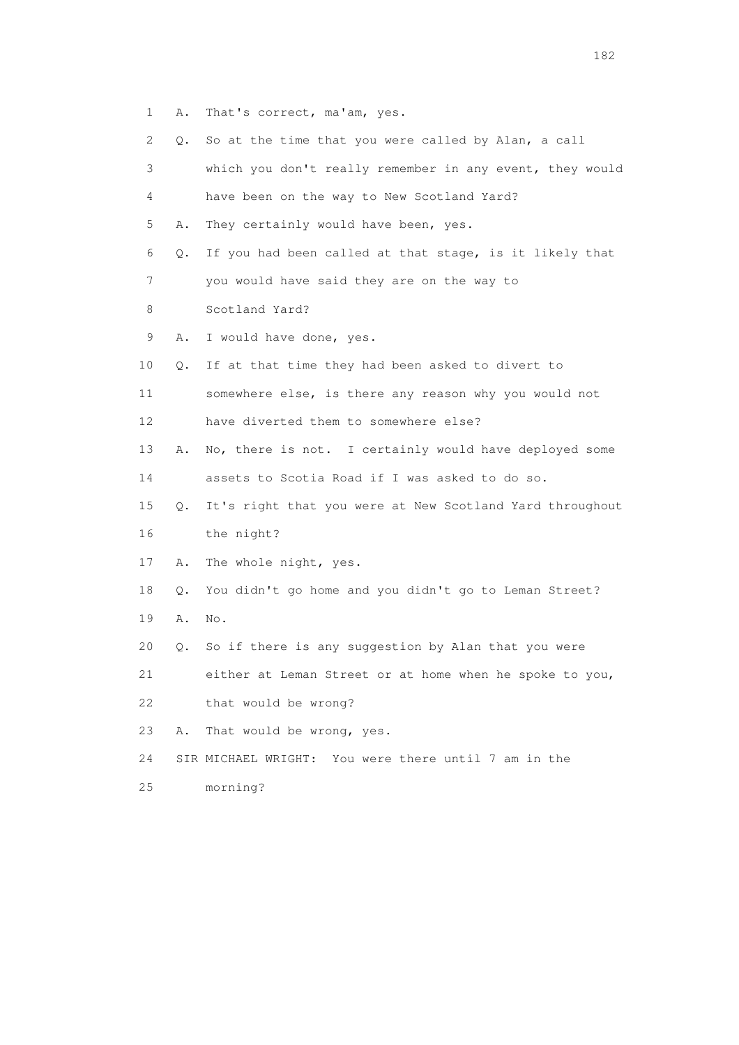- 1 A. That's correct, ma'am, yes.
- 2 Q. So at the time that you were called by Alan, a call

| 3  |    | which you don't really remember in any event, they would |
|----|----|----------------------------------------------------------|
| 4  |    | have been on the way to New Scotland Yard?               |
| 5  | Α. | They certainly would have been, yes.                     |
| 6  | Q. | If you had been called at that stage, is it likely that  |
| 7  |    | you would have said they are on the way to               |
| 8  |    | Scotland Yard?                                           |
| 9  | Α. | I would have done, yes.                                  |
| 10 | Q. | If at that time they had been asked to divert to         |
| 11 |    | somewhere else, is there any reason why you would not    |
| 12 |    | have diverted them to somewhere else?                    |
| 13 | Α. | No, there is not. I certainly would have deployed some   |
| 14 |    | assets to Scotia Road if I was asked to do so.           |
| 15 | Q. | It's right that you were at New Scotland Yard throughout |
| 16 |    | the night?                                               |
| 17 | Α. | The whole night, yes.                                    |
| 18 | Q. | You didn't go home and you didn't go to Leman Street?    |
| 19 | Α. | No.                                                      |
| 20 | Q. | So if there is any suggestion by Alan that you were      |
| 21 |    | either at Leman Street or at home when he spoke to you,  |
| 22 |    | that would be wrong?                                     |
| 23 | Α. | That would be wrong, yes.                                |
| 24 |    | SIR MICHAEL WRIGHT: You were there until 7 am in the     |
| 25 |    | morning?                                                 |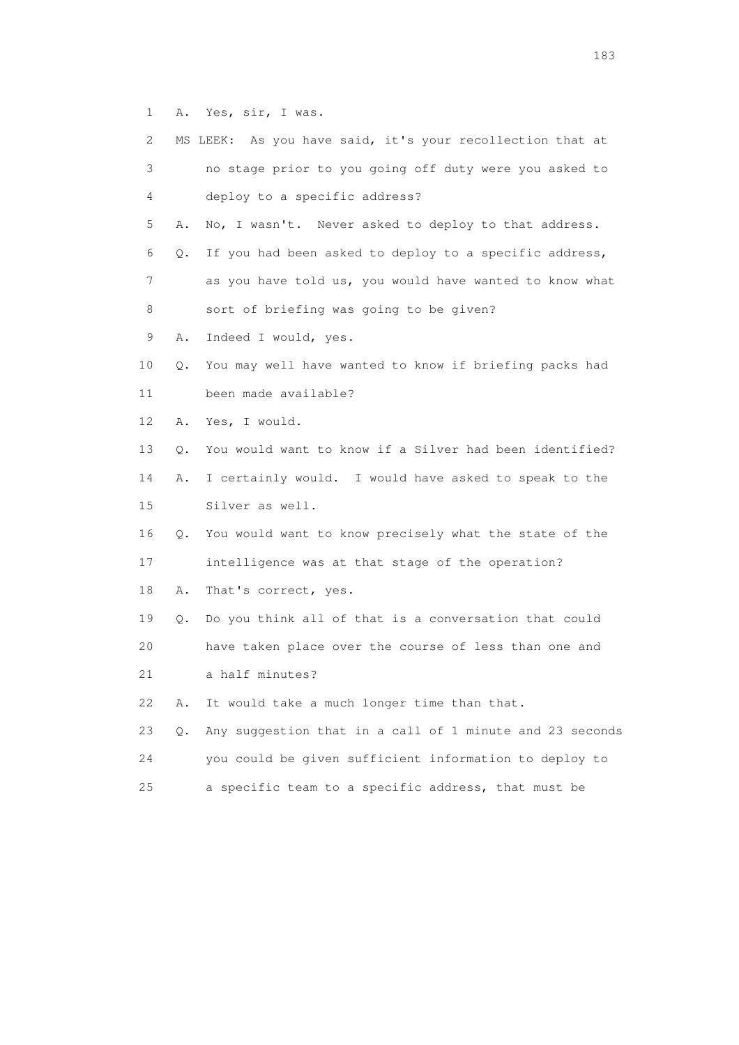1 A. Yes, sir, I was.

| 2. |    | MS LEEK: As you have said, it's your recollection that at |
|----|----|-----------------------------------------------------------|
| 3  |    | no stage prior to you going off duty were you asked to    |
| 4  |    | deploy to a specific address?                             |
| 5  | Α. | No, I wasn't. Never asked to deploy to that address.      |
| 6  | Q. | If you had been asked to deploy to a specific address,    |
| 7  |    | as you have told us, you would have wanted to know what   |
| 8  |    | sort of briefing was going to be given?                   |
| 9  | Α. | Indeed I would, yes.                                      |
| 10 | Q. | You may well have wanted to know if briefing packs had    |
| 11 |    | been made available?                                      |
| 12 | Α. | Yes, I would.                                             |
| 13 | Q. | You would want to know if a Silver had been identified?   |
| 14 | Α. | I certainly would. I would have asked to speak to the     |
| 15 |    | Silver as well.                                           |
| 16 | Q. | You would want to know precisely what the state of the    |
| 17 |    | intelligence was at that stage of the operation?          |
| 18 | Α. | That's correct, yes.                                      |
| 19 | Q. | Do you think all of that is a conversation that could     |
| 20 |    | have taken place over the course of less than one and     |
| 21 |    | a half minutes?                                           |
| 22 | Α. | It would take a much longer time than that.               |
| 23 | Q. | Any suggestion that in a call of 1 minute and 23 seconds  |
| 24 |    | you could be given sufficient information to deploy to    |
| 25 |    | a specific team to a specific address, that must be       |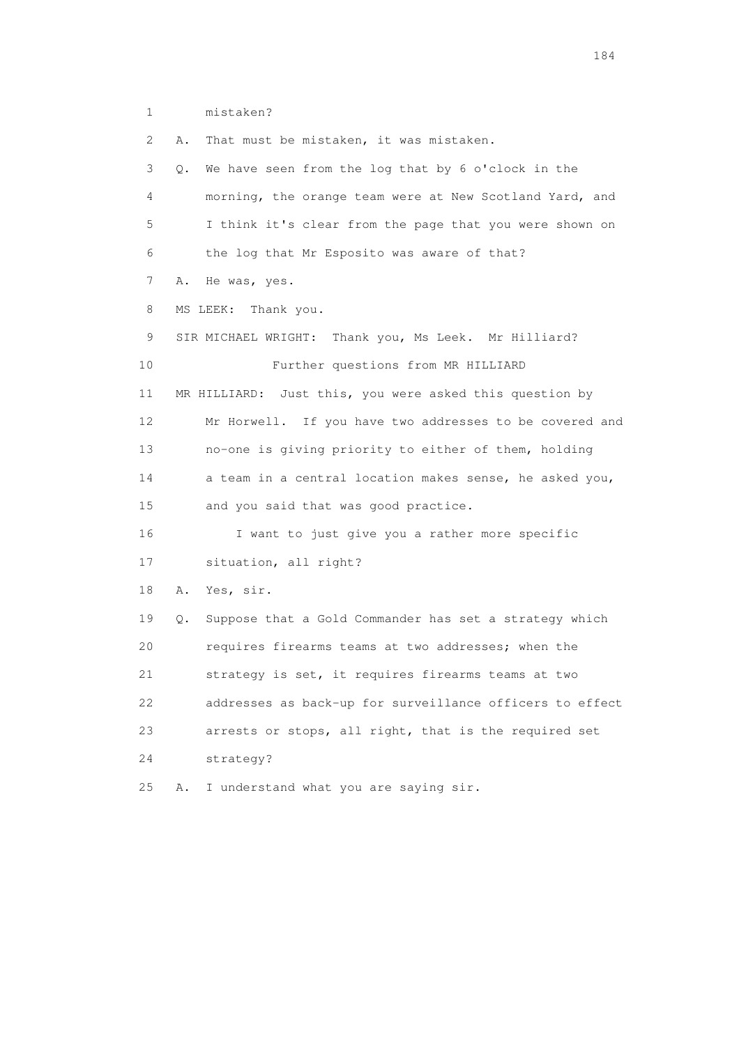1 mistaken?

 2 A. That must be mistaken, it was mistaken. 3 Q. We have seen from the log that by 6 o'clock in the 4 morning, the orange team were at New Scotland Yard, and 5 I think it's clear from the page that you were shown on 6 the log that Mr Esposito was aware of that? 7 A. He was, yes. 8 MS LEEK: Thank you. 9 SIR MICHAEL WRIGHT: Thank you, Ms Leek. Mr Hilliard? 10 Further questions from MR HILLIARD 11 MR HILLIARD: Just this, you were asked this question by 12 Mr Horwell. If you have two addresses to be covered and 13 no-one is giving priority to either of them, holding 14 a team in a central location makes sense, he asked you, 15 and you said that was good practice. 16 I want to just give you a rather more specific 17 situation, all right? 18 A. Yes, sir. 19 Q. Suppose that a Gold Commander has set a strategy which 20 requires firearms teams at two addresses; when the 21 strategy is set, it requires firearms teams at two 22 addresses as back-up for surveillance officers to effect 23 arrests or stops, all right, that is the required set 24 strategy? 25 A. I understand what you are saying sir.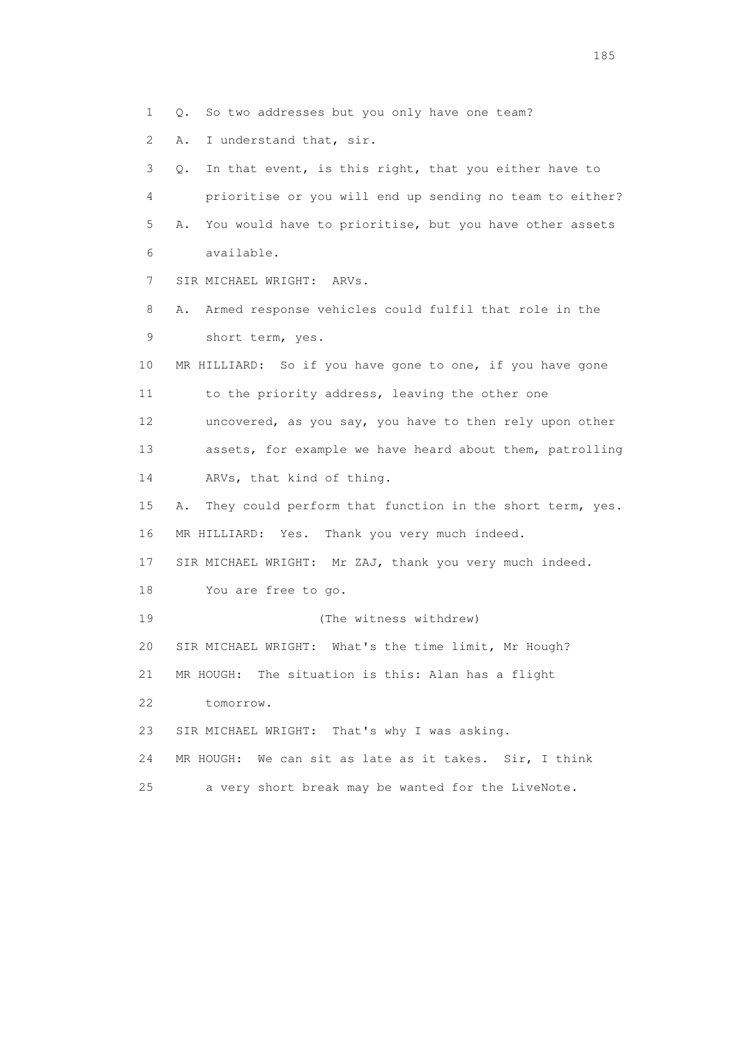1 Q. So two addresses but you only have one team?

2 A. I understand that, sir.

 3 Q. In that event, is this right, that you either have to 4 prioritise or you will end up sending no team to either? 5 A. You would have to prioritise, but you have other assets 6 available. 7 SIR MICHAEL WRIGHT: ARVs. 8 A. Armed response vehicles could fulfil that role in the 9 short term, yes. 10 MR HILLIARD: So if you have gone to one, if you have gone 11 to the priority address, leaving the other one 12 uncovered, as you say, you have to then rely upon other 13 assets, for example we have heard about them, patrolling 14 ARVs, that kind of thing. 15 A. They could perform that function in the short term, yes. 16 MR HILLIARD: Yes. Thank you very much indeed. 17 SIR MICHAEL WRIGHT: Mr ZAJ, thank you very much indeed. 18 You are free to go. 19 (The witness withdrew) 20 SIR MICHAEL WRIGHT: What's the time limit, Mr Hough? 21 MR HOUGH: The situation is this: Alan has a flight 22 tomorrow. 23 SIR MICHAEL WRIGHT: That's why I was asking. 24 MR HOUGH: We can sit as late as it takes. Sir, I think 25 a very short break may be wanted for the LiveNote.

<u>185</u>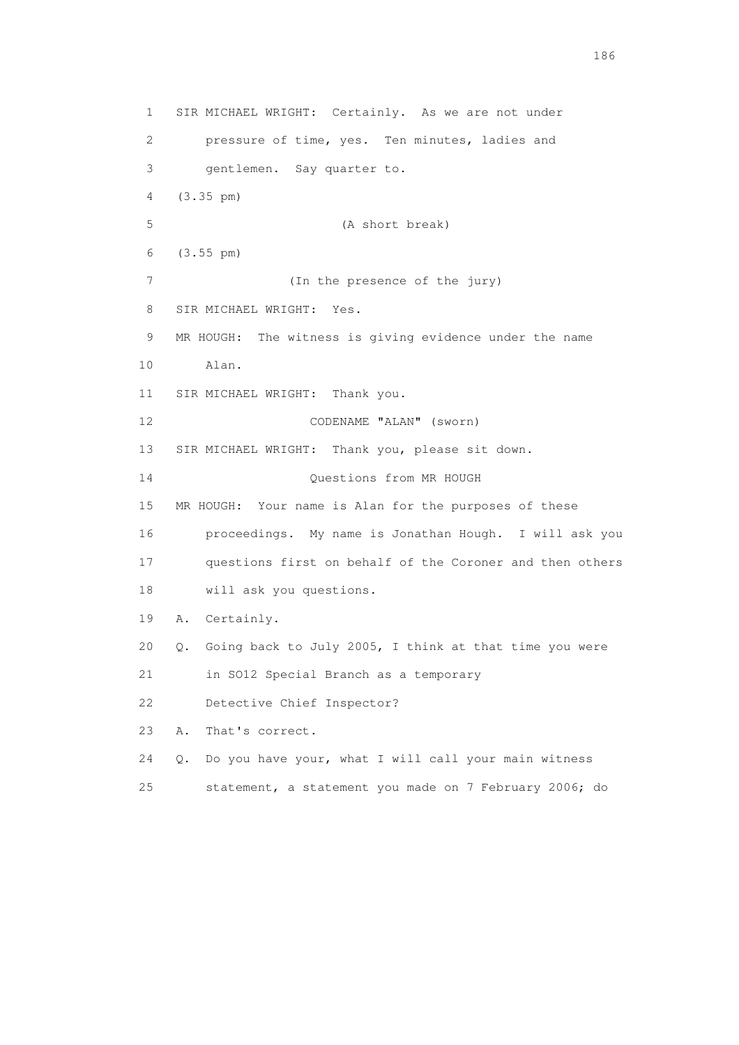1 SIR MICHAEL WRIGHT: Certainly. As we are not under 2 pressure of time, yes. Ten minutes, ladies and 3 gentlemen. Say quarter to. 4 (3.35 pm) 5 (A short break) 6 (3.55 pm) 7 (In the presence of the jury) 8 SIR MICHAEL WRIGHT: Yes. 9 MR HOUGH: The witness is giving evidence under the name 10 Alan. 11 SIR MICHAEL WRIGHT: Thank you. 12 CODENAME "ALAN" (sworn) 13 SIR MICHAEL WRIGHT: Thank you, please sit down. 14 Questions from MR HOUGH 15 MR HOUGH: Your name is Alan for the purposes of these 16 proceedings. My name is Jonathan Hough. I will ask you 17 questions first on behalf of the Coroner and then others 18 will ask you questions. 19 A. Certainly. 20 Q. Going back to July 2005, I think at that time you were 21 in SO12 Special Branch as a temporary 22 Detective Chief Inspector? 23 A. That's correct. 24 Q. Do you have your, what I will call your main witness 25 statement, a statement you made on 7 February 2006; do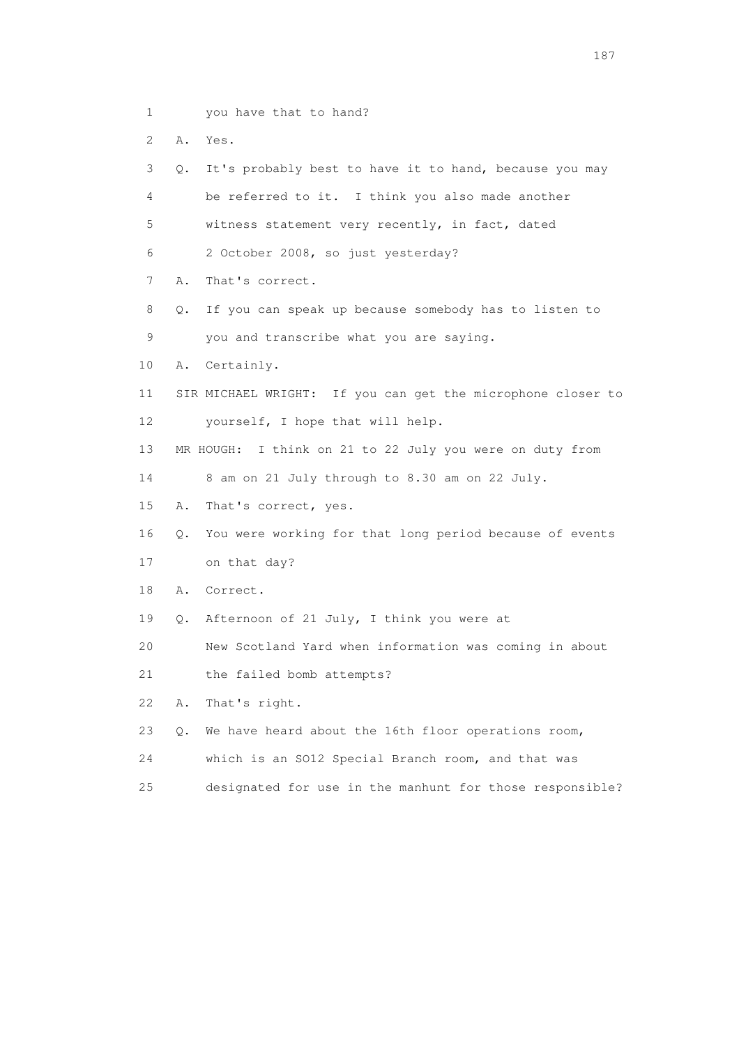- 1 you have that to hand?
- 2 A. Yes.

 3 Q. It's probably best to have it to hand, because you may 4 be referred to it. I think you also made another 5 witness statement very recently, in fact, dated 6 2 October 2008, so just yesterday? 7 A. That's correct. 8 Q. If you can speak up because somebody has to listen to 9 you and transcribe what you are saying. 10 A. Certainly. 11 SIR MICHAEL WRIGHT: If you can get the microphone closer to 12 yourself, I hope that will help. 13 MR HOUGH: I think on 21 to 22 July you were on duty from 14 8 am on 21 July through to 8.30 am on 22 July. 15 A. That's correct, yes. 16 Q. You were working for that long period because of events 17 on that day? 18 A. Correct. 19 Q. Afternoon of 21 July, I think you were at 20 New Scotland Yard when information was coming in about 21 the failed bomb attempts? 22 A. That's right. 23 Q. We have heard about the 16th floor operations room, 24 which is an SO12 Special Branch room, and that was

25 designated for use in the manhunt for those responsible?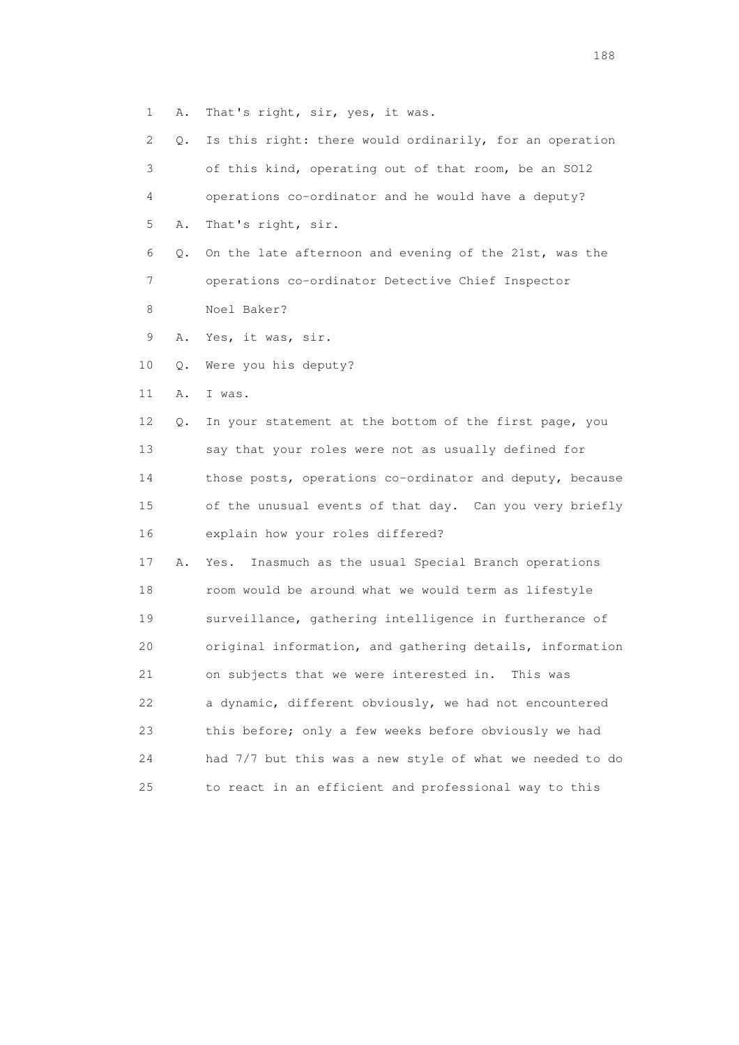1 A. That's right, sir, yes, it was.

 2 Q. Is this right: there would ordinarily, for an operation 3 of this kind, operating out of that room, be an SO12 4 operations co-ordinator and he would have a deputy? 5 A. That's right, sir. 6 Q. On the late afternoon and evening of the 21st, was the 7 operations co-ordinator Detective Chief Inspector 8 Noel Baker? 9 A. Yes, it was, sir. 10 Q. Were you his deputy? 11 A. I was. 12 Q. In your statement at the bottom of the first page, you 13 say that your roles were not as usually defined for 14 those posts, operations co-ordinator and deputy, because 15 of the unusual events of that day. Can you very briefly 16 explain how your roles differed? 17 A. Yes. Inasmuch as the usual Special Branch operations 18 room would be around what we would term as lifestyle 19 surveillance, gathering intelligence in furtherance of 20 original information, and gathering details, information 21 on subjects that we were interested in. This was 22 a dynamic, different obviously, we had not encountered 23 this before; only a few weeks before obviously we had 24 had 7/7 but this was a new style of what we needed to do 25 to react in an efficient and professional way to this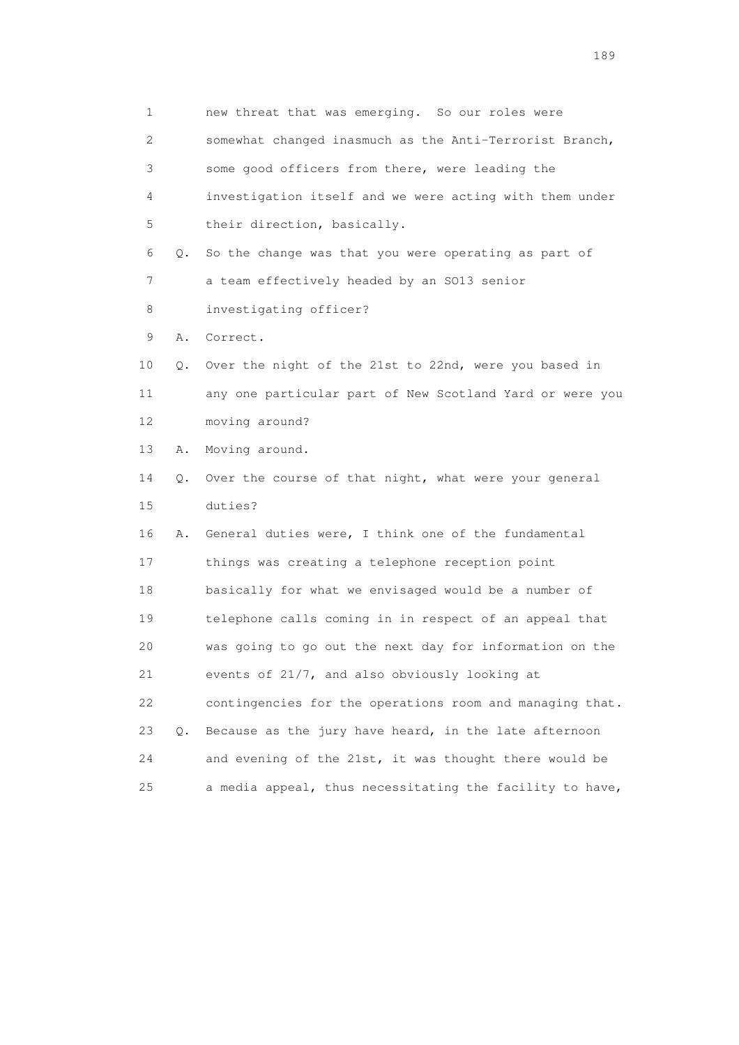| $\mathbf 1$ |    | new threat that was emerging. So our roles were          |
|-------------|----|----------------------------------------------------------|
| 2           |    | somewhat changed inasmuch as the Anti-Terrorist Branch,  |
| 3           |    | some good officers from there, were leading the          |
| 4           |    | investigation itself and we were acting with them under  |
| 5           |    | their direction, basically.                              |
| 6           | Q. | So the change was that you were operating as part of     |
| 7           |    | a team effectively headed by an SO13 senior              |
| 8           |    | investigating officer?                                   |
| 9           | Α. | Correct.                                                 |
| 10          | Q. | Over the night of the 21st to 22nd, were you based in    |
| 11          |    | any one particular part of New Scotland Yard or were you |
| 12          |    | moving around?                                           |
| 13          | Α. | Moving around.                                           |
| 14          | О. | Over the course of that night, what were your general    |
| 15          |    | duties?                                                  |
| 16          | Α. | General duties were, I think one of the fundamental      |
| 17          |    | things was creating a telephone reception point          |
| 18          |    | basically for what we envisaged would be a number of     |
| 19          |    | telephone calls coming in in respect of an appeal that   |
| 20          |    | was going to go out the next day for information on the  |
| 21          |    | events of 21/7, and also obviously looking at            |
| 22          |    | contingencies for the operations room and managing that. |
| 23          | Q. | Because as the jury have heard, in the late afternoon    |
| 24          |    | and evening of the 21st, it was thought there would be   |
| 25          |    | a media appeal, thus necessitating the facility to have, |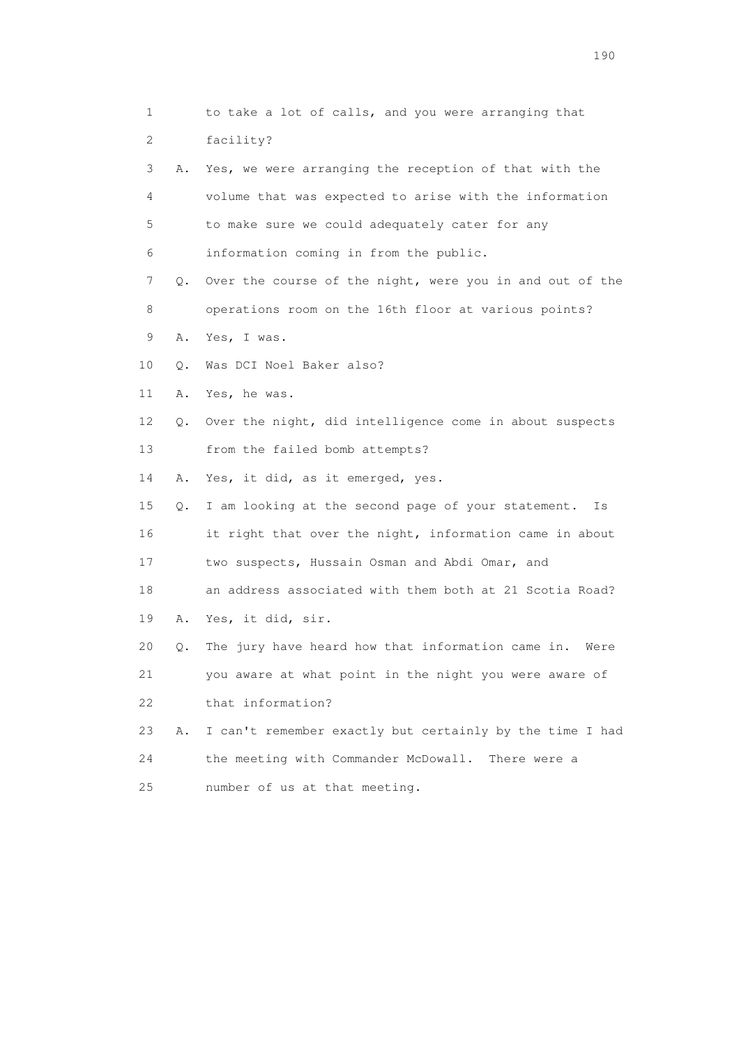| 1  |    | to take a lot of calls, and you were arranging that       |
|----|----|-----------------------------------------------------------|
| 2  |    | facility?                                                 |
| 3  | Α. | Yes, we were arranging the reception of that with the     |
| 4  |    | volume that was expected to arise with the information    |
| 5  |    | to make sure we could adequately cater for any            |
| 6  |    | information coming in from the public.                    |
| 7  | Q. | Over the course of the night, were you in and out of the  |
| 8  |    | operations room on the 16th floor at various points?      |
| 9  | Α. | Yes, I was.                                               |
| 10 | Q. | Was DCI Noel Baker also?                                  |
| 11 | Α. | Yes, he was.                                              |
| 12 | Q. | Over the night, did intelligence come in about suspects   |
| 13 |    | from the failed bomb attempts?                            |
| 14 | Α. | Yes, it did, as it emerged, yes.                          |
| 15 | Q. | I am looking at the second page of your statement.<br>Is  |
| 16 |    | it right that over the night, information came in about   |
| 17 |    | two suspects, Hussain Osman and Abdi Omar, and            |
| 18 |    | an address associated with them both at 21 Scotia Road?   |
| 19 | Α. | Yes, it did, sir.                                         |
| 20 | Q. | The jury have heard how that information came in.<br>Were |
| 21 |    | you aware at what point in the night you were aware of    |
| 22 |    | that information?                                         |
| 23 | Α. | I can't remember exactly but certainly by the time I had  |
| 24 |    | the meeting with Commander McDowall.<br>There were a      |
| 25 |    | number of us at that meeting.                             |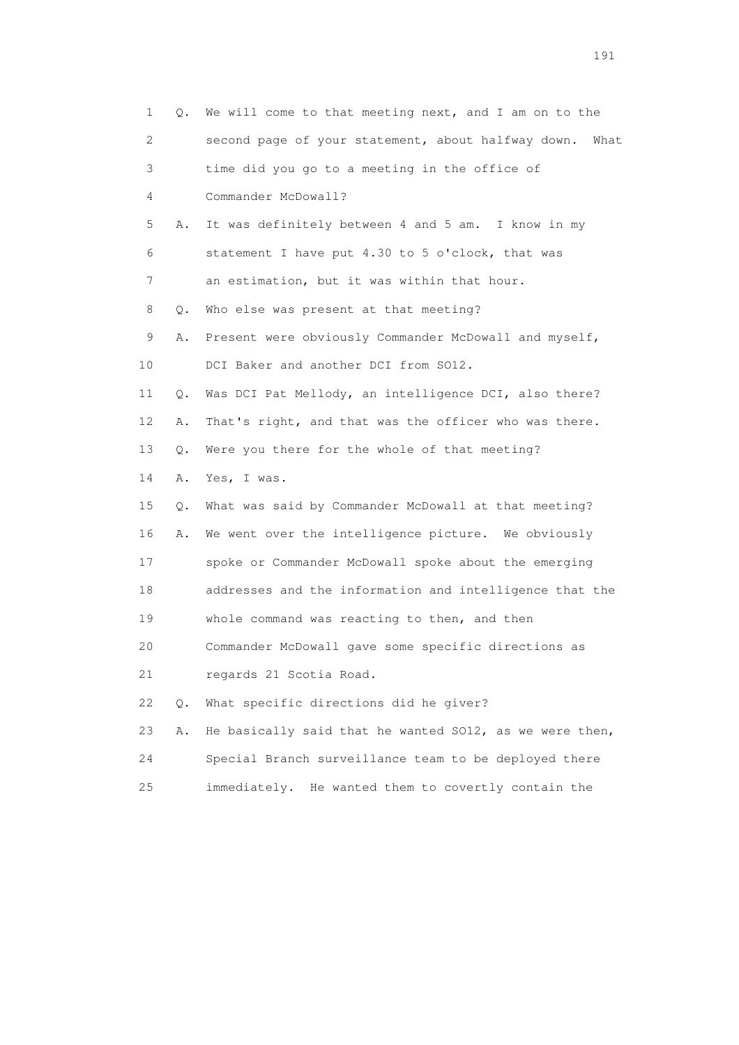| 1                         | Q.    | We will come to that meeting next, and I am on to the      |
|---------------------------|-------|------------------------------------------------------------|
| $\mathbf{2}^{\mathsf{I}}$ |       | second page of your statement, about halfway down.<br>What |
| 3                         |       | time did you go to a meeting in the office of              |
| 4                         |       | Commander McDowall?                                        |
| 5                         | Α.    | It was definitely between 4 and 5 am. I know in my         |
| 6                         |       | statement I have put 4.30 to 5 o'clock, that was           |
| 7                         |       | an estimation, but it was within that hour.                |
| 8                         | Q.    | Who else was present at that meeting?                      |
| 9                         | Α.    | Present were obviously Commander McDowall and myself,      |
| 10                        |       | DCI Baker and another DCI from SO12.                       |
| 11                        | Q.    | Was DCI Pat Mellody, an intelligence DCI, also there?      |
| 12                        | Α.    | That's right, and that was the officer who was there.      |
| 13                        | $Q$ . | Were you there for the whole of that meeting?              |
| 14                        | Α.    | Yes, I was.                                                |
| 15                        | Q.    | What was said by Commander McDowall at that meeting?       |
| 16                        | Α.    | We went over the intelligence picture. We obviously        |
| 17                        |       | spoke or Commander McDowall spoke about the emerging       |
| 18                        |       | addresses and the information and intelligence that the    |
| 19                        |       | whole command was reacting to then, and then               |
| 20                        |       | Commander McDowall gave some specific directions as        |
| 21                        |       | regards 21 Scotia Road.                                    |
| 22                        | $Q$ . | What specific directions did he giver?                     |
| 23                        | Α.    | He basically said that he wanted SO12, as we were then,    |
| 24                        |       | Special Branch surveillance team to be deployed there      |
| 25                        |       | immediately. He wanted them to covertly contain the        |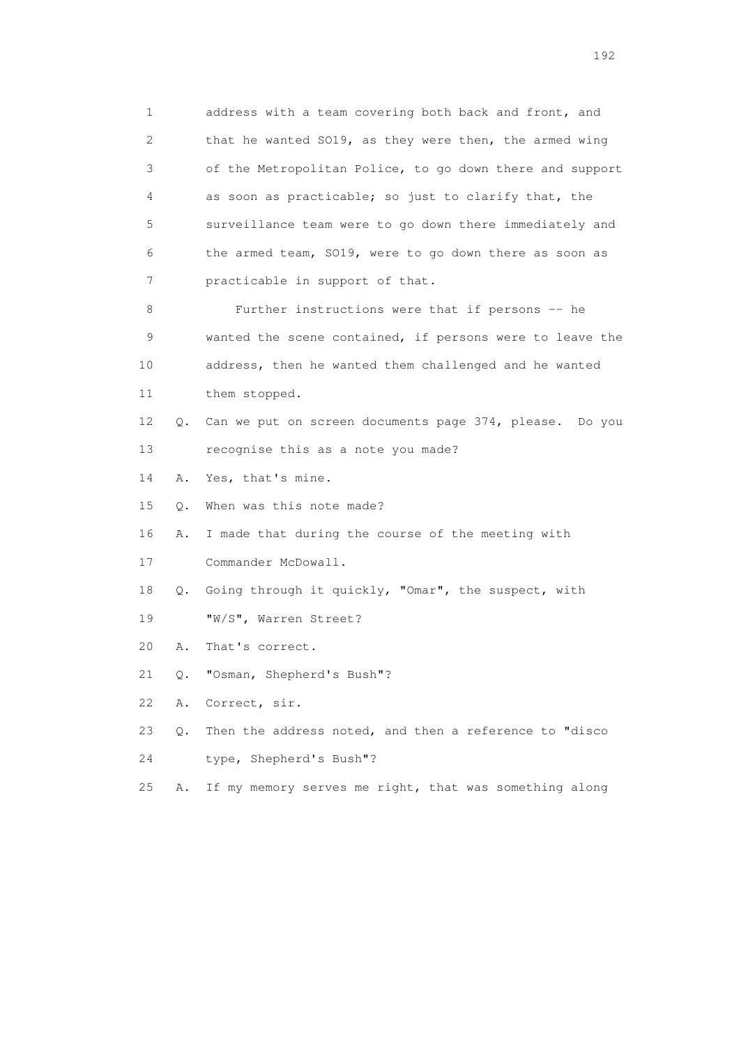1 address with a team covering both back and front, and 2 that he wanted SO19, as they were then, the armed wing 3 of the Metropolitan Police, to go down there and support 4 as soon as practicable; so just to clarify that, the 5 surveillance team were to go down there immediately and 6 the armed team, SO19, were to go down there as soon as 7 practicable in support of that. 8 Further instructions were that if persons -- he 9 wanted the scene contained, if persons were to leave the 10 address, then he wanted them challenged and he wanted 11 them stopped. 12 Q. Can we put on screen documents page 374, please. Do you 13 recognise this as a note you made? 14 A. Yes, that's mine. 15 Q. When was this note made? 16 A. I made that during the course of the meeting with 17 Commander McDowall. 18 Q. Going through it quickly, "Omar", the suspect, with 19 "W/S", Warren Street? 20 A. That's correct. 21 Q. "Osman, Shepherd's Bush"? 22 A. Correct, sir. 23 Q. Then the address noted, and then a reference to "disco 24 type, Shepherd's Bush"? 25 A. If my memory serves me right, that was something along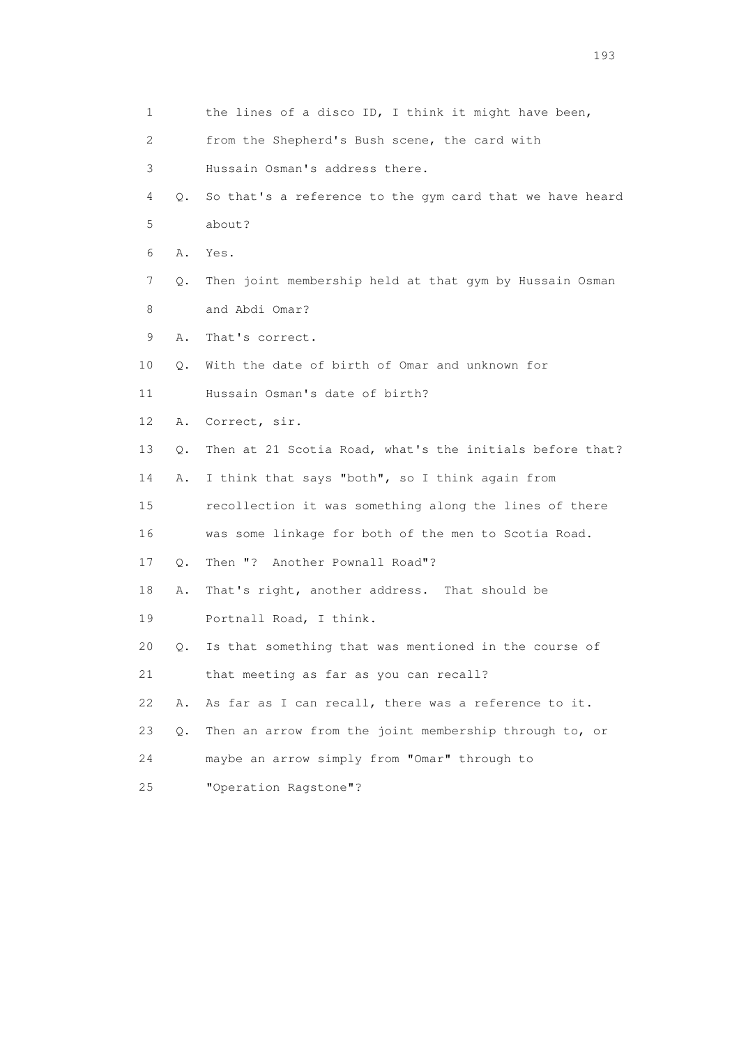1 the lines of a disco ID, I think it might have been, 2 from the Shepherd's Bush scene, the card with 3 Hussain Osman's address there. 4 Q. So that's a reference to the gym card that we have heard 5 about? 6 A. Yes. 7 Q. Then joint membership held at that gym by Hussain Osman 8 and Abdi Omar? 9 A. That's correct. 10 Q. With the date of birth of Omar and unknown for 11 Hussain Osman's date of birth? 12 A. Correct, sir. 13 Q. Then at 21 Scotia Road, what's the initials before that? 14 A. I think that says "both", so I think again from 15 recollection it was something along the lines of there 16 was some linkage for both of the men to Scotia Road. 17 Q. Then "? Another Pownall Road"? 18 A. That's right, another address. That should be 19 Portnall Road, I think. 20 Q. Is that something that was mentioned in the course of 21 that meeting as far as you can recall? 22 A. As far as I can recall, there was a reference to it. 23 Q. Then an arrow from the joint membership through to, or 24 maybe an arrow simply from "Omar" through to 25 "Operation Ragstone"?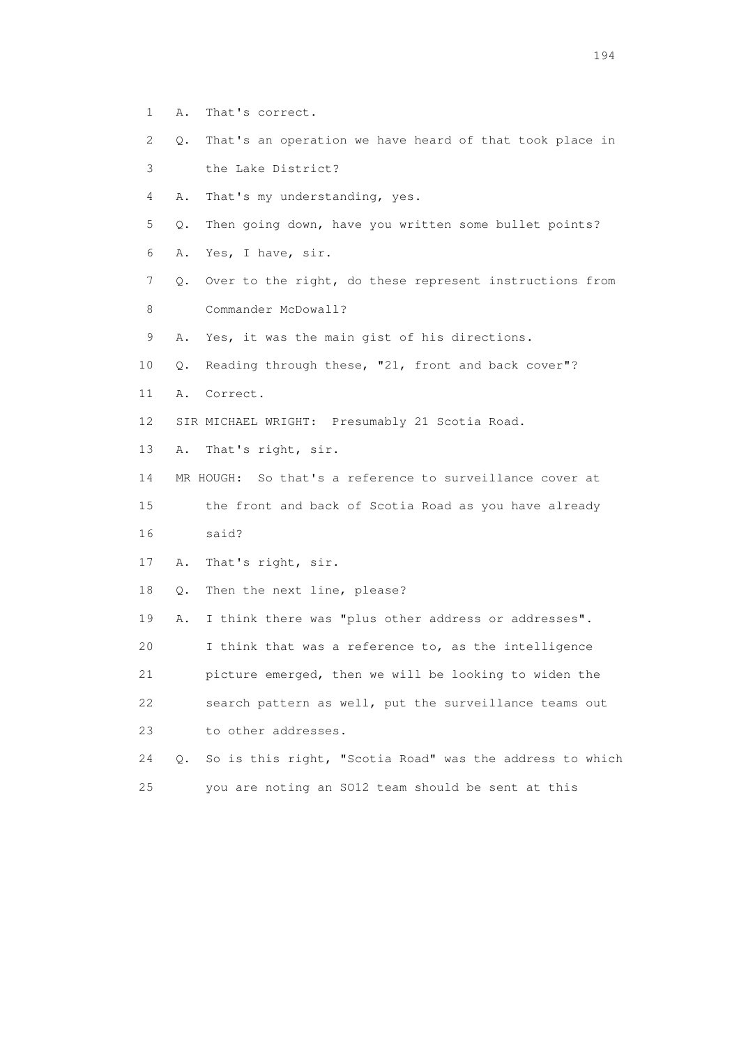- 1 A. That's correct.
- 2 Q. That's an operation we have heard of that took place in
- 3 the Lake District?
- 4 A. That's my understanding, yes.
- 5 Q. Then going down, have you written some bullet points?
- 6 A. Yes, I have, sir.
- 7 Q. Over to the right, do these represent instructions from 8 Commander McDowall?
- 9 A. Yes, it was the main gist of his directions.
- 10 Q. Reading through these, "21, front and back cover"?
- 11 A. Correct.
- 12 SIR MICHAEL WRIGHT: Presumably 21 Scotia Road.
- 13 A. That's right, sir.
- 14 MR HOUGH: So that's a reference to surveillance cover at
- 15 the front and back of Scotia Road as you have already 16 said?
- 17 A. That's right, sir.
- 18 Q. Then the next line, please?
- 19 A. I think there was "plus other address or addresses".
- 20 I think that was a reference to, as the intelligence
- 21 picture emerged, then we will be looking to widen the
- 22 search pattern as well, put the surveillance teams out 23 to other addresses.
- 24 Q. So is this right, "Scotia Road" was the address to which 25 you are noting an SO12 team should be sent at this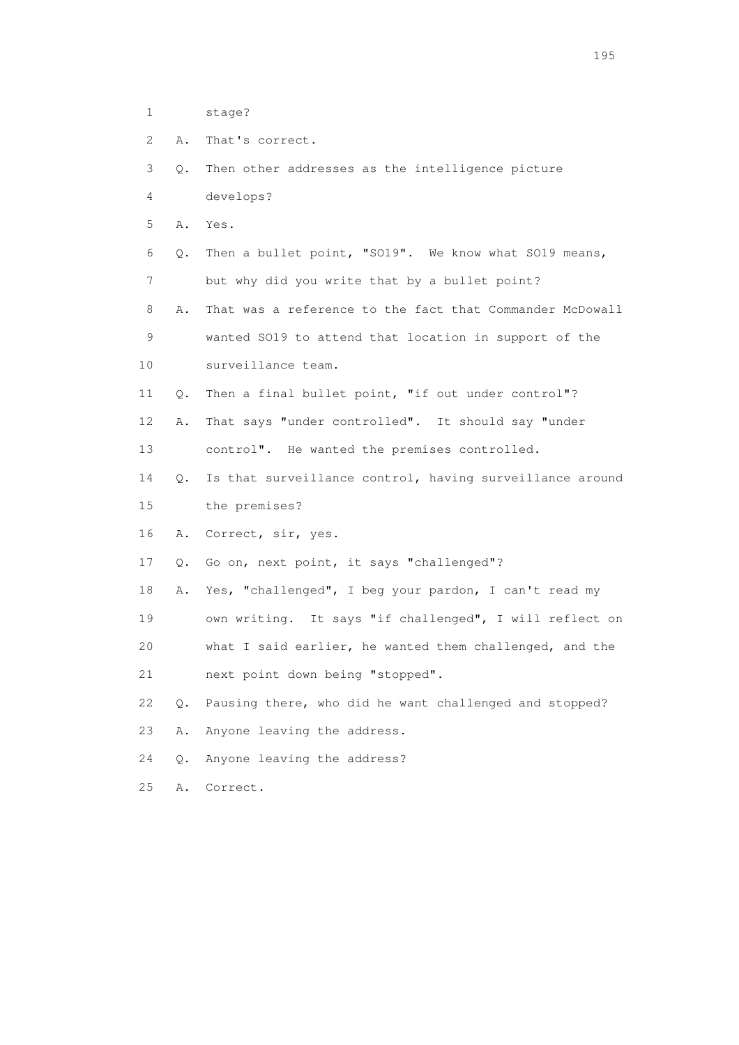- 1 stage?
- 2 A. That's correct.
- 3 Q. Then other addresses as the intelligence picture 4 develops?
- 
- 5 A. Yes.
- 6 Q. Then a bullet point, "SO19". We know what SO19 means, 7 but why did you write that by a bullet point?

 8 A. That was a reference to the fact that Commander McDowall 9 wanted SO19 to attend that location in support of the

- 10 surveillance team.
- 11 Q. Then a final bullet point, "if out under control"?
- 12 A. That says "under controlled". It should say "under
- 13 control". He wanted the premises controlled.
- 14 Q. Is that surveillance control, having surveillance around 15 the premises?
- 16 A. Correct, sir, yes.
- 17 Q. Go on, next point, it says "challenged"?
- 18 A. Yes, "challenged", I beg your pardon, I can't read my 19 own writing. It says "if challenged", I will reflect on
- 20 what I said earlier, he wanted them challenged, and the
- 21 next point down being "stopped".
- 22 Q. Pausing there, who did he want challenged and stopped?
- 23 A. Anyone leaving the address.
- 24 Q. Anyone leaving the address?
- 25 A. Correct.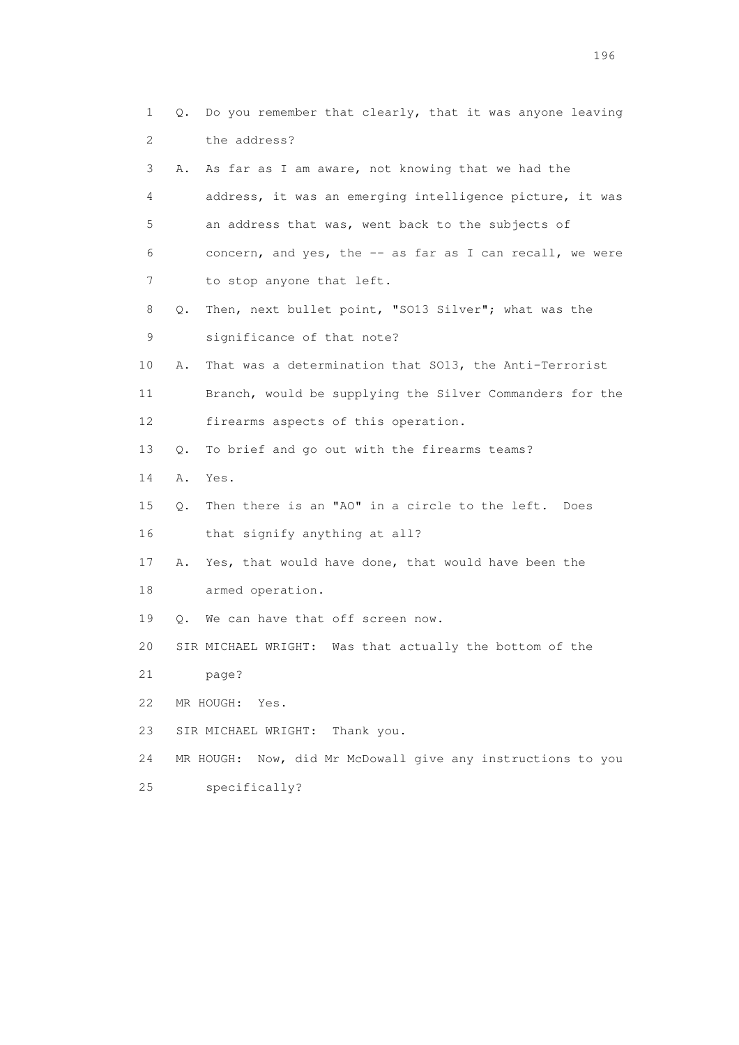|                 | 1       | Q. Do you remember that clearly, that it was anyone leaving    |
|-----------------|---------|----------------------------------------------------------------|
|                 | 2       | the address?                                                   |
|                 | 3<br>Α. | As far as I am aware, not knowing that we had the              |
|                 | 4       | address, it was an emerging intelligence picture, it was       |
|                 | 5       | an address that was, went back to the subjects of              |
| 6               |         | concern, and yes, the -- as far as I can recall, we were       |
|                 | 7       | to stop anyone that left.                                      |
|                 | 8<br>Q. | Then, next bullet point, "SO13 Silver"; what was the           |
|                 | 9       | significance of that note?                                     |
| 10              | Α.      | That was a determination that SO13, the Anti-Terrorist         |
| 11              |         | Branch, would be supplying the Silver Commanders for the       |
| 12 <sup>°</sup> |         | firearms aspects of this operation.                            |
| 13              | Q.      | To brief and go out with the firearms teams?                   |
| 14              | Α.      | Yes.                                                           |
| 15              | Q.      | Then there is an "AO" in a circle to the left. Does            |
| 16              |         | that signify anything at all?                                  |
| 17              | Α.      | Yes, that would have done, that would have been the            |
| 18              |         | armed operation.                                               |
| 19              |         | Q. We can have that off screen now.                            |
| 20              |         | SIR MICHAEL WRIGHT: Was that actually the bottom of the        |
| 21              |         | page?                                                          |
| 22              |         | MR HOUGH:<br>Yes.                                              |
| 23              |         | Thank you.<br>SIR MICHAEL WRIGHT:                              |
| 24              |         | Now, did Mr McDowall give any instructions to you<br>MR HOUGH: |
| 25              |         | specifically?                                                  |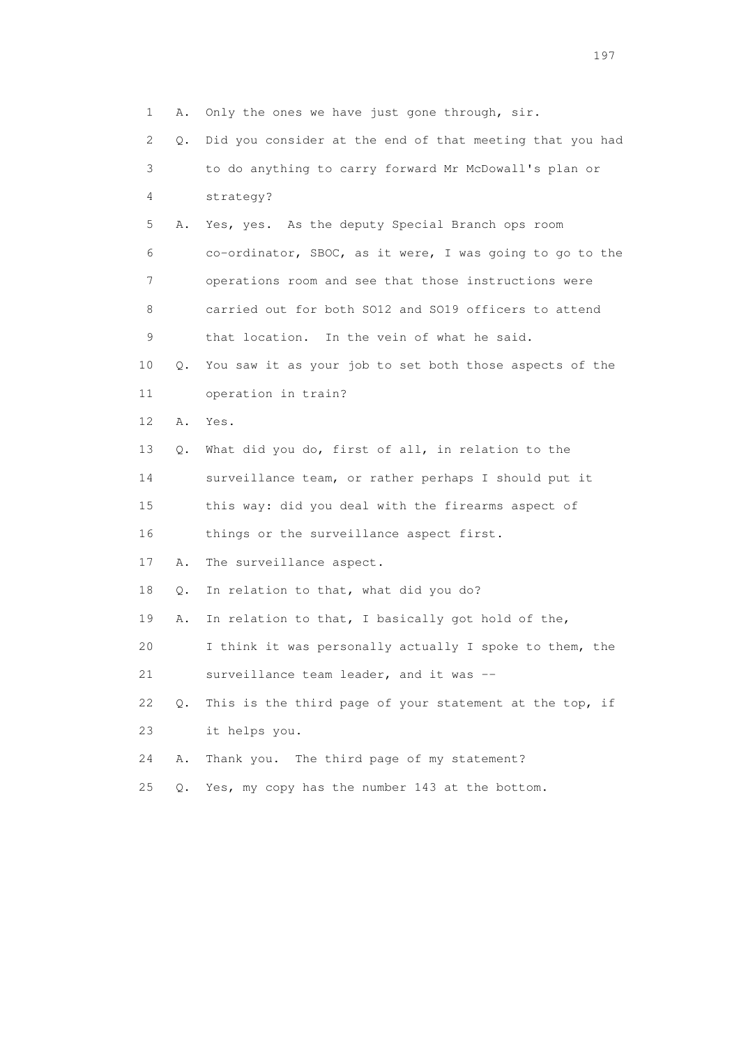1 A. Only the ones we have just gone through, sir. 2 Q. Did you consider at the end of that meeting that you had 3 to do anything to carry forward Mr McDowall's plan or 4 strategy? 5 A. Yes, yes. As the deputy Special Branch ops room 6 co-ordinator, SBOC, as it were, I was going to go to the 7 operations room and see that those instructions were 8 carried out for both SO12 and SO19 officers to attend 9 that location. In the vein of what he said. 10 Q. You saw it as your job to set both those aspects of the 11 operation in train? 12 A. Yes. 13 Q. What did you do, first of all, in relation to the 14 surveillance team, or rather perhaps I should put it 15 this way: did you deal with the firearms aspect of 16 things or the surveillance aspect first. 17 A. The surveillance aspect. 18 Q. In relation to that, what did you do? 19 A. In relation to that, I basically got hold of the, 20 I think it was personally actually I spoke to them, the 21 surveillance team leader, and it was -- 22 Q. This is the third page of your statement at the top, if 23 it helps you. 24 A. Thank you. The third page of my statement? 25 Q. Yes, my copy has the number 143 at the bottom.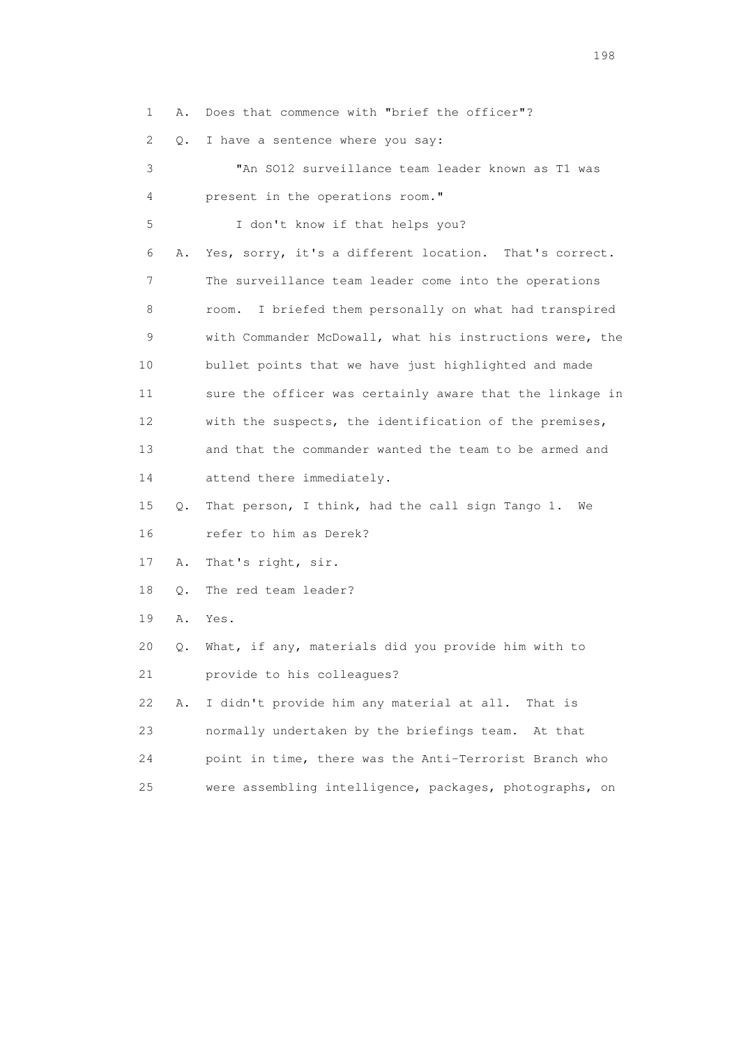|  |  |  |  | 1 A. Does that commence with "brief the officer"? |
|--|--|--|--|---------------------------------------------------|
|  |  |  |  |                                                   |

2 Q. I have a sentence where you say:

| 3  |    | "An SO12 surveillance team leader known as T1 was         |
|----|----|-----------------------------------------------------------|
| 4  |    | present in the operations room."                          |
| 5  |    | I don't know if that helps you?                           |
| 6  | Α. | Yes, sorry, it's a different location. That's correct.    |
| 7  |    | The surveillance team leader come into the operations     |
| 8  |    | I briefed them personally on what had transpired<br>room. |
| 9  |    | with Commander McDowall, what his instructions were, the  |
| 10 |    | bullet points that we have just highlighted and made      |
| 11 |    | sure the officer was certainly aware that the linkage in  |
| 12 |    | with the suspects, the identification of the premises,    |
| 13 |    | and that the commander wanted the team to be armed and    |
| 14 |    | attend there immediately.                                 |
| 15 | Q. | That person, I think, had the call sign Tango 1.<br>We    |
| 16 |    | refer to him as Derek?                                    |
| 17 | Α. | That's right, sir.                                        |
| 18 | Q. | The red team leader?                                      |
| 19 | Α. | Yes.                                                      |
| 20 | Q. | What, if any, materials did you provide him with to       |
| 21 |    | provide to his colleagues?                                |
| 22 | Α. | I didn't provide him any material at all.<br>That is      |
| 23 |    | normally undertaken by the briefings team.<br>At that     |
| 24 |    | point in time, there was the Anti-Terrorist Branch who    |
| 25 |    | were assembling intelligence, packages, photographs, on   |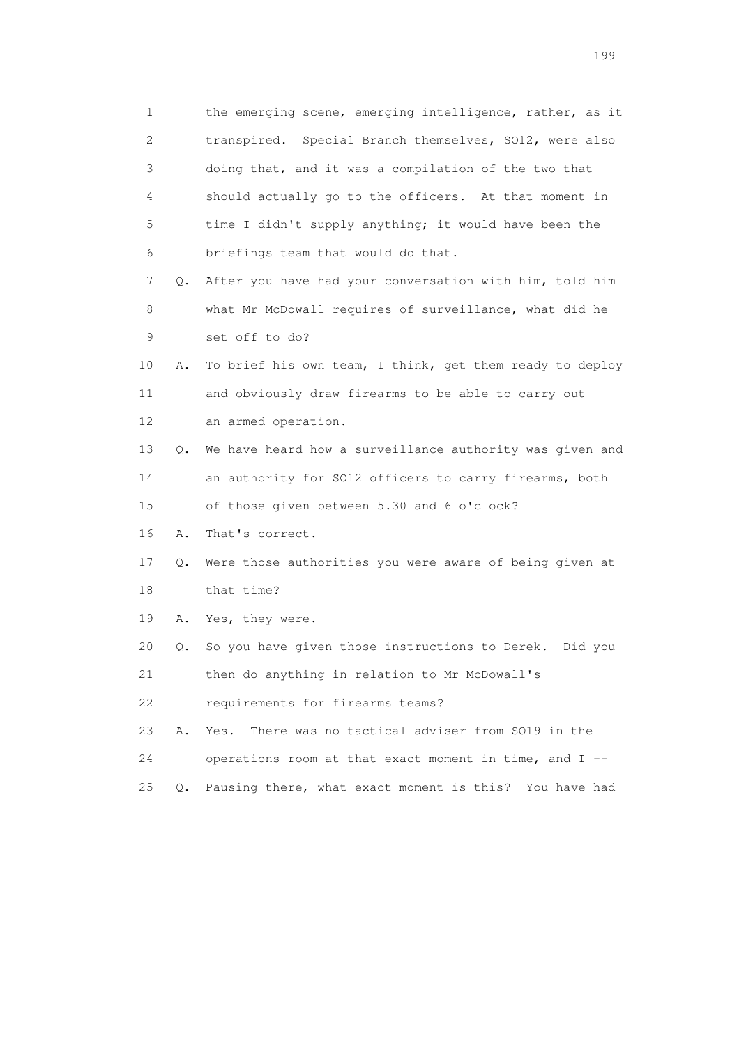1 the emerging scene, emerging intelligence, rather, as it 2 transpired. Special Branch themselves, SO12, were also 3 doing that, and it was a compilation of the two that 4 should actually go to the officers. At that moment in 5 time I didn't supply anything; it would have been the 6 briefings team that would do that. 7 Q. After you have had your conversation with him, told him 8 what Mr McDowall requires of surveillance, what did he 9 set off to do? 10 A. To brief his own team, I think, get them ready to deploy 11 and obviously draw firearms to be able to carry out 12 an armed operation. 13 Q. We have heard how a surveillance authority was given and 14 an authority for SO12 officers to carry firearms, both 15 of those given between 5.30 and 6 o'clock? 16 A. That's correct. 17 Q. Were those authorities you were aware of being given at 18 that time? 19 A. Yes, they were. 20 Q. So you have given those instructions to Derek. Did you 21 then do anything in relation to Mr McDowall's 22 requirements for firearms teams? 23 A. Yes. There was no tactical adviser from SO19 in the 24 operations room at that exact moment in time, and I -- 25 Q. Pausing there, what exact moment is this? You have had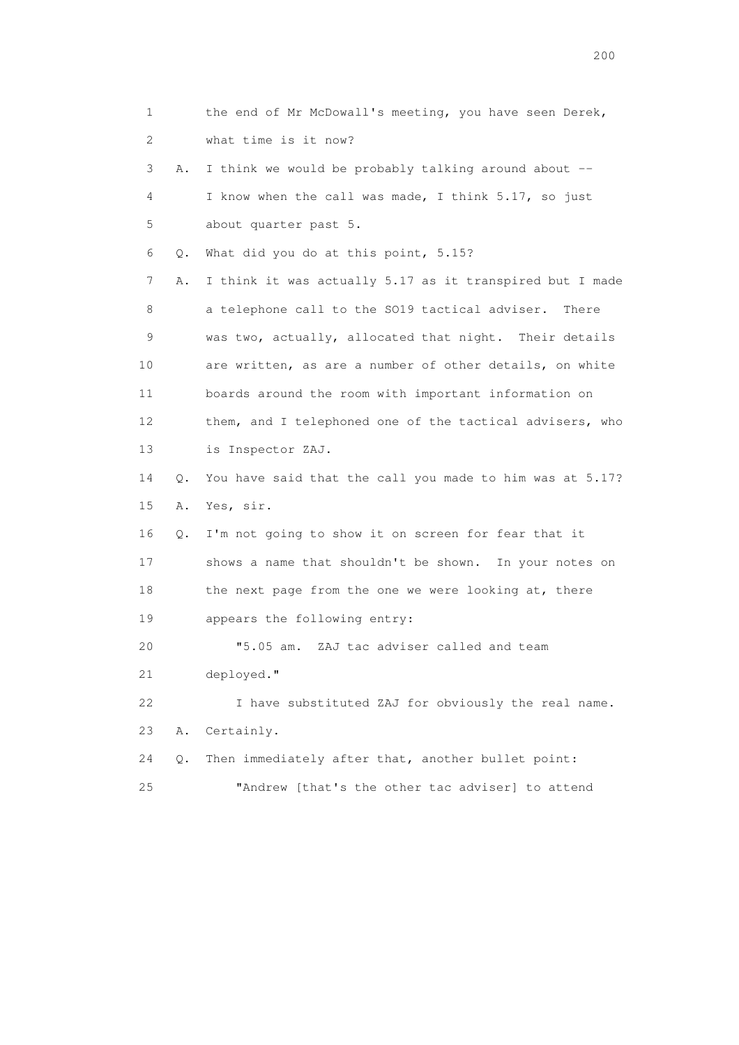1 the end of Mr McDowall's meeting, you have seen Derek, 2 what time is it now? 3 A. I think we would be probably talking around about -- 4 I know when the call was made, I think 5.17, so just 5 about quarter past 5. 6 Q. What did you do at this point, 5.15? 7 A. I think it was actually 5.17 as it transpired but I made 8 a telephone call to the SO19 tactical adviser. There 9 was two, actually, allocated that night. Their details 10 are written, as are a number of other details, on white 11 boards around the room with important information on 12 them, and I telephoned one of the tactical advisers, who 13 is Inspector ZAJ. 14 Q. You have said that the call you made to him was at 5.17? 15 A. Yes, sir. 16 Q. I'm not going to show it on screen for fear that it 17 shows a name that shouldn't be shown. In your notes on 18 the next page from the one we were looking at, there 19 appears the following entry: 20 "5.05 am. ZAJ tac adviser called and team 21 deployed." 22 I have substituted ZAJ for obviously the real name. 23 A. Certainly. 24 Q. Then immediately after that, another bullet point: 25 "Andrew [that's the other tac adviser] to attend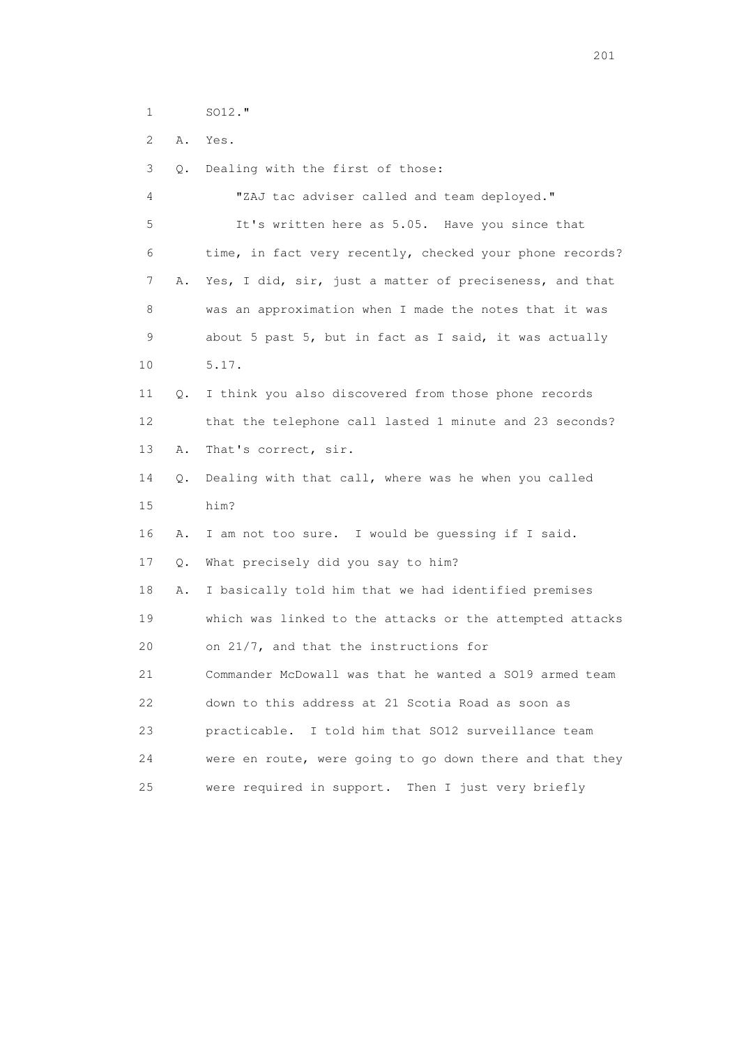1 SO12."

2 A. Yes.

3 Q. Dealing with the first of those:

 4 "ZAJ tac adviser called and team deployed." 5 It's written here as 5.05. Have you since that 6 time, in fact very recently, checked your phone records? 7 A. Yes, I did, sir, just a matter of preciseness, and that 8 was an approximation when I made the notes that it was 9 about 5 past 5, but in fact as I said, it was actually 10 5.17. 11 Q. I think you also discovered from those phone records 12 that the telephone call lasted 1 minute and 23 seconds? 13 A. That's correct, sir. 14 Q. Dealing with that call, where was he when you called 15 him? 16 A. I am not too sure. I would be guessing if I said. 17 Q. What precisely did you say to him? 18 A. I basically told him that we had identified premises 19 which was linked to the attacks or the attempted attacks 20 on 21/7, and that the instructions for 21 Commander McDowall was that he wanted a SO19 armed team 22 down to this address at 21 Scotia Road as soon as 23 practicable. I told him that SO12 surveillance team 24 were en route, were going to go down there and that they 25 were required in support. Then I just very briefly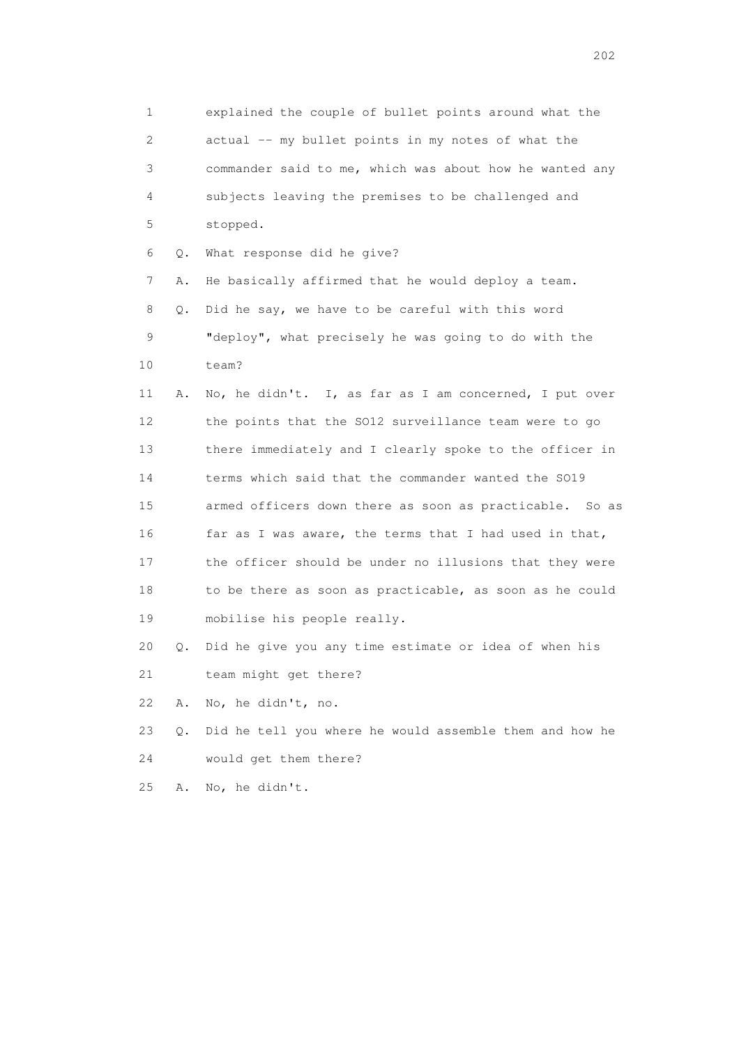1 explained the couple of bullet points around what the 2 actual -- my bullet points in my notes of what the 3 commander said to me, which was about how he wanted any 4 subjects leaving the premises to be challenged and 5 stopped. 6 Q. What response did he give? 7 A. He basically affirmed that he would deploy a team. 8 Q. Did he say, we have to be careful with this word 9 "deploy", what precisely he was going to do with the 10 team? 11 A. No, he didn't. I, as far as I am concerned, I put over 12 the points that the SO12 surveillance team were to go 13 there immediately and I clearly spoke to the officer in 14 terms which said that the commander wanted the SO19 15 armed officers down there as soon as practicable. So as 16 far as I was aware, the terms that I had used in that, 17 the officer should be under no illusions that they were 18 to be there as soon as practicable, as soon as he could 19 mobilise his people really. 20 Q. Did he give you any time estimate or idea of when his 21 team might get there? 22 A. No, he didn't, no. 23 Q. Did he tell you where he would assemble them and how he 24 would get them there?

25 A. No, he didn't.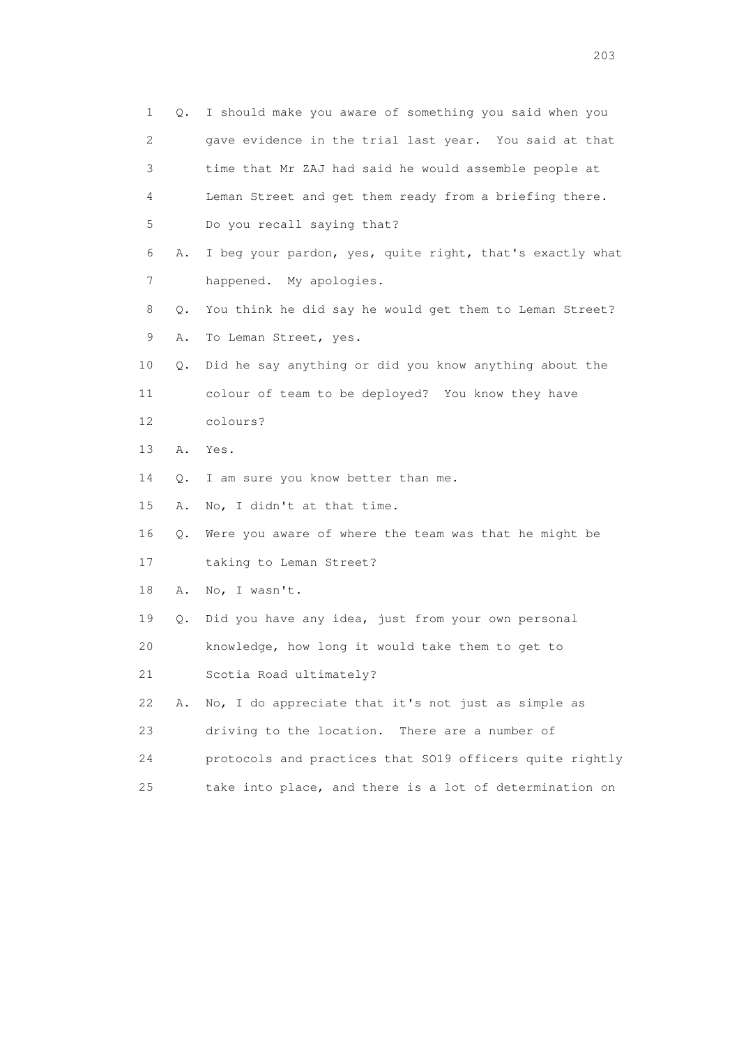|    | 1<br>Q.        | I should make you aware of something you said when you   |
|----|----------------|----------------------------------------------------------|
|    | 2              | gave evidence in the trial last year. You said at that   |
|    | 3              | time that Mr ZAJ had said he would assemble people at    |
|    | 4              | Leman Street and get them ready from a briefing there.   |
| 5  |                | Do you recall saying that?                               |
|    | 6<br>Α.        | I beg your pardon, yes, quite right, that's exactly what |
|    | $\overline{7}$ | happened. My apologies.                                  |
|    | 8<br>Q.        | You think he did say he would get them to Leman Street?  |
|    | 9<br>Α.        | To Leman Street, yes.                                    |
| 10 | Q.             | Did he say anything or did you know anything about the   |
| 11 |                | colour of team to be deployed? You know they have        |
| 12 |                | colours?                                                 |
| 13 | Α.             | Yes.                                                     |
| 14 | Q.             | I am sure you know better than me.                       |
| 15 | Α.             | No, I didn't at that time.                               |
| 16 | Q.             | Were you aware of where the team was that he might be    |
| 17 |                | taking to Leman Street?                                  |
| 18 | Α.             | No, I wasn't.                                            |
| 19 | Q.             | Did you have any idea, just from your own personal       |
| 20 |                | knowledge, how long it would take them to get to         |
| 21 |                | Scotia Road ultimately?                                  |
| 22 | Α.             | No, I do appreciate that it's not just as simple as      |
| 23 |                | driving to the location.<br>There are a number of        |
| 24 |                | protocols and practices that SO19 officers quite rightly |
| 25 |                | take into place, and there is a lot of determination on  |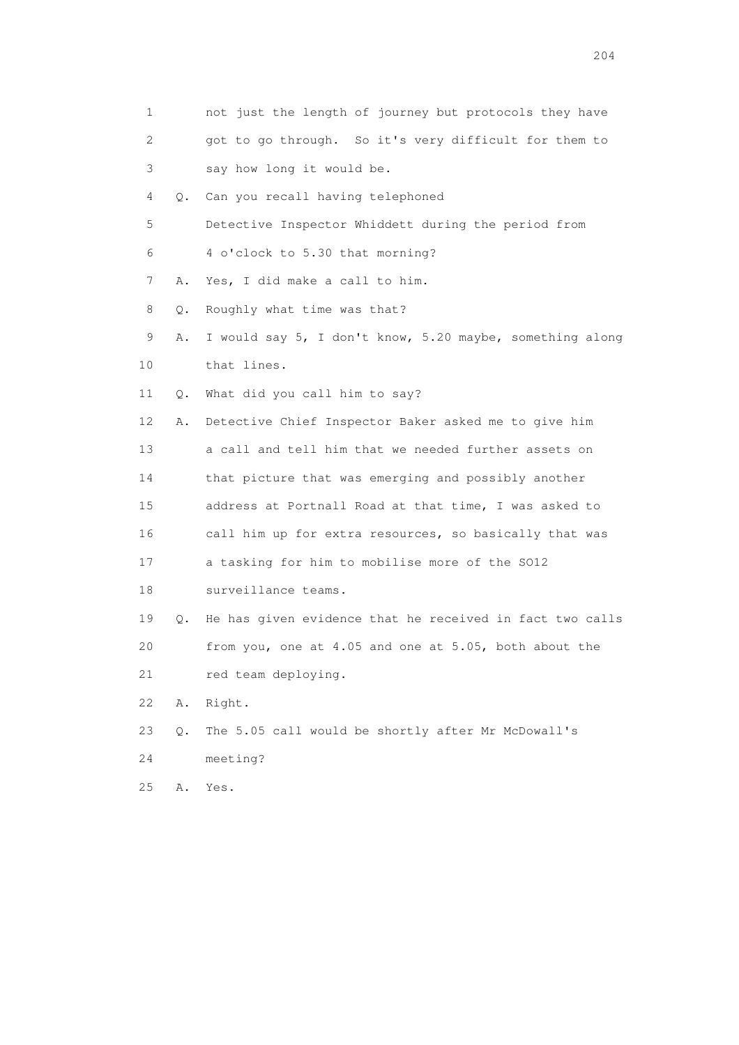| 1  |    | not just the length of journey but protocols they have   |
|----|----|----------------------------------------------------------|
| 2  |    | got to go through. So it's very difficult for them to    |
| 3  |    | say how long it would be.                                |
| 4  | Q. | Can you recall having telephoned                         |
| 5  |    | Detective Inspector Whiddett during the period from      |
| 6  |    | 4 o'clock to 5.30 that morning?                          |
| 7  | Α. | Yes, I did make a call to him.                           |
| 8  | Q. | Roughly what time was that?                              |
| 9  | Α. | I would say 5, I don't know, 5.20 maybe, something along |
| 10 |    | that lines.                                              |
| 11 | Q. | What did you call him to say?                            |
| 12 | Α. | Detective Chief Inspector Baker asked me to give him     |
| 13 |    | a call and tell him that we needed further assets on     |
| 14 |    | that picture that was emerging and possibly another      |
| 15 |    | address at Portnall Road at that time, I was asked to    |
| 16 |    | call him up for extra resources, so basically that was   |
| 17 |    | a tasking for him to mobilise more of the SO12           |
| 18 |    | surveillance teams.                                      |
| 19 | Q. | He has given evidence that he received in fact two calls |
| 20 |    | from you, one at 4.05 and one at 5.05, both about the    |
| 21 |    | red team deploying.                                      |
| 22 | Α. | Right.                                                   |
| 23 | Q. | The 5.05 call would be shortly after Mr McDowall's       |
| 24 |    | meeting?                                                 |
| 25 | Α. | Yes.                                                     |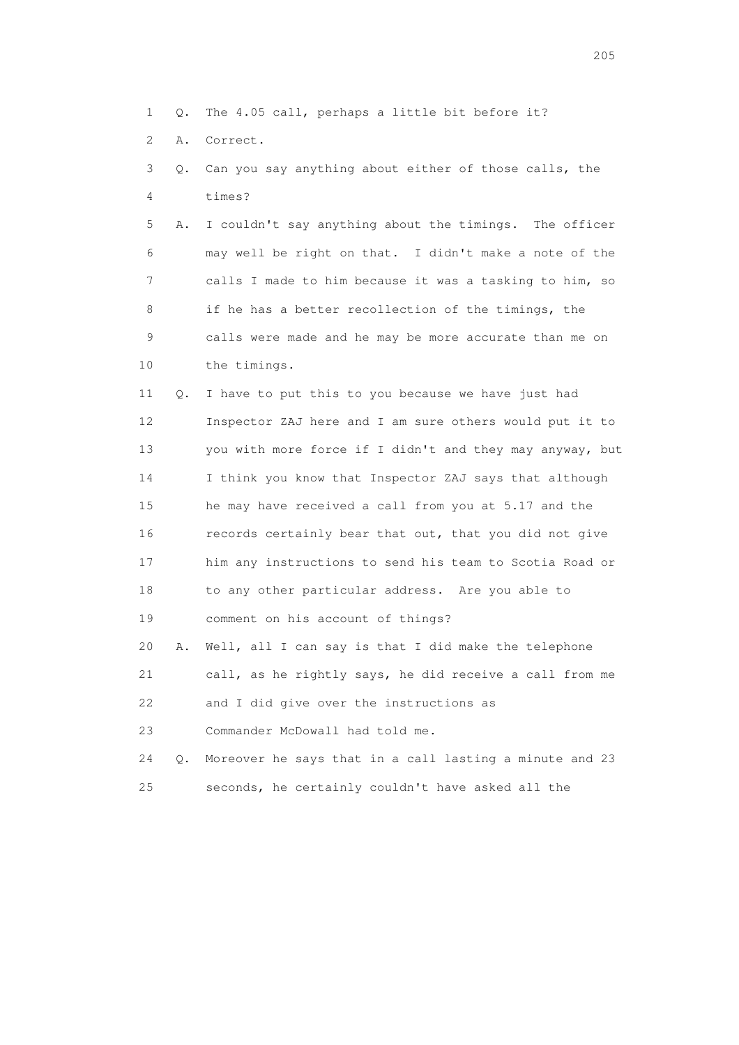- 1 Q. The 4.05 call, perhaps a little bit before it?
- 2 A. Correct.
- 3 Q. Can you say anything about either of those calls, the 4 times?

 5 A. I couldn't say anything about the timings. The officer 6 may well be right on that. I didn't make a note of the 7 calls I made to him because it was a tasking to him, so 8 if he has a better recollection of the timings, the 9 calls were made and he may be more accurate than me on 10 the timings.

 11 Q. I have to put this to you because we have just had 12 Inspector ZAJ here and I am sure others would put it to 13 you with more force if I didn't and they may anyway, but 14 I think you know that Inspector ZAJ says that although 15 he may have received a call from you at 5.17 and the 16 records certainly bear that out, that you did not give 17 him any instructions to send his team to Scotia Road or 18 to any other particular address. Are you able to 19 comment on his account of things? 20 A. Well, all I can say is that I did make the telephone

21 call, as he rightly says, he did receive a call from me

22 and I did give over the instructions as

23 Commander McDowall had told me.

 24 Q. Moreover he says that in a call lasting a minute and 23 25 seconds, he certainly couldn't have asked all the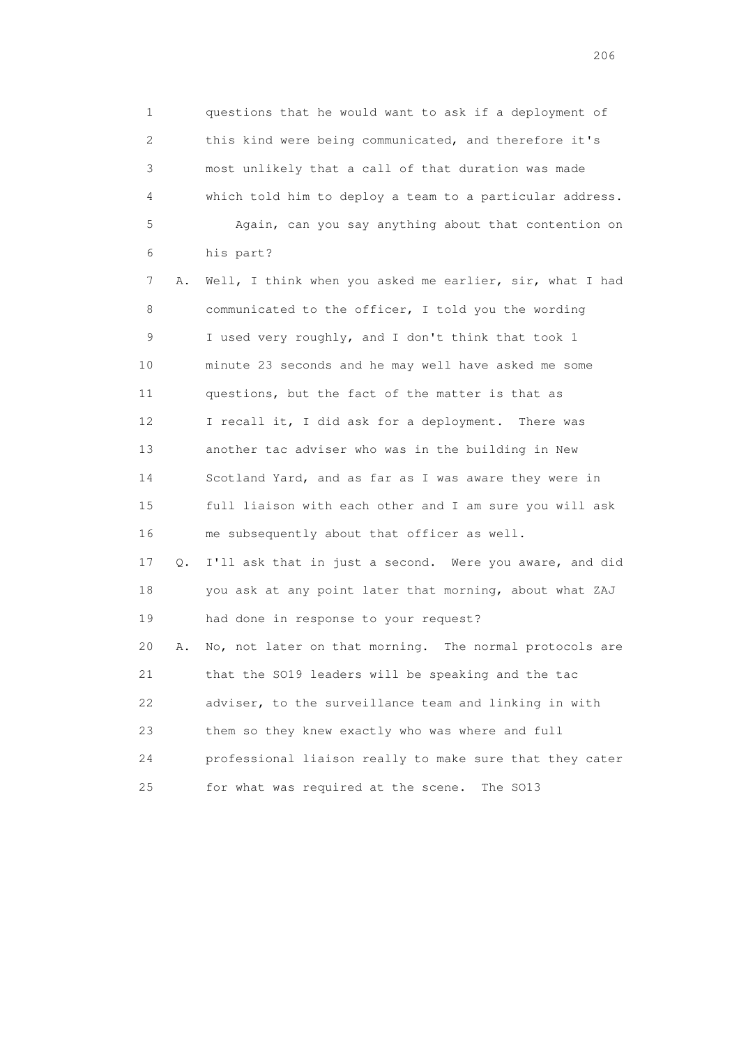1 questions that he would want to ask if a deployment of 2 this kind were being communicated, and therefore it's 3 most unlikely that a call of that duration was made 4 which told him to deploy a team to a particular address. 5 Again, can you say anything about that contention on 6 his part?

 7 A. Well, I think when you asked me earlier, sir, what I had 8 communicated to the officer, I told you the wording 9 I used very roughly, and I don't think that took 1 10 minute 23 seconds and he may well have asked me some 11 questions, but the fact of the matter is that as 12 I recall it, I did ask for a deployment. There was 13 another tac adviser who was in the building in New 14 Scotland Yard, and as far as I was aware they were in 15 full liaison with each other and I am sure you will ask 16 me subsequently about that officer as well. 17 Q. I'll ask that in just a second. Were you aware, and did

 18 you ask at any point later that morning, about what ZAJ 19 had done in response to your request? 20 A. No, not later on that morning. The normal protocols are 21 that the SO19 leaders will be speaking and the tac

 22 adviser, to the surveillance team and linking in with 23 them so they knew exactly who was where and full 24 professional liaison really to make sure that they cater

25 for what was required at the scene. The SO13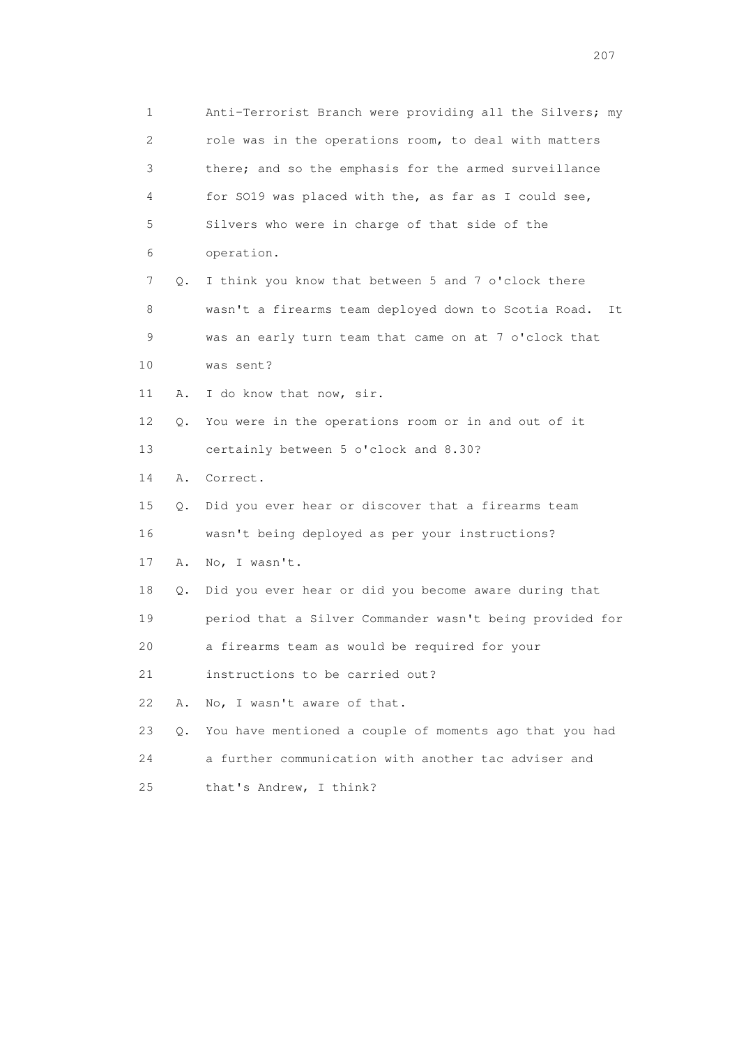| 1                         |    | Anti-Terrorist Branch were providing all the Silvers; my   |
|---------------------------|----|------------------------------------------------------------|
| $\mathbf{2}^{\mathsf{I}}$ |    | role was in the operations room, to deal with matters      |
| 3                         |    | there; and so the emphasis for the armed surveillance      |
| 4                         |    | for SO19 was placed with the, as far as I could see,       |
| 5                         |    | Silvers who were in charge of that side of the             |
| 6                         |    | operation.                                                 |
| 7                         | Q. | I think you know that between 5 and 7 o'clock there        |
| 8                         |    | wasn't a firearms team deployed down to Scotia Road.<br>It |
| 9                         |    | was an early turn team that came on at 7 o'clock that      |
| 10                        |    | was sent?                                                  |
| 11                        | Α. | I do know that now, sir.                                   |
| 12                        | Q. | You were in the operations room or in and out of it        |
| 13                        |    | certainly between 5 o'clock and 8.30?                      |
| 14                        | Α. | Correct.                                                   |
| 15                        | Q. | Did you ever hear or discover that a firearms team         |
| 16                        |    | wasn't being deployed as per your instructions?            |
| 17                        | Α. | No, I wasn't.                                              |
| 18                        | Q. | Did you ever hear or did you become aware during that      |
| 19                        |    | period that a Silver Commander wasn't being provided for   |
| 20                        |    | a firearms team as would be required for your              |
| 21                        |    | instructions to be carried out?                            |
| 22                        | Α. | No, I wasn't aware of that.                                |
| 23                        | Q. | You have mentioned a couple of moments ago that you had    |
| 24                        |    | a further communication with another tac adviser and       |
| 25                        |    | that's Andrew, I think?                                    |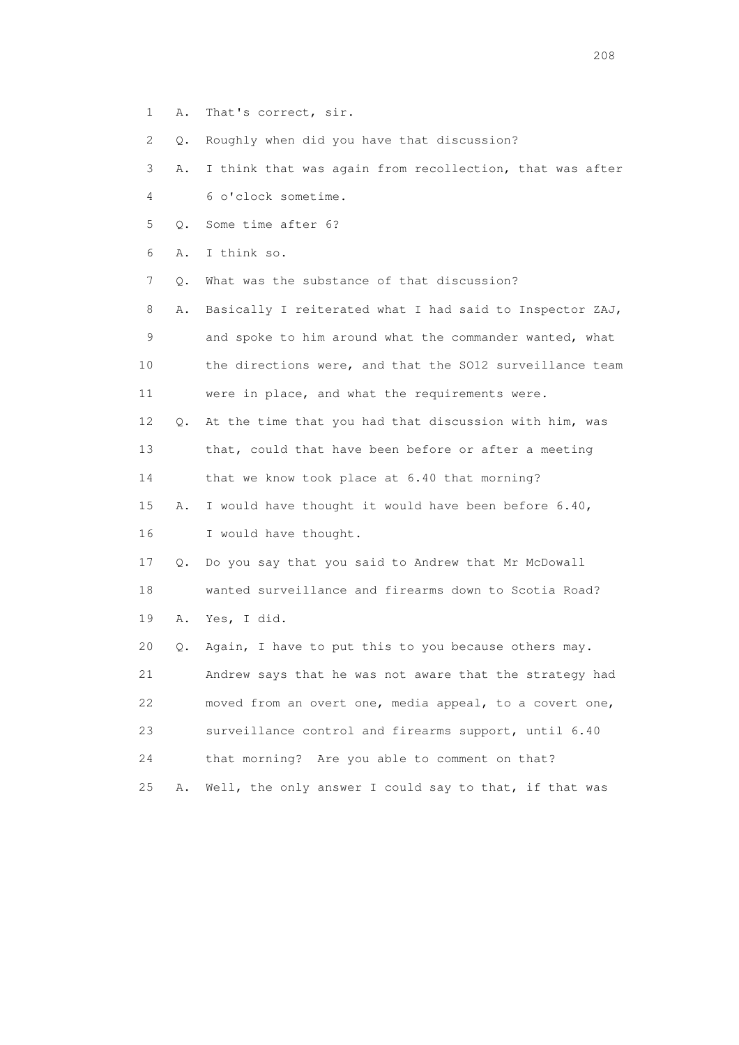1 A. That's correct, sir.

2 Q. Roughly when did you have that discussion?

- 3 A. I think that was again from recollection, that was after 4 6 o'clock sometime.
- 5 Q. Some time after 6?

6 A. I think so.

7 Q. What was the substance of that discussion?

 8 A. Basically I reiterated what I had said to Inspector ZAJ, 9 and spoke to him around what the commander wanted, what 10 the directions were, and that the SO12 surveillance team 11 were in place, and what the requirements were.

 12 Q. At the time that you had that discussion with him, was 13 that, could that have been before or after a meeting 14 that we know took place at 6.40 that morning?

15 A. I would have thought it would have been before 6.40,

16 I would have thought.

 17 Q. Do you say that you said to Andrew that Mr McDowall 18 wanted surveillance and firearms down to Scotia Road? 19 A. Yes, I did.

 20 Q. Again, I have to put this to you because others may. 21 Andrew says that he was not aware that the strategy had 22 moved from an overt one, media appeal, to a covert one, 23 surveillance control and firearms support, until 6.40 24 that morning? Are you able to comment on that? 25 A. Well, the only answer I could say to that, if that was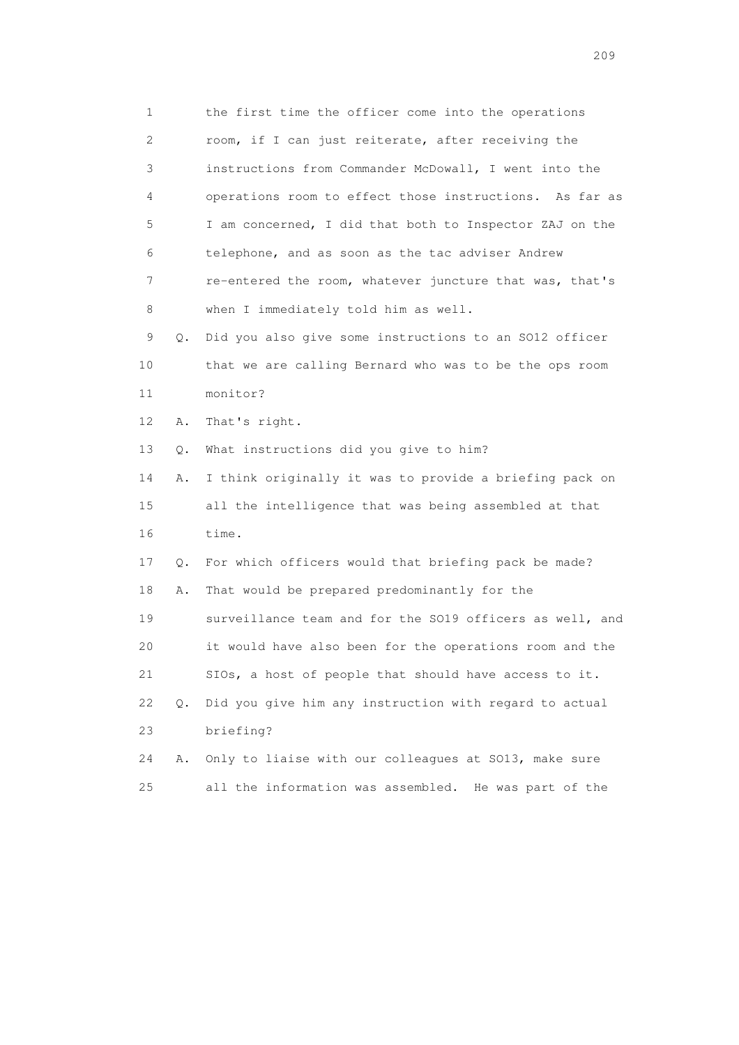1 the first time the officer come into the operations 2 room, if I can just reiterate, after receiving the 3 instructions from Commander McDowall, I went into the 4 operations room to effect those instructions. As far as 5 I am concerned, I did that both to Inspector ZAJ on the 6 telephone, and as soon as the tac adviser Andrew 7 re-entered the room, whatever juncture that was, that's 8 when I immediately told him as well. 9 Q. Did you also give some instructions to an SO12 officer 10 that we are calling Bernard who was to be the ops room 11 monitor? 12 A. That's right. 13 Q. What instructions did you give to him? 14 A. I think originally it was to provide a briefing pack on 15 all the intelligence that was being assembled at that 16 time. 17 Q. For which officers would that briefing pack be made? 18 A. That would be prepared predominantly for the 19 surveillance team and for the SO19 officers as well, and 20 it would have also been for the operations room and the 21 SIOs, a host of people that should have access to it. 22 Q. Did you give him any instruction with regard to actual 23 briefing? 24 A. Only to liaise with our colleagues at SO13, make sure 25 all the information was assembled. He was part of the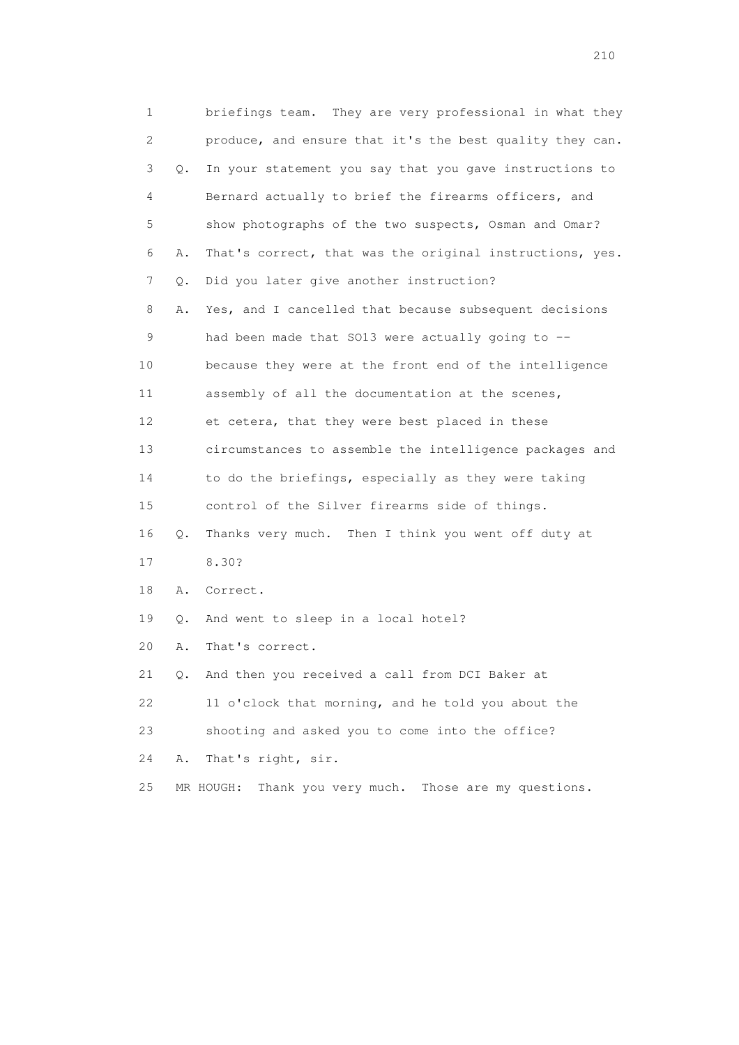| 1  |           | briefings team. They are very professional in what they   |
|----|-----------|-----------------------------------------------------------|
| 2  |           | produce, and ensure that it's the best quality they can.  |
| 3  | О.        | In your statement you say that you gave instructions to   |
| 4  |           | Bernard actually to brief the firearms officers, and      |
| 5  |           | show photographs of the two suspects, Osman and Omar?     |
| 6  | Α.        | That's correct, that was the original instructions, yes.  |
| 7  | Q.        | Did you later give another instruction?                   |
| 8  | Α.        | Yes, and I cancelled that because subsequent decisions    |
| 9  |           | had been made that SO13 were actually going to --         |
| 10 |           | because they were at the front end of the intelligence    |
| 11 |           | assembly of all the documentation at the scenes,          |
| 12 |           | et cetera, that they were best placed in these            |
| 13 |           | circumstances to assemble the intelligence packages and   |
| 14 |           | to do the briefings, especially as they were taking       |
| 15 |           | control of the Silver firearms side of things.            |
| 16 | Q.        | Thanks very much. Then I think you went off duty at       |
| 17 |           | 8.30?                                                     |
| 18 | Α.        | Correct.                                                  |
| 19 | Q.        | And went to sleep in a local hotel?                       |
| 20 | Α.        | That's correct.                                           |
| 21 | $\circ$ . | And then you received a call from DCI Baker at            |
| 22 |           | 11 o'clock that morning, and he told you about the        |
| 23 |           | shooting and asked you to come into the office?           |
| 24 | Α.        | That's right, sir.                                        |
| 25 |           | Thank you very much. Those are my questions.<br>MR HOUGH: |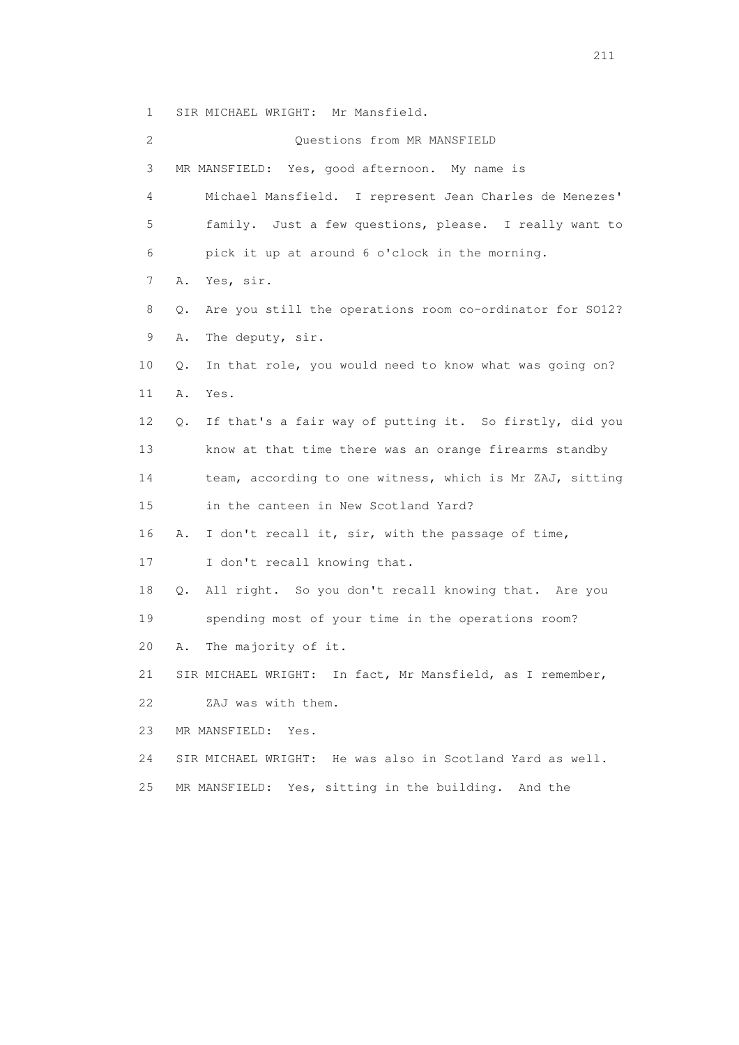1 SIR MICHAEL WRIGHT: Mr Mansfield.

 2 Questions from MR MANSFIELD 3 MR MANSFIELD: Yes, good afternoon. My name is 4 Michael Mansfield. I represent Jean Charles de Menezes' 5 family. Just a few questions, please. I really want to 6 pick it up at around 6 o'clock in the morning. 7 A. Yes, sir. 8 Q. Are you still the operations room co-ordinator for SO12? 9 A. The deputy, sir. 10 Q. In that role, you would need to know what was going on? 11 A. Yes. 12 Q. If that's a fair way of putting it. So firstly, did you 13 know at that time there was an orange firearms standby 14 team, according to one witness, which is Mr ZAJ, sitting 15 in the canteen in New Scotland Yard? 16 A. I don't recall it, sir, with the passage of time, 17 I don't recall knowing that. 18 Q. All right. So you don't recall knowing that. Are you 19 spending most of your time in the operations room? 20 A. The majority of it. 21 SIR MICHAEL WRIGHT: In fact, Mr Mansfield, as I remember, 22 ZAJ was with them. 23 MR MANSFIELD: Yes. 24 SIR MICHAEL WRIGHT: He was also in Scotland Yard as well. 25 MR MANSFIELD: Yes, sitting in the building. And the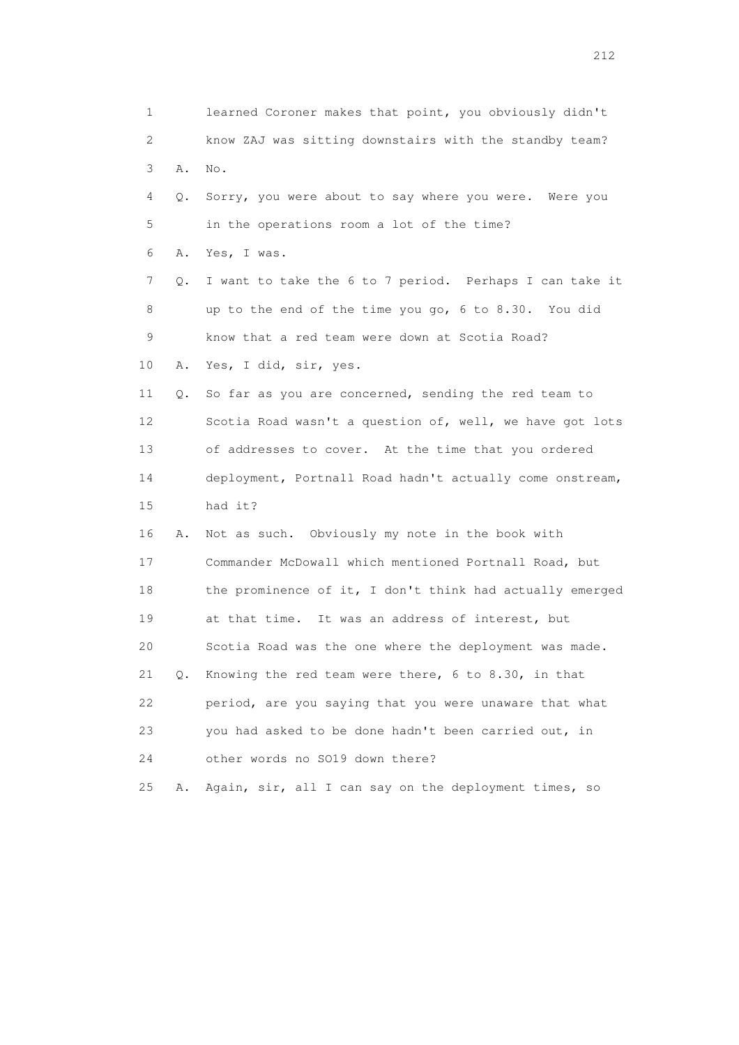1 learned Coroner makes that point, you obviously didn't 2 know ZAJ was sitting downstairs with the standby team? 3 A. No. 4 Q. Sorry, you were about to say where you were. Were you 5 in the operations room a lot of the time? 6 A. Yes, I was. 7 Q. I want to take the 6 to 7 period. Perhaps I can take it 8 up to the end of the time you go, 6 to 8.30. You did 9 know that a red team were down at Scotia Road? 10 A. Yes, I did, sir, yes. 11 Q. So far as you are concerned, sending the red team to 12 Scotia Road wasn't a question of, well, we have got lots 13 of addresses to cover. At the time that you ordered 14 deployment, Portnall Road hadn't actually come onstream, 15 had it? 16 A. Not as such. Obviously my note in the book with 17 Commander McDowall which mentioned Portnall Road, but 18 the prominence of it, I don't think had actually emerged 19 at that time. It was an address of interest, but 20 Scotia Road was the one where the deployment was made. 21 Q. Knowing the red team were there, 6 to 8.30, in that 22 period, are you saying that you were unaware that what 23 you had asked to be done hadn't been carried out, in 24 other words no SO19 down there? 25 A. Again, sir, all I can say on the deployment times, so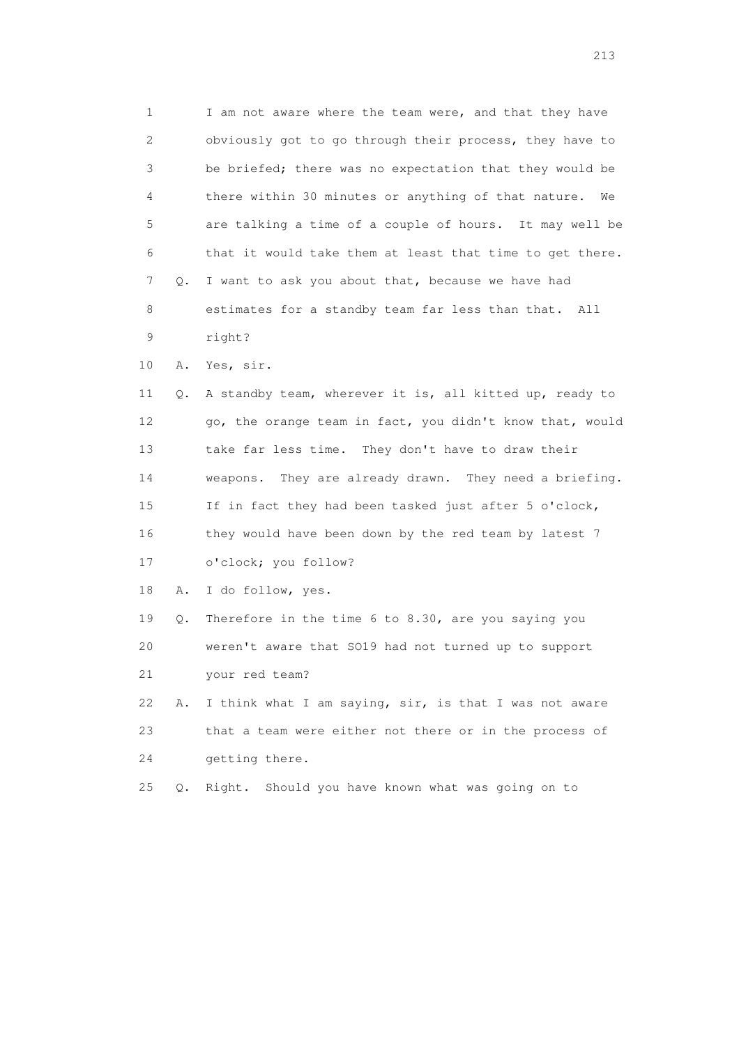1 I am not aware where the team were, and that they have 2 obviously got to go through their process, they have to 3 be briefed; there was no expectation that they would be 4 there within 30 minutes or anything of that nature. We 5 are talking a time of a couple of hours. It may well be 6 that it would take them at least that time to get there. 7 Q. I want to ask you about that, because we have had 8 estimates for a standby team far less than that. All 9 right?

10 A. Yes, sir.

 11 Q. A standby team, wherever it is, all kitted up, ready to 12 go, the orange team in fact, you didn't know that, would 13 take far less time. They don't have to draw their 14 weapons. They are already drawn. They need a briefing. 15 If in fact they had been tasked just after 5 o'clock, 16 they would have been down by the red team by latest 7 17 o'clock; you follow?

18 A. I do follow, yes.

 19 Q. Therefore in the time 6 to 8.30, are you saying you 20 weren't aware that SO19 had not turned up to support 21 your red team?

22 A. I think what I am saying,  $\sin$ , is that I was not aware 23 that a team were either not there or in the process of 24 getting there.

25 Q. Right. Should you have known what was going on to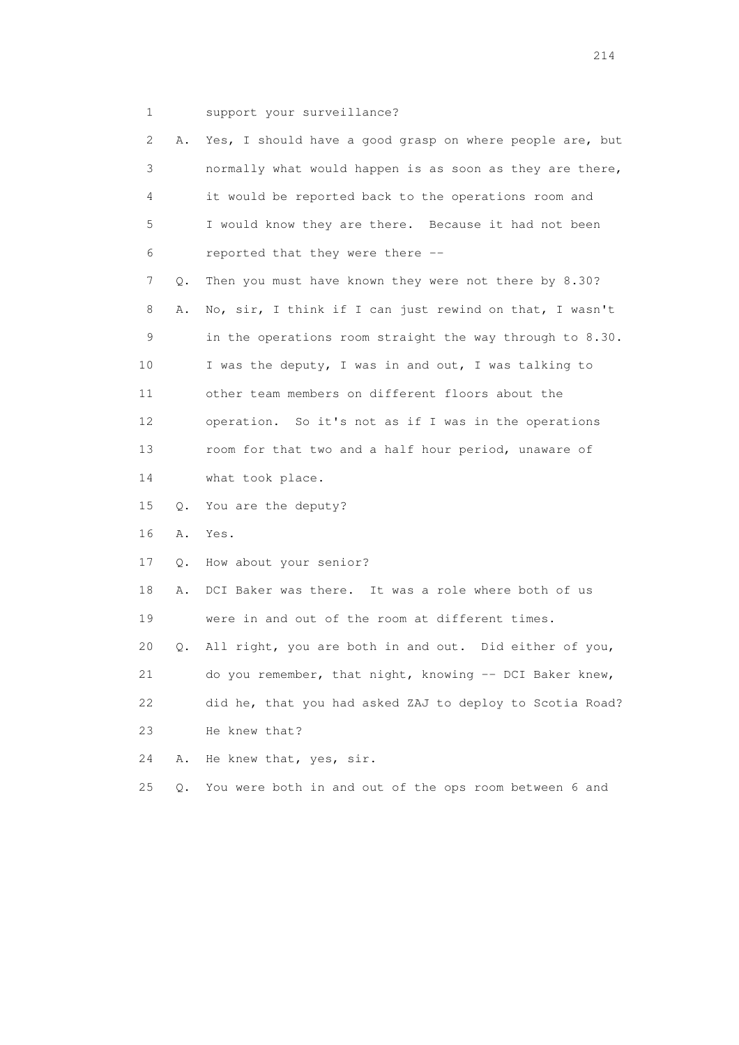1 support your surveillance?

|    | 2<br>Α. | Yes, I should have a good grasp on where people are, but |
|----|---------|----------------------------------------------------------|
|    |         |                                                          |
|    | 3       | normally what would happen is as soon as they are there, |
|    | 4       | it would be reported back to the operations room and     |
|    | 5       | I would know they are there. Because it had not been     |
|    | 6       | reported that they were there --                         |
|    | 7<br>Q. | Then you must have known they were not there by 8.30?    |
|    | 8<br>Α. | No, sir, I think if I can just rewind on that, I wasn't  |
|    | 9       | in the operations room straight the way through to 8.30. |
| 10 |         | I was the deputy, I was in and out, I was talking to     |
| 11 |         | other team members on different floors about the         |
| 12 |         | operation. So it's not as if I was in the operations     |
| 13 |         | room for that two and a half hour period, unaware of     |
| 14 |         | what took place.                                         |
| 15 | Q.      | You are the deputy?                                      |
| 16 | Α.      | Yes.                                                     |
| 17 | Q.      | How about your senior?                                   |
| 18 | Α.      | DCI Baker was there. It was a role where both of us      |
| 19 |         | were in and out of the room at different times.          |
| 20 | Q.      | All right, you are both in and out. Did either of you,   |
| 21 |         | do you remember, that night, knowing -- DCI Baker knew,  |
| 22 |         | did he, that you had asked ZAJ to deploy to Scotia Road? |
| 23 |         | He knew that?                                            |
| 24 | Α.      | He knew that, yes, sir.                                  |
| 25 | Q.      | You were both in and out of the ops room between 6 and   |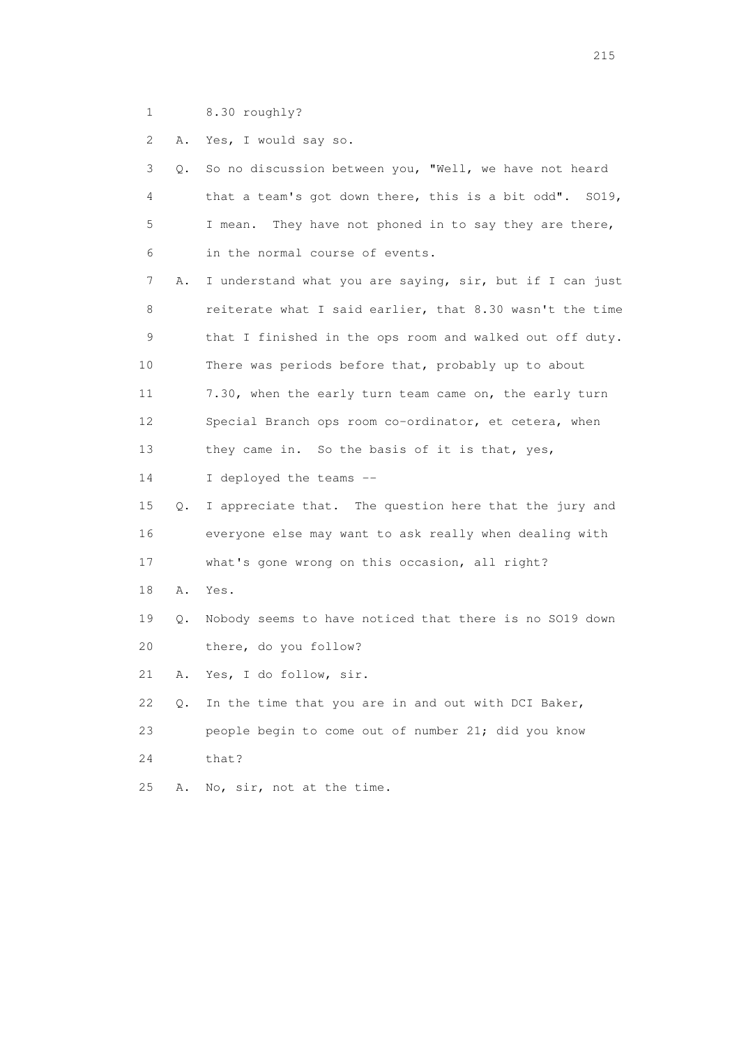1 8.30 roughly?

2 A. Yes, I would say so.

| 3               | So no discussion between you, "Well, we have not heard<br>О.   |
|-----------------|----------------------------------------------------------------|
| 4               | that a team's got down there, this is a bit odd". SO19,        |
| 5               | They have not phoned in to say they are there,<br>I mean.      |
| 6               | in the normal course of events.                                |
| 7               | I understand what you are saying, sir, but if I can just<br>Α. |
| 8               | reiterate what I said earlier, that 8.30 wasn't the time       |
| 9               | that I finished in the ops room and walked out off duty.       |
| 10              | There was periods before that, probably up to about            |
| 11              | 7.30, when the early turn team came on, the early turn         |
| 12 <sup>°</sup> | Special Branch ops room co-ordinator, et cetera, when          |
| 13              | they came in. So the basis of it is that, yes,                 |
| 14              | I deployed the teams --                                        |
| 15              | I appreciate that. The question here that the jury and<br>Q.   |
| 16              | everyone else may want to ask really when dealing with         |
| 17              | what's gone wrong on this occasion, all right?                 |
| 18              | Α.<br>Yes.                                                     |
| 19              | Nobody seems to have noticed that there is no SO19 down<br>Q.  |
| 20              | there, do you follow?                                          |
| 21              | Yes, I do follow, sir.<br>Α.                                   |
| 22              | In the time that you are in and out with DCI Baker,<br>Q.      |
| 23              | people begin to come out of number 21; did you know            |
| 24              | that?                                                          |
| 25              | No, sir, not at the time.<br>Α.                                |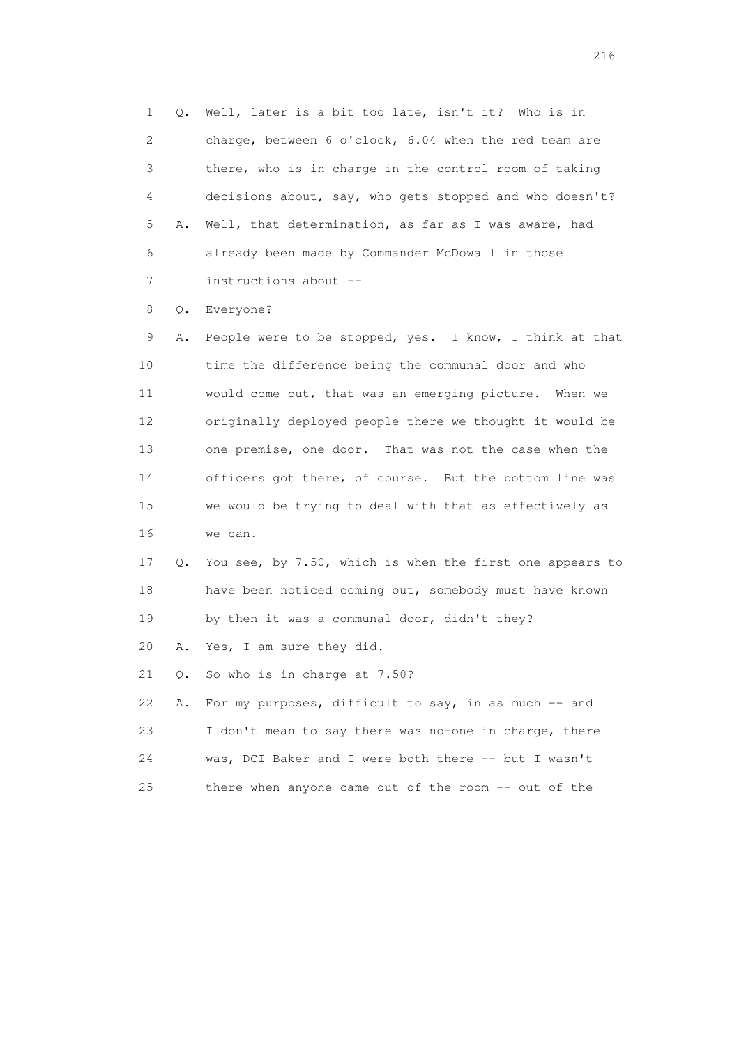1 Q. Well, later is a bit too late, isn't it? Who is in 2 charge, between 6 o'clock, 6.04 when the red team are 3 there, who is in charge in the control room of taking 4 decisions about, say, who gets stopped and who doesn't? 5 A. Well, that determination, as far as I was aware, had 6 already been made by Commander McDowall in those 7 instructions about --

8 Q. Everyone?

 9 A. People were to be stopped, yes. I know, I think at that 10 time the difference being the communal door and who 11 would come out, that was an emerging picture. When we 12 originally deployed people there we thought it would be 13 one premise, one door. That was not the case when the 14 officers got there, of course. But the bottom line was 15 we would be trying to deal with that as effectively as 16 we can.

 17 Q. You see, by 7.50, which is when the first one appears to 18 have been noticed coming out, somebody must have known 19 by then it was a communal door, didn't they?

20 A. Yes, I am sure they did.

21 Q. So who is in charge at 7.50?

|    | 22 A. For my purposes, difficult to say, in as much -- and |
|----|------------------------------------------------------------|
| 23 | I don't mean to say there was no-one in charge, there      |
| 24 | was, DCI Baker and I were both there -- but I wasn't       |
| 25 | there when anyone came out of the room -- out of the       |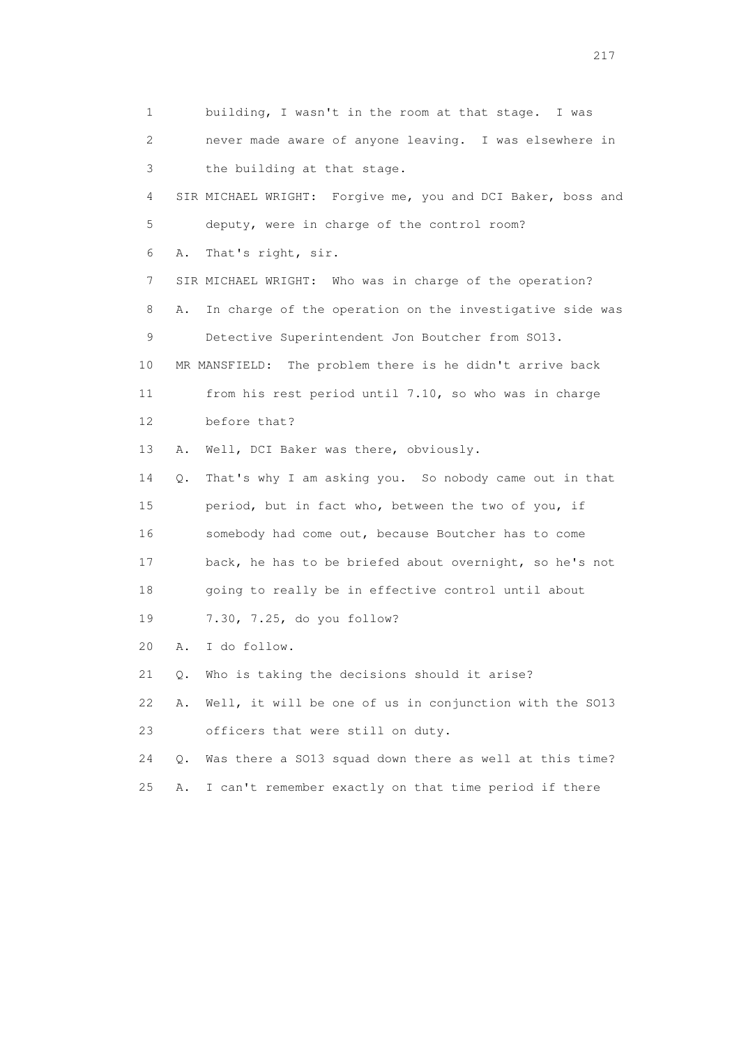1 building, I wasn't in the room at that stage. I was 2 never made aware of anyone leaving. I was elsewhere in 3 the building at that stage. 4 SIR MICHAEL WRIGHT: Forgive me, you and DCI Baker, boss and 5 deputy, were in charge of the control room? 6 A. That's right, sir. 7 SIR MICHAEL WRIGHT: Who was in charge of the operation? 8 A. In charge of the operation on the investigative side was 9 Detective Superintendent Jon Boutcher from SO13. 10 MR MANSFIELD: The problem there is he didn't arrive back 11 from his rest period until 7.10, so who was in charge 12 before that? 13 A. Well, DCI Baker was there, obviously. 14 Q. That's why I am asking you. So nobody came out in that 15 period, but in fact who, between the two of you, if 16 somebody had come out, because Boutcher has to come 17 back, he has to be briefed about overnight, so he's not 18 going to really be in effective control until about 19 7.30, 7.25, do you follow? 20 A. I do follow. 21 Q. Who is taking the decisions should it arise? 22 A. Well, it will be one of us in conjunction with the SO13 23 officers that were still on duty. 24 Q. Was there a SO13 squad down there as well at this time? 25 A. I can't remember exactly on that time period if there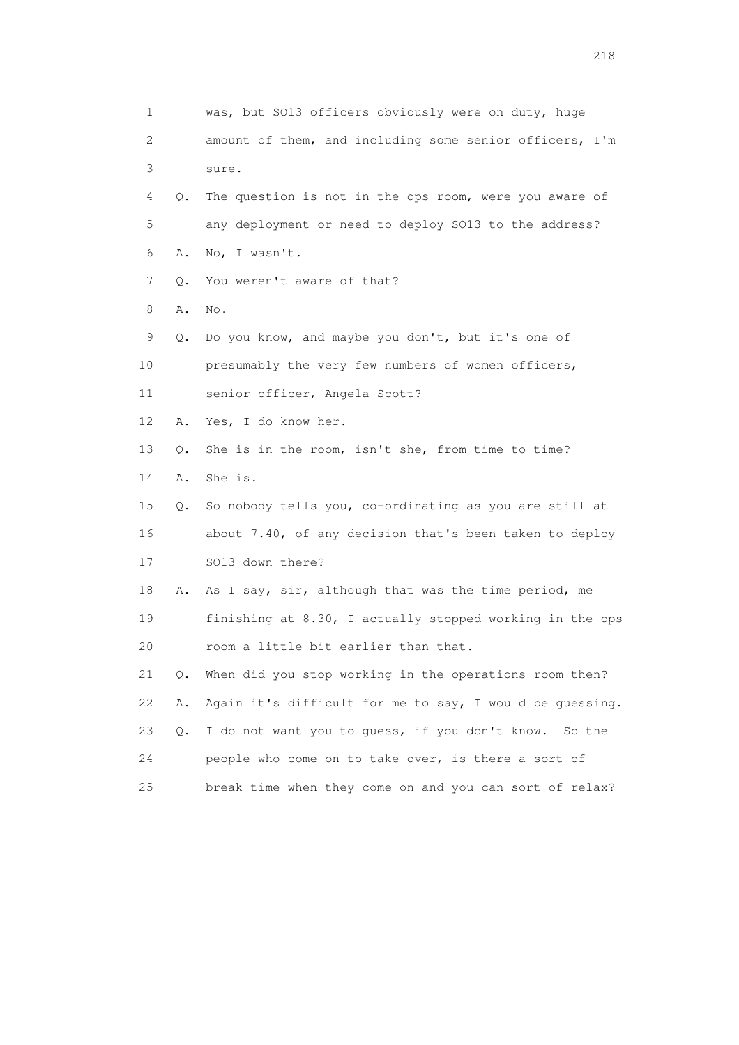1 was, but SO13 officers obviously were on duty, huge 2 amount of them, and including some senior officers, I'm 3 sure. 4 Q. The question is not in the ops room, were you aware of 5 any deployment or need to deploy SO13 to the address? 6 A. No, I wasn't. 7 Q. You weren't aware of that? 8 A. No. 9 Q. Do you know, and maybe you don't, but it's one of 10 presumably the very few numbers of women officers, 11 senior officer, Angela Scott? 12 A. Yes, I do know her. 13 Q. She is in the room, isn't she, from time to time? 14 A. She is. 15 Q. So nobody tells you, co-ordinating as you are still at 16 about 7.40, of any decision that's been taken to deploy 17 SO13 down there? 18 A. As I say, sir, although that was the time period, me 19 finishing at 8.30, I actually stopped working in the ops 20 room a little bit earlier than that. 21 Q. When did you stop working in the operations room then? 22 A. Again it's difficult for me to say, I would be guessing. 23 Q. I do not want you to guess, if you don't know. So the 24 people who come on to take over, is there a sort of 25 break time when they come on and you can sort of relax?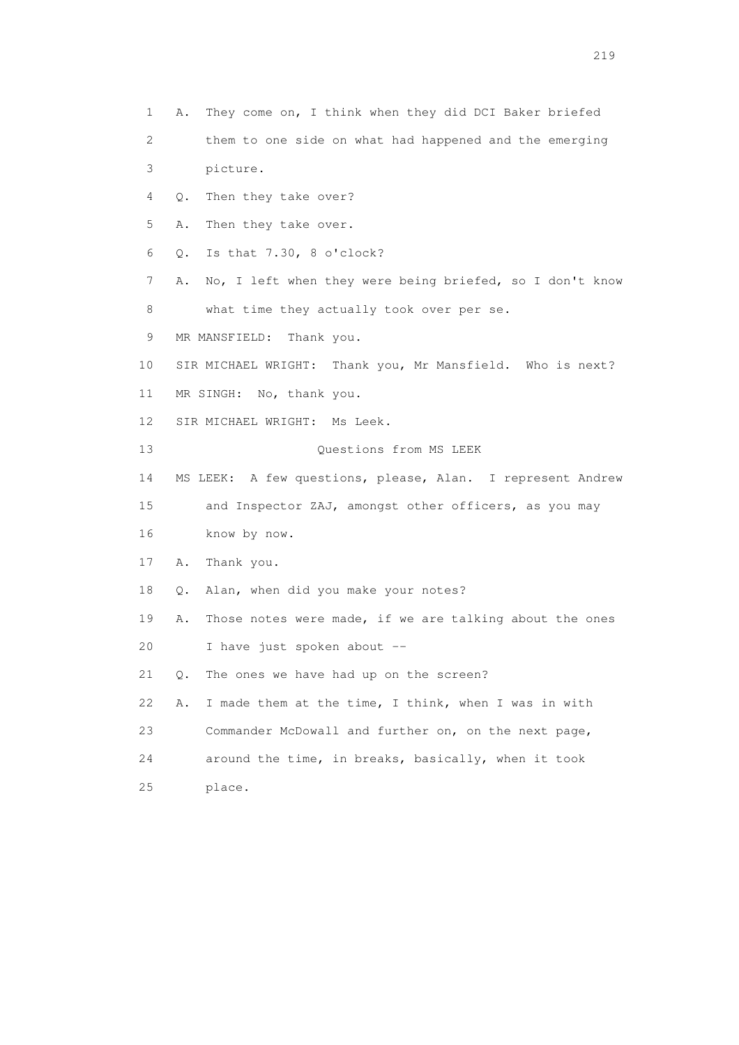- 1 A. They come on, I think when they did DCI Baker briefed
- 2 them to one side on what had happened and the emerging 3 picture.
- 4 Q. Then they take over?
- 5 A. Then they take over.
- 6 Q. Is that 7.30, 8 o'clock?
- 7 A. No, I left when they were being briefed, so I don't know 8 what time they actually took over per se.
- 9 MR MANSFIELD: Thank you.
- 10 SIR MICHAEL WRIGHT: Thank you, Mr Mansfield. Who is next?
- 11 MR SINGH: No, thank you.
- 12 SIR MICHAEL WRIGHT: Ms Leek.
- 13 Ouestions from MS LEEK
- 14 MS LEEK: A few questions, please, Alan. I represent Andrew
- 15 and Inspector ZAJ, amongst other officers, as you may 16 know by now.
- 17 A. Thank you.
- 18 Q. Alan, when did you make your notes?
- 19 A. Those notes were made, if we are talking about the ones 20 I have just spoken about --
- 21 Q. The ones we have had up on the screen?
- 22 A. I made them at the time, I think, when I was in with 23 Commander McDowall and further on, on the next page, 24 around the time, in breaks, basically, when it took 25 place.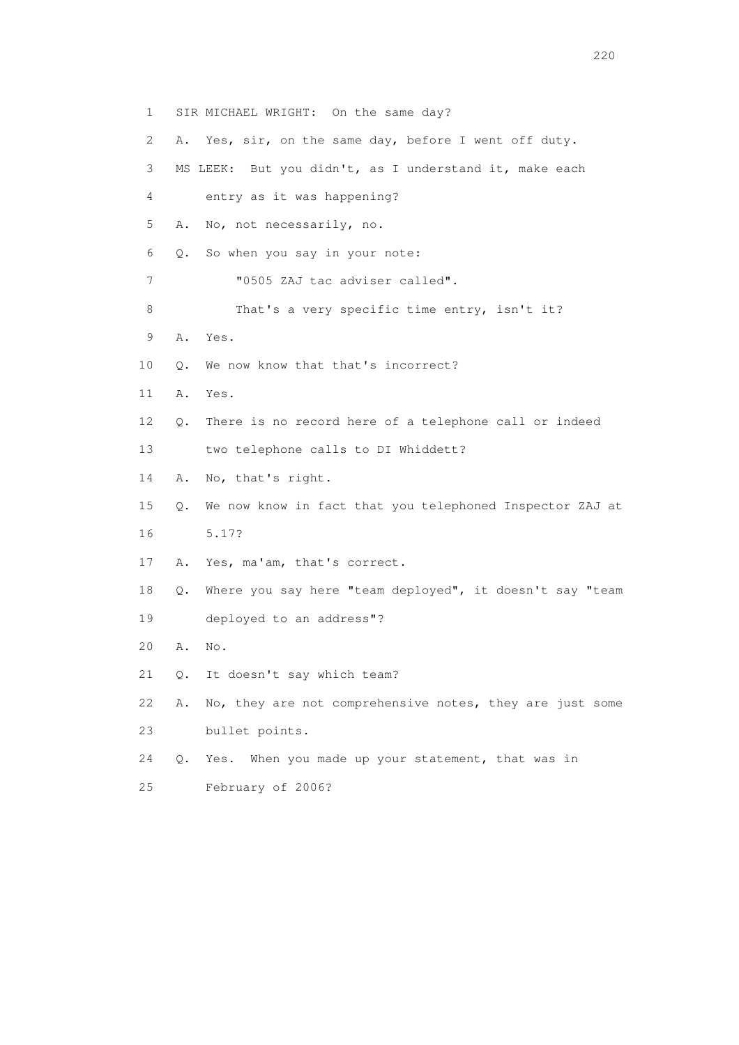1 SIR MICHAEL WRIGHT: On the same day? 2 A. Yes, sir, on the same day, before I went off duty. 3 MS LEEK: But you didn't, as I understand it, make each 4 entry as it was happening? 5 A. No, not necessarily, no. 6 Q. So when you say in your note: 7 "0505 ZAJ tac adviser called". 8 That's a very specific time entry, isn't it? 9 A. Yes. 10 Q. We now know that that's incorrect? 11 A. Yes. 12 Q. There is no record here of a telephone call or indeed 13 two telephone calls to DI Whiddett? 14 A. No, that's right. 15 Q. We now know in fact that you telephoned Inspector ZAJ at 16 5.17? 17 A. Yes, ma'am, that's correct. 18 Q. Where you say here "team deployed", it doesn't say "team 19 deployed to an address"? 20 A. No. 21 Q. It doesn't say which team? 22 A. No, they are not comprehensive notes, they are just some 23 bullet points. 24 Q. Yes. When you made up your statement, that was in

25 February of 2006?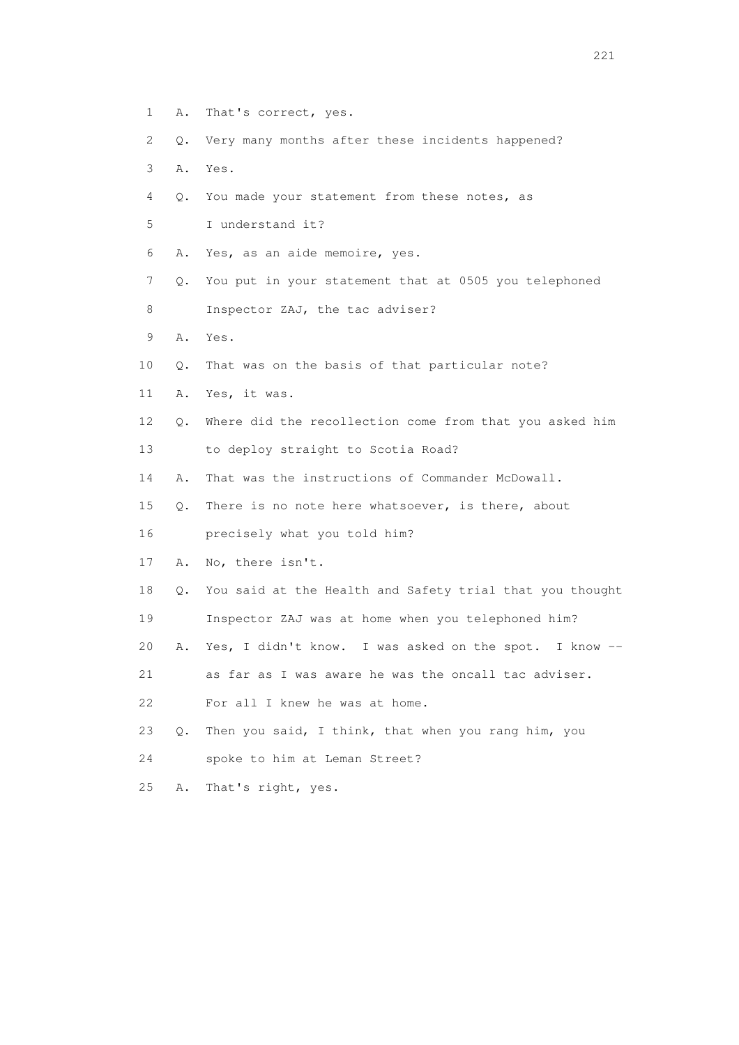- 1 A. That's correct, yes.
- 2 Q. Very many months after these incidents happened?
- 3 A. Yes.
- 4 Q. You made your statement from these notes, as
- 5 I understand it?
- 6 A. Yes, as an aide memoire, yes.
- 7 Q. You put in your statement that at 0505 you telephoned
- 8 Inspector ZAJ, the tac adviser?
- 9 A. Yes.
- 10 Q. That was on the basis of that particular note?
- 11 A. Yes, it was.
- 12 Q. Where did the recollection come from that you asked him
- 13 to deploy straight to Scotia Road?
- 14 A. That was the instructions of Commander McDowall.
- 15 Q. There is no note here whatsoever, is there, about
- 16 precisely what you told him?
- 17 A. No, there isn't.
- 18 Q. You said at the Health and Safety trial that you thought
- 19 Inspector ZAJ was at home when you telephoned him?
- 20 A. Yes, I didn't know. I was asked on the spot. I know --

21 as far as I was aware he was the oncall tac adviser.

- 22 For all I knew he was at home.
- 23 Q. Then you said, I think, that when you rang him, you
- 24 spoke to him at Leman Street?
- 25 A. That's right, yes.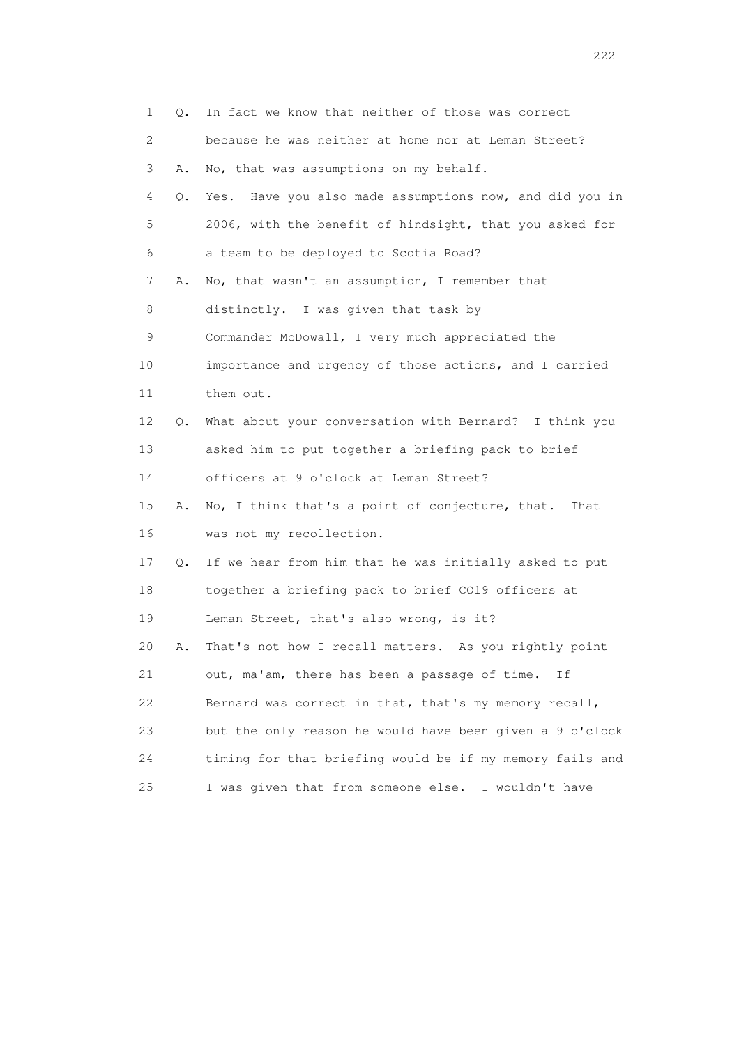| 1    | $\circ$ .     | In fact we know that neither of those was correct        |
|------|---------------|----------------------------------------------------------|
| 2    |               | because he was neither at home nor at Leman Street?      |
| 3    | Α.            | No, that was assumptions on my behalf.                   |
| 4    | $Q_{\bullet}$ | Yes. Have you also made assumptions now, and did you in  |
| 5    |               | 2006, with the benefit of hindsight, that you asked for  |
| 6    |               | a team to be deployed to Scotia Road?                    |
| 7    | Α.            | No, that wasn't an assumption, I remember that           |
| 8    |               | distinctly. I was given that task by                     |
| 9    |               | Commander McDowall, I very much appreciated the          |
| 10   |               | importance and urgency of those actions, and I carried   |
| 11   |               | them out.                                                |
| 12   | Q.            | What about your conversation with Bernard? I think you   |
| 13   |               | asked him to put together a briefing pack to brief       |
| 14   |               | officers at 9 o'clock at Leman Street?                   |
| 15   | Α.            | No, I think that's a point of conjecture, that. That     |
| 16   |               | was not my recollection.                                 |
| 17   | Q.            | If we hear from him that he was initially asked to put   |
| 18   |               | together a briefing pack to brief CO19 officers at       |
| 19   |               | Leman Street, that's also wrong, is it?                  |
| 20   | Α.            | That's not how I recall matters. As you rightly point    |
| 21   |               | out, ma'am, there has been a passage of time.<br>Ιf      |
| 22   |               | Bernard was correct in that, that's my memory recall,    |
| 23   |               | but the only reason he would have been given a 9 o'clock |
| 24   |               | timing for that briefing would be if my memory fails and |
| $25$ |               | I was given that from someone else. I wouldn't have      |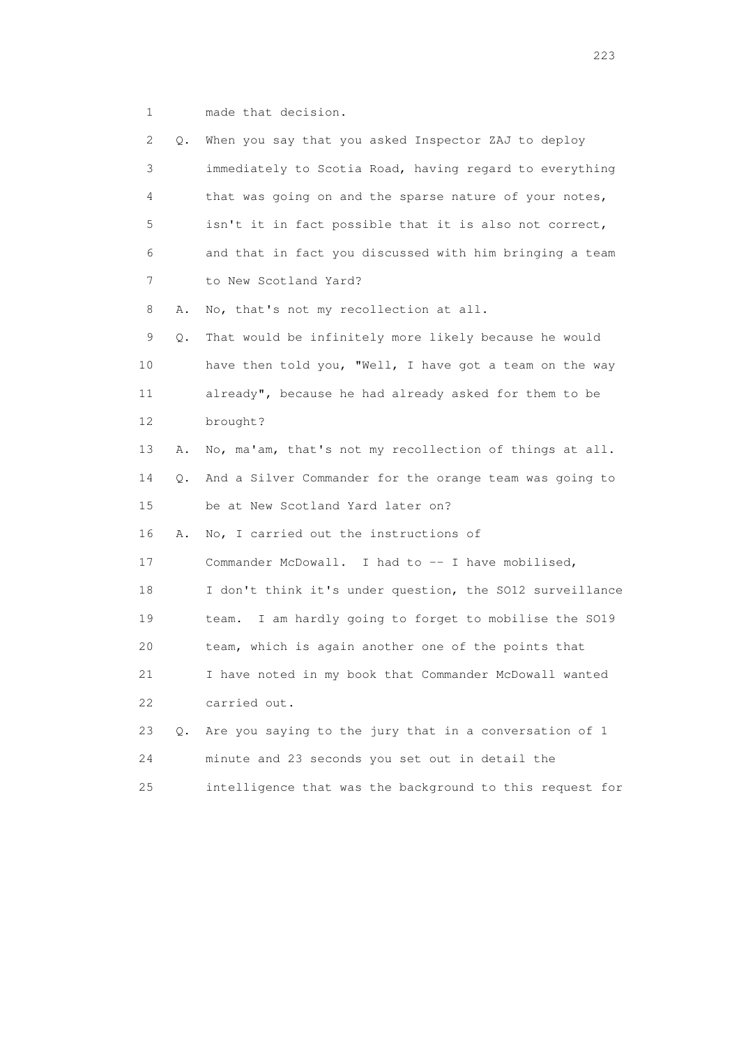1 made that decision.

| 2  | Q. | When you say that you asked Inspector ZAJ to deploy       |
|----|----|-----------------------------------------------------------|
| 3  |    | immediately to Scotia Road, having regard to everything   |
| 4  |    | that was going on and the sparse nature of your notes,    |
| 5  |    | isn't it in fact possible that it is also not correct,    |
| 6  |    | and that in fact you discussed with him bringing a team   |
| 7  |    | to New Scotland Yard?                                     |
| 8  | Α. | No, that's not my recollection at all.                    |
| 9  | Q. | That would be infinitely more likely because he would     |
| 10 |    | have then told you, "Well, I have got a team on the way   |
| 11 |    | already", because he had already asked for them to be     |
| 12 |    | brought?                                                  |
| 13 | Α. | No, ma'am, that's not my recollection of things at all.   |
| 14 | Q. | And a Silver Commander for the orange team was going to   |
| 15 |    | be at New Scotland Yard later on?                         |
| 16 | Α. | No, I carried out the instructions of                     |
| 17 |    | Commander McDowall. I had to -- I have mobilised,         |
| 18 |    | I don't think it's under question, the SO12 surveillance  |
| 19 |    | I am hardly going to forget to mobilise the SO19<br>team. |
| 20 |    | team, which is again another one of the points that       |
| 21 |    | I have noted in my book that Commander McDowall wanted    |
| 22 |    | carried out.                                              |
| 23 | О. | Are you saying to the jury that in a conversation of 1    |
| 24 |    | minute and 23 seconds you set out in detail the           |
| 25 |    | intelligence that was the background to this request for  |

<u>223</u>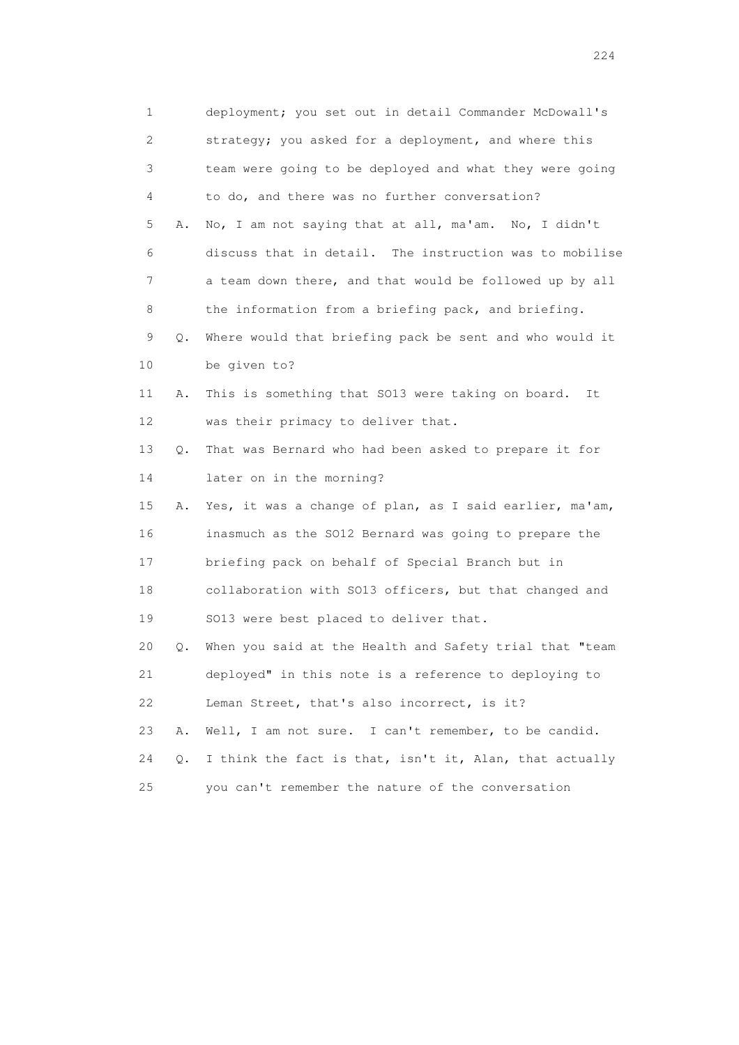| $\mathbf 1$    |           | deployment; you set out in detail Commander McDowall's  |
|----------------|-----------|---------------------------------------------------------|
| $\overline{c}$ |           | strategy; you asked for a deployment, and where this    |
| 3              |           | team were going to be deployed and what they were going |
| 4              |           | to do, and there was no further conversation?           |
| 5              | Α.        | No, I am not saying that at all, ma'am. No, I didn't    |
| 6              |           | discuss that in detail. The instruction was to mobilise |
| 7              |           | a team down there, and that would be followed up by all |
| 8              |           | the information from a briefing pack, and briefing.     |
| 9              | Q.        | Where would that briefing pack be sent and who would it |
| 10             |           | be given to?                                            |
| 11             | Α.        | This is something that SO13 were taking on board.<br>It |
| 12             |           | was their primacy to deliver that.                      |
| 13             | $Q$ .     | That was Bernard who had been asked to prepare it for   |
| 14             |           | later on in the morning?                                |
| 15             | Α.        | Yes, it was a change of plan, as I said earlier, ma'am, |
| 16             |           | inasmuch as the SO12 Bernard was going to prepare the   |
| 17             |           | briefing pack on behalf of Special Branch but in        |
| 18             |           | collaboration with S013 officers, but that changed and  |
| 19             |           | SO13 were best placed to deliver that.                  |
| 20             | $\circ$ . | When you said at the Health and Safety trial that "team |
| 21             |           | deployed" in this note is a reference to deploying to   |
| 22             |           | Leman Street, that's also incorrect, is it?             |
| 23             | Α.        | Well, I am not sure. I can't remember, to be candid.    |
| 24             | Q.        | I think the fact is that, isn't it, Alan, that actually |
| 25             |           | you can't remember the nature of the conversation       |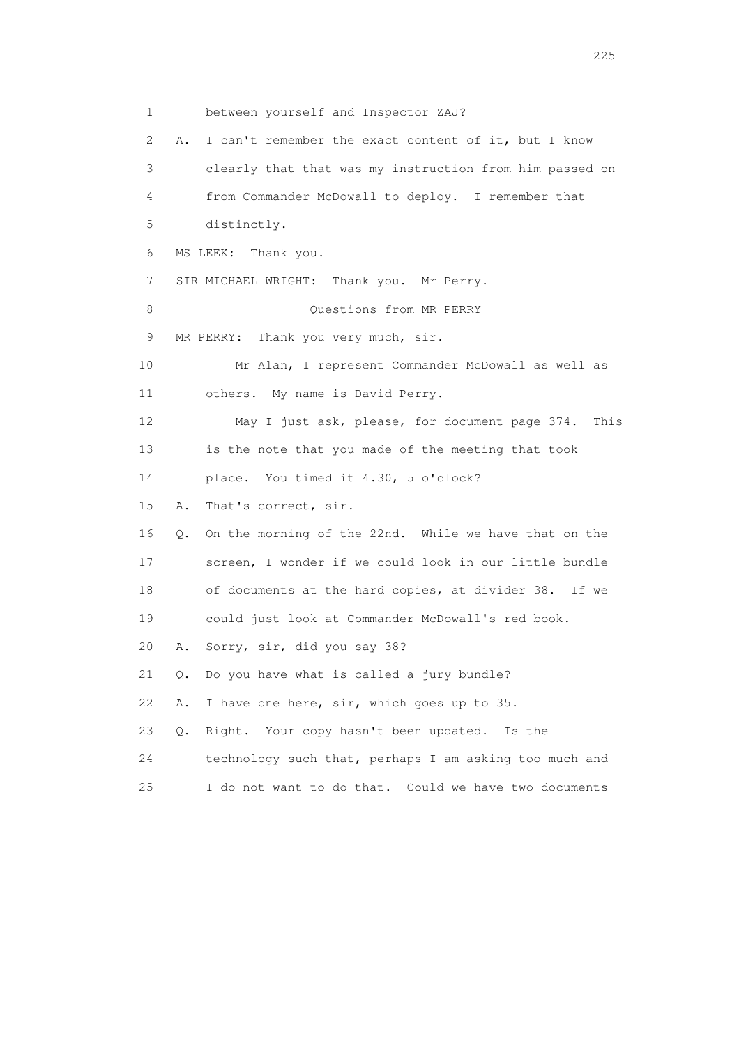1 between yourself and Inspector ZAJ? 2 A. I can't remember the exact content of it, but I know 3 clearly that that was my instruction from him passed on 4 from Commander McDowall to deploy. I remember that 5 distinctly. 6 MS LEEK: Thank you. 7 SIR MICHAEL WRIGHT: Thank you. Mr Perry. 8 Ouestions from MR PERRY 9 MR PERRY: Thank you very much, sir. 10 Mr Alan, I represent Commander McDowall as well as 11 others. My name is David Perry. 12 May I just ask, please, for document page 374. This 13 is the note that you made of the meeting that took 14 place. You timed it 4.30, 5 o'clock? 15 A. That's correct, sir. 16 Q. On the morning of the 22nd. While we have that on the 17 screen, I wonder if we could look in our little bundle 18 of documents at the hard copies, at divider 38. If we 19 could just look at Commander McDowall's red book. 20 A. Sorry, sir, did you say 38? 21 Q. Do you have what is called a jury bundle? 22 A. I have one here, sir, which goes up to 35. 23 Q. Right. Your copy hasn't been updated. Is the 24 technology such that, perhaps I am asking too much and 25 I do not want to do that. Could we have two documents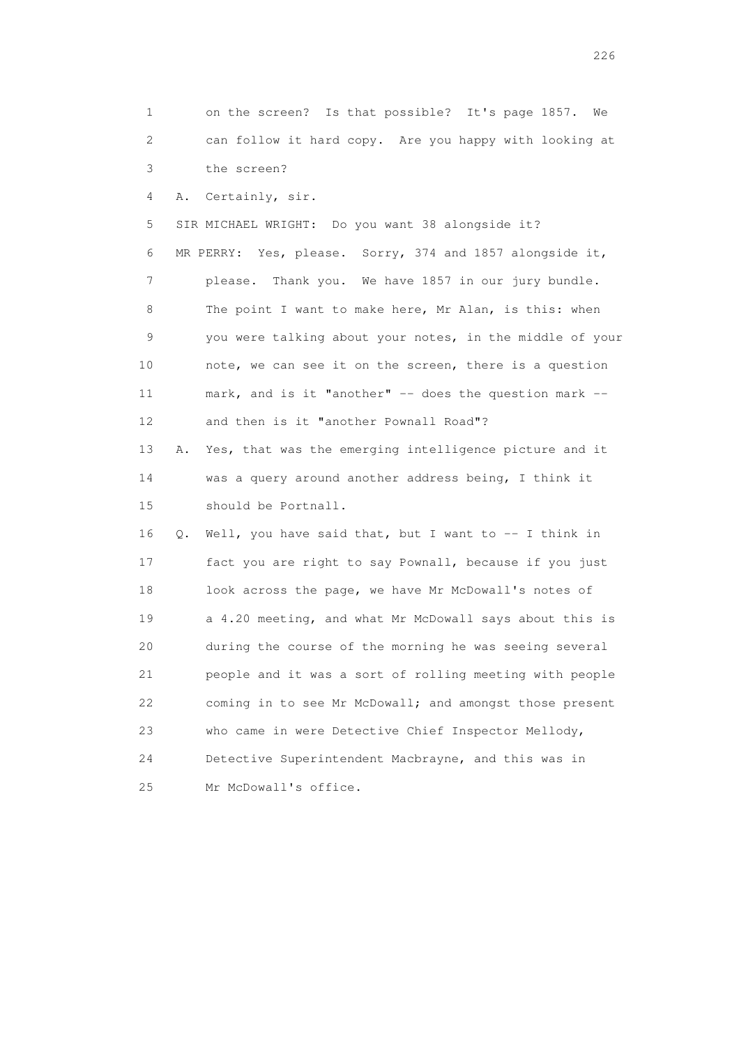1 on the screen? Is that possible? It's page 1857. We 2 can follow it hard copy. Are you happy with looking at 3 the screen?

4 A. Certainly, sir.

 5 SIR MICHAEL WRIGHT: Do you want 38 alongside it? 6 MR PERRY: Yes, please. Sorry, 374 and 1857 alongside it, 7 please. Thank you. We have 1857 in our jury bundle. 8 The point I want to make here, Mr Alan, is this: when 9 you were talking about your notes, in the middle of your 10 note, we can see it on the screen, there is a question 11 mark, and is it "another" -- does the question mark -- 12 and then is it "another Pownall Road"?

 13 A. Yes, that was the emerging intelligence picture and it 14 was a query around another address being, I think it 15 should be Portnall.

 16 Q. Well, you have said that, but I want to -- I think in 17 fact you are right to say Pownall, because if you just 18 look across the page, we have Mr McDowall's notes of 19 a 4.20 meeting, and what Mr McDowall says about this is 20 during the course of the morning he was seeing several 21 people and it was a sort of rolling meeting with people 22 coming in to see Mr McDowall; and amongst those present 23 who came in were Detective Chief Inspector Mellody, 24 Detective Superintendent Macbrayne, and this was in 25 Mr McDowall's office.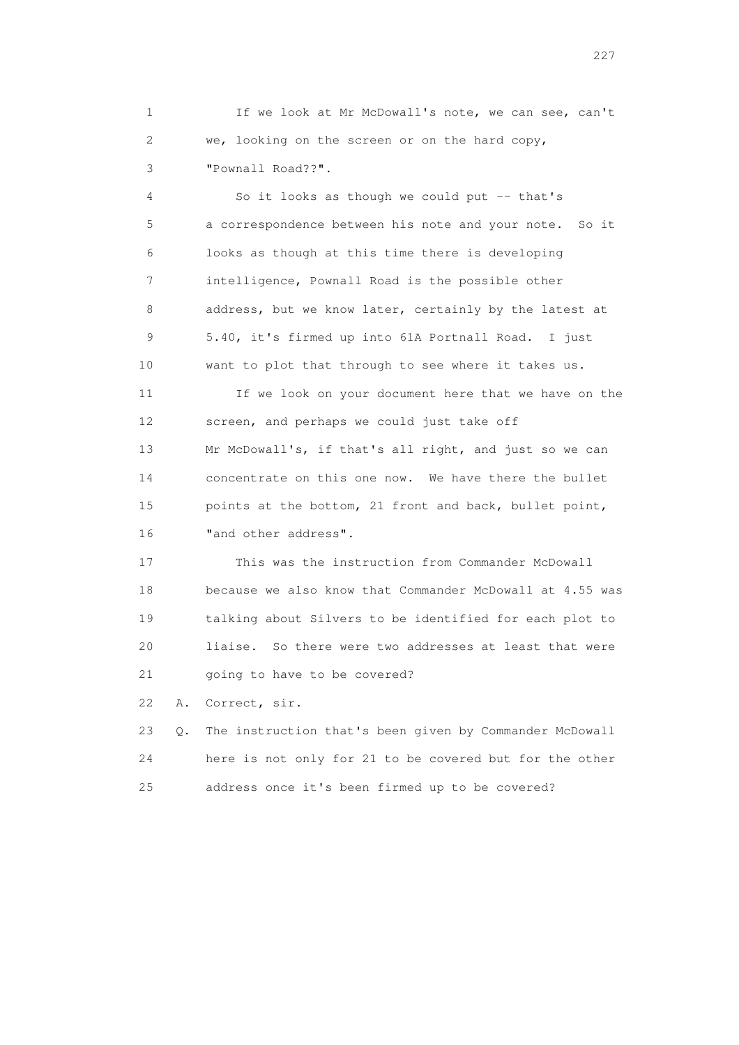1 If we look at Mr McDowall's note, we can see, can't 2 we, looking on the screen or on the hard copy, 3 "Pownall Road??".

 4 So it looks as though we could put -- that's 5 a correspondence between his note and your note. So it 6 looks as though at this time there is developing 7 intelligence, Pownall Road is the possible other 8 address, but we know later, certainly by the latest at 9 5.40, it's firmed up into 61A Portnall Road. I just 10 want to plot that through to see where it takes us.

 11 If we look on your document here that we have on the 12 screen, and perhaps we could just take off 13 Mr McDowall's, if that's all right, and just so we can 14 concentrate on this one now. We have there the bullet 15 points at the bottom, 21 front and back, bullet point, 16 **"**and other address".

 17 This was the instruction from Commander McDowall 18 because we also know that Commander McDowall at 4.55 was 19 talking about Silvers to be identified for each plot to 20 liaise. So there were two addresses at least that were 21 going to have to be covered?

22 A. Correct, sir.

 23 Q. The instruction that's been given by Commander McDowall 24 here is not only for 21 to be covered but for the other 25 address once it's been firmed up to be covered?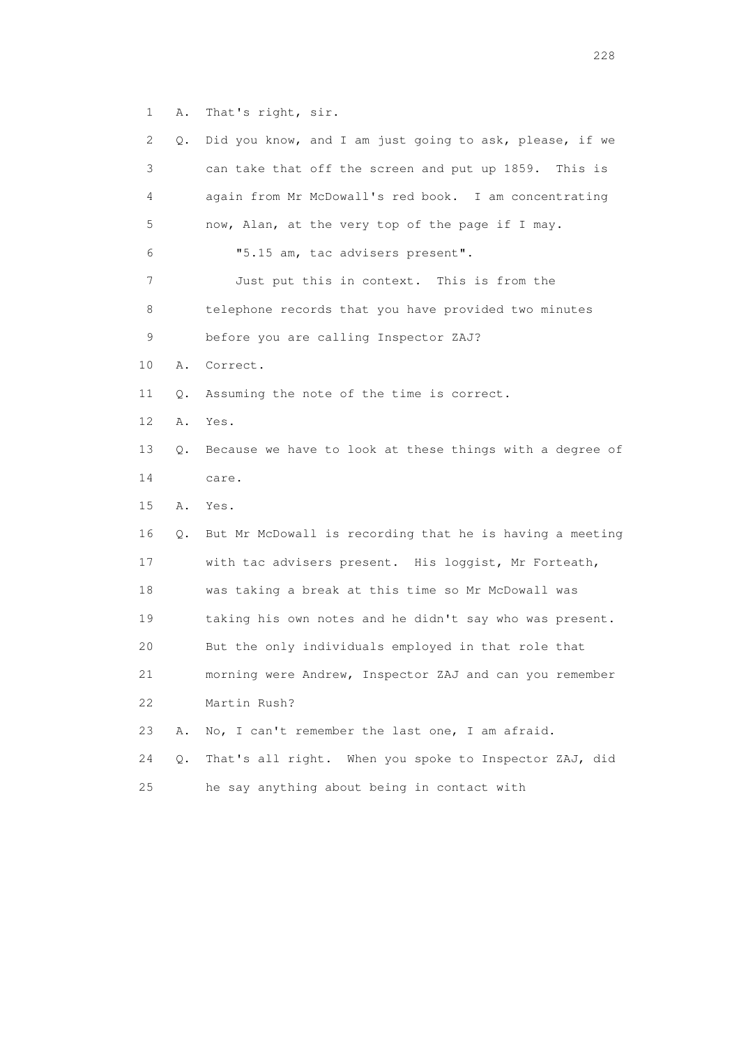1 A. That's right, sir.

| 2. | Q. | Did you know, and I am just going to ask, please, if we  |
|----|----|----------------------------------------------------------|
| 3  |    | can take that off the screen and put up 1859. This is    |
| 4  |    | again from Mr McDowall's red book. I am concentrating    |
| 5  |    | now, Alan, at the very top of the page if I may.         |
| 6  |    | "5.15 am, tac advisers present".                         |
| 7  |    | Just put this in context. This is from the               |
| 8  |    | telephone records that you have provided two minutes     |
| 9  |    | before you are calling Inspector ZAJ?                    |
| 10 | Α. | Correct.                                                 |
| 11 | Q. | Assuming the note of the time is correct.                |
| 12 | Α. | Yes.                                                     |
| 13 | Q. | Because we have to look at these things with a degree of |
| 14 |    | care.                                                    |
| 15 | Α. | Yes.                                                     |
| 16 | Q. | But Mr McDowall is recording that he is having a meeting |
| 17 |    | with tac advisers present. His loggist, Mr Forteath,     |
| 18 |    | was taking a break at this time so Mr McDowall was       |
| 19 |    | taking his own notes and he didn't say who was present.  |
| 20 |    | But the only individuals employed in that role that      |
| 21 |    | morning were Andrew, Inspector ZAJ and can you remember  |
| 22 |    | Martin Rush?                                             |
| 23 | Α. | No, I can't remember the last one, I am afraid.          |
| 24 | Q. | That's all right. When you spoke to Inspector ZAJ, did   |
| 25 |    | he say anything about being in contact with              |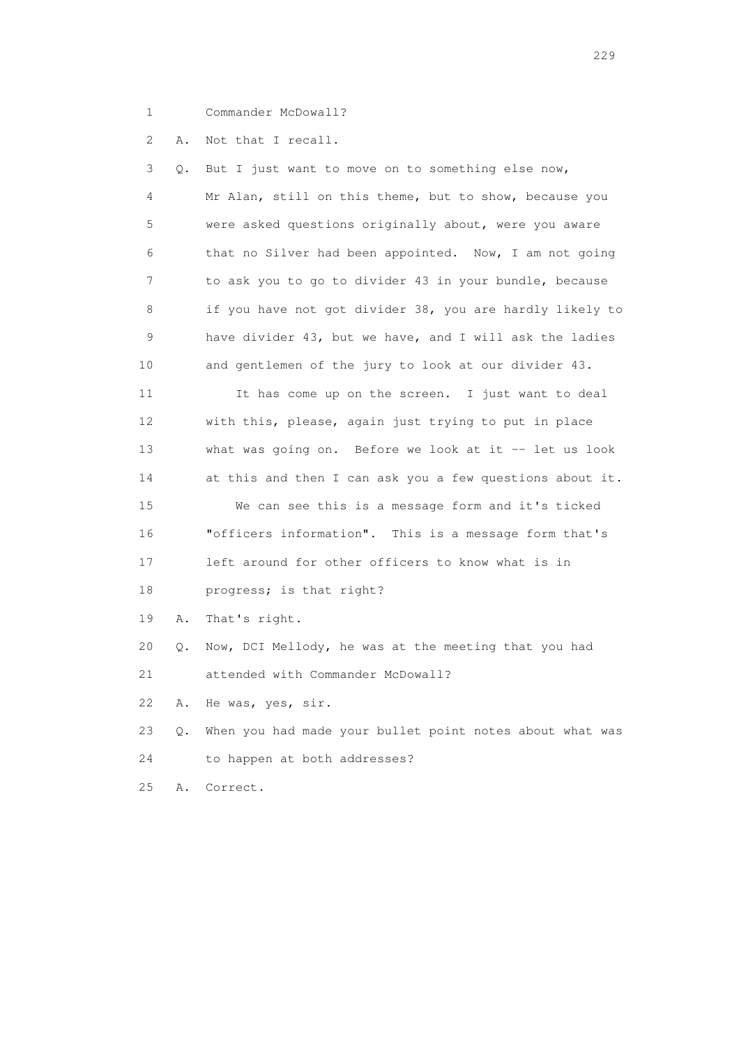- 
- 1 Commander McDowall?

2 A. Not that I recall.

 3 Q. But I just want to move on to something else now, 4 Mr Alan, still on this theme, but to show, because you 5 were asked questions originally about, were you aware 6 that no Silver had been appointed. Now, I am not going 7 to ask you to go to divider 43 in your bundle, because 8 if you have not got divider 38, you are hardly likely to 9 have divider 43, but we have, and I will ask the ladies 10 and gentlemen of the jury to look at our divider 43. 11 It has come up on the screen. I just want to deal 12 with this, please, again just trying to put in place 13 what was going on. Before we look at it -- let us look 14 at this and then I can ask you a few questions about it. 15 We can see this is a message form and it's ticked 16 "officers information". This is a message form that's 17 left around for other officers to know what is in 18 progress; is that right? 19 A. That's right.

20 Q. Now, DCI Mellody, he was at the meeting that you had

21 attended with Commander McDowall?

22 A. He was, yes, sir.

 23 Q. When you had made your bullet point notes about what was 24 to happen at both addresses?

25 A. Correct.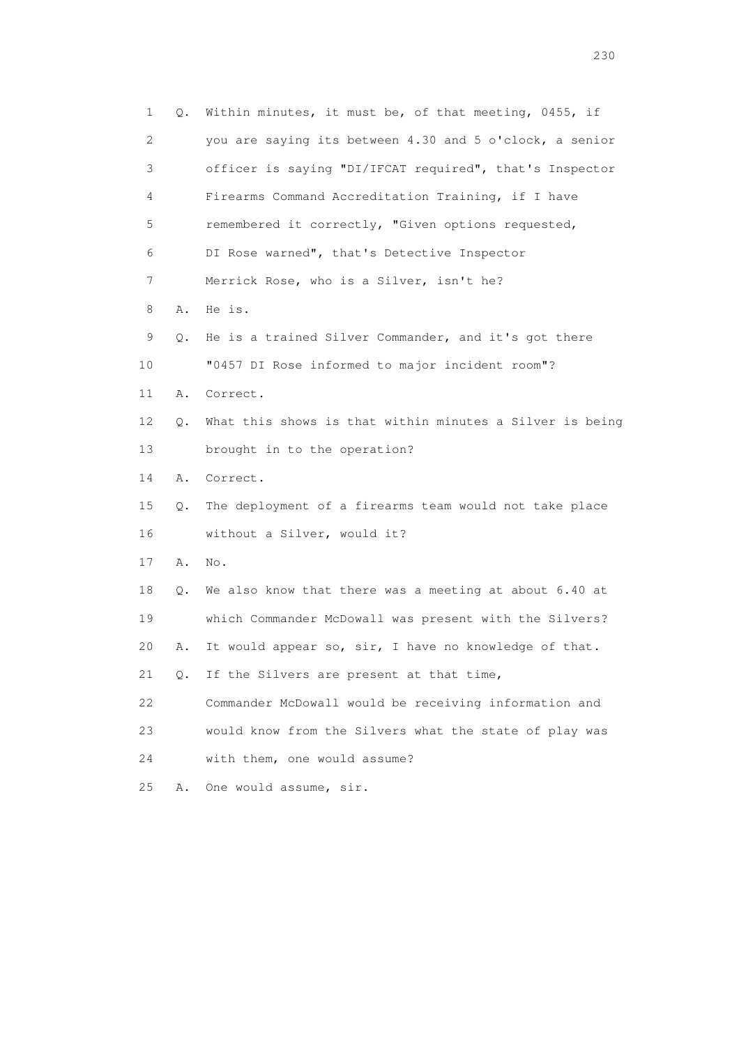| 1  | Q. | Within minutes, it must be, of that meeting, 0455, if    |
|----|----|----------------------------------------------------------|
| 2  |    | you are saying its between 4.30 and 5 o'clock, a senior  |
| 3  |    | officer is saying "DI/IFCAT required", that's Inspector  |
| 4  |    | Firearms Command Accreditation Training, if I have       |
| 5  |    | remembered it correctly, "Given options requested,       |
| 6  |    | DI Rose warned", that's Detective Inspector              |
| 7  |    | Merrick Rose, who is a Silver, isn't he?                 |
| 8  | Α. | He is.                                                   |
| 9  | Q. | He is a trained Silver Commander, and it's got there     |
| 10 |    | "0457 DI Rose informed to major incident room"?          |
| 11 | Α. | Correct.                                                 |
| 12 | Q. | What this shows is that within minutes a Silver is being |
| 13 |    | brought in to the operation?                             |
| 14 | Α. | Correct.                                                 |
| 15 | Q. | The deployment of a firearms team would not take place   |
| 16 |    | without a Silver, would it?                              |
| 17 | Α. | No.                                                      |
| 18 | Q. | We also know that there was a meeting at about 6.40 at   |
| 19 |    | which Commander McDowall was present with the Silvers?   |
| 20 | Α. | It would appear so, sir, I have no knowledge of that.    |
| 21 | Q. | If the Silvers are present at that time,                 |
| 22 |    | Commander McDowall would be receiving information and    |
| 23 |    | would know from the Silvers what the state of play was   |
| 24 |    | with them, one would assume?                             |
| 25 | Α. | One would assume, sir.                                   |

230 and 230 and 230 and 230 and 230 and 230 and 230 and 230 and 230 and 230 and 230 and 230 and 230 and 230 and 230 and 230 and 230 and 230 and 230 and 230 and 230 and 230 and 230 and 230 and 230 and 230 and 230 and 230 an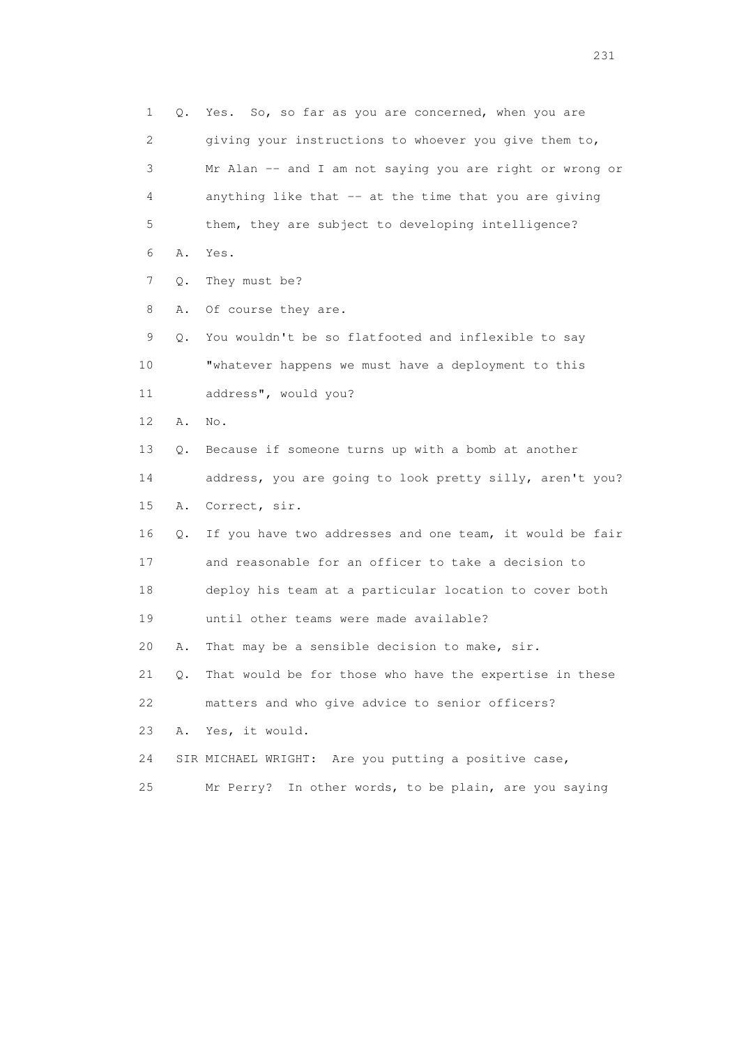1 Q. Yes. So, so far as you are concerned, when you are 2 giving your instructions to whoever you give them to, 3 Mr Alan -- and I am not saying you are right or wrong or 4 anything like that -- at the time that you are giving 5 them, they are subject to developing intelligence? 6 A. Yes. 7 Q. They must be? 8 A. Of course they are. 9 Q. You wouldn't be so flatfooted and inflexible to say 10 "whatever happens we must have a deployment to this 11 address", would you? 12 A. No. 13 Q. Because if someone turns up with a bomb at another 14 address, you are going to look pretty silly, aren't you? 15 A. Correct, sir. 16 Q. If you have two addresses and one team, it would be fair 17 and reasonable for an officer to take a decision to 18 deploy his team at a particular location to cover both 19 until other teams were made available? 20 A. That may be a sensible decision to make, sir. 21 Q. That would be for those who have the expertise in these 22 matters and who give advice to senior officers? 23 A. Yes, it would. 24 SIR MICHAEL WRIGHT: Are you putting a positive case, 25 Mr Perry? In other words, to be plain, are you saying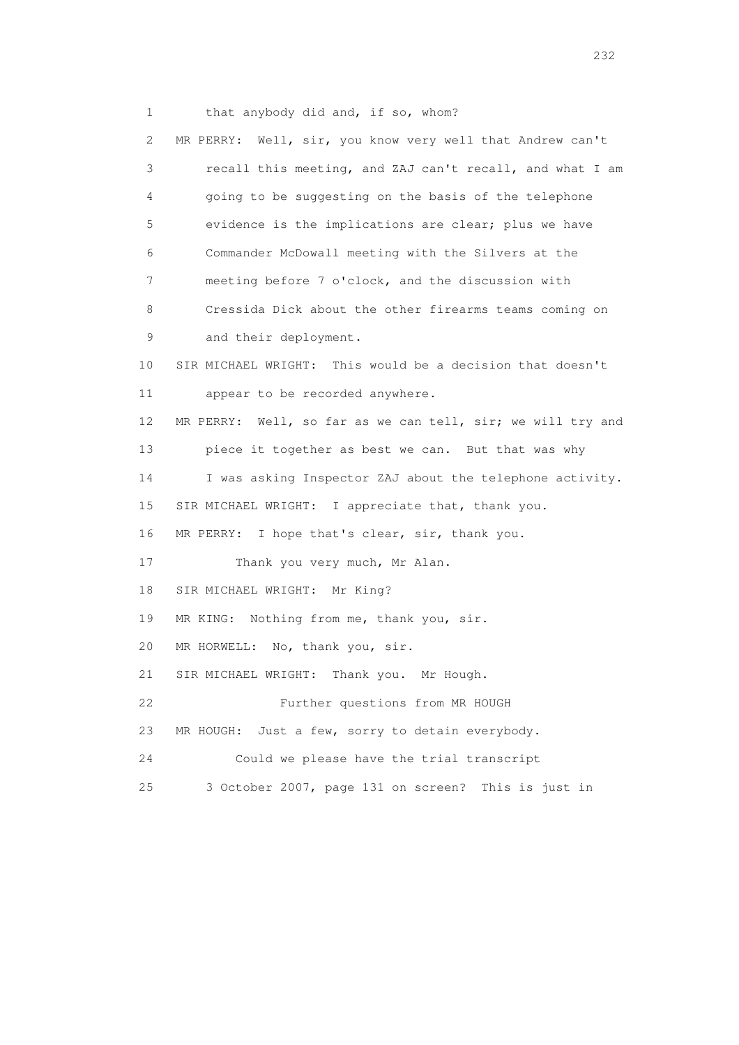1 that anybody did and, if so, whom?

 2 MR PERRY: Well, sir, you know very well that Andrew can't 3 recall this meeting, and ZAJ can't recall, and what I am 4 going to be suggesting on the basis of the telephone 5 evidence is the implications are clear; plus we have 6 Commander McDowall meeting with the Silvers at the 7 meeting before 7 o'clock, and the discussion with 8 Cressida Dick about the other firearms teams coming on 9 and their deployment. 10 SIR MICHAEL WRIGHT: This would be a decision that doesn't 11 appear to be recorded anywhere. 12 MR PERRY: Well, so far as we can tell, sir; we will try and 13 piece it together as best we can. But that was why 14 I was asking Inspector ZAJ about the telephone activity. 15 SIR MICHAEL WRIGHT: I appreciate that, thank you. 16 MR PERRY: I hope that's clear, sir, thank you. 17 Thank you very much, Mr Alan. 18 SIR MICHAEL WRIGHT: Mr King? 19 MR KING: Nothing from me, thank you, sir. 20 MR HORWELL: No, thank you, sir. 21 SIR MICHAEL WRIGHT: Thank you. Mr Hough. 22 Further questions from MR HOUGH 23 MR HOUGH: Just a few, sorry to detain everybody. 24 Could we please have the trial transcript 25 3 October 2007, page 131 on screen? This is just in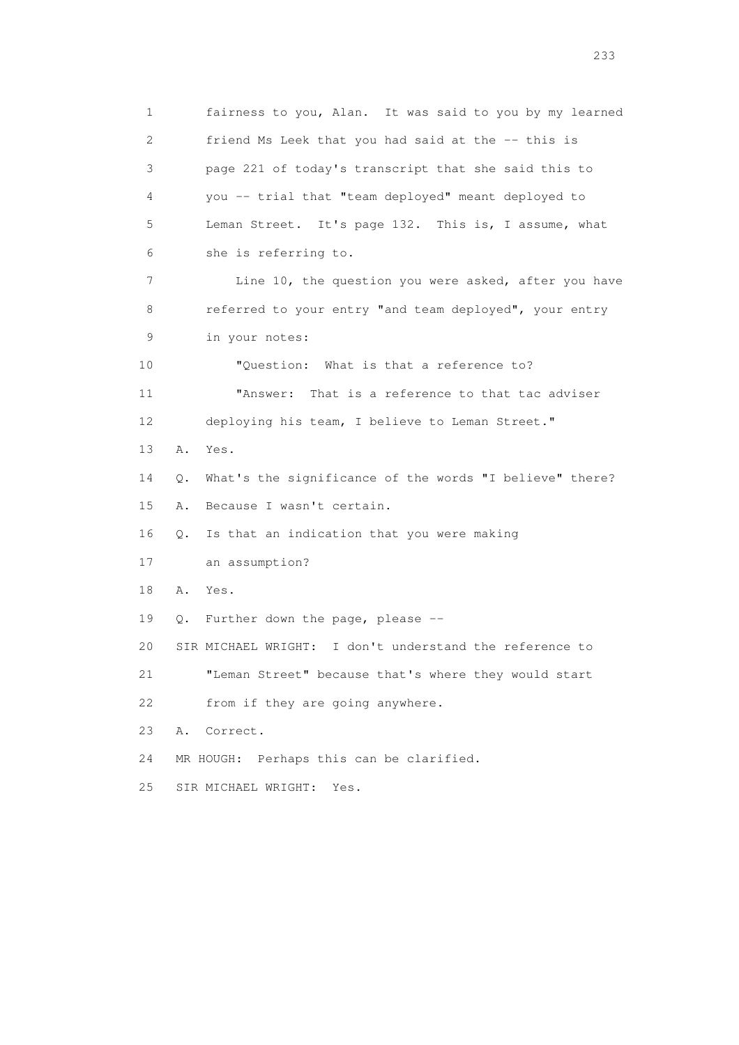1 fairness to you, Alan. It was said to you by my learned 2 friend Ms Leek that you had said at the -- this is 3 page 221 of today's transcript that she said this to 4 you -- trial that "team deployed" meant deployed to 5 Leman Street. It's page 132. This is, I assume, what 6 she is referring to. 7 Line 10, the question you were asked, after you have 8 referred to your entry "and team deployed", your entry 9 in your notes: 10 "Question: What is that a reference to? 11 "Answer: That is a reference to that tac adviser 12 deploying his team, I believe to Leman Street." 13 A. Yes. 14 Q. What's the significance of the words "I believe" there? 15 A. Because I wasn't certain. 16 Q. Is that an indication that you were making 17 an assumption? 18 A. Yes. 19 Q. Further down the page, please -- 20 SIR MICHAEL WRIGHT: I don't understand the reference to 21 "Leman Street" because that's where they would start 22 from if they are going anywhere. 23 A. Correct. 24 MR HOUGH: Perhaps this can be clarified. 25 SIR MICHAEL WRIGHT: Yes.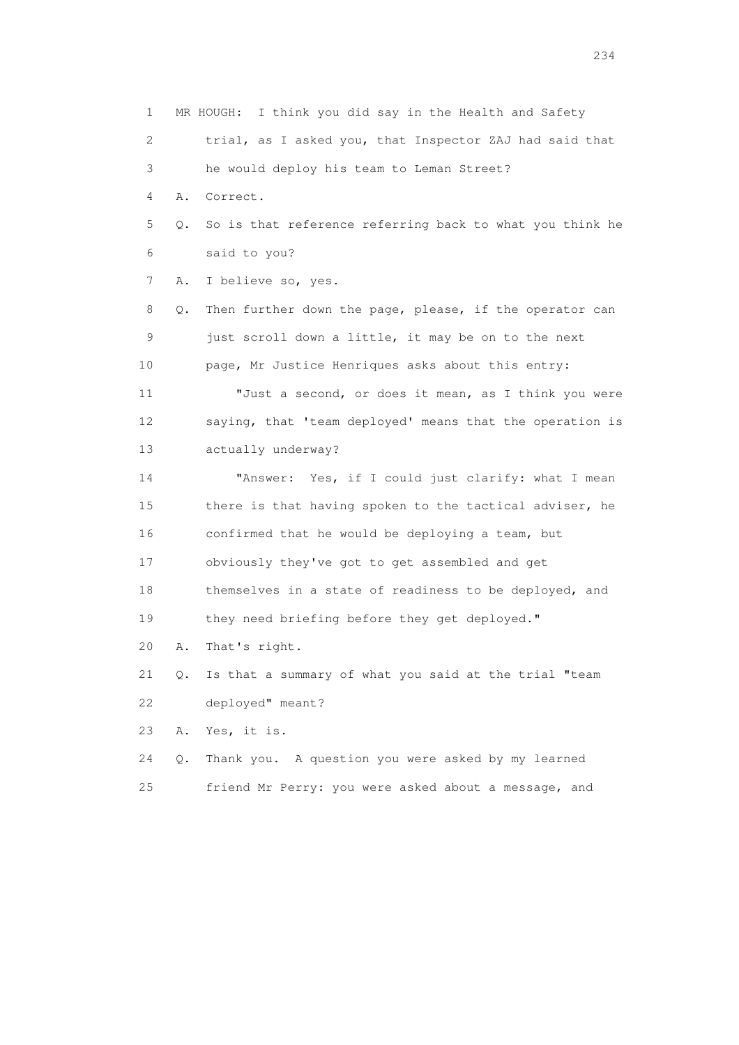1 MR HOUGH: I think you did say in the Health and Safety 2 trial, as I asked you, that Inspector ZAJ had said that 3 he would deploy his team to Leman Street? 4 A. Correct. 5 Q. So is that reference referring back to what you think he 6 said to you? 7 A. I believe so, yes. 8 Q. Then further down the page, please, if the operator can 9 just scroll down a little, it may be on to the next 10 page, Mr Justice Henriques asks about this entry: 11 "Just a second, or does it mean, as I think you were 12 saying, that 'team deployed' means that the operation is 13 actually underway? 14 "Answer: Yes, if I could just clarify: what I mean 15 there is that having spoken to the tactical adviser, he 16 confirmed that he would be deploying a team, but 17 obviously they've got to get assembled and get 18 themselves in a state of readiness to be deployed, and 19 they need briefing before they get deployed." 20 A. That's right. 21 Q. Is that a summary of what you said at the trial "team 22 deployed" meant? 23 A. Yes, it is. 24 Q. Thank you. A question you were asked by my learned 25 friend Mr Perry: you were asked about a message, and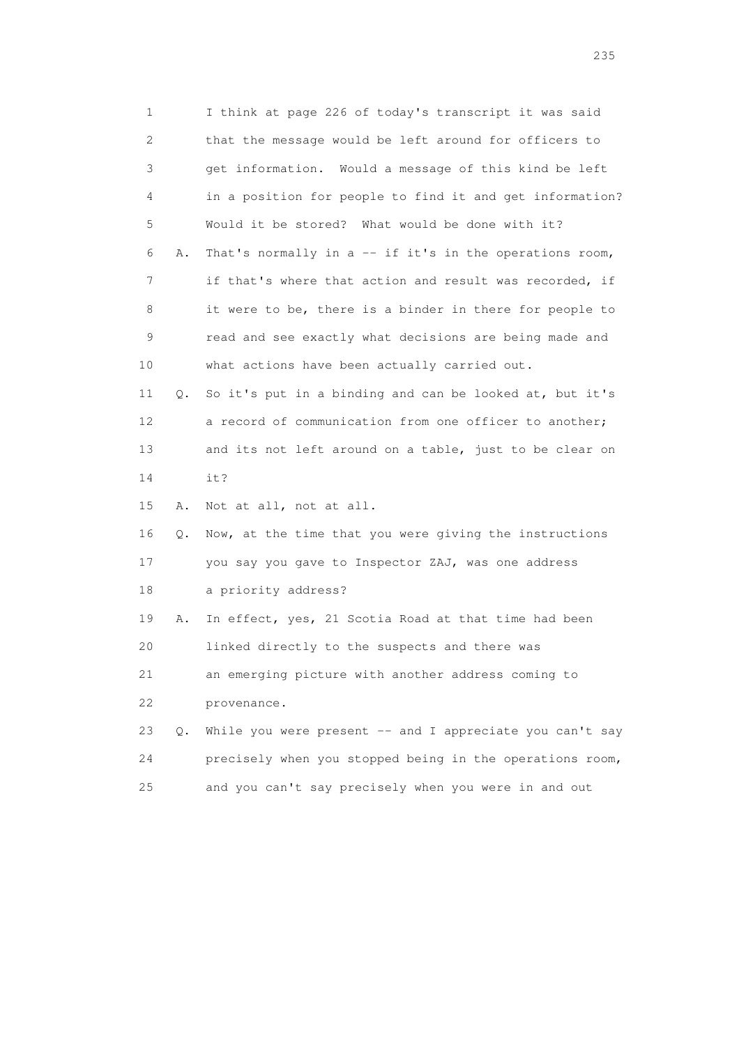1 I think at page 226 of today's transcript it was said 2 that the message would be left around for officers to 3 get information. Would a message of this kind be left 4 in a position for people to find it and get information? 5 Would it be stored? What would be done with it? 6 A. That's normally in a -- if it's in the operations room, 7 if that's where that action and result was recorded, if 8 it were to be, there is a binder in there for people to 9 read and see exactly what decisions are being made and 10 what actions have been actually carried out. 11 Q. So it's put in a binding and can be looked at, but it's 12 a record of communication from one officer to another; 13 and its not left around on a table, just to be clear on 14 it? 15 A. Not at all, not at all. 16 Q. Now, at the time that you were giving the instructions 17 you say you gave to Inspector ZAJ, was one address 18 a priority address? 19 A. In effect, yes, 21 Scotia Road at that time had been 20 linked directly to the suspects and there was 21 an emerging picture with another address coming to 22 provenance. 23 Q. While you were present -- and I appreciate you can't say 24 precisely when you stopped being in the operations room, 25 and you can't say precisely when you were in and out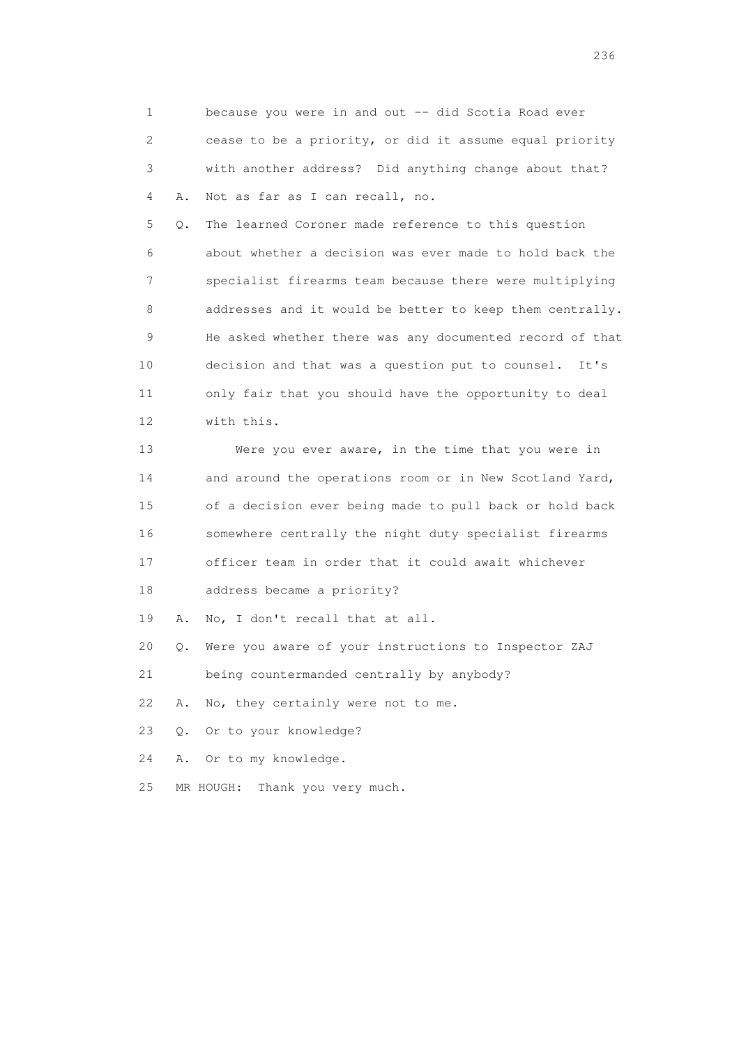1 because you were in and out -- did Scotia Road ever 2 cease to be a priority, or did it assume equal priority 3 with another address? Did anything change about that? 4 A. Not as far as I can recall, no.

 5 Q. The learned Coroner made reference to this question 6 about whether a decision was ever made to hold back the 7 specialist firearms team because there were multiplying 8 addresses and it would be better to keep them centrally. 9 He asked whether there was any documented record of that 10 decision and that was a question put to counsel. It's 11 only fair that you should have the opportunity to deal 12 with this.

 13 Were you ever aware, in the time that you were in 14 and around the operations room or in New Scotland Yard, 15 of a decision ever being made to pull back or hold back 16 somewhere centrally the night duty specialist firearms 17 officer team in order that it could await whichever 18 address became a priority?

19 A. No, I don't recall that at all.

20 Q. Were you aware of your instructions to Inspector ZAJ

21 being countermanded centrally by anybody?

22 A. No, they certainly were not to me.

23 Q. Or to your knowledge?

24 A. Or to my knowledge.

25 MR HOUGH: Thank you very much.

<u>236</u> **236**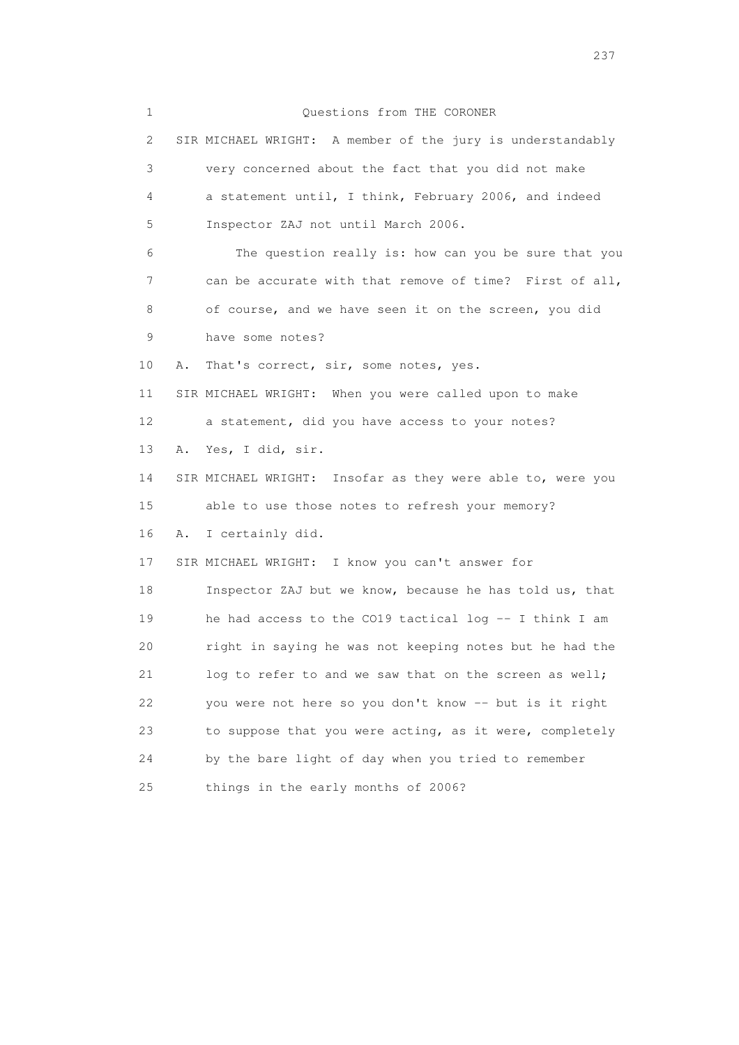1 Questions from THE CORONER 2 SIR MICHAEL WRIGHT: A member of the jury is understandably 3 very concerned about the fact that you did not make 4 a statement until, I think, February 2006, and indeed 5 Inspector ZAJ not until March 2006. 6 The question really is: how can you be sure that you 7 can be accurate with that remove of time? First of all, 8 of course, and we have seen it on the screen, you did 9 have some notes? 10 A. That's correct, sir, some notes, yes. 11 SIR MICHAEL WRIGHT: When you were called upon to make 12 a statement, did you have access to your notes? 13 A. Yes, I did, sir. 14 SIR MICHAEL WRIGHT: Insofar as they were able to, were you 15 able to use those notes to refresh your memory? 16 A. I certainly did. 17 SIR MICHAEL WRIGHT: I know you can't answer for 18 Inspector ZAJ but we know, because he has told us, that 19 he had access to the CO19 tactical log -- I think I am 20 right in saying he was not keeping notes but he had the 21 log to refer to and we saw that on the screen as well; 22 you were not here so you don't know -- but is it right 23 to suppose that you were acting, as it were, completely 24 by the bare light of day when you tried to remember 25 things in the early months of 2006?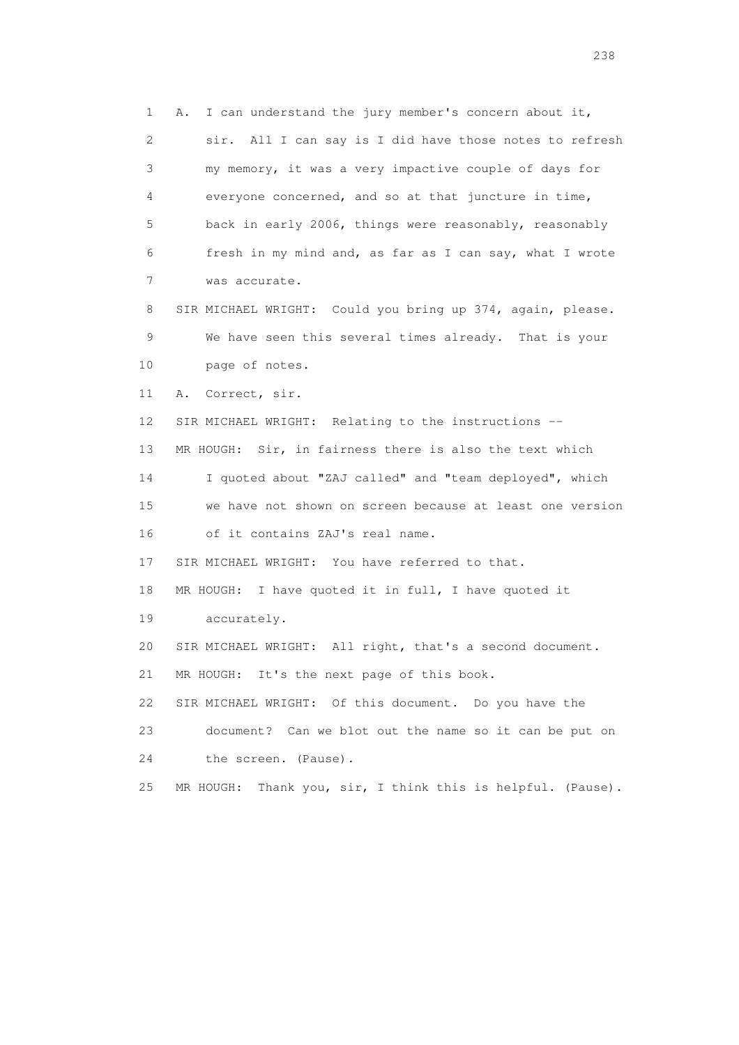1 A. I can understand the jury member's concern about it, 2 sir. All I can say is I did have those notes to refresh 3 my memory, it was a very impactive couple of days for 4 everyone concerned, and so at that juncture in time, 5 back in early 2006, things were reasonably, reasonably 6 fresh in my mind and, as far as I can say, what I wrote 7 was accurate. 8 SIR MICHAEL WRIGHT: Could you bring up 374, again, please. 9 We have seen this several times already. That is your 10 page of notes. 11 A. Correct, sir. 12 SIR MICHAEL WRIGHT: Relating to the instructions -- 13 MR HOUGH: Sir, in fairness there is also the text which 14 I quoted about "ZAJ called" and "team deployed", which 15 we have not shown on screen because at least one version 16 of it contains ZAJ's real name. 17 SIR MICHAEL WRIGHT: You have referred to that. 18 MR HOUGH: I have quoted it in full, I have quoted it 19 accurately. 20 SIR MICHAEL WRIGHT: All right, that's a second document. 21 MR HOUGH: It's the next page of this book. 22 SIR MICHAEL WRIGHT: Of this document. Do you have the 23 document? Can we blot out the name so it can be put on 24 the screen. (Pause). 25 MR HOUGH: Thank you, sir, I think this is helpful. (Pause).

238 and 238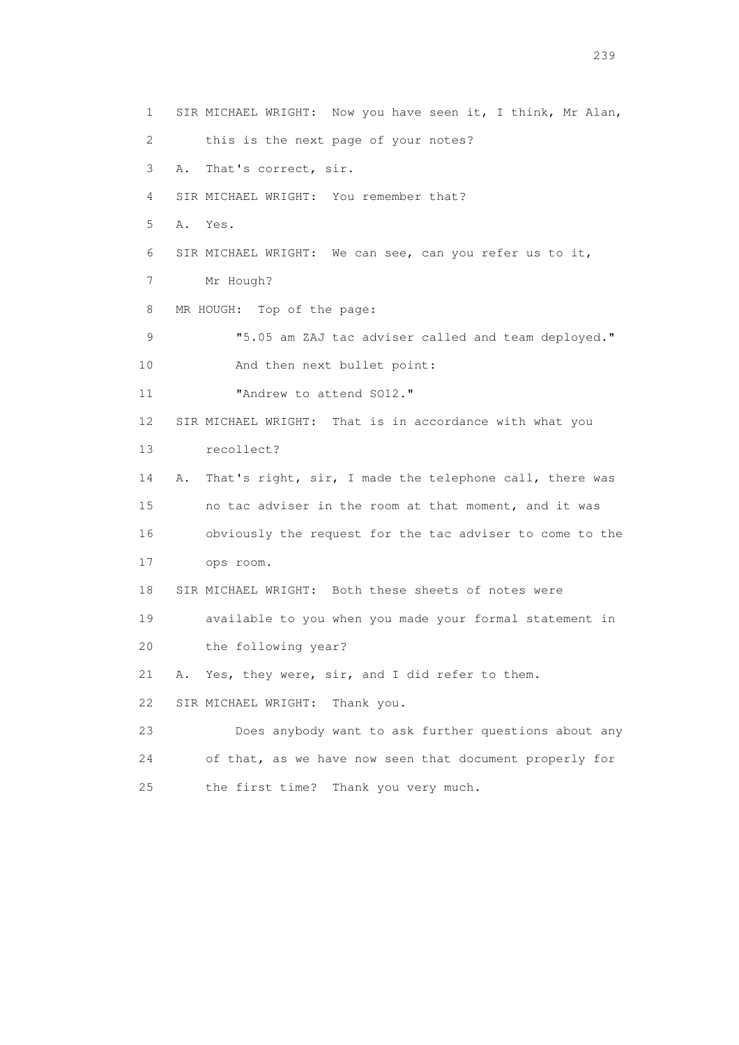1 SIR MICHAEL WRIGHT: Now you have seen it, I think, Mr Alan, 2 this is the next page of your notes? 3 A. That's correct, sir. 4 SIR MICHAEL WRIGHT: You remember that? 5 A. Yes. 6 SIR MICHAEL WRIGHT: We can see, can you refer us to it, 7 Mr Hough? 8 MR HOUGH: Top of the page: 9  $\blacksquare$  5.05 am ZAJ tac adviser called and team deployed." 10 And then next bullet point: 11 **"Andrew to attend SO12."**  12 SIR MICHAEL WRIGHT: That is in accordance with what you 13 recollect? 14 A. That's right, sir, I made the telephone call, there was 15 no tac adviser in the room at that moment, and it was 16 obviously the request for the tac adviser to come to the 17 ops room. 18 SIR MICHAEL WRIGHT: Both these sheets of notes were 19 available to you when you made your formal statement in 20 the following year? 21 A. Yes, they were, sir, and I did refer to them. 22 SIR MICHAEL WRIGHT: Thank you. 23 Does anybody want to ask further questions about any 24 of that, as we have now seen that document properly for 25 the first time? Thank you very much.

239 and 239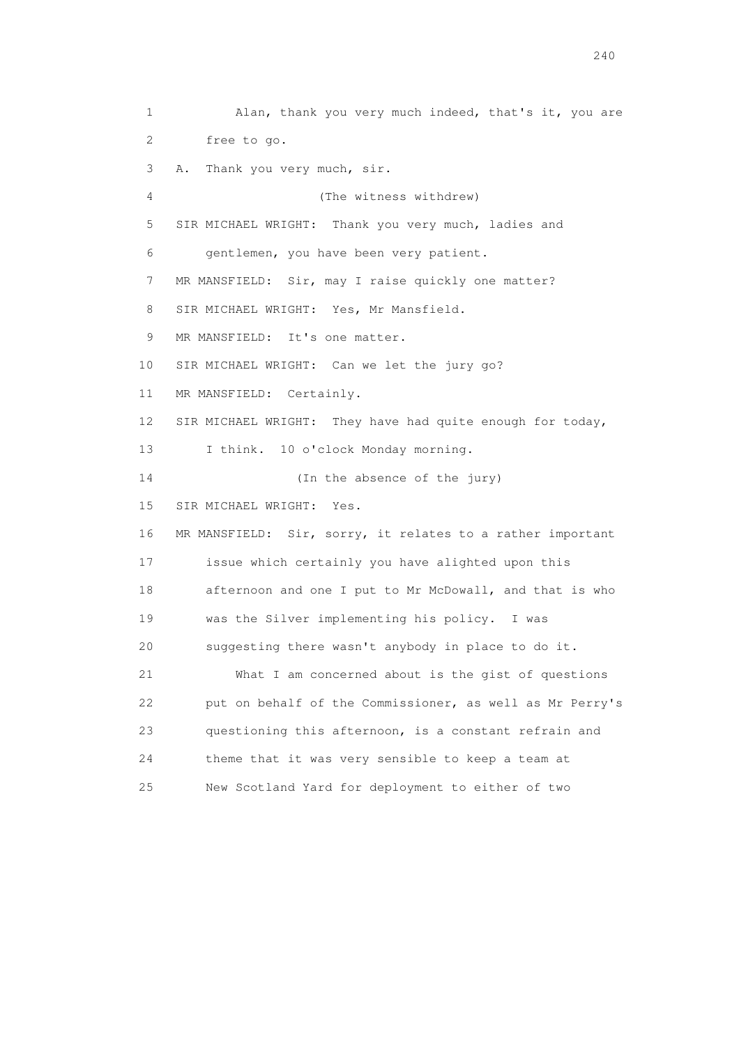1 Alan, thank you very much indeed, that's it, you are 2 free to go. 3 A. Thank you very much, sir. 4 (The witness withdrew) 5 SIR MICHAEL WRIGHT: Thank you very much, ladies and 6 gentlemen, you have been very patient. 7 MR MANSFIELD: Sir, may I raise quickly one matter? 8 SIR MICHAEL WRIGHT: Yes, Mr Mansfield. 9 MR MANSFIELD: It's one matter. 10 SIR MICHAEL WRIGHT: Can we let the jury go? 11 MR MANSFIELD: Certainly. 12 SIR MICHAEL WRIGHT: They have had quite enough for today, 13 I think. 10 o'clock Monday morning. 14 (In the absence of the jury) 15 SIR MICHAEL WRIGHT: Yes. 16 MR MANSFIELD: Sir, sorry, it relates to a rather important 17 issue which certainly you have alighted upon this 18 afternoon and one I put to Mr McDowall, and that is who 19 was the Silver implementing his policy. I was 20 suggesting there wasn't anybody in place to do it. 21 What I am concerned about is the gist of questions 22 put on behalf of the Commissioner, as well as Mr Perry's 23 questioning this afternoon, is a constant refrain and 24 theme that it was very sensible to keep a team at 25 New Scotland Yard for deployment to either of two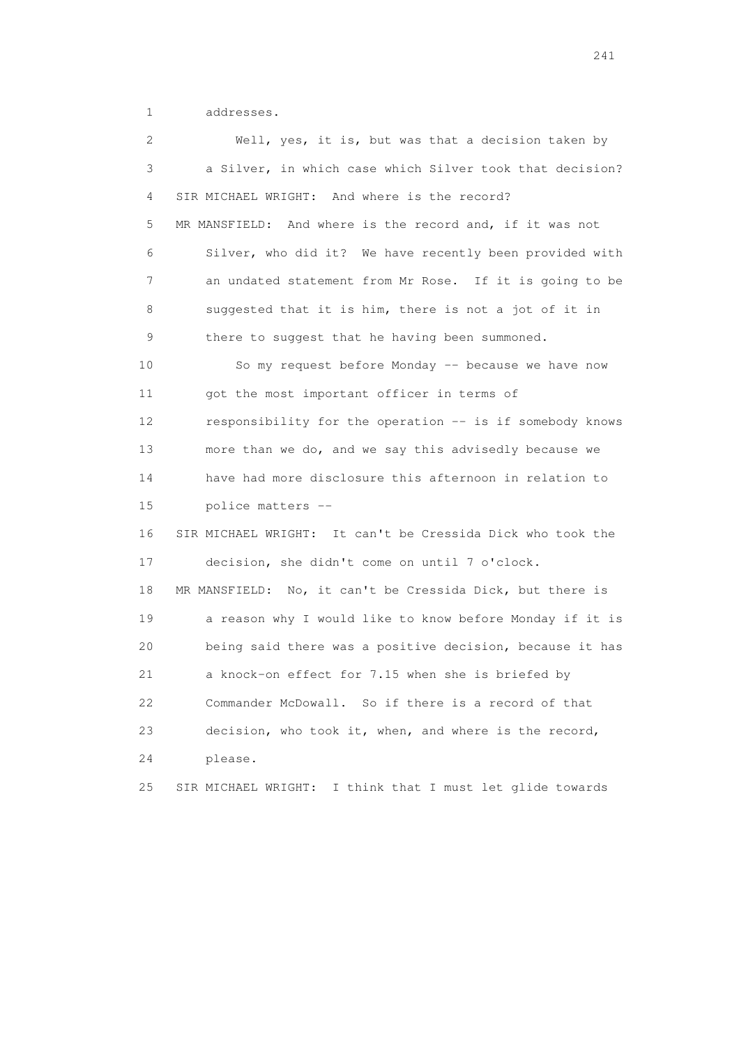1 addresses.

 2 Well, yes, it is, but was that a decision taken by 3 a Silver, in which case which Silver took that decision? 4 SIR MICHAEL WRIGHT: And where is the record? 5 MR MANSFIELD: And where is the record and, if it was not 6 Silver, who did it? We have recently been provided with 7 an undated statement from Mr Rose. If it is going to be 8 suggested that it is him, there is not a jot of it in 9 there to suggest that he having been summoned. 10 So my request before Monday -- because we have now 11 got the most important officer in terms of 12 responsibility for the operation -- is if somebody knows 13 more than we do, and we say this advisedly because we 14 have had more disclosure this afternoon in relation to 15 police matters -- 16 SIR MICHAEL WRIGHT: It can't be Cressida Dick who took the 17 decision, she didn't come on until 7 o'clock. 18 MR MANSFIELD: No, it can't be Cressida Dick, but there is 19 a reason why I would like to know before Monday if it is 20 being said there was a positive decision, because it has 21 a knock-on effect for 7.15 when she is briefed by 22 Commander McDowall. So if there is a record of that 23 decision, who took it, when, and where is the record, 24 please. 25 SIR MICHAEL WRIGHT: I think that I must let glide towards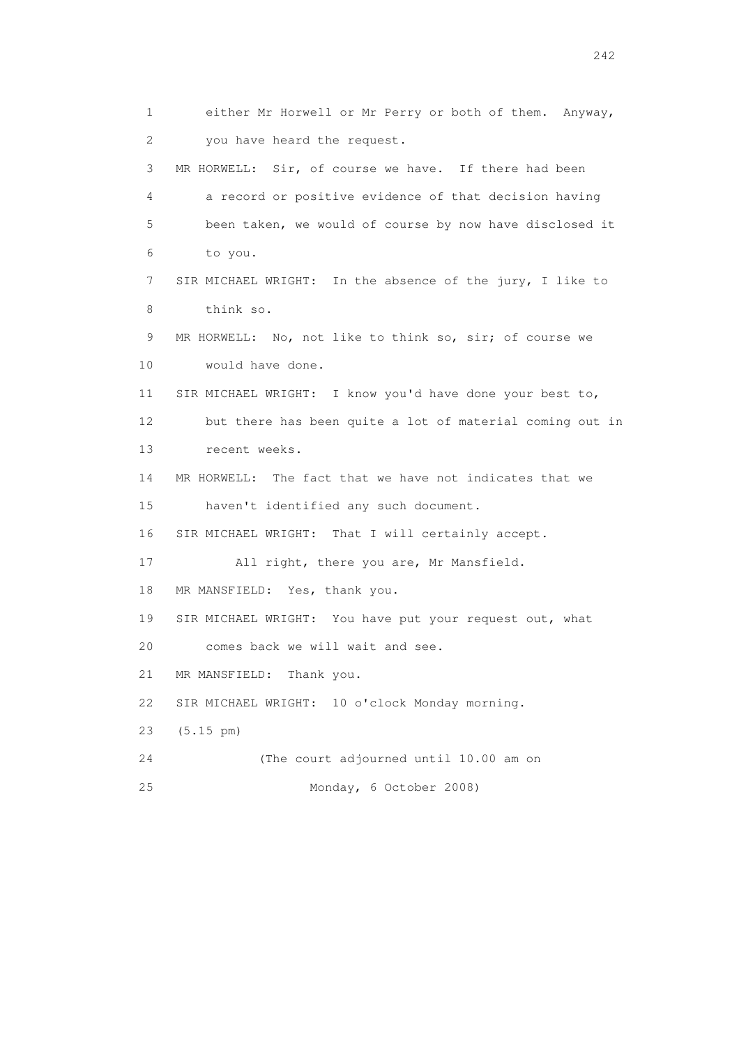1 either Mr Horwell or Mr Perry or both of them. Anyway, 2 you have heard the request. 3 MR HORWELL: Sir, of course we have. If there had been 4 a record or positive evidence of that decision having 5 been taken, we would of course by now have disclosed it 6 to you. 7 SIR MICHAEL WRIGHT: In the absence of the jury, I like to 8 think so. 9 MR HORWELL: No, not like to think so, sir; of course we 10 would have done. 11 SIR MICHAEL WRIGHT: I know you'd have done your best to, 12 but there has been quite a lot of material coming out in 13 recent weeks. 14 MR HORWELL: The fact that we have not indicates that we 15 haven't identified any such document. 16 SIR MICHAEL WRIGHT: That I will certainly accept. 17 All right, there you are, Mr Mansfield. 18 MR MANSFIELD: Yes, thank you. 19 SIR MICHAEL WRIGHT: You have put your request out, what 20 comes back we will wait and see. 21 MR MANSFIELD: Thank you. 22 SIR MICHAEL WRIGHT: 10 o'clock Monday morning. 23 (5.15 pm) 24 (The court adjourned until 10.00 am on 25 Monday, 6 October 2008)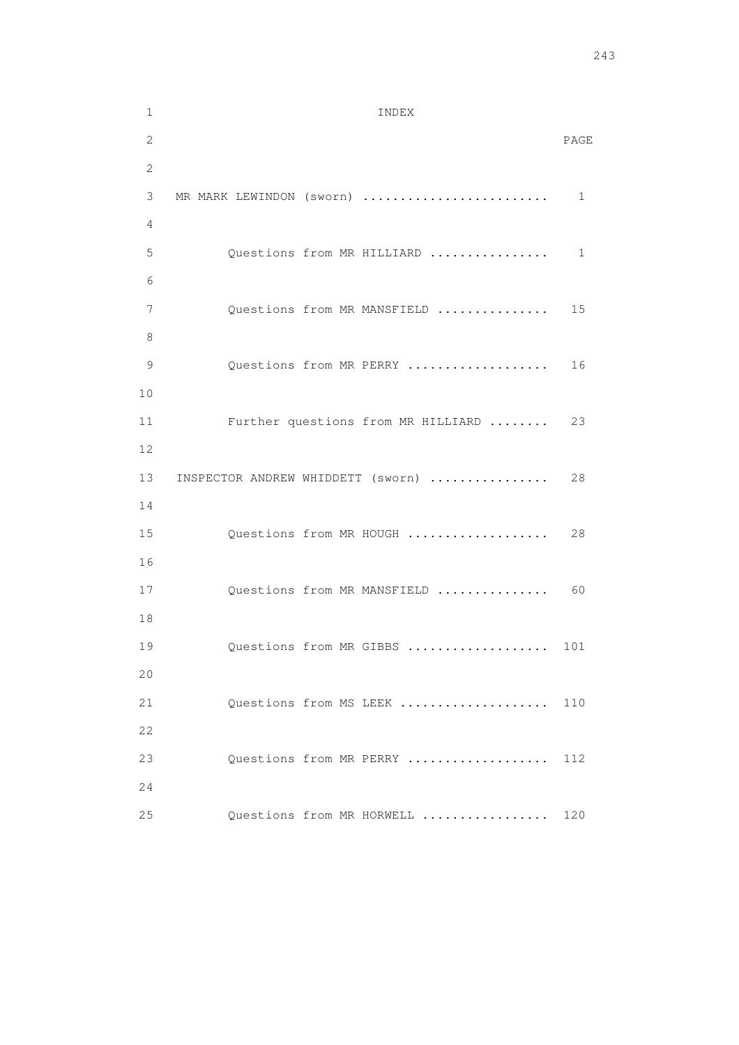1 INDEX 2 PAGE 2 3 MR MARK LEWINDON (sworn) ......................... 1 4 5 Questions from MR HILLIARD ................. 1 6 7 Questions from MR MANSFIELD ................ 15 8 9 Questions from MR PERRY .................... 16 10 11 Further questions from MR HILLIARD ........ 23 12 13 INSPECTOR ANDREW WHIDDETT (sworn) .................. 28 14 15 Questions from MR HOUGH .................... 28 16 17 Questions from MR MANSFIELD .................. 60 18 19 Questions from MR GIBBS ..................... 101 20 21 Questions from MS LEEK ..................... 110 22 23 Questions from MR PERRY ................... 112 24 25 Questions from MR HORWELL ................. 120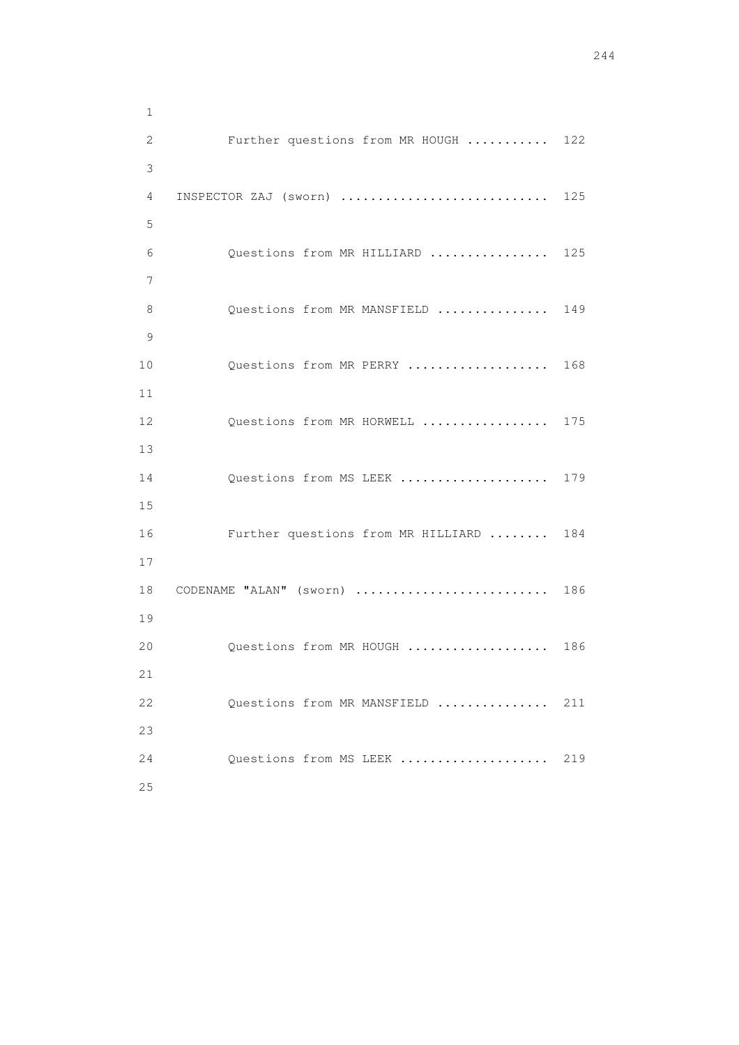| $\mathbf 1$  |                                    |     |
|--------------|------------------------------------|-----|
| $\mathbf{2}$ | Further questions from MR HOUGH    | 122 |
| 3            |                                    |     |
| 4            | INSPECTOR ZAJ (sworn)              | 125 |
| 5            |                                    |     |
| 6            | Questions from MR HILLIARD         | 125 |
| 7            |                                    |     |
| 8            | Questions from MR MANSFIELD        | 149 |
| 9            |                                    |     |
| 10           | Questions from MR PERRY            | 168 |
| 11           |                                    |     |
| 12           | Questions from MR HORWELL          | 175 |
| 13           |                                    |     |
| 14           | Questions from MS LEEK             | 179 |
| 15           |                                    |     |
| 16           | Further questions from MR HILLIARD | 184 |
| 17           |                                    |     |
| 18           | CODENAME "ALAN" (sworn)            | 186 |
| 19           |                                    |     |
| 20           | Questions from MR HOUGH            | 186 |
| 21           |                                    |     |
| 22           | Questions from MR MANSFIELD        | 211 |
| 23           |                                    |     |
| 24           | Questions from MS LEEK             | 219 |
|              |                                    |     |